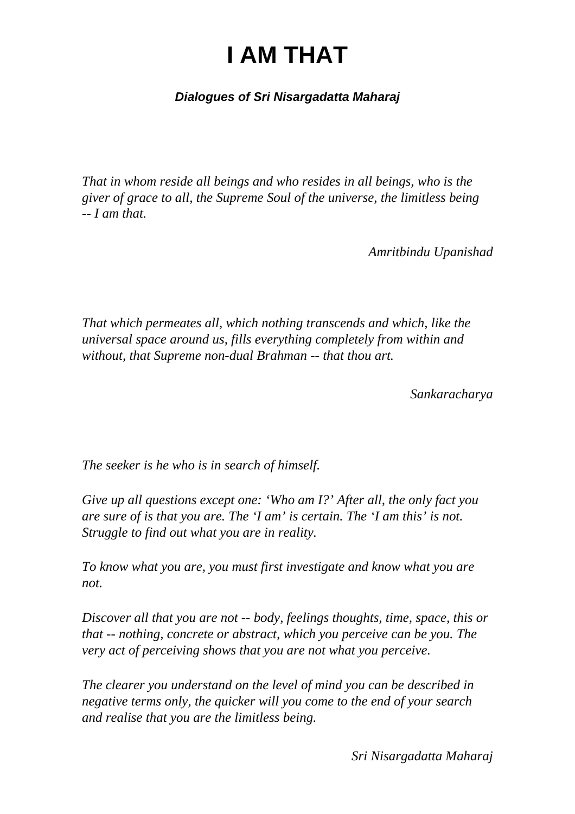# **I AM THAT**

#### *Dialogues of Sri Nisargadatta Maharaj*

*That in whom reside all beings and who resides in all beings, who is the giver of grace to all, the Supreme Soul of the universe, the limitless being -- I am that.*

*Amritbindu Upanishad*

*That which permeates all, which nothing transcends and which, like the universal space around us, fills everything completely from within and without, that Supreme non-dual Brahman -- that thou art.*

*Sankaracharya*

*The seeker is he who is in search of himself.*

*Give up all questions except one: 'Who am I?' After all, the only fact you are sure of is that you are. The 'I am' is certain. The 'I am this' is not. Struggle to find out what you are in reality.*

*To know what you are, you must first investigate and know what you are not.*

*Discover all that you are not -- body, feelings thoughts, time, space, this or that -- nothing, concrete or abstract, which you perceive can be you. The very act of perceiving shows that you are not what you perceive.*

*The clearer you understand on the level of mind you can be described in negative terms only, the quicker will you come to the end of your search and realise that you are the limitless being.*

*Sri Nisargadatta Maharaj*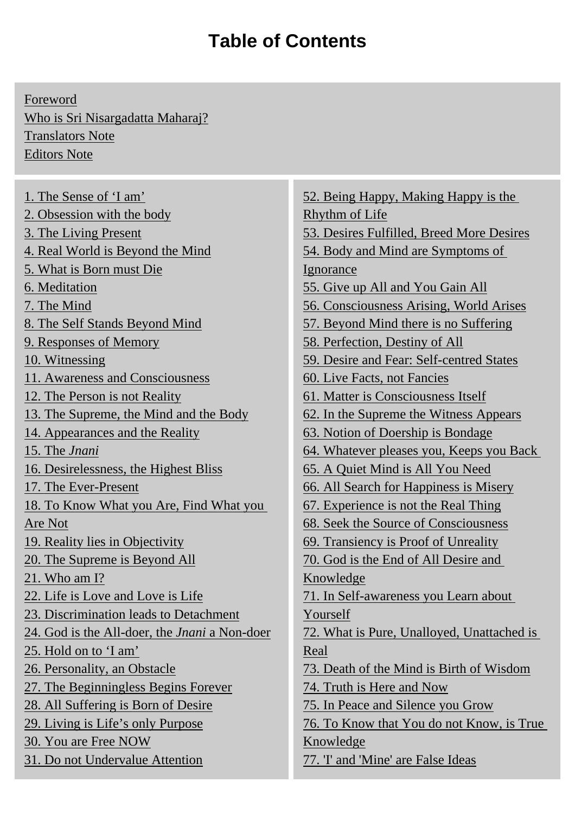### **Table of Contents**

[Foreword](#page-2-0) [Who is Sri Nisargadatta Maharaj?](#page-4-0) [Translators Note](#page-6-0) [Editors Note](#page-6-1)

[1. The Sense of 'I am'](#page-7-0) [2. Obsession with the body](#page-9-0) [3. The Living Present](#page-10-0) [4. Real World is Beyond the Mind](#page-12-0) [5. What is Born must Die](#page-14-0) [6. Meditation](#page-15-0) [7. The Mind](#page-16-0) [8. The Self Stands Beyond Mind](#page-19-0) [9. Responses of Memory](#page-23-0) [10. Witnessing](#page-24-0) [11. Awareness and Consciousness](#page-27-0) [12. The Person is not Reality](#page-28-0) [13. The Supreme, the Mind and the Body](#page-31-0) [14. Appearances and the Reality](#page-35-0) [15. The](#page-39-0) *Jnani* [16. Desirelessness, the Highest Bliss](#page-42-0) [17. The Ever-Present](#page-46-0) [18. To Know What you Are, Find What you](#page-48-0) [Are Not](#page-48-0) [19. Reality lies in Objectivity](#page-52-0) [20. The Supreme is Beyond All](#page-55-0) [21. Who am I?](#page-59-0) [22. Life is Love and Love is Life](#page-63-0) [23. Discrimination leads to Detachment](#page-66-0) [24. God is the All-doer, the](#page-71-0) *Jnani* a Non-doer [25. Hold on to 'I am'](#page-75-0) [26. Personality, an Obstacle](#page-80-0) [27. The Beginningless Begins Forever](#page-84-0) [28. All Suffering is Born of Desire](#page-88-0) [29. Living is Life's only Purpose](#page-91-0) [30. You are Free NOW](#page-96-0) [31. Do not Undervalue Attention](#page-99-0)

[52. Being Happy, Making Happy is the](#page-185-0)  [Rhythm of Life](#page-185-0) [53. Desires Fulfilled, Breed More Desires](#page-188-0) [54. Body and Mind are Symptoms of](#page-190-0)  **[Ignorance](#page-190-0)** [55. Give up All and You Gain All](#page-194-0) [56. Consciousness Arising, World Arises](#page-197-0) [57. Beyond Mind there is no Suffering](#page-201-0) [58. Perfection, Destiny of All](#page-204-0) [59. Desire and Fear: Self-centred States](#page-207-0) [60. Live Facts, not Fancies](#page-210-0) [61. Matter is Consciousness Itself](#page-213-0) [62. In the Supreme the Witness Appears](#page-217-0) [63. Notion of Doership is Bondage](#page-221-0) [64. Whatever pleases you, Keeps you Back](#page-223-0) [65. A Quiet Mind is All You Need](#page-228-0) [66. All Search for Happiness is Misery](#page-232-0) [67. Experience is not the Real Thing](#page-237-0) [68. Seek the Source of Consciousness](#page-240-0) [69. Transiency is Proof of Unreality](#page-242-0) [70. God is the End of All Desire and](#page-247-0) [Knowledge](#page-247-0) [71. In Self-awareness you Learn about](#page-252-0)  [Yourself](#page-252-0) [72. What is Pure, Unalloyed, Unattached is](#page-257-0)  [Real](#page-257-0) [73. Death of the Mind is Birth of Wisdom](#page-264-0) [74. Truth is Here and Now](#page-269-0) [75. In Peace and Silence you Grow](#page-275-0) [76. To Know that You do not Know, is True](#page-279-0)  [Knowledge](#page-279-0) [77. 'I' and 'Mine' are False Ideas](#page-285-0)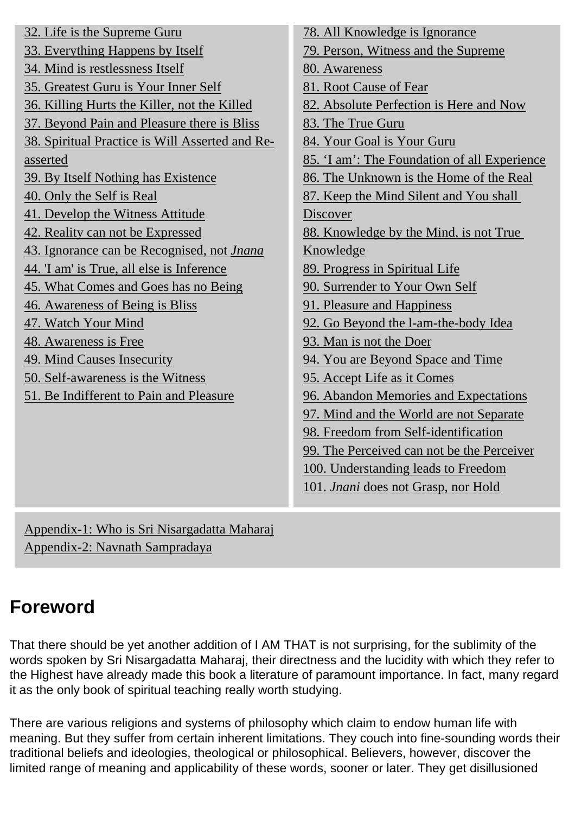| 33. Everything Happens by Itself<br>79. Person, Witness and the Supreme<br>34. Mind is restlessness Itself<br>80. Awareness<br>35. Greatest Guru is Your Inner Self<br>81. Root Cause of Fear<br>36. Killing Hurts the Killer, not the Killed<br>82. Absolute Perfection is Here and Now<br>37. Beyond Pain and Pleasure there is Bliss<br>83. The True Guru<br>84. Your Goal is Your Guru<br>38. Spiritual Practice is Will Asserted and Re-<br>85. 'I am': The Foundation of all Experience<br>asserted<br>86. The Unknown is the Home of the Real<br>39. By Itself Nothing has Existence<br>40. Only the Self is Real<br>87. Keep the Mind Silent and You shall<br>41. Develop the Witness Attitude<br>Discover<br>42. Reality can not be Expressed<br>88. Knowledge by the Mind, is not True<br>Knowledge<br>43. Ignorance can be Recognised, not <i>Jnana</i><br>44. 'I am' is True, all else is Inference<br>89. Progress in Spiritual Life<br>90. Surrender to Your Own Self<br>45. What Comes and Goes has no Being<br>46. Awareness of Being is Bliss<br>91. Pleasure and Happiness<br>47. Watch Your Mind<br>92. Go Beyond the 1-am-the-body Idea<br>48. Awareness is Free<br>93. Man is not the Doer<br>49. Mind Causes Insecurity<br>94. You are Beyond Space and Time<br>95. Accept Life as it Comes<br>50. Self-awareness is the Witness<br>51. Be Indifferent to Pain and Pleasure<br>96. Abandon Memories and Expectations<br>97. Mind and the World are not Separate<br>98. Freedom from Self-identification<br>99. The Perceived can not be the Perceiver<br>100. Understanding leads to Freedom<br>101. Jnani does not Grasp, nor Hold |                              |                                |
|-----------------------------------------------------------------------------------------------------------------------------------------------------------------------------------------------------------------------------------------------------------------------------------------------------------------------------------------------------------------------------------------------------------------------------------------------------------------------------------------------------------------------------------------------------------------------------------------------------------------------------------------------------------------------------------------------------------------------------------------------------------------------------------------------------------------------------------------------------------------------------------------------------------------------------------------------------------------------------------------------------------------------------------------------------------------------------------------------------------------------------------------------------------------------------------------------------------------------------------------------------------------------------------------------------------------------------------------------------------------------------------------------------------------------------------------------------------------------------------------------------------------------------------------------------------------------------------------------------------------------------------------------------------|------------------------------|--------------------------------|
|                                                                                                                                                                                                                                                                                                                                                                                                                                                                                                                                                                                                                                                                                                                                                                                                                                                                                                                                                                                                                                                                                                                                                                                                                                                                                                                                                                                                                                                                                                                                                                                                                                                           | 32. Life is the Supreme Guru | 78. All Knowledge is Ignorance |
|                                                                                                                                                                                                                                                                                                                                                                                                                                                                                                                                                                                                                                                                                                                                                                                                                                                                                                                                                                                                                                                                                                                                                                                                                                                                                                                                                                                                                                                                                                                                                                                                                                                           |                              |                                |
|                                                                                                                                                                                                                                                                                                                                                                                                                                                                                                                                                                                                                                                                                                                                                                                                                                                                                                                                                                                                                                                                                                                                                                                                                                                                                                                                                                                                                                                                                                                                                                                                                                                           |                              |                                |
|                                                                                                                                                                                                                                                                                                                                                                                                                                                                                                                                                                                                                                                                                                                                                                                                                                                                                                                                                                                                                                                                                                                                                                                                                                                                                                                                                                                                                                                                                                                                                                                                                                                           |                              |                                |
|                                                                                                                                                                                                                                                                                                                                                                                                                                                                                                                                                                                                                                                                                                                                                                                                                                                                                                                                                                                                                                                                                                                                                                                                                                                                                                                                                                                                                                                                                                                                                                                                                                                           |                              |                                |
|                                                                                                                                                                                                                                                                                                                                                                                                                                                                                                                                                                                                                                                                                                                                                                                                                                                                                                                                                                                                                                                                                                                                                                                                                                                                                                                                                                                                                                                                                                                                                                                                                                                           |                              |                                |
|                                                                                                                                                                                                                                                                                                                                                                                                                                                                                                                                                                                                                                                                                                                                                                                                                                                                                                                                                                                                                                                                                                                                                                                                                                                                                                                                                                                                                                                                                                                                                                                                                                                           |                              |                                |
|                                                                                                                                                                                                                                                                                                                                                                                                                                                                                                                                                                                                                                                                                                                                                                                                                                                                                                                                                                                                                                                                                                                                                                                                                                                                                                                                                                                                                                                                                                                                                                                                                                                           |                              |                                |
|                                                                                                                                                                                                                                                                                                                                                                                                                                                                                                                                                                                                                                                                                                                                                                                                                                                                                                                                                                                                                                                                                                                                                                                                                                                                                                                                                                                                                                                                                                                                                                                                                                                           |                              |                                |
|                                                                                                                                                                                                                                                                                                                                                                                                                                                                                                                                                                                                                                                                                                                                                                                                                                                                                                                                                                                                                                                                                                                                                                                                                                                                                                                                                                                                                                                                                                                                                                                                                                                           |                              |                                |
|                                                                                                                                                                                                                                                                                                                                                                                                                                                                                                                                                                                                                                                                                                                                                                                                                                                                                                                                                                                                                                                                                                                                                                                                                                                                                                                                                                                                                                                                                                                                                                                                                                                           |                              |                                |
|                                                                                                                                                                                                                                                                                                                                                                                                                                                                                                                                                                                                                                                                                                                                                                                                                                                                                                                                                                                                                                                                                                                                                                                                                                                                                                                                                                                                                                                                                                                                                                                                                                                           |                              |                                |
|                                                                                                                                                                                                                                                                                                                                                                                                                                                                                                                                                                                                                                                                                                                                                                                                                                                                                                                                                                                                                                                                                                                                                                                                                                                                                                                                                                                                                                                                                                                                                                                                                                                           |                              |                                |
|                                                                                                                                                                                                                                                                                                                                                                                                                                                                                                                                                                                                                                                                                                                                                                                                                                                                                                                                                                                                                                                                                                                                                                                                                                                                                                                                                                                                                                                                                                                                                                                                                                                           |                              |                                |
|                                                                                                                                                                                                                                                                                                                                                                                                                                                                                                                                                                                                                                                                                                                                                                                                                                                                                                                                                                                                                                                                                                                                                                                                                                                                                                                                                                                                                                                                                                                                                                                                                                                           |                              |                                |
|                                                                                                                                                                                                                                                                                                                                                                                                                                                                                                                                                                                                                                                                                                                                                                                                                                                                                                                                                                                                                                                                                                                                                                                                                                                                                                                                                                                                                                                                                                                                                                                                                                                           |                              |                                |
|                                                                                                                                                                                                                                                                                                                                                                                                                                                                                                                                                                                                                                                                                                                                                                                                                                                                                                                                                                                                                                                                                                                                                                                                                                                                                                                                                                                                                                                                                                                                                                                                                                                           |                              |                                |
|                                                                                                                                                                                                                                                                                                                                                                                                                                                                                                                                                                                                                                                                                                                                                                                                                                                                                                                                                                                                                                                                                                                                                                                                                                                                                                                                                                                                                                                                                                                                                                                                                                                           |                              |                                |
|                                                                                                                                                                                                                                                                                                                                                                                                                                                                                                                                                                                                                                                                                                                                                                                                                                                                                                                                                                                                                                                                                                                                                                                                                                                                                                                                                                                                                                                                                                                                                                                                                                                           |                              |                                |
|                                                                                                                                                                                                                                                                                                                                                                                                                                                                                                                                                                                                                                                                                                                                                                                                                                                                                                                                                                                                                                                                                                                                                                                                                                                                                                                                                                                                                                                                                                                                                                                                                                                           |                              |                                |
|                                                                                                                                                                                                                                                                                                                                                                                                                                                                                                                                                                                                                                                                                                                                                                                                                                                                                                                                                                                                                                                                                                                                                                                                                                                                                                                                                                                                                                                                                                                                                                                                                                                           |                              |                                |
|                                                                                                                                                                                                                                                                                                                                                                                                                                                                                                                                                                                                                                                                                                                                                                                                                                                                                                                                                                                                                                                                                                                                                                                                                                                                                                                                                                                                                                                                                                                                                                                                                                                           |                              |                                |
|                                                                                                                                                                                                                                                                                                                                                                                                                                                                                                                                                                                                                                                                                                                                                                                                                                                                                                                                                                                                                                                                                                                                                                                                                                                                                                                                                                                                                                                                                                                                                                                                                                                           |                              |                                |
|                                                                                                                                                                                                                                                                                                                                                                                                                                                                                                                                                                                                                                                                                                                                                                                                                                                                                                                                                                                                                                                                                                                                                                                                                                                                                                                                                                                                                                                                                                                                                                                                                                                           |                              |                                |
|                                                                                                                                                                                                                                                                                                                                                                                                                                                                                                                                                                                                                                                                                                                                                                                                                                                                                                                                                                                                                                                                                                                                                                                                                                                                                                                                                                                                                                                                                                                                                                                                                                                           |                              |                                |
|                                                                                                                                                                                                                                                                                                                                                                                                                                                                                                                                                                                                                                                                                                                                                                                                                                                                                                                                                                                                                                                                                                                                                                                                                                                                                                                                                                                                                                                                                                                                                                                                                                                           |                              |                                |
|                                                                                                                                                                                                                                                                                                                                                                                                                                                                                                                                                                                                                                                                                                                                                                                                                                                                                                                                                                                                                                                                                                                                                                                                                                                                                                                                                                                                                                                                                                                                                                                                                                                           |                              |                                |

[Appendix-1: Who is Sri Nisargadatta Maharaj](#page-391-0) [Appendix-2: Navnath Sampradaya](#page-393-0)

### <span id="page-2-0"></span>**Foreword**

That there should be yet another addition of I AM THAT is not surprising, for the sublimity of the words spoken by Sri Nisargadatta Maharaj, their directness and the lucidity with which they refer to the Highest have already made this book a literature of paramount importance. In fact, many regard it as the only book of spiritual teaching really worth studying.

There are various religions and systems of philosophy which claim to endow human life with meaning. But they suffer from certain inherent limitations. They couch into fine-sounding words their traditional beliefs and ideologies, theological or philosophical. Believers, however, discover the limited range of meaning and applicability of these words, sooner or later. They get disillusioned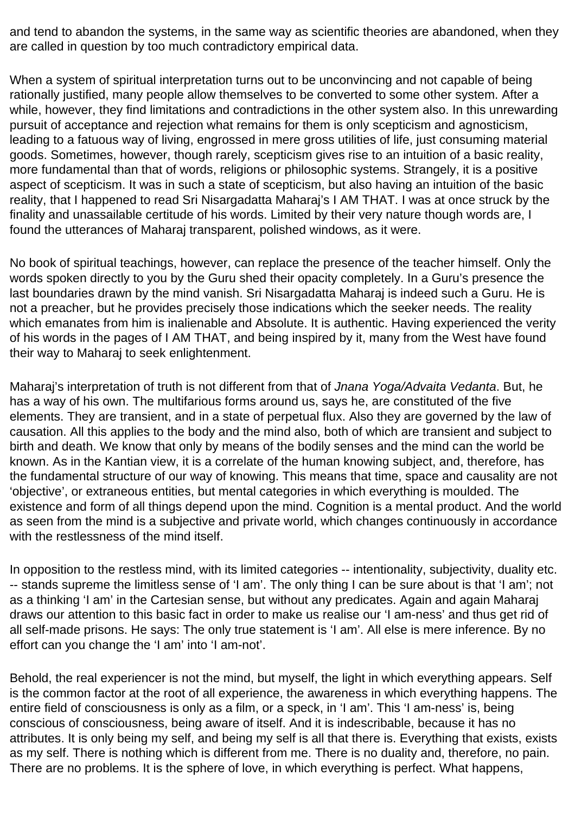and tend to abandon the systems, in the same way as scientific theories are abandoned, when they are called in question by too much contradictory empirical data.

When a system of spiritual interpretation turns out to be unconvincing and not capable of being rationally justified, many people allow themselves to be converted to some other system. After a while, however, they find limitations and contradictions in the other system also. In this unrewarding pursuit of acceptance and rejection what remains for them is only scepticism and agnosticism, leading to a fatuous way of living, engrossed in mere gross utilities of life, just consuming material goods. Sometimes, however, though rarely, scepticism gives rise to an intuition of a basic reality, more fundamental than that of words, religions or philosophic systems. Strangely, it is a positive aspect of scepticism. It was in such a state of scepticism, but also having an intuition of the basic reality, that I happened to read Sri Nisargadatta Maharaj's I AM THAT. I was at once struck by the finality and unassailable certitude of his words. Limited by their very nature though words are, I found the utterances of Maharaj transparent, polished windows, as it were.

No book of spiritual teachings, however, can replace the presence of the teacher himself. Only the words spoken directly to you by the Guru shed their opacity completely. In a Guru's presence the last boundaries drawn by the mind vanish. Sri Nisargadatta Maharaj is indeed such a Guru. He is not a preacher, but he provides precisely those indications which the seeker needs. The reality which emanates from him is inalienable and Absolute. It is authentic. Having experienced the verity of his words in the pages of I AM THAT, and being inspired by it, many from the West have found their way to Maharaj to seek enlightenment.

Maharaj's interpretation of truth is not different from that of *Jnana Yoga/Advaita Vedanta*. But, he has a way of his own. The multifarious forms around us, says he, are constituted of the five elements. They are transient, and in a state of perpetual flux. Also they are governed by the law of causation. All this applies to the body and the mind also, both of which are transient and subject to birth and death. We know that only by means of the bodily senses and the mind can the world be known. As in the Kantian view, it is a correlate of the human knowing subject, and, therefore, has the fundamental structure of our way of knowing. This means that time, space and causality are not 'objective', or extraneous entities, but mental categories in which everything is moulded. The existence and form of all things depend upon the mind. Cognition is a mental product. And the world as seen from the mind is a subjective and private world, which changes continuously in accordance with the restlessness of the mind itself.

In opposition to the restless mind, with its limited categories -- intentionality, subjectivity, duality etc. -- stands supreme the limitless sense of 'I am'. The only thing I can be sure about is that 'I am'; not as a thinking 'I am' in the Cartesian sense, but without any predicates. Again and again Maharaj draws our attention to this basic fact in order to make us realise our 'I am-ness' and thus get rid of all self-made prisons. He says: The only true statement is 'I am'. All else is mere inference. By no effort can you change the 'I am' into 'I am-not'.

Behold, the real experiencer is not the mind, but myself, the light in which everything appears. Self is the common factor at the root of all experience, the awareness in which everything happens. The entire field of consciousness is only as a film, or a speck, in 'I am'. This 'I am-ness' is, being conscious of consciousness, being aware of itself. And it is indescribable, because it has no attributes. It is only being my self, and being my self is all that there is. Everything that exists, exists as my self. There is nothing which is different from me. There is no duality and, therefore, no pain. There are no problems. It is the sphere of love, in which everything is perfect. What happens,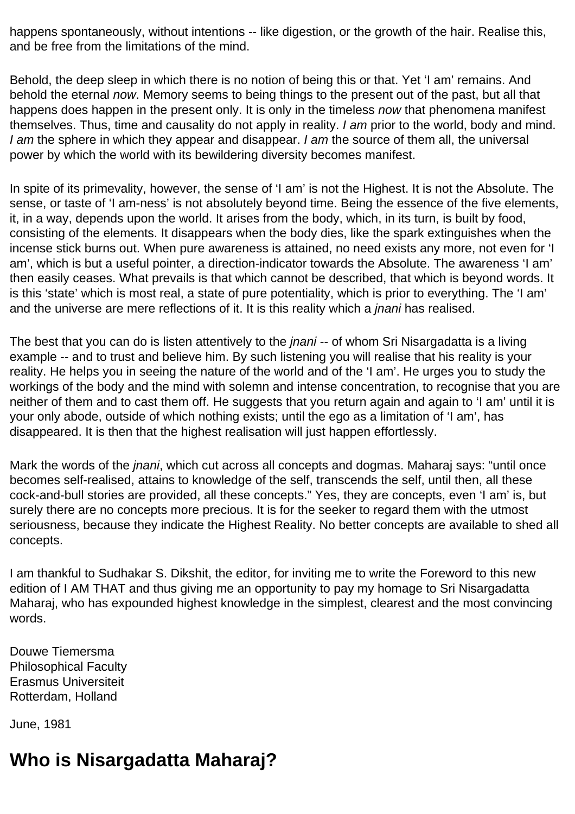happens spontaneously, without intentions -- like digestion, or the growth of the hair. Realise this, and be free from the limitations of the mind.

Behold, the deep sleep in which there is no notion of being this or that. Yet 'I am' remains. And behold the eternal *now*. Memory seems to being things to the present out of the past, but all that happens does happen in the present only. It is only in the timeless *now* that phenomena manifest themselves. Thus, time and causality do not apply in reality. *I am* prior to the world, body and mind. *I am* the sphere in which they appear and disappear. *I am* the source of them all, the universal power by which the world with its bewildering diversity becomes manifest.

In spite of its primevality, however, the sense of 'I am' is not the Highest. It is not the Absolute. The sense, or taste of 'I am-ness' is not absolutely beyond time. Being the essence of the five elements, it, in a way, depends upon the world. It arises from the body, which, in its turn, is built by food, consisting of the elements. It disappears when the body dies, like the spark extinguishes when the incense stick burns out. When pure awareness is attained, no need exists any more, not even for 'I am', which is but a useful pointer, a direction-indicator towards the Absolute. The awareness 'I am' then easily ceases. What prevails is that which cannot be described, that which is beyond words. It is this 'state' which is most real, a state of pure potentiality, which is prior to everything. The 'I am' and the universe are mere reflections of it. It is this reality which a *jnani* has realised.

The best that you can do is listen attentively to the *jnani* -- of whom Sri Nisargadatta is a living example -- and to trust and believe him. By such listening you will realise that his reality is your reality. He helps you in seeing the nature of the world and of the 'I am'. He urges you to study the workings of the body and the mind with solemn and intense concentration, to recognise that you are neither of them and to cast them off. He suggests that you return again and again to 'I am' until it is your only abode, outside of which nothing exists; until the ego as a limitation of 'I am', has disappeared. It is then that the highest realisation will just happen effortlessly.

Mark the words of the *jnani*, which cut across all concepts and dogmas. Maharaj says: "until once becomes self-realised, attains to knowledge of the self, transcends the self, until then, all these cock-and-bull stories are provided, all these concepts." Yes, they are concepts, even 'I am' is, but surely there are no concepts more precious. It is for the seeker to regard them with the utmost seriousness, because they indicate the Highest Reality. No better concepts are available to shed all concepts.

I am thankful to Sudhakar S. Dikshit, the editor, for inviting me to write the Foreword to this new edition of I AM THAT and thus giving me an opportunity to pay my homage to Sri Nisargadatta Maharaj, who has expounded highest knowledge in the simplest, clearest and the most convincing words.

Douwe Tiemersma Philosophical Faculty Erasmus Universiteit Rotterdam, Holland

June, 1981

# <span id="page-4-0"></span>**Who is Nisargadatta Maharaj?**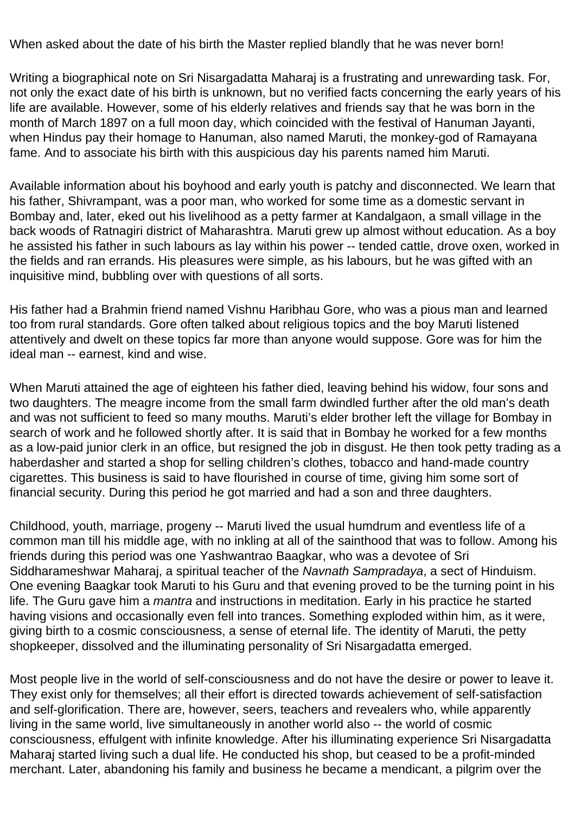When asked about the date of his birth the Master replied blandly that he was never born!

Writing a biographical note on Sri Nisargadatta Maharaj is a frustrating and unrewarding task. For, not only the exact date of his birth is unknown, but no verified facts concerning the early years of his life are available. However, some of his elderly relatives and friends say that he was born in the month of March 1897 on a full moon day, which coincided with the festival of Hanuman Jayanti, when Hindus pay their homage to Hanuman, also named Maruti, the monkey-god of Ramayana fame. And to associate his birth with this auspicious day his parents named him Maruti.

Available information about his boyhood and early youth is patchy and disconnected. We learn that his father, Shivrampant, was a poor man, who worked for some time as a domestic servant in Bombay and, later, eked out his livelihood as a petty farmer at Kandalgaon, a small village in the back woods of Ratnagiri district of Maharashtra. Maruti grew up almost without education. As a boy he assisted his father in such labours as lay within his power -- tended cattle, drove oxen, worked in the fields and ran errands. His pleasures were simple, as his labours, but he was gifted with an inquisitive mind, bubbling over with questions of all sorts.

His father had a Brahmin friend named Vishnu Haribhau Gore, who was a pious man and learned too from rural standards. Gore often talked about religious topics and the boy Maruti listened attentively and dwelt on these topics far more than anyone would suppose. Gore was for him the ideal man -- earnest, kind and wise.

When Maruti attained the age of eighteen his father died, leaving behind his widow, four sons and two daughters. The meagre income from the small farm dwindled further after the old man's death and was not sufficient to feed so many mouths. Maruti's elder brother left the village for Bombay in search of work and he followed shortly after. It is said that in Bombay he worked for a few months as a low-paid junior clerk in an office, but resigned the job in disgust. He then took petty trading as a haberdasher and started a shop for selling children's clothes, tobacco and hand-made country cigarettes. This business is said to have flourished in course of time, giving him some sort of financial security. During this period he got married and had a son and three daughters.

Childhood, youth, marriage, progeny -- Maruti lived the usual humdrum and eventless life of a common man till his middle age, with no inkling at all of the sainthood that was to follow. Among his friends during this period was one Yashwantrao Baagkar, who was a devotee of Sri Siddharameshwar Maharaj, a spiritual teacher of the *Navnath Sampradaya*, a sect of Hinduism. One evening Baagkar took Maruti to his Guru and that evening proved to be the turning point in his life. The Guru gave him a *mantra* and instructions in meditation. Early in his practice he started having visions and occasionally even fell into trances. Something exploded within him, as it were, giving birth to a cosmic consciousness, a sense of eternal life. The identity of Maruti, the petty shopkeeper, dissolved and the illuminating personality of Sri Nisargadatta emerged.

Most people live in the world of self-consciousness and do not have the desire or power to leave it. They exist only for themselves; all their effort is directed towards achievement of self-satisfaction and self-glorification. There are, however, seers, teachers and revealers who, while apparently living in the same world, live simultaneously in another world also -- the world of cosmic consciousness, effulgent with infinite knowledge. After his illuminating experience Sri Nisargadatta Maharaj started living such a dual life. He conducted his shop, but ceased to be a profit-minded merchant. Later, abandoning his family and business he became a mendicant, a pilgrim over the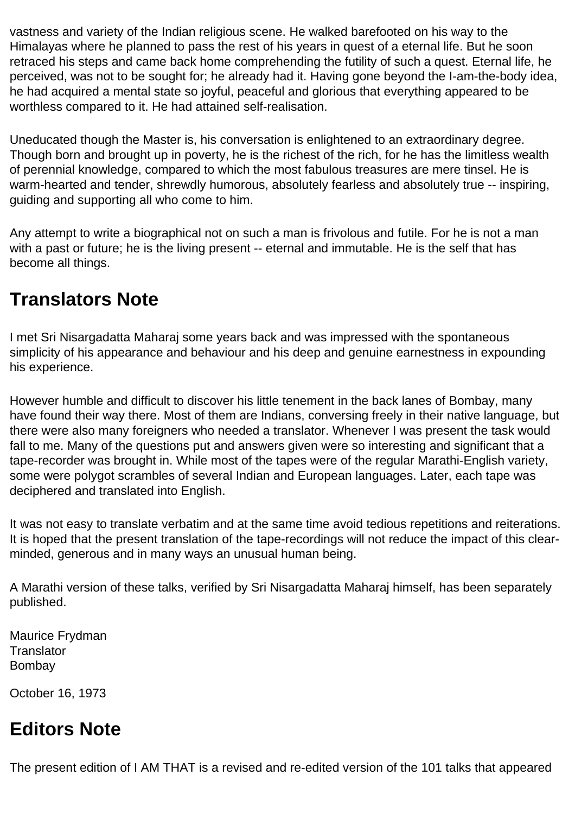vastness and variety of the Indian religious scene. He walked barefooted on his way to the Himalayas where he planned to pass the rest of his years in quest of a eternal life. But he soon retraced his steps and came back home comprehending the futility of such a quest. Eternal life, he perceived, was not to be sought for; he already had it. Having gone beyond the I-am-the-body idea, he had acquired a mental state so joyful, peaceful and glorious that everything appeared to be worthless compared to it. He had attained self-realisation.

Uneducated though the Master is, his conversation is enlightened to an extraordinary degree. Though born and brought up in poverty, he is the richest of the rich, for he has the limitless wealth of perennial knowledge, compared to which the most fabulous treasures are mere tinsel. He is warm-hearted and tender, shrewdly humorous, absolutely fearless and absolutely true -- inspiring, guiding and supporting all who come to him.

Any attempt to write a biographical not on such a man is frivolous and futile. For he is not a man with a past or future; he is the living present -- eternal and immutable. He is the self that has become all things.

# <span id="page-6-0"></span>**Translators Note**

I met Sri Nisargadatta Maharaj some years back and was impressed with the spontaneous simplicity of his appearance and behaviour and his deep and genuine earnestness in expounding his experience.

However humble and difficult to discover his little tenement in the back lanes of Bombay, many have found their way there. Most of them are Indians, conversing freely in their native language, but there were also many foreigners who needed a translator. Whenever I was present the task would fall to me. Many of the questions put and answers given were so interesting and significant that a tape-recorder was brought in. While most of the tapes were of the regular Marathi-English variety, some were polygot scrambles of several Indian and European languages. Later, each tape was deciphered and translated into English.

It was not easy to translate verbatim and at the same time avoid tedious repetitions and reiterations. It is hoped that the present translation of the tape-recordings will not reduce the impact of this clearminded, generous and in many ways an unusual human being.

A Marathi version of these talks, verified by Sri Nisargadatta Maharaj himself, has been separately published.

Maurice Frydman **Translator** Bombay

October 16, 1973

# <span id="page-6-1"></span>**Editors Note**

The present edition of I AM THAT is a revised and re-edited version of the 101 talks that appeared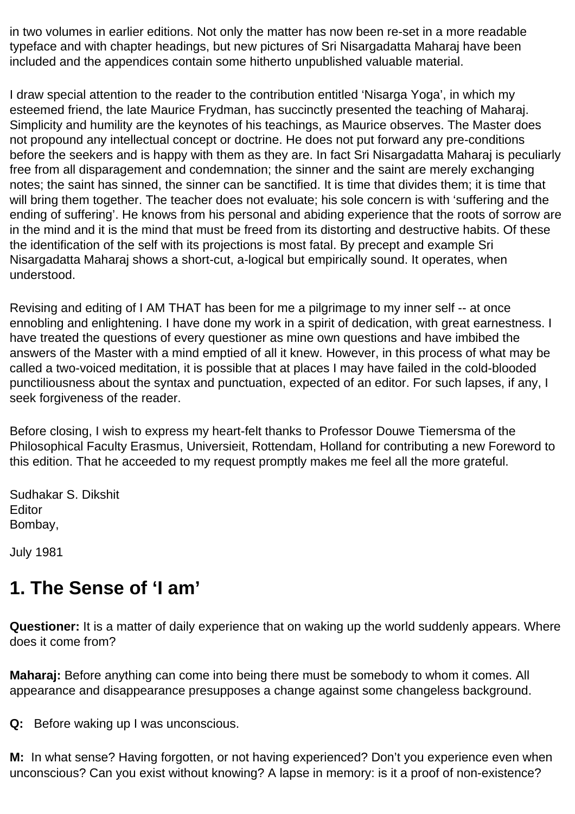in two volumes in earlier editions. Not only the matter has now been re-set in a more readable typeface and with chapter headings, but new pictures of Sri Nisargadatta Maharaj have been included and the appendices contain some hitherto unpublished valuable material.

I draw special attention to the reader to the contribution entitled 'Nisarga Yoga', in which my esteemed friend, the late Maurice Frydman, has succinctly presented the teaching of Maharaj. Simplicity and humility are the keynotes of his teachings, as Maurice observes. The Master does not propound any intellectual concept or doctrine. He does not put forward any pre-conditions before the seekers and is happy with them as they are. In fact Sri Nisargadatta Maharaj is peculiarly free from all disparagement and condemnation; the sinner and the saint are merely exchanging notes; the saint has sinned, the sinner can be sanctified. It is time that divides them; it is time that will bring them together. The teacher does not evaluate; his sole concern is with 'suffering and the ending of suffering'. He knows from his personal and abiding experience that the roots of sorrow are in the mind and it is the mind that must be freed from its distorting and destructive habits. Of these the identification of the self with its projections is most fatal. By precept and example Sri Nisargadatta Maharaj shows a short-cut, a-logical but empirically sound. It operates, when understood.

Revising and editing of I AM THAT has been for me a pilgrimage to my inner self -- at once ennobling and enlightening. I have done my work in a spirit of dedication, with great earnestness. I have treated the questions of every questioner as mine own questions and have imbibed the answers of the Master with a mind emptied of all it knew. However, in this process of what may be called a two-voiced meditation, it is possible that at places I may have failed in the cold-blooded punctiliousness about the syntax and punctuation, expected of an editor. For such lapses, if any, I seek forgiveness of the reader.

Before closing, I wish to express my heart-felt thanks to Professor Douwe Tiemersma of the Philosophical Faculty Erasmus, Universieit, Rottendam, Holland for contributing a new Foreword to this edition. That he acceeded to my request promptly makes me feel all the more grateful.

Sudhakar S. Dikshit **Editor** Bombay,

July 1981

# <span id="page-7-0"></span>**1. The Sense of 'I am'**

**Questioner:** It is a matter of daily experience that on waking up the world suddenly appears. Where does it come from?

**Maharaj:** Before anything can come into being there must be somebody to whom it comes. All appearance and disappearance presupposes a change against some changeless background.

**Q:** Before waking up I was unconscious.

**M:** In what sense? Having forgotten, or not having experienced? Don't you experience even when unconscious? Can you exist without knowing? A lapse in memory: is it a proof of non-existence?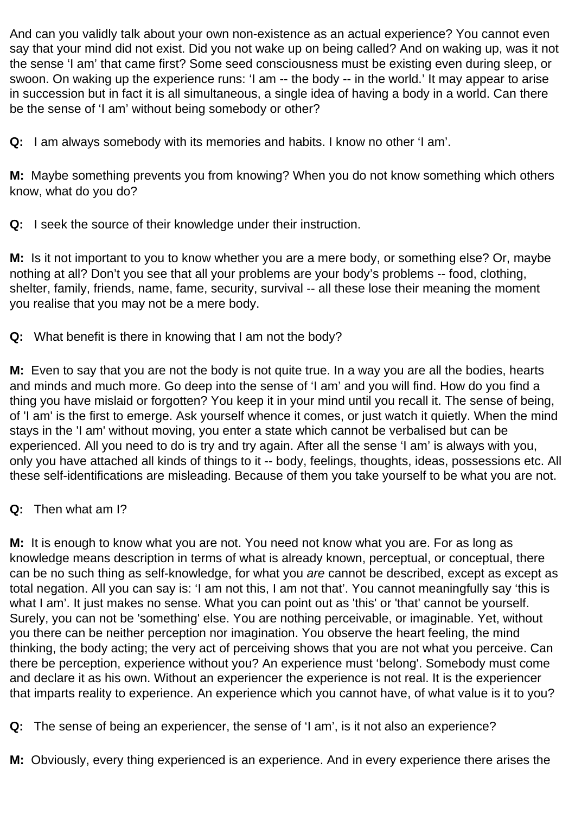And can you validly talk about your own non-existence as an actual experience? You cannot even say that your mind did not exist. Did you not wake up on being called? And on waking up, was it not the sense 'I am' that came first? Some seed consciousness must be existing even during sleep, or swoon. On waking up the experience runs: 'I am -- the body -- in the world.' It may appear to arise in succession but in fact it is all simultaneous, a single idea of having a body in a world. Can there be the sense of 'I am' without being somebody or other?

**Q:** I am always somebody with its memories and habits. I know no other 'I am'.

**M:** Maybe something prevents you from knowing? When you do not know something which others know, what do you do?

**Q:** I seek the source of their knowledge under their instruction.

**M:** Is it not important to you to know whether you are a mere body, or something else? Or, maybe nothing at all? Don't you see that all your problems are your body's problems -- food, clothing, shelter, family, friends, name, fame, security, survival -- all these lose their meaning the moment you realise that you may not be a mere body.

**Q:** What benefit is there in knowing that I am not the body?

**M:** Even to say that you are not the body is not quite true. In a way you are all the bodies, hearts and minds and much more. Go deep into the sense of 'I am' and you will find. How do you find a thing you have mislaid or forgotten? You keep it in your mind until you recall it. The sense of being, of 'I am' is the first to emerge. Ask yourself whence it comes, or just watch it quietly. When the mind stays in the 'I am' without moving, you enter a state which cannot be verbalised but can be experienced. All you need to do is try and try again. After all the sense 'I am' is always with you, only you have attached all kinds of things to it -- body, feelings, thoughts, ideas, possessions etc. All these self-identifications are misleading. Because of them you take yourself to be what you are not.

#### **Q:** Then what am I?

**M:** It is enough to know what you are not. You need not know what you are. For as long as knowledge means description in terms of what is already known, perceptual, or conceptual, there can be no such thing as self-knowledge, for what you *are* cannot be described, except as except as total negation. All you can say is: 'I am not this, I am not that'. You cannot meaningfully say 'this is what I am'. It just makes no sense. What you can point out as 'this' or 'that' cannot be yourself. Surely, you can not be 'something' else. You are nothing perceivable, or imaginable. Yet, without you there can be neither perception nor imagination. You observe the heart feeling, the mind thinking, the body acting; the very act of perceiving shows that you are not what you perceive. Can there be perception, experience without you? An experience must 'belong'. Somebody must come and declare it as his own. Without an experiencer the experience is not real. It is the experiencer that imparts reality to experience. An experience which you cannot have, of what value is it to you?

**Q:** The sense of being an experiencer, the sense of 'I am', is it not also an experience?

**M:** Obviously, every thing experienced is an experience. And in every experience there arises the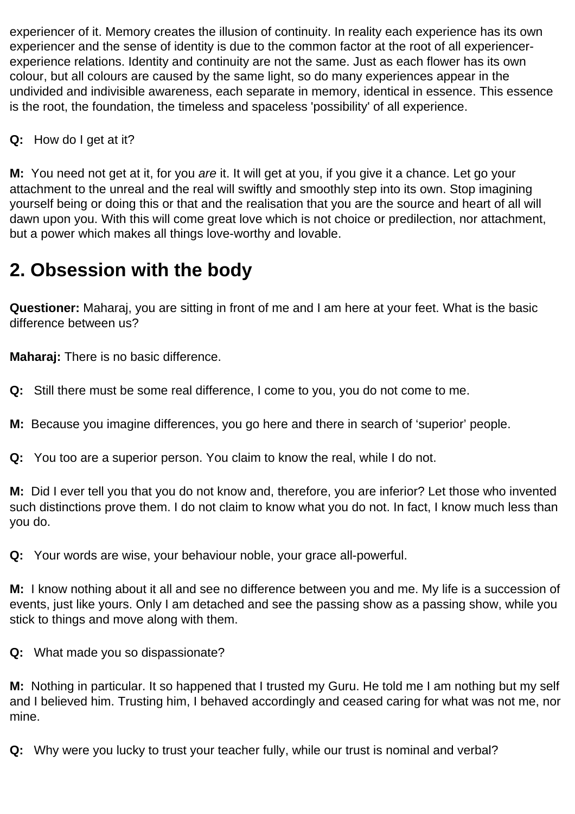experiencer of it. Memory creates the illusion of continuity. In reality each experience has its own experiencer and the sense of identity is due to the common factor at the root of all experiencerexperience relations. Identity and continuity are not the same. Just as each flower has its own colour, but all colours are caused by the same light, so do many experiences appear in the undivided and indivisible awareness, each separate in memory, identical in essence. This essence is the root, the foundation, the timeless and spaceless 'possibility' of all experience.

#### **Q:** How do I get at it?

**M:** You need not get at it, for you *are* it. It will get at you, if you give it a chance. Let go your attachment to the unreal and the real will swiftly and smoothly step into its own. Stop imagining yourself being or doing this or that and the realisation that you are the source and heart of all will dawn upon you. With this will come great love which is not choice or predilection, nor attachment, but a power which makes all things love-worthy and lovable.

## <span id="page-9-0"></span>**2. Obsession with the body**

**Questioner:** Maharaj, you are sitting in front of me and I am here at your feet. What is the basic difference between us?

**Maharaj:** There is no basic difference.

**Q:** Still there must be some real difference, I come to you, you do not come to me.

**M:** Because you imagine differences, you go here and there in search of 'superior' people.

**Q:** You too are a superior person. You claim to know the real, while I do not.

**M:** Did I ever tell you that you do not know and, therefore, you are inferior? Let those who invented such distinctions prove them. I do not claim to know what you do not. In fact, I know much less than you do.

**Q:** Your words are wise, your behaviour noble, your grace all-powerful.

**M:** I know nothing about it all and see no difference between you and me. My life is a succession of events, just like yours. Only I am detached and see the passing show as a passing show, while you stick to things and move along with them.

**Q:** What made you so dispassionate?

**M:** Nothing in particular. It so happened that I trusted my Guru. He told me I am nothing but my self and I believed him. Trusting him, I behaved accordingly and ceased caring for what was not me, nor mine.

**Q:** Why were you lucky to trust your teacher fully, while our trust is nominal and verbal?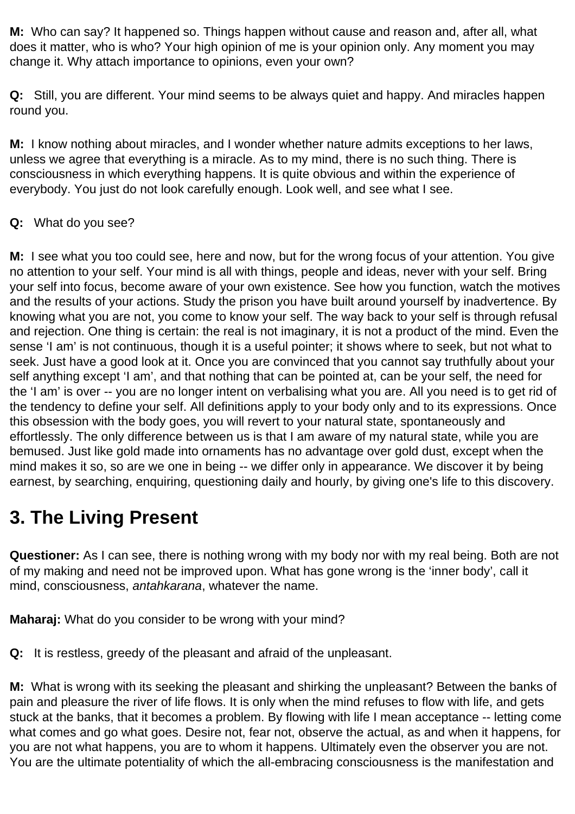**M:** Who can say? It happened so. Things happen without cause and reason and, after all, what does it matter, who is who? Your high opinion of me is your opinion only. Any moment you may change it. Why attach importance to opinions, even your own?

**Q:** Still, you are different. Your mind seems to be always quiet and happy. And miracles happen round you.

**M:** I know nothing about miracles, and I wonder whether nature admits exceptions to her laws, unless we agree that everything is a miracle. As to my mind, there is no such thing. There is consciousness in which everything happens. It is quite obvious and within the experience of everybody. You just do not look carefully enough. Look well, and see what I see.

#### **Q:** What do you see?

**M:** I see what you too could see, here and now, but for the wrong focus of your attention. You give no attention to your self. Your mind is all with things, people and ideas, never with your self. Bring your self into focus, become aware of your own existence. See how you function, watch the motives and the results of your actions. Study the prison you have built around yourself by inadvertence. By knowing what you are not, you come to know your self. The way back to your self is through refusal and rejection. One thing is certain: the real is not imaginary, it is not a product of the mind. Even the sense 'I am' is not continuous, though it is a useful pointer; it shows where to seek, but not what to seek. Just have a good look at it. Once you are convinced that you cannot say truthfully about your self anything except 'I am', and that nothing that can be pointed at, can be your self, the need for the 'I am' is over -- you are no longer intent on verbalising what you are. All you need is to get rid of the tendency to define your self. All definitions apply to your body only and to its expressions. Once this obsession with the body goes, you will revert to your natural state, spontaneously and effortlessly. The only difference between us is that I am aware of my natural state, while you are bemused. Just like gold made into ornaments has no advantage over gold dust, except when the mind makes it so, so are we one in being -- we differ only in appearance. We discover it by being earnest, by searching, enquiring, questioning daily and hourly, by giving one's life to this discovery.

## <span id="page-10-0"></span>**3. The Living Present**

**Questioner:** As I can see, there is nothing wrong with my body nor with my real being. Both are not of my making and need not be improved upon. What has gone wrong is the 'inner body', call it mind, consciousness, *antahkarana*, whatever the name.

**Maharaj:** What do you consider to be wrong with your mind?

**Q:** It is restless, greedy of the pleasant and afraid of the unpleasant.

**M:** What is wrong with its seeking the pleasant and shirking the unpleasant? Between the banks of pain and pleasure the river of life flows. It is only when the mind refuses to flow with life, and gets stuck at the banks, that it becomes a problem. By flowing with life I mean acceptance -- letting come what comes and go what goes. Desire not, fear not, observe the actual, as and when it happens, for you are not what happens, you are to whom it happens. Ultimately even the observer you are not. You are the ultimate potentiality of which the all-embracing consciousness is the manifestation and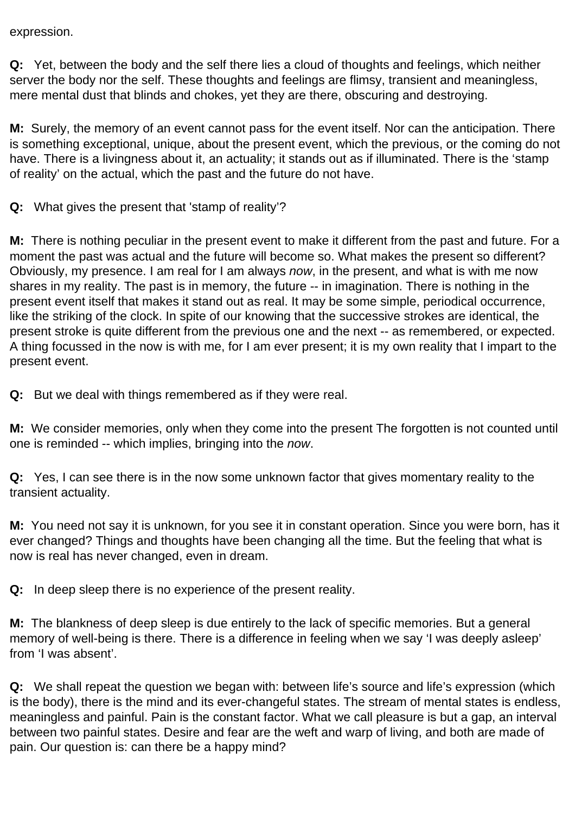expression.

**Q:** Yet, between the body and the self there lies a cloud of thoughts and feelings, which neither server the body nor the self. These thoughts and feelings are flimsy, transient and meaningless, mere mental dust that blinds and chokes, yet they are there, obscuring and destroying.

**M:** Surely, the memory of an event cannot pass for the event itself. Nor can the anticipation. There is something exceptional, unique, about the present event, which the previous, or the coming do not have. There is a livingness about it, an actuality; it stands out as if illuminated. There is the 'stamp of reality' on the actual, which the past and the future do not have.

**Q:** What gives the present that 'stamp of reality'?

**M:** There is nothing peculiar in the present event to make it different from the past and future. For a moment the past was actual and the future will become so. What makes the present so different? Obviously, my presence. I am real for I am always *now*, in the present, and what is with me now shares in my reality. The past is in memory, the future -- in imagination. There is nothing in the present event itself that makes it stand out as real. It may be some simple, periodical occurrence, like the striking of the clock. In spite of our knowing that the successive strokes are identical, the present stroke is quite different from the previous one and the next -- as remembered, or expected. A thing focussed in the now is with me, for I am ever present; it is my own reality that I impart to the present event.

**Q:** But we deal with things remembered as if they were real.

**M:** We consider memories, only when they come into the present The forgotten is not counted until one is reminded -- which implies, bringing into the *now*.

**Q:** Yes, I can see there is in the now some unknown factor that gives momentary reality to the transient actuality.

**M:** You need not say it is unknown, for you see it in constant operation. Since you were born, has it ever changed? Things and thoughts have been changing all the time. But the feeling that what is now is real has never changed, even in dream.

**Q:** In deep sleep there is no experience of the present reality.

**M:** The blankness of deep sleep is due entirely to the lack of specific memories. But a general memory of well-being is there. There is a difference in feeling when we say 'I was deeply asleep' from 'I was absent'.

**Q:** We shall repeat the question we began with: between life's source and life's expression (which is the body), there is the mind and its ever-changeful states. The stream of mental states is endless, meaningless and painful. Pain is the constant factor. What we call pleasure is but a gap, an interval between two painful states. Desire and fear are the weft and warp of living, and both are made of pain. Our question is: can there be a happy mind?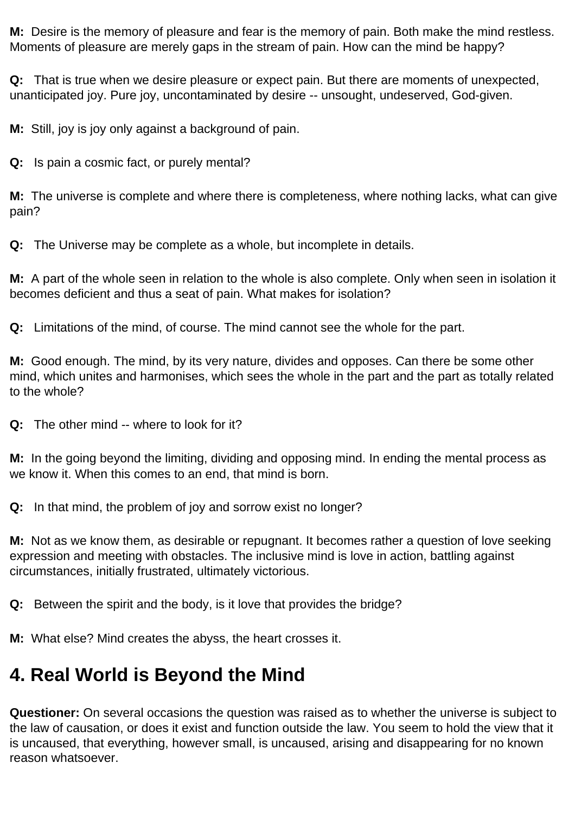**M:** Desire is the memory of pleasure and fear is the memory of pain. Both make the mind restless. Moments of pleasure are merely gaps in the stream of pain. How can the mind be happy?

**Q:** That is true when we desire pleasure or expect pain. But there are moments of unexpected, unanticipated joy. Pure joy, uncontaminated by desire -- unsought, undeserved, God-given.

**M:** Still, joy is joy only against a background of pain.

**Q:** Is pain a cosmic fact, or purely mental?

**M:** The universe is complete and where there is completeness, where nothing lacks, what can give pain?

**Q:** The Universe may be complete as a whole, but incomplete in details.

**M:** A part of the whole seen in relation to the whole is also complete. Only when seen in isolation it becomes deficient and thus a seat of pain. What makes for isolation?

**Q:** Limitations of the mind, of course. The mind cannot see the whole for the part.

**M:** Good enough. The mind, by its very nature, divides and opposes. Can there be some other mind, which unites and harmonises, which sees the whole in the part and the part as totally related to the whole?

**Q:** The other mind -- where to look for it?

**M:** In the going beyond the limiting, dividing and opposing mind. In ending the mental process as we know it. When this comes to an end, that mind is born.

**Q:** In that mind, the problem of joy and sorrow exist no longer?

**M:** Not as we know them, as desirable or repugnant. It becomes rather a question of love seeking expression and meeting with obstacles. The inclusive mind is love in action, battling against circumstances, initially frustrated, ultimately victorious.

**Q:** Between the spirit and the body, is it love that provides the bridge?

**M:** What else? Mind creates the abyss, the heart crosses it.

# <span id="page-12-0"></span>**4. Real World is Beyond the Mind**

**Questioner:** On several occasions the question was raised as to whether the universe is subject to the law of causation, or does it exist and function outside the law. You seem to hold the view that it is uncaused, that everything, however small, is uncaused, arising and disappearing for no known reason whatsoever.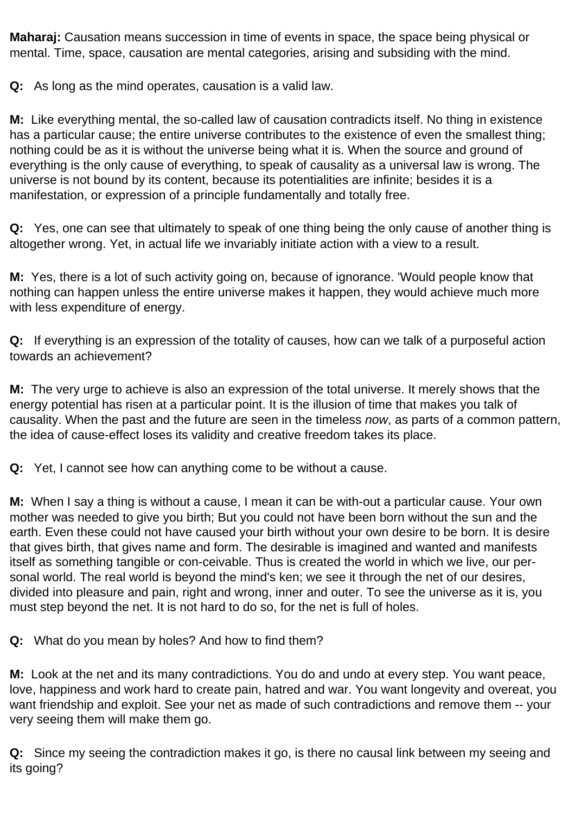**Maharaj:** Causation means succession in time of events in space, the space being physical or mental. Time, space, causation are mental categories, arising and subsiding with the mind.

**Q:** As long as the mind operates, causation is a valid law.

**M:** Like everything mental, the so-called law of causation contradicts itself. No thing in existence has a particular cause; the entire universe contributes to the existence of even the smallest thing; nothing could be as it is without the universe being what it is. When the source and ground of everything is the only cause of everything, to speak of causality as a universal law is wrong. The universe is not bound by its content, because its potentialities are infinite; besides it is a manifestation, or expression of a principle fundamentally and totally free.

**Q:** Yes, one can see that ultimately to speak of one thing being the only cause of another thing is altogether wrong. Yet, in actual life we invariably initiate action with a view to a result.

**M:** Yes, there is a lot of such activity going on, because of ignorance. 'Would people know that nothing can happen unless the entire universe makes it happen, they would achieve much more with less expenditure of energy.

**Q:** If everything is an expression of the totality of causes, how can we talk of a purposeful action towards an achievement?

**M:** The very urge to achieve is also an expression of the total universe. It merely shows that the energy potential has risen at a particular point. It is the illusion of time that makes you talk of causality. When the past and the future are seen in the timeless *now*, as parts of a common pattern, the idea of cause-effect loses its validity and creative freedom takes its place.

**Q:** Yet, I cannot see how can anything come to be without a cause.

**M:** When I say a thing is without a cause, I mean it can be with-out a particular cause. Your own mother was needed to give you birth; But you could not have been born without the sun and the earth. Even these could not have caused your birth without your own desire to be born. It is desire that gives birth, that gives name and form. The desirable is imagined and wanted and manifests itself as something tangible or con-ceivable. Thus is created the world in which we live, our personal world. The real world is beyond the mind's ken; we see it through the net of our desires, divided into pleasure and pain, right and wrong, inner and outer. To see the universe as it is, you must step beyond the net. It is not hard to do so, for the net is full of holes.

**Q:** What do you mean by holes? And how to find them?

**M:** Look at the net and its many contradictions. You do and undo at every step. You want peace, love, happiness and work hard to create pain, hatred and war. You want longevity and overeat, you want friendship and exploit. See your net as made of such contradictions and remove them -- your very seeing them will make them go.

**Q:** Since my seeing the contradiction makes it go, is there no causal link between my seeing and its going?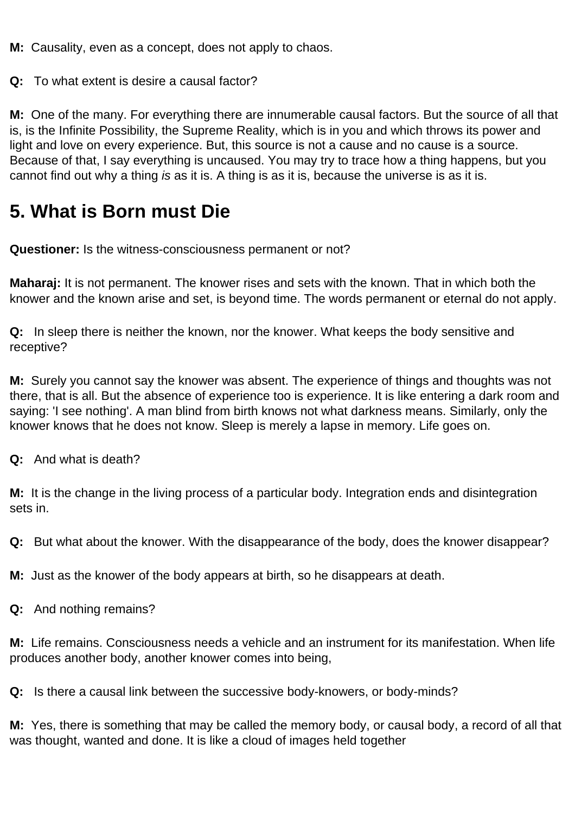**M:** Causality, even as a concept, does not apply to chaos.

**Q:** To what extent is desire a causal factor?

**M:** One of the many. For everything there are innumerable causal factors. But the source of all that is, is the Infinite Possibility, the Supreme Reality, which is in you and which throws its power and light and love on every experience. But, this source is not a cause and no cause is a source. Because of that, I say everything is uncaused. You may try to trace how a thing happens, but you cannot find out why a thing *is* as it is. A thing is as it is, because the universe is as it is.

### <span id="page-14-0"></span>**5. What is Born must Die**

**Questioner:** Is the witness-consciousness permanent or not?

**Maharaj:** It is not permanent. The knower rises and sets with the known. That in which both the knower and the known arise and set, is beyond time. The words permanent or eternal do not apply.

**Q:** In sleep there is neither the known, nor the knower. What keeps the body sensitive and receptive?

**M:** Surely you cannot say the knower was absent. The experience of things and thoughts was not there, that is all. But the absence of experience too is experience. It is like entering a dark room and saying: 'I see nothing'. A man blind from birth knows not what darkness means. Similarly, only the knower knows that he does not know. Sleep is merely a lapse in memory. Life goes on.

**Q:** And what is death?

**M:** It is the change in the living process of a particular body. Integration ends and disintegration sets in.

- **Q:** But what about the knower. With the disappearance of the body, does the knower disappear?
- **M:** Just as the knower of the body appears at birth, so he disappears at death.
- **Q:** And nothing remains?

**M:** Life remains. Consciousness needs a vehicle and an instrument for its manifestation. When life produces another body, another knower comes into being,

**Q:** Is there a causal link between the successive body-knowers, or body-minds?

**M:** Yes, there is something that may be called the memory body, or causal body, a record of all that was thought, wanted and done. It is like a cloud of images held together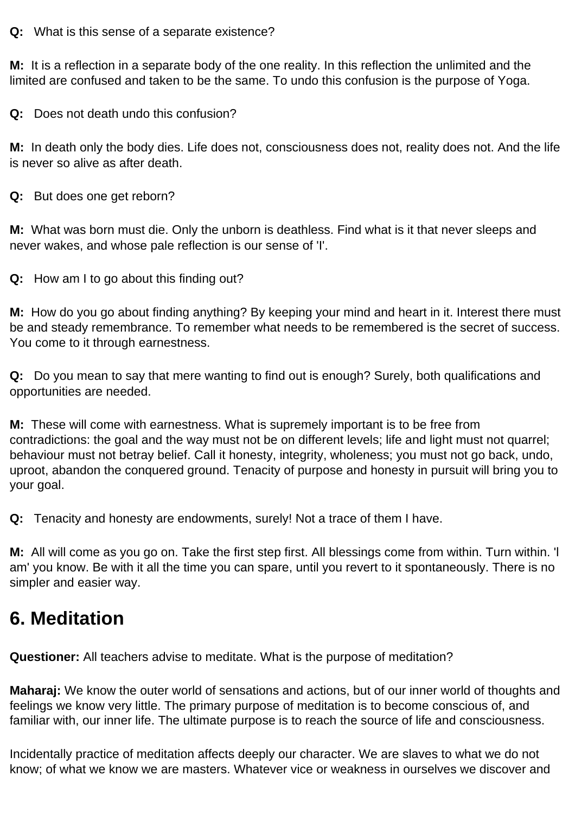**Q:** What is this sense of a separate existence?

**M:** It is a reflection in a separate body of the one reality. In this reflection the unlimited and the limited are confused and taken to be the same. To undo this confusion is the purpose of Yoga.

**Q:** Does not death undo this confusion?

**M:** In death only the body dies. Life does not, consciousness does not, reality does not. And the life is never so alive as after death.

**Q:** But does one get reborn?

**M:** What was born must die. Only the unborn is deathless. Find what is it that never sleeps and never wakes, and whose pale reflection is our sense of 'I'.

**Q:** How am I to go about this finding out?

**M:** How do you go about finding anything? By keeping your mind and heart in it. Interest there must be and steady remembrance. To remember what needs to be remembered is the secret of success. You come to it through earnestness.

**Q:** Do you mean to say that mere wanting to find out is enough? Surely, both qualifications and opportunities are needed.

**M:** These will come with earnestness. What is supremely important is to be free from contradictions: the goal and the way must not be on different levels; life and light must not quarrel; behaviour must not betray belief. Call it honesty, integrity, wholeness; you must not go back, undo, uproot, abandon the conquered ground. Tenacity of purpose and honesty in pursuit will bring you to your goal.

**Q:** Tenacity and honesty are endowments, surely! Not a trace of them I have.

**M:** All will come as you go on. Take the first step first. All blessings come from within. Turn within. 'l am' you know. Be with it all the time you can spare, until you revert to it spontaneously. There is no simpler and easier way.

# <span id="page-15-0"></span>**6. Meditation**

**Questioner:** All teachers advise to meditate. What is the purpose of meditation?

**Maharaj:** We know the outer world of sensations and actions, but of our inner world of thoughts and feelings we know very little. The primary purpose of meditation is to become conscious of, and familiar with, our inner life. The ultimate purpose is to reach the source of life and consciousness.

Incidentally practice of meditation affects deeply our character. We are slaves to what we do not know; of what we know we are masters. Whatever vice or weakness in ourselves we discover and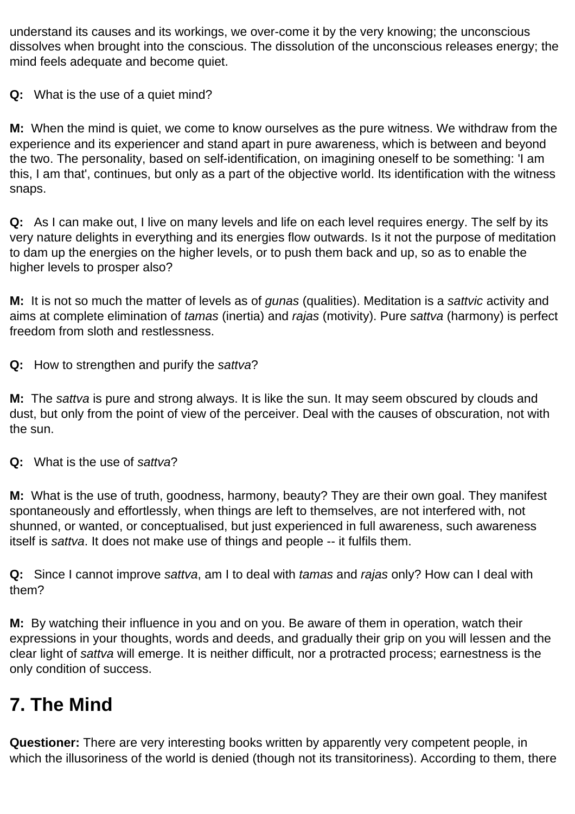understand its causes and its workings, we over-come it by the very knowing; the unconscious dissolves when brought into the conscious. The dissolution of the unconscious releases energy; the mind feels adequate and become quiet.

**Q:** What is the use of a quiet mind?

**M:** When the mind is quiet, we come to know ourselves as the pure witness. We withdraw from the experience and its experiencer and stand apart in pure awareness, which is between and beyond the two. The personality, based on self-identification, on imagining oneself to be something: 'I am this, I am that', continues, but only as a part of the objective world. Its identification with the witness snaps.

**Q:** As I can make out, I live on many levels and life on each level requires energy. The self by its very nature delights in everything and its energies flow outwards. Is it not the purpose of meditation to dam up the energies on the higher levels, or to push them back and up, so as to enable the higher levels to prosper also?

**M:** It is not so much the matter of levels as of *gunas* (qualities). Meditation is a *sattvic* activity and aims at complete elimination of *tamas* (inertia) and *rajas* (motivity). Pure *sattva* (harmony) is perfect freedom from sloth and restlessness.

**Q:** How to strengthen and purify the *sattva*?

**M:** The *sattva* is pure and strong always. It is like the sun. It may seem obscured by clouds and dust, but only from the point of view of the perceiver. Deal with the causes of obscuration, not with the sun.

**Q:** What is the use of *sattva*?

**M:** What is the use of truth, goodness, harmony, beauty? They are their own goal. They manifest spontaneously and effortlessly, when things are left to themselves, are not interfered with, not shunned, or wanted, or conceptualised, but just experienced in full awareness, such awareness itself is *sattva*. It does not make use of things and people -- it fulfils them.

**Q:** Since I cannot improve *sattva*, am I to deal with *tamas* and *rajas* only? How can I deal with them?

**M:** By watching their influence in you and on you. Be aware of them in operation, watch their expressions in your thoughts, words and deeds, and gradually their grip on you will lessen and the clear light of *sattva* will emerge. It is neither difficult, nor a protracted process; earnestness is the only condition of success.

# <span id="page-16-0"></span>**7. The Mind**

**Questioner:** There are very interesting books written by apparently very competent people, in which the illusoriness of the world is denied (though not its transitoriness). According to them, there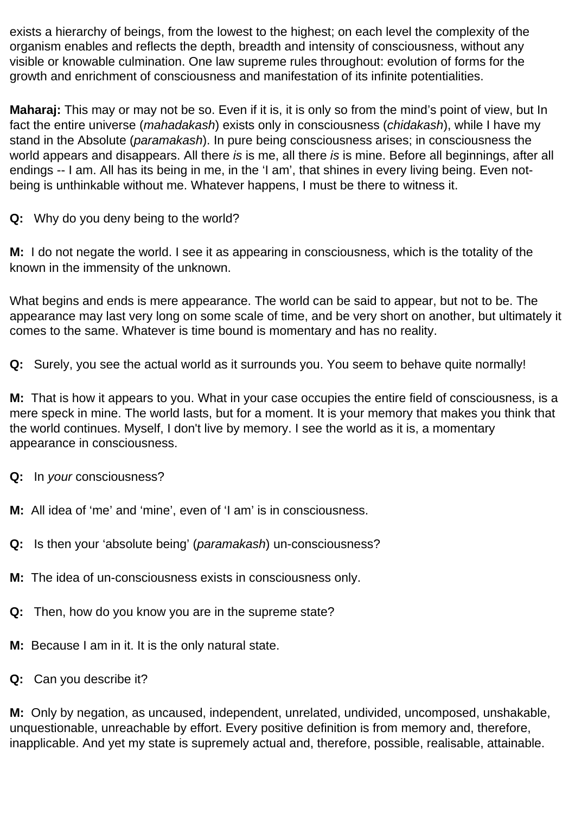exists a hierarchy of beings, from the lowest to the highest; on each level the complexity of the organism enables and reflects the depth, breadth and intensity of consciousness, without any visible or knowable culmination. One law supreme rules throughout: evolution of forms for the growth and enrichment of consciousness and manifestation of its infinite potentialities.

**Maharaj:** This may or may not be so. Even if it is, it is only so from the mind's point of view, but In fact the entire universe (*mahadakash*) exists only in consciousness (*chidakash*), while I have my stand in the Absolute (*paramakash*). In pure being consciousness arises; in consciousness the world appears and disappears. All there *is* is me, all there *is* is mine. Before all beginnings, after all endings -- I am. All has its being in me, in the 'I am', that shines in every living being. Even notbeing is unthinkable without me. Whatever happens, I must be there to witness it.

**Q:** Why do you deny being to the world?

**M:** I do not negate the world. I see it as appearing in consciousness, which is the totality of the known in the immensity of the unknown.

What begins and ends is mere appearance. The world can be said to appear, but not to be. The appearance may last very long on some scale of time, and be very short on another, but ultimately it comes to the same. Whatever is time bound is momentary and has no reality.

**Q:** Surely, you see the actual world as it surrounds you. You seem to behave quite normally!

**M:** That is how it appears to you. What in your case occupies the entire field of consciousness, is a mere speck in mine. The world lasts, but for a moment. It is your memory that makes you think that the world continues. Myself, I don't live by memory. I see the world as it is, a momentary appearance in consciousness.

- **Q:** In *your* consciousness?
- **M:** All idea of 'me' and 'mine', even of 'I am' is in consciousness.
- **Q:** Is then your 'absolute being' (*paramakash*) un-consciousness?
- **M:** The idea of un-consciousness exists in consciousness only.
- **Q:** Then, how do you know you are in the supreme state?
- **M:** Because I am in it. It is the only natural state.
- **Q:** Can you describe it?

**M:** Only by negation, as uncaused, independent, unrelated, undivided, uncomposed, unshakable, unquestionable, unreachable by effort. Every positive definition is from memory and, therefore, inapplicable. And yet my state is supremely actual and, therefore, possible, realisable, attainable.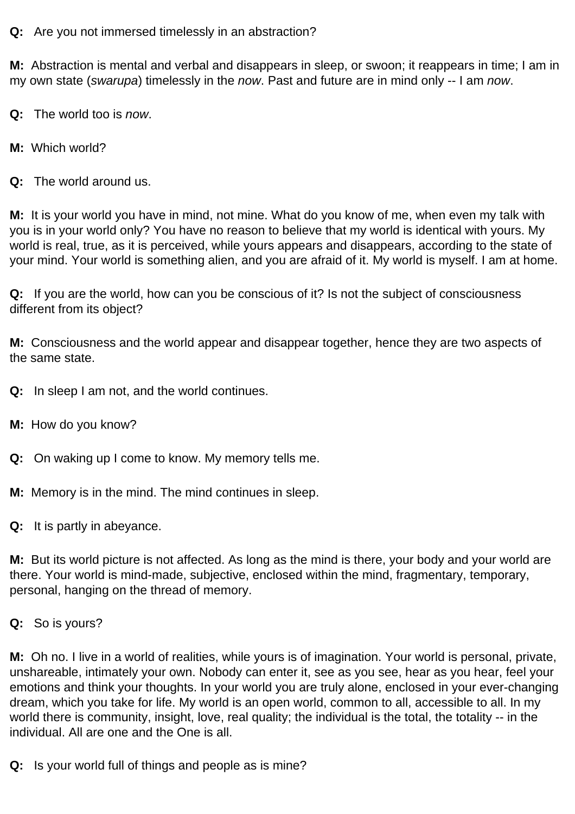**Q:** Are you not immersed timelessly in an abstraction?

**M:** Abstraction is mental and verbal and disappears in sleep, or swoon; it reappears in time; I am in my own state (*swarupa*) timelessly in the *now*. Past and future are in mind only -- I am *now*.

- **Q:** The world too is *now*.
- **M:** Which world?
- **Q:** The world around us.

**M:** It is your world you have in mind, not mine. What do you know of me, when even my talk with you is in your world only? You have no reason to believe that my world is identical with yours. My world is real, true, as it is perceived, while yours appears and disappears, according to the state of your mind. Your world is something alien, and you are afraid of it. My world is myself. I am at home.

**Q:** If you are the world, how can you be conscious of it? Is not the subject of consciousness different from its object?

**M:** Consciousness and the world appear and disappear together, hence they are two aspects of the same state.

- **Q:** In sleep I am not, and the world continues.
- **M:** How do you know?
- **Q:** On waking up I come to know. My memory tells me.
- **M:** Memory is in the mind. The mind continues in sleep.
- **Q:** It is partly in abeyance.

**M:** But its world picture is not affected. As long as the mind is there, your body and your world are there. Your world is mind-made, subjective, enclosed within the mind, fragmentary, temporary, personal, hanging on the thread of memory.

**Q:** So is yours?

**M:** Oh no. I live in a world of realities, while yours is of imagination. Your world is personal, private, unshareable, intimately your own. Nobody can enter it, see as you see, hear as you hear, feel your emotions and think your thoughts. In your world you are truly alone, enclosed in your ever-changing dream, which you take for life. My world is an open world, common to all, accessible to all. In my world there is community, insight, love, real quality; the individual is the total, the totality -- in the individual. All are one and the One is all.

**Q:** Is your world full of things and people as is mine?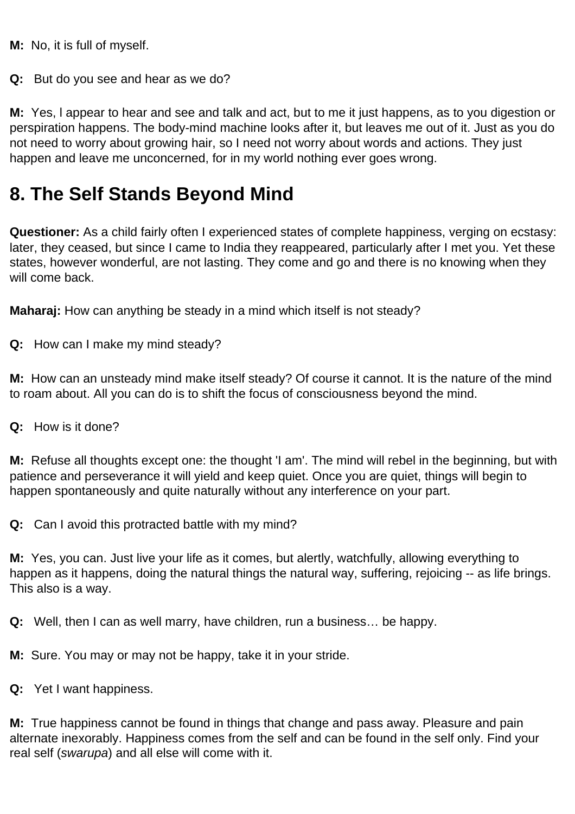**M:** No, it is full of myself.

**Q:** But do you see and hear as we do?

**M:** Yes, l appear to hear and see and talk and act, but to me it just happens, as to you digestion or perspiration happens. The body-mind machine looks after it, but leaves me out of it. Just as you do not need to worry about growing hair, so I need not worry about words and actions. They just happen and leave me unconcerned, for in my world nothing ever goes wrong.

### <span id="page-19-0"></span>**8. The Self Stands Beyond Mind**

**Questioner:** As a child fairly often I experienced states of complete happiness, verging on ecstasy: later, they ceased, but since I came to India they reappeared, particularly after I met you. Yet these states, however wonderful, are not lasting. They come and go and there is no knowing when they will come back.

**Maharaj:** How can anything be steady in a mind which itself is not steady?

**Q:** How can I make my mind steady?

**M:** How can an unsteady mind make itself steady? Of course it cannot. It is the nature of the mind to roam about. All you can do is to shift the focus of consciousness beyond the mind.

**Q:** How is it done?

**M:** Refuse all thoughts except one: the thought 'I am'. The mind will rebel in the beginning, but with patience and perseverance it will yield and keep quiet. Once you are quiet, things will begin to happen spontaneously and quite naturally without any interference on your part.

**Q:** Can I avoid this protracted battle with my mind?

**M:** Yes, you can. Just live your life as it comes, but alertly, watchfully, allowing everything to happen as it happens, doing the natural things the natural way, suffering, rejoicing -- as life brings. This also is a way.

**Q:** Well, then I can as well marry, have children, run a business… be happy.

**M:** Sure. You may or may not be happy, take it in your stride.

**Q:** Yet I want happiness.

**M:** True happiness cannot be found in things that change and pass away. Pleasure and pain alternate inexorably. Happiness comes from the self and can be found in the self only. Find your real self (*swarupa*) and all else will come with it.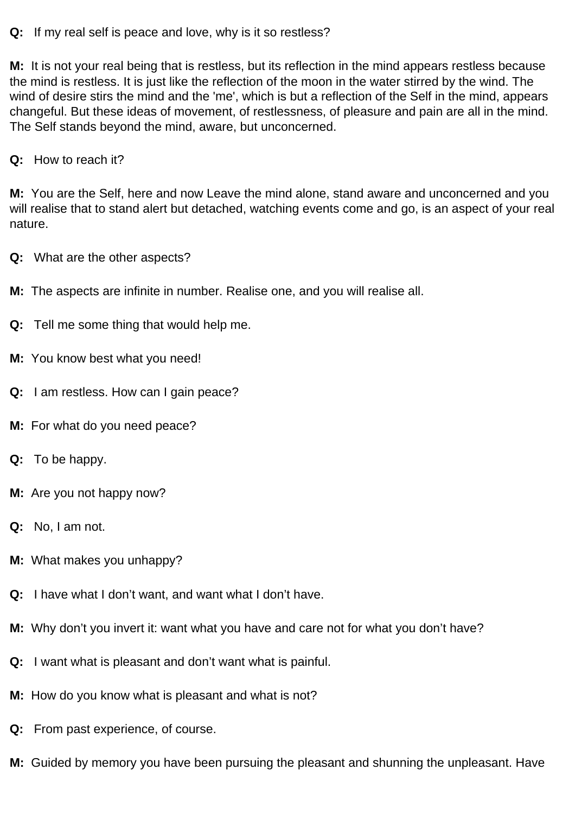**Q:** If my real self is peace and love, why is it so restless?

**M:** It is not your real being that is restless, but its reflection in the mind appears restless because the mind is restless. It is just like the reflection of the moon in the water stirred by the wind. The wind of desire stirs the mind and the 'me', which is but a reflection of the Self in the mind, appears changeful. But these ideas of movement, of restlessness, of pleasure and pain are all in the mind. The Self stands beyond the mind, aware, but unconcerned.

**Q:** How to reach it?

**M:** You are the Self, here and now Leave the mind alone, stand aware and unconcerned and you will realise that to stand alert but detached, watching events come and go, is an aspect of your real nature.

- **Q:** What are the other aspects?
- **M:** The aspects are infinite in number. Realise one, and you will realise all.
- **Q:** Tell me some thing that would help me.
- **M:** You know best what you need!
- **Q:** I am restless. How can I gain peace?
- **M:** For what do you need peace?
- **Q:** To be happy.
- **M:** Are you not happy now?
- **Q:** No, I am not.
- **M:** What makes you unhappy?
- **Q:** I have what I don't want, and want what I don't have.
- **M:** Why don't you invert it: want what you have and care not for what you don't have?
- **Q:** I want what is pleasant and don't want what is painful.
- **M:** How do you know what is pleasant and what is not?
- **Q:** From past experience, of course.
- **M:** Guided by memory you have been pursuing the pleasant and shunning the unpleasant. Have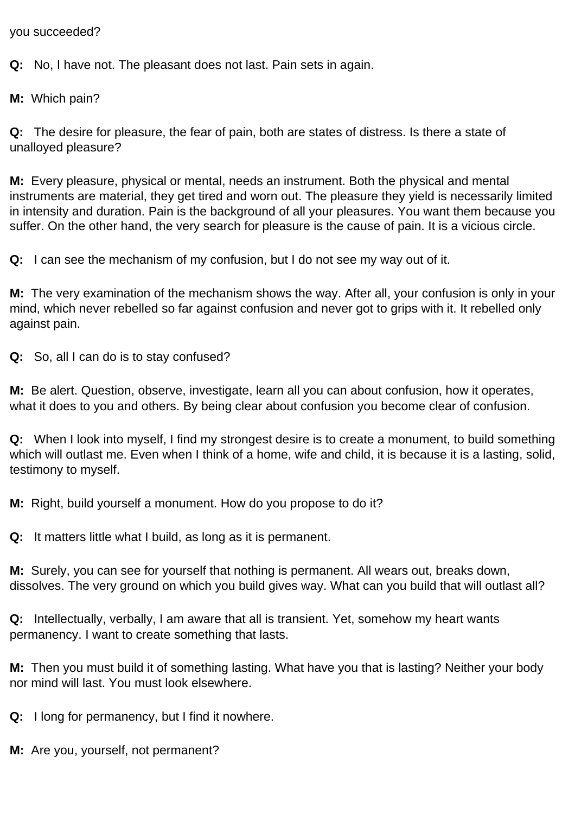you succeeded?

**Q:** No, I have not. The pleasant does not last. Pain sets in again.

**M:** Which pain?

**Q:** The desire for pleasure, the fear of pain, both are states of distress. Is there a state of unalloyed pleasure?

**M:** Every pleasure, physical or mental, needs an instrument. Both the physical and mental instruments are material, they get tired and worn out. The pleasure they yield is necessarily limited in intensity and duration. Pain is the background of all your pleasures. You want them because you suffer. On the other hand, the very search for pleasure is the cause of pain. It is a vicious circle.

**Q:** I can see the mechanism of my confusion, but I do not see my way out of it.

**M:** The very examination of the mechanism shows the way. After all, your confusion is only in your mind, which never rebelled so far against confusion and never got to grips with it. It rebelled only against pain.

**Q:** So, all I can do is to stay confused?

**M:** Be alert. Question, observe, investigate, learn all you can about confusion, how it operates, what it does to you and others. By being clear about confusion you become clear of confusion.

**Q:** When I look into myself, I find my strongest desire is to create a monument, to build something which will outlast me. Even when I think of a home, wife and child, it is because it is a lasting, solid, testimony to myself.

**M:** Right, build yourself a monument. How do you propose to do it?

**Q:** It matters little what I build, as long as it is permanent.

**M:** Surely, you can see for yourself that nothing is permanent. All wears out, breaks down, dissolves. The very ground on which you build gives way. What can you build that will outlast all?

**Q:** Intellectually, verbally, I am aware that all is transient. Yet, somehow my heart wants permanency. I want to create something that lasts.

**M:** Then you must build it of something lasting. What have you that is lasting? Neither your body nor mind will last. You must look elsewhere.

**Q:** I long for permanency, but I find it nowhere.

**M:** Are you, yourself, not permanent?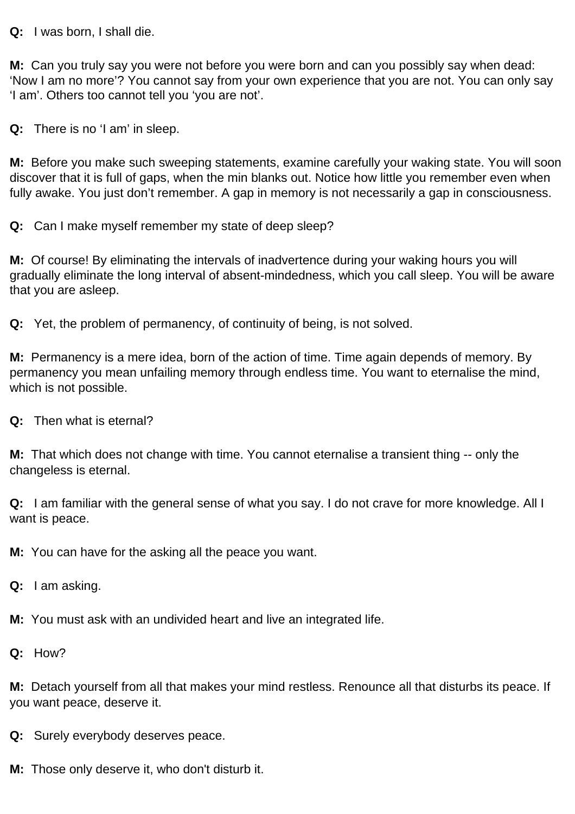**Q:** I was born, I shall die.

**M:** Can you truly say you were not before you were born and can you possibly say when dead: 'Now I am no more'? You cannot say from your own experience that you are not. You can only say 'I am'. Others too cannot tell you 'you are not'.

**Q:** There is no 'I am' in sleep.

**M:** Before you make such sweeping statements, examine carefully your waking state. You will soon discover that it is full of gaps, when the min blanks out. Notice how little you remember even when fully awake. You just don't remember. A gap in memory is not necessarily a gap in consciousness.

**Q:** Can I make myself remember my state of deep sleep?

**M:** Of course! By eliminating the intervals of inadvertence during your waking hours you will gradually eliminate the long interval of absent-mindedness, which you call sleep. You will be aware that you are asleep.

**Q:** Yet, the problem of permanency, of continuity of being, is not solved.

**M:** Permanency is a mere idea, born of the action of time. Time again depends of memory. By permanency you mean unfailing memory through endless time. You want to eternalise the mind, which is not possible.

**Q:** Then what is eternal?

**M:** That which does not change with time. You cannot eternalise a transient thing -- only the changeless is eternal.

**Q:** I am familiar with the general sense of what you say. I do not crave for more knowledge. All I want is peace.

**M:** You can have for the asking all the peace you want.

**Q:** I am asking.

**M:** You must ask with an undivided heart and live an integrated life.

**Q:** How?

**M:** Detach yourself from all that makes your mind restless. Renounce all that disturbs its peace. If you want peace, deserve it.

**Q:** Surely everybody deserves peace.

**M:** Those only deserve it, who don't disturb it.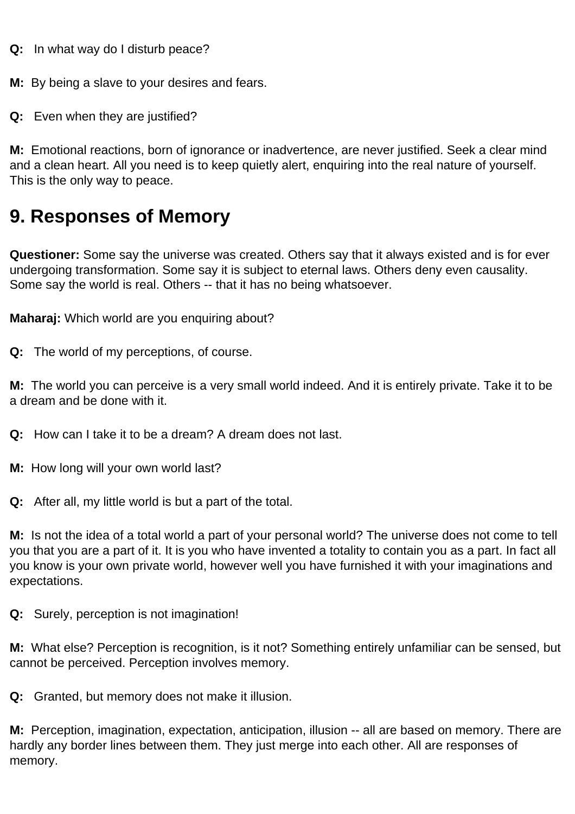**Q:** In what way do I disturb peace?

**M:** By being a slave to your desires and fears.

**Q:** Even when they are justified?

**M:** Emotional reactions, born of ignorance or inadvertence, are never justified. Seek a clear mind and a clean heart. All you need is to keep quietly alert, enquiring into the real nature of yourself. This is the only way to peace.

### <span id="page-23-0"></span>**9. Responses of Memory**

**Questioner:** Some say the universe was created. Others say that it always existed and is for ever undergoing transformation. Some say it is subject to eternal laws. Others deny even causality. Some say the world is real. Others -- that it has no being whatsoever.

**Maharaj:** Which world are you enquiring about?

**Q:** The world of my perceptions, of course.

**M:** The world you can perceive is a very small world indeed. And it is entirely private. Take it to be a dream and be done with it.

**Q:** How can I take it to be a dream? A dream does not last.

**M:** How long will your own world last?

**Q:** After all, my little world is but a part of the total.

**M:** Is not the idea of a total world a part of your personal world? The universe does not come to tell you that you are a part of it. It is you who have invented a totality to contain you as a part. In fact all you know is your own private world, however well you have furnished it with your imaginations and expectations.

**Q:** Surely, perception is not imagination!

**M:** What else? Perception is recognition, is it not? Something entirely unfamiliar can be sensed, but cannot be perceived. Perception involves memory.

**Q:** Granted, but memory does not make it illusion.

**M:** Perception, imagination, expectation, anticipation, illusion -- all are based on memory. There are hardly any border lines between them. They just merge into each other. All are responses of memory.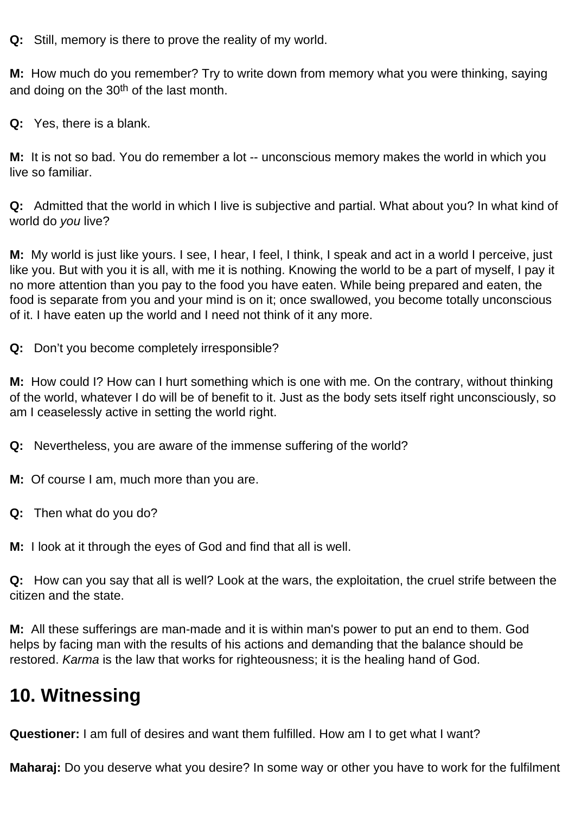**Q:** Still, memory is there to prove the reality of my world.

**M:** How much do you remember? Try to write down from memory what you were thinking, saying and doing on the 30<sup>th</sup> of the last month.

**Q:** Yes, there is a blank.

**M:** It is not so bad. You do remember a lot -- unconscious memory makes the world in which you live so familiar.

**Q:** Admitted that the world in which I live is subjective and partial. What about you? In what kind of world do *you* live?

**M:** My world is just like yours. I see, I hear, I feel, I think, I speak and act in a world I perceive, just like you. But with you it is all, with me it is nothing. Knowing the world to be a part of myself, I pay it no more attention than you pay to the food you have eaten. While being prepared and eaten, the food is separate from you and your mind is on it; once swallowed, you become totally unconscious of it. I have eaten up the world and I need not think of it any more.

**Q:** Don't you become completely irresponsible?

**M:** How could I? How can I hurt something which is one with me. On the contrary, without thinking of the world, whatever I do will be of benefit to it. Just as the body sets itself right unconsciously, so am I ceaselessly active in setting the world right.

- **Q:** Nevertheless, you are aware of the immense suffering of the world?
- **M:** Of course I am, much more than you are.
- **Q:** Then what do you do?
- **M:** I look at it through the eyes of God and find that all is well.

**Q:** How can you say that all is well? Look at the wars, the exploitation, the cruel strife between the citizen and the state.

**M:** All these sufferings are man-made and it is within man's power to put an end to them. God helps by facing man with the results of his actions and demanding that the balance should be restored. *Karma* is the law that works for righteousness; it is the healing hand of God.

# <span id="page-24-0"></span>**10. Witnessing**

**Questioner:** I am full of desires and want them fulfilled. How am I to get what I want?

**Maharaj:** Do you deserve what you desire? In some way or other you have to work for the fulfilment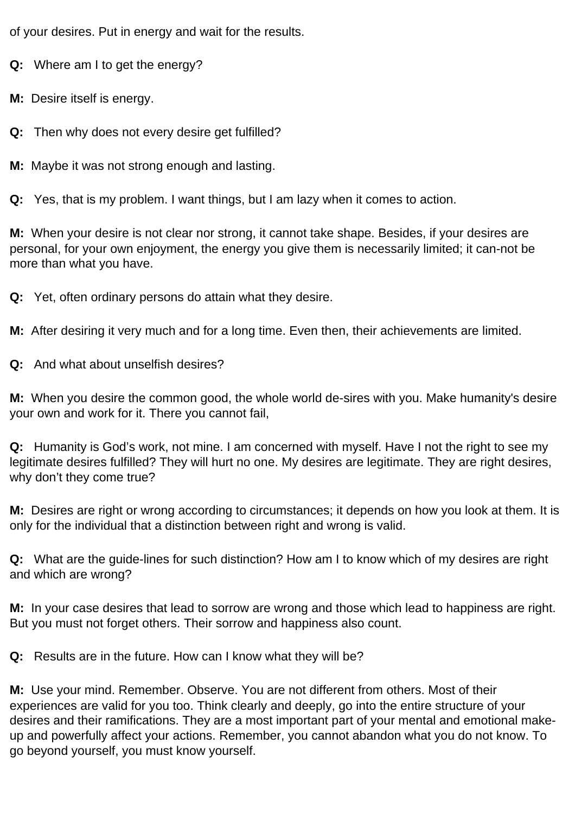of your desires. Put in energy and wait for the results.

- **Q:** Where am I to get the energy?
- **M:** Desire itself is energy.
- **Q:** Then why does not every desire get fulfilled?
- **M:** Maybe it was not strong enough and lasting.

**Q:** Yes, that is my problem. I want things, but I am lazy when it comes to action.

**M:** When your desire is not clear nor strong, it cannot take shape. Besides, if your desires are personal, for your own enjoyment, the energy you give them is necessarily limited; it can-not be more than what you have.

**Q:** Yet, often ordinary persons do attain what they desire.

**M:** After desiring it very much and for a long time. Even then, their achievements are limited.

**Q:** And what about unselfish desires?

**M:** When you desire the common good, the whole world de-sires with you. Make humanity's desire your own and work for it. There you cannot fail,

**Q:** Humanity is God's work, not mine. I am concerned with myself. Have I not the right to see my legitimate desires fulfilled? They will hurt no one. My desires are legitimate. They are right desires, why don't they come true?

**M:** Desires are right or wrong according to circumstances; it depends on how you look at them. It is only for the individual that a distinction between right and wrong is valid.

**Q:** What are the guide-lines for such distinction? How am I to know which of my desires are right and which are wrong?

**M:** In your case desires that lead to sorrow are wrong and those which lead to happiness are right. But you must not forget others. Their sorrow and happiness also count.

**Q:** Results are in the future. How can I know what they will be?

**M:** Use your mind. Remember. Observe. You are not different from others. Most of their experiences are valid for you too. Think clearly and deeply, go into the entire structure of your desires and their ramifications. They are a most important part of your mental and emotional makeup and powerfully affect your actions. Remember, you cannot abandon what you do not know. To go beyond yourself, you must know yourself.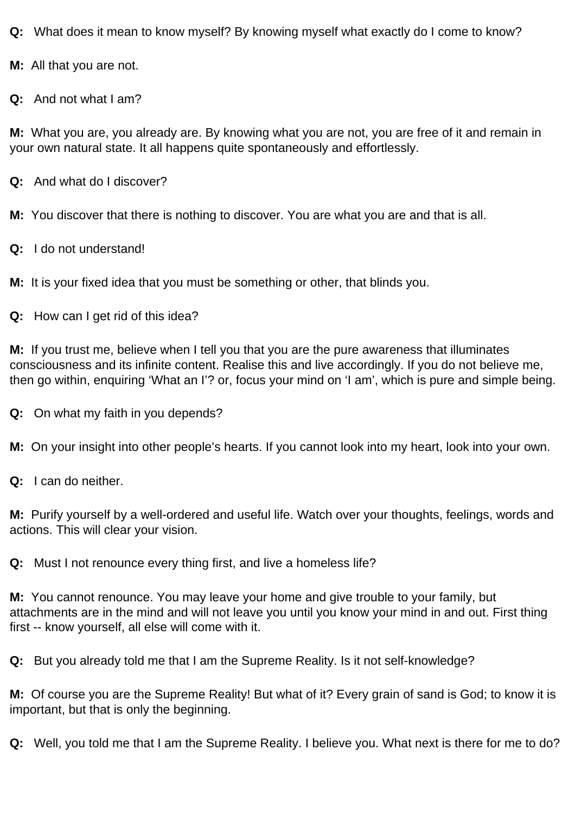**Q:** What does it mean to know myself? By knowing myself what exactly do I come to know?

**M:** All that you are not.

**Q:** And not what I am?

**M:** What you are, you already are. By knowing what you are not, you are free of it and remain in your own natural state. It all happens quite spontaneously and effortlessly.

**Q:** And what do I discover?

**M:** You discover that there is nothing to discover. You are what you are and that is all.

**Q:** I do not understand!

**M:** It is your fixed idea that you must be something or other, that blinds you.

**Q:** How can I get rid of this idea?

**M:** If you trust me, believe when I tell you that you are the pure awareness that illuminates consciousness and its infinite content. Realise this and live accordingly. If you do not believe me, then go within, enquiring 'What an I'? or, focus your mind on 'I am', which is pure and simple being.

**Q:** On what my faith in you depends?

**M:** On your insight into other people's hearts. If you cannot look into my heart, look into your own.

**Q:** I can do neither.

**M:** Purify yourself by a well-ordered and useful life. Watch over your thoughts, feelings, words and actions. This will clear your vision.

**Q:** Must I not renounce every thing first, and live a homeless life?

**M:** You cannot renounce. You may leave your home and give trouble to your family, but attachments are in the mind and will not leave you until you know your mind in and out. First thing first -- know yourself, all else will come with it.

**Q:** But you already told me that I am the Supreme Reality. Is it not self-knowledge?

**M:** Of course you are the Supreme Reality! But what of it? Every grain of sand is God; to know it is important, but that is only the beginning.

**Q:** Well, you told me that I am the Supreme Reality. I believe you. What next is there for me to do?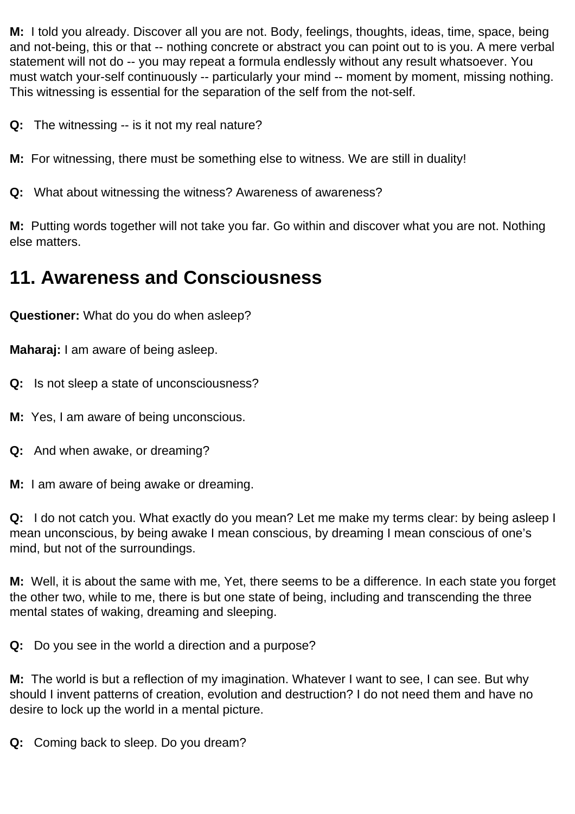**M:** I told you already. Discover all you are not. Body, feelings, thoughts, ideas, time, space, being and not-being, this or that -- nothing concrete or abstract you can point out to is you. A mere verbal statement will not do -- you may repeat a formula endlessly without any result whatsoever. You must watch your-self continuously -- particularly your mind -- moment by moment, missing nothing. This witnessing is essential for the separation of the self from the not-self.

**Q:** The witnessing -- is it not my real nature?

**M:** For witnessing, there must be something else to witness. We are still in duality!

**Q:** What about witnessing the witness? Awareness of awareness?

**M:** Putting words together will not take you far. Go within and discover what you are not. Nothing else matters.

### <span id="page-27-0"></span>**11. Awareness and Consciousness**

**Questioner:** What do you do when asleep?

**Maharaj:** I am aware of being asleep.

- **Q:** Is not sleep a state of unconsciousness?
- **M:** Yes, I am aware of being unconscious.
- **Q:** And when awake, or dreaming?

**M:** I am aware of being awake or dreaming.

**Q:** I do not catch you. What exactly do you mean? Let me make my terms clear: by being asleep I mean unconscious, by being awake I mean conscious, by dreaming I mean conscious of one's mind, but not of the surroundings.

**M:** Well, it is about the same with me, Yet, there seems to be a difference. In each state you forget the other two, while to me, there is but one state of being, including and transcending the three mental states of waking, dreaming and sleeping.

**Q:** Do you see in the world a direction and a purpose?

**M:** The world is but a reflection of my imagination. Whatever I want to see, I can see. But why should I invent patterns of creation, evolution and destruction? I do not need them and have no desire to lock up the world in a mental picture.

**Q:** Coming back to sleep. Do you dream?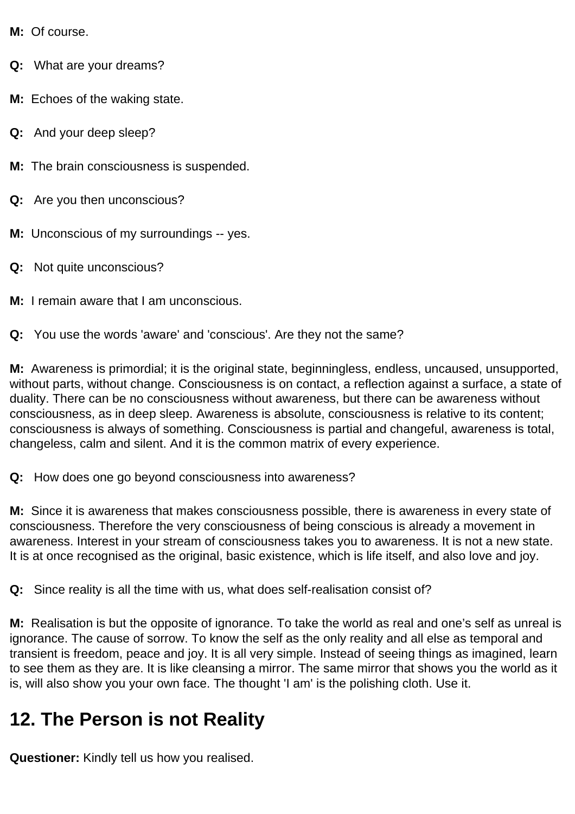- **M:** Of course.
- **Q:** What are your dreams?
- **M:** Echoes of the waking state.
- **Q:** And your deep sleep?
- **M:** The brain consciousness is suspended.
- **Q:** Are you then unconscious?
- **M:** Unconscious of my surroundings -- yes.
- **Q:** Not quite unconscious?
- **M:** I remain aware that I am unconscious.
- **Q:** You use the words 'aware' and 'conscious'. Are they not the same?

**M:** Awareness is primordial; it is the original state, beginningless, endless, uncaused, unsupported, without parts, without change. Consciousness is on contact, a reflection against a surface, a state of duality. There can be no consciousness without awareness, but there can be awareness without consciousness, as in deep sleep. Awareness is absolute, consciousness is relative to its content; consciousness is always of something. Consciousness is partial and changeful, awareness is total, changeless, calm and silent. And it is the common matrix of every experience.

**Q:** How does one go beyond consciousness into awareness?

**M:** Since it is awareness that makes consciousness possible, there is awareness in every state of consciousness. Therefore the very consciousness of being conscious is already a movement in awareness. Interest in your stream of consciousness takes you to awareness. It is not a new state. It is at once recognised as the original, basic existence, which is life itself, and also love and joy.

**Q:** Since reality is all the time with us, what does self-realisation consist of?

**M:** Realisation is but the opposite of ignorance. To take the world as real and one's self as unreal is ignorance. The cause of sorrow. To know the self as the only reality and all else as temporal and transient is freedom, peace and joy. It is all very simple. Instead of seeing things as imagined, learn to see them as they are. It is like cleansing a mirror. The same mirror that shows you the world as it is, will also show you your own face. The thought 'I am' is the polishing cloth. Use it.

## <span id="page-28-0"></span>**12. The Person is not Reality**

**Questioner:** Kindly tell us how you realised.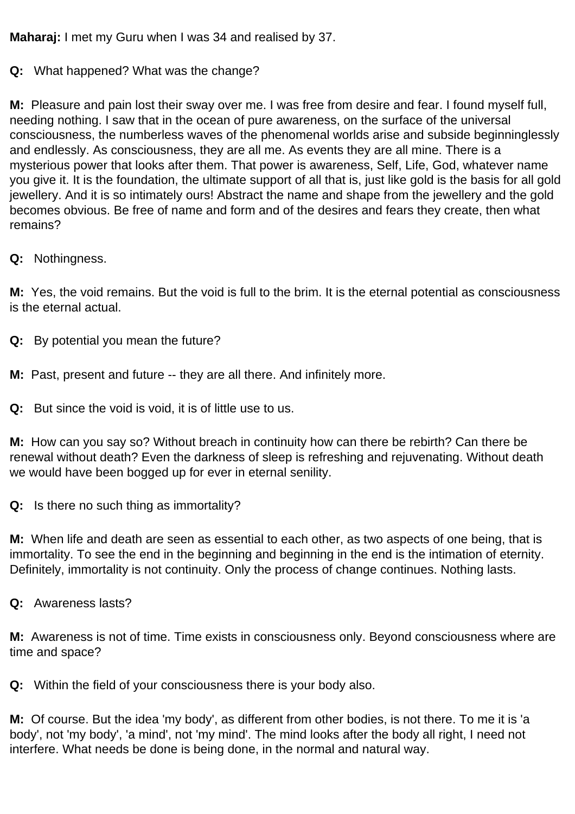**Maharaj:** I met my Guru when I was 34 and realised by 37.

**Q:** What happened? What was the change?

**M:** Pleasure and pain lost their sway over me. I was free from desire and fear. I found myself full, needing nothing. I saw that in the ocean of pure awareness, on the surface of the universal consciousness, the numberless waves of the phenomenal worlds arise and subside beginninglessly and endlessly. As consciousness, they are all me. As events they are all mine. There is a mysterious power that looks after them. That power is awareness, Self, Life, God, whatever name you give it. It is the foundation, the ultimate support of all that is, just like gold is the basis for all gold jewellery. And it is so intimately ours! Abstract the name and shape from the jewellery and the gold becomes obvious. Be free of name and form and of the desires and fears they create, then what remains?

**Q:** Nothingness.

**M:** Yes, the void remains. But the void is full to the brim. It is the eternal potential as consciousness is the eternal actual.

**Q:** By potential you mean the future?

**M:** Past, present and future -- they are all there. And infinitely more.

**Q:** But since the void is void, it is of little use to us.

**M:** How can you say so? Without breach in continuity how can there be rebirth? Can there be renewal without death? Even the darkness of sleep is refreshing and rejuvenating. Without death we would have been bogged up for ever in eternal senility.

**Q:** Is there no such thing as immortality?

**M:** When life and death are seen as essential to each other, as two aspects of one being, that is immortality. To see the end in the beginning and beginning in the end is the intimation of eternity. Definitely, immortality is not continuity. Only the process of change continues. Nothing lasts.

**Q:** Awareness lasts?

**M:** Awareness is not of time. Time exists in consciousness only. Beyond consciousness where are time and space?

**Q:** Within the field of your consciousness there is your body also.

**M:** Of course. But the idea 'my body', as different from other bodies, is not there. To me it is 'a body', not 'my body', 'a mind', not 'my mind'. The mind looks after the body all right, I need not interfere. What needs be done is being done, in the normal and natural way.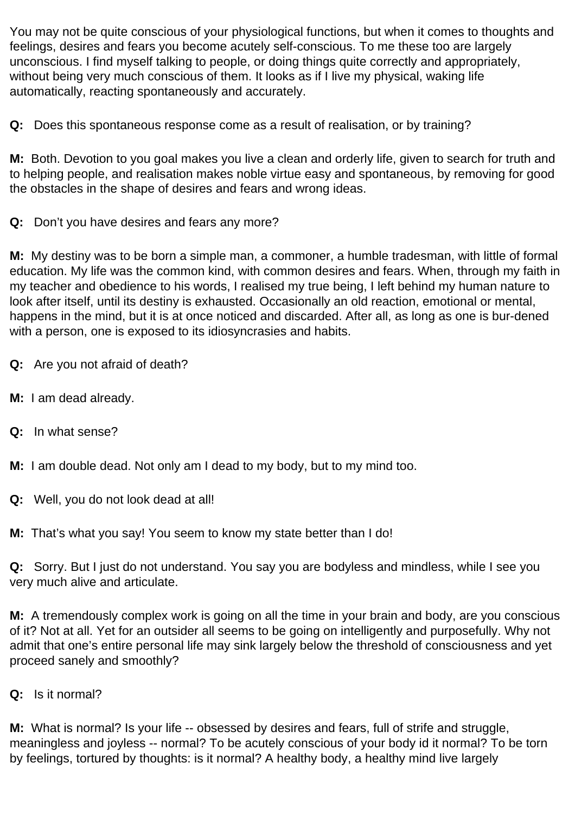You may not be quite conscious of your physiological functions, but when it comes to thoughts and feelings, desires and fears you become acutely self-conscious. To me these too are largely unconscious. I find myself talking to people, or doing things quite correctly and appropriately, without being very much conscious of them. It looks as if I live my physical, waking life automatically, reacting spontaneously and accurately.

**Q:** Does this spontaneous response come as a result of realisation, or by training?

**M:** Both. Devotion to you goal makes you live a clean and orderly life, given to search for truth and to helping people, and realisation makes noble virtue easy and spontaneous, by removing for good the obstacles in the shape of desires and fears and wrong ideas.

**Q:** Don't you have desires and fears any more?

**M:** My destiny was to be born a simple man, a commoner, a humble tradesman, with little of formal education. My life was the common kind, with common desires and fears. When, through my faith in my teacher and obedience to his words, I realised my true being, I left behind my human nature to look after itself, until its destiny is exhausted. Occasionally an old reaction, emotional or mental, happens in the mind, but it is at once noticed and discarded. After all, as long as one is bur-dened with a person, one is exposed to its idiosyncrasies and habits.

- **Q:** Are you not afraid of death?
- **M:** I am dead already.
- **Q:** In what sense?
- **M:** I am double dead. Not only am I dead to my body, but to my mind too.
- **Q:** Well, you do not look dead at all!
- **M:** That's what you say! You seem to know my state better than I do!

**Q:** Sorry. But I just do not understand. You say you are bodyless and mindless, while I see you very much alive and articulate.

**M:** A tremendously complex work is going on all the time in your brain and body, are you conscious of it? Not at all. Yet for an outsider all seems to be going on intelligently and purposefully. Why not admit that one's entire personal life may sink largely below the threshold of consciousness and yet proceed sanely and smoothly?

**Q:** Is it normal?

**M:** What is normal? Is your life -- obsessed by desires and fears, full of strife and struggle, meaningless and joyless -- normal? To be acutely conscious of your body id it normal? To be torn by feelings, tortured by thoughts: is it normal? A healthy body, a healthy mind live largely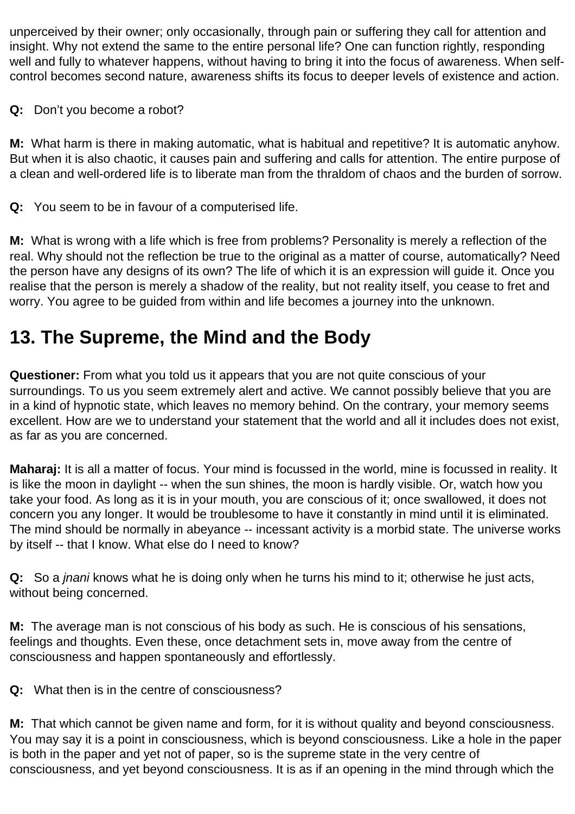unperceived by their owner; only occasionally, through pain or suffering they call for attention and insight. Why not extend the same to the entire personal life? One can function rightly, responding well and fully to whatever happens, without having to bring it into the focus of awareness. When selfcontrol becomes second nature, awareness shifts its focus to deeper levels of existence and action.

#### **Q:** Don't you become a robot?

**M:** What harm is there in making automatic, what is habitual and repetitive? It is automatic anyhow. But when it is also chaotic, it causes pain and suffering and calls for attention. The entire purpose of a clean and well-ordered life is to liberate man from the thraldom of chaos and the burden of sorrow.

**Q:** You seem to be in favour of a computerised life.

**M:** What is wrong with a life which is free from problems? Personality is merely a reflection of the real. Why should not the reflection be true to the original as a matter of course, automatically? Need the person have any designs of its own? The life of which it is an expression will guide it. Once you realise that the person is merely a shadow of the reality, but not reality itself, you cease to fret and worry. You agree to be guided from within and life becomes a journey into the unknown.

# <span id="page-31-0"></span>**13. The Supreme, the Mind and the Body**

**Questioner:** From what you told us it appears that you are not quite conscious of your surroundings. To us you seem extremely alert and active. We cannot possibly believe that you are in a kind of hypnotic state, which leaves no memory behind. On the contrary, your memory seems excellent. How are we to understand your statement that the world and all it includes does not exist, as far as you are concerned.

**Maharaj:** It is all a matter of focus. Your mind is focussed in the world, mine is focussed in reality. It is like the moon in daylight -- when the sun shines, the moon is hardly visible. Or, watch how you take your food. As long as it is in your mouth, you are conscious of it; once swallowed, it does not concern you any longer. It would be troublesome to have it constantly in mind until it is eliminated. The mind should be normally in abeyance -- incessant activity is a morbid state. The universe works by itself -- that I know. What else do I need to know?

**Q:** So a *jnani* knows what he is doing only when he turns his mind to it; otherwise he just acts, without being concerned.

**M:** The average man is not conscious of his body as such. He is conscious of his sensations, feelings and thoughts. Even these, once detachment sets in, move away from the centre of consciousness and happen spontaneously and effortlessly.

**Q:** What then is in the centre of consciousness?

**M:** That which cannot be given name and form, for it is without quality and beyond consciousness. You may say it is a point in consciousness, which is beyond consciousness. Like a hole in the paper is both in the paper and yet not of paper, so is the supreme state in the very centre of consciousness, and yet beyond consciousness. It is as if an opening in the mind through which the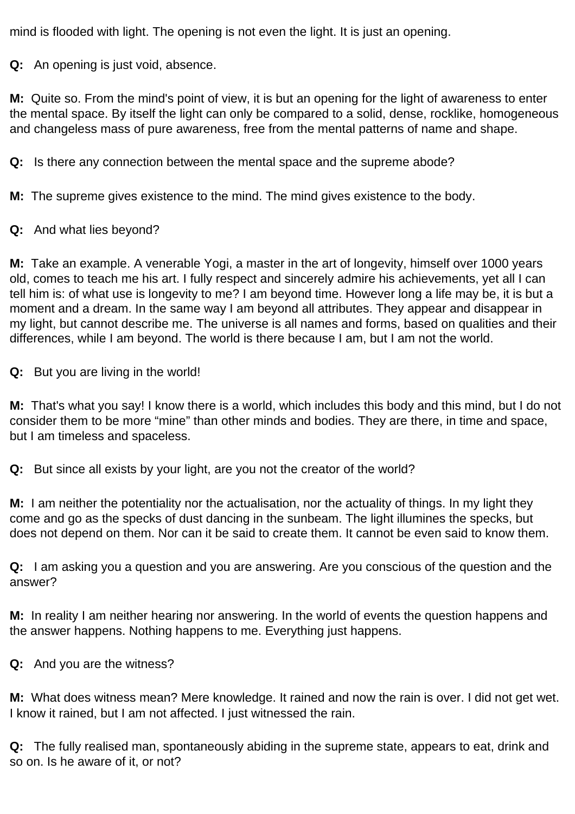mind is flooded with light. The opening is not even the light. It is just an opening.

**Q:** An opening is just void, absence.

**M:** Quite so. From the mind's point of view, it is but an opening for the light of awareness to enter the mental space. By itself the light can only be compared to a solid, dense, rocklike, homogeneous and changeless mass of pure awareness, free from the mental patterns of name and shape.

**Q:** Is there any connection between the mental space and the supreme abode?

**M:** The supreme gives existence to the mind. The mind gives existence to the body.

**Q:** And what lies beyond?

**M:** Take an example. A venerable Yogi, a master in the art of longevity, himself over 1000 years old, comes to teach me his art. I fully respect and sincerely admire his achievements, yet all I can tell him is: of what use is longevity to me? I am beyond time. However long a life may be, it is but a moment and a dream. In the same way I am beyond all attributes. They appear and disappear in my light, but cannot describe me. The universe is all names and forms, based on qualities and their differences, while I am beyond. The world is there because I am, but I am not the world.

**Q:** But you are living in the world!

**M:** That's what you say! I know there is a world, which includes this body and this mind, but I do not consider them to be more "mine" than other minds and bodies. They are there, in time and space, but I am timeless and spaceless.

**Q:** But since all exists by your light, are you not the creator of the world?

**M:** I am neither the potentiality nor the actualisation, nor the actuality of things. In my light they come and go as the specks of dust dancing in the sunbeam. The light illumines the specks, but does not depend on them. Nor can it be said to create them. It cannot be even said to know them.

**Q:** I am asking you a question and you are answering. Are you conscious of the question and the answer?

**M:** In reality I am neither hearing nor answering. In the world of events the question happens and the answer happens. Nothing happens to me. Everything just happens.

**Q:** And you are the witness?

**M:** What does witness mean? Mere knowledge. It rained and now the rain is over. I did not get wet. I know it rained, but I am not affected. I just witnessed the rain.

**Q:** The fully realised man, spontaneously abiding in the supreme state, appears to eat, drink and so on. Is he aware of it, or not?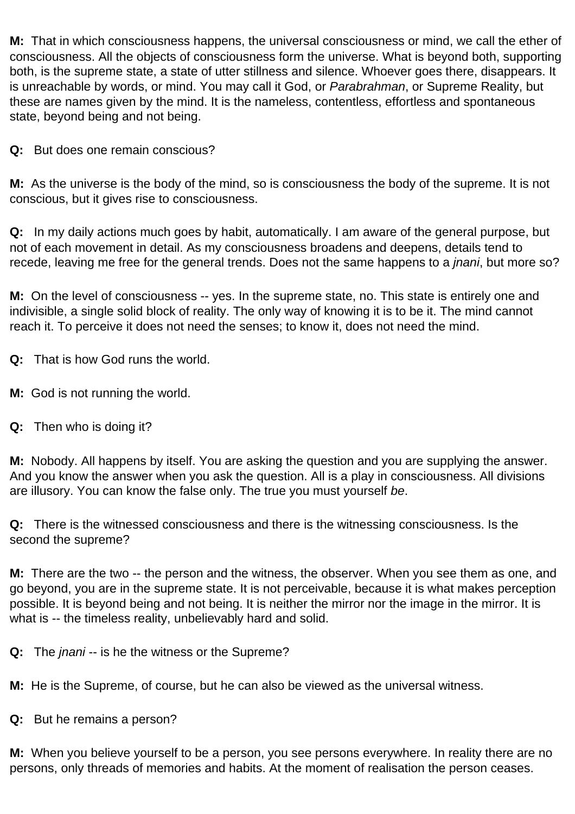**M:** That in which consciousness happens, the universal consciousness or mind, we call the ether of consciousness. All the objects of consciousness form the universe. What is beyond both, supporting both, is the supreme state, a state of utter stillness and silence. Whoever goes there, disappears. It is unreachable by words, or mind. You may call it God, or *Parabrahman*, or Supreme Reality, but these are names given by the mind. It is the nameless, contentless, effortless and spontaneous state, beyond being and not being.

**Q:** But does one remain conscious?

**M:** As the universe is the body of the mind, so is consciousness the body of the supreme. It is not conscious, but it gives rise to consciousness.

**Q:** In my daily actions much goes by habit, automatically. I am aware of the general purpose, but not of each movement in detail. As my consciousness broadens and deepens, details tend to recede, leaving me free for the general trends. Does not the same happens to a *jnani*, but more so?

**M:** On the level of consciousness -- yes. In the supreme state, no. This state is entirely one and indivisible, a single solid block of reality. The only way of knowing it is to be it. The mind cannot reach it. To perceive it does not need the senses; to know it, does not need the mind.

**Q:** That is how God runs the world.

- **M:** God is not running the world.
- **Q:** Then who is doing it?

**M:** Nobody. All happens by itself. You are asking the question and you are supplying the answer. And you know the answer when you ask the question. All is a play in consciousness. All divisions are illusory. You can know the false only. The true you must yourself *be*.

**Q:** There is the witnessed consciousness and there is the witnessing consciousness. Is the second the supreme?

**M:** There are the two -- the person and the witness, the observer. When you see them as one, and go beyond, you are in the supreme state. It is not perceivable, because it is what makes perception possible. It is beyond being and not being. It is neither the mirror nor the image in the mirror. It is what is -- the timeless reality, unbelievably hard and solid.

**Q:** The *jnani* -- is he the witness or the Supreme?

**M:** He is the Supreme, of course, but he can also be viewed as the universal witness.

**Q:** But he remains a person?

**M:** When you believe yourself to be a person, you see persons everywhere. In reality there are no persons, only threads of memories and habits. At the moment of realisation the person ceases.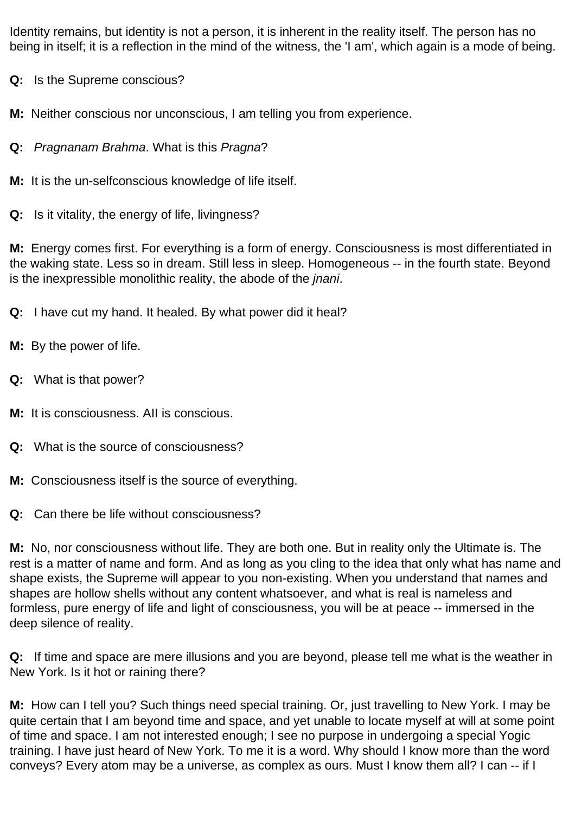Identity remains, but identity is not a person, it is inherent in the reality itself. The person has no being in itself; it is a reflection in the mind of the witness, the 'I am', which again is a mode of being.

**Q:** Is the Supreme conscious?

**M:** Neither conscious nor unconscious, I am telling you from experience.

**Q:** *Pragnanam Brahma*. What is this *Pragna*?

**M:** It is the un-selfconscious knowledge of life itself.

**Q:** Is it vitality, the energy of life, livingness?

**M:** Energy comes first. For everything is a form of energy. Consciousness is most differentiated in the waking state. Less so in dream. Still less in sleep. Homogeneous -- in the fourth state. Beyond is the inexpressible monolithic reality, the abode of the *jnani*.

**Q:** I have cut my hand. It healed. By what power did it heal?

**M:** By the power of life.

- **Q:** What is that power?
- **M:** It is consciousness. All is conscious.
- **Q:** What is the source of consciousness?
- **M:** Consciousness itself is the source of everything.
- **Q:** Can there be life without consciousness?

**M:** No, nor consciousness without life. They are both one. But in reality only the Ultimate is. The rest is a matter of name and form. And as long as you cling to the idea that only what has name and shape exists, the Supreme will appear to you non-existing. When you understand that names and shapes are hollow shells without any content whatsoever, and what is real is nameless and formless, pure energy of life and light of consciousness, you will be at peace -- immersed in the deep silence of reality.

**Q:** If time and space are mere illusions and you are beyond, please tell me what is the weather in New York. Is it hot or raining there?

**M:** How can I tell you? Such things need special training. Or, just travelling to New York. I may be quite certain that I am beyond time and space, and yet unable to locate myself at will at some point of time and space. I am not interested enough; I see no purpose in undergoing a special Yogic training. I have just heard of New York. To me it is a word. Why should I know more than the word conveys? Every atom may be a universe, as complex as ours. Must I know them all? I can -- if I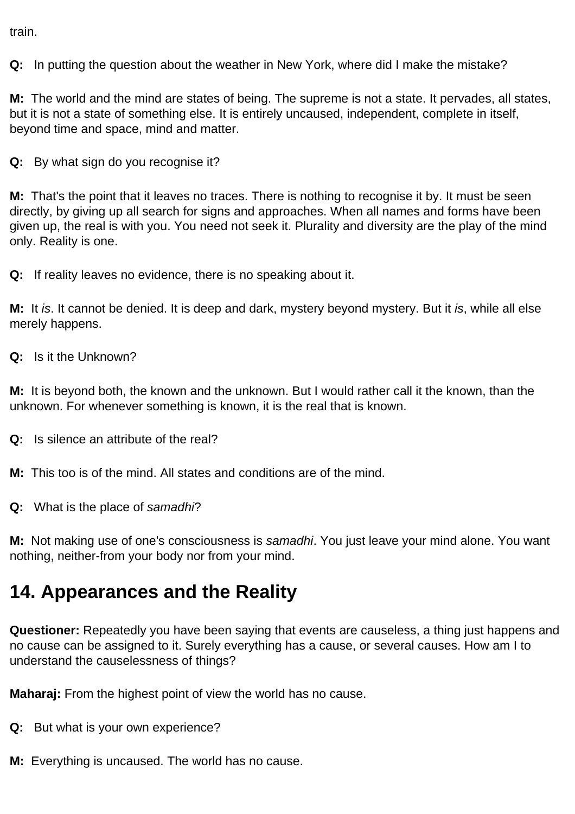train.

**Q:** In putting the question about the weather in New York, where did I make the mistake?

**M:** The world and the mind are states of being. The supreme is not a state. It pervades, all states, but it is not a state of something else. It is entirely uncaused, independent, complete in itself, beyond time and space, mind and matter.

**Q:** By what sign do you recognise it?

**M:** That's the point that it leaves no traces. There is nothing to recognise it by. It must be seen directly, by giving up all search for signs and approaches. When all names and forms have been given up, the real is with you. You need not seek it. Plurality and diversity are the play of the mind only. Reality is one.

**Q:** If reality leaves no evidence, there is no speaking about it.

**M:** It *is*. It cannot be denied. It is deep and dark, mystery beyond mystery. But it *is*, while all else merely happens.

**Q:** Is it the Unknown?

**M:** It is beyond both, the known and the unknown. But I would rather call it the known, than the unknown. For whenever something is known, it is the real that is known.

**Q:** Is silence an attribute of the real?

**M:** This too is of the mind. All states and conditions are of the mind.

**Q:** What is the place of *samadhi*?

**M:** Not making use of one's consciousness is *samadhi*. You just leave your mind alone. You want nothing, neither-from your body nor from your mind.

## <span id="page-35-0"></span>**14. Appearances and the Reality**

**Questioner:** Repeatedly you have been saying that events are causeless, a thing just happens and no cause can be assigned to it. Surely everything has a cause, or several causes. How am I to understand the causelessness of things?

**Maharaj:** From the highest point of view the world has no cause.

- **Q:** But what is your own experience?
- **M:** Everything is uncaused. The world has no cause.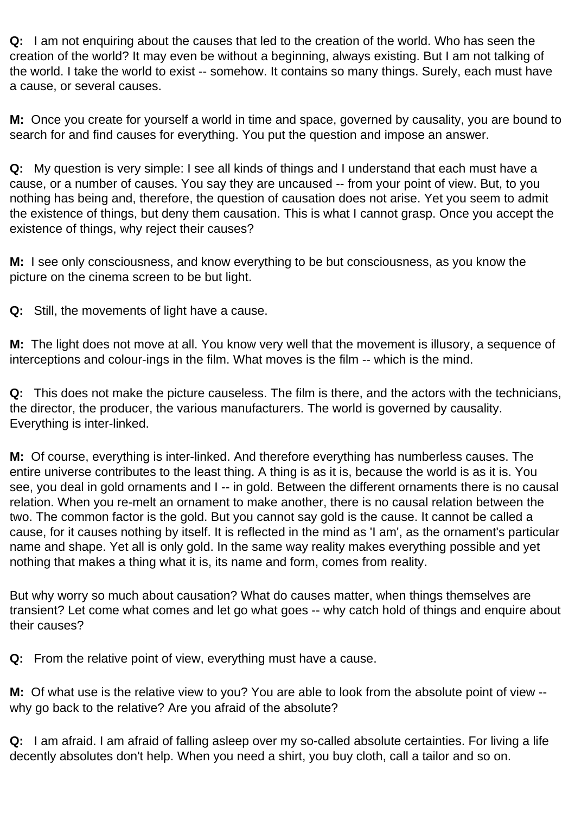**Q:** I am not enquiring about the causes that led to the creation of the world. Who has seen the creation of the world? It may even be without a beginning, always existing. But I am not talking of the world. I take the world to exist -- somehow. It contains so many things. Surely, each must have a cause, or several causes.

**M:** Once you create for yourself a world in time and space, governed by causality, you are bound to search for and find causes for everything. You put the question and impose an answer.

**Q:** My question is very simple: I see all kinds of things and I understand that each must have a cause, or a number of causes. You say they are uncaused -- from your point of view. But, to you nothing has being and, therefore, the question of causation does not arise. Yet you seem to admit the existence of things, but deny them causation. This is what I cannot grasp. Once you accept the existence of things, why reject their causes?

**M:** I see only consciousness, and know everything to be but consciousness, as you know the picture on the cinema screen to be but light.

**Q:** Still, the movements of light have a cause.

**M:** The light does not move at all. You know very well that the movement is illusory, a sequence of interceptions and colour-ings in the film. What moves is the film -- which is the mind.

**Q:** This does not make the picture causeless. The film is there, and the actors with the technicians, the director, the producer, the various manufacturers. The world is governed by causality. Everything is inter-linked.

**M:** Of course, everything is inter-linked. And therefore everything has numberless causes. The entire universe contributes to the least thing. A thing is as it is, because the world is as it is. You see, you deal in gold ornaments and I -- in gold. Between the different ornaments there is no causal relation. When you re-melt an ornament to make another, there is no causal relation between the two. The common factor is the gold. But you cannot say gold is the cause. It cannot be called a cause, for it causes nothing by itself. It is reflected in the mind as 'I am', as the ornament's particular name and shape. Yet all is only gold. In the same way reality makes everything possible and yet nothing that makes a thing what it is, its name and form, comes from reality.

But why worry so much about causation? What do causes matter, when things themselves are transient? Let come what comes and let go what goes -- why catch hold of things and enquire about their causes?

**Q:** From the relative point of view, everything must have a cause.

**M:** Of what use is the relative view to you? You are able to look from the absolute point of view - why go back to the relative? Are you afraid of the absolute?

**Q:** I am afraid. I am afraid of falling asleep over my so-called absolute certainties. For living a life decently absolutes don't help. When you need a shirt, you buy cloth, call a tailor and so on.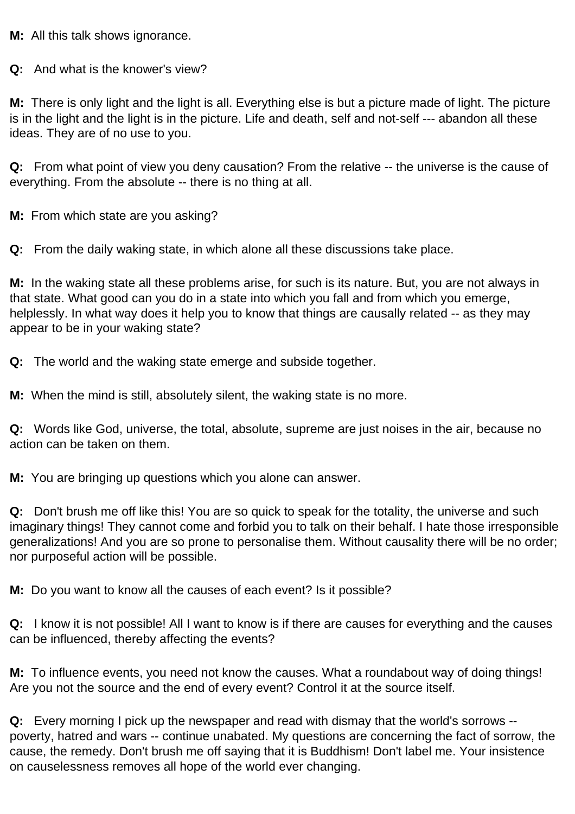**M:** All this talk shows ignorance.

**Q:** And what is the knower's view?

**M:** There is only light and the light is all. Everything else is but a picture made of light. The picture is in the light and the light is in the picture. Life and death, self and not-self --- abandon all these ideas. They are of no use to you.

**Q:** From what point of view you deny causation? From the relative -- the universe is the cause of everything. From the absolute -- there is no thing at all.

**M:** From which state are you asking?

**Q:** From the daily waking state, in which alone all these discussions take place.

**M:** In the waking state all these problems arise, for such is its nature. But, you are not always in that state. What good can you do in a state into which you fall and from which you emerge, helplessly. In what way does it help you to know that things are causally related -- as they may appear to be in your waking state?

**Q:** The world and the waking state emerge and subside together.

**M:** When the mind is still, absolutely silent, the waking state is no more.

**Q:** Words like God, universe, the total, absolute, supreme are just noises in the air, because no action can be taken on them.

**M:** You are bringing up questions which you alone can answer.

**Q:** Don't brush me off like this! You are so quick to speak for the totality, the universe and such imaginary things! They cannot come and forbid you to talk on their behalf. I hate those irresponsible generalizations! And you are so prone to personalise them. Without causality there will be no order; nor purposeful action will be possible.

**M:** Do you want to know all the causes of each event? Is it possible?

**Q:** I know it is not possible! All I want to know is if there are causes for everything and the causes can be influenced, thereby affecting the events?

**M:** To influence events, you need not know the causes. What a roundabout way of doing things! Are you not the source and the end of every event? Control it at the source itself.

**Q:** Every morning I pick up the newspaper and read with dismay that the world's sorrows - poverty, hatred and wars -- continue unabated. My questions are concerning the fact of sorrow, the cause, the remedy. Don't brush me off saying that it is Buddhism! Don't label me. Your insistence on causelessness removes all hope of the world ever changing.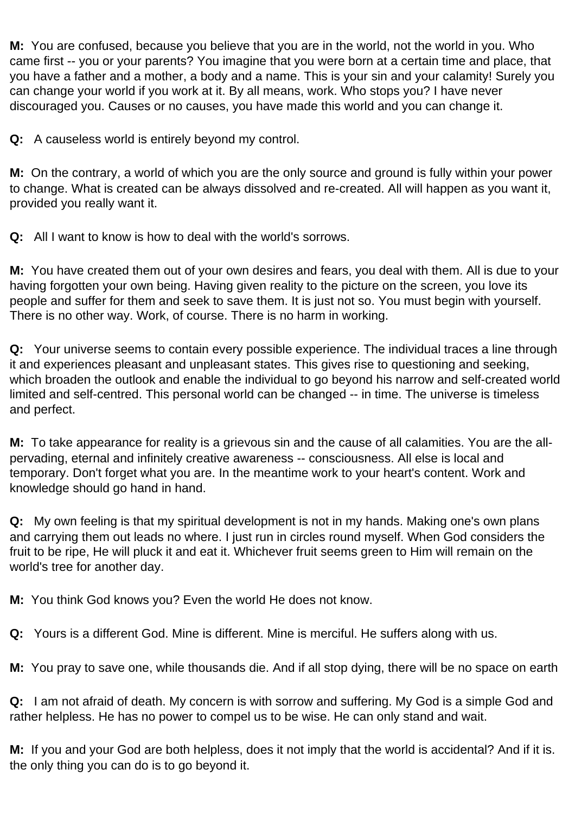**M:** You are confused, because you believe that you are in the world, not the world in you. Who came first -- you or your parents? You imagine that you were born at a certain time and place, that you have a father and a mother, a body and a name. This is your sin and your calamity! Surely you can change your world if you work at it. By all means, work. Who stops you? I have never discouraged you. Causes or no causes, you have made this world and you can change it.

**Q:** A causeless world is entirely beyond my control.

**M:** On the contrary, a world of which you are the only source and ground is fully within your power to change. What is created can be always dissolved and re-created. All will happen as you want it, provided you really want it.

**Q:** All I want to know is how to deal with the world's sorrows.

**M:** You have created them out of your own desires and fears, you deal with them. All is due to your having forgotten your own being. Having given reality to the picture on the screen, you love its people and suffer for them and seek to save them. It is just not so. You must begin with yourself. There is no other way. Work, of course. There is no harm in working.

**Q:** Your universe seems to contain every possible experience. The individual traces a line through it and experiences pleasant and unpleasant states. This gives rise to questioning and seeking, which broaden the outlook and enable the individual to go beyond his narrow and self-created world limited and self-centred. This personal world can be changed -- in time. The universe is timeless and perfect.

**M:** To take appearance for reality is a grievous sin and the cause of all calamities. You are the allpervading, eternal and infinitely creative awareness -- consciousness. All else is local and temporary. Don't forget what you are. In the meantime work to your heart's content. Work and knowledge should go hand in hand.

**Q:** My own feeling is that my spiritual development is not in my hands. Making one's own plans and carrying them out leads no where. I just run in circles round myself. When God considers the fruit to be ripe, He will pluck it and eat it. Whichever fruit seems green to Him will remain on the world's tree for another day.

**M:** You think God knows you? Even the world He does not know.

**Q:** Yours is a different God. Mine is different. Mine is merciful. He suffers along with us.

**M:** You pray to save one, while thousands die. And if all stop dying, there will be no space on earth

**Q:** I am not afraid of death. My concern is with sorrow and suffering. My God is a simple God and rather helpless. He has no power to compel us to be wise. He can only stand and wait.

**M:** If you and your God are both helpless, does it not imply that the world is accidental? And if it is. the only thing you can do is to go beyond it.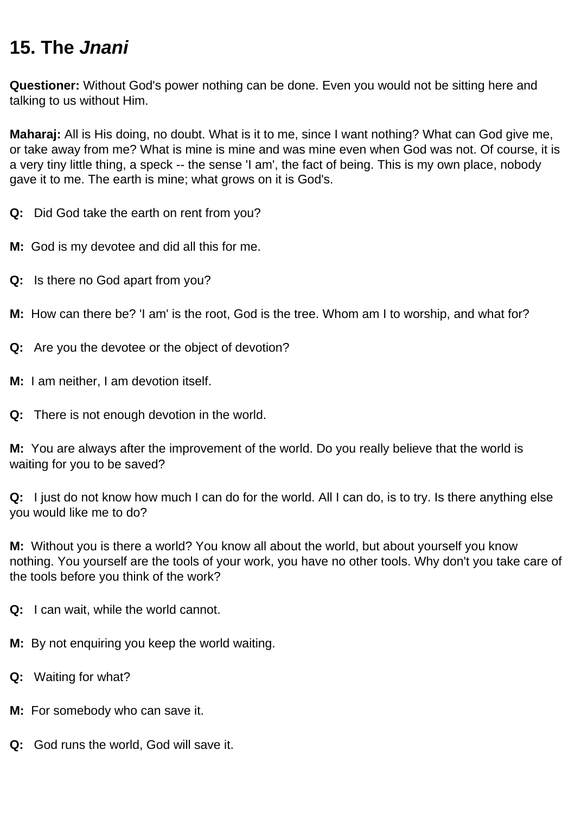## **15. The** *Jnani*

**Questioner:** Without God's power nothing can be done. Even you would not be sitting here and talking to us without Him.

**Maharaj:** All is His doing, no doubt. What is it to me, since I want nothing? What can God give me, or take away from me? What is mine is mine and was mine even when God was not. Of course, it is a very tiny little thing, a speck -- the sense 'I am', the fact of being. This is my own place, nobody gave it to me. The earth is mine; what grows on it is God's.

**Q:** Did God take the earth on rent from you?

**M:** God is my devotee and did all this for me.

- **Q:** Is there no God apart from you?
- **M:** How can there be? 'I am' is the root, God is the tree. Whom am I to worship, and what for?
- **Q:** Are you the devotee or the object of devotion?
- **M:** I am neither, I am devotion itself.
- **Q:** There is not enough devotion in the world.

**M:** You are always after the improvement of the world. Do you really believe that the world is waiting for you to be saved?

**Q:** I just do not know how much I can do for the world. All I can do, is to try. Is there anything else you would like me to do?

**M:** Without you is there a world? You know all about the world, but about yourself you know nothing. You yourself are the tools of your work, you have no other tools. Why don't you take care of the tools before you think of the work?

- **Q:** I can wait, while the world cannot.
- **M:** By not enquiring you keep the world waiting.
- **Q:** Waiting for what?
- **M:** For somebody who can save it.
- **Q:** God runs the world, God will save it.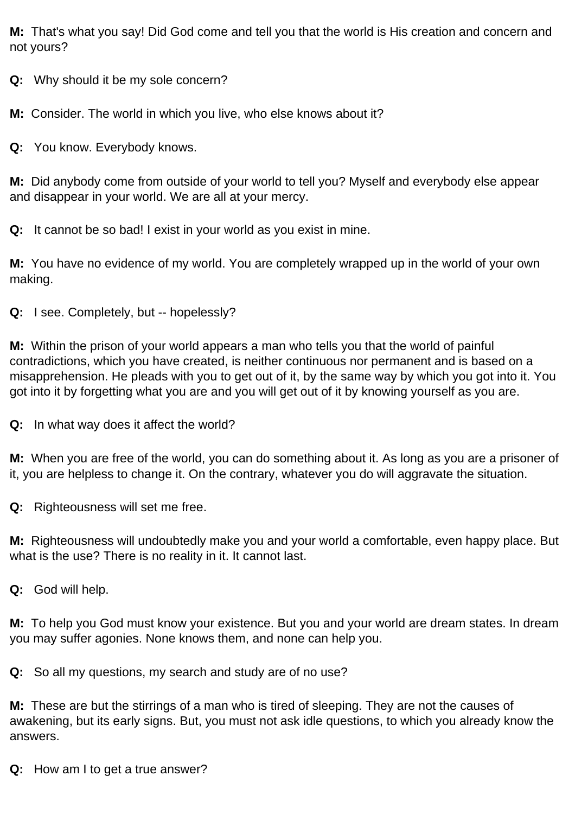**M:** That's what you say! Did God come and tell you that the world is His creation and concern and not yours?

**Q:** Why should it be my sole concern?

**M:** Consider. The world in which you live, who else knows about it?

**Q:** You know. Everybody knows.

**M:** Did anybody come from outside of your world to tell you? Myself and everybody else appear and disappear in your world. We are all at your mercy.

**Q:** It cannot be so bad! I exist in your world as you exist in mine.

**M:** You have no evidence of my world. You are completely wrapped up in the world of your own making.

**Q:** I see. Completely, but -- hopelessly?

**M:** Within the prison of your world appears a man who tells you that the world of painful contradictions, which you have created, is neither continuous nor permanent and is based on a misapprehension. He pleads with you to get out of it, by the same way by which you got into it. You got into it by forgetting what you are and you will get out of it by knowing yourself as you are.

**Q:** In what way does it affect the world?

**M:** When you are free of the world, you can do something about it. As long as you are a prisoner of it, you are helpless to change it. On the contrary, whatever you do will aggravate the situation.

**Q:** Righteousness will set me free.

**M:** Righteousness will undoubtedly make you and your world a comfortable, even happy place. But what is the use? There is no reality in it. It cannot last.

**Q:** God will help.

**M:** To help you God must know your existence. But you and your world are dream states. In dream you may suffer agonies. None knows them, and none can help you.

**Q:** So all my questions, my search and study are of no use?

**M:** These are but the stirrings of a man who is tired of sleeping. They are not the causes of awakening, but its early signs. But, you must not ask idle questions, to which you already know the answers.

**Q:** How am I to get a true answer?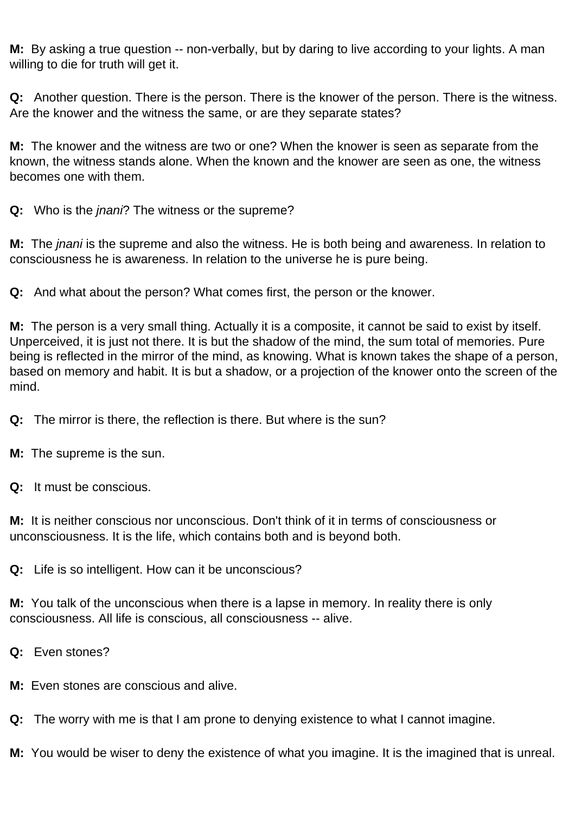**M:** By asking a true question -- non-verbally, but by daring to live according to your lights. A man willing to die for truth will get it.

**Q:** Another question. There is the person. There is the knower of the person. There is the witness. Are the knower and the witness the same, or are they separate states?

**M:** The knower and the witness are two or one? When the knower is seen as separate from the known, the witness stands alone. When the known and the knower are seen as one, the witness becomes one with them.

**Q:** Who is the *jnani*? The witness or the supreme?

**M:** The *jnani* is the supreme and also the witness. He is both being and awareness. In relation to consciousness he is awareness. In relation to the universe he is pure being.

**Q:** And what about the person? What comes first, the person or the knower.

**M:** The person is a very small thing. Actually it is a composite, it cannot be said to exist by itself. Unperceived, it is just not there. It is but the shadow of the mind, the sum total of memories. Pure being is reflected in the mirror of the mind, as knowing. What is known takes the shape of a person, based on memory and habit. It is but a shadow, or a projection of the knower onto the screen of the mind.

**Q:** The mirror is there, the reflection is there. But where is the sun?

**M:** The supreme is the sun.

**Q:** It must be conscious.

**M:** It is neither conscious nor unconscious. Don't think of it in terms of consciousness or unconsciousness. It is the life, which contains both and is beyond both.

**Q:** Life is so intelligent. How can it be unconscious?

**M:** You talk of the unconscious when there is a lapse in memory. In reality there is only consciousness. All life is conscious, all consciousness -- alive.

- **Q:** Even stones?
- **M:** Even stones are conscious and alive.

**Q:** The worry with me is that I am prone to denying existence to what I cannot imagine.

**M:** You would be wiser to deny the existence of what you imagine. It is the imagined that is unreal.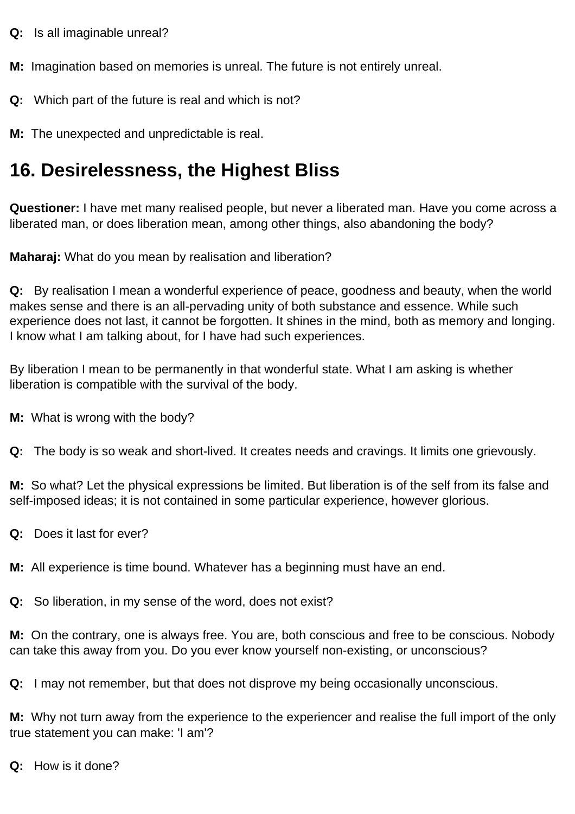- **Q:** Is all imaginable unreal?
- **M:** Imagination based on memories is unreal. The future is not entirely unreal.
- **Q:** Which part of the future is real and which is not?
- **M:** The unexpected and unpredictable is real.

## **16. Desirelessness, the Highest Bliss**

**Questioner:** I have met many realised people, but never a liberated man. Have you come across a liberated man, or does liberation mean, among other things, also abandoning the body?

**Maharaj:** What do you mean by realisation and liberation?

**Q:** By realisation I mean a wonderful experience of peace, goodness and beauty, when the world makes sense and there is an all-pervading unity of both substance and essence. While such experience does not last, it cannot be forgotten. It shines in the mind, both as memory and longing. I know what I am talking about, for I have had such experiences.

By liberation I mean to be permanently in that wonderful state. What I am asking is whether liberation is compatible with the survival of the body.

- **M:** What is wrong with the body?
- **Q:** The body is so weak and short-lived. It creates needs and cravings. It limits one grievously.

**M:** So what? Let the physical expressions be limited. But liberation is of the self from its false and self-imposed ideas; it is not contained in some particular experience, however glorious.

- **Q:** Does it last for ever?
- **M:** All experience is time bound. Whatever has a beginning must have an end.
- **Q:** So liberation, in my sense of the word, does not exist?

**M:** On the contrary, one is always free. You are, both conscious and free to be conscious. Nobody can take this away from you. Do you ever know yourself non-existing, or unconscious?

**Q:** I may not remember, but that does not disprove my being occasionally unconscious.

**M:** Why not turn away from the experience to the experiencer and realise the full import of the only true statement you can make: 'I am'?

**Q:** How is it done?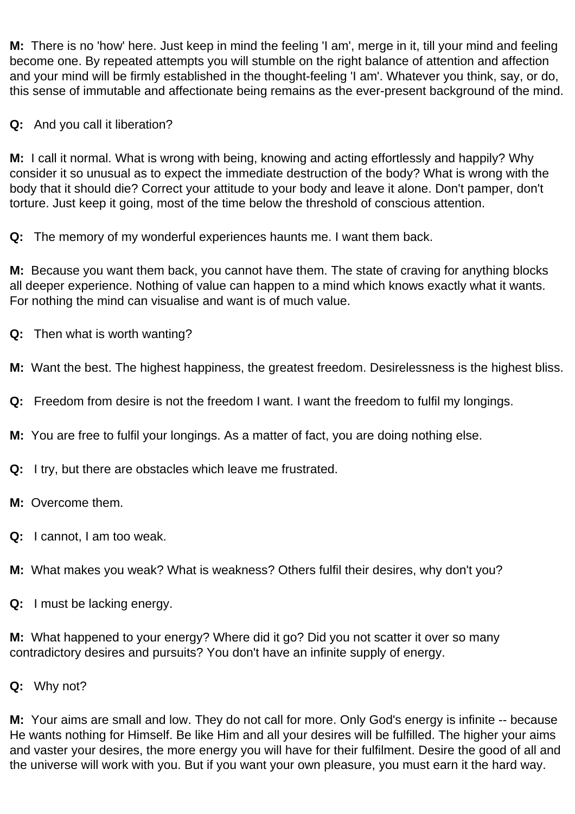**M:** There is no 'how' here. Just keep in mind the feeling 'I am', merge in it, till your mind and feeling become one. By repeated attempts you will stumble on the right balance of attention and affection and your mind will be firmly established in the thought-feeling 'I am'. Whatever you think, say, or do, this sense of immutable and affectionate being remains as the ever-present background of the mind.

**Q:** And you call it liberation?

**M:** I call it normal. What is wrong with being, knowing and acting effortlessly and happily? Why consider it so unusual as to expect the immediate destruction of the body? What is wrong with the body that it should die? Correct your attitude to your body and leave it alone. Don't pamper, don't torture. Just keep it going, most of the time below the threshold of conscious attention.

**Q:** The memory of my wonderful experiences haunts me. I want them back.

**M:** Because you want them back, you cannot have them. The state of craving for anything blocks all deeper experience. Nothing of value can happen to a mind which knows exactly what it wants. For nothing the mind can visualise and want is of much value.

- **Q:** Then what is worth wanting?
- **M:** Want the best. The highest happiness, the greatest freedom. Desirelessness is the highest bliss.
- **Q:** Freedom from desire is not the freedom I want. I want the freedom to fulfil my longings.

**M:** You are free to fulfil your longings. As a matter of fact, you are doing nothing else.

- **Q:** I try, but there are obstacles which leave me frustrated.
- **M:** Overcome them.
- **Q:** I cannot, I am too weak.
- **M:** What makes you weak? What is weakness? Others fulfil their desires, why don't you?
- **Q:** I must be lacking energy.

**M:** What happened to your energy? Where did it go? Did you not scatter it over so many contradictory desires and pursuits? You don't have an infinite supply of energy.

**Q:** Why not?

**M:** Your aims are small and low. They do not call for more. Only God's energy is infinite -- because He wants nothing for Himself. Be like Him and all your desires will be fulfilled. The higher your aims and vaster your desires, the more energy you will have for their fulfilment. Desire the good of all and the universe will work with you. But if you want your own pleasure, you must earn it the hard way.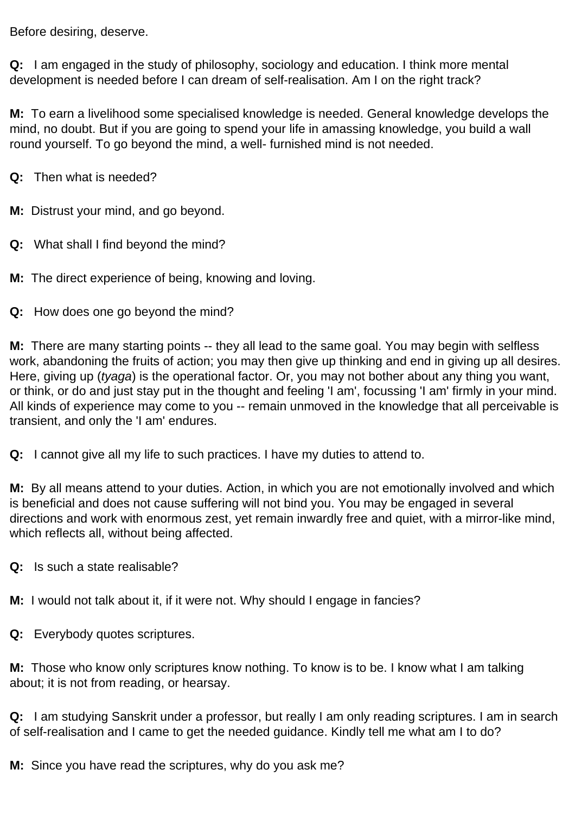Before desiring, deserve.

**Q:** I am engaged in the study of philosophy, sociology and education. I think more mental development is needed before I can dream of self-realisation. Am I on the right track?

**M:** To earn a livelihood some specialised knowledge is needed. General knowledge develops the mind, no doubt. But if you are going to spend your life in amassing knowledge, you build a wall round yourself. To go beyond the mind, a well- furnished mind is not needed.

**Q:** Then what is needed?

**M:** Distrust your mind, and go beyond.

- **Q:** What shall I find beyond the mind?
- **M:** The direct experience of being, knowing and loving.
- **Q:** How does one go beyond the mind?

**M:** There are many starting points -- they all lead to the same goal. You may begin with selfless work, abandoning the fruits of action; you may then give up thinking and end in giving up all desires. Here, giving up (*tyaga*) is the operational factor. Or, you may not bother about any thing you want, or think, or do and just stay put in the thought and feeling 'I am', focussing 'I am' firmly in your mind. All kinds of experience may come to you -- remain unmoved in the knowledge that all perceivable is transient, and only the 'I am' endures.

**Q:** I cannot give all my life to such practices. I have my duties to attend to.

**M:** By all means attend to your duties. Action, in which you are not emotionally involved and which is beneficial and does not cause suffering will not bind you. You may be engaged in several directions and work with enormous zest, yet remain inwardly free and quiet, with a mirror-like mind, which reflects all, without being affected.

**Q:** Is such a state realisable?

**M:** I would not talk about it, if it were not. Why should I engage in fancies?

**Q:** Everybody quotes scriptures.

**M:** Those who know only scriptures know nothing. To know is to be. I know what I am talking about; it is not from reading, or hearsay.

**Q:** I am studying Sanskrit under a professor, but really I am only reading scriptures. I am in search of self-realisation and I came to get the needed guidance. Kindly tell me what am I to do?

**M:** Since you have read the scriptures, why do you ask me?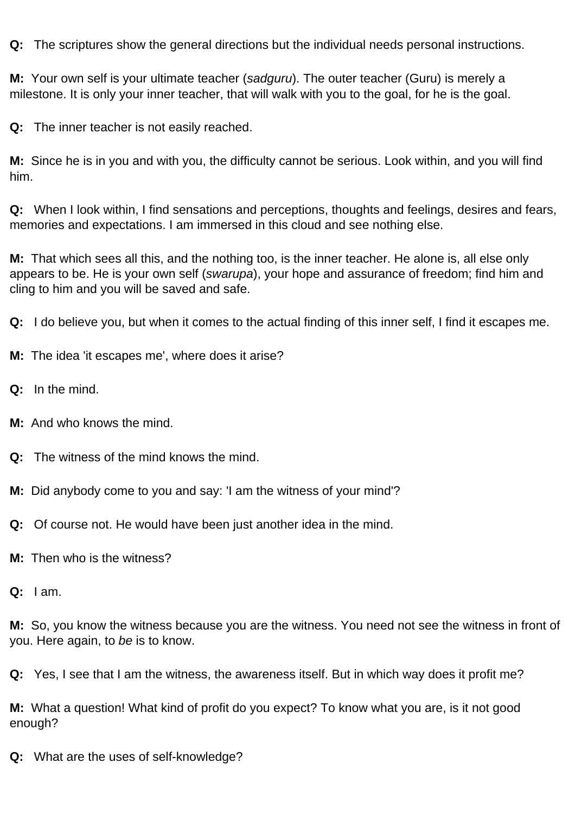**Q:** The scriptures show the general directions but the individual needs personal instructions.

**M:** Your own self is your ultimate teacher (*sadguru*). The outer teacher (Guru) is merely a milestone. It is only your inner teacher, that will walk with you to the goal, for he is the goal.

**Q:** The inner teacher is not easily reached.

**M:** Since he is in you and with you, the difficulty cannot be serious. Look within, and you will find him.

**Q:** When I look within, I find sensations and perceptions, thoughts and feelings, desires and fears, memories and expectations. I am immersed in this cloud and see nothing else.

**M:** That which sees all this, and the nothing too, is the inner teacher. He alone is, all else only appears to be. He is your own self (*swarupa*), your hope and assurance of freedom; find him and cling to him and you will be saved and safe.

**Q:** I do believe you, but when it comes to the actual finding of this inner self, I find it escapes me.

- **M:** The idea 'it escapes me', where does it arise?
- **Q:** In the mind.
- **M:** And who knows the mind.
- **Q:** The witness of the mind knows the mind.
- **M:** Did anybody come to you and say: 'I am the witness of your mind'?
- **Q:** Of course not. He would have been just another idea in the mind.
- **M:** Then who is the witness?
- **Q:** I am.

**M:** So, you know the witness because you are the witness. You need not see the witness in front of you. Here again, to *be* is to know.

**Q:** Yes, I see that I am the witness, the awareness itself. But in which way does it profit me?

**M:** What a question! What kind of profit do you expect? To know what you are, is it not good enough?

**Q:** What are the uses of self-knowledge?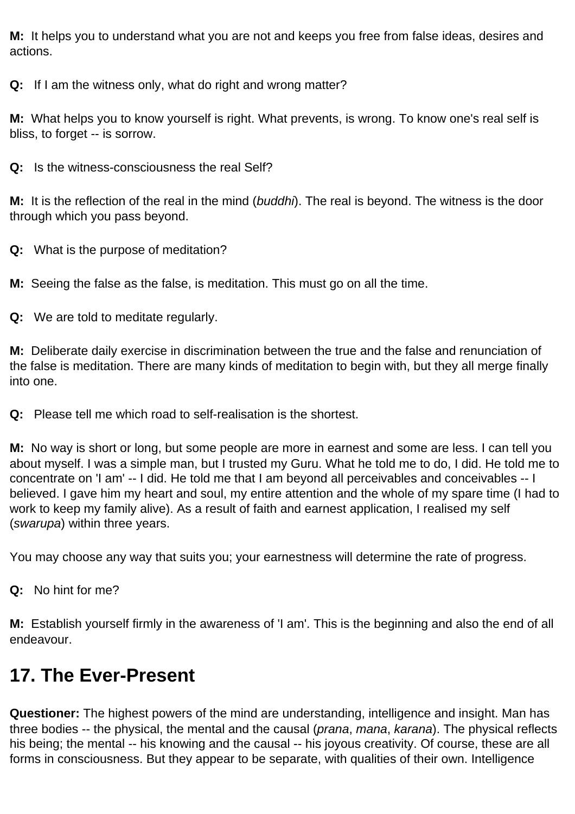**M:** It helps you to understand what you are not and keeps you free from false ideas, desires and actions.

**Q:** If I am the witness only, what do right and wrong matter?

**M:** What helps you to know yourself is right. What prevents, is wrong. To know one's real self is bliss, to forget -- is sorrow.

**Q:** Is the witness-consciousness the real Self?

**M:** It is the reflection of the real in the mind (*buddhi*). The real is beyond. The witness is the door through which you pass beyond.

**Q:** What is the purpose of meditation?

**M:** Seeing the false as the false, is meditation. This must go on all the time.

**Q:** We are told to meditate regularly.

**M:** Deliberate daily exercise in discrimination between the true and the false and renunciation of the false is meditation. There are many kinds of meditation to begin with, but they all merge finally into one.

**Q:** Please tell me which road to self-realisation is the shortest.

**M:** No way is short or long, but some people are more in earnest and some are less. I can tell you about myself. I was a simple man, but I trusted my Guru. What he told me to do, I did. He told me to concentrate on 'I am' -- I did. He told me that I am beyond all perceivables and conceivables -- I believed. I gave him my heart and soul, my entire attention and the whole of my spare time (I had to work to keep my family alive). As a result of faith and earnest application, I realised my self (*swarupa*) within three years.

You may choose any way that suits you; your earnestness will determine the rate of progress.

**Q:** No hint for me?

**M:** Establish yourself firmly in the awareness of 'I am'. This is the beginning and also the end of all endeavour.

## **17. The Ever-Present**

**Questioner:** The highest powers of the mind are understanding, intelligence and insight. Man has three bodies -- the physical, the mental and the causal (*prana*, *mana*, *karana*). The physical reflects his being; the mental -- his knowing and the causal -- his joyous creativity. Of course, these are all forms in consciousness. But they appear to be separate, with qualities of their own. Intelligence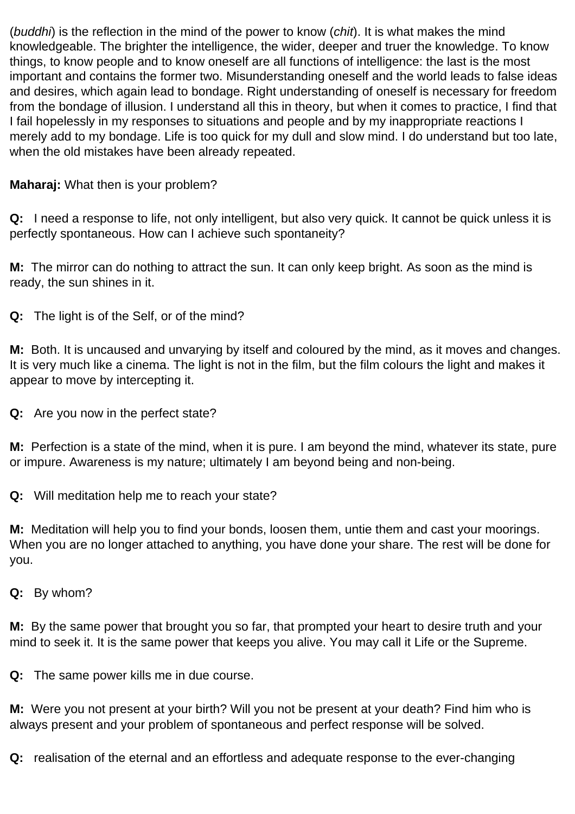(*buddhi*) is the reflection in the mind of the power to know (*chit*). It is what makes the mind knowledgeable. The brighter the intelligence, the wider, deeper and truer the knowledge. To know things, to know people and to know oneself are all functions of intelligence: the last is the most important and contains the former two. Misunderstanding oneself and the world leads to false ideas and desires, which again lead to bondage. Right understanding of oneself is necessary for freedom from the bondage of illusion. I understand all this in theory, but when it comes to practice, I find that I fail hopelessly in my responses to situations and people and by my inappropriate reactions I merely add to my bondage. Life is too quick for my dull and slow mind. I do understand but too late, when the old mistakes have been already repeated.

**Maharaj:** What then is your problem?

**Q:** I need a response to life, not only intelligent, but also very quick. It cannot be quick unless it is perfectly spontaneous. How can I achieve such spontaneity?

**M:** The mirror can do nothing to attract the sun. It can only keep bright. As soon as the mind is ready, the sun shines in it.

**Q:** The light is of the Self, or of the mind?

**M:** Both. It is uncaused and unvarying by itself and coloured by the mind, as it moves and changes. It is very much like a cinema. The light is not in the film, but the film colours the light and makes it appear to move by intercepting it.

**Q:** Are you now in the perfect state?

**M:** Perfection is a state of the mind, when it is pure. I am beyond the mind, whatever its state, pure or impure. Awareness is my nature; ultimately I am beyond being and non-being.

**Q:** Will meditation help me to reach your state?

**M:** Meditation will help you to find your bonds, loosen them, untie them and cast your moorings. When you are no longer attached to anything, you have done your share. The rest will be done for you.

**Q:** By whom?

**M:** By the same power that brought you so far, that prompted your heart to desire truth and your mind to seek it. It is the same power that keeps you alive. You may call it Life or the Supreme.

**Q:** The same power kills me in due course.

**M:** Were you not present at your birth? Will you not be present at your death? Find him who is always present and your problem of spontaneous and perfect response will be solved.

**Q:** realisation of the eternal and an effortless and adequate response to the ever-changing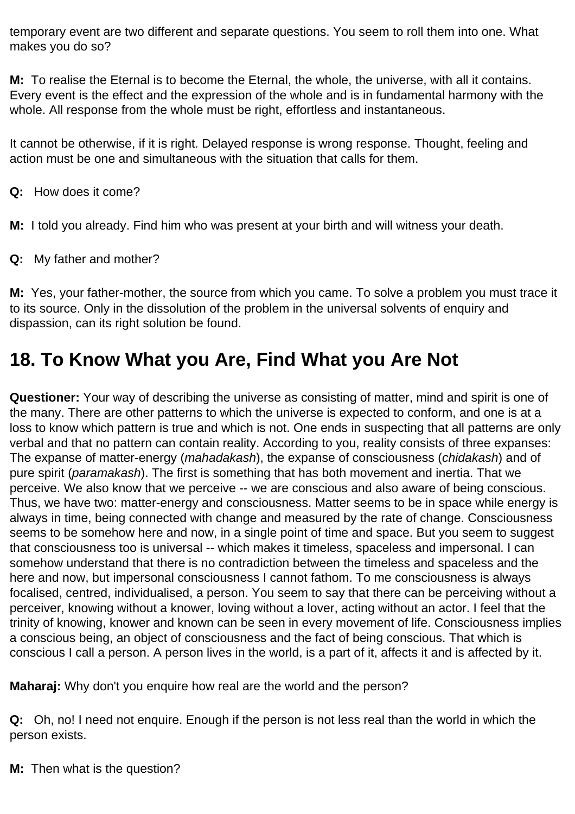temporary event are two different and separate questions. You seem to roll them into one. What makes you do so?

**M:** To realise the Eternal is to become the Eternal, the whole, the universe, with all it contains. Every event is the effect and the expression of the whole and is in fundamental harmony with the whole. All response from the whole must be right, effortless and instantaneous.

It cannot be otherwise, if it is right. Delayed response is wrong response. Thought, feeling and action must be one and simultaneous with the situation that calls for them.

**Q:** How does it come?

**M:** I told you already. Find him who was present at your birth and will witness your death.

**Q:** My father and mother?

**M:** Yes, your father-mother, the source from which you came. To solve a problem you must trace it to its source. Only in the dissolution of the problem in the universal solvents of enquiry and dispassion, can its right solution be found.

## **18. To Know What you Are, Find What you Are Not**

**Questioner:** Your way of describing the universe as consisting of matter, mind and spirit is one of the many. There are other patterns to which the universe is expected to conform, and one is at a loss to know which pattern is true and which is not. One ends in suspecting that all patterns are only verbal and that no pattern can contain reality. According to you, reality consists of three expanses: The expanse of matter-energy (*mahadakash*), the expanse of consciousness (*chidakash*) and of pure spirit (*paramakash*). The first is something that has both movement and inertia. That we perceive. We also know that we perceive -- we are conscious and also aware of being conscious. Thus, we have two: matter-energy and consciousness. Matter seems to be in space while energy is always in time, being connected with change and measured by the rate of change. Consciousness seems to be somehow here and now, in a single point of time and space. But you seem to suggest that consciousness too is universal -- which makes it timeless, spaceless and impersonal. I can somehow understand that there is no contradiction between the timeless and spaceless and the here and now, but impersonal consciousness I cannot fathom. To me consciousness is always focalised, centred, individualised, a person. You seem to say that there can be perceiving without a perceiver, knowing without a knower, loving without a lover, acting without an actor. I feel that the trinity of knowing, knower and known can be seen in every movement of life. Consciousness implies a conscious being, an object of consciousness and the fact of being conscious. That which is conscious I call a person. A person lives in the world, is a part of it, affects it and is affected by it.

**Maharaj:** Why don't you enquire how real are the world and the person?

**Q:** Oh, no! I need not enquire. Enough if the person is not less real than the world in which the person exists.

**M:** Then what is the question?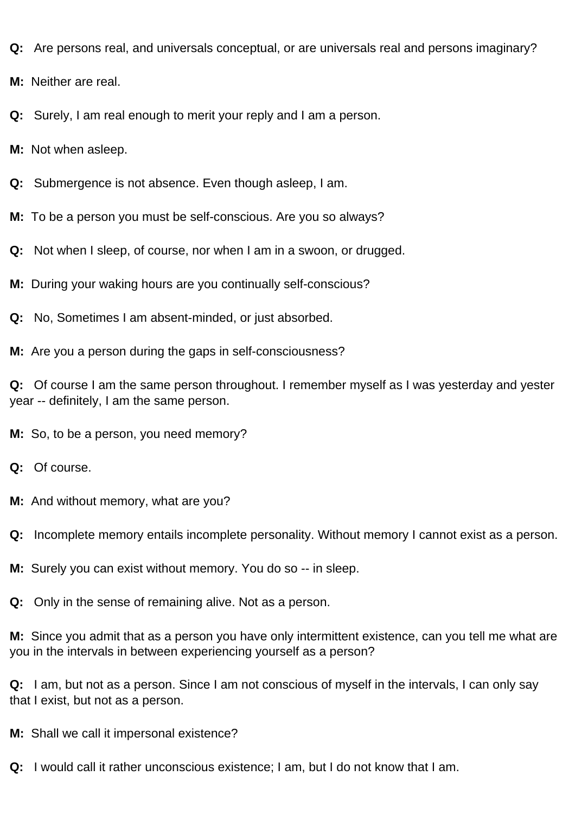**Q:** Are persons real, and universals conceptual, or are universals real and persons imaginary?

**M:** Neither are real.

**Q:** Surely, I am real enough to merit your reply and I am a person.

**M:** Not when asleep.

**Q:** Submergence is not absence. Even though asleep, I am.

**M:** To be a person you must be self-conscious. Are you so always?

**Q:** Not when I sleep, of course, nor when I am in a swoon, or drugged.

**M:** During your waking hours are you continually self-conscious?

**Q:** No, Sometimes I am absent-minded, or just absorbed.

**M:** Are you a person during the gaps in self-consciousness?

**Q:** Of course I am the same person throughout. I remember myself as I was yesterday and yester year -- definitely, I am the same person.

**M:** So, to be a person, you need memory?

**Q:** Of course.

**M:** And without memory, what are you?

**Q:** Incomplete memory entails incomplete personality. Without memory I cannot exist as a person.

**M:** Surely you can exist without memory. You do so -- in sleep.

**Q:** Only in the sense of remaining alive. Not as a person.

**M:** Since you admit that as a person you have only intermittent existence, can you tell me what are you in the intervals in between experiencing yourself as a person?

**Q:** I am, but not as a person. Since I am not conscious of myself in the intervals, I can only say that I exist, but not as a person.

**M:** Shall we call it impersonal existence?

**Q:** I would call it rather unconscious existence; I am, but I do not know that I am.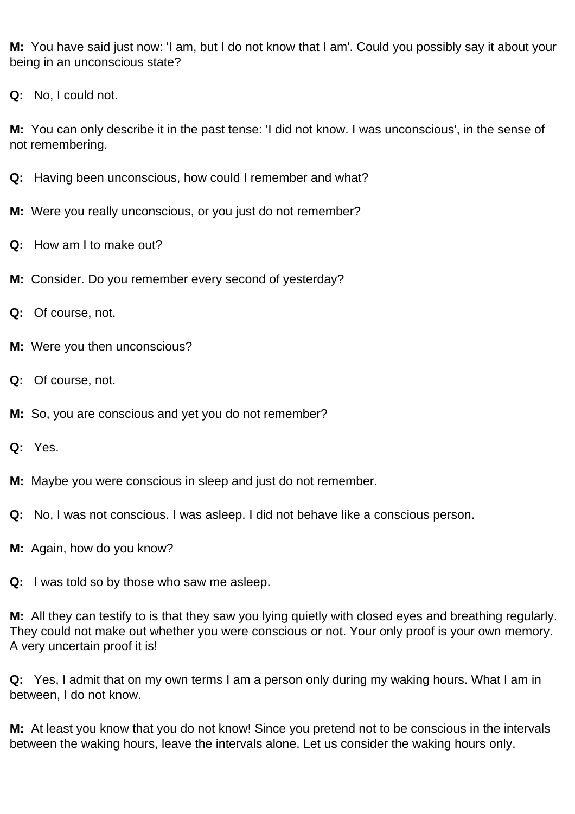**M:** You have said just now: 'I am, but I do not know that I am'. Could you possibly say it about your being in an unconscious state?

**Q:** No, I could not.

**M:** You can only describe it in the past tense: 'I did not know. I was unconscious', in the sense of not remembering.

- **Q:** Having been unconscious, how could I remember and what?
- **M:** Were you really unconscious, or you just do not remember?
- **Q:** How am I to make out?
- **M:** Consider. Do you remember every second of yesterday?
- **Q:** Of course, not.
- **M:** Were you then unconscious?
- **Q:** Of course, not.
- **M:** So, you are conscious and yet you do not remember?
- **Q:** Yes.
- **M:** Maybe you were conscious in sleep and just do not remember.
- **Q:** No, I was not conscious. I was asleep. I did not behave like a conscious person.
- **M:** Again, how do you know?
- **Q:** I was told so by those who saw me asleep.

**M:** All they can testify to is that they saw you lying quietly with closed eyes and breathing regularly. They could not make out whether you were conscious or not. Your only proof is your own memory. A very uncertain proof it is!

**Q:** Yes, I admit that on my own terms I am a person only during my waking hours. What I am in between, I do not know.

**M:** At least you know that you do not know! Since you pretend not to be conscious in the intervals between the waking hours, leave the intervals alone. Let us consider the waking hours only.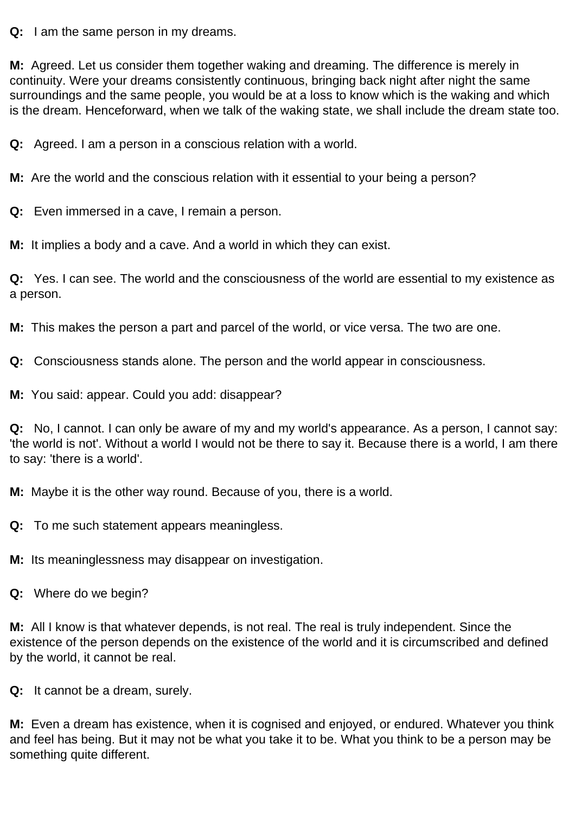**Q:** I am the same person in my dreams.

**M:** Agreed. Let us consider them together waking and dreaming. The difference is merely in continuity. Were your dreams consistently continuous, bringing back night after night the same surroundings and the same people, you would be at a loss to know which is the waking and which is the dream. Henceforward, when we talk of the waking state, we shall include the dream state too.

**Q:** Agreed. I am a person in a conscious relation with a world.

**M:** Are the world and the conscious relation with it essential to your being a person?

**Q:** Even immersed in a cave, I remain a person.

**M:** It implies a body and a cave. And a world in which they can exist.

**Q:** Yes. I can see. The world and the consciousness of the world are essential to my existence as a person.

**M:** This makes the person a part and parcel of the world, or vice versa. The two are one.

**Q:** Consciousness stands alone. The person and the world appear in consciousness.

**M:** You said: appear. Could you add: disappear?

**Q:** No, I cannot. I can only be aware of my and my world's appearance. As a person, I cannot say: 'the world is not'. Without a world I would not be there to say it. Because there is a world, I am there to say: 'there is a world'.

**M:** Maybe it is the other way round. Because of you, there is a world.

**Q:** To me such statement appears meaningless.

**M:** Its meaninglessness may disappear on investigation.

**Q:** Where do we begin?

**M:** All I know is that whatever depends, is not real. The real is truly independent. Since the existence of the person depends on the existence of the world and it is circumscribed and defined by the world, it cannot be real.

**Q:** It cannot be a dream, surely.

**M:** Even a dream has existence, when it is cognised and enjoyed, or endured. Whatever you think and feel has being. But it may not be what you take it to be. What you think to be a person may be something quite different.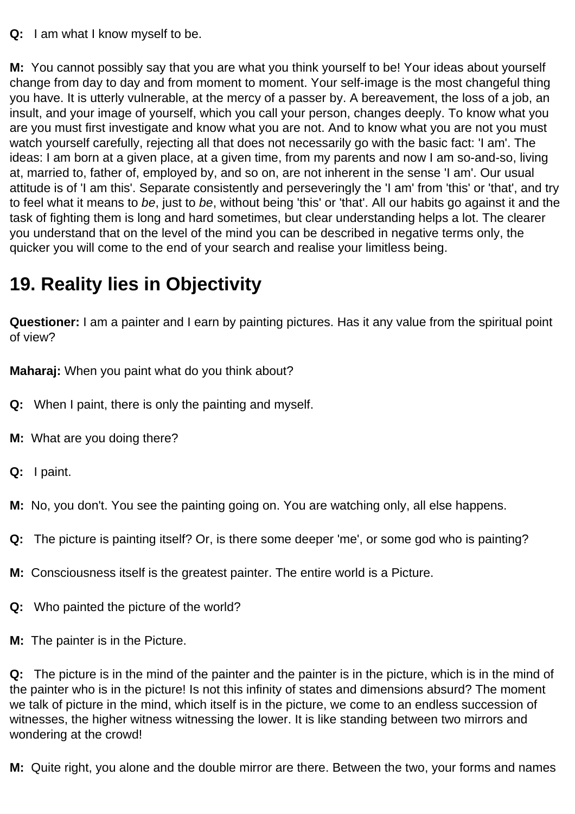**Q:** I am what I know myself to be.

**M:** You cannot possibly say that you are what you think yourself to be! Your ideas about yourself change from day to day and from moment to moment. Your self-image is the most changeful thing you have. It is utterly vulnerable, at the mercy of a passer by. A bereavement, the loss of a job, an insult, and your image of yourself, which you call your person, changes deeply. To know what you are you must first investigate and know what you are not. And to know what you are not you must watch yourself carefully, rejecting all that does not necessarily go with the basic fact: 'I am'. The ideas: I am born at a given place, at a given time, from my parents and now I am so-and-so, living at, married to, father of, employed by, and so on, are not inherent in the sense 'I am'. Our usual attitude is of 'I am this'. Separate consistently and perseveringly the 'I am' from 'this' or 'that', and try to feel what it means to *be*, just to *be*, without being 'this' or 'that'. All our habits go against it and the task of fighting them is long and hard sometimes, but clear understanding helps a lot. The clearer you understand that on the level of the mind you can be described in negative terms only, the quicker you will come to the end of your search and realise your limitless being.

# **19. Reality lies in Objectivity**

**Questioner:** I am a painter and I earn by painting pictures. Has it any value from the spiritual point of view?

**Maharaj:** When you paint what do you think about?

- **Q:** When I paint, there is only the painting and myself.
- **M:** What are you doing there?
- **Q:** I paint.
- **M:** No, you don't. You see the painting going on. You are watching only, all else happens.
- **Q:** The picture is painting itself? Or, is there some deeper 'me', or some god who is painting?
- **M:** Consciousness itself is the greatest painter. The entire world is a Picture.
- **Q:** Who painted the picture of the world?
- **M:** The painter is in the Picture.

**Q:** The picture is in the mind of the painter and the painter is in the picture, which is in the mind of the painter who is in the picture! Is not this infinity of states and dimensions absurd? The moment we talk of picture in the mind, which itself is in the picture, we come to an endless succession of witnesses, the higher witness witnessing the lower. It is like standing between two mirrors and wondering at the crowd!

**M:** Quite right, you alone and the double mirror are there. Between the two, your forms and names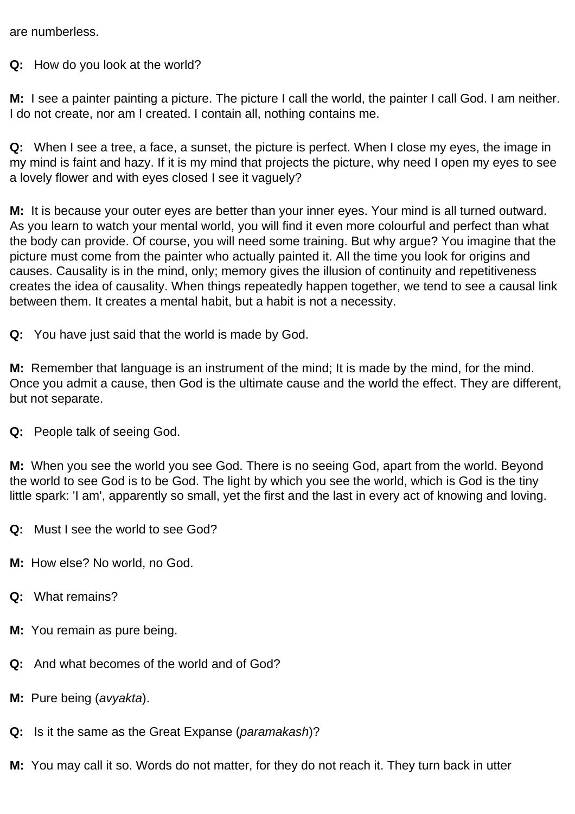#### are numberless.

**Q:** How do you look at the world?

**M:** I see a painter painting a picture. The picture I call the world, the painter I call God. I am neither. I do not create, nor am I created. I contain all, nothing contains me.

**Q:** When I see a tree, a face, a sunset, the picture is perfect. When I close my eyes, the image in my mind is faint and hazy. If it is my mind that projects the picture, why need I open my eyes to see a lovely flower and with eyes closed I see it vaguely?

**M:** It is because your outer eyes are better than your inner eyes. Your mind is all turned outward. As you learn to watch your mental world, you will find it even more colourful and perfect than what the body can provide. Of course, you will need some training. But why argue? You imagine that the picture must come from the painter who actually painted it. All the time you look for origins and causes. Causality is in the mind, only; memory gives the illusion of continuity and repetitiveness creates the idea of causality. When things repeatedly happen together, we tend to see a causal link between them. It creates a mental habit, but a habit is not a necessity.

**Q:** You have just said that the world is made by God.

**M:** Remember that language is an instrument of the mind; It is made by the mind, for the mind. Once you admit a cause, then God is the ultimate cause and the world the effect. They are different, but not separate.

**Q:** People talk of seeing God.

**M:** When you see the world you see God. There is no seeing God, apart from the world. Beyond the world to see God is to be God. The light by which you see the world, which is God is the tiny little spark: 'I am', apparently so small, yet the first and the last in every act of knowing and loving.

- **Q:** Must I see the world to see God?
- **M:** How else? No world, no God.
- **Q:** What remains?
- **M:** You remain as pure being.
- **Q:** And what becomes of the world and of God?
- **M:** Pure being (*avyakta*).
- **Q:** Is it the same as the Great Expanse (*paramakash*)?
- **M:** You may call it so. Words do not matter, for they do not reach it. They turn back in utter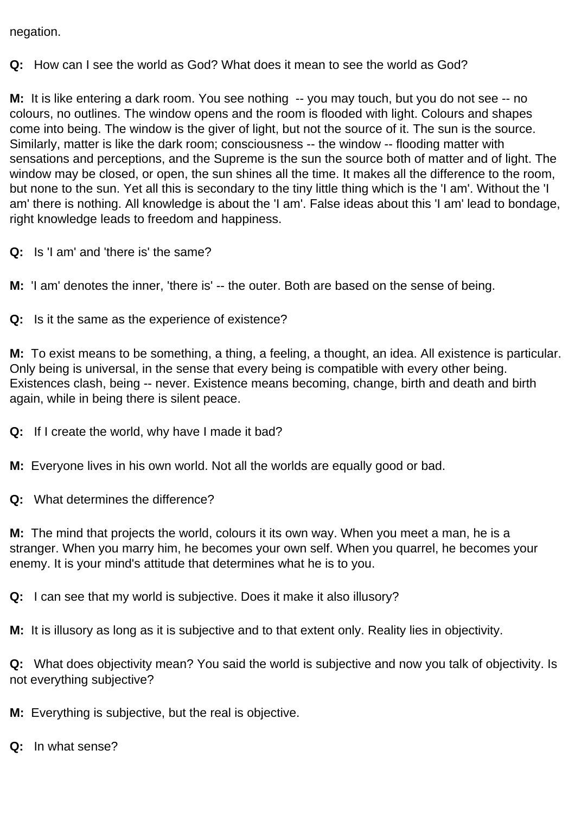negation.

**Q:** How can I see the world as God? What does it mean to see the world as God?

**M:** It is like entering a dark room. You see nothing -- you may touch, but you do not see -- no colours, no outlines. The window opens and the room is flooded with light. Colours and shapes come into being. The window is the giver of light, but not the source of it. The sun is the source. Similarly, matter is like the dark room; consciousness -- the window -- flooding matter with sensations and perceptions, and the Supreme is the sun the source both of matter and of light. The window may be closed, or open, the sun shines all the time. It makes all the difference to the room, but none to the sun. Yet all this is secondary to the tiny little thing which is the 'I am'. Without the 'I am' there is nothing. All knowledge is about the 'I am'. False ideas about this 'I am' lead to bondage, right knowledge leads to freedom and happiness.

**Q:** Is 'I am' and 'there is' the same?

**M:** 'I am' denotes the inner, 'there is' -- the outer. Both are based on the sense of being.

**Q:** Is it the same as the experience of existence?

**M:** To exist means to be something, a thing, a feeling, a thought, an idea. All existence is particular. Only being is universal, in the sense that every being is compatible with every other being. Existences clash, being -- never. Existence means becoming, change, birth and death and birth again, while in being there is silent peace.

**Q:** If I create the world, why have I made it bad?

**M:** Everyone lives in his own world. Not all the worlds are equally good or bad.

**Q:** What determines the difference?

**M:** The mind that projects the world, colours it its own way. When you meet a man, he is a stranger. When you marry him, he becomes your own self. When you quarrel, he becomes your enemy. It is your mind's attitude that determines what he is to you.

**Q:** I can see that my world is subjective. Does it make it also illusory?

**M:** It is illusory as long as it is subjective and to that extent only. Reality lies in objectivity.

**Q:** What does objectivity mean? You said the world is subjective and now you talk of objectivity. Is not everything subjective?

**M:** Everything is subjective, but the real is objective.

**Q:** In what sense?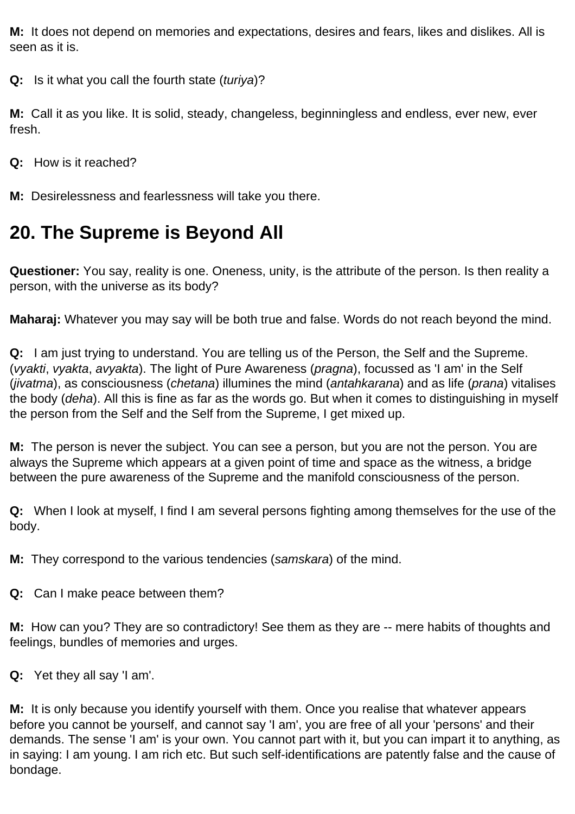**M:** It does not depend on memories and expectations, desires and fears, likes and dislikes. All is seen as it is.

**Q:** Is it what you call the fourth state (*turiya*)?

**M:** Call it as you like. It is solid, steady, changeless, beginningless and endless, ever new, ever fresh.

**Q:** How is it reached?

**M:** Desirelessness and fearlessness will take you there.

## **20. The Supreme is Beyond All**

**Questioner:** You say, reality is one. Oneness, unity, is the attribute of the person. Is then reality a person, with the universe as its body?

**Maharaj:** Whatever you may say will be both true and false. Words do not reach beyond the mind.

**Q:** I am just trying to understand. You are telling us of the Person, the Self and the Supreme. (*vyakti*, *vyakta*, *avyakta*). The light of Pure Awareness (*pragna*), focussed as 'I am' in the Self (*jivatma*), as consciousness (*chetana*) illumines the mind (*antahkarana*) and as life (*prana*) vitalises the body (*deha*). All this is fine as far as the words go. But when it comes to distinguishing in myself the person from the Self and the Self from the Supreme, I get mixed up.

**M:** The person is never the subject. You can see a person, but you are not the person. You are always the Supreme which appears at a given point of time and space as the witness, a bridge between the pure awareness of the Supreme and the manifold consciousness of the person.

**Q:** When I look at myself, I find I am several persons fighting among themselves for the use of the body.

**M:** They correspond to the various tendencies (*samskara*) of the mind.

**Q:** Can I make peace between them?

**M:** How can you? They are so contradictory! See them as they are -- mere habits of thoughts and feelings, bundles of memories and urges.

**Q:** Yet they all say 'I am'.

**M:** It is only because you identify yourself with them. Once you realise that whatever appears before you cannot be yourself, and cannot say 'I am', you are free of all your 'persons' and their demands. The sense 'I am' is your own. You cannot part with it, but you can impart it to anything, as in saying: I am young. I am rich etc. But such self-identifications are patently false and the cause of bondage.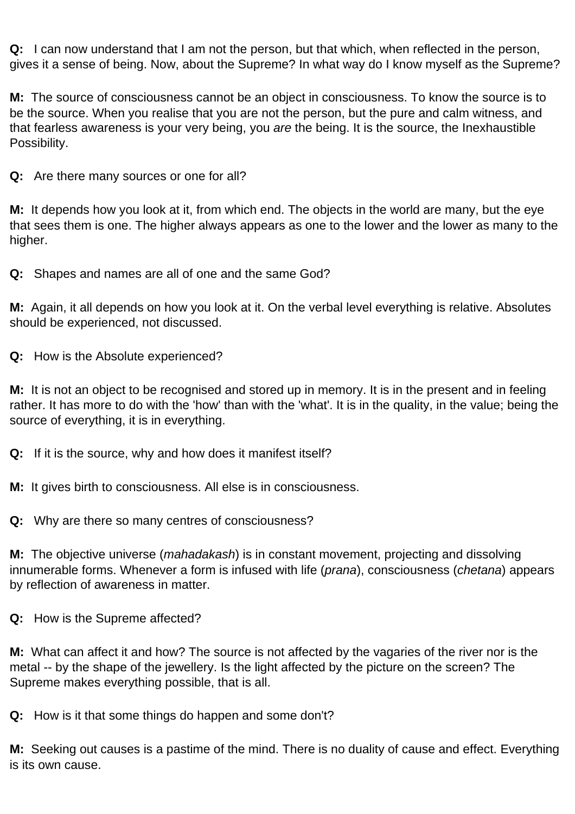**Q:** I can now understand that I am not the person, but that which, when reflected in the person, gives it a sense of being. Now, about the Supreme? In what way do I know myself as the Supreme?

**M:** The source of consciousness cannot be an object in consciousness. To know the source is to be the source. When you realise that you are not the person, but the pure and calm witness, and that fearless awareness is your very being, you *are* the being. It is the source, the Inexhaustible Possibility.

**Q:** Are there many sources or one for all?

**M:** It depends how you look at it, from which end. The objects in the world are many, but the eye that sees them is one. The higher always appears as one to the lower and the lower as many to the higher.

**Q:** Shapes and names are all of one and the same God?

**M:** Again, it all depends on how you look at it. On the verbal level everything is relative. Absolutes should be experienced, not discussed.

**Q:** How is the Absolute experienced?

**M:** It is not an object to be recognised and stored up in memory. It is in the present and in feeling rather. It has more to do with the 'how' than with the 'what'. It is in the quality, in the value; being the source of everything, it is in everything.

**Q:** If it is the source, why and how does it manifest itself?

**M:** It gives birth to consciousness. All else is in consciousness.

**Q:** Why are there so many centres of consciousness?

**M:** The objective universe (*mahadakash*) is in constant movement, projecting and dissolving innumerable forms. Whenever a form is infused with life (*prana*), consciousness (*chetana*) appears by reflection of awareness in matter.

**Q:** How is the Supreme affected?

**M:** What can affect it and how? The source is not affected by the vagaries of the river nor is the metal -- by the shape of the jewellery. Is the light affected by the picture on the screen? The Supreme makes everything possible, that is all.

**Q:** How is it that some things do happen and some don't?

**M:** Seeking out causes is a pastime of the mind. There is no duality of cause and effect. Everything is its own cause.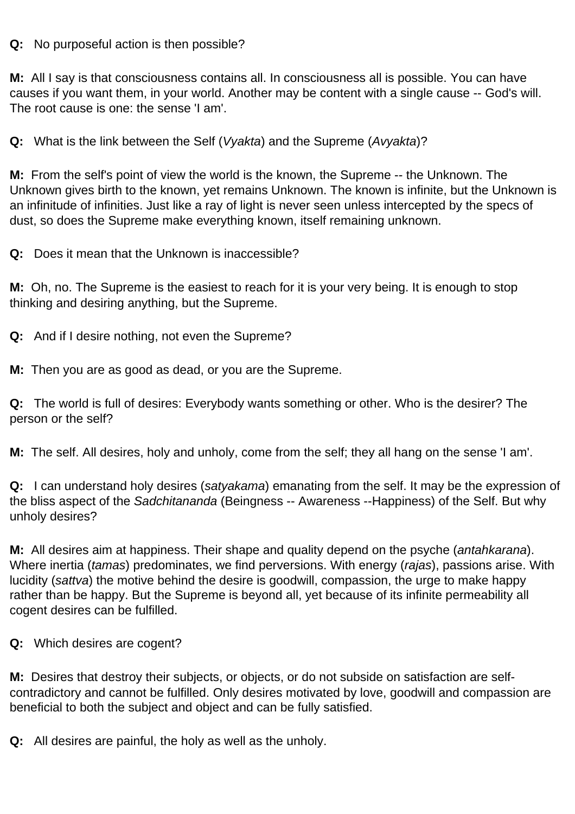**Q:** No purposeful action is then possible?

**M:** All I say is that consciousness contains all. In consciousness all is possible. You can have causes if you want them, in your world. Another may be content with a single cause -- God's will. The root cause is one: the sense 'I am'.

**Q:** What is the link between the Self (*Vyakta*) and the Supreme (*Avyakta*)?

**M:** From the self's point of view the world is the known, the Supreme -- the Unknown. The Unknown gives birth to the known, yet remains Unknown. The known is infinite, but the Unknown is an infinitude of infinities. Just like a ray of light is never seen unless intercepted by the specs of dust, so does the Supreme make everything known, itself remaining unknown.

**Q:** Does it mean that the Unknown is inaccessible?

**M:** Oh, no. The Supreme is the easiest to reach for it is your very being. It is enough to stop thinking and desiring anything, but the Supreme.

**Q:** And if I desire nothing, not even the Supreme?

**M:** Then you are as good as dead, or you are the Supreme.

**Q:** The world is full of desires: Everybody wants something or other. Who is the desirer? The person or the self?

**M:** The self. All desires, holy and unholy, come from the self; they all hang on the sense 'I am'.

**Q:** I can understand holy desires (*satyakama*) emanating from the self. It may be the expression of the bliss aspect of the *Sadchitananda* (Beingness -- Awareness --Happiness) of the Self. But why unholy desires?

**M:** All desires aim at happiness. Their shape and quality depend on the psyche (*antahkarana*). Where inertia (*tamas*) predominates, we find perversions. With energy (*rajas*), passions arise. With lucidity (*sattva*) the motive behind the desire is goodwill, compassion, the urge to make happy rather than be happy. But the Supreme is beyond all, yet because of its infinite permeability all cogent desires can be fulfilled.

**Q:** Which desires are cogent?

**M:** Desires that destroy their subjects, or objects, or do not subside on satisfaction are selfcontradictory and cannot be fulfilled. Only desires motivated by love, goodwill and compassion are beneficial to both the subject and object and can be fully satisfied.

**Q:** All desires are painful, the holy as well as the unholy.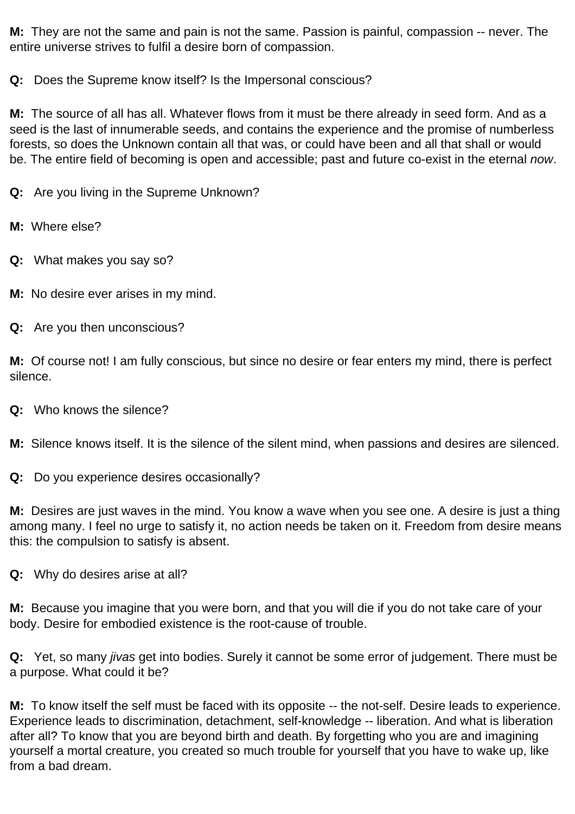**M:** They are not the same and pain is not the same. Passion is painful, compassion -- never. The entire universe strives to fulfil a desire born of compassion.

**Q:** Does the Supreme know itself? Is the Impersonal conscious?

**M:** The source of all has all. Whatever flows from it must be there already in seed form. And as a seed is the last of innumerable seeds, and contains the experience and the promise of numberless forests, so does the Unknown contain all that was, or could have been and all that shall or would be. The entire field of becoming is open and accessible; past and future co-exist in the eternal *now*.

**Q:** Are you living in the Supreme Unknown?

**M:** Where else?

- **Q:** What makes you say so?
- **M:** No desire ever arises in my mind.
- **Q:** Are you then unconscious?

**M:** Of course not! I am fully conscious, but since no desire or fear enters my mind, there is perfect silence.

**Q:** Who knows the silence?

**M:** Silence knows itself. It is the silence of the silent mind, when passions and desires are silenced.

**Q:** Do you experience desires occasionally?

**M:** Desires are just waves in the mind. You know a wave when you see one. A desire is just a thing among many. I feel no urge to satisfy it, no action needs be taken on it. Freedom from desire means this: the compulsion to satisfy is absent.

**Q:** Why do desires arise at all?

**M:** Because you imagine that you were born, and that you will die if you do not take care of your body. Desire for embodied existence is the root-cause of trouble.

**Q:** Yet, so many *jivas* get into bodies. Surely it cannot be some error of judgement. There must be a purpose. What could it be?

**M:** To know itself the self must be faced with its opposite -- the not-self. Desire leads to experience. Experience leads to discrimination, detachment, self-knowledge -- liberation. And what is liberation after all? To know that you are beyond birth and death. By forgetting who you are and imagining yourself a mortal creature, you created so much trouble for yourself that you have to wake up, like from a bad dream.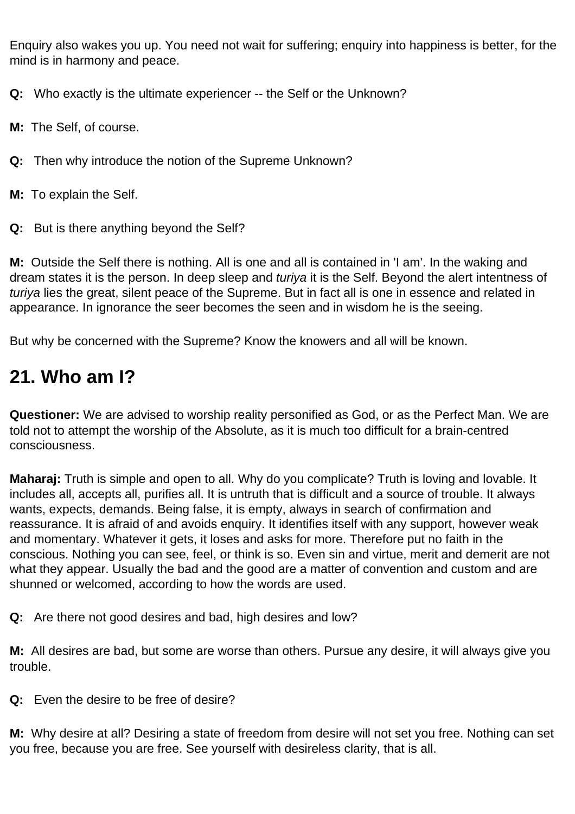Enquiry also wakes you up. You need not wait for suffering; enquiry into happiness is better, for the mind is in harmony and peace.

**Q:** Who exactly is the ultimate experiencer -- the Self or the Unknown?

- **M:** The Self, of course.
- **Q:** Then why introduce the notion of the Supreme Unknown?
- **M:** To explain the Self.
- **Q:** But is there anything beyond the Self?

**M:** Outside the Self there is nothing. All is one and all is contained in 'I am'. In the waking and dream states it is the person. In deep sleep and *turiya* it is the Self. Beyond the alert intentness of *turiya* lies the great, silent peace of the Supreme. But in fact all is one in essence and related in appearance. In ignorance the seer becomes the seen and in wisdom he is the seeing.

But why be concerned with the Supreme? Know the knowers and all will be known.

## **21. Who am I?**

**Questioner:** We are advised to worship reality personified as God, or as the Perfect Man. We are told not to attempt the worship of the Absolute, as it is much too difficult for a brain-centred consciousness.

**Maharaj:** Truth is simple and open to all. Why do you complicate? Truth is loving and lovable. It includes all, accepts all, purifies all. It is untruth that is difficult and a source of trouble. It always wants, expects, demands. Being false, it is empty, always in search of confirmation and reassurance. It is afraid of and avoids enquiry. It identifies itself with any support, however weak and momentary. Whatever it gets, it loses and asks for more. Therefore put no faith in the conscious. Nothing you can see, feel, or think is so. Even sin and virtue, merit and demerit are not what they appear. Usually the bad and the good are a matter of convention and custom and are shunned or welcomed, according to how the words are used.

**Q:** Are there not good desires and bad, high desires and low?

**M:** All desires are bad, but some are worse than others. Pursue any desire, it will always give you trouble.

**Q:** Even the desire to be free of desire?

**M:** Why desire at all? Desiring a state of freedom from desire will not set you free. Nothing can set you free, because you are free. See yourself with desireless clarity, that is all.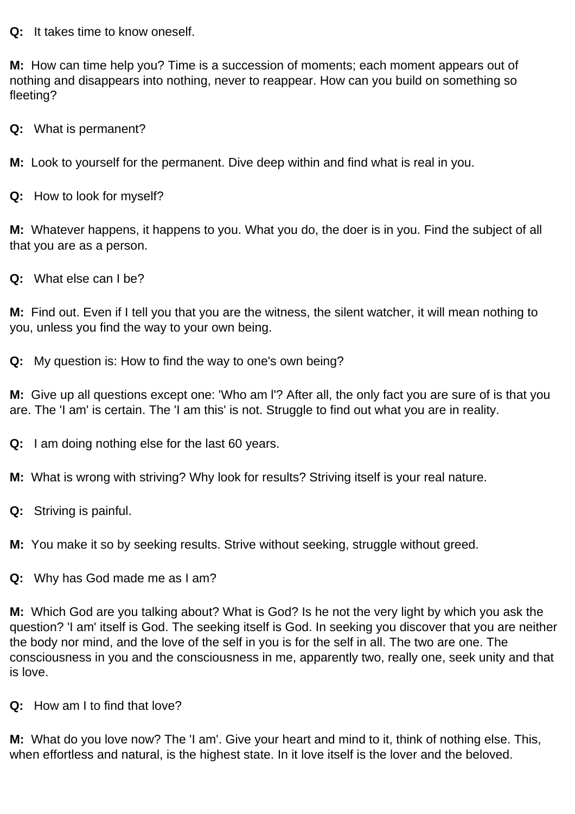**Q:** It takes time to know oneself.

**M:** How can time help you? Time is a succession of moments; each moment appears out of nothing and disappears into nothing, never to reappear. How can you build on something so fleeting?

**Q:** What is permanent?

**M:** Look to yourself for the permanent. Dive deep within and find what is real in you.

**Q:** How to look for myself?

**M:** Whatever happens, it happens to you. What you do, the doer is in you. Find the subject of all that you are as a person.

**Q:** What else can I be?

**M:** Find out. Even if I tell you that you are the witness, the silent watcher, it will mean nothing to you, unless you find the way to your own being.

**Q:** My question is: How to find the way to one's own being?

**M:** Give up all questions except one: 'Who am l'? After all, the only fact you are sure of is that you are. The 'I am' is certain. The 'I am this' is not. Struggle to find out what you are in reality.

**Q:** I am doing nothing else for the last 60 years.

**M:** What is wrong with striving? Why look for results? Striving itself is your real nature.

**Q:** Striving is painful.

**M:** You make it so by seeking results. Strive without seeking, struggle without greed.

**Q:** Why has God made me as I am?

**M:** Which God are you talking about? What is God? Is he not the very light by which you ask the question? 'I am' itself is God. The seeking itself is God. In seeking you discover that you are neither the body nor mind, and the love of the self in you is for the self in all. The two are one. The consciousness in you and the consciousness in me, apparently two, really one, seek unity and that is love.

**Q:** How am I to find that love?

**M:** What do you love now? The 'I am'. Give your heart and mind to it, think of nothing else. This, when effortless and natural, is the highest state. In it love itself is the lover and the beloved.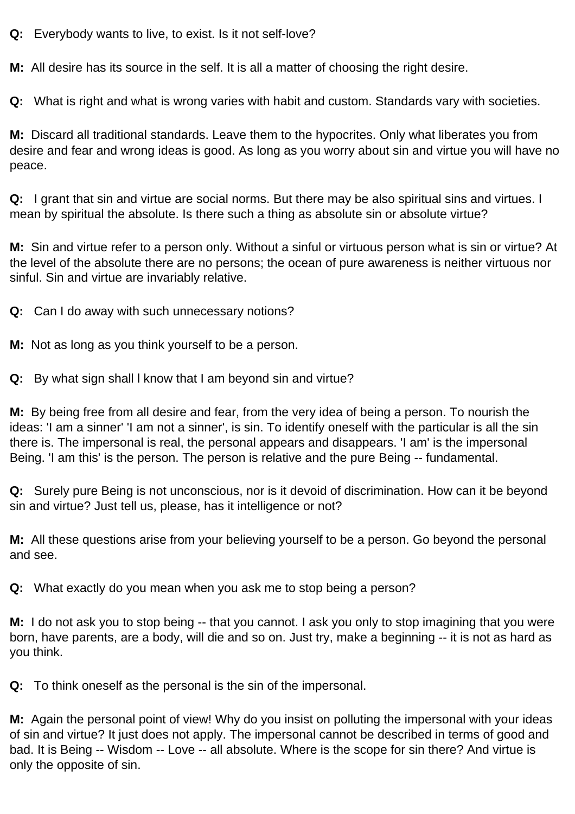**Q:** Everybody wants to live, to exist. Is it not self-love?

**M:** All desire has its source in the self. It is all a matter of choosing the right desire.

**Q:** What is right and what is wrong varies with habit and custom. Standards vary with societies.

**M:** Discard all traditional standards. Leave them to the hypocrites. Only what liberates you from desire and fear and wrong ideas is good. As long as you worry about sin and virtue you will have no peace.

**Q:** I grant that sin and virtue are social norms. But there may be also spiritual sins and virtues. I mean by spiritual the absolute. Is there such a thing as absolute sin or absolute virtue?

**M:** Sin and virtue refer to a person only. Without a sinful or virtuous person what is sin or virtue? At the level of the absolute there are no persons; the ocean of pure awareness is neither virtuous nor sinful. Sin and virtue are invariably relative.

**Q:** Can I do away with such unnecessary notions?

**M:** Not as long as you think yourself to be a person.

**Q:** By what sign shall l know that I am beyond sin and virtue?

**M:** By being free from all desire and fear, from the very idea of being a person. To nourish the ideas: 'I am a sinner' 'I am not a sinner', is sin. To identify oneself with the particular is all the sin there is. The impersonal is real, the personal appears and disappears. 'I am' is the impersonal Being. 'I am this' is the person. The person is relative and the pure Being -- fundamental.

**Q:** Surely pure Being is not unconscious, nor is it devoid of discrimination. How can it be beyond sin and virtue? Just tell us, please, has it intelligence or not?

**M:** All these questions arise from your believing yourself to be a person. Go beyond the personal and see.

**Q:** What exactly do you mean when you ask me to stop being a person?

**M:** I do not ask you to stop being -- that you cannot. I ask you only to stop imagining that you were born, have parents, are a body, will die and so on. Just try, make a beginning -- it is not as hard as you think.

**Q:** To think oneself as the personal is the sin of the impersonal.

**M:** Again the personal point of view! Why do you insist on polluting the impersonal with your ideas of sin and virtue? It just does not apply. The impersonal cannot be described in terms of good and bad. It is Being -- Wisdom -- Love -- all absolute. Where is the scope for sin there? And virtue is only the opposite of sin.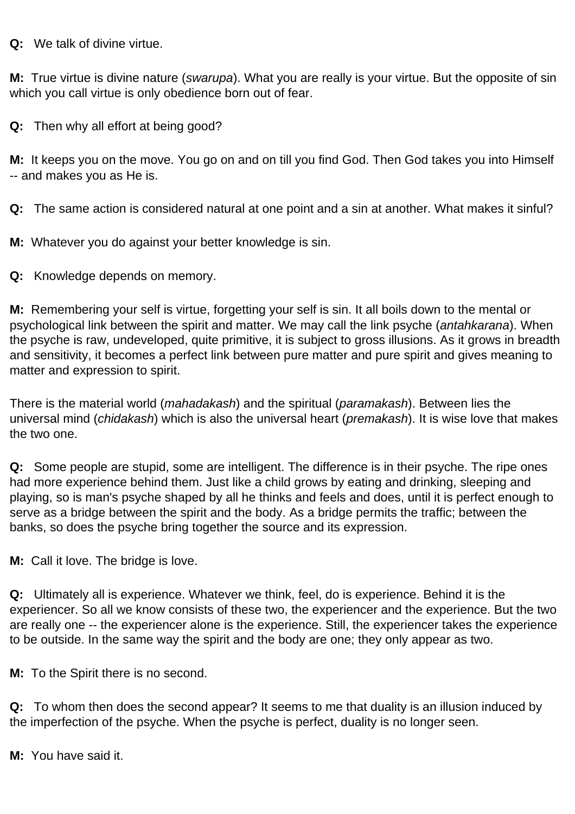**Q:** We talk of divine virtue.

**M:** True virtue is divine nature (*swarupa*). What you are really is your virtue. But the opposite of sin which you call virtue is only obedience born out of fear.

**Q:** Then why all effort at being good?

**M:** It keeps you on the move. You go on and on till you find God. Then God takes you into Himself -- and makes you as He is.

**Q:** The same action is considered natural at one point and a sin at another. What makes it sinful?

- **M:** Whatever you do against your better knowledge is sin.
- **Q:** Knowledge depends on memory.

**M:** Remembering your self is virtue, forgetting your self is sin. It all boils down to the mental or psychological link between the spirit and matter. We may call the link psyche (*antahkarana*). When the psyche is raw, undeveloped, quite primitive, it is subject to gross illusions. As it grows in breadth and sensitivity, it becomes a perfect link between pure matter and pure spirit and gives meaning to matter and expression to spirit.

There is the material world (*mahadakash*) and the spiritual (*paramakash*). Between lies the universal mind (*chidakash*) which is also the universal heart (*premakash*). It is wise love that makes the two one.

**Q:** Some people are stupid, some are intelligent. The difference is in their psyche. The ripe ones had more experience behind them. Just like a child grows by eating and drinking, sleeping and playing, so is man's psyche shaped by all he thinks and feels and does, until it is perfect enough to serve as a bridge between the spirit and the body. As a bridge permits the traffic; between the banks, so does the psyche bring together the source and its expression.

**M:** Call it love. The bridge is love.

**Q:** Ultimately all is experience. Whatever we think, feel, do is experience. Behind it is the experiencer. So all we know consists of these two, the experiencer and the experience. But the two are really one -- the experiencer alone is the experience. Still, the experiencer takes the experience to be outside. In the same way the spirit and the body are one; they only appear as two.

**M:** To the Spirit there is no second.

**Q:** To whom then does the second appear? It seems to me that duality is an illusion induced by the imperfection of the psyche. When the psyche is perfect, duality is no longer seen.

**M:** You have said it.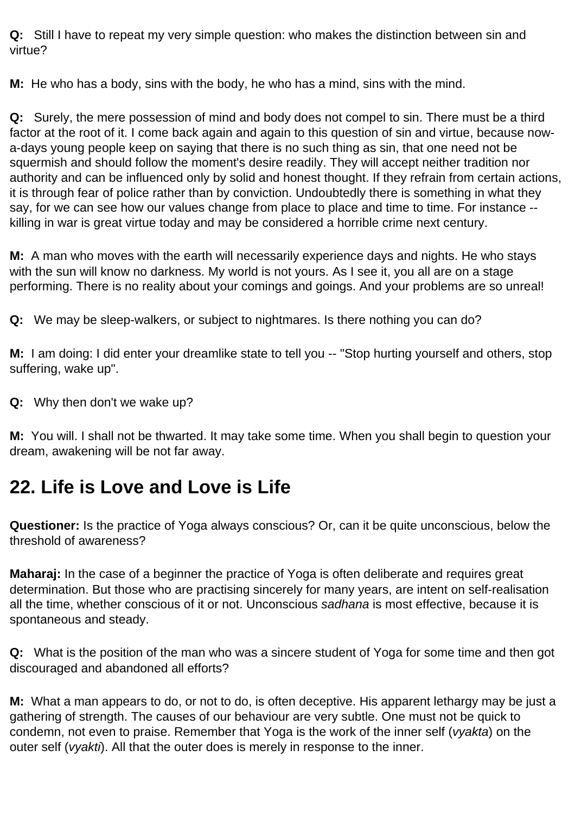**Q:** Still I have to repeat my very simple question: who makes the distinction between sin and virtue?

**M:** He who has a body, sins with the body, he who has a mind, sins with the mind.

**Q:** Surely, the mere possession of mind and body does not compel to sin. There must be a third factor at the root of it. I come back again and again to this question of sin and virtue, because nowa-days young people keep on saying that there is no such thing as sin, that one need not be squermish and should follow the moment's desire readily. They will accept neither tradition nor authority and can be influenced only by solid and honest thought. If they refrain from certain actions, it is through fear of police rather than by conviction. Undoubtedly there is something in what they say, for we can see how our values change from place to place and time to time. For instance - killing in war is great virtue today and may be considered a horrible crime next century.

**M:** A man who moves with the earth will necessarily experience days and nights. He who stays with the sun will know no darkness. My world is not yours. As I see it, you all are on a stage performing. There is no reality about your comings and goings. And your problems are so unreal!

**Q:** We may be sleep-walkers, or subject to nightmares. Is there nothing you can do?

**M:** I am doing: I did enter your dreamlike state to tell you -- "Stop hurting yourself and others, stop suffering, wake up".

**Q:** Why then don't we wake up?

**M:** You will. I shall not be thwarted. It may take some time. When you shall begin to question your dream, awakening will be not far away.

## **22. Life is Love and Love is Life**

**Questioner:** Is the practice of Yoga always conscious? Or, can it be quite unconscious, below the threshold of awareness?

**Maharaj:** In the case of a beginner the practice of Yoga is often deliberate and requires great determination. But those who are practising sincerely for many years, are intent on self-realisation all the time, whether conscious of it or not. Unconscious *sadhana* is most effective, because it is spontaneous and steady.

**Q:** What is the position of the man who was a sincere student of Yoga for some time and then got discouraged and abandoned all efforts?

**M:** What a man appears to do, or not to do, is often deceptive. His apparent lethargy may be just a gathering of strength. The causes of our behaviour are very subtle. One must not be quick to condemn, not even to praise. Remember that Yoga is the work of the inner self (*vyakta*) on the outer self (*vyakti*). All that the outer does is merely in response to the inner.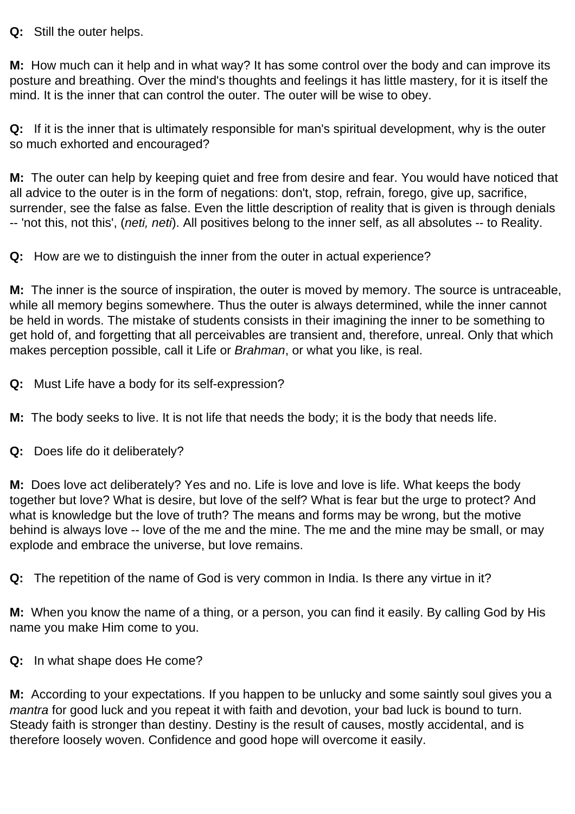**Q:** Still the outer helps.

**M:** How much can it help and in what way? It has some control over the body and can improve its posture and breathing. Over the mind's thoughts and feelings it has little mastery, for it is itself the mind. It is the inner that can control the outer. The outer will be wise to obey.

**Q:** If it is the inner that is ultimately responsible for man's spiritual development, why is the outer so much exhorted and encouraged?

**M:** The outer can help by keeping quiet and free from desire and fear. You would have noticed that all advice to the outer is in the form of negations: don't, stop, refrain, forego, give up, sacrifice, surrender, see the false as false. Even the little description of reality that is given is through denials -- 'not this, not this', (*neti, neti*). All positives belong to the inner self, as all absolutes -- to Reality.

**Q:** How are we to distinguish the inner from the outer in actual experience?

**M:** The inner is the source of inspiration, the outer is moved by memory. The source is untraceable, while all memory begins somewhere. Thus the outer is always determined, while the inner cannot be held in words. The mistake of students consists in their imagining the inner to be something to get hold of, and forgetting that all perceivables are transient and, therefore, unreal. Only that which makes perception possible, call it Life or *Brahman*, or what you like, is real.

**Q:** Must Life have a body for its self-expression?

**M:** The body seeks to live. It is not life that needs the body; it is the body that needs life.

**Q:** Does life do it deliberately?

**M:** Does love act deliberately? Yes and no. Life is love and love is life. What keeps the body together but love? What is desire, but love of the self? What is fear but the urge to protect? And what is knowledge but the love of truth? The means and forms may be wrong, but the motive behind is always love -- love of the me and the mine. The me and the mine may be small, or may explode and embrace the universe, but love remains.

**Q:** The repetition of the name of God is very common in India. Is there any virtue in it?

**M:** When you know the name of a thing, or a person, you can find it easily. By calling God by His name you make Him come to you.

**Q:** In what shape does He come?

**M:** According to your expectations. If you happen to be unlucky and some saintly soul gives you a *mantra* for good luck and you repeat it with faith and devotion, your bad luck is bound to turn. Steady faith is stronger than destiny. Destiny is the result of causes, mostly accidental, and is therefore loosely woven. Confidence and good hope will overcome it easily.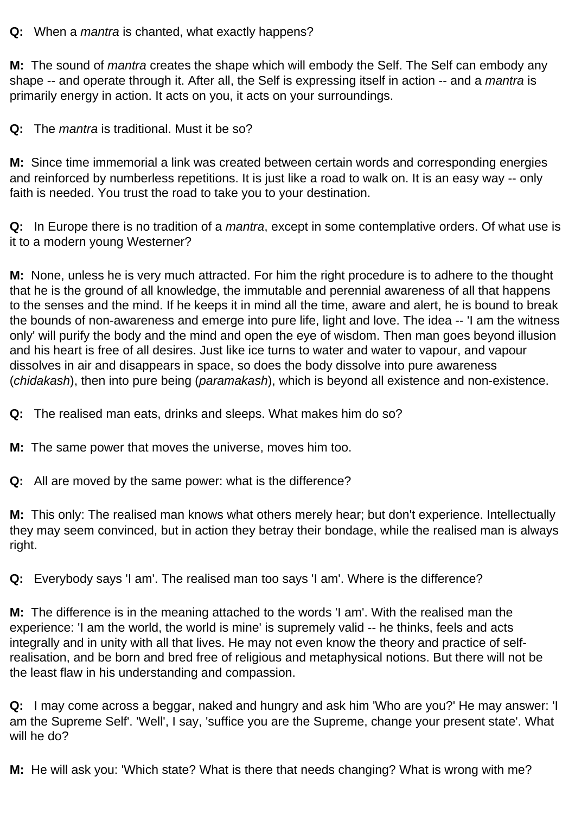#### **Q:** When a *mantra* is chanted, what exactly happens?

**M:** The sound of *mantra* creates the shape which will embody the Self. The Self can embody any shape -- and operate through it. After all, the Self is expressing itself in action -- and a *mantra* is primarily energy in action. It acts on you, it acts on your surroundings.

**Q:** The *mantra* is traditional. Must it be so?

**M:** Since time immemorial a link was created between certain words and corresponding energies and reinforced by numberless repetitions. It is just like a road to walk on. It is an easy way -- only faith is needed. You trust the road to take you to your destination.

**Q:** In Europe there is no tradition of a *mantra*, except in some contemplative orders. Of what use is it to a modern young Westerner?

**M:** None, unless he is very much attracted. For him the right procedure is to adhere to the thought that he is the ground of all knowledge, the immutable and perennial awareness of all that happens to the senses and the mind. If he keeps it in mind all the time, aware and alert, he is bound to break the bounds of non-awareness and emerge into pure life, light and love. The idea -- 'I am the witness only' will purify the body and the mind and open the eye of wisdom. Then man goes beyond illusion and his heart is free of all desires. Just like ice turns to water and water to vapour, and vapour dissolves in air and disappears in space, so does the body dissolve into pure awareness (*chidakash*), then into pure being (*paramakash*), which is beyond all existence and non-existence.

**Q:** The realised man eats, drinks and sleeps. What makes him do so?

**M:** The same power that moves the universe, moves him too.

**Q:** All are moved by the same power: what is the difference?

**M:** This only: The realised man knows what others merely hear; but don't experience. Intellectually they may seem convinced, but in action they betray their bondage, while the realised man is always right.

**Q:** Everybody says 'I am'. The realised man too says 'I am'. Where is the difference?

**M:** The difference is in the meaning attached to the words 'I am'. With the realised man the experience: 'I am the world, the world is mine' is supremely valid -- he thinks, feels and acts integrally and in unity with all that lives. He may not even know the theory and practice of selfrealisation, and be born and bred free of religious and metaphysical notions. But there will not be the least flaw in his understanding and compassion.

**Q:** I may come across a beggar, naked and hungry and ask him 'Who are you?' He may answer: 'I am the Supreme Self'. 'Well', I say, 'suffice you are the Supreme, change your present state'. What will he do?

**M:** He will ask you: 'Which state? What is there that needs changing? What is wrong with me?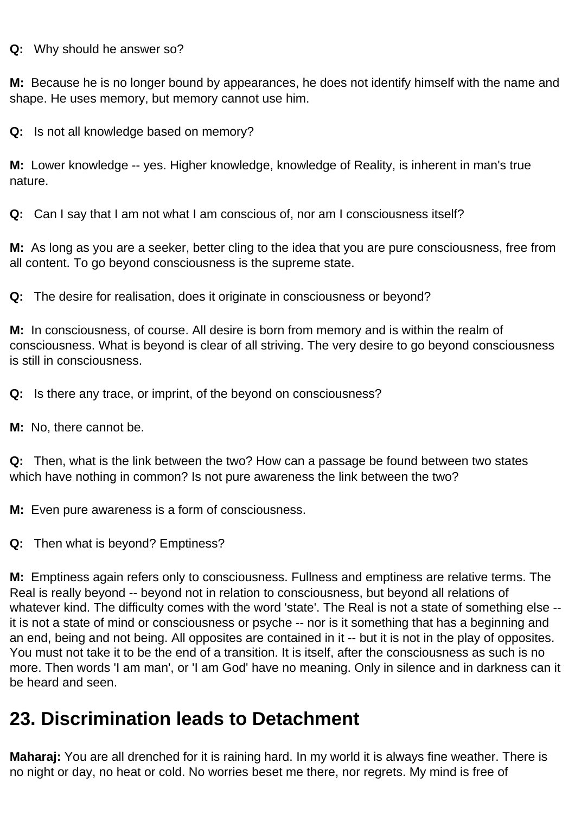#### **Q:** Why should he answer so?

**M:** Because he is no longer bound by appearances, he does not identify himself with the name and shape. He uses memory, but memory cannot use him.

**Q:** Is not all knowledge based on memory?

**M:** Lower knowledge -- yes. Higher knowledge, knowledge of Reality, is inherent in man's true nature.

**Q:** Can I say that I am not what I am conscious of, nor am I consciousness itself?

**M:** As long as you are a seeker, better cling to the idea that you are pure consciousness, free from all content. To go beyond consciousness is the supreme state.

**Q:** The desire for realisation, does it originate in consciousness or beyond?

**M:** In consciousness, of course. All desire is born from memory and is within the realm of consciousness. What is beyond is clear of all striving. The very desire to go beyond consciousness is still in consciousness.

**Q:** Is there any trace, or imprint, of the beyond on consciousness?

**M:** No, there cannot be.

**Q:** Then, what is the link between the two? How can a passage be found between two states which have nothing in common? Is not pure awareness the link between the two?

**M:** Even pure awareness is a form of consciousness.

**Q:** Then what is beyond? Emptiness?

**M:** Emptiness again refers only to consciousness. Fullness and emptiness are relative terms. The Real is really beyond -- beyond not in relation to consciousness, but beyond all relations of whatever kind. The difficulty comes with the word 'state'. The Real is not a state of something else -it is not a state of mind or consciousness or psyche -- nor is it something that has a beginning and an end, being and not being. All opposites are contained in it -- but it is not in the play of opposites. You must not take it to be the end of a transition. It is itself, after the consciousness as such is no more. Then words 'I am man', or 'I am God' have no meaning. Only in silence and in darkness can it be heard and seen.

#### **23. Discrimination leads to Detachment**

**Maharaj:** You are all drenched for it is raining hard. In my world it is always fine weather. There is no night or day, no heat or cold. No worries beset me there, nor regrets. My mind is free of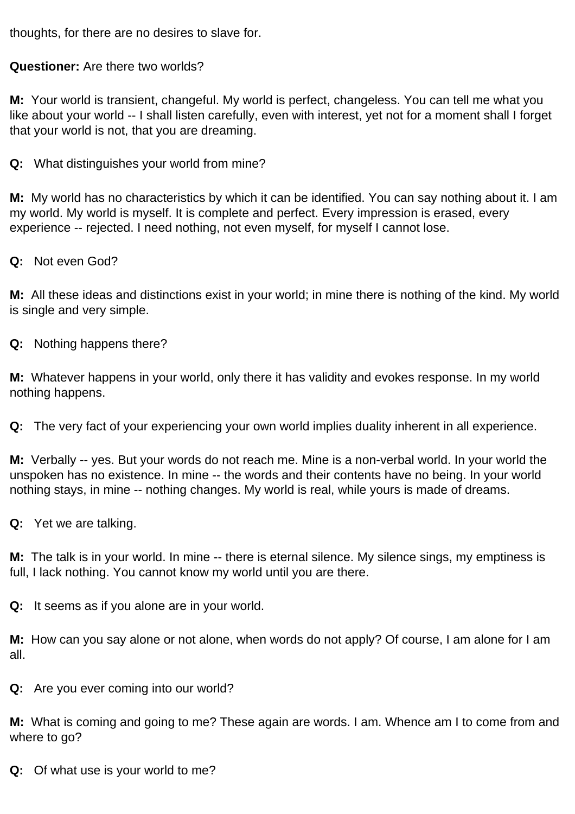thoughts, for there are no desires to slave for.

**Questioner:** Are there two worlds?

**M:** Your world is transient, changeful. My world is perfect, changeless. You can tell me what you like about your world -- I shall listen carefully, even with interest, yet not for a moment shall I forget that your world is not, that you are dreaming.

**Q:** What distinguishes your world from mine?

**M:** My world has no characteristics by which it can be identified. You can say nothing about it. I am my world. My world is myself. It is complete and perfect. Every impression is erased, every experience -- rejected. I need nothing, not even myself, for myself I cannot lose.

**Q:** Not even God?

**M:** All these ideas and distinctions exist in your world; in mine there is nothing of the kind. My world is single and very simple.

**Q:** Nothing happens there?

**M:** Whatever happens in your world, only there it has validity and evokes response. In my world nothing happens.

**Q:** The very fact of your experiencing your own world implies duality inherent in all experience.

**M:** Verbally -- yes. But your words do not reach me. Mine is a non-verbal world. In your world the unspoken has no existence. In mine -- the words and their contents have no being. In your world nothing stays, in mine -- nothing changes. My world is real, while yours is made of dreams.

**Q:** Yet we are talking.

**M:** The talk is in your world. In mine -- there is eternal silence. My silence sings, my emptiness is full, I lack nothing. You cannot know my world until you are there.

**Q:** It seems as if you alone are in your world.

**M:** How can you say alone or not alone, when words do not apply? Of course, I am alone for I am all.

**Q:** Are you ever coming into our world?

**M:** What is coming and going to me? These again are words. I am. Whence am I to come from and where to go?

**Q:** Of what use is your world to me?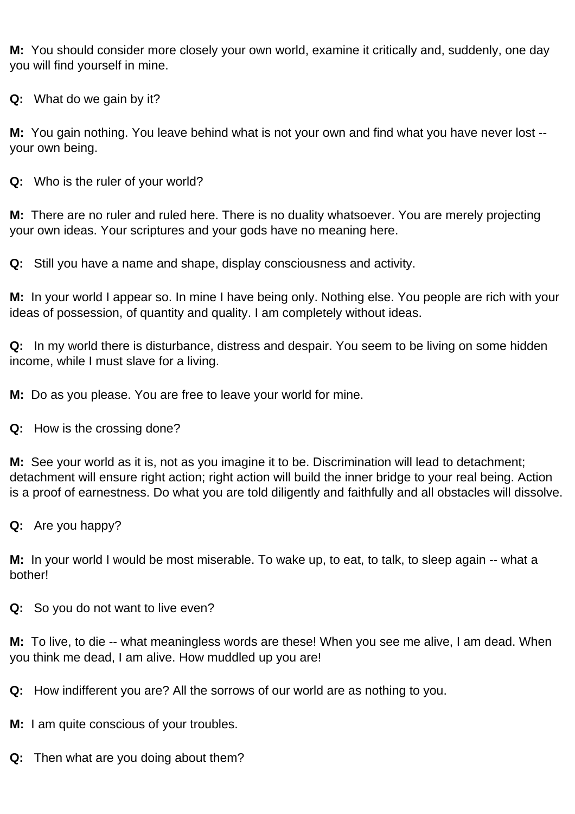**M:** You should consider more closely your own world, examine it critically and, suddenly, one day you will find yourself in mine.

**Q:** What do we gain by it?

**M:** You gain nothing. You leave behind what is not your own and find what you have never lost - your own being.

**Q:** Who is the ruler of your world?

**M:** There are no ruler and ruled here. There is no duality whatsoever. You are merely projecting your own ideas. Your scriptures and your gods have no meaning here.

**Q:** Still you have a name and shape, display consciousness and activity.

**M:** In your world I appear so. In mine I have being only. Nothing else. You people are rich with your ideas of possession, of quantity and quality. I am completely without ideas.

**Q:** In my world there is disturbance, distress and despair. You seem to be living on some hidden income, while I must slave for a living.

**M:** Do as you please. You are free to leave your world for mine.

**Q:** How is the crossing done?

**M:** See your world as it is, not as you imagine it to be. Discrimination will lead to detachment; detachment will ensure right action; right action will build the inner bridge to your real being. Action is a proof of earnestness. Do what you are told diligently and faithfully and all obstacles will dissolve.

**Q:** Are you happy?

**M:** In your world I would be most miserable. To wake up, to eat, to talk, to sleep again -- what a bother!

**Q:** So you do not want to live even?

**M:** To live, to die -- what meaningless words are these! When you see me alive, I am dead. When you think me dead, I am alive. How muddled up you are!

**Q:** How indifferent you are? All the sorrows of our world are as nothing to you.

**M:** I am quite conscious of your troubles.

**Q:** Then what are you doing about them?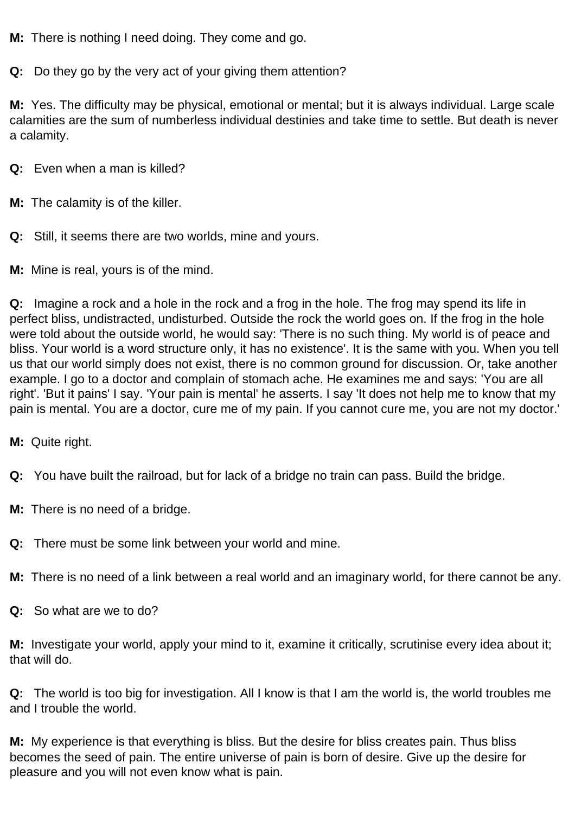**M:** There is nothing I need doing. They come and go.

**Q:** Do they go by the very act of your giving them attention?

**M:** Yes. The difficulty may be physical, emotional or mental; but it is always individual. Large scale calamities are the sum of numberless individual destinies and take time to settle. But death is never a calamity.

- **Q:** Even when a man is killed?
- **M:** The calamity is of the killer.
- **Q:** Still, it seems there are two worlds, mine and yours.
- **M:** Mine is real, yours is of the mind.

**Q:** Imagine a rock and a hole in the rock and a frog in the hole. The frog may spend its life in perfect bliss, undistracted, undisturbed. Outside the rock the world goes on. If the frog in the hole were told about the outside world, he would say: 'There is no such thing. My world is of peace and bliss. Your world is a word structure only, it has no existence'. It is the same with you. When you tell us that our world simply does not exist, there is no common ground for discussion. Or, take another example. I go to a doctor and complain of stomach ache. He examines me and says: 'You are all right'. 'But it pains' I say. 'Your pain is mental' he asserts. I say 'It does not help me to know that my pain is mental. You are a doctor, cure me of my pain. If you cannot cure me, you are not my doctor.'

- **M:** Quite right.
- **Q:** You have built the railroad, but for lack of a bridge no train can pass. Build the bridge.
- **M:** There is no need of a bridge.
- **Q:** There must be some link between your world and mine.
- **M:** There is no need of a link between a real world and an imaginary world, for there cannot be any.
- **Q:** So what are we to do?

**M:** Investigate your world, apply your mind to it, examine it critically, scrutinise every idea about it; that will do.

**Q:** The world is too big for investigation. All I know is that I am the world is, the world troubles me and I trouble the world.

**M:** My experience is that everything is bliss. But the desire for bliss creates pain. Thus bliss becomes the seed of pain. The entire universe of pain is born of desire. Give up the desire for pleasure and you will not even know what is pain.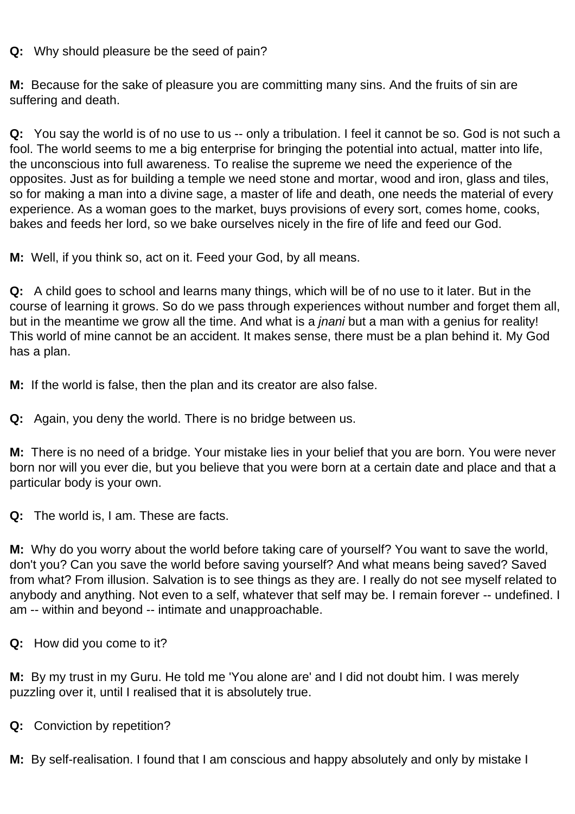**Q:** Why should pleasure be the seed of pain?

**M:** Because for the sake of pleasure you are committing many sins. And the fruits of sin are suffering and death.

**Q:** You say the world is of no use to us -- only a tribulation. I feel it cannot be so. God is not such a fool. The world seems to me a big enterprise for bringing the potential into actual, matter into life, the unconscious into full awareness. To realise the supreme we need the experience of the opposites. Just as for building a temple we need stone and mortar, wood and iron, glass and tiles, so for making a man into a divine sage, a master of life and death, one needs the material of every experience. As a woman goes to the market, buys provisions of every sort, comes home, cooks, bakes and feeds her lord, so we bake ourselves nicely in the fire of life and feed our God.

**M:** Well, if you think so, act on it. Feed your God, by all means.

**Q:** A child goes to school and learns many things, which will be of no use to it later. But in the course of learning it grows. So do we pass through experiences without number and forget them all, but in the meantime we grow all the time. And what is a *jnani* but a man with a genius for reality! This world of mine cannot be an accident. It makes sense, there must be a plan behind it. My God has a plan.

**M:** If the world is false, then the plan and its creator are also false.

**Q:** Again, you deny the world. There is no bridge between us.

**M:** There is no need of a bridge. Your mistake lies in your belief that you are born. You were never born nor will you ever die, but you believe that you were born at a certain date and place and that a particular body is your own.

**Q:** The world is, I am. These are facts.

**M:** Why do you worry about the world before taking care of yourself? You want to save the world, don't you? Can you save the world before saving yourself? And what means being saved? Saved from what? From illusion. Salvation is to see things as they are. I really do not see myself related to anybody and anything. Not even to a self, whatever that self may be. I remain forever -- undefined. I am -- within and beyond -- intimate and unapproachable.

**Q:** How did you come to it?

**M:** By my trust in my Guru. He told me 'You alone are' and I did not doubt him. I was merely puzzling over it, until I realised that it is absolutely true.

**Q:** Conviction by repetition?

**M:** By self-realisation. I found that I am conscious and happy absolutely and only by mistake I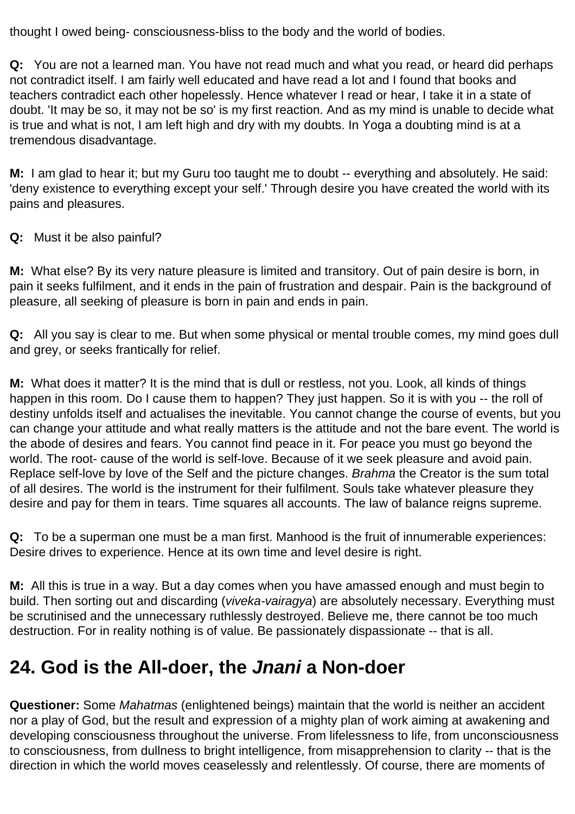thought I owed being- consciousness-bliss to the body and the world of bodies.

**Q:** You are not a learned man. You have not read much and what you read, or heard did perhaps not contradict itself. I am fairly well educated and have read a lot and I found that books and teachers contradict each other hopelessly. Hence whatever I read or hear, I take it in a state of doubt. 'It may be so, it may not be so' is my first reaction. And as my mind is unable to decide what is true and what is not, I am left high and dry with my doubts. In Yoga a doubting mind is at a tremendous disadvantage.

**M:** I am glad to hear it; but my Guru too taught me to doubt -- everything and absolutely. He said: 'deny existence to everything except your self.' Through desire you have created the world with its pains and pleasures.

**Q:** Must it be also painful?

**M:** What else? By its very nature pleasure is limited and transitory. Out of pain desire is born, in pain it seeks fulfilment, and it ends in the pain of frustration and despair. Pain is the background of pleasure, all seeking of pleasure is born in pain and ends in pain.

**Q:** All you say is clear to me. But when some physical or mental trouble comes, my mind goes dull and grey, or seeks frantically for relief.

**M:** What does it matter? It is the mind that is dull or restless, not you. Look, all kinds of things happen in this room. Do I cause them to happen? They just happen. So it is with you -- the roll of destiny unfolds itself and actualises the inevitable. You cannot change the course of events, but you can change your attitude and what really matters is the attitude and not the bare event. The world is the abode of desires and fears. You cannot find peace in it. For peace you must go beyond the world. The root- cause of the world is self-love. Because of it we seek pleasure and avoid pain. Replace self-love by love of the Self and the picture changes. *Brahma* the Creator is the sum total of all desires. The world is the instrument for their fulfilment. Souls take whatever pleasure they desire and pay for them in tears. Time squares all accounts. The law of balance reigns supreme.

**Q:** To be a superman one must be a man first. Manhood is the fruit of innumerable experiences: Desire drives to experience. Hence at its own time and level desire is right.

**M:** All this is true in a way. But a day comes when you have amassed enough and must begin to build. Then sorting out and discarding (*viveka-vairagya*) are absolutely necessary. Everything must be scrutinised and the unnecessary ruthlessly destroyed. Believe me, there cannot be too much destruction. For in reality nothing is of value. Be passionately dispassionate -- that is all.

## **24. God is the All-doer, the** *Jnani* **a Non-doer**

**Questioner:** Some *Mahatmas* (enlightened beings) maintain that the world is neither an accident nor a play of God, but the result and expression of a mighty plan of work aiming at awakening and developing consciousness throughout the universe. From lifelessness to life, from unconsciousness to consciousness, from dullness to bright intelligence, from misapprehension to clarity -- that is the direction in which the world moves ceaselessly and relentlessly. Of course, there are moments of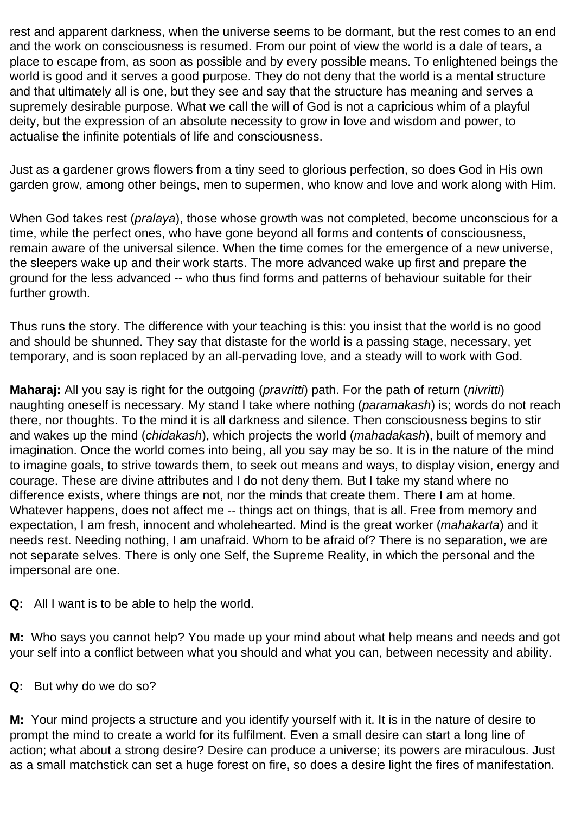rest and apparent darkness, when the universe seems to be dormant, but the rest comes to an end and the work on consciousness is resumed. From our point of view the world is a dale of tears, a place to escape from, as soon as possible and by every possible means. To enlightened beings the world is good and it serves a good purpose. They do not deny that the world is a mental structure and that ultimately all is one, but they see and say that the structure has meaning and serves a supremely desirable purpose. What we call the will of God is not a capricious whim of a playful deity, but the expression of an absolute necessity to grow in love and wisdom and power, to actualise the infinite potentials of life and consciousness.

Just as a gardener grows flowers from a tiny seed to glorious perfection, so does God in His own garden grow, among other beings, men to supermen, who know and love and work along with Him.

When God takes rest (*pralaya*), those whose growth was not completed, become unconscious for a time, while the perfect ones, who have gone beyond all forms and contents of consciousness, remain aware of the universal silence. When the time comes for the emergence of a new universe, the sleepers wake up and their work starts. The more advanced wake up first and prepare the ground for the less advanced -- who thus find forms and patterns of behaviour suitable for their further growth.

Thus runs the story. The difference with your teaching is this: you insist that the world is no good and should be shunned. They say that distaste for the world is a passing stage, necessary, yet temporary, and is soon replaced by an all-pervading love, and a steady will to work with God.

**Maharaj:** All you say is right for the outgoing (*pravritti*) path. For the path of return (*nivritti*) naughting oneself is necessary. My stand I take where nothing (*paramakash*) is; words do not reach there, nor thoughts. To the mind it is all darkness and silence. Then consciousness begins to stir and wakes up the mind (*chidakash*), which projects the world (*mahadakash*), built of memory and imagination. Once the world comes into being, all you say may be so. It is in the nature of the mind to imagine goals, to strive towards them, to seek out means and ways, to display vision, energy and courage. These are divine attributes and I do not deny them. But I take my stand where no difference exists, where things are not, nor the minds that create them. There I am at home. Whatever happens, does not affect me -- things act on things, that is all. Free from memory and expectation, I am fresh, innocent and wholehearted. Mind is the great worker (*mahakarta*) and it needs rest. Needing nothing, I am unafraid. Whom to be afraid of? There is no separation, we are not separate selves. There is only one Self, the Supreme Reality, in which the personal and the impersonal are one.

**Q:** All I want is to be able to help the world.

**M:** Who says you cannot help? You made up your mind about what help means and needs and got your self into a conflict between what you should and what you can, between necessity and ability.

**Q:** But why do we do so?

**M:** Your mind projects a structure and you identify yourself with it. It is in the nature of desire to prompt the mind to create a world for its fulfilment. Even a small desire can start a long line of action; what about a strong desire? Desire can produce a universe; its powers are miraculous. Just as a small matchstick can set a huge forest on fire, so does a desire light the fires of manifestation.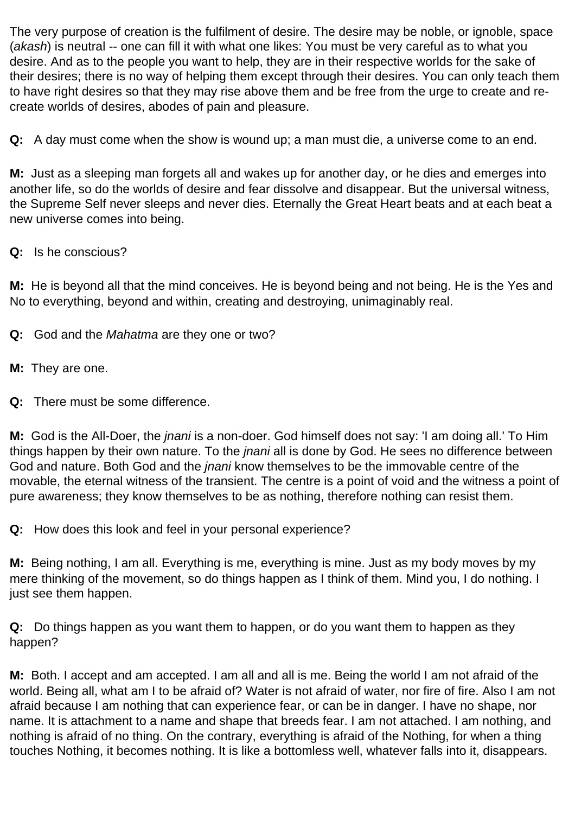The very purpose of creation is the fulfilment of desire. The desire may be noble, or ignoble, space (*akash*) is neutral -- one can fill it with what one likes: You must be very careful as to what you desire. And as to the people you want to help, they are in their respective worlds for the sake of their desires; there is no way of helping them except through their desires. You can only teach them to have right desires so that they may rise above them and be free from the urge to create and recreate worlds of desires, abodes of pain and pleasure.

**Q:** A day must come when the show is wound up; a man must die, a universe come to an end.

**M:** Just as a sleeping man forgets all and wakes up for another day, or he dies and emerges into another life, so do the worlds of desire and fear dissolve and disappear. But the universal witness, the Supreme Self never sleeps and never dies. Eternally the Great Heart beats and at each beat a new universe comes into being.

**Q:** Is he conscious?

**M:** He is beyond all that the mind conceives. He is beyond being and not being. He is the Yes and No to everything, beyond and within, creating and destroying, unimaginably real.

- **Q:** God and the *Mahatma* are they one or two?
- **M:** They are one.
- **Q:** There must be some difference.

**M:** God is the All-Doer, the *jnani* is a non-doer. God himself does not say: 'I am doing all.' To Him things happen by their own nature. To the *jnani* all is done by God. He sees no difference between God and nature. Both God and the *jnani* know themselves to be the immovable centre of the movable, the eternal witness of the transient. The centre is a point of void and the witness a point of pure awareness; they know themselves to be as nothing, therefore nothing can resist them.

**Q:** How does this look and feel in your personal experience?

**M:** Being nothing, I am all. Everything is me, everything is mine. Just as my body moves by my mere thinking of the movement, so do things happen as I think of them. Mind you, I do nothing. I just see them happen.

**Q:** Do things happen as you want them to happen, or do you want them to happen as they happen?

**M:** Both. I accept and am accepted. I am all and all is me. Being the world I am not afraid of the world. Being all, what am I to be afraid of? Water is not afraid of water, nor fire of fire. Also I am not afraid because I am nothing that can experience fear, or can be in danger. I have no shape, nor name. It is attachment to a name and shape that breeds fear. I am not attached. I am nothing, and nothing is afraid of no thing. On the contrary, everything is afraid of the Nothing, for when a thing touches Nothing, it becomes nothing. It is like a bottomless well, whatever falls into it, disappears.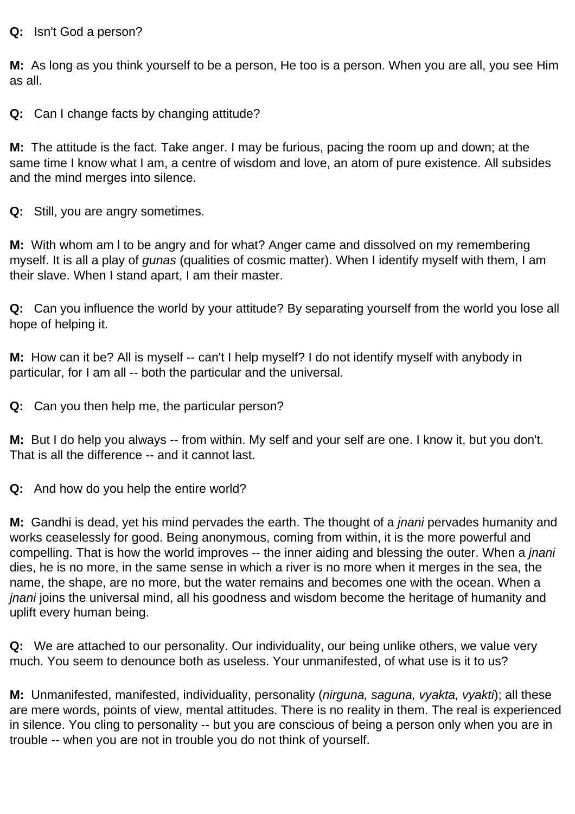#### **Q:** Isn't God a person?

**M:** As long as you think yourself to be a person, He too is a person. When you are all, you see Him as all.

**Q:** Can I change facts by changing attitude?

**M:** The attitude is the fact. Take anger. I may be furious, pacing the room up and down; at the same time I know what I am, a centre of wisdom and love, an atom of pure existence. All subsides and the mind merges into silence.

**Q:** Still, you are angry sometimes.

**M:** With whom am l to be angry and for what? Anger came and dissolved on my remembering myself. It is all a play of *gunas* (qualities of cosmic matter). When I identify myself with them, I am their slave. When I stand apart, I am their master.

**Q:** Can you influence the world by your attitude? By separating yourself from the world you lose all hope of helping it.

**M:** How can it be? All is myself -- can't I help myself? I do not identify myself with anybody in particular, for I am all -- both the particular and the universal.

**Q:** Can you then help me, the particular person?

**M:** But I do help you always -- from within. My self and your self are one. I know it, but you don't. That is all the difference -- and it cannot last.

**Q:** And how do you help the entire world?

**M:** Gandhi is dead, yet his mind pervades the earth. The thought of a *jnani* pervades humanity and works ceaselessly for good. Being anonymous, coming from within, it is the more powerful and compelling. That is how the world improves -- the inner aiding and blessing the outer. When a *jnani* dies, he is no more, in the same sense in which a river is no more when it merges in the sea, the name, the shape, are no more, but the water remains and becomes one with the ocean. When a *jnani* joins the universal mind, all his goodness and wisdom become the heritage of humanity and uplift every human being.

**Q:** We are attached to our personality. Our individuality, our being unlike others, we value very much. You seem to denounce both as useless. Your unmanifested, of what use is it to us?

**M:** Unmanifested, manifested, individuality, personality (*nirguna, saguna, vyakta, vyakti*); all these are mere words, points of view, mental attitudes. There is no reality in them. The real is experienced in silence. You cling to personality -- but you are conscious of being a person only when you are in trouble -- when you are not in trouble you do not think of yourself.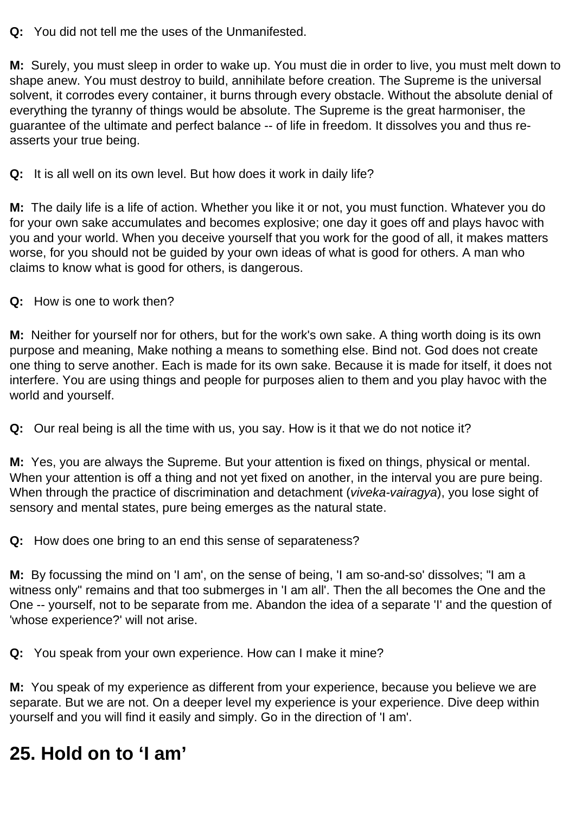**Q:** You did not tell me the uses of the Unmanifested.

**M:** Surely, you must sleep in order to wake up. You must die in order to live, you must melt down to shape anew. You must destroy to build, annihilate before creation. The Supreme is the universal solvent, it corrodes every container, it burns through every obstacle. Without the absolute denial of everything the tyranny of things would be absolute. The Supreme is the great harmoniser, the guarantee of the ultimate and perfect balance -- of life in freedom. It dissolves you and thus reasserts your true being.

**Q:** It is all well on its own level. But how does it work in daily life?

**M:** The daily life is a life of action. Whether you like it or not, you must function. Whatever you do for your own sake accumulates and becomes explosive; one day it goes off and plays havoc with you and your world. When you deceive yourself that you work for the good of all, it makes matters worse, for you should not be guided by your own ideas of what is good for others. A man who claims to know what is good for others, is dangerous.

**Q:** How is one to work then?

**M:** Neither for yourself nor for others, but for the work's own sake. A thing worth doing is its own purpose and meaning, Make nothing a means to something else. Bind not. God does not create one thing to serve another. Each is made for its own sake. Because it is made for itself, it does not interfere. You are using things and people for purposes alien to them and you play havoc with the world and yourself.

**Q:** Our real being is all the time with us, you say. How is it that we do not notice it?

**M:** Yes, you are always the Supreme. But your attention is fixed on things, physical or mental. When your attention is off a thing and not yet fixed on another, in the interval you are pure being. When through the practice of discrimination and detachment (*viveka-vairagya*), you lose sight of sensory and mental states, pure being emerges as the natural state.

**Q:** How does one bring to an end this sense of separateness?

**M:** By focussing the mind on 'I am', on the sense of being, 'I am so-and-so' dissolves; "I am a witness only" remains and that too submerges in 'I am all'. Then the all becomes the One and the One -- yourself, not to be separate from me. Abandon the idea of a separate 'I' and the question of 'whose experience?' will not arise.

**Q:** You speak from your own experience. How can I make it mine?

**M:** You speak of my experience as different from your experience, because you believe we are separate. But we are not. On a deeper level my experience is your experience. Dive deep within yourself and you will find it easily and simply. Go in the direction of 'I am'.

# **25. Hold on to 'I am'**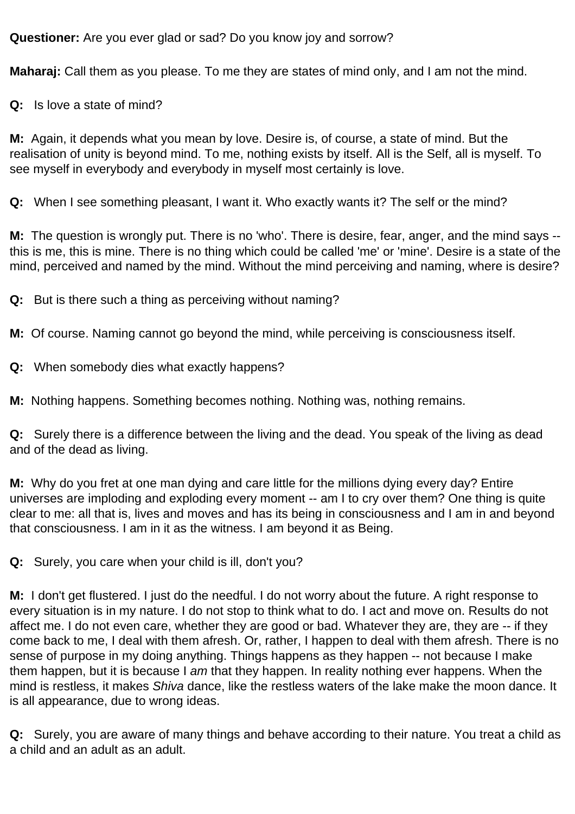**Questioner:** Are you ever glad or sad? Do you know joy and sorrow?

**Maharaj:** Call them as you please. To me they are states of mind only, and I am not the mind.

**Q:** Is love a state of mind?

**M:** Again, it depends what you mean by love. Desire is, of course, a state of mind. But the realisation of unity is beyond mind. To me, nothing exists by itself. All is the Self, all is myself. To see myself in everybody and everybody in myself most certainly is love.

**Q:** When I see something pleasant, I want it. Who exactly wants it? The self or the mind?

**M:** The question is wrongly put. There is no 'who'. There is desire, fear, anger, and the mind says - this is me, this is mine. There is no thing which could be called 'me' or 'mine'. Desire is a state of the mind, perceived and named by the mind. Without the mind perceiving and naming, where is desire?

**Q:** But is there such a thing as perceiving without naming?

**M:** Of course. Naming cannot go beyond the mind, while perceiving is consciousness itself.

**Q:** When somebody dies what exactly happens?

**M:** Nothing happens. Something becomes nothing. Nothing was, nothing remains.

**Q:** Surely there is a difference between the living and the dead. You speak of the living as dead and of the dead as living.

**M:** Why do you fret at one man dying and care little for the millions dying every day? Entire universes are imploding and exploding every moment -- am I to cry over them? One thing is quite clear to me: all that is, lives and moves and has its being in consciousness and I am in and beyond that consciousness. I am in it as the witness. I am beyond it as Being.

**Q:** Surely, you care when your child is ill, don't you?

**M:** I don't get flustered. I just do the needful. I do not worry about the future. A right response to every situation is in my nature. I do not stop to think what to do. I act and move on. Results do not affect me. I do not even care, whether they are good or bad. Whatever they are, they are -- if they come back to me, I deal with them afresh. Or, rather, I happen to deal with them afresh. There is no sense of purpose in my doing anything. Things happens as they happen -- not because I make them happen, but it is because I *am* that they happen. In reality nothing ever happens. When the mind is restless, it makes *Shiva* dance, like the restless waters of the lake make the moon dance. It is all appearance, due to wrong ideas.

**Q:** Surely, you are aware of many things and behave according to their nature. You treat a child as a child and an adult as an adult.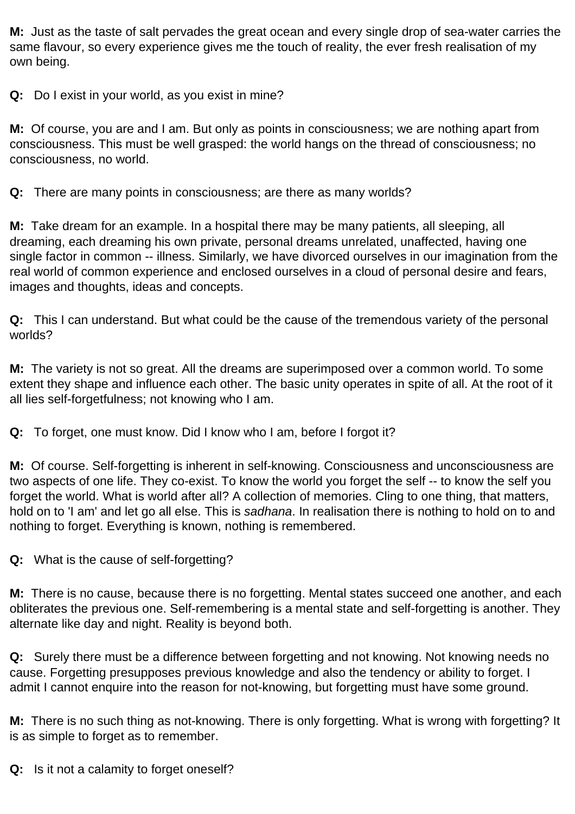**M:** Just as the taste of salt pervades the great ocean and every single drop of sea-water carries the same flavour, so every experience gives me the touch of reality, the ever fresh realisation of my own being.

**Q:** Do I exist in your world, as you exist in mine?

**M:** Of course, you are and I am. But only as points in consciousness; we are nothing apart from consciousness. This must be well grasped: the world hangs on the thread of consciousness; no consciousness, no world.

**Q:** There are many points in consciousness; are there as many worlds?

**M:** Take dream for an example. In a hospital there may be many patients, all sleeping, all dreaming, each dreaming his own private, personal dreams unrelated, unaffected, having one single factor in common -- illness. Similarly, we have divorced ourselves in our imagination from the real world of common experience and enclosed ourselves in a cloud of personal desire and fears, images and thoughts, ideas and concepts.

**Q:** This I can understand. But what could be the cause of the tremendous variety of the personal worlds?

**M:** The variety is not so great. All the dreams are superimposed over a common world. To some extent they shape and influence each other. The basic unity operates in spite of all. At the root of it all lies self-forgetfulness; not knowing who I am.

**Q:** To forget, one must know. Did I know who I am, before I forgot it?

**M:** Of course. Self-forgetting is inherent in self-knowing. Consciousness and unconsciousness are two aspects of one life. They co-exist. To know the world you forget the self -- to know the self you forget the world. What is world after all? A collection of memories. Cling to one thing, that matters, hold on to 'I am' and let go all else. This is *sadhana*. In realisation there is nothing to hold on to and nothing to forget. Everything is known, nothing is remembered.

**Q:** What is the cause of self-forgetting?

**M:** There is no cause, because there is no forgetting. Mental states succeed one another, and each obliterates the previous one. Self-remembering is a mental state and self-forgetting is another. They alternate like day and night. Reality is beyond both.

**Q:** Surely there must be a difference between forgetting and not knowing. Not knowing needs no cause. Forgetting presupposes previous knowledge and also the tendency or ability to forget. I admit I cannot enquire into the reason for not-knowing, but forgetting must have some ground.

**M:** There is no such thing as not-knowing. There is only forgetting. What is wrong with forgetting? It is as simple to forget as to remember.

**Q:** Is it not a calamity to forget oneself?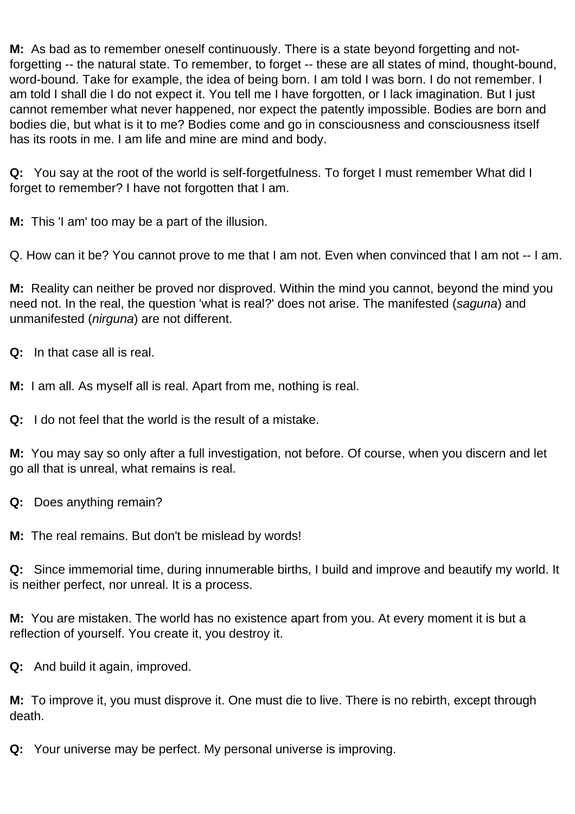**M:** As bad as to remember oneself continuously. There is a state beyond forgetting and notforgetting -- the natural state. To remember, to forget -- these are all states of mind, thought-bound, word-bound. Take for example, the idea of being born. I am told I was born. I do not remember. I am told I shall die I do not expect it. You tell me I have forgotten, or I lack imagination. But I just cannot remember what never happened, nor expect the patently impossible. Bodies are born and bodies die, but what is it to me? Bodies come and go in consciousness and consciousness itself has its roots in me. I am life and mine are mind and body.

**Q:** You say at the root of the world is self-forgetfulness. To forget I must remember What did I forget to remember? I have not forgotten that I am.

**M:** This 'I am' too may be a part of the illusion.

Q. How can it be? You cannot prove to me that I am not. Even when convinced that I am not -- I am.

**M:** Reality can neither be proved nor disproved. Within the mind you cannot, beyond the mind you need not. In the real, the question 'what is real?' does not arise. The manifested (*saguna*) and unmanifested (*nirguna*) are not different.

**Q:** In that case all is real.

**M:** I am all. As myself all is real. Apart from me, nothing is real.

**Q:** I do not feel that the world is the result of a mistake.

**M:** You may say so only after a full investigation, not before. Of course, when you discern and let go all that is unreal, what remains is real.

**Q:** Does anything remain?

**M:** The real remains. But don't be mislead by words!

**Q:** Since immemorial time, during innumerable births, I build and improve and beautify my world. It is neither perfect, nor unreal. It is a process.

**M:** You are mistaken. The world has no existence apart from you. At every moment it is but a reflection of yourself. You create it, you destroy it.

**Q:** And build it again, improved.

**M:** To improve it, you must disprove it. One must die to live. There is no rebirth, except through death.

**Q:** Your universe may be perfect. My personal universe is improving.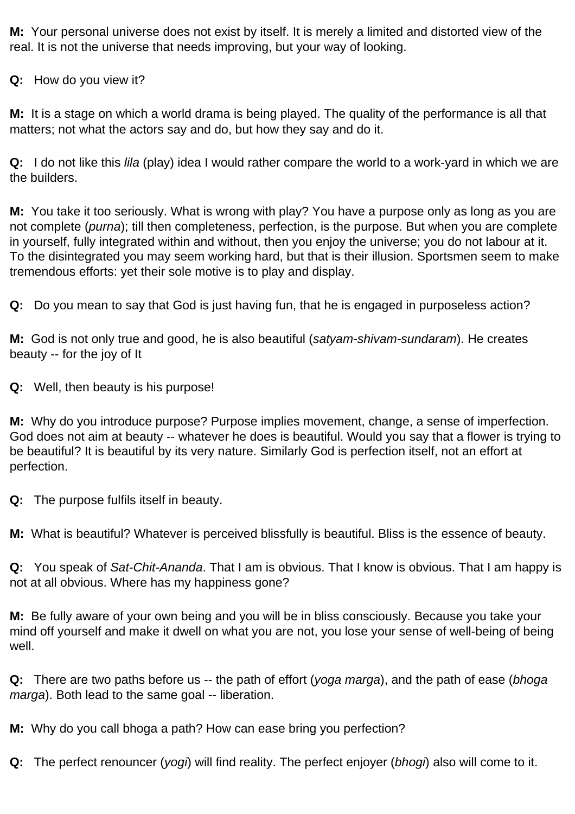**M:** Your personal universe does not exist by itself. It is merely a limited and distorted view of the real. It is not the universe that needs improving, but your way of looking.

**Q:** How do you view it?

**M:** It is a stage on which a world drama is being played. The quality of the performance is all that matters; not what the actors say and do, but how they say and do it.

**Q:** I do not like this *lila* (play) idea I would rather compare the world to a work-yard in which we are the builders.

**M:** You take it too seriously. What is wrong with play? You have a purpose only as long as you are not complete (*purna*); till then completeness, perfection, is the purpose. But when you are complete in yourself, fully integrated within and without, then you enjoy the universe; you do not labour at it. To the disintegrated you may seem working hard, but that is their illusion. Sportsmen seem to make tremendous efforts: yet their sole motive is to play and display.

**Q:** Do you mean to say that God is just having fun, that he is engaged in purposeless action?

**M:** God is not only true and good, he is also beautiful (*satyam-shivam-sundaram*). He creates beauty -- for the joy of It

**Q:** Well, then beauty is his purpose!

**M:** Why do you introduce purpose? Purpose implies movement, change, a sense of imperfection. God does not aim at beauty -- whatever he does is beautiful. Would you say that a flower is trying to be beautiful? It is beautiful by its very nature. Similarly God is perfection itself, not an effort at perfection.

**Q:** The purpose fulfils itself in beauty.

**M:** What is beautiful? Whatever is perceived blissfully is beautiful. Bliss is the essence of beauty.

**Q:** You speak of *Sat-Chit-Ananda*. That I am is obvious. That I know is obvious. That I am happy is not at all obvious. Where has my happiness gone?

**M:** Be fully aware of your own being and you will be in bliss consciously. Because you take your mind off yourself and make it dwell on what you are not, you lose your sense of well-being of being well.

**Q:** There are two paths before us -- the path of effort (*yoga marga*), and the path of ease (*bhoga marga*). Both lead to the same goal -- liberation.

**M:** Why do you call bhoga a path? How can ease bring you perfection?

**Q:** The perfect renouncer (*yogi*) will find reality. The perfect enjoyer (*bhogi*) also will come to it.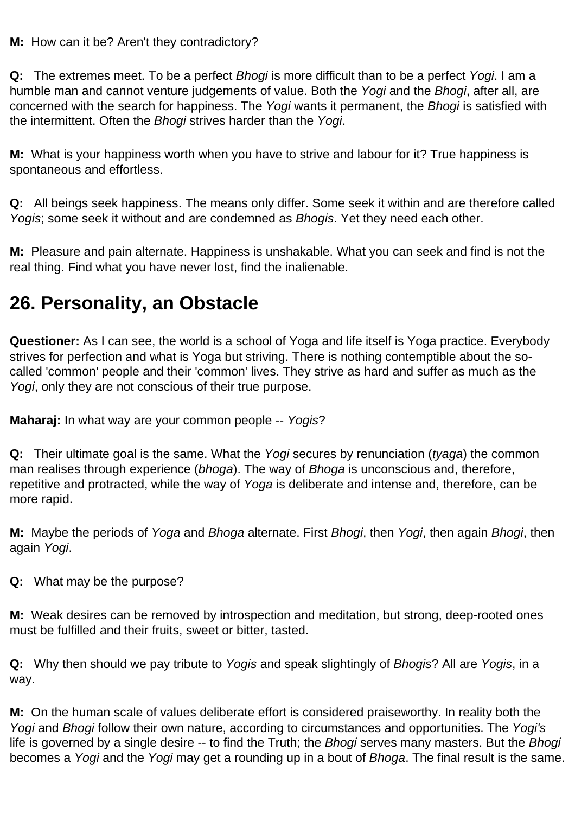**M:** How can it be? Aren't they contradictory?

**Q:** The extremes meet. To be a perfect *Bhogi* is more difficult than to be a perfect *Yogi*. I am a humble man and cannot venture judgements of value. Both the *Yogi* and the *Bhogi*, after all, are concerned with the search for happiness. The *Yogi* wants it permanent, the *Bhogi* is satisfied with the intermittent. Often the *Bhogi* strives harder than the *Yogi*.

**M:** What is your happiness worth when you have to strive and labour for it? True happiness is spontaneous and effortless.

**Q:** All beings seek happiness. The means only differ. Some seek it within and are therefore called *Yogis*; some seek it without and are condemned as *Bhogis*. Yet they need each other.

**M:** Pleasure and pain alternate. Happiness is unshakable. What you can seek and find is not the real thing. Find what you have never lost, find the inalienable.

### **26. Personality, an Obstacle**

**Questioner:** As I can see, the world is a school of Yoga and life itself is Yoga practice. Everybody strives for perfection and what is Yoga but striving. There is nothing contemptible about the socalled 'common' people and their 'common' lives. They strive as hard and suffer as much as the *Yogi*, only they are not conscious of their true purpose.

**Maharaj:** In what way are your common people -- *Yogis*?

**Q:** Their ultimate goal is the same. What the *Yogi* secures by renunciation (*tyaga*) the common man realises through experience (*bhoga*). The way of *Bhoga* is unconscious and, therefore, repetitive and protracted, while the way of *Yoga* is deliberate and intense and, therefore, can be more rapid.

**M:** Maybe the periods of *Yoga* and *Bhoga* alternate. First *Bhogi*, then *Yogi*, then again *Bhogi*, then again *Yogi*.

**Q:** What may be the purpose?

**M:** Weak desires can be removed by introspection and meditation, but strong, deep-rooted ones must be fulfilled and their fruits, sweet or bitter, tasted.

**Q:** Why then should we pay tribute to *Yogis* and speak slightingly of *Bhogis*? All are *Yogis*, in a way.

**M:** On the human scale of values deliberate effort is considered praiseworthy. In reality both the *Yogi* and *Bhogi* follow their own nature, according to circumstances and opportunities. The *Yogi's* life is governed by a single desire -- to find the Truth; the *Bhogi* serves many masters. But the *Bhogi* becomes a *Yogi* and the *Yogi* may get a rounding up in a bout of *Bhoga*. The final result is the same.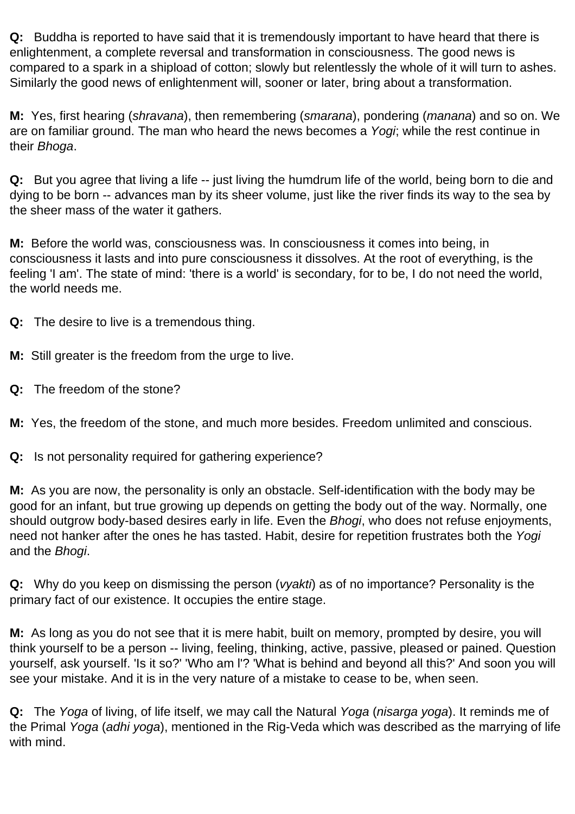**Q:** Buddha is reported to have said that it is tremendously important to have heard that there is enlightenment, a complete reversal and transformation in consciousness. The good news is compared to a spark in a shipload of cotton; slowly but relentlessly the whole of it will turn to ashes. Similarly the good news of enlightenment will, sooner or later, bring about a transformation.

**M:** Yes, first hearing (*shravana*), then remembering (*smarana*), pondering (*manana*) and so on. We are on familiar ground. The man who heard the news becomes a *Yogi*; while the rest continue in their *Bhoga*.

**Q:** But you agree that living a life -- just living the humdrum life of the world, being born to die and dying to be born -- advances man by its sheer volume, just like the river finds its way to the sea by the sheer mass of the water it gathers.

**M:** Before the world was, consciousness was. In consciousness it comes into being, in consciousness it lasts and into pure consciousness it dissolves. At the root of everything, is the feeling 'I am'. The state of mind: 'there is a world' is secondary, for to be, I do not need the world, the world needs me.

**Q:** The desire to live is a tremendous thing.

**M:** Still greater is the freedom from the urge to live.

**Q:** The freedom of the stone?

**M:** Yes, the freedom of the stone, and much more besides. Freedom unlimited and conscious.

**Q:** Is not personality required for gathering experience?

**M:** As you are now, the personality is only an obstacle. Self-identification with the body may be good for an infant, but true growing up depends on getting the body out of the way. Normally, one should outgrow body-based desires early in life. Even the *Bhogi*, who does not refuse enjoyments, need not hanker after the ones he has tasted. Habit, desire for repetition frustrates both the *Yogi* and the *Bhogi*.

**Q:** Why do you keep on dismissing the person (*vyakti*) as of no importance? Personality is the primary fact of our existence. It occupies the entire stage.

**M:** As long as you do not see that it is mere habit, built on memory, prompted by desire, you will think yourself to be a person -- living, feeling, thinking, active, passive, pleased or pained. Question yourself, ask yourself. 'Is it so?' 'Who am l'? 'What is behind and beyond all this?' And soon you will see your mistake. And it is in the very nature of a mistake to cease to be, when seen.

**Q:** The *Yoga* of living, of life itself, we may call the Natural *Yoga* (*nisarga yoga*). It reminds me of the Primal *Yoga* (*adhi yoga*), mentioned in the Rig-Veda which was described as the marrying of life with mind.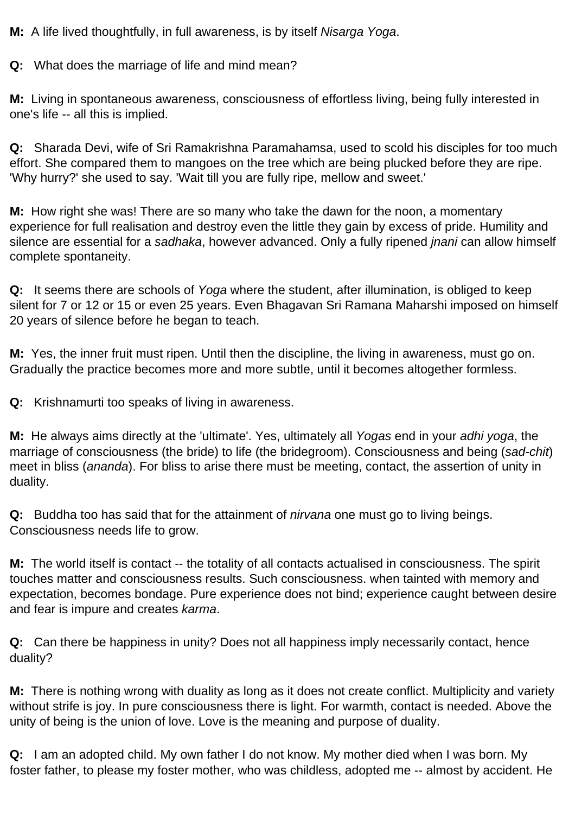**M:** A life lived thoughtfully, in full awareness, is by itself *Nisarga Yoga*.

**Q:** What does the marriage of life and mind mean?

**M:** Living in spontaneous awareness, consciousness of effortless living, being fully interested in one's life -- all this is implied.

**Q:** Sharada Devi, wife of Sri Ramakrishna Paramahamsa, used to scold his disciples for too much effort. She compared them to mangoes on the tree which are being plucked before they are ripe. 'Why hurry?' she used to say. 'Wait till you are fully ripe, mellow and sweet.'

**M:** How right she was! There are so many who take the dawn for the noon, a momentary experience for full realisation and destroy even the little they gain by excess of pride. Humility and silence are essential for a *sadhaka*, however advanced. Only a fully ripened *jnani* can allow himself complete spontaneity.

**Q:** It seems there are schools of *Yoga* where the student, after illumination, is obliged to keep silent for 7 or 12 or 15 or even 25 years. Even Bhagavan Sri Ramana Maharshi imposed on himself 20 years of silence before he began to teach.

**M:** Yes, the inner fruit must ripen. Until then the discipline, the living in awareness, must go on. Gradually the practice becomes more and more subtle, until it becomes altogether formless.

**Q:** Krishnamurti too speaks of living in awareness.

**M:** He always aims directly at the 'ultimate'. Yes, ultimately all *Yogas* end in your *adhi yoga*, the marriage of consciousness (the bride) to life (the bridegroom). Consciousness and being (*sad-chit*) meet in bliss (*ananda*). For bliss to arise there must be meeting, contact, the assertion of unity in duality.

**Q:** Buddha too has said that for the attainment of *nirvana* one must go to living beings. Consciousness needs life to grow.

**M:** The world itself is contact -- the totality of all contacts actualised in consciousness. The spirit touches matter and consciousness results. Such consciousness. when tainted with memory and expectation, becomes bondage. Pure experience does not bind; experience caught between desire and fear is impure and creates *karma*.

**Q:** Can there be happiness in unity? Does not all happiness imply necessarily contact, hence duality?

**M:** There is nothing wrong with duality as long as it does not create conflict. Multiplicity and variety without strife is joy. In pure consciousness there is light. For warmth, contact is needed. Above the unity of being is the union of love. Love is the meaning and purpose of duality.

**Q:** I am an adopted child. My own father I do not know. My mother died when I was born. My foster father, to please my foster mother, who was childless, adopted me -- almost by accident. He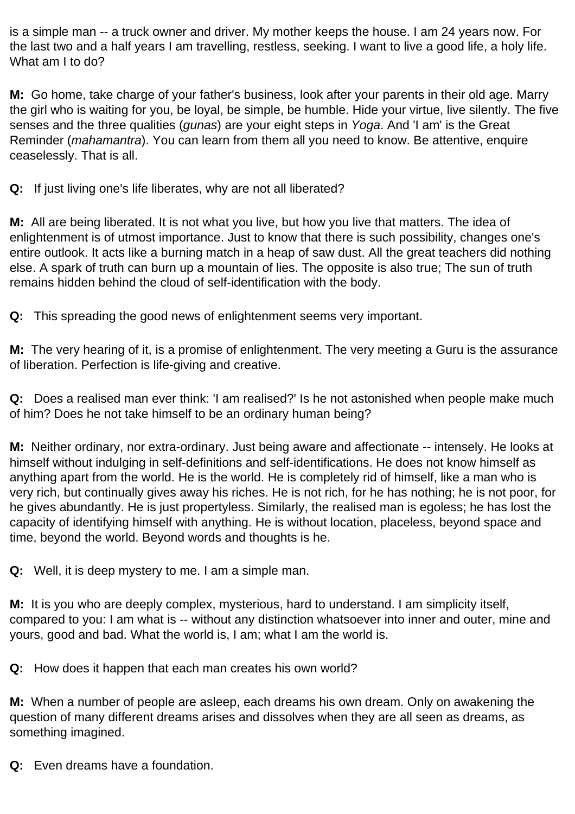is a simple man -- a truck owner and driver. My mother keeps the house. I am 24 years now. For the last two and a half years I am travelling, restless, seeking. I want to live a good life, a holy life. What am I to do?

**M:** Go home, take charge of your father's business, look after your parents in their old age. Marry the girl who is waiting for you, be loyal, be simple, be humble. Hide your virtue, live silently. The five senses and the three qualities (*gunas*) are your eight steps in *Yoga*. And 'I am' is the Great Reminder (*mahamantra*). You can learn from them all you need to know. Be attentive, enquire ceaselessly. That is all.

**Q:** If just living one's life liberates, why are not all liberated?

**M:** All are being liberated. It is not what you live, but how you live that matters. The idea of enlightenment is of utmost importance. Just to know that there is such possibility, changes one's entire outlook. It acts like a burning match in a heap of saw dust. All the great teachers did nothing else. A spark of truth can burn up a mountain of lies. The opposite is also true; The sun of truth remains hidden behind the cloud of self-identification with the body.

**Q:** This spreading the good news of enlightenment seems very important.

**M:** The very hearing of it, is a promise of enlightenment. The very meeting a Guru is the assurance of liberation. Perfection is life-giving and creative.

**Q:** Does a realised man ever think: 'I am realised?' Is he not astonished when people make much of him? Does he not take himself to be an ordinary human being?

**M:** Neither ordinary, nor extra-ordinary. Just being aware and affectionate -- intensely. He looks at himself without indulging in self-definitions and self-identifications. He does not know himself as anything apart from the world. He is the world. He is completely rid of himself, like a man who is very rich, but continually gives away his riches. He is not rich, for he has nothing; he is not poor, for he gives abundantly. He is just propertyless. Similarly, the realised man is egoless; he has lost the capacity of identifying himself with anything. He is without location, placeless, beyond space and time, beyond the world. Beyond words and thoughts is he.

**Q:** Well, it is deep mystery to me. I am a simple man.

**M:** It is you who are deeply complex, mysterious, hard to understand. I am simplicity itself, compared to you: I am what is -- without any distinction whatsoever into inner and outer, mine and yours, good and bad. What the world is, I am; what I am the world is.

**Q:** How does it happen that each man creates his own world?

**M:** When a number of people are asleep, each dreams his own dream. Only on awakening the question of many different dreams arises and dissolves when they are all seen as dreams, as something imagined.

**Q:** Even dreams have a foundation.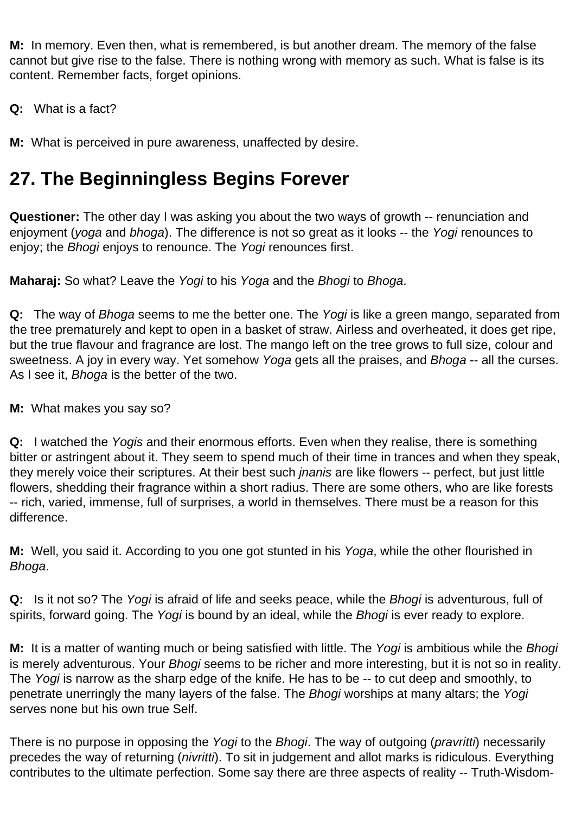**M:** In memory. Even then, what is remembered, is but another dream. The memory of the false cannot but give rise to the false. There is nothing wrong with memory as such. What is false is its content. Remember facts, forget opinions.

**Q:** What is a fact?

**M:** What is perceived in pure awareness, unaffected by desire.

## **27. The Beginningless Begins Forever**

**Questioner:** The other day I was asking you about the two ways of growth -- renunciation and enjoyment (*yoga* and *bhoga*). The difference is not so great as it looks -- the *Yogi* renounces to enjoy; the *Bhogi* enjoys to renounce. The *Yogi* renounces first.

**Maharaj:** So what? Leave the *Yogi* to his *Yoga* and the *Bhogi* to *Bhoga*.

**Q:** The way of *Bhoga* seems to me the better one. The *Yogi* is like a green mango, separated from the tree prematurely and kept to open in a basket of straw. Airless and overheated, it does get ripe, but the true flavour and fragrance are lost. The mango left on the tree grows to full size, colour and sweetness. A joy in every way. Yet somehow *Yoga* gets all the praises, and *Bhoga* -- all the curses. As I see it, *Bhoga* is the better of the two.

**M:** What makes you say so?

**Q:** I watched the *Yogis* and their enormous efforts. Even when they realise, there is something bitter or astringent about it. They seem to spend much of their time in trances and when they speak, they merely voice their scriptures. At their best such *jnanis* are like flowers -- perfect, but just little flowers, shedding their fragrance within a short radius. There are some others, who are like forests -- rich, varied, immense, full of surprises, a world in themselves. There must be a reason for this difference.

**M:** Well, you said it. According to you one got stunted in his *Yoga*, while the other flourished in *Bhoga*.

**Q:** Is it not so? The *Yogi* is afraid of life and seeks peace, while the *Bhogi* is adventurous, full of spirits, forward going. The *Yogi* is bound by an ideal, while the *Bhogi* is ever ready to explore.

**M:** It is a matter of wanting much or being satisfied with little. The *Yogi* is ambitious while the *Bhogi* is merely adventurous. Your *Bhogi* seems to be richer and more interesting, but it is not so in reality. The *Yogi* is narrow as the sharp edge of the knife. He has to be -- to cut deep and smoothly, to penetrate unerringly the many layers of the false. The *Bhogi* worships at many altars; the *Yogi* serves none but his own true Self.

There is no purpose in opposing the *Yogi* to the *Bhogi*. The way of outgoing (*pravritti*) necessarily precedes the way of returning (*nivritti*). To sit in judgement and allot marks is ridiculous. Everything contributes to the ultimate perfection. Some say there are three aspects of reality -- Truth-Wisdom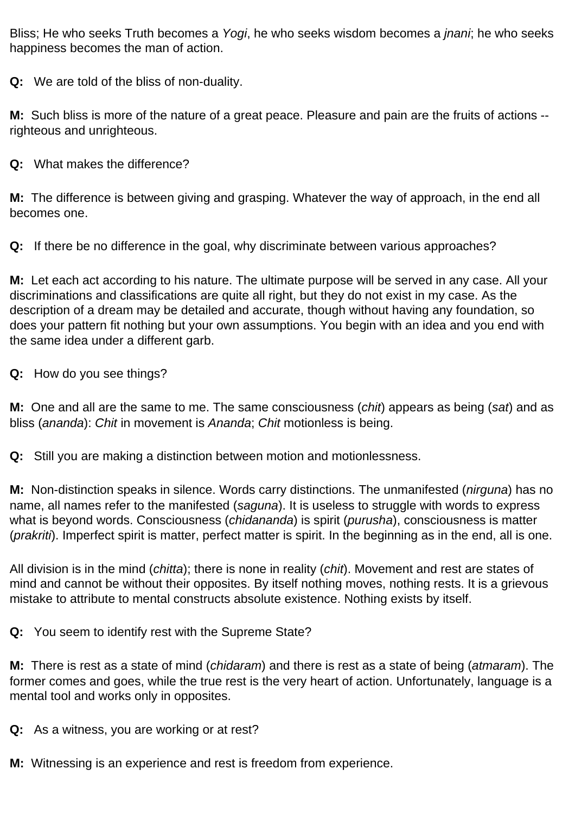Bliss; He who seeks Truth becomes a *Yogi*, he who seeks wisdom becomes a *jnani*; he who seeks happiness becomes the man of action.

**Q:** We are told of the bliss of non-duality.

**M:** Such bliss is more of the nature of a great peace. Pleasure and pain are the fruits of actions - righteous and unrighteous.

**Q:** What makes the difference?

**M:** The difference is between giving and grasping. Whatever the way of approach, in the end all becomes one.

**Q:** If there be no difference in the goal, why discriminate between various approaches?

**M:** Let each act according to his nature. The ultimate purpose will be served in any case. All your discriminations and classifications are quite all right, but they do not exist in my case. As the description of a dream may be detailed and accurate, though without having any foundation, so does your pattern fit nothing but your own assumptions. You begin with an idea and you end with the same idea under a different garb.

**Q:** How do you see things?

**M:** One and all are the same to me. The same consciousness (*chit*) appears as being (*sat*) and as bliss (*ananda*): *Chit* in movement is *Ananda*; *Chit* motionless is being.

**Q:** Still you are making a distinction between motion and motionlessness.

**M:** Non-distinction speaks in silence. Words carry distinctions. The unmanifested (*nirguna*) has no name, all names refer to the manifested (*saguna*). It is useless to struggle with words to express what is beyond words. Consciousness (*chidananda*) is spirit (*purusha*), consciousness is matter (*prakriti*). Imperfect spirit is matter, perfect matter is spirit. In the beginning as in the end, all is one.

All division is in the mind (*chitta*); there is none in reality (*chit*). Movement and rest are states of mind and cannot be without their opposites. By itself nothing moves, nothing rests. It is a grievous mistake to attribute to mental constructs absolute existence. Nothing exists by itself.

**Q:** You seem to identify rest with the Supreme State?

**M:** There is rest as a state of mind (*chidaram*) and there is rest as a state of being (*atmaram*). The former comes and goes, while the true rest is the very heart of action. Unfortunately, language is a mental tool and works only in opposites.

**Q:** As a witness, you are working or at rest?

**M:** Witnessing is an experience and rest is freedom from experience.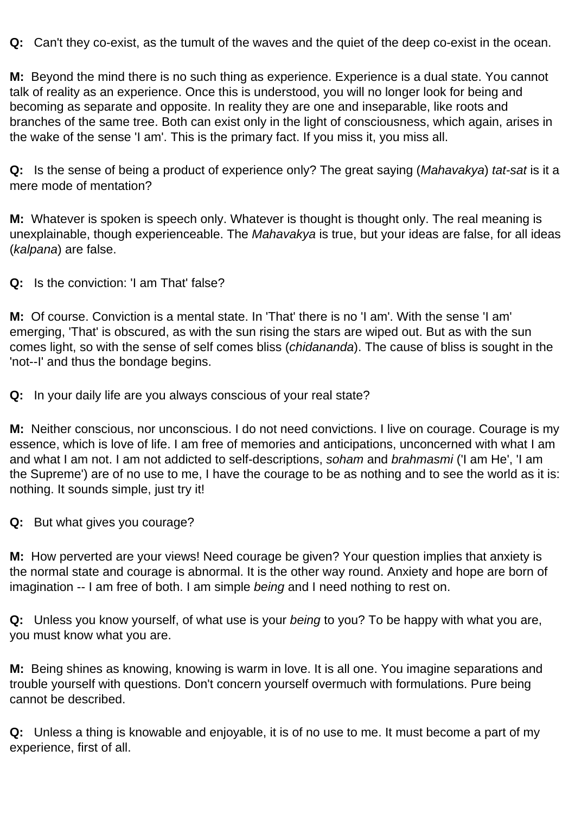**Q:** Can't they co-exist, as the tumult of the waves and the quiet of the deep co-exist in the ocean.

**M:** Beyond the mind there is no such thing as experience. Experience is a dual state. You cannot talk of reality as an experience. Once this is understood, you will no longer look for being and becoming as separate and opposite. In reality they are one and inseparable, like roots and branches of the same tree. Both can exist only in the light of consciousness, which again, arises in the wake of the sense 'I am'. This is the primary fact. If you miss it, you miss all.

**Q:** Is the sense of being a product of experience only? The great saying (*Mahavakya*) *tat-sat* is it a mere mode of mentation?

**M:** Whatever is spoken is speech only. Whatever is thought is thought only. The real meaning is unexplainable, though experienceable. The *Mahavakya* is true, but your ideas are false, for all ideas (*kalpana*) are false.

**Q:** Is the conviction: 'I am That' false?

**M:** Of course. Conviction is a mental state. In 'That' there is no 'I am'. With the sense 'I am' emerging, 'That' is obscured, as with the sun rising the stars are wiped out. But as with the sun comes light, so with the sense of self comes bliss (*chidananda*). The cause of bliss is sought in the 'not--I' and thus the bondage begins.

**Q:** In your daily life are you always conscious of your real state?

**M:** Neither conscious, nor unconscious. I do not need convictions. I live on courage. Courage is my essence, which is love of life. I am free of memories and anticipations, unconcerned with what I am and what I am not. I am not addicted to self-descriptions, *soham* and *brahmasmi* ('I am He', 'I am the Supreme') are of no use to me, I have the courage to be as nothing and to see the world as it is: nothing. It sounds simple, just try it!

**Q:** But what gives you courage?

**M:** How perverted are your views! Need courage be given? Your question implies that anxiety is the normal state and courage is abnormal. It is the other way round. Anxiety and hope are born of imagination -- I am free of both. I am simple *being* and I need nothing to rest on.

**Q:** Unless you know yourself, of what use is your *being* to you? To be happy with what you are, you must know what you are.

**M:** Being shines as knowing, knowing is warm in love. It is all one. You imagine separations and trouble yourself with questions. Don't concern yourself overmuch with formulations. Pure being cannot be described.

**Q:** Unless a thing is knowable and enjoyable, it is of no use to me. It must become a part of my experience, first of all.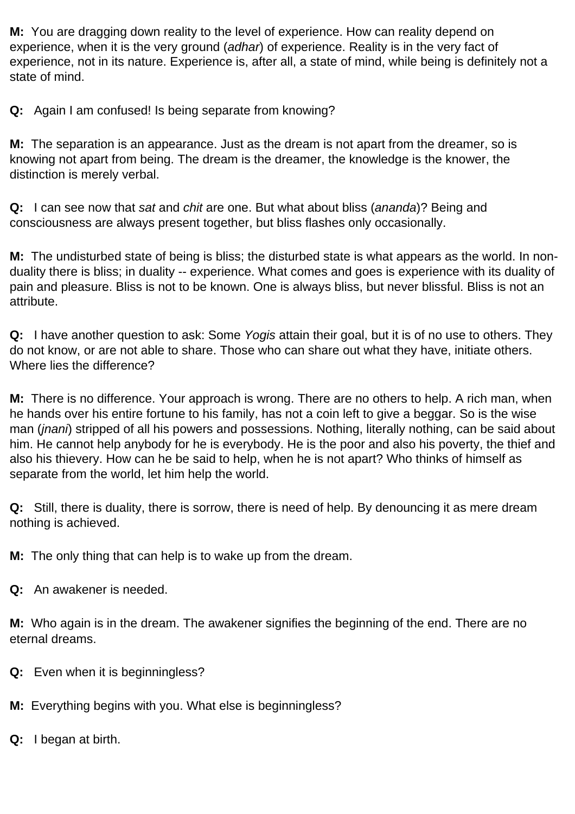**M:** You are dragging down reality to the level of experience. How can reality depend on experience, when it is the very ground (*adhar*) of experience. Reality is in the very fact of experience, not in its nature. Experience is, after all, a state of mind, while being is definitely not a state of mind.

**Q:** Again I am confused! Is being separate from knowing?

**M:** The separation is an appearance. Just as the dream is not apart from the dreamer, so is knowing not apart from being. The dream is the dreamer, the knowledge is the knower, the distinction is merely verbal.

**Q:** I can see now that *sat* and *chit* are one. But what about bliss (*ananda*)? Being and consciousness are always present together, but bliss flashes only occasionally.

**M:** The undisturbed state of being is bliss; the disturbed state is what appears as the world. In nonduality there is bliss; in duality -- experience. What comes and goes is experience with its duality of pain and pleasure. Bliss is not to be known. One is always bliss, but never blissful. Bliss is not an attribute.

**Q:** I have another question to ask: Some *Yogis* attain their goal, but it is of no use to others. They do not know, or are not able to share. Those who can share out what they have, initiate others. Where lies the difference?

**M:** There is no difference. Your approach is wrong. There are no others to help. A rich man, when he hands over his entire fortune to his family, has not a coin left to give a beggar. So is the wise man (*jnani*) stripped of all his powers and possessions. Nothing, literally nothing, can be said about him. He cannot help anybody for he is everybody. He is the poor and also his poverty, the thief and also his thievery. How can he be said to help, when he is not apart? Who thinks of himself as separate from the world, let him help the world.

**Q:** Still, there is duality, there is sorrow, there is need of help. By denouncing it as mere dream nothing is achieved.

**M:** The only thing that can help is to wake up from the dream.

**Q:** An awakener is needed.

**M:** Who again is in the dream. The awakener signifies the beginning of the end. There are no eternal dreams.

- **Q:** Even when it is beginningless?
- **M:** Everything begins with you. What else is beginningless?
- **Q:** I began at birth.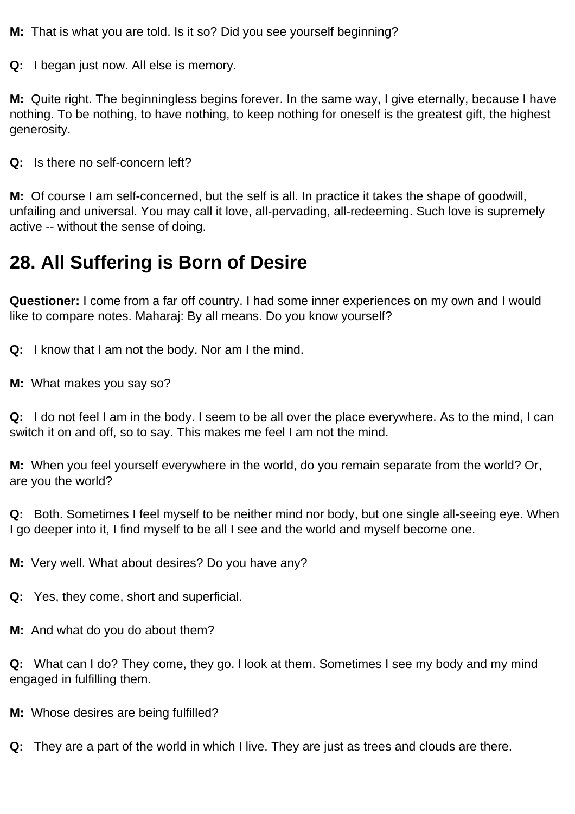**M:** That is what you are told. Is it so? Did you see yourself beginning?

**Q:** I began just now. All else is memory.

**M:** Quite right. The beginningless begins forever. In the same way, I give eternally, because I have nothing. To be nothing, to have nothing, to keep nothing for oneself is the greatest gift, the highest generosity.

**Q:** Is there no self-concern left?

**M:** Of course I am self-concerned, but the self is all. In practice it takes the shape of goodwill, unfailing and universal. You may call it love, all-pervading, all-redeeming. Such love is supremely active -- without the sense of doing.

### **28. All Suffering is Born of Desire**

**Questioner:** I come from a far off country. I had some inner experiences on my own and I would like to compare notes. Maharaj: By all means. Do you know yourself?

**Q:** I know that I am not the body. Nor am I the mind.

**M:** What makes you say so?

**Q:** I do not feel I am in the body. I seem to be all over the place everywhere. As to the mind, I can switch it on and off, so to say. This makes me feel I am not the mind.

**M:** When you feel yourself everywhere in the world, do you remain separate from the world? Or, are you the world?

**Q:** Both. Sometimes I feel myself to be neither mind nor body, but one single all-seeing eye. When I go deeper into it, I find myself to be all I see and the world and myself become one.

**M:** Very well. What about desires? Do you have any?

- **Q:** Yes, they come, short and superficial.
- **M:** And what do you do about them?

**Q:** What can I do? They come, they go. l look at them. Sometimes I see my body and my mind engaged in fulfilling them.

**M:** Whose desires are being fulfilled?

**Q:** They are a part of the world in which I live. They are just as trees and clouds are there.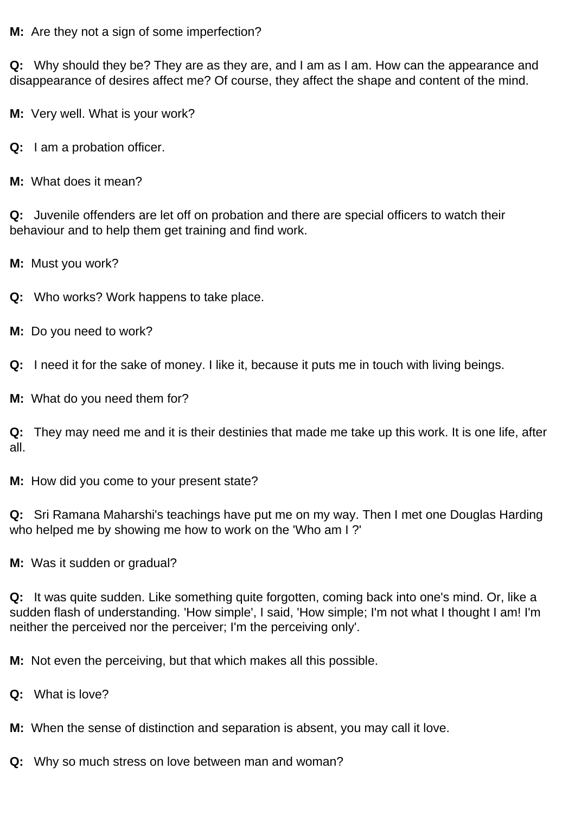**M:** Are they not a sign of some imperfection?

**Q:** Why should they be? They are as they are, and I am as I am. How can the appearance and disappearance of desires affect me? Of course, they affect the shape and content of the mind.

**M:** Very well. What is your work?

**Q:** I am a probation officer.

**M:** What does it mean?

**Q:** Juvenile offenders are let off on probation and there are special officers to watch their behaviour and to help them get training and find work.

**M:** Must you work?

**Q:** Who works? Work happens to take place.

**M:** Do you need to work?

**Q:** I need it for the sake of money. I like it, because it puts me in touch with living beings.

**M:** What do you need them for?

**Q:** They may need me and it is their destinies that made me take up this work. It is one life, after all.

**M:** How did you come to your present state?

**Q:** Sri Ramana Maharshi's teachings have put me on my way. Then I met one Douglas Harding who helped me by showing me how to work on the 'Who am I ?'

**M:** Was it sudden or gradual?

**Q:** It was quite sudden. Like something quite forgotten, coming back into one's mind. Or, like a sudden flash of understanding. 'How simple', I said, 'How simple; I'm not what I thought I am! I'm neither the perceived nor the perceiver; I'm the perceiving only'.

**M:** Not even the perceiving, but that which makes all this possible.

**Q:** What is love?

**M:** When the sense of distinction and separation is absent, you may call it love.

**Q:** Why so much stress on love between man and woman?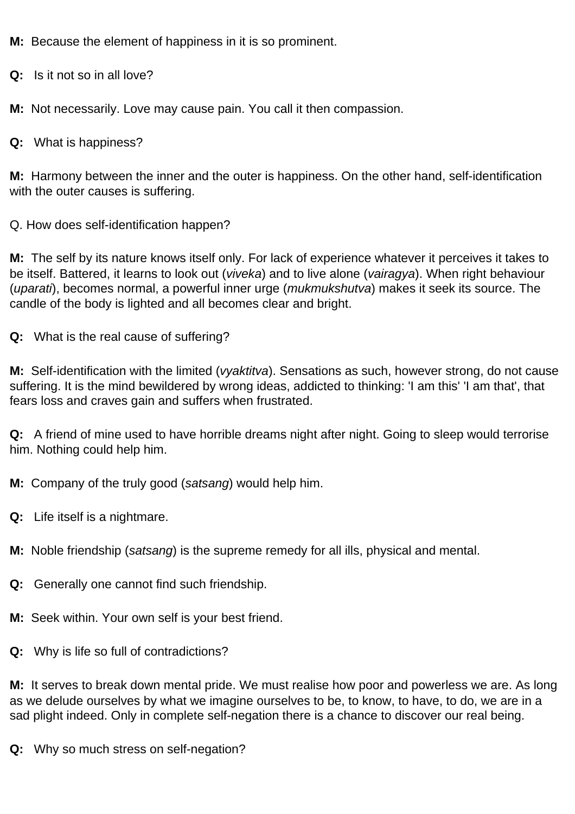**M:** Because the element of happiness in it is so prominent.

**Q:** Is it not so in all love?

**M:** Not necessarily. Love may cause pain. You call it then compassion.

**Q:** What is happiness?

**M:** Harmony between the inner and the outer is happiness. On the other hand, self-identification with the outer causes is suffering.

Q. How does self-identification happen?

**M:** The self by its nature knows itself only. For lack of experience whatever it perceives it takes to be itself. Battered, it learns to look out (*viveka*) and to live alone (*vairagya*). When right behaviour (*uparati*), becomes normal, a powerful inner urge (*mukmukshutva*) makes it seek its source. The candle of the body is lighted and all becomes clear and bright.

**Q:** What is the real cause of suffering?

**M:** Self-identification with the limited (*vyaktitva*). Sensations as such, however strong, do not cause suffering. It is the mind bewildered by wrong ideas, addicted to thinking: 'I am this' 'I am that', that fears loss and craves gain and suffers when frustrated.

**Q:** A friend of mine used to have horrible dreams night after night. Going to sleep would terrorise him. Nothing could help him.

**M:** Company of the truly good (*satsang*) would help him.

**Q:** Life itself is a nightmare.

**M:** Noble friendship (*satsang*) is the supreme remedy for all ills, physical and mental.

**Q:** Generally one cannot find such friendship.

**M:** Seek within. Your own self is your best friend.

**Q:** Why is life so full of contradictions?

**M:** It serves to break down mental pride. We must realise how poor and powerless we are. As long as we delude ourselves by what we imagine ourselves to be, to know, to have, to do, we are in a sad plight indeed. Only in complete self-negation there is a chance to discover our real being.

**Q:** Why so much stress on self-negation?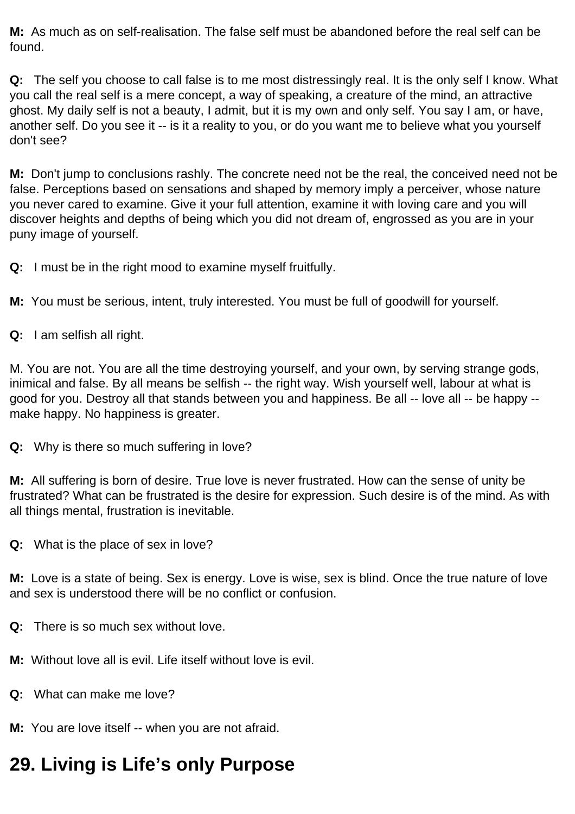**M:** As much as on self-realisation. The false self must be abandoned before the real self can be found.

**Q:** The self you choose to call false is to me most distressingly real. It is the only self I know. What you call the real self is a mere concept, a way of speaking, a creature of the mind, an attractive ghost. My daily self is not a beauty, I admit, but it is my own and only self. You say I am, or have, another self. Do you see it -- is it a reality to you, or do you want me to believe what you yourself don't see?

**M:** Don't jump to conclusions rashly. The concrete need not be the real, the conceived need not be false. Perceptions based on sensations and shaped by memory imply a perceiver, whose nature you never cared to examine. Give it your full attention, examine it with loving care and you will discover heights and depths of being which you did not dream of, engrossed as you are in your puny image of yourself.

- **Q:** I must be in the right mood to examine myself fruitfully.
- **M:** You must be serious, intent, truly interested. You must be full of goodwill for yourself.
- **Q:** I am selfish all right.

M. You are not. You are all the time destroying yourself, and your own, by serving strange gods, inimical and false. By all means be selfish -- the right way. Wish yourself well, labour at what is good for you. Destroy all that stands between you and happiness. Be all -- love all -- be happy - make happy. No happiness is greater.

**Q:** Why is there so much suffering in love?

**M:** All suffering is born of desire. True love is never frustrated. How can the sense of unity be frustrated? What can be frustrated is the desire for expression. Such desire is of the mind. As with all things mental, frustration is inevitable.

**Q:** What is the place of sex in love?

**M:** Love is a state of being. Sex is energy. Love is wise, sex is blind. Once the true nature of love and sex is understood there will be no conflict or confusion.

- **Q:** There is so much sex without love.
- **M:** Without love all is evil. Life itself without love is evil.
- **Q:** What can make me love?

**M:** You are love itself -- when you are not afraid.

# **29. Living is Life's only Purpose**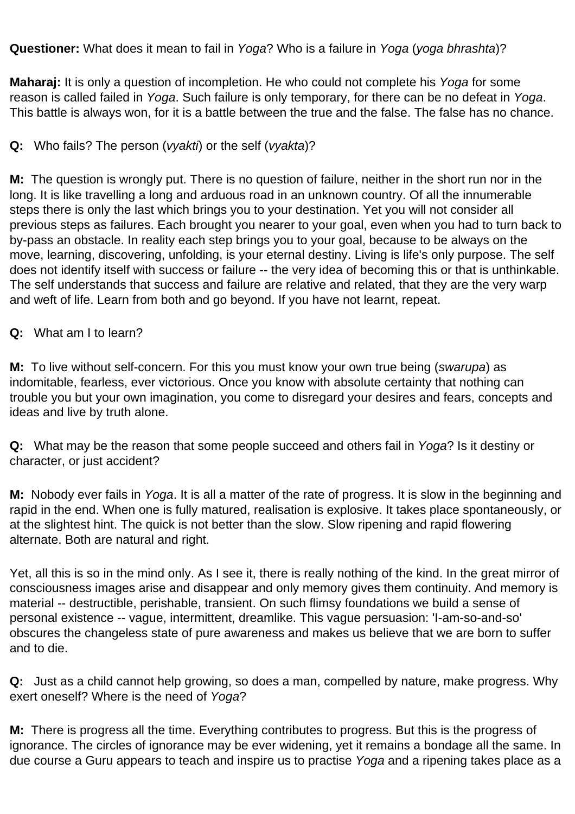**Questioner:** What does it mean to fail in *Yoga*? Who is a failure in *Yoga* (*yoga bhrashta*)?

**Maharaj:** It is only a question of incompletion. He who could not complete his *Yoga* for some reason is called failed in *Yoga*. Such failure is only temporary, for there can be no defeat in *Yoga*. This battle is always won, for it is a battle between the true and the false. The false has no chance.

### **Q:** Who fails? The person (*vyakti*) or the self (*vyakta*)?

**M:** The question is wrongly put. There is no question of failure, neither in the short run nor in the long. It is like travelling a long and arduous road in an unknown country. Of all the innumerable steps there is only the last which brings you to your destination. Yet you will not consider all previous steps as failures. Each brought you nearer to your goal, even when you had to turn back to by-pass an obstacle. In reality each step brings you to your goal, because to be always on the move, learning, discovering, unfolding, is your eternal destiny. Living is life's only purpose. The self does not identify itself with success or failure -- the very idea of becoming this or that is unthinkable. The self understands that success and failure are relative and related, that they are the very warp and weft of life. Learn from both and go beyond. If you have not learnt, repeat.

### **Q:** What am I to learn?

**M:** To live without self-concern. For this you must know your own true being (*swarupa*) as indomitable, fearless, ever victorious. Once you know with absolute certainty that nothing can trouble you but your own imagination, you come to disregard your desires and fears, concepts and ideas and live by truth alone.

**Q:** What may be the reason that some people succeed and others fail in *Yoga*? Is it destiny or character, or just accident?

**M:** Nobody ever fails in *Yoga*. It is all a matter of the rate of progress. It is slow in the beginning and rapid in the end. When one is fully matured, realisation is explosive. It takes place spontaneously, or at the slightest hint. The quick is not better than the slow. Slow ripening and rapid flowering alternate. Both are natural and right.

Yet, all this is so in the mind only. As I see it, there is really nothing of the kind. In the great mirror of consciousness images arise and disappear and only memory gives them continuity. And memory is material -- destructible, perishable, transient. On such flimsy foundations we build a sense of personal existence -- vague, intermittent, dreamlike. This vague persuasion: 'I-am-so-and-so' obscures the changeless state of pure awareness and makes us believe that we are born to suffer and to die.

**Q:** Just as a child cannot help growing, so does a man, compelled by nature, make progress. Why exert oneself? Where is the need of *Yoga*?

**M:** There is progress all the time. Everything contributes to progress. But this is the progress of ignorance. The circles of ignorance may be ever widening, yet it remains a bondage all the same. In due course a Guru appears to teach and inspire us to practise *Yoga* and a ripening takes place as a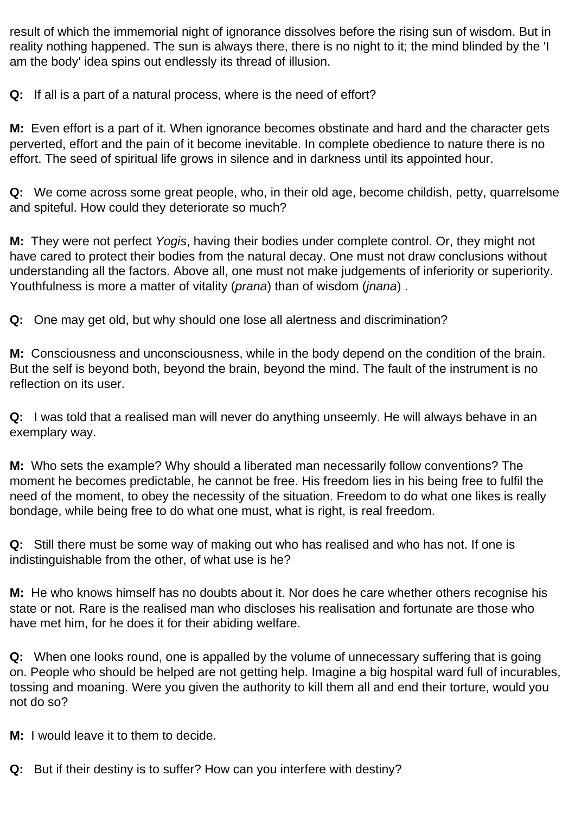result of which the immemorial night of ignorance dissolves before the rising sun of wisdom. But in reality nothing happened. The sun is always there, there is no night to it; the mind blinded by the 'I am the body' idea spins out endlessly its thread of illusion.

**Q:** If all is a part of a natural process, where is the need of effort?

**M:** Even effort is a part of it. When ignorance becomes obstinate and hard and the character gets perverted, effort and the pain of it become inevitable. In complete obedience to nature there is no effort. The seed of spiritual life grows in silence and in darkness until its appointed hour.

**Q:** We come across some great people, who, in their old age, become childish, petty, quarrelsome and spiteful. How could they deteriorate so much?

**M:** They were not perfect *Yogis*, having their bodies under complete control. Or, they might not have cared to protect their bodies from the natural decay. One must not draw conclusions without understanding all the factors. Above all, one must not make judgements of inferiority or superiority. Youthfulness is more a matter of vitality (*prana*) than of wisdom (*jnana*) .

**Q:** One may get old, but why should one lose all alertness and discrimination?

**M:** Consciousness and unconsciousness, while in the body depend on the condition of the brain. But the self is beyond both, beyond the brain, beyond the mind. The fault of the instrument is no reflection on its user.

**Q:** I was told that a realised man will never do anything unseemly. He will always behave in an exemplary way.

**M:** Who sets the example? Why should a liberated man necessarily follow conventions? The moment he becomes predictable, he cannot be free. His freedom lies in his being free to fulfil the need of the moment, to obey the necessity of the situation. Freedom to do what one likes is really bondage, while being free to do what one must, what is right, is real freedom.

**Q:** Still there must be some way of making out who has realised and who has not. If one is indistinguishable from the other, of what use is he?

**M:** He who knows himself has no doubts about it. Nor does he care whether others recognise his state or not. Rare is the realised man who discloses his realisation and fortunate are those who have met him, for he does it for their abiding welfare.

**Q:** When one looks round, one is appalled by the volume of unnecessary suffering that is going on. People who should be helped are not getting help. Imagine a big hospital ward full of incurables, tossing and moaning. Were you given the authority to kill them all and end their torture, would you not do so?

**M:** I would leave it to them to decide.

**Q:** But if their destiny is to suffer? How can you interfere with destiny?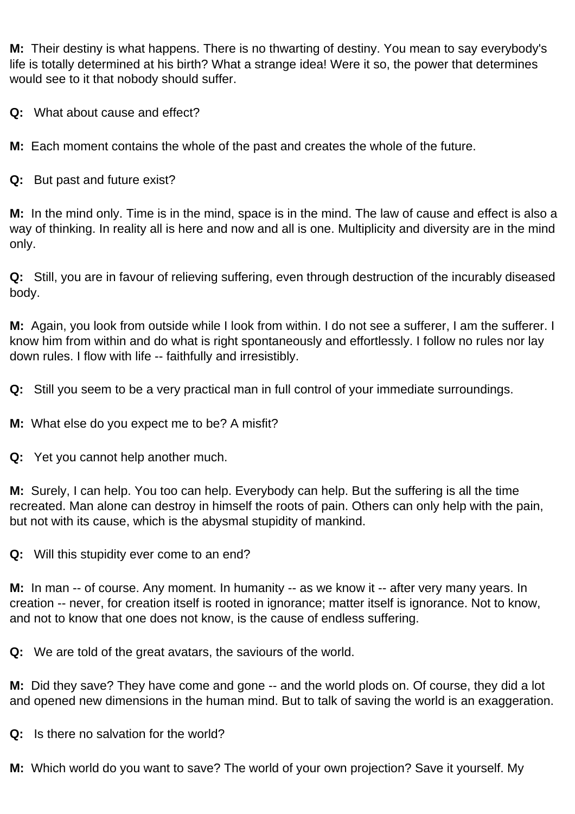**M:** Their destiny is what happens. There is no thwarting of destiny. You mean to say everybody's life is totally determined at his birth? What a strange idea! Were it so, the power that determines would see to it that nobody should suffer.

**Q:** What about cause and effect?

**M:** Each moment contains the whole of the past and creates the whole of the future.

**Q:** But past and future exist?

**M:** In the mind only. Time is in the mind, space is in the mind. The law of cause and effect is also a way of thinking. In reality all is here and now and all is one. Multiplicity and diversity are in the mind only.

**Q:** Still, you are in favour of relieving suffering, even through destruction of the incurably diseased body.

**M:** Again, you look from outside while I look from within. I do not see a sufferer, I am the sufferer. I know him from within and do what is right spontaneously and effortlessly. I follow no rules nor lay down rules. I flow with life -- faithfully and irresistibly.

**Q:** Still you seem to be a very practical man in full control of your immediate surroundings.

**M:** What else do you expect me to be? A misfit?

**Q:** Yet you cannot help another much.

**M:** Surely, I can help. You too can help. Everybody can help. But the suffering is all the time recreated. Man alone can destroy in himself the roots of pain. Others can only help with the pain, but not with its cause, which is the abysmal stupidity of mankind.

**Q:** Will this stupidity ever come to an end?

**M:** In man -- of course. Any moment. In humanity -- as we know it -- after very many years. In creation -- never, for creation itself is rooted in ignorance; matter itself is ignorance. Not to know, and not to know that one does not know, is the cause of endless suffering.

**Q:** We are told of the great avatars, the saviours of the world.

**M:** Did they save? They have come and gone -- and the world plods on. Of course, they did a lot and opened new dimensions in the human mind. But to talk of saving the world is an exaggeration.

**Q:** Is there no salvation for the world?

**M:** Which world do you want to save? The world of your own projection? Save it yourself. My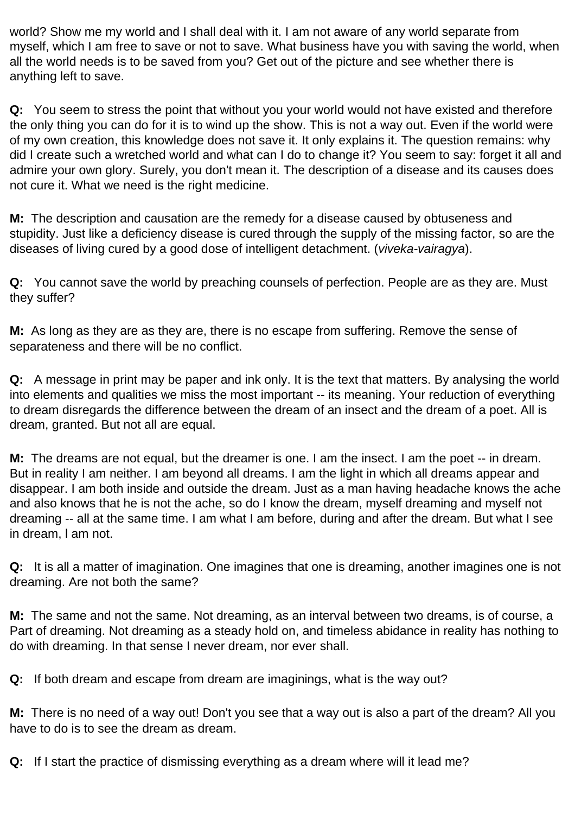world? Show me my world and I shall deal with it. I am not aware of any world separate from myself, which I am free to save or not to save. What business have you with saving the world, when all the world needs is to be saved from you? Get out of the picture and see whether there is anything left to save.

**Q:** You seem to stress the point that without you your world would not have existed and therefore the only thing you can do for it is to wind up the show. This is not a way out. Even if the world were of my own creation, this knowledge does not save it. It only explains it. The question remains: why did I create such a wretched world and what can I do to change it? You seem to say: forget it all and admire your own glory. Surely, you don't mean it. The description of a disease and its causes does not cure it. What we need is the right medicine.

**M:** The description and causation are the remedy for a disease caused by obtuseness and stupidity. Just like a deficiency disease is cured through the supply of the missing factor, so are the diseases of living cured by a good dose of intelligent detachment. (*viveka-vairagya*).

**Q:** You cannot save the world by preaching counsels of perfection. People are as they are. Must they suffer?

**M:** As long as they are as they are, there is no escape from suffering. Remove the sense of separateness and there will be no conflict.

**Q:** A message in print may be paper and ink only. It is the text that matters. By analysing the world into elements and qualities we miss the most important -- its meaning. Your reduction of everything to dream disregards the difference between the dream of an insect and the dream of a poet. All is dream, granted. But not all are equal.

**M:** The dreams are not equal, but the dreamer is one. I am the insect. I am the poet -- in dream. But in reality I am neither. I am beyond all dreams. I am the light in which all dreams appear and disappear. I am both inside and outside the dream. Just as a man having headache knows the ache and also knows that he is not the ache, so do I know the dream, myself dreaming and myself not dreaming -- all at the same time. I am what I am before, during and after the dream. But what I see in dream, l am not.

**Q:** It is all a matter of imagination. One imagines that one is dreaming, another imagines one is not dreaming. Are not both the same?

**M:** The same and not the same. Not dreaming, as an interval between two dreams, is of course, a Part of dreaming. Not dreaming as a steady hold on, and timeless abidance in reality has nothing to do with dreaming. In that sense I never dream, nor ever shall.

**Q:** If both dream and escape from dream are imaginings, what is the way out?

**M:** There is no need of a way out! Don't you see that a way out is also a part of the dream? All you have to do is to see the dream as dream.

**Q:** If I start the practice of dismissing everything as a dream where will it lead me?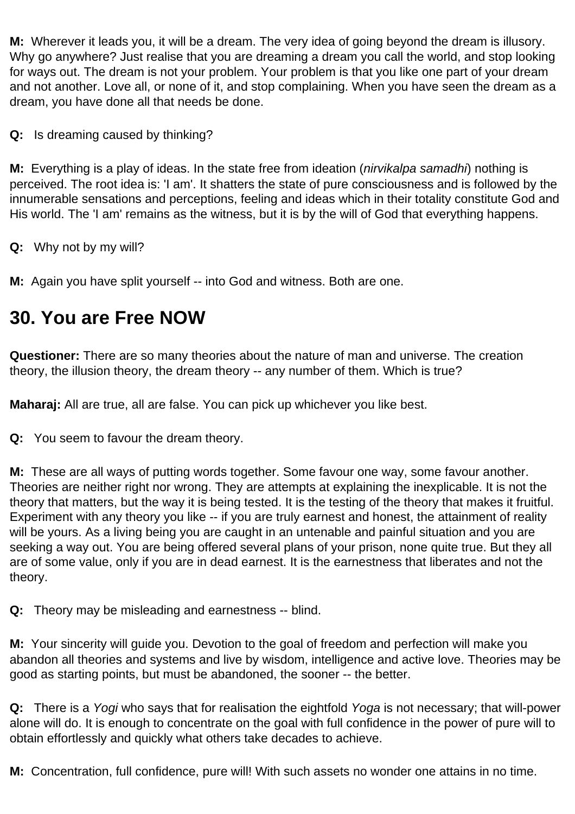**M:** Wherever it leads you, it will be a dream. The very idea of going beyond the dream is illusory. Why go anywhere? Just realise that you are dreaming a dream you call the world, and stop looking for ways out. The dream is not your problem. Your problem is that you like one part of your dream and not another. Love all, or none of it, and stop complaining. When you have seen the dream as a dream, you have done all that needs be done.

**Q:** Is dreaming caused by thinking?

**M:** Everything is a play of ideas. In the state free from ideation (*nirvikalpa samadhi*) nothing is perceived. The root idea is: 'I am'. It shatters the state of pure consciousness and is followed by the innumerable sensations and perceptions, feeling and ideas which in their totality constitute God and His world. The 'I am' remains as the witness, but it is by the will of God that everything happens.

**Q:** Why not by my will?

**M:** Again you have split yourself -- into God and witness. Both are one.

### **30. You are Free NOW**

**Questioner:** There are so many theories about the nature of man and universe. The creation theory, the illusion theory, the dream theory -- any number of them. Which is true?

**Maharaj:** All are true, all are false. You can pick up whichever you like best.

**Q:** You seem to favour the dream theory.

**M:** These are all ways of putting words together. Some favour one way, some favour another. Theories are neither right nor wrong. They are attempts at explaining the inexplicable. It is not the theory that matters, but the way it is being tested. It is the testing of the theory that makes it fruitful. Experiment with any theory you like -- if you are truly earnest and honest, the attainment of reality will be yours. As a living being you are caught in an untenable and painful situation and you are seeking a way out. You are being offered several plans of your prison, none quite true. But they all are of some value, only if you are in dead earnest. It is the earnestness that liberates and not the theory.

**Q:** Theory may be misleading and earnestness -- blind.

**M:** Your sincerity will guide you. Devotion to the goal of freedom and perfection will make you abandon all theories and systems and live by wisdom, intelligence and active love. Theories may be good as starting points, but must be abandoned, the sooner -- the better.

**Q:** There is a *Yogi* who says that for realisation the eightfold *Yoga* is not necessary; that will-power alone will do. It is enough to concentrate on the goal with full confidence in the power of pure will to obtain effortlessly and quickly what others take decades to achieve.

**M:** Concentration, full confidence, pure will! With such assets no wonder one attains in no time.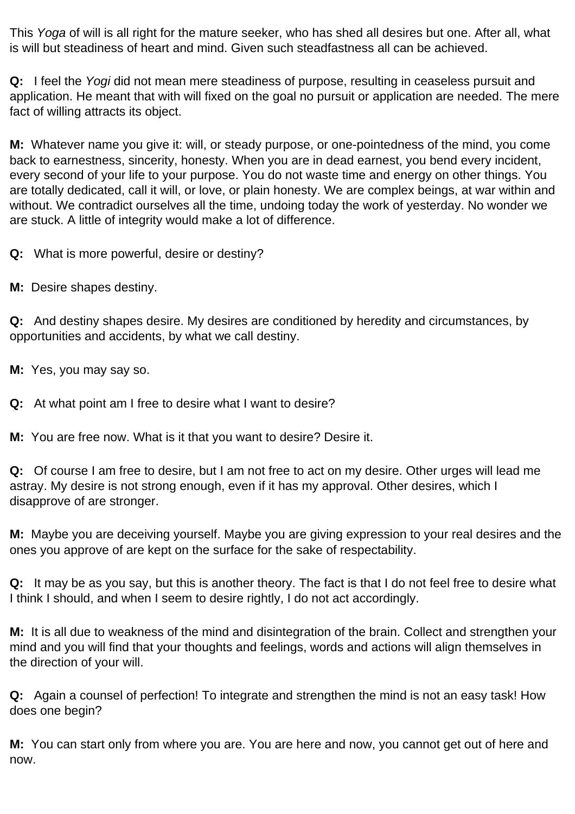This *Yoga* of will is all right for the mature seeker, who has shed all desires but one. After all, what is will but steadiness of heart and mind. Given such steadfastness all can be achieved.

**Q:** I feel the *Yogi* did not mean mere steadiness of purpose, resulting in ceaseless pursuit and application. He meant that with will fixed on the goal no pursuit or application are needed. The mere fact of willing attracts its object.

**M:** Whatever name you give it: will, or steady purpose, or one-pointedness of the mind, you come back to earnestness, sincerity, honesty. When you are in dead earnest, you bend every incident, every second of your life to your purpose. You do not waste time and energy on other things. You are totally dedicated, call it will, or love, or plain honesty. We are complex beings, at war within and without. We contradict ourselves all the time, undoing today the work of yesterday. No wonder we are stuck. A little of integrity would make a lot of difference.

**Q:** What is more powerful, desire or destiny?

**M:** Desire shapes destiny.

**Q:** And destiny shapes desire. My desires are conditioned by heredity and circumstances, by opportunities and accidents, by what we call destiny.

**M:** Yes, you may say so.

**Q:** At what point am I free to desire what I want to desire?

**M:** You are free now. What is it that you want to desire? Desire it.

**Q:** Of course I am free to desire, but I am not free to act on my desire. Other urges will lead me astray. My desire is not strong enough, even if it has my approval. Other desires, which I disapprove of are stronger.

**M:** Maybe you are deceiving yourself. Maybe you are giving expression to your real desires and the ones you approve of are kept on the surface for the sake of respectability.

**Q:** It may be as you say, but this is another theory. The fact is that I do not feel free to desire what I think I should, and when I seem to desire rightly, I do not act accordingly.

**M:** It is all due to weakness of the mind and disintegration of the brain. Collect and strengthen your mind and you will find that your thoughts and feelings, words and actions will align themselves in the direction of your will.

**Q:** Again a counsel of perfection! To integrate and strengthen the mind is not an easy task! How does one begin?

**M:** You can start only from where you are. You are here and now, you cannot get out of here and now.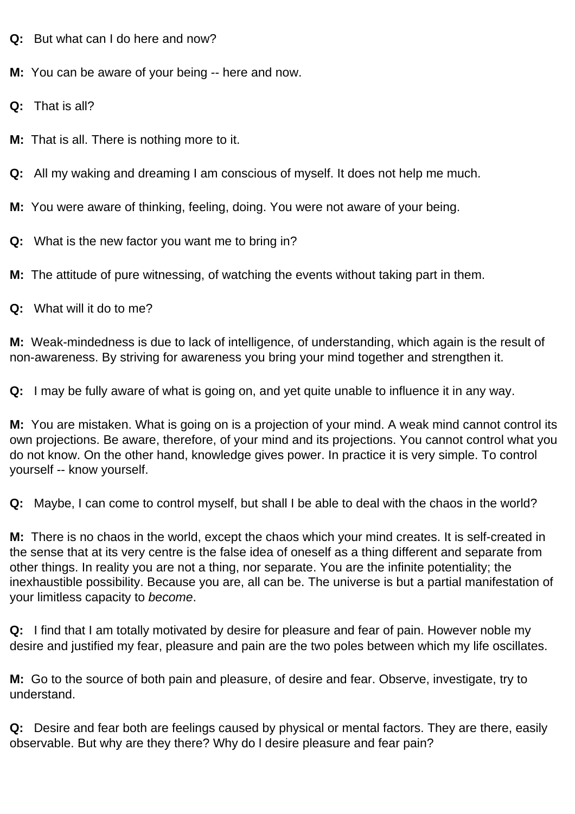- **Q:** But what can I do here and now?
- **M:** You can be aware of your being -- here and now.
- **Q:** That is all?
- **M:** That is all. There is nothing more to it.
- **Q:** All my waking and dreaming I am conscious of myself. It does not help me much.
- **M:** You were aware of thinking, feeling, doing. You were not aware of your being.
- **Q:** What is the new factor you want me to bring in?
- **M:** The attitude of pure witnessing, of watching the events without taking part in them.
- **Q:** What will it do to me?

**M:** Weak-mindedness is due to lack of intelligence, of understanding, which again is the result of non-awareness. By striving for awareness you bring your mind together and strengthen it.

**Q:** I may be fully aware of what is going on, and yet quite unable to influence it in any way.

**M:** You are mistaken. What is going on is a projection of your mind. A weak mind cannot control its own projections. Be aware, therefore, of your mind and its projections. You cannot control what you do not know. On the other hand, knowledge gives power. In practice it is very simple. To control yourself -- know yourself.

**Q:** Maybe, I can come to control myself, but shall I be able to deal with the chaos in the world?

**M:** There is no chaos in the world, except the chaos which your mind creates. It is self-created in the sense that at its very centre is the false idea of oneself as a thing different and separate from other things. In reality you are not a thing, nor separate. You are the infinite potentiality; the inexhaustible possibility. Because you are, all can be. The universe is but a partial manifestation of your limitless capacity to *become*.

**Q:** I find that I am totally motivated by desire for pleasure and fear of pain. However noble my desire and justified my fear, pleasure and pain are the two poles between which my life oscillates.

**M:** Go to the source of both pain and pleasure, of desire and fear. Observe, investigate, try to understand.

**Q:** Desire and fear both are feelings caused by physical or mental factors. They are there, easily observable. But why are they there? Why do l desire pleasure and fear pain?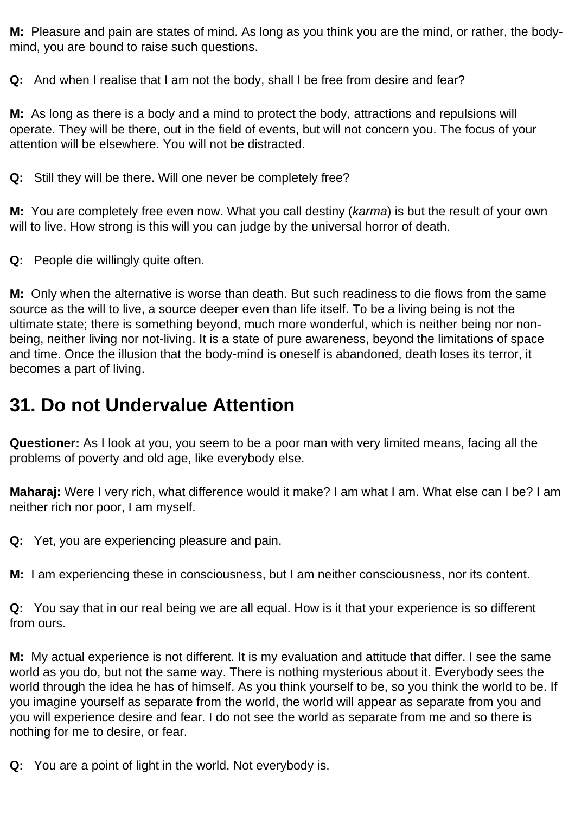**M:** Pleasure and pain are states of mind. As long as you think you are the mind, or rather, the bodymind, you are bound to raise such questions.

**Q:** And when I realise that I am not the body, shall I be free from desire and fear?

**M:** As long as there is a body and a mind to protect the body, attractions and repulsions will operate. They will be there, out in the field of events, but will not concern you. The focus of your attention will be elsewhere. You will not be distracted.

**Q:** Still they will be there. Will one never be completely free?

**M:** You are completely free even now. What you call destiny (*karma*) is but the result of your own will to live. How strong is this will you can judge by the universal horror of death.

**Q:** People die willingly quite often.

**M:** Only when the alternative is worse than death. But such readiness to die flows from the same source as the will to live, a source deeper even than life itself. To be a living being is not the ultimate state; there is something beyond, much more wonderful, which is neither being nor nonbeing, neither living nor not-living. It is a state of pure awareness, beyond the limitations of space and time. Once the illusion that the body-mind is oneself is abandoned, death loses its terror, it becomes a part of living.

## **31. Do not Undervalue Attention**

**Questioner:** As I look at you, you seem to be a poor man with very limited means, facing all the problems of poverty and old age, like everybody else.

**Maharaj:** Were I very rich, what difference would it make? I am what I am. What else can I be? I am neither rich nor poor, I am myself.

**Q:** Yet, you are experiencing pleasure and pain.

**M:** I am experiencing these in consciousness, but I am neither consciousness, nor its content.

**Q:** You say that in our real being we are all equal. How is it that your experience is so different from ours.

**M:** My actual experience is not different. It is my evaluation and attitude that differ. I see the same world as you do, but not the same way. There is nothing mysterious about it. Everybody sees the world through the idea he has of himself. As you think yourself to be, so you think the world to be. If you imagine yourself as separate from the world, the world will appear as separate from you and you will experience desire and fear. I do not see the world as separate from me and so there is nothing for me to desire, or fear.

**Q:** You are a point of light in the world. Not everybody is.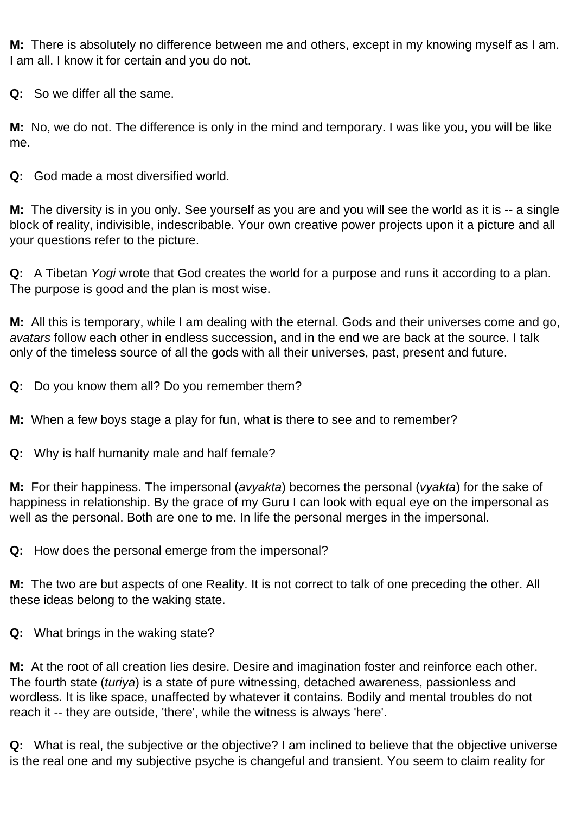**M:** There is absolutely no difference between me and others, except in my knowing myself as I am. I am all. I know it for certain and you do not.

**Q:** So we differ all the same.

**M:** No, we do not. The difference is only in the mind and temporary. I was like you, you will be like me.

**Q:** God made a most diversified world.

**M:** The diversity is in you only. See yourself as you are and you will see the world as it is -- a single block of reality, indivisible, indescribable. Your own creative power projects upon it a picture and all your questions refer to the picture.

**Q:** A Tibetan *Yogi* wrote that God creates the world for a purpose and runs it according to a plan. The purpose is good and the plan is most wise.

**M:** All this is temporary, while I am dealing with the eternal. Gods and their universes come and go, *avatars* follow each other in endless succession, and in the end we are back at the source. I talk only of the timeless source of all the gods with all their universes, past, present and future.

**Q:** Do you know them all? Do you remember them?

**M:** When a few boys stage a play for fun, what is there to see and to remember?

**Q:** Why is half humanity male and half female?

**M:** For their happiness. The impersonal (*avyakta*) becomes the personal (*vyakta*) for the sake of happiness in relationship. By the grace of my Guru I can look with equal eye on the impersonal as well as the personal. Both are one to me. In life the personal merges in the impersonal.

**Q:** How does the personal emerge from the impersonal?

**M:** The two are but aspects of one Reality. It is not correct to talk of one preceding the other. All these ideas belong to the waking state.

**Q:** What brings in the waking state?

**M:** At the root of all creation lies desire. Desire and imagination foster and reinforce each other. The fourth state (*turiya*) is a state of pure witnessing, detached awareness, passionless and wordless. It is like space, unaffected by whatever it contains. Bodily and mental troubles do not reach it -- they are outside, 'there', while the witness is always 'here'.

**Q:** What is real, the subjective or the objective? I am inclined to believe that the objective universe is the real one and my subjective psyche is changeful and transient. You seem to claim reality for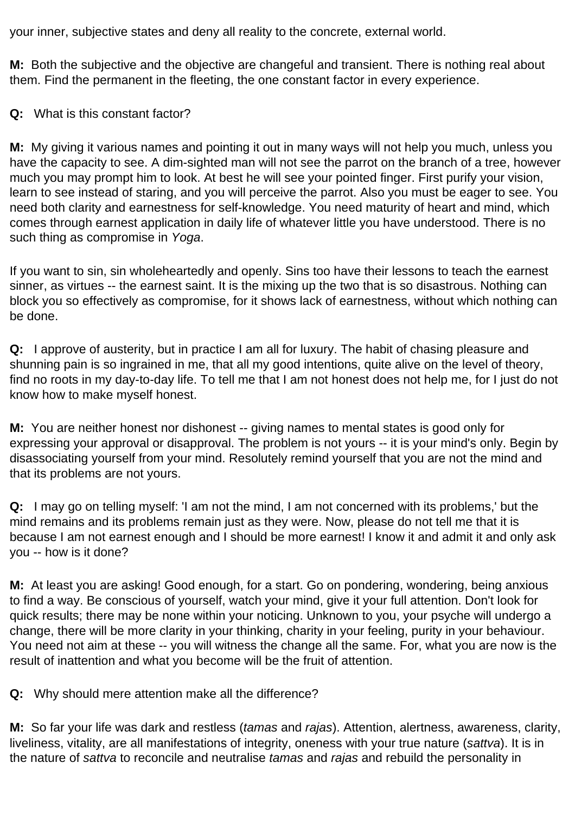your inner, subjective states and deny all reality to the concrete, external world.

**M:** Both the subjective and the objective are changeful and transient. There is nothing real about them. Find the permanent in the fleeting, the one constant factor in every experience.

#### **Q:** What is this constant factor?

**M:** My giving it various names and pointing it out in many ways will not help you much, unless you have the capacity to see. A dim-sighted man will not see the parrot on the branch of a tree, however much you may prompt him to look. At best he will see your pointed finger. First purify your vision, learn to see instead of staring, and you will perceive the parrot. Also you must be eager to see. You need both clarity and earnestness for self-knowledge. You need maturity of heart and mind, which comes through earnest application in daily life of whatever little you have understood. There is no such thing as compromise in *Yoga*.

If you want to sin, sin wholeheartedly and openly. Sins too have their lessons to teach the earnest sinner, as virtues -- the earnest saint. It is the mixing up the two that is so disastrous. Nothing can block you so effectively as compromise, for it shows lack of earnestness, without which nothing can be done.

**Q:** I approve of austerity, but in practice I am all for luxury. The habit of chasing pleasure and shunning pain is so ingrained in me, that all my good intentions, quite alive on the level of theory, find no roots in my day-to-day life. To tell me that I am not honest does not help me, for I just do not know how to make myself honest.

**M:** You are neither honest nor dishonest -- giving names to mental states is good only for expressing your approval or disapproval. The problem is not yours -- it is your mind's only. Begin by disassociating yourself from your mind. Resolutely remind yourself that you are not the mind and that its problems are not yours.

**Q:** I may go on telling myself: 'I am not the mind, I am not concerned with its problems,' but the mind remains and its problems remain just as they were. Now, please do not tell me that it is because I am not earnest enough and I should be more earnest! I know it and admit it and only ask you -- how is it done?

**M:** At least you are asking! Good enough, for a start. Go on pondering, wondering, being anxious to find a way. Be conscious of yourself, watch your mind, give it your full attention. Don't look for quick results; there may be none within your noticing. Unknown to you, your psyche will undergo a change, there will be more clarity in your thinking, charity in your feeling, purity in your behaviour. You need not aim at these -- you will witness the change all the same. For, what you are now is the result of inattention and what you become will be the fruit of attention.

**Q:** Why should mere attention make all the difference?

**M:** So far your life was dark and restless (*tamas* and *rajas*). Attention, alertness, awareness, clarity, liveliness, vitality, are all manifestations of integrity, oneness with your true nature (*sattva*). It is in the nature of *sattva* to reconcile and neutralise *tamas* and *rajas* and rebuild the personality in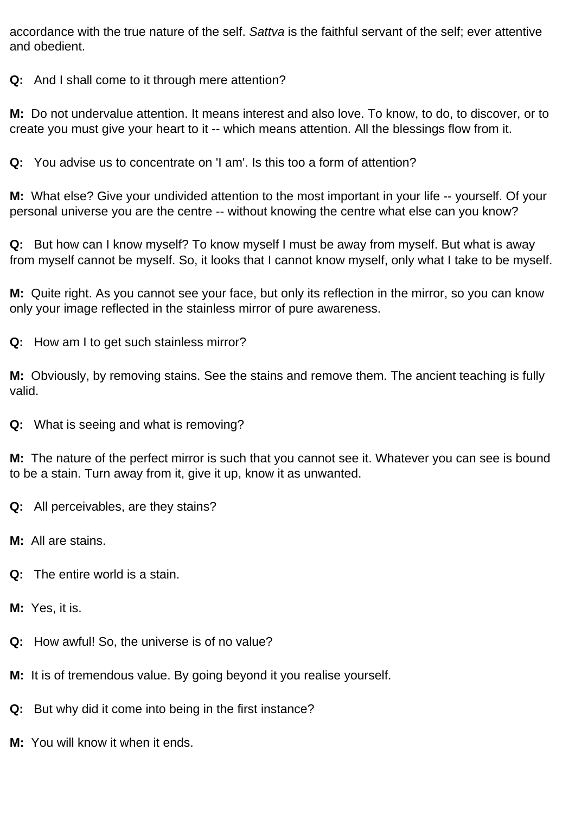accordance with the true nature of the self. *Sattva* is the faithful servant of the self; ever attentive and obedient.

**Q:** And I shall come to it through mere attention?

**M:** Do not undervalue attention. It means interest and also love. To know, to do, to discover, or to create you must give your heart to it -- which means attention. All the blessings flow from it.

**Q:** You advise us to concentrate on 'I am'. Is this too a form of attention?

**M:** What else? Give your undivided attention to the most important in your life -- yourself. Of your personal universe you are the centre -- without knowing the centre what else can you know?

**Q:** But how can I know myself? To know myself I must be away from myself. But what is away from myself cannot be myself. So, it looks that I cannot know myself, only what I take to be myself.

**M:** Quite right. As you cannot see your face, but only its reflection in the mirror, so you can know only your image reflected in the stainless mirror of pure awareness.

**Q:** How am I to get such stainless mirror?

**M:** Obviously, by removing stains. See the stains and remove them. The ancient teaching is fully valid.

**Q:** What is seeing and what is removing?

**M:** The nature of the perfect mirror is such that you cannot see it. Whatever you can see is bound to be a stain. Turn away from it, give it up, know it as unwanted.

**Q:** All perceivables, are they stains?

- **M:** All are stains.
- **Q:** The entire world is a stain.
- **M:** Yes, it is.
- **Q:** How awful! So, the universe is of no value?
- **M:** It is of tremendous value. By going beyond it you realise yourself.
- **Q:** But why did it come into being in the first instance?
- **M:** You will know it when it ends.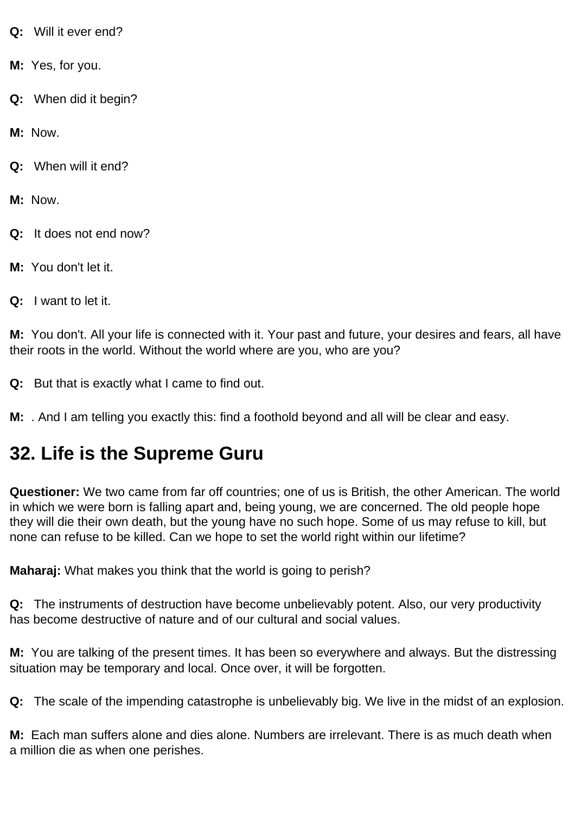- **Q:** Will it ever end?
- **M:** Yes, for you.
- **Q:** When did it begin?
- **M:** Now.
- **Q:** When will it end?
- **M:** Now.
- **Q:** It does not end now?
- **M:** You don't let it.
- **Q:** I want to let it.

**M:** You don't. All your life is connected with it. Your past and future, your desires and fears, all have their roots in the world. Without the world where are you, who are you?

**Q:** But that is exactly what I came to find out.

**M:** . And I am telling you exactly this: find a foothold beyond and all will be clear and easy.

### **32. Life is the Supreme Guru**

**Questioner:** We two came from far off countries; one of us is British, the other American. The world in which we were born is falling apart and, being young, we are concerned. The old people hope they will die their own death, but the young have no such hope. Some of us may refuse to kill, but none can refuse to be killed. Can we hope to set the world right within our lifetime?

**Maharaj:** What makes you think that the world is going to perish?

**Q:** The instruments of destruction have become unbelievably potent. Also, our very productivity has become destructive of nature and of our cultural and social values.

**M:** You are talking of the present times. It has been so everywhere and always. But the distressing situation may be temporary and local. Once over, it will be forgotten.

**Q:** The scale of the impending catastrophe is unbelievably big. We live in the midst of an explosion.

**M:** Each man suffers alone and dies alone. Numbers are irrelevant. There is as much death when a million die as when one perishes.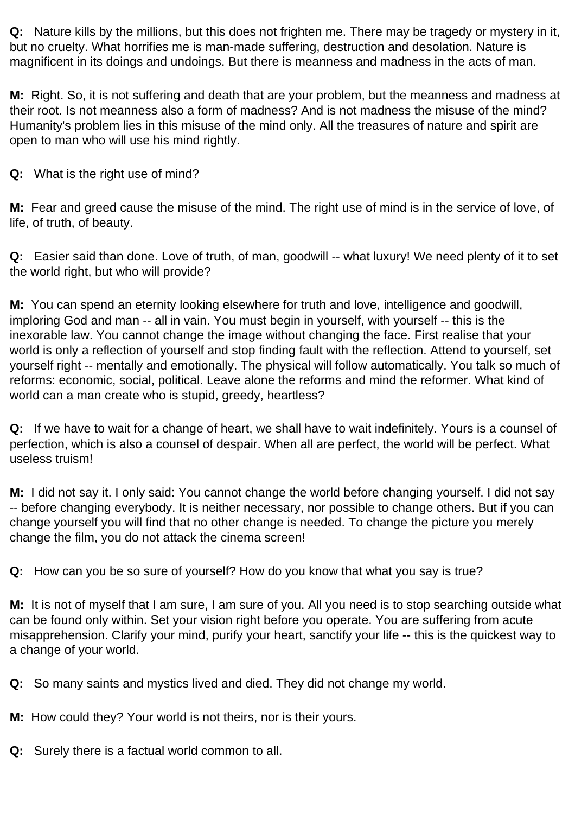**Q:** Nature kills by the millions, but this does not frighten me. There may be tragedy or mystery in it, but no cruelty. What horrifies me is man-made suffering, destruction and desolation. Nature is magnificent in its doings and undoings. But there is meanness and madness in the acts of man.

**M:** Right. So, it is not suffering and death that are your problem, but the meanness and madness at their root. Is not meanness also a form of madness? And is not madness the misuse of the mind? Humanity's problem lies in this misuse of the mind only. All the treasures of nature and spirit are open to man who will use his mind rightly.

**Q:** What is the right use of mind?

**M:** Fear and greed cause the misuse of the mind. The right use of mind is in the service of love, of life, of truth, of beauty.

**Q:** Easier said than done. Love of truth, of man, goodwill -- what luxury! We need plenty of it to set the world right, but who will provide?

**M:** You can spend an eternity looking elsewhere for truth and love, intelligence and goodwill, imploring God and man -- all in vain. You must begin in yourself, with yourself -- this is the inexorable law. You cannot change the image without changing the face. First realise that your world is only a reflection of yourself and stop finding fault with the reflection. Attend to yourself, set yourself right -- mentally and emotionally. The physical will follow automatically. You talk so much of reforms: economic, social, political. Leave alone the reforms and mind the reformer. What kind of world can a man create who is stupid, greedy, heartless?

**Q:** If we have to wait for a change of heart, we shall have to wait indefinitely. Yours is a counsel of perfection, which is also a counsel of despair. When all are perfect, the world will be perfect. What useless truism!

**M:** I did not say it. I only said: You cannot change the world before changing yourself. I did not say -- before changing everybody. It is neither necessary, nor possible to change others. But if you can change yourself you will find that no other change is needed. To change the picture you merely change the film, you do not attack the cinema screen!

**Q:** How can you be so sure of yourself? How do you know that what you say is true?

**M:** It is not of myself that I am sure, I am sure of you. All you need is to stop searching outside what can be found only within. Set your vision right before you operate. You are suffering from acute misapprehension. Clarify your mind, purify your heart, sanctify your life -- this is the quickest way to a change of your world.

**Q:** So many saints and mystics lived and died. They did not change my world.

**M:** How could they? Your world is not theirs, nor is their yours.

**Q:** Surely there is a factual world common to all.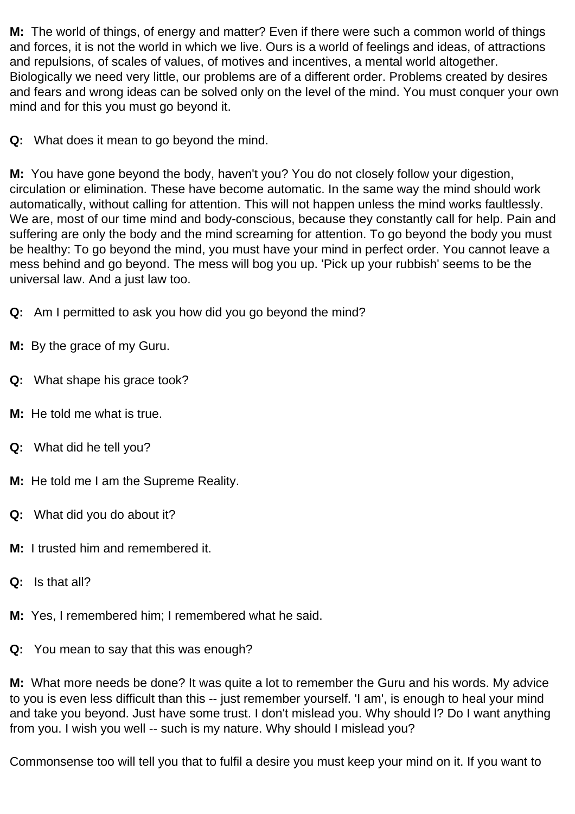**M:** The world of things, of energy and matter? Even if there were such a common world of things and forces, it is not the world in which we live. Ours is a world of feelings and ideas, of attractions and repulsions, of scales of values, of motives and incentives, a mental world altogether. Biologically we need very little, our problems are of a different order. Problems created by desires and fears and wrong ideas can be solved only on the level of the mind. You must conquer your own mind and for this you must go beyond it.

**Q:** What does it mean to go beyond the mind.

**M:** You have gone beyond the body, haven't you? You do not closely follow your digestion, circulation or elimination. These have become automatic. In the same way the mind should work automatically, without calling for attention. This will not happen unless the mind works faultlessly. We are, most of our time mind and body-conscious, because they constantly call for help. Pain and suffering are only the body and the mind screaming for attention. To go beyond the body you must be healthy: To go beyond the mind, you must have your mind in perfect order. You cannot leave a mess behind and go beyond. The mess will bog you up. 'Pick up your rubbish' seems to be the universal law. And a just law too.

- **Q:** Am I permitted to ask you how did you go beyond the mind?
- **M:** By the grace of my Guru.
- **Q:** What shape his grace took?
- **M:** He told me what is true.
- **Q:** What did he tell you?
- **M:** He told me I am the Supreme Reality.
- **Q:** What did you do about it?
- **M:** I trusted him and remembered it.
- **Q:** Is that all?
- **M:** Yes, I remembered him; I remembered what he said.
- **Q:** You mean to say that this was enough?

**M:** What more needs be done? It was quite a lot to remember the Guru and his words. My advice to you is even less difficult than this -- just remember yourself. 'I am', is enough to heal your mind and take you beyond. Just have some trust. I don't mislead you. Why should l? Do I want anything from you. I wish you well -- such is my nature. Why should I mislead you?

Commonsense too will tell you that to fulfil a desire you must keep your mind on it. If you want to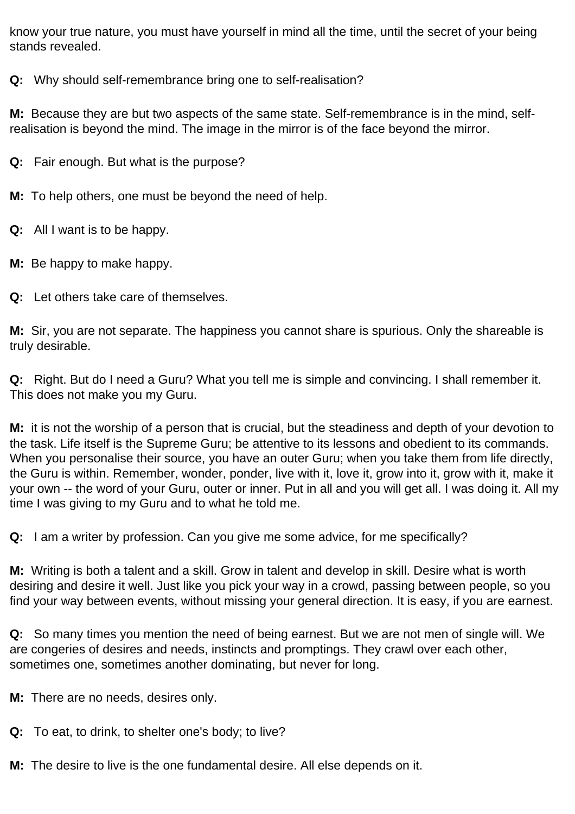know your true nature, you must have yourself in mind all the time, until the secret of your being stands revealed.

**Q:** Why should self-remembrance bring one to self-realisation?

**M:** Because they are but two aspects of the same state. Self-remembrance is in the mind, selfrealisation is beyond the mind. The image in the mirror is of the face beyond the mirror.

**Q:** Fair enough. But what is the purpose?

**M:** To help others, one must be beyond the need of help.

**Q:** All I want is to be happy.

- **M:** Be happy to make happy.
- **Q:** Let others take care of themselves.

**M:** Sir, you are not separate. The happiness you cannot share is spurious. Only the shareable is truly desirable.

**Q:** Right. But do I need a Guru? What you tell me is simple and convincing. I shall remember it. This does not make you my Guru.

**M:** it is not the worship of a person that is crucial, but the steadiness and depth of your devotion to the task. Life itself is the Supreme Guru; be attentive to its lessons and obedient to its commands. When you personalise their source, you have an outer Guru; when you take them from life directly, the Guru is within. Remember, wonder, ponder, live with it, love it, grow into it, grow with it, make it your own -- the word of your Guru, outer or inner. Put in all and you will get all. I was doing it. All my time I was giving to my Guru and to what he told me.

**Q:** I am a writer by profession. Can you give me some advice, for me specifically?

**M:** Writing is both a talent and a skill. Grow in talent and develop in skill. Desire what is worth desiring and desire it well. Just like you pick your way in a crowd, passing between people, so you find your way between events, without missing your general direction. It is easy, if you are earnest.

**Q:** So many times you mention the need of being earnest. But we are not men of single will. We are congeries of desires and needs, instincts and promptings. They crawl over each other, sometimes one, sometimes another dominating, but never for long.

**M:** There are no needs, desires only.

- **Q:** To eat, to drink, to shelter one's body; to live?
- **M:** The desire to live is the one fundamental desire. All else depends on it.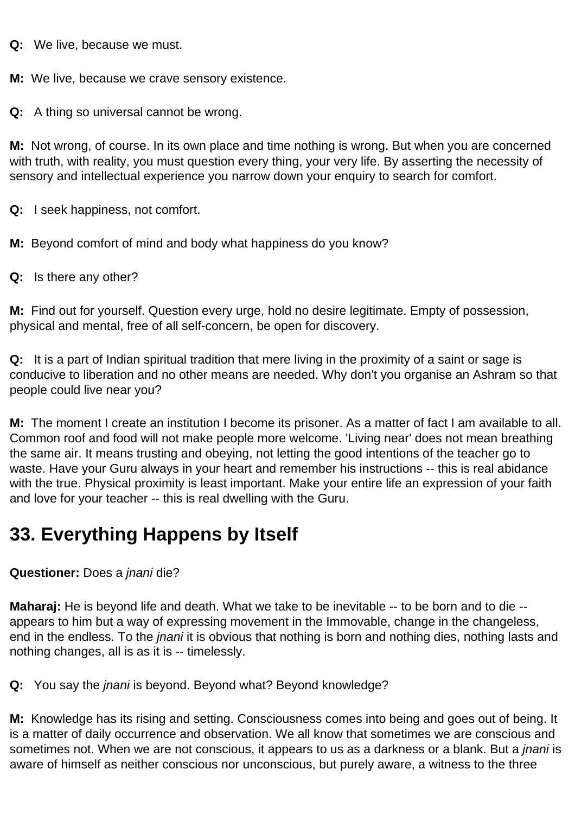**Q:** We live, because we must.

**M:** We live, because we crave sensory existence.

**Q:** A thing so universal cannot be wrong.

**M:** Not wrong, of course. In its own place and time nothing is wrong. But when you are concerned with truth, with reality, you must question every thing, your very life. By asserting the necessity of sensory and intellectual experience you narrow down your enquiry to search for comfort.

**Q:** I seek happiness, not comfort.

**M:** Beyond comfort of mind and body what happiness do you know?

**Q:** Is there any other?

**M:** Find out for yourself. Question every urge, hold no desire legitimate. Empty of possession, physical and mental, free of all self-concern, be open for discovery.

**Q:** It is a part of Indian spiritual tradition that mere living in the proximity of a saint or sage is conducive to liberation and no other means are needed. Why don't you organise an Ashram so that people could live near you?

**M:** The moment I create an institution I become its prisoner. As a matter of fact I am available to all. Common roof and food will not make people more welcome. 'Living near' does not mean breathing the same air. It means trusting and obeying, not letting the good intentions of the teacher go to waste. Have your Guru always in your heart and remember his instructions -- this is real abidance with the true. Physical proximity is least important. Make your entire life an expression of your faith and love for your teacher -- this is real dwelling with the Guru.

### **33. Everything Happens by Itself**

#### **Questioner:** Does a *jnani* die?

**Maharaj:** He is beyond life and death. What we take to be inevitable -- to be born and to die - appears to him but a way of expressing movement in the Immovable, change in the changeless, end in the endless. To the *jnani* it is obvious that nothing is born and nothing dies, nothing lasts and nothing changes, all is as it is -- timelessly.

**Q:** You say the *jnani* is beyond. Beyond what? Beyond knowledge?

**M:** Knowledge has its rising and setting. Consciousness comes into being and goes out of being. It is a matter of daily occurrence and observation. We all know that sometimes we are conscious and sometimes not. When we are not conscious, it appears to us as a darkness or a blank. But a *jnani* is aware of himself as neither conscious nor unconscious, but purely aware, a witness to the three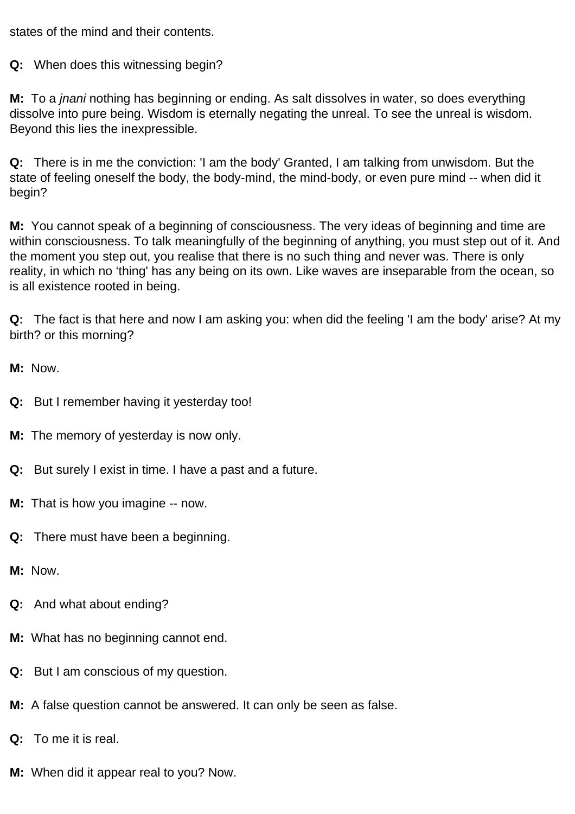states of the mind and their contents.

**Q:** When does this witnessing begin?

**M:** To a *jnani* nothing has beginning or ending. As salt dissolves in water, so does everything dissolve into pure being. Wisdom is eternally negating the unreal. To see the unreal is wisdom. Beyond this lies the inexpressible.

**Q:** There is in me the conviction: 'I am the body' Granted, I am talking from unwisdom. But the state of feeling oneself the body, the body-mind, the mind-body, or even pure mind -- when did it begin?

**M:** You cannot speak of a beginning of consciousness. The very ideas of beginning and time are within consciousness. To talk meaningfully of the beginning of anything, you must step out of it. And the moment you step out, you realise that there is no such thing and never was. There is only reality, in which no 'thing' has any being on its own. Like waves are inseparable from the ocean, so is all existence rooted in being.

**Q:** The fact is that here and now I am asking you: when did the feeling 'I am the body' arise? At my birth? or this morning?

- **M:** Now.
- **Q:** But I remember having it yesterday too!
- **M:** The memory of yesterday is now only.
- **Q:** But surely I exist in time. I have a past and a future.
- **M:** That is how you imagine -- now.
- **Q:** There must have been a beginning.
- **M:** Now.
- **Q:** And what about ending?
- **M:** What has no beginning cannot end.
- **Q:** But I am conscious of my question.
- **M:** A false question cannot be answered. It can only be seen as false.
- **Q:** To me it is real.
- **M:** When did it appear real to you? Now.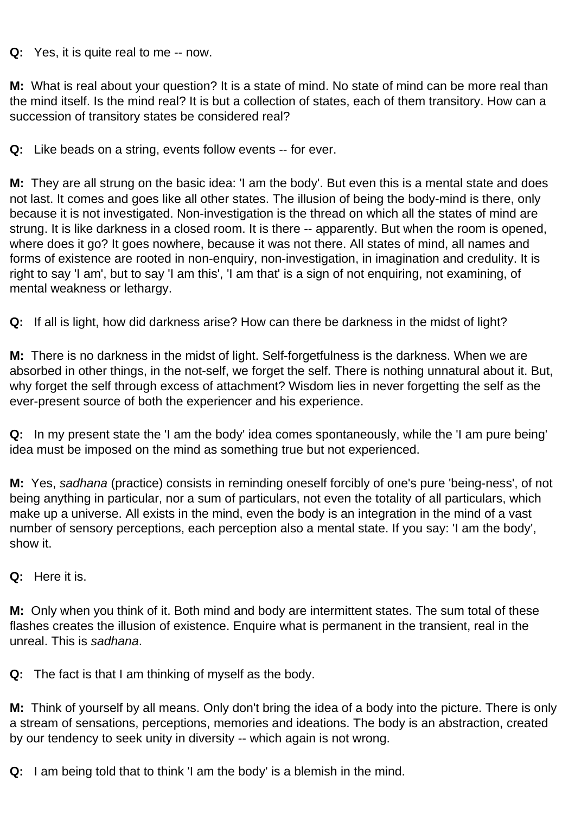**Q:** Yes, it is quite real to me -- now.

**M:** What is real about your question? It is a state of mind. No state of mind can be more real than the mind itself. Is the mind real? It is but a collection of states, each of them transitory. How can a succession of transitory states be considered real?

**Q:** Like beads on a string, events follow events -- for ever.

**M:** They are all strung on the basic idea: 'I am the body'. But even this is a mental state and does not last. It comes and goes like all other states. The illusion of being the body-mind is there, only because it is not investigated. Non-investigation is the thread on which all the states of mind are strung. It is like darkness in a closed room. It is there -- apparently. But when the room is opened, where does it go? It goes nowhere, because it was not there. All states of mind, all names and forms of existence are rooted in non-enquiry, non-investigation, in imagination and credulity. It is right to say 'I am', but to say 'I am this', 'I am that' is a sign of not enquiring, not examining, of mental weakness or lethargy.

**Q:** If all is light, how did darkness arise? How can there be darkness in the midst of light?

**M:** There is no darkness in the midst of light. Self-forgetfulness is the darkness. When we are absorbed in other things, in the not-self, we forget the self. There is nothing unnatural about it. But, why forget the self through excess of attachment? Wisdom lies in never forgetting the self as the ever-present source of both the experiencer and his experience.

**Q:** In my present state the 'I am the body' idea comes spontaneously, while the 'I am pure being' idea must be imposed on the mind as something true but not experienced.

**M:** Yes, *sadhana* (practice) consists in reminding oneself forcibly of one's pure 'being-ness', of not being anything in particular, nor a sum of particulars, not even the totality of all particulars, which make up a universe. All exists in the mind, even the body is an integration in the mind of a vast number of sensory perceptions, each perception also a mental state. If you say: 'I am the body', show it.

**Q:** Here it is.

**M:** Only when you think of it. Both mind and body are intermittent states. The sum total of these flashes creates the illusion of existence. Enquire what is permanent in the transient, real in the unreal. This is *sadhana*.

**Q:** The fact is that I am thinking of myself as the body.

**M:** Think of yourself by all means. Only don't bring the idea of a body into the picture. There is only a stream of sensations, perceptions, memories and ideations. The body is an abstraction, created by our tendency to seek unity in diversity -- which again is not wrong.

**Q:** I am being told that to think 'I am the body' is a blemish in the mind.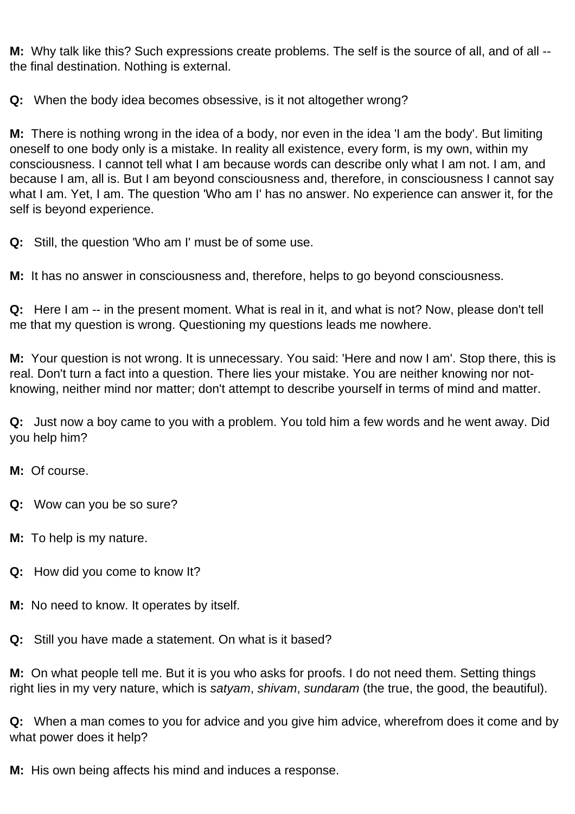**M:** Why talk like this? Such expressions create problems. The self is the source of all, and of all - the final destination. Nothing is external.

**Q:** When the body idea becomes obsessive, is it not altogether wrong?

**M:** There is nothing wrong in the idea of a body, nor even in the idea 'I am the body'. But limiting oneself to one body only is a mistake. In reality all existence, every form, is my own, within my consciousness. I cannot tell what I am because words can describe only what I am not. I am, and because I am, all is. But I am beyond consciousness and, therefore, in consciousness I cannot say what I am. Yet, I am. The question 'Who am I' has no answer. No experience can answer it, for the self is beyond experience.

**Q:** Still, the question 'Who am I' must be of some use.

**M:** It has no answer in consciousness and, therefore, helps to go beyond consciousness.

**Q:** Here I am -- in the present moment. What is real in it, and what is not? Now, please don't tell me that my question is wrong. Questioning my questions leads me nowhere.

**M:** Your question is not wrong. It is unnecessary. You said: 'Here and now I am'. Stop there, this is real. Don't turn a fact into a question. There lies your mistake. You are neither knowing nor notknowing, neither mind nor matter; don't attempt to describe yourself in terms of mind and matter.

**Q:** Just now a boy came to you with a problem. You told him a few words and he went away. Did you help him?

**M:** Of course.

- **Q:** Wow can you be so sure?
- **M:** To help is my nature.
- **Q:** How did you come to know It?
- **M:** No need to know. It operates by itself.

**Q:** Still you have made a statement. On what is it based?

**M:** On what people tell me. But it is you who asks for proofs. I do not need them. Setting things right lies in my very nature, which is *satyam*, *shivam*, *sundaram* (the true, the good, the beautiful).

**Q:** When a man comes to you for advice and you give him advice, wherefrom does it come and by what power does it help?

**M:** His own being affects his mind and induces a response.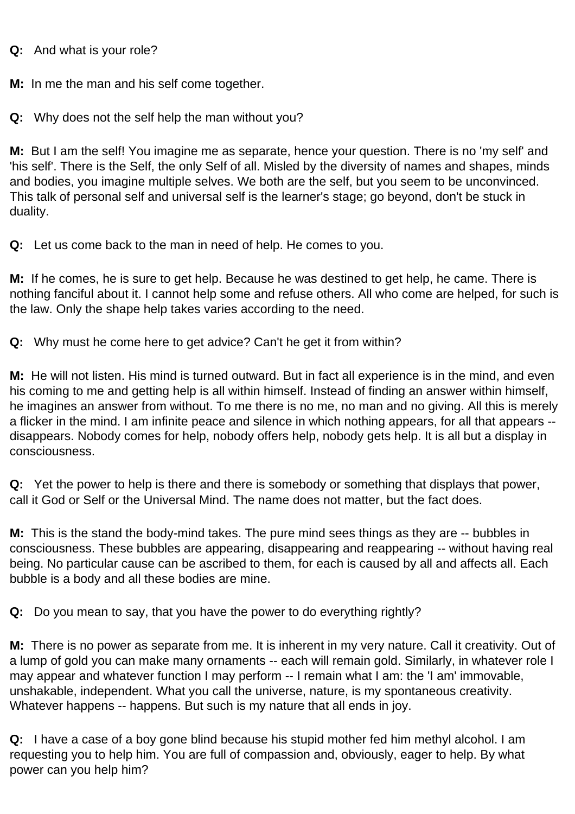**Q:** And what is your role?

**M:** In me the man and his self come together.

**Q:** Why does not the self help the man without you?

**M:** But I am the self! You imagine me as separate, hence your question. There is no 'my self' and 'his self'. There is the Self, the only Self of all. Misled by the diversity of names and shapes, minds and bodies, you imagine multiple selves. We both are the self, but you seem to be unconvinced. This talk of personal self and universal self is the learner's stage; go beyond, don't be stuck in duality.

**Q:** Let us come back to the man in need of help. He comes to you.

**M:** If he comes, he is sure to get help. Because he was destined to get help, he came. There is nothing fanciful about it. I cannot help some and refuse others. All who come are helped, for such is the law. Only the shape help takes varies according to the need.

**Q:** Why must he come here to get advice? Can't he get it from within?

**M:** He will not listen. His mind is turned outward. But in fact all experience is in the mind, and even his coming to me and getting help is all within himself. Instead of finding an answer within himself, he imagines an answer from without. To me there is no me, no man and no giving. All this is merely a flicker in the mind. I am infinite peace and silence in which nothing appears, for all that appears - disappears. Nobody comes for help, nobody offers help, nobody gets help. It is all but a display in consciousness.

**Q:** Yet the power to help is there and there is somebody or something that displays that power, call it God or Self or the Universal Mind. The name does not matter, but the fact does.

**M:** This is the stand the body-mind takes. The pure mind sees things as they are -- bubbles in consciousness. These bubbles are appearing, disappearing and reappearing -- without having real being. No particular cause can be ascribed to them, for each is caused by all and affects all. Each bubble is a body and all these bodies are mine.

**Q:** Do you mean to say, that you have the power to do everything rightly?

**M:** There is no power as separate from me. It is inherent in my very nature. Call it creativity. Out of a lump of gold you can make many ornaments -- each will remain gold. Similarly, in whatever role I may appear and whatever function I may perform -- I remain what I am: the 'I am' immovable, unshakable, independent. What you call the universe, nature, is my spontaneous creativity. Whatever happens -- happens. But such is my nature that all ends in joy.

**Q:** I have a case of a boy gone blind because his stupid mother fed him methyl alcohol. I am requesting you to help him. You are full of compassion and, obviously, eager to help. By what power can you help him?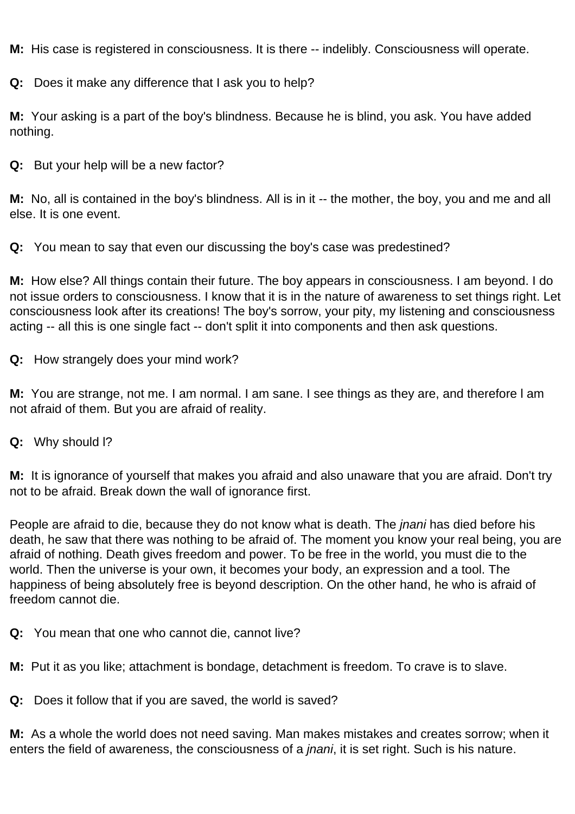**M:** His case is registered in consciousness. It is there -- indelibly. Consciousness will operate.

**Q:** Does it make any difference that I ask you to help?

**M:** Your asking is a part of the boy's blindness. Because he is blind, you ask. You have added nothing.

**Q:** But your help will be a new factor?

**M:** No, all is contained in the boy's blindness. All is in it -- the mother, the boy, you and me and all else. It is one event.

**Q:** You mean to say that even our discussing the boy's case was predestined?

**M:** How else? All things contain their future. The boy appears in consciousness. I am beyond. I do not issue orders to consciousness. I know that it is in the nature of awareness to set things right. Let consciousness look after its creations! The boy's sorrow, your pity, my listening and consciousness acting -- all this is one single fact -- don't split it into components and then ask questions.

**Q:** How strangely does your mind work?

**M:** You are strange, not me. I am normal. I am sane. I see things as they are, and therefore l am not afraid of them. But you are afraid of reality.

**Q:** Why should l?

**M:** It is ignorance of yourself that makes you afraid and also unaware that you are afraid. Don't try not to be afraid. Break down the wall of ignorance first.

People are afraid to die, because they do not know what is death. The *jnani* has died before his death, he saw that there was nothing to be afraid of. The moment you know your real being, you are afraid of nothing. Death gives freedom and power. To be free in the world, you must die to the world. Then the universe is your own, it becomes your body, an expression and a tool. The happiness of being absolutely free is beyond description. On the other hand, he who is afraid of freedom cannot die.

**Q:** You mean that one who cannot die, cannot live?

**M:** Put it as you like; attachment is bondage, detachment is freedom. To crave is to slave.

**Q:** Does it follow that if you are saved, the world is saved?

**M:** As a whole the world does not need saving. Man makes mistakes and creates sorrow; when it enters the field of awareness, the consciousness of a *jnani*, it is set right. Such is his nature.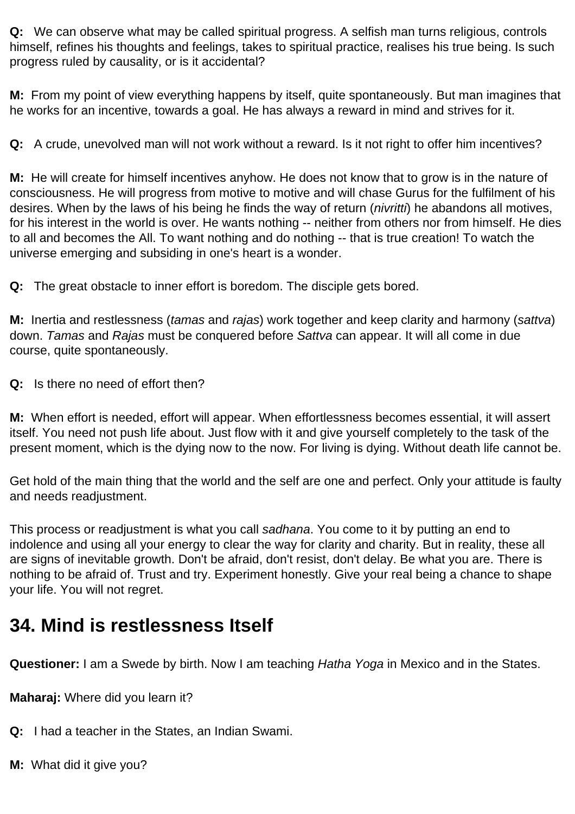**Q:** We can observe what may be called spiritual progress. A selfish man turns religious, controls himself, refines his thoughts and feelings, takes to spiritual practice, realises his true being. Is such progress ruled by causality, or is it accidental?

**M:** From my point of view everything happens by itself, quite spontaneously. But man imagines that he works for an incentive, towards a goal. He has always a reward in mind and strives for it.

**Q:** A crude, unevolved man will not work without a reward. Is it not right to offer him incentives?

**M:** He will create for himself incentives anyhow. He does not know that to grow is in the nature of consciousness. He will progress from motive to motive and will chase Gurus for the fulfilment of his desires. When by the laws of his being he finds the way of return (*nivritti*) he abandons all motives, for his interest in the world is over. He wants nothing -- neither from others nor from himself. He dies to all and becomes the All. To want nothing and do nothing -- that is true creation! To watch the universe emerging and subsiding in one's heart is a wonder.

**Q:** The great obstacle to inner effort is boredom. The disciple gets bored.

**M:** Inertia and restlessness (*tamas* and *rajas*) work together and keep clarity and harmony (*sattva*) down. *Tamas* and *Rajas* must be conquered before *Sattva* can appear. It will all come in due course, quite spontaneously.

**Q:** Is there no need of effort then?

**M:** When effort is needed, effort will appear. When effortlessness becomes essential, it will assert itself. You need not push life about. Just flow with it and give yourself completely to the task of the present moment, which is the dying now to the now. For living is dying. Without death life cannot be.

Get hold of the main thing that the world and the self are one and perfect. Only your attitude is faulty and needs readjustment.

This process or readjustment is what you call *sadhana*. You come to it by putting an end to indolence and using all your energy to clear the way for clarity and charity. But in reality, these all are signs of inevitable growth. Don't be afraid, don't resist, don't delay. Be what you are. There is nothing to be afraid of. Trust and try. Experiment honestly. Give your real being a chance to shape your life. You will not regret.

# **34. Mind is restlessness Itself**

**Questioner:** I am a Swede by birth. Now I am teaching *Hatha Yoga* in Mexico and in the States.

**Maharaj:** Where did you learn it?

- **Q:** I had a teacher in the States, an Indian Swami.
- **M:** What did it give you?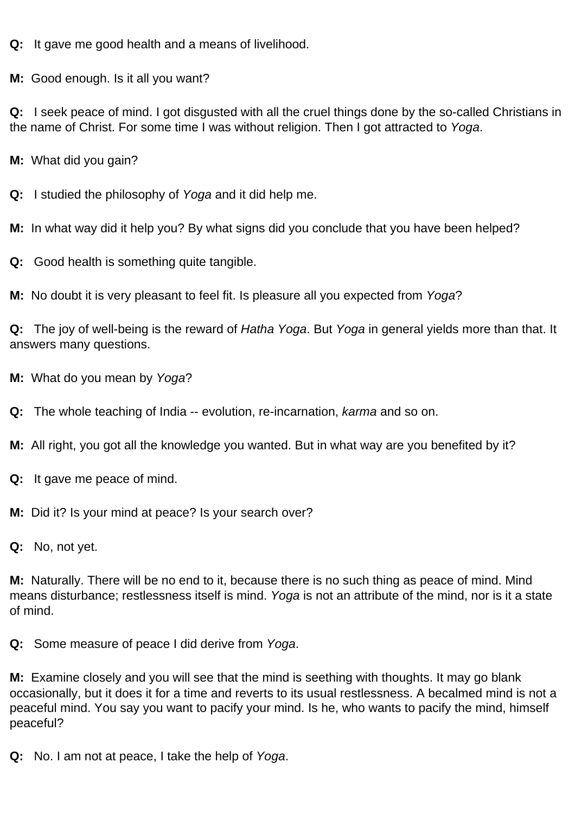**Q:** It gave me good health and a means of livelihood.

**M:** Good enough. Is it all you want?

**Q:** I seek peace of mind. I got disgusted with all the cruel things done by the so-called Christians in the name of Christ. For some time I was without religion. Then I got attracted to *Yoga*.

**M:** What did you gain?

**Q:** I studied the philosophy of *Yoga* and it did help me.

**M:** In what way did it help you? By what signs did you conclude that you have been helped?

**Q:** Good health is something quite tangible.

**M:** No doubt it is very pleasant to feel fit. Is pleasure all you expected from *Yoga*?

**Q:** The joy of well-being is the reward of *Hatha Yoga*. But *Yoga* in general yields more than that. It answers many questions.

**M:** What do you mean by *Yoga*?

- **Q:** The whole teaching of India -- evolution, re-incarnation, *karma* and so on.
- **M:** All right, you got all the knowledge you wanted. But in what way are you benefited by it?
- **Q:** It gave me peace of mind.
- **M:** Did it? Is your mind at peace? Is your search over?
- **Q:** No, not yet.

**M:** Naturally. There will be no end to it, because there is no such thing as peace of mind. Mind means disturbance; restlessness itself is mind. *Yoga* is not an attribute of the mind, nor is it a state of mind.

**Q:** Some measure of peace I did derive from *Yoga*.

**M:** Examine closely and you will see that the mind is seething with thoughts. It may go blank occasionally, but it does it for a time and reverts to its usual restlessness. A becalmed mind is not a peaceful mind. You say you want to pacify your mind. Is he, who wants to pacify the mind, himself peaceful?

**Q:** No. I am not at peace, I take the help of *Yoga*.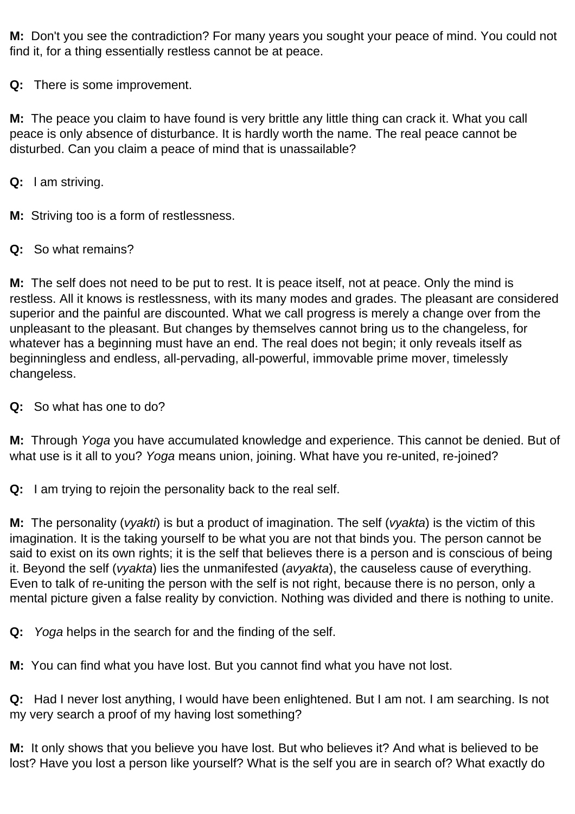**M:** Don't you see the contradiction? For many years you sought your peace of mind. You could not find it, for a thing essentially restless cannot be at peace.

**Q:** There is some improvement.

**M:** The peace you claim to have found is very brittle any little thing can crack it. What you call peace is only absence of disturbance. It is hardly worth the name. The real peace cannot be disturbed. Can you claim a peace of mind that is unassailable?

- **Q:** l am striving.
- **M:** Striving too is a form of restlessness.
- **Q:** So what remains?

**M:** The self does not need to be put to rest. It is peace itself, not at peace. Only the mind is restless. All it knows is restlessness, with its many modes and grades. The pleasant are considered superior and the painful are discounted. What we call progress is merely a change over from the unpleasant to the pleasant. But changes by themselves cannot bring us to the changeless, for whatever has a beginning must have an end. The real does not begin; it only reveals itself as beginningless and endless, all-pervading, all-powerful, immovable prime mover, timelessly changeless.

**Q:** So what has one to do?

**M:** Through *Yoga* you have accumulated knowledge and experience. This cannot be denied. But of what use is it all to you? *Yoga* means union, joining. What have you re-united, re-joined?

**Q:** I am trying to rejoin the personality back to the real self.

**M:** The personality (*vyakti*) is but a product of imagination. The self (*vyakta*) is the victim of this imagination. It is the taking yourself to be what you are not that binds you. The person cannot be said to exist on its own rights; it is the self that believes there is a person and is conscious of being it. Beyond the self (*vyakta*) lies the unmanifested (*avyakta*), the causeless cause of everything. Even to talk of re-uniting the person with the self is not right, because there is no person, only a mental picture given a false reality by conviction. Nothing was divided and there is nothing to unite.

**Q:** *Yoga* helps in the search for and the finding of the self.

**M:** You can find what you have lost. But you cannot find what you have not lost.

**Q:** Had I never lost anything, I would have been enlightened. But I am not. I am searching. Is not my very search a proof of my having lost something?

**M:** It only shows that you believe you have lost. But who believes it? And what is believed to be lost? Have you lost a person like yourself? What is the self you are in search of? What exactly do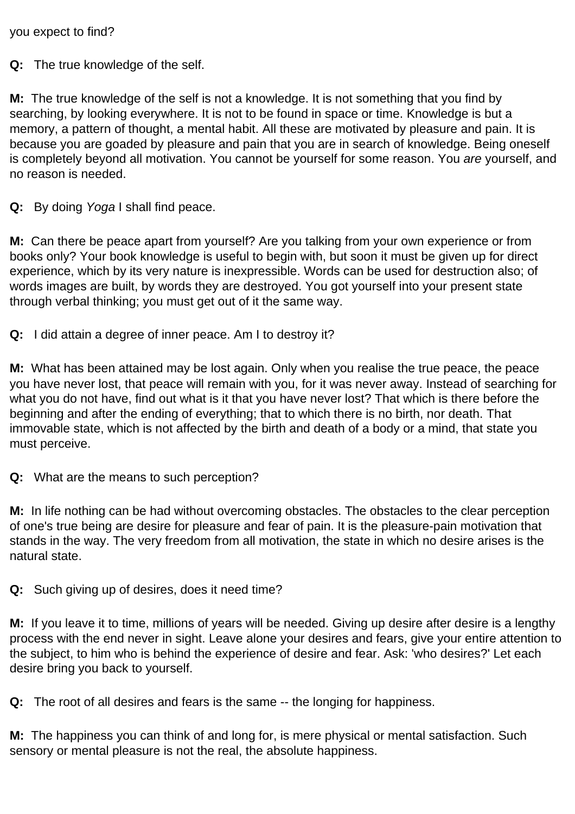#### you expect to find?

**Q:** The true knowledge of the self.

**M:** The true knowledge of the self is not a knowledge. It is not something that you find by searching, by looking everywhere. It is not to be found in space or time. Knowledge is but a memory, a pattern of thought, a mental habit. All these are motivated by pleasure and pain. It is because you are goaded by pleasure and pain that you are in search of knowledge. Being oneself is completely beyond all motivation. You cannot be yourself for some reason. You *are* yourself, and no reason is needed.

**Q:** By doing *Yoga* I shall find peace.

**M:** Can there be peace apart from yourself? Are you talking from your own experience or from books only? Your book knowledge is useful to begin with, but soon it must be given up for direct experience, which by its very nature is inexpressible. Words can be used for destruction also; of words images are built, by words they are destroyed. You got yourself into your present state through verbal thinking; you must get out of it the same way.

**Q:** I did attain a degree of inner peace. Am I to destroy it?

**M:** What has been attained may be lost again. Only when you realise the true peace, the peace you have never lost, that peace will remain with you, for it was never away. Instead of searching for what you do not have, find out what is it that you have never lost? That which is there before the beginning and after the ending of everything; that to which there is no birth, nor death. That immovable state, which is not affected by the birth and death of a body or a mind, that state you must perceive.

**Q:** What are the means to such perception?

**M:** In life nothing can be had without overcoming obstacles. The obstacles to the clear perception of one's true being are desire for pleasure and fear of pain. It is the pleasure-pain motivation that stands in the way. The very freedom from all motivation, the state in which no desire arises is the natural state.

**Q:** Such giving up of desires, does it need time?

**M:** If you leave it to time, millions of years will be needed. Giving up desire after desire is a lengthy process with the end never in sight. Leave alone your desires and fears, give your entire attention to the subject, to him who is behind the experience of desire and fear. Ask: 'who desires?' Let each desire bring you back to yourself.

**Q:** The root of all desires and fears is the same -- the longing for happiness.

**M:** The happiness you can think of and long for, is mere physical or mental satisfaction. Such sensory or mental pleasure is not the real, the absolute happiness.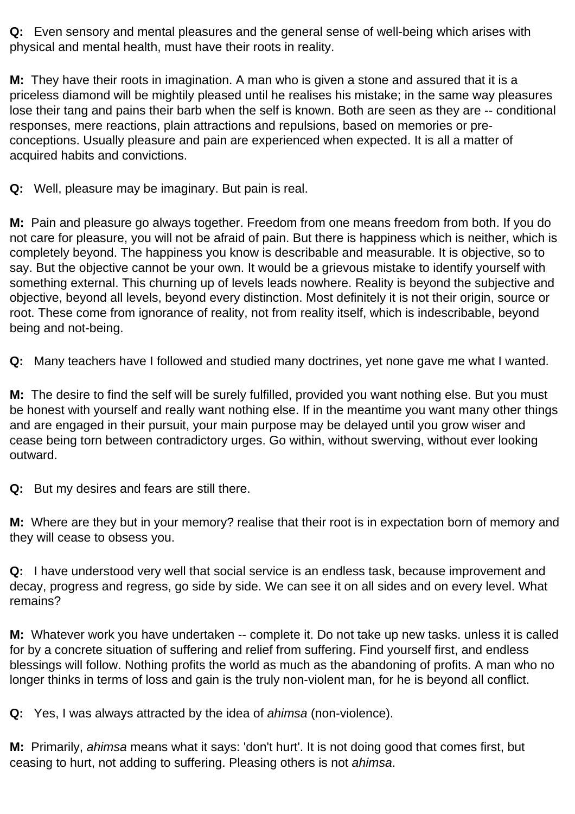**Q:** Even sensory and mental pleasures and the general sense of well-being which arises with physical and mental health, must have their roots in reality.

**M:** They have their roots in imagination. A man who is given a stone and assured that it is a priceless diamond will be mightily pleased until he realises his mistake; in the same way pleasures lose their tang and pains their barb when the self is known. Both are seen as they are -- conditional responses, mere reactions, plain attractions and repulsions, based on memories or preconceptions. Usually pleasure and pain are experienced when expected. It is all a matter of acquired habits and convictions.

**Q:** Well, pleasure may be imaginary. But pain is real.

**M:** Pain and pleasure go always together. Freedom from one means freedom from both. If you do not care for pleasure, you will not be afraid of pain. But there is happiness which is neither, which is completely beyond. The happiness you know is describable and measurable. It is objective, so to say. But the objective cannot be your own. It would be a grievous mistake to identify yourself with something external. This churning up of levels leads nowhere. Reality is beyond the subjective and objective, beyond all levels, beyond every distinction. Most definitely it is not their origin, source or root. These come from ignorance of reality, not from reality itself, which is indescribable, beyond being and not-being.

**Q:** Many teachers have I followed and studied many doctrines, yet none gave me what I wanted.

**M:** The desire to find the self will be surely fulfilled, provided you want nothing else. But you must be honest with yourself and really want nothing else. If in the meantime you want many other things and are engaged in their pursuit, your main purpose may be delayed until you grow wiser and cease being torn between contradictory urges. Go within, without swerving, without ever looking outward.

**Q:** But my desires and fears are still there.

**M:** Where are they but in your memory? realise that their root is in expectation born of memory and they will cease to obsess you.

**Q:** I have understood very well that social service is an endless task, because improvement and decay, progress and regress, go side by side. We can see it on all sides and on every level. What remains?

**M:** Whatever work you have undertaken -- complete it. Do not take up new tasks. unless it is called for by a concrete situation of suffering and relief from suffering. Find yourself first, and endless blessings will follow. Nothing profits the world as much as the abandoning of profits. A man who no longer thinks in terms of loss and gain is the truly non-violent man, for he is beyond all conflict.

**Q:** Yes, I was always attracted by the idea of *ahimsa* (non-violence).

**M:** Primarily, *ahimsa* means what it says: 'don't hurt'. It is not doing good that comes first, but ceasing to hurt, not adding to suffering. Pleasing others is not *ahimsa*.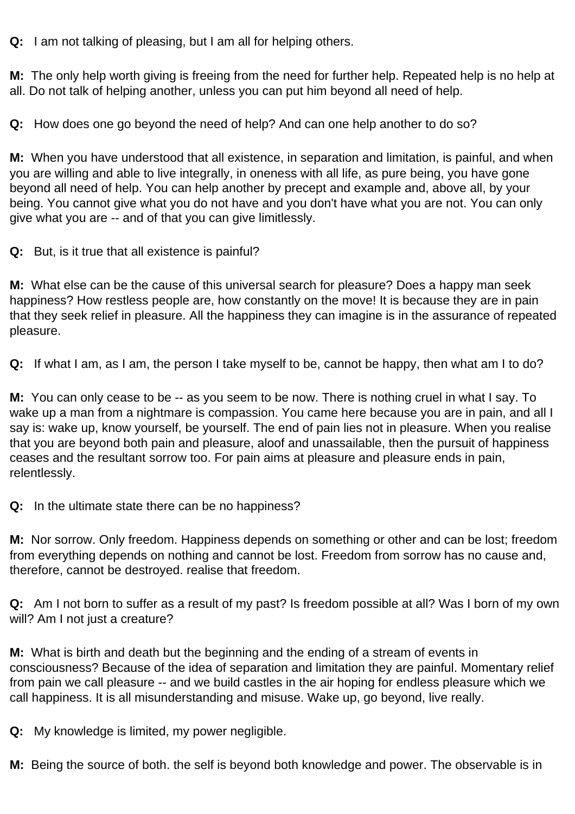**Q:** I am not talking of pleasing, but I am all for helping others.

**M:** The only help worth giving is freeing from the need for further help. Repeated help is no help at all. Do not talk of helping another, unless you can put him beyond all need of help.

**Q:** How does one go beyond the need of help? And can one help another to do so?

**M:** When you have understood that all existence, in separation and limitation, is painful, and when you are willing and able to live integrally, in oneness with all life, as pure being, you have gone beyond all need of help. You can help another by precept and example and, above all, by your being. You cannot give what you do not have and you don't have what you are not. You can only give what you are -- and of that you can give limitlessly.

**Q:** But, is it true that all existence is painful?

**M:** What else can be the cause of this universal search for pleasure? Does a happy man seek happiness? How restless people are, how constantly on the move! It is because they are in pain that they seek relief in pleasure. All the happiness they can imagine is in the assurance of repeated pleasure.

**Q:** If what I am, as I am, the person I take myself to be, cannot be happy, then what am I to do?

**M:** You can only cease to be -- as you seem to be now. There is nothing cruel in what I say. To wake up a man from a nightmare is compassion. You came here because you are in pain, and all I say is: wake up, know yourself, be yourself. The end of pain lies not in pleasure. When you realise that you are beyond both pain and pleasure, aloof and unassailable, then the pursuit of happiness ceases and the resultant sorrow too. For pain aims at pleasure and pleasure ends in pain, relentlessly.

**Q:** In the ultimate state there can be no happiness?

**M:** Nor sorrow. Only freedom. Happiness depends on something or other and can be lost; freedom from everything depends on nothing and cannot be lost. Freedom from sorrow has no cause and, therefore, cannot be destroyed. realise that freedom.

**Q:** Am I not born to suffer as a result of my past? Is freedom possible at all? Was I born of my own will? Am I not just a creature?

**M:** What is birth and death but the beginning and the ending of a stream of events in consciousness? Because of the idea of separation and limitation they are painful. Momentary relief from pain we call pleasure -- and we build castles in the air hoping for endless pleasure which we call happiness. It is all misunderstanding and misuse. Wake up, go beyond, live really.

**Q:** My knowledge is limited, my power negligible.

**M:** Being the source of both. the self is beyond both knowledge and power. The observable is in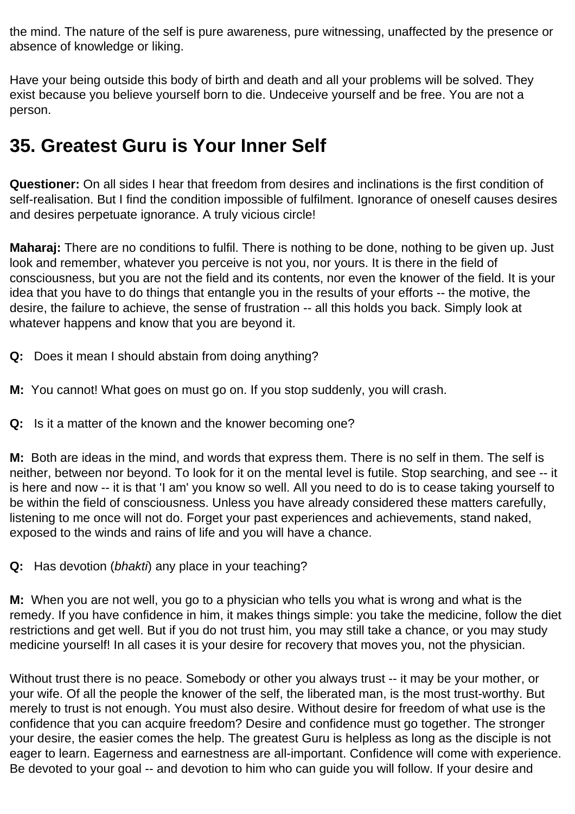the mind. The nature of the self is pure awareness, pure witnessing, unaffected by the presence or absence of knowledge or liking.

Have your being outside this body of birth and death and all your problems will be solved. They exist because you believe yourself born to die. Undeceive yourself and be free. You are not a person.

## **35. Greatest Guru is Your Inner Self**

**Questioner:** On all sides I hear that freedom from desires and inclinations is the first condition of self-realisation. But I find the condition impossible of fulfilment. Ignorance of oneself causes desires and desires perpetuate ignorance. A truly vicious circle!

**Maharaj:** There are no conditions to fulfil. There is nothing to be done, nothing to be given up. Just look and remember, whatever you perceive is not you, nor yours. It is there in the field of consciousness, but you are not the field and its contents, nor even the knower of the field. It is your idea that you have to do things that entangle you in the results of your efforts -- the motive, the desire, the failure to achieve, the sense of frustration -- all this holds you back. Simply look at whatever happens and know that you are beyond it.

- **Q:** Does it mean I should abstain from doing anything?
- **M:** You cannot! What goes on must go on. If you stop suddenly, you will crash.
- **Q:** Is it a matter of the known and the knower becoming one?

**M:** Both are ideas in the mind, and words that express them. There is no self in them. The self is neither, between nor beyond. To look for it on the mental level is futile. Stop searching, and see -- it is here and now -- it is that 'I am' you know so well. All you need to do is to cease taking yourself to be within the field of consciousness. Unless you have already considered these matters carefully, listening to me once will not do. Forget your past experiences and achievements, stand naked, exposed to the winds and rains of life and you will have a chance.

**Q:** Has devotion (*bhakti*) any place in your teaching?

**M:** When you are not well, you go to a physician who tells you what is wrong and what is the remedy. If you have confidence in him, it makes things simple: you take the medicine, follow the diet restrictions and get well. But if you do not trust him, you may still take a chance, or you may study medicine yourself! In all cases it is your desire for recovery that moves you, not the physician.

Without trust there is no peace. Somebody or other you always trust -- it may be your mother, or your wife. Of all the people the knower of the self, the liberated man, is the most trust-worthy. But merely to trust is not enough. You must also desire. Without desire for freedom of what use is the confidence that you can acquire freedom? Desire and confidence must go together. The stronger your desire, the easier comes the help. The greatest Guru is helpless as long as the disciple is not eager to learn. Eagerness and earnestness are all-important. Confidence will come with experience. Be devoted to your goal -- and devotion to him who can guide you will follow. If your desire and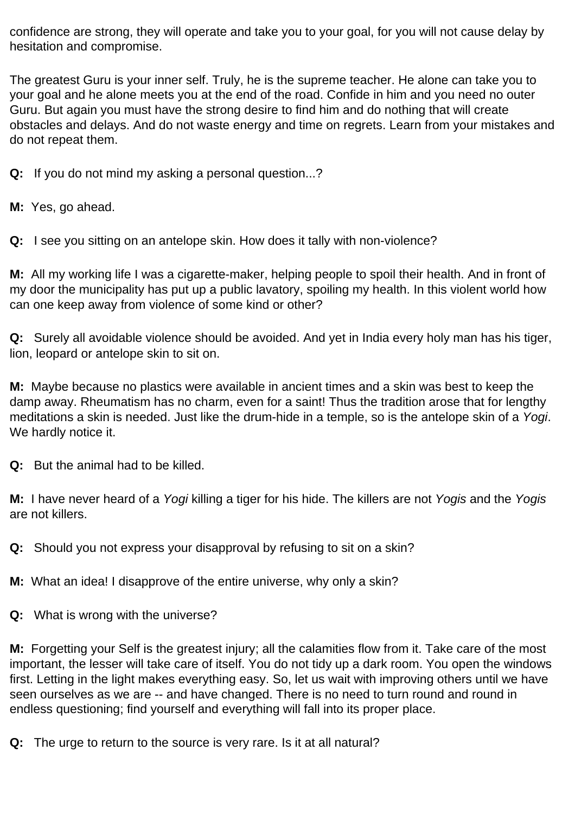confidence are strong, they will operate and take you to your goal, for you will not cause delay by hesitation and compromise.

The greatest Guru is your inner self. Truly, he is the supreme teacher. He alone can take you to your goal and he alone meets you at the end of the road. Confide in him and you need no outer Guru. But again you must have the strong desire to find him and do nothing that will create obstacles and delays. And do not waste energy and time on regrets. Learn from your mistakes and do not repeat them.

**Q:** If you do not mind my asking a personal question...?

**M:** Yes, go ahead.

**Q:** I see you sitting on an antelope skin. How does it tally with non-violence?

**M:** All my working life I was a cigarette-maker, helping people to spoil their health. And in front of my door the municipality has put up a public lavatory, spoiling my health. In this violent world how can one keep away from violence of some kind or other?

**Q:** Surely all avoidable violence should be avoided. And yet in India every holy man has his tiger, lion, leopard or antelope skin to sit on.

**M:** Maybe because no plastics were available in ancient times and a skin was best to keep the damp away. Rheumatism has no charm, even for a saint! Thus the tradition arose that for lengthy meditations a skin is needed. Just like the drum-hide in a temple, so is the antelope skin of a *Yogi*. We hardly notice it.

**Q:** But the animal had to be killed.

**M:** I have never heard of a *Yogi* killing a tiger for his hide. The killers are not *Yogis* and the *Yogis* are not killers.

**Q:** Should you not express your disapproval by refusing to sit on a skin?

**M:** What an idea! I disapprove of the entire universe, why only a skin?

**Q:** What is wrong with the universe?

**M:** Forgetting your Self is the greatest injury; all the calamities flow from it. Take care of the most important, the lesser will take care of itself. You do not tidy up a dark room. You open the windows first. Letting in the light makes everything easy. So, let us wait with improving others until we have seen ourselves as we are -- and have changed. There is no need to turn round and round in endless questioning; find yourself and everything will fall into its proper place.

**Q:** The urge to return to the source is very rare. Is it at all natural?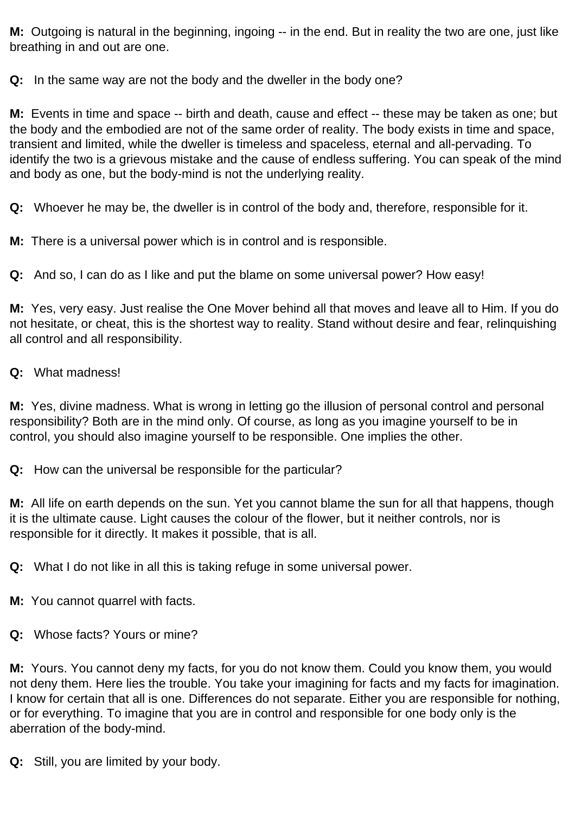**M:** Outgoing is natural in the beginning, ingoing -- in the end. But in reality the two are one, just like breathing in and out are one.

**Q:** In the same way are not the body and the dweller in the body one?

**M:** Events in time and space -- birth and death, cause and effect -- these may be taken as one; but the body and the embodied are not of the same order of reality. The body exists in time and space, transient and limited, while the dweller is timeless and spaceless, eternal and all-pervading. To identify the two is a grievous mistake and the cause of endless suffering. You can speak of the mind and body as one, but the body-mind is not the underlying reality.

**Q:** Whoever he may be, the dweller is in control of the body and, therefore, responsible for it.

**M:** There is a universal power which is in control and is responsible.

**Q:** And so, I can do as I like and put the blame on some universal power? How easy!

**M:** Yes, very easy. Just realise the One Mover behind all that moves and leave all to Him. If you do not hesitate, or cheat, this is the shortest way to reality. Stand without desire and fear, relinquishing all control and all responsibility.

**Q:** What madness!

**M:** Yes, divine madness. What is wrong in letting go the illusion of personal control and personal responsibility? Both are in the mind only. Of course, as long as you imagine yourself to be in control, you should also imagine yourself to be responsible. One implies the other.

**Q:** How can the universal be responsible for the particular?

**M:** All life on earth depends on the sun. Yet you cannot blame the sun for all that happens, though it is the ultimate cause. Light causes the colour of the flower, but it neither controls, nor is responsible for it directly. It makes it possible, that is all.

**Q:** What I do not like in all this is taking refuge in some universal power.

**M:** You cannot quarrel with facts.

**Q:** Whose facts? Yours or mine?

**M:** Yours. You cannot deny my facts, for you do not know them. Could you know them, you would not deny them. Here lies the trouble. You take your imagining for facts and my facts for imagination. I know for certain that all is one. Differences do not separate. Either you are responsible for nothing, or for everything. To imagine that you are in control and responsible for one body only is the aberration of the body-mind.

**Q:** Still, you are limited by your body.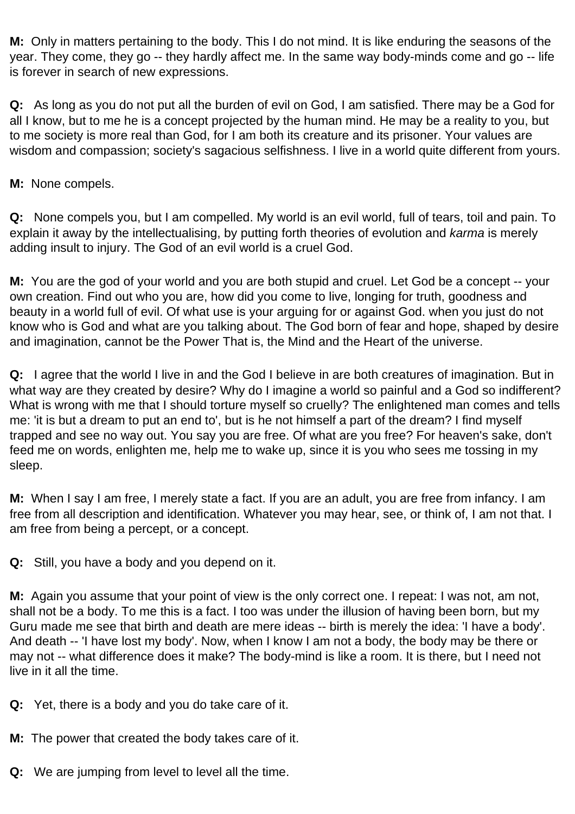**M:** Only in matters pertaining to the body. This I do not mind. It is like enduring the seasons of the year. They come, they go -- they hardly affect me. In the same way body-minds come and go -- life is forever in search of new expressions.

**Q:** As long as you do not put all the burden of evil on God, I am satisfied. There may be a God for all I know, but to me he is a concept projected by the human mind. He may be a reality to you, but to me society is more real than God, for I am both its creature and its prisoner. Your values are wisdom and compassion; society's sagacious selfishness. I live in a world quite different from yours.

**M:** None compels.

**Q:** None compels you, but I am compelled. My world is an evil world, full of tears, toil and pain. To explain it away by the intellectualising, by putting forth theories of evolution and *karma* is merely adding insult to injury. The God of an evil world is a cruel God.

**M:** You are the god of your world and you are both stupid and cruel. Let God be a concept -- your own creation. Find out who you are, how did you come to live, longing for truth, goodness and beauty in a world full of evil. Of what use is your arguing for or against God. when you just do not know who is God and what are you talking about. The God born of fear and hope, shaped by desire and imagination, cannot be the Power That is, the Mind and the Heart of the universe.

**Q:** I agree that the world I live in and the God I believe in are both creatures of imagination. But in what way are they created by desire? Why do I imagine a world so painful and a God so indifferent? What is wrong with me that I should torture myself so cruelly? The enlightened man comes and tells me: 'it is but a dream to put an end to', but is he not himself a part of the dream? I find myself trapped and see no way out. You say you are free. Of what are you free? For heaven's sake, don't feed me on words, enlighten me, help me to wake up, since it is you who sees me tossing in my sleep.

**M:** When I say I am free, I merely state a fact. If you are an adult, you are free from infancy. I am free from all description and identification. Whatever you may hear, see, or think of, I am not that. I am free from being a percept, or a concept.

**Q:** Still, you have a body and you depend on it.

**M:** Again you assume that your point of view is the only correct one. I repeat: I was not, am not, shall not be a body. To me this is a fact. I too was under the illusion of having been born, but my Guru made me see that birth and death are mere ideas -- birth is merely the idea: 'I have a body'. And death -- 'I have lost my body'. Now, when I know I am not a body, the body may be there or may not -- what difference does it make? The body-mind is like a room. It is there, but I need not live in it all the time.

- **Q:** Yet, there is a body and you do take care of it.
- **M:** The power that created the body takes care of it.
- **Q:** We are jumping from level to level all the time.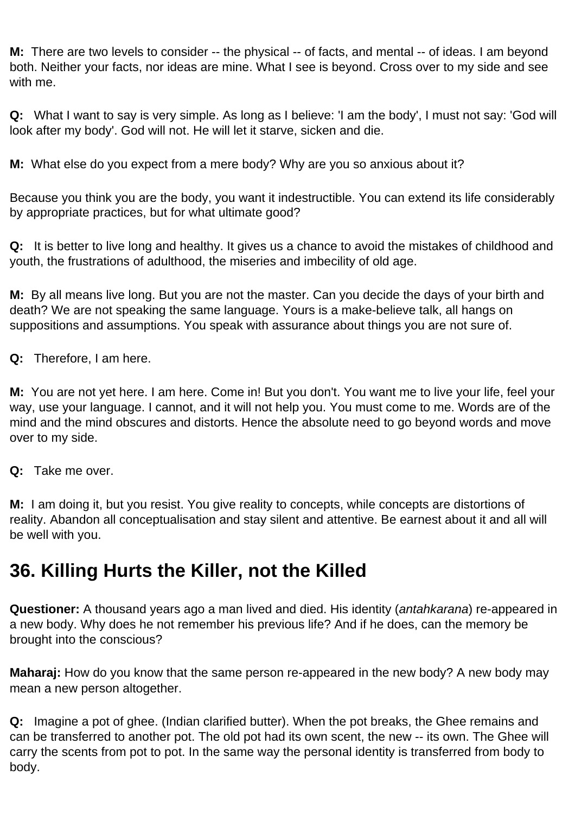**M:** There are two levels to consider -- the physical -- of facts, and mental -- of ideas. I am beyond both. Neither your facts, nor ideas are mine. What I see is beyond. Cross over to my side and see with me.

**Q:** What I want to say is very simple. As long as I believe: 'I am the body', I must not say: 'God will look after my body'. God will not. He will let it starve, sicken and die.

**M:** What else do you expect from a mere body? Why are you so anxious about it?

Because you think you are the body, you want it indestructible. You can extend its life considerably by appropriate practices, but for what ultimate good?

**Q:** It is better to live long and healthy. It gives us a chance to avoid the mistakes of childhood and youth, the frustrations of adulthood, the miseries and imbecility of old age.

**M:** By all means live long. But you are not the master. Can you decide the days of your birth and death? We are not speaking the same language. Yours is a make-believe talk, all hangs on suppositions and assumptions. You speak with assurance about things you are not sure of.

**Q:** Therefore, I am here.

**M:** You are not yet here. I am here. Come in! But you don't. You want me to live your life, feel your way, use your language. I cannot, and it will not help you. You must come to me. Words are of the mind and the mind obscures and distorts. Hence the absolute need to go beyond words and move over to my side.

**Q:** Take me over.

**M:** I am doing it, but you resist. You give reality to concepts, while concepts are distortions of reality. Abandon all conceptualisation and stay silent and attentive. Be earnest about it and all will be well with you.

### **36. Killing Hurts the Killer, not the Killed**

**Questioner:** A thousand years ago a man lived and died. His identity (*antahkarana*) re-appeared in a new body. Why does he not remember his previous life? And if he does, can the memory be brought into the conscious?

**Maharaj:** How do you know that the same person re-appeared in the new body? A new body may mean a new person altogether.

**Q:** Imagine a pot of ghee. (Indian clarified butter). When the pot breaks, the Ghee remains and can be transferred to another pot. The old pot had its own scent, the new -- its own. The Ghee will carry the scents from pot to pot. In the same way the personal identity is transferred from body to body.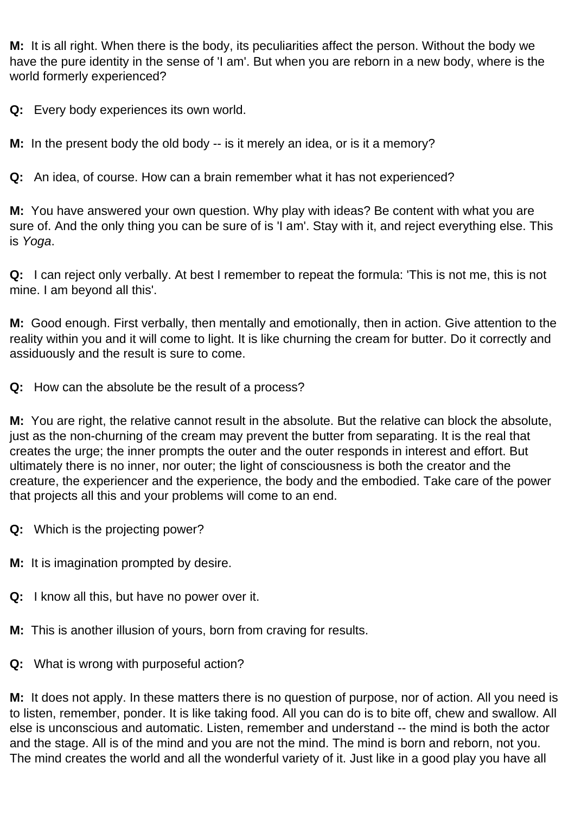**M:** It is all right. When there is the body, its peculiarities affect the person. Without the body we have the pure identity in the sense of 'I am'. But when you are reborn in a new body, where is the world formerly experienced?

**Q:** Every body experiences its own world.

**M:** In the present body the old body -- is it merely an idea, or is it a memory?

**Q:** An idea, of course. How can a brain remember what it has not experienced?

**M:** You have answered your own question. Why play with ideas? Be content with what you are sure of. And the only thing you can be sure of is 'I am'. Stay with it, and reject everything else. This is *Yoga*.

**Q:** I can reject only verbally. At best I remember to repeat the formula: 'This is not me, this is not mine. I am beyond all this'.

**M:** Good enough. First verbally, then mentally and emotionally, then in action. Give attention to the reality within you and it will come to light. It is like churning the cream for butter. Do it correctly and assiduously and the result is sure to come.

**Q:** How can the absolute be the result of a process?

**M:** You are right, the relative cannot result in the absolute. But the relative can block the absolute, just as the non-churning of the cream may prevent the butter from separating. It is the real that creates the urge; the inner prompts the outer and the outer responds in interest and effort. But ultimately there is no inner, nor outer; the light of consciousness is both the creator and the creature, the experiencer and the experience, the body and the embodied. Take care of the power that projects all this and your problems will come to an end.

- **Q:** Which is the projecting power?
- **M:** It is imagination prompted by desire.
- **Q:** I know all this, but have no power over it.
- **M:** This is another illusion of yours, born from craving for results.
- **Q:** What is wrong with purposeful action?

**M:** It does not apply. In these matters there is no question of purpose, nor of action. All you need is to listen, remember, ponder. It is like taking food. All you can do is to bite off, chew and swallow. All else is unconscious and automatic. Listen, remember and understand -- the mind is both the actor and the stage. All is of the mind and you are not the mind. The mind is born and reborn, not you. The mind creates the world and all the wonderful variety of it. Just like in a good play you have all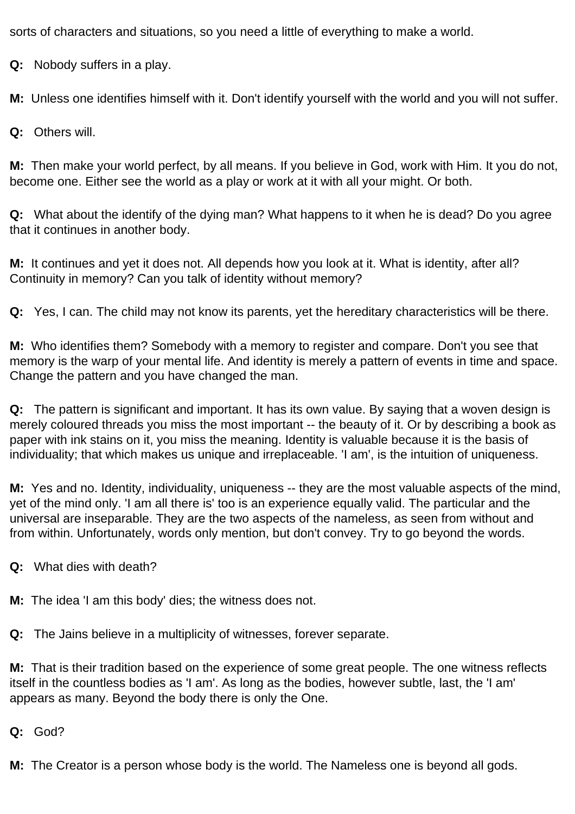sorts of characters and situations, so you need a little of everything to make a world.

**Q:** Nobody suffers in a play.

**M:** Unless one identifies himself with it. Don't identify yourself with the world and you will not suffer.

**Q:** Others will.

**M:** Then make your world perfect, by all means. If you believe in God, work with Him. It you do not, become one. Either see the world as a play or work at it with all your might. Or both.

**Q:** What about the identify of the dying man? What happens to it when he is dead? Do you agree that it continues in another body.

**M:** It continues and yet it does not. All depends how you look at it. What is identity, after all? Continuity in memory? Can you talk of identity without memory?

**Q:** Yes, I can. The child may not know its parents, yet the hereditary characteristics will be there.

**M:** Who identifies them? Somebody with a memory to register and compare. Don't you see that memory is the warp of your mental life. And identity is merely a pattern of events in time and space. Change the pattern and you have changed the man.

**Q:** The pattern is significant and important. It has its own value. By saying that a woven design is merely coloured threads you miss the most important -- the beauty of it. Or by describing a book as paper with ink stains on it, you miss the meaning. Identity is valuable because it is the basis of individuality; that which makes us unique and irreplaceable. 'I am', is the intuition of uniqueness.

**M:** Yes and no. Identity, individuality, uniqueness -- they are the most valuable aspects of the mind, yet of the mind only. 'I am all there is' too is an experience equally valid. The particular and the universal are inseparable. They are the two aspects of the nameless, as seen from without and from within. Unfortunately, words only mention, but don't convey. Try to go beyond the words.

**Q:** What dies with death?

**M:** The idea 'I am this body' dies; the witness does not.

**Q:** The Jains believe in a multiplicity of witnesses, forever separate.

**M:** That is their tradition based on the experience of some great people. The one witness reflects itself in the countless bodies as 'I am'. As long as the bodies, however subtle, last, the 'I am' appears as many. Beyond the body there is only the One.

**Q:** God?

**M:** The Creator is a person whose body is the world. The Nameless one is beyond all gods.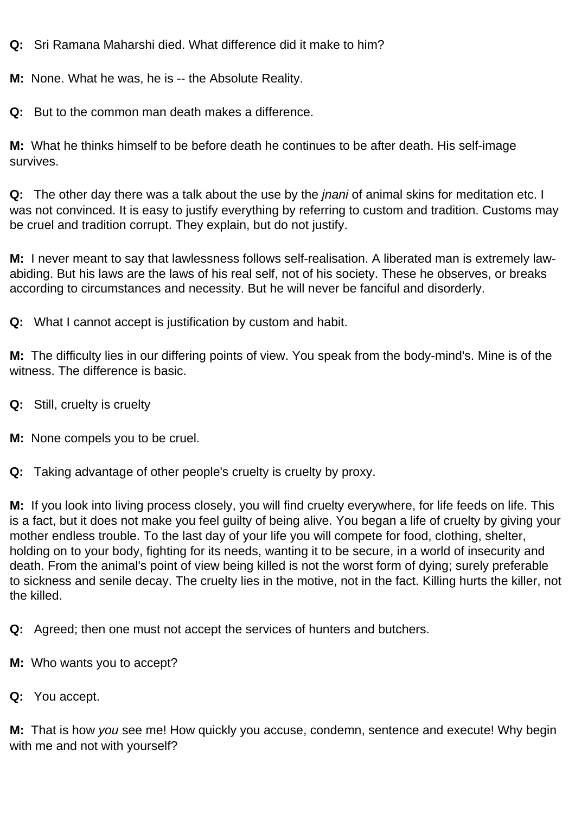**Q:** Sri Ramana Maharshi died. What difference did it make to him?

**M:** None. What he was, he is -- the Absolute Reality.

**Q:** But to the common man death makes a difference.

**M:** What he thinks himself to be before death he continues to be after death. His self-image survives.

**Q:** The other day there was a talk about the use by the *jnani* of animal skins for meditation etc. I was not convinced. It is easy to justify everything by referring to custom and tradition. Customs may be cruel and tradition corrupt. They explain, but do not justify.

**M:** I never meant to say that lawlessness follows self-realisation. A liberated man is extremely lawabiding. But his laws are the laws of his real self, not of his society. These he observes, or breaks according to circumstances and necessity. But he will never be fanciful and disorderly.

**Q:** What I cannot accept is justification by custom and habit.

**M:** The difficulty lies in our differing points of view. You speak from the body-mind's. Mine is of the witness. The difference is basic.

- **Q:** Still, cruelty is cruelty
- **M:** None compels you to be cruel.
- **Q:** Taking advantage of other people's cruelty is cruelty by proxy.

**M:** If you look into living process closely, you will find cruelty everywhere, for life feeds on life. This is a fact, but it does not make you feel guilty of being alive. You began a life of cruelty by giving your mother endless trouble. To the last day of your life you will compete for food, clothing, shelter, holding on to your body, fighting for its needs, wanting it to be secure, in a world of insecurity and death. From the animal's point of view being killed is not the worst form of dying; surely preferable to sickness and senile decay. The cruelty lies in the motive, not in the fact. Killing hurts the killer, not the killed.

**Q:** Agreed; then one must not accept the services of hunters and butchers.

- **M:** Who wants you to accept?
- **Q:** You accept.

**M:** That is how *you* see me! How quickly you accuse, condemn, sentence and execute! Why begin with me and not with yourself?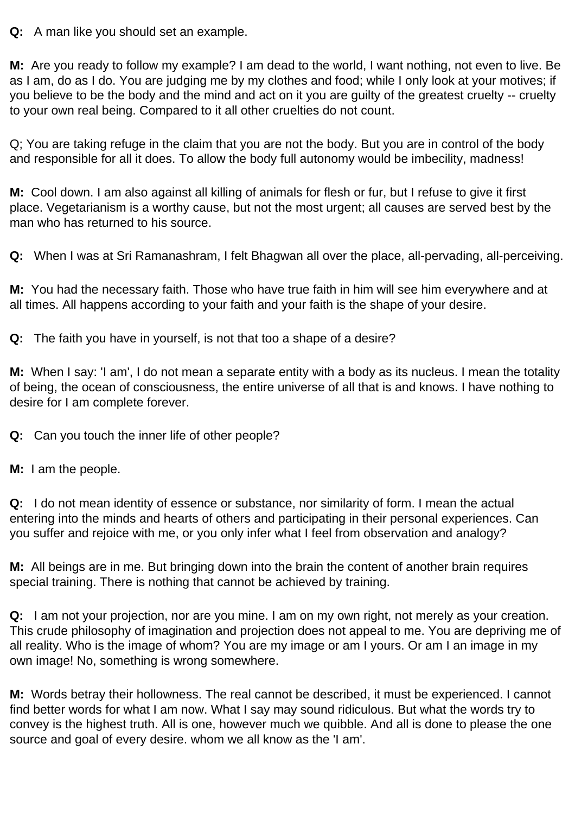**Q:** A man like you should set an example.

**M:** Are you ready to follow my example? I am dead to the world, I want nothing, not even to live. Be as I am, do as I do. You are judging me by my clothes and food; while I only look at your motives; if you believe to be the body and the mind and act on it you are guilty of the greatest cruelty -- cruelty to your own real being. Compared to it all other cruelties do not count.

Q; You are taking refuge in the claim that you are not the body. But you are in control of the body and responsible for all it does. To allow the body full autonomy would be imbecility, madness!

**M:** Cool down. I am also against all killing of animals for flesh or fur, but I refuse to give it first place. Vegetarianism is a worthy cause, but not the most urgent; all causes are served best by the man who has returned to his source.

**Q:** When I was at Sri Ramanashram, I felt Bhagwan all over the place, all-pervading, all-perceiving.

**M:** You had the necessary faith. Those who have true faith in him will see him everywhere and at all times. All happens according to your faith and your faith is the shape of your desire.

**Q:** The faith you have in yourself, is not that too a shape of a desire?

**M:** When I say: 'I am', I do not mean a separate entity with a body as its nucleus. I mean the totality of being, the ocean of consciousness, the entire universe of all that is and knows. I have nothing to desire for I am complete forever.

**Q:** Can you touch the inner life of other people?

**M:** I am the people.

**Q:** I do not mean identity of essence or substance, nor similarity of form. I mean the actual entering into the minds and hearts of others and participating in their personal experiences. Can you suffer and rejoice with me, or you only infer what I feel from observation and analogy?

**M:** All beings are in me. But bringing down into the brain the content of another brain requires special training. There is nothing that cannot be achieved by training.

**Q:** I am not your projection, nor are you mine. I am on my own right, not merely as your creation. This crude philosophy of imagination and projection does not appeal to me. You are depriving me of all reality. Who is the image of whom? You are my image or am I yours. Or am I an image in my own image! No, something is wrong somewhere.

**M:** Words betray their hollowness. The real cannot be described, it must be experienced. I cannot find better words for what I am now. What I say may sound ridiculous. But what the words try to convey is the highest truth. All is one, however much we quibble. And all is done to please the one source and goal of every desire. whom we all know as the 'I am'.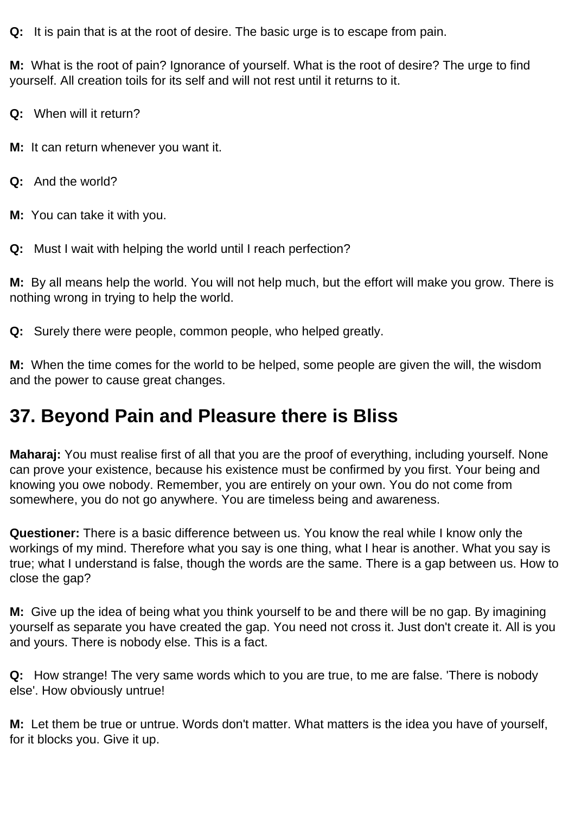**Q:** It is pain that is at the root of desire. The basic urge is to escape from pain.

**M:** What is the root of pain? Ignorance of yourself. What is the root of desire? The urge to find yourself. All creation toils for its self and will not rest until it returns to it.

**Q:** When will it return?

- **M:** It can return whenever you want it.
- **Q:** And the world?
- **M:** You can take it with you.

**Q:** Must I wait with helping the world until I reach perfection?

**M:** By all means help the world. You will not help much, but the effort will make you grow. There is nothing wrong in trying to help the world.

**Q:** Surely there were people, common people, who helped greatly.

**M:** When the time comes for the world to be helped, some people are given the will, the wisdom and the power to cause great changes.

### **37. Beyond Pain and Pleasure there is Bliss**

**Maharaj:** You must realise first of all that you are the proof of everything, including yourself. None can prove your existence, because his existence must be confirmed by you first. Your being and knowing you owe nobody. Remember, you are entirely on your own. You do not come from somewhere, you do not go anywhere. You are timeless being and awareness.

**Questioner:** There is a basic difference between us. You know the real while I know only the workings of my mind. Therefore what you say is one thing, what I hear is another. What you say is true; what I understand is false, though the words are the same. There is a gap between us. How to close the gap?

**M:** Give up the idea of being what you think yourself to be and there will be no gap. By imagining yourself as separate you have created the gap. You need not cross it. Just don't create it. All is you and yours. There is nobody else. This is a fact.

**Q:** How strange! The very same words which to you are true, to me are false. 'There is nobody else'. How obviously untrue!

**M:** Let them be true or untrue. Words don't matter. What matters is the idea you have of yourself, for it blocks you. Give it up.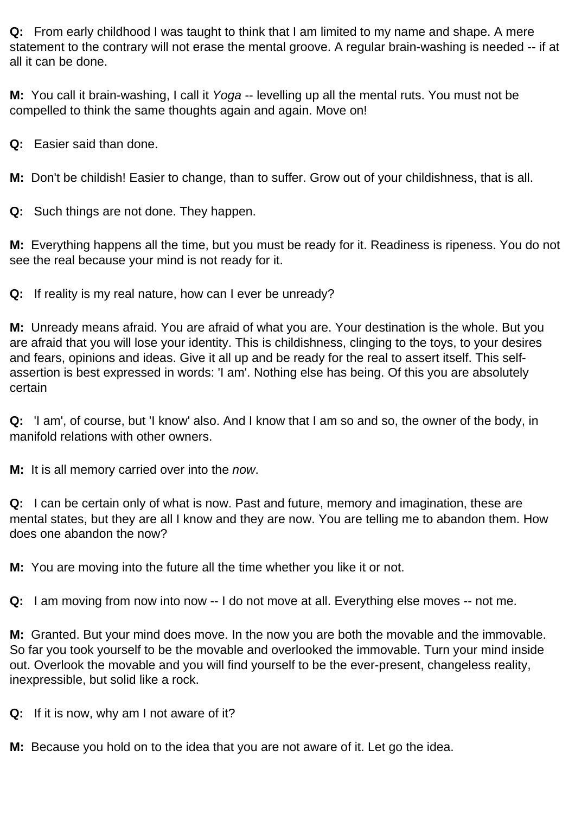**Q:** From early childhood I was taught to think that I am limited to my name and shape. A mere statement to the contrary will not erase the mental groove. A regular brain-washing is needed -- if at all it can be done.

**M:** You call it brain-washing, I call it *Yoga* -- levelling up all the mental ruts. You must not be compelled to think the same thoughts again and again. Move on!

**Q:** Easier said than done.

**M:** Don't be childish! Easier to change, than to suffer. Grow out of your childishness, that is all.

**Q:** Such things are not done. They happen.

**M:** Everything happens all the time, but you must be ready for it. Readiness is ripeness. You do not see the real because your mind is not ready for it.

**Q:** If reality is my real nature, how can I ever be unready?

**M:** Unready means afraid. You are afraid of what you are. Your destination is the whole. But you are afraid that you will lose your identity. This is childishness, clinging to the toys, to your desires and fears, opinions and ideas. Give it all up and be ready for the real to assert itself. This selfassertion is best expressed in words: 'I am'. Nothing else has being. Of this you are absolutely certain

**Q:** 'I am', of course, but 'I know' also. And I know that I am so and so, the owner of the body, in manifold relations with other owners.

**M:** It is all memory carried over into the *now*.

**Q:** I can be certain only of what is now. Past and future, memory and imagination, these are mental states, but they are all I know and they are now. You are telling me to abandon them. How does one abandon the now?

**M:** You are moving into the future all the time whether you like it or not.

**Q:** I am moving from now into now -- I do not move at all. Everything else moves -- not me.

**M:** Granted. But your mind does move. In the now you are both the movable and the immovable. So far you took yourself to be the movable and overlooked the immovable. Turn your mind inside out. Overlook the movable and you will find yourself to be the ever-present, changeless reality, inexpressible, but solid like a rock.

**Q:** If it is now, why am I not aware of it?

**M:** Because you hold on to the idea that you are not aware of it. Let go the idea.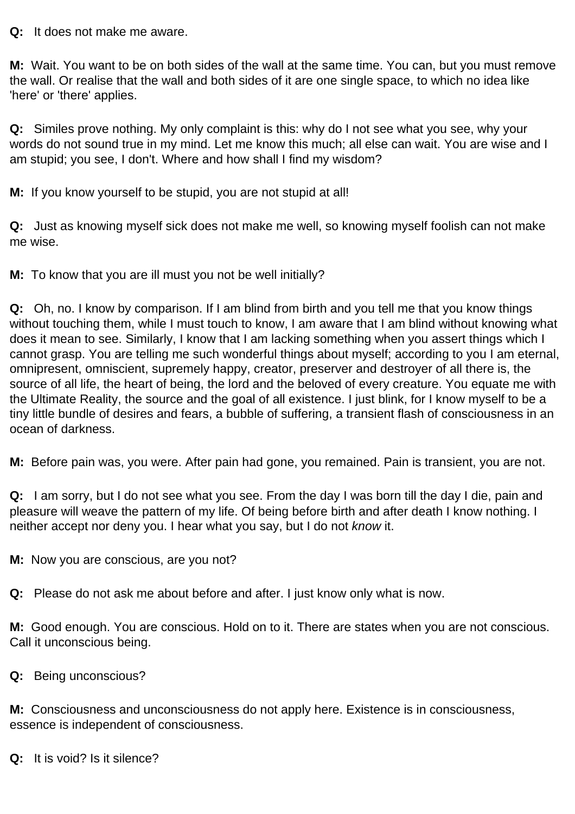**Q:** It does not make me aware.

**M:** Wait. You want to be on both sides of the wall at the same time. You can, but you must remove the wall. Or realise that the wall and both sides of it are one single space, to which no idea like 'here' or 'there' applies.

**Q:** Similes prove nothing. My only complaint is this: why do I not see what you see, why your words do not sound true in my mind. Let me know this much; all else can wait. You are wise and I am stupid; you see, I don't. Where and how shall I find my wisdom?

**M:** If you know yourself to be stupid, you are not stupid at all!

**Q:** Just as knowing myself sick does not make me well, so knowing myself foolish can not make me wise.

**M:** To know that you are ill must you not be well initially?

**Q:** Oh, no. I know by comparison. If I am blind from birth and you tell me that you know things without touching them, while I must touch to know, I am aware that I am blind without knowing what does it mean to see. Similarly, I know that I am lacking something when you assert things which I cannot grasp. You are telling me such wonderful things about myself; according to you I am eternal, omnipresent, omniscient, supremely happy, creator, preserver and destroyer of all there is, the source of all life, the heart of being, the lord and the beloved of every creature. You equate me with the Ultimate Reality, the source and the goal of all existence. I just blink, for I know myself to be a tiny little bundle of desires and fears, a bubble of suffering, a transient flash of consciousness in an ocean of darkness.

**M:** Before pain was, you were. After pain had gone, you remained. Pain is transient, you are not.

**Q:** I am sorry, but I do not see what you see. From the day I was born till the day I die, pain and pleasure will weave the pattern of my life. Of being before birth and after death I know nothing. I neither accept nor deny you. I hear what you say, but I do not *know* it.

**M:** Now you are conscious, are you not?

**Q:** Please do not ask me about before and after. I just know only what is now.

**M:** Good enough. You are conscious. Hold on to it. There are states when you are not conscious. Call it unconscious being.

**Q:** Being unconscious?

**M:** Consciousness and unconsciousness do not apply here. Existence is in consciousness, essence is independent of consciousness.

**Q:** It is void? Is it silence?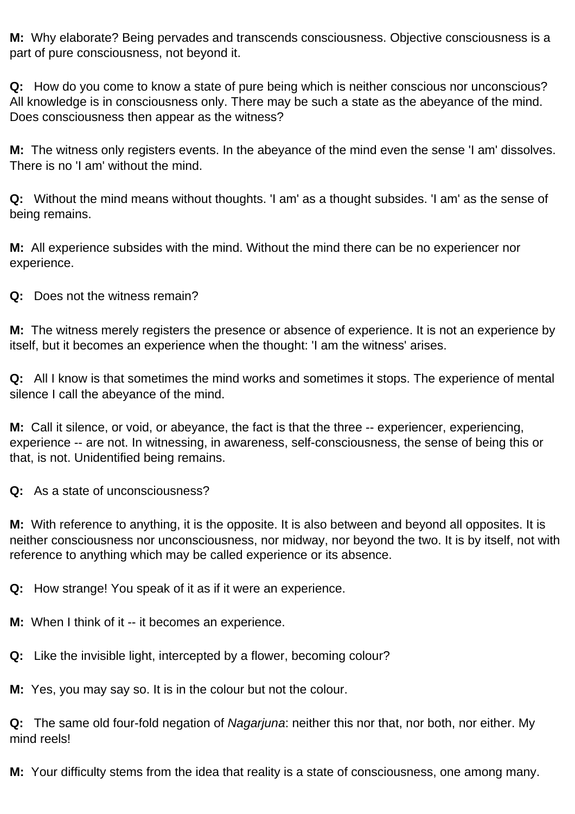**M:** Why elaborate? Being pervades and transcends consciousness. Objective consciousness is a part of pure consciousness, not beyond it.

**Q:** How do you come to know a state of pure being which is neither conscious nor unconscious? All knowledge is in consciousness only. There may be such a state as the abeyance of the mind. Does consciousness then appear as the witness?

**M:** The witness only registers events. In the abeyance of the mind even the sense 'I am' dissolves. There is no 'I am' without the mind.

**Q:** Without the mind means without thoughts. 'I am' as a thought subsides. 'I am' as the sense of being remains.

**M:** All experience subsides with the mind. Without the mind there can be no experiencer nor experience.

**Q:** Does not the witness remain?

**M:** The witness merely registers the presence or absence of experience. It is not an experience by itself, but it becomes an experience when the thought: 'I am the witness' arises.

**Q:** All I know is that sometimes the mind works and sometimes it stops. The experience of mental silence I call the abeyance of the mind.

**M:** Call it silence, or void, or abeyance, the fact is that the three -- experiencer, experiencing, experience -- are not. In witnessing, in awareness, self-consciousness, the sense of being this or that, is not. Unidentified being remains.

**Q:** As a state of unconsciousness?

**M:** With reference to anything, it is the opposite. It is also between and beyond all opposites. It is neither consciousness nor unconsciousness, nor midway, nor beyond the two. It is by itself, not with reference to anything which may be called experience or its absence.

**Q:** How strange! You speak of it as if it were an experience.

**M:** When I think of it -- it becomes an experience.

**Q:** Like the invisible light, intercepted by a flower, becoming colour?

**M:** Yes, you may say so. It is in the colour but not the colour.

**Q:** The same old four-fold negation of *Nagarjuna*: neither this nor that, nor both, nor either. My mind reels!

**M:** Your difficulty stems from the idea that reality is a state of consciousness, one among many.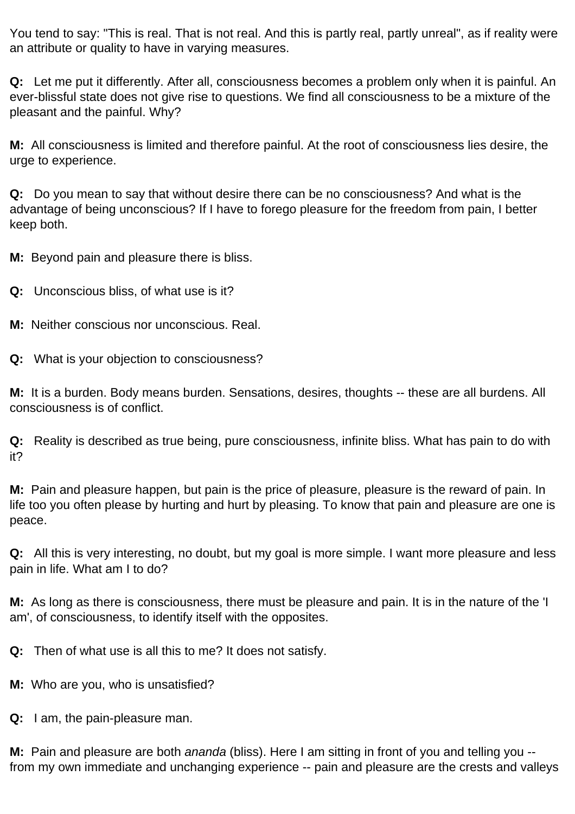You tend to say: "This is real. That is not real. And this is partly real, partly unreal", as if reality were an attribute or quality to have in varying measures.

**Q:** Let me put it differently. After all, consciousness becomes a problem only when it is painful. An ever-blissful state does not give rise to questions. We find all consciousness to be a mixture of the pleasant and the painful. Why?

**M:** All consciousness is limited and therefore painful. At the root of consciousness lies desire, the urge to experience.

**Q:** Do you mean to say that without desire there can be no consciousness? And what is the advantage of being unconscious? If I have to forego pleasure for the freedom from pain, I better keep both.

**M:** Beyond pain and pleasure there is bliss.

- **Q:** Unconscious bliss, of what use is it?
- **M:** Neither conscious nor unconscious. Real.
- **Q:** What is your objection to consciousness?

**M:** It is a burden. Body means burden. Sensations, desires, thoughts -- these are all burdens. All consciousness is of conflict.

**Q:** Reality is described as true being, pure consciousness, infinite bliss. What has pain to do with it?

**M:** Pain and pleasure happen, but pain is the price of pleasure, pleasure is the reward of pain. In life too you often please by hurting and hurt by pleasing. To know that pain and pleasure are one is peace.

**Q:** All this is very interesting, no doubt, but my goal is more simple. I want more pleasure and less pain in life. What am I to do?

**M:** As long as there is consciousness, there must be pleasure and pain. It is in the nature of the 'I am', of consciousness, to identify itself with the opposites.

**Q:** Then of what use is all this to me? It does not satisfy.

**M:** Who are you, who is unsatisfied?

**Q:** I am, the pain-pleasure man.

**M:** Pain and pleasure are both *ananda* (bliss). Here I am sitting in front of you and telling you - from my own immediate and unchanging experience -- pain and pleasure are the crests and valleys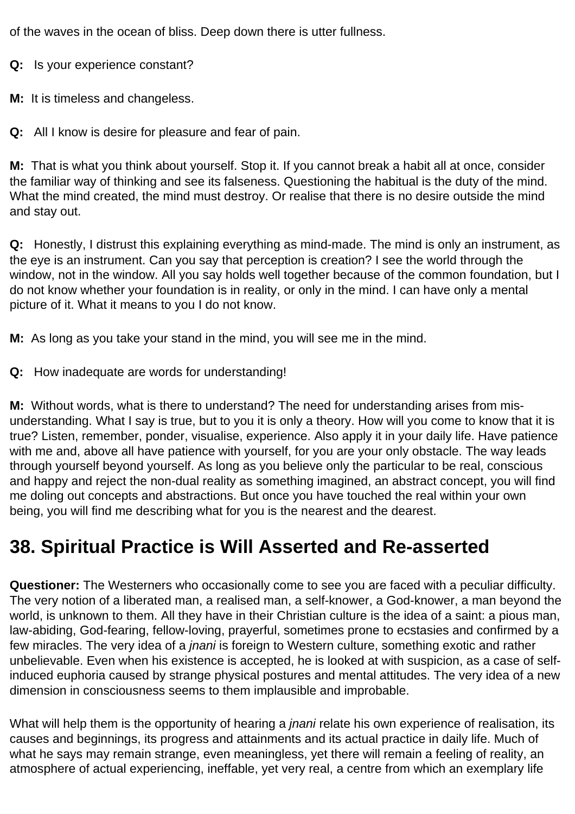of the waves in the ocean of bliss. Deep down there is utter fullness.

- **Q:** Is your experience constant?
- **M:** It is timeless and changeless.
- **Q:** All I know is desire for pleasure and fear of pain.

**M:** That is what you think about yourself. Stop it. If you cannot break a habit all at once, consider the familiar way of thinking and see its falseness. Questioning the habitual is the duty of the mind. What the mind created, the mind must destroy. Or realise that there is no desire outside the mind and stay out.

**Q:** Honestly, I distrust this explaining everything as mind-made. The mind is only an instrument, as the eye is an instrument. Can you say that perception is creation? I see the world through the window, not in the window. All you say holds well together because of the common foundation, but I do not know whether your foundation is in reality, or only in the mind. I can have only a mental picture of it. What it means to you I do not know.

**M:** As long as you take your stand in the mind, you will see me in the mind.

**Q:** How inadequate are words for understanding!

**M:** Without words, what is there to understand? The need for understanding arises from misunderstanding. What I say is true, but to you it is only a theory. How will you come to know that it is true? Listen, remember, ponder, visualise, experience. Also apply it in your daily life. Have patience with me and, above all have patience with yourself, for you are your only obstacle. The way leads through yourself beyond yourself. As long as you believe only the particular to be real, conscious and happy and reject the non-dual reality as something imagined, an abstract concept, you will find me doling out concepts and abstractions. But once you have touched the real within your own being, you will find me describing what for you is the nearest and the dearest.

## **38. Spiritual Practice is Will Asserted and Re-asserted**

**Questioner:** The Westerners who occasionally come to see you are faced with a peculiar difficulty. The very notion of a liberated man, a realised man, a self-knower, a God-knower, a man beyond the world, is unknown to them. All they have in their Christian culture is the idea of a saint: a pious man, law-abiding, God-fearing, fellow-loving, prayerful, sometimes prone to ecstasies and confirmed by a few miracles. The very idea of a *jnani* is foreign to Western culture, something exotic and rather unbelievable. Even when his existence is accepted, he is looked at with suspicion, as a case of selfinduced euphoria caused by strange physical postures and mental attitudes. The very idea of a new dimension in consciousness seems to them implausible and improbable.

What will help them is the opportunity of hearing a *jnani* relate his own experience of realisation, its causes and beginnings, its progress and attainments and its actual practice in daily life. Much of what he says may remain strange, even meaningless, yet there will remain a feeling of reality, an atmosphere of actual experiencing, ineffable, yet very real, a centre from which an exemplary life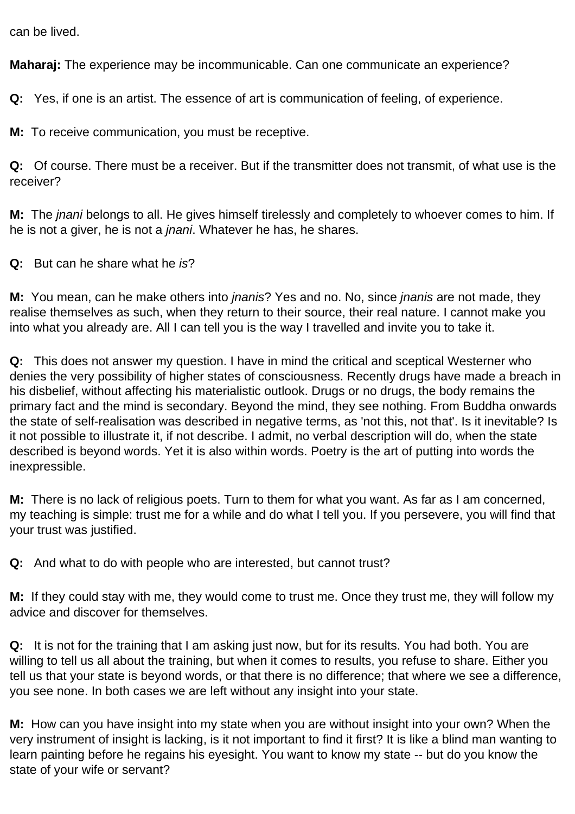can be lived.

**Maharaj:** The experience may be incommunicable. Can one communicate an experience?

**Q:** Yes, if one is an artist. The essence of art is communication of feeling, of experience.

**M:** To receive communication, you must be receptive.

**Q:** Of course. There must be a receiver. But if the transmitter does not transmit, of what use is the receiver?

**M:** The *jnani* belongs to all. He gives himself tirelessly and completely to whoever comes to him. If he is not a giver, he is not a *jnani*. Whatever he has, he shares.

**Q:** But can he share what he *is*?

**M:** You mean, can he make others into *jnanis*? Yes and no. No, since *jnanis* are not made, they realise themselves as such, when they return to their source, their real nature. I cannot make you into what you already are. All I can tell you is the way I travelled and invite you to take it.

**Q:** This does not answer my question. I have in mind the critical and sceptical Westerner who denies the very possibility of higher states of consciousness. Recently drugs have made a breach in his disbelief, without affecting his materialistic outlook. Drugs or no drugs, the body remains the primary fact and the mind is secondary. Beyond the mind, they see nothing. From Buddha onwards the state of self-realisation was described in negative terms, as 'not this, not that'. Is it inevitable? Is it not possible to illustrate it, if not describe. I admit, no verbal description will do, when the state described is beyond words. Yet it is also within words. Poetry is the art of putting into words the inexpressible.

**M:** There is no lack of religious poets. Turn to them for what you want. As far as I am concerned, my teaching is simple: trust me for a while and do what I tell you. If you persevere, you will find that your trust was justified.

**Q:** And what to do with people who are interested, but cannot trust?

**M:** If they could stay with me, they would come to trust me. Once they trust me, they will follow my advice and discover for themselves.

**Q:** It is not for the training that I am asking just now, but for its results. You had both. You are willing to tell us all about the training, but when it comes to results, you refuse to share. Either you tell us that your state is beyond words, or that there is no difference; that where we see a difference, you see none. In both cases we are left without any insight into your state.

**M:** How can you have insight into my state when you are without insight into your own? When the very instrument of insight is lacking, is it not important to find it first? It is like a blind man wanting to learn painting before he regains his eyesight. You want to know my state -- but do you know the state of your wife or servant?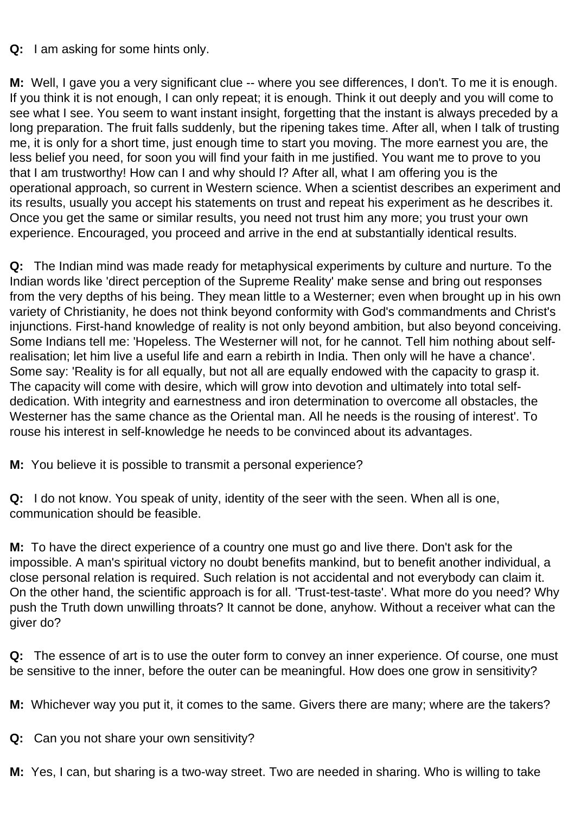**Q:** I am asking for some hints only.

**M:** Well, I gave you a very significant clue -- where you see differences, I don't. To me it is enough. If you think it is not enough, I can only repeat; it is enough. Think it out deeply and you will come to see what I see. You seem to want instant insight, forgetting that the instant is always preceded by a long preparation. The fruit falls suddenly, but the ripening takes time. After all, when I talk of trusting me, it is only for a short time, just enough time to start you moving. The more earnest you are, the less belief you need, for soon you will find your faith in me justified. You want me to prove to you that I am trustworthy! How can I and why should l? After all, what I am offering you is the operational approach, so current in Western science. When a scientist describes an experiment and its results, usually you accept his statements on trust and repeat his experiment as he describes it. Once you get the same or similar results, you need not trust him any more; you trust your own experience. Encouraged, you proceed and arrive in the end at substantially identical results.

**Q:** The Indian mind was made ready for metaphysical experiments by culture and nurture. To the Indian words like 'direct perception of the Supreme Reality' make sense and bring out responses from the very depths of his being. They mean little to a Westerner; even when brought up in his own variety of Christianity, he does not think beyond conformity with God's commandments and Christ's injunctions. First-hand knowledge of reality is not only beyond ambition, but also beyond conceiving. Some Indians tell me: 'Hopeless. The Westerner will not, for he cannot. Tell him nothing about selfrealisation; let him live a useful life and earn a rebirth in India. Then only will he have a chance'. Some say: 'Reality is for all equally, but not all are equally endowed with the capacity to grasp it. The capacity will come with desire, which will grow into devotion and ultimately into total selfdedication. With integrity and earnestness and iron determination to overcome all obstacles, the Westerner has the same chance as the Oriental man. All he needs is the rousing of interest'. To rouse his interest in self-knowledge he needs to be convinced about its advantages.

**M:** You believe it is possible to transmit a personal experience?

**Q:** I do not know. You speak of unity, identity of the seer with the seen. When all is one, communication should be feasible.

**M:** To have the direct experience of a country one must go and live there. Don't ask for the impossible. A man's spiritual victory no doubt benefits mankind, but to benefit another individual, a close personal relation is required. Such relation is not accidental and not everybody can claim it. On the other hand, the scientific approach is for all. 'Trust-test-taste'. What more do you need? Why push the Truth down unwilling throats? It cannot be done, anyhow. Without a receiver what can the giver do?

**Q:** The essence of art is to use the outer form to convey an inner experience. Of course, one must be sensitive to the inner, before the outer can be meaningful. How does one grow in sensitivity?

**M:** Whichever way you put it, it comes to the same. Givers there are many; where are the takers?

**Q:** Can you not share your own sensitivity?

**M:** Yes, I can, but sharing is a two-way street. Two are needed in sharing. Who is willing to take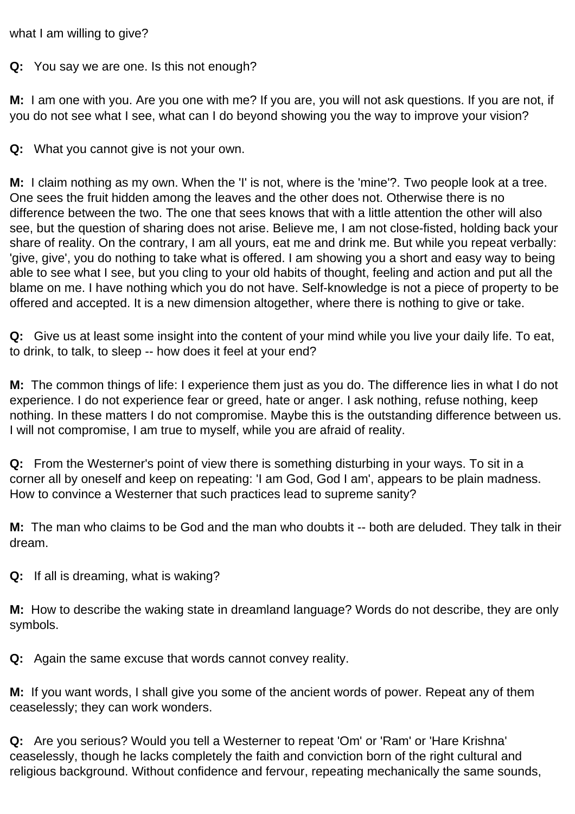what I am willing to give?

**Q:** You say we are one. Is this not enough?

**M:** I am one with you. Are you one with me? If you are, you will not ask questions. If you are not, if you do not see what I see, what can I do beyond showing you the way to improve your vision?

**Q:** What you cannot give is not your own.

**M:** I claim nothing as my own. When the 'I' is not, where is the 'mine'?. Two people look at a tree. One sees the fruit hidden among the leaves and the other does not. Otherwise there is no difference between the two. The one that sees knows that with a little attention the other will also see, but the question of sharing does not arise. Believe me, I am not close-fisted, holding back your share of reality. On the contrary, I am all yours, eat me and drink me. But while you repeat verbally: 'give, give', you do nothing to take what is offered. I am showing you a short and easy way to being able to see what I see, but you cling to your old habits of thought, feeling and action and put all the blame on me. I have nothing which you do not have. Self-knowledge is not a piece of property to be offered and accepted. It is a new dimension altogether, where there is nothing to give or take.

**Q:** Give us at least some insight into the content of your mind while you live your daily life. To eat, to drink, to talk, to sleep -- how does it feel at your end?

**M:** The common things of life: I experience them just as you do. The difference lies in what I do not experience. I do not experience fear or greed, hate or anger. I ask nothing, refuse nothing, keep nothing. In these matters I do not compromise. Maybe this is the outstanding difference between us. I will not compromise, I am true to myself, while you are afraid of reality.

**Q:** From the Westerner's point of view there is something disturbing in your ways. To sit in a corner all by oneself and keep on repeating: 'I am God, God I am', appears to be plain madness. How to convince a Westerner that such practices lead to supreme sanity?

**M:** The man who claims to be God and the man who doubts it -- both are deluded. They talk in their dream.

**Q:** If all is dreaming, what is waking?

**M:** How to describe the waking state in dreamland language? Words do not describe, they are only symbols.

**Q:** Again the same excuse that words cannot convey reality.

**M:** If you want words, I shall give you some of the ancient words of power. Repeat any of them ceaselessly; they can work wonders.

**Q:** Are you serious? Would you tell a Westerner to repeat 'Om' or 'Ram' or 'Hare Krishna' ceaselessly, though he lacks completely the faith and conviction born of the right cultural and religious background. Without confidence and fervour, repeating mechanically the same sounds,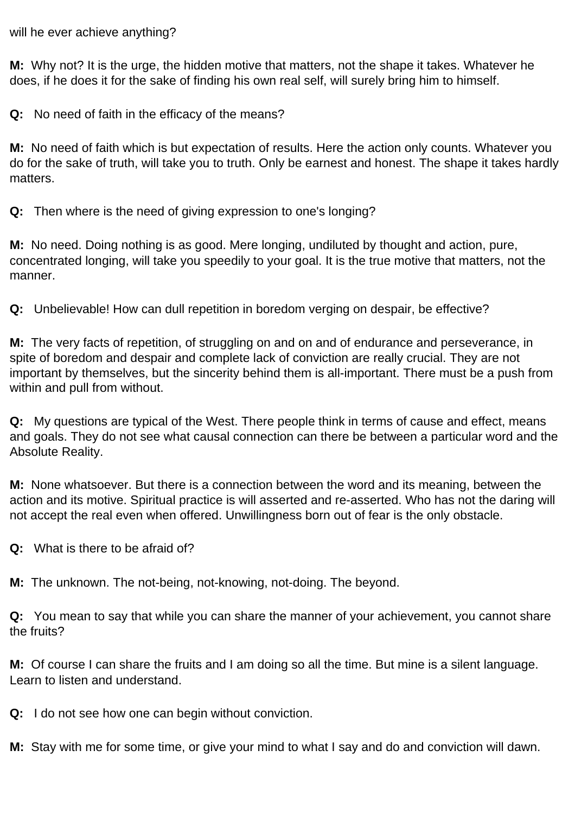will he ever achieve anything?

**M:** Why not? It is the urge, the hidden motive that matters, not the shape it takes. Whatever he does, if he does it for the sake of finding his own real self, will surely bring him to himself.

**Q:** No need of faith in the efficacy of the means?

**M:** No need of faith which is but expectation of results. Here the action only counts. Whatever you do for the sake of truth, will take you to truth. Only be earnest and honest. The shape it takes hardly matters.

**Q:** Then where is the need of giving expression to one's longing?

**M:** No need. Doing nothing is as good. Mere longing, undiluted by thought and action, pure, concentrated longing, will take you speedily to your goal. It is the true motive that matters, not the manner.

**Q:** Unbelievable! How can dull repetition in boredom verging on despair, be effective?

**M:** The very facts of repetition, of struggling on and on and of endurance and perseverance, in spite of boredom and despair and complete lack of conviction are really crucial. They are not important by themselves, but the sincerity behind them is all-important. There must be a push from within and pull from without.

**Q:** My questions are typical of the West. There people think in terms of cause and effect, means and goals. They do not see what causal connection can there be between a particular word and the Absolute Reality.

**M:** None whatsoever. But there is a connection between the word and its meaning, between the action and its motive. Spiritual practice is will asserted and re-asserted. Who has not the daring will not accept the real even when offered. Unwillingness born out of fear is the only obstacle.

**Q:** What is there to be afraid of?

**M:** The unknown. The not-being, not-knowing, not-doing. The beyond.

**Q:** You mean to say that while you can share the manner of your achievement, you cannot share the fruits?

**M:** Of course I can share the fruits and I am doing so all the time. But mine is a silent language. Learn to listen and understand.

**Q:** I do not see how one can begin without conviction.

**M:** Stay with me for some time, or give your mind to what I say and do and conviction will dawn.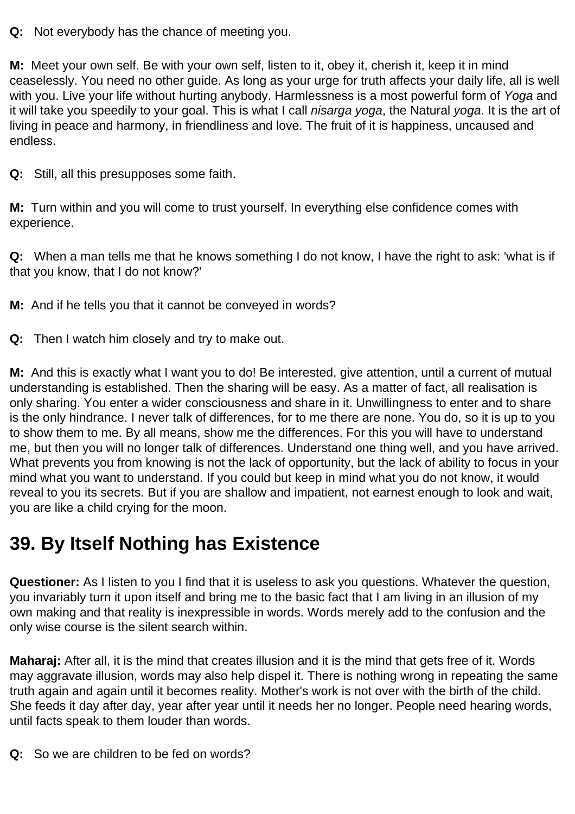#### **Q:** Not everybody has the chance of meeting you.

**M:** Meet your own self. Be with your own self, listen to it, obey it, cherish it, keep it in mind ceaselessly. You need no other guide. As long as your urge for truth affects your daily life, all is well with you. Live your life without hurting anybody. Harmlessness is a most powerful form of *Yoga* and it will take you speedily to your goal. This is what I call *nisarga yoga*, the Natural *yoga*. It is the art of living in peace and harmony, in friendliness and love. The fruit of it is happiness, uncaused and endless.

**Q:** Still, all this presupposes some faith.

**M:** Turn within and you will come to trust yourself. In everything else confidence comes with experience.

**Q:** When a man tells me that he knows something I do not know, I have the right to ask: 'what is if that you know, that I do not know?'

**M:** And if he tells you that it cannot be conveyed in words?

**Q:** Then I watch him closely and try to make out.

**M:** And this is exactly what I want you to do! Be interested, give attention, until a current of mutual understanding is established. Then the sharing will be easy. As a matter of fact, all realisation is only sharing. You enter a wider consciousness and share in it. Unwillingness to enter and to share is the only hindrance. I never talk of differences, for to me there are none. You do, so it is up to you to show them to me. By all means, show me the differences. For this you will have to understand me, but then you will no longer talk of differences. Understand one thing well, and you have arrived. What prevents you from knowing is not the lack of opportunity, but the lack of ability to focus in your mind what you want to understand. If you could but keep in mind what you do not know, it would reveal to you its secrets. But if you are shallow and impatient, not earnest enough to look and wait, you are like a child crying for the moon.

## **39. By Itself Nothing has Existence**

**Questioner:** As I listen to you I find that it is useless to ask you questions. Whatever the question, you invariably turn it upon itself and bring me to the basic fact that I am living in an illusion of my own making and that reality is inexpressible in words. Words merely add to the confusion and the only wise course is the silent search within.

**Maharaj:** After all, it is the mind that creates illusion and it is the mind that gets free of it. Words may aggravate illusion, words may also help dispel it. There is nothing wrong in repeating the same truth again and again until it becomes reality. Mother's work is not over with the birth of the child. She feeds it day after day, year after year until it needs her no longer. People need hearing words, until facts speak to them louder than words.

**Q:** So we are children to be fed on words?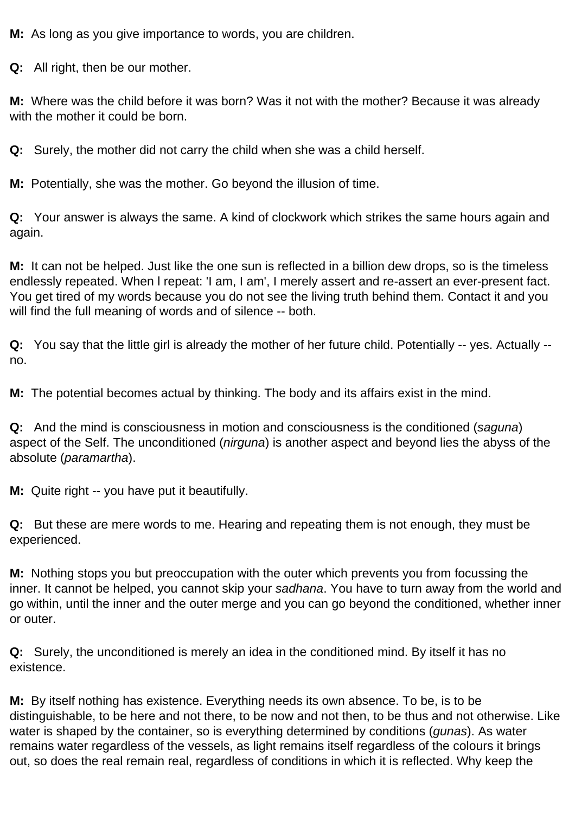**M:** As long as you give importance to words, you are children.

**Q:** All right, then be our mother.

**M:** Where was the child before it was born? Was it not with the mother? Because it was already with the mother it could be born.

**Q:** Surely, the mother did not carry the child when she was a child herself.

**M:** Potentially, she was the mother. Go beyond the illusion of time.

**Q:** Your answer is always the same. A kind of clockwork which strikes the same hours again and again.

**M:** It can not be helped. Just like the one sun is reflected in a billion dew drops, so is the timeless endlessly repeated. When l repeat: 'I am, I am', I merely assert and re-assert an ever-present fact. You get tired of my words because you do not see the living truth behind them. Contact it and you will find the full meaning of words and of silence -- both.

**Q:** You say that the little girl is already the mother of her future child. Potentially -- yes. Actually - no.

**M:** The potential becomes actual by thinking. The body and its affairs exist in the mind.

**Q:** And the mind is consciousness in motion and consciousness is the conditioned (*saguna*) aspect of the Self. The unconditioned (*nirguna*) is another aspect and beyond lies the abyss of the absolute (*paramartha*).

**M:** Quite right -- you have put it beautifully.

**Q:** But these are mere words to me. Hearing and repeating them is not enough, they must be experienced.

**M:** Nothing stops you but preoccupation with the outer which prevents you from focussing the inner. It cannot be helped, you cannot skip your *sadhana*. You have to turn away from the world and go within, until the inner and the outer merge and you can go beyond the conditioned, whether inner or outer.

**Q:** Surely, the unconditioned is merely an idea in the conditioned mind. By itself it has no existence.

**M:** By itself nothing has existence. Everything needs its own absence. To be, is to be distinguishable, to be here and not there, to be now and not then, to be thus and not otherwise. Like water is shaped by the container, so is everything determined by conditions (*gunas*). As water remains water regardless of the vessels, as light remains itself regardless of the colours it brings out, so does the real remain real, regardless of conditions in which it is reflected. Why keep the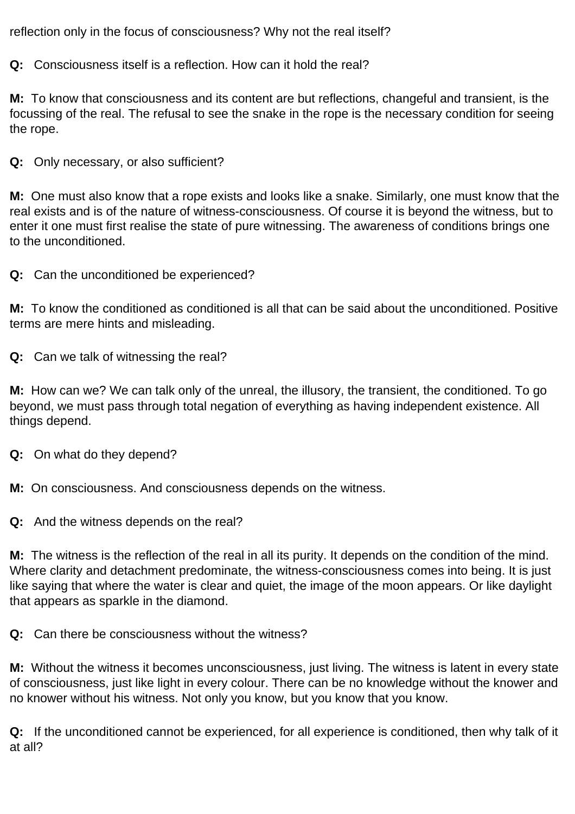reflection only in the focus of consciousness? Why not the real itself?

#### **Q:** Consciousness itself is a reflection. How can it hold the real?

**M:** To know that consciousness and its content are but reflections, changeful and transient, is the focussing of the real. The refusal to see the snake in the rope is the necessary condition for seeing the rope.

**Q:** Only necessary, or also sufficient?

**M:** One must also know that a rope exists and looks like a snake. Similarly, one must know that the real exists and is of the nature of witness-consciousness. Of course it is beyond the witness, but to enter it one must first realise the state of pure witnessing. The awareness of conditions brings one to the unconditioned.

**Q:** Can the unconditioned be experienced?

**M:** To know the conditioned as conditioned is all that can be said about the unconditioned. Positive terms are mere hints and misleading.

**Q:** Can we talk of witnessing the real?

**M:** How can we? We can talk only of the unreal, the illusory, the transient, the conditioned. To go beyond, we must pass through total negation of everything as having independent existence. All things depend.

- **Q:** On what do they depend?
- **M:** On consciousness. And consciousness depends on the witness.
- **Q:** And the witness depends on the real?

**M:** The witness is the reflection of the real in all its purity. It depends on the condition of the mind. Where clarity and detachment predominate, the witness-consciousness comes into being. It is just like saying that where the water is clear and quiet, the image of the moon appears. Or like daylight that appears as sparkle in the diamond.

**Q:** Can there be consciousness without the witness?

**M:** Without the witness it becomes unconsciousness, just living. The witness is latent in every state of consciousness, just like light in every colour. There can be no knowledge without the knower and no knower without his witness. Not only you know, but you know that you know.

**Q:** If the unconditioned cannot be experienced, for all experience is conditioned, then why talk of it at all?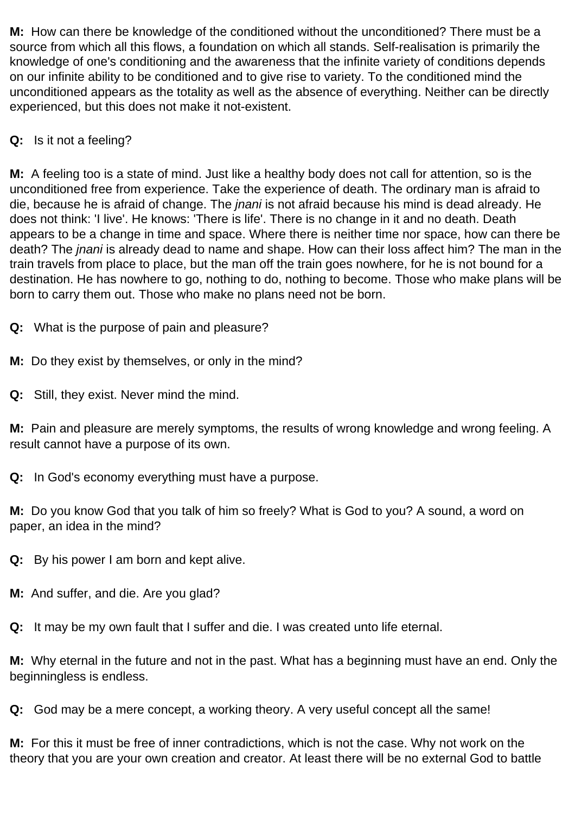**M:** How can there be knowledge of the conditioned without the unconditioned? There must be a source from which all this flows, a foundation on which all stands. Self-realisation is primarily the knowledge of one's conditioning and the awareness that the infinite variety of conditions depends on our infinite ability to be conditioned and to give rise to variety. To the conditioned mind the unconditioned appears as the totality as well as the absence of everything. Neither can be directly experienced, but this does not make it not-existent.

#### **Q:** Is it not a feeling?

**M:** A feeling too is a state of mind. Just like a healthy body does not call for attention, so is the unconditioned free from experience. Take the experience of death. The ordinary man is afraid to die, because he is afraid of change. The *jnani* is not afraid because his mind is dead already. He does not think: 'I live'. He knows: 'There is life'. There is no change in it and no death. Death appears to be a change in time and space. Where there is neither time nor space, how can there be death? The *jnani* is already dead to name and shape. How can their loss affect him? The man in the train travels from place to place, but the man off the train goes nowhere, for he is not bound for a destination. He has nowhere to go, nothing to do, nothing to become. Those who make plans will be born to carry them out. Those who make no plans need not be born.

**Q:** What is the purpose of pain and pleasure?

**M:** Do they exist by themselves, or only in the mind?

**Q:** Still, they exist. Never mind the mind.

**M:** Pain and pleasure are merely symptoms, the results of wrong knowledge and wrong feeling. A result cannot have a purpose of its own.

**Q:** In God's economy everything must have a purpose.

**M:** Do you know God that you talk of him so freely? What is God to you? A sound, a word on paper, an idea in the mind?

**Q:** By his power I am born and kept alive.

**M:** And suffer, and die. Are you glad?

**Q:** It may be my own fault that I suffer and die. I was created unto life eternal.

**M:** Why eternal in the future and not in the past. What has a beginning must have an end. Only the beginningless is endless.

**Q:** God may be a mere concept, a working theory. A very useful concept all the same!

**M:** For this it must be free of inner contradictions, which is not the case. Why not work on the theory that you are your own creation and creator. At least there will be no external God to battle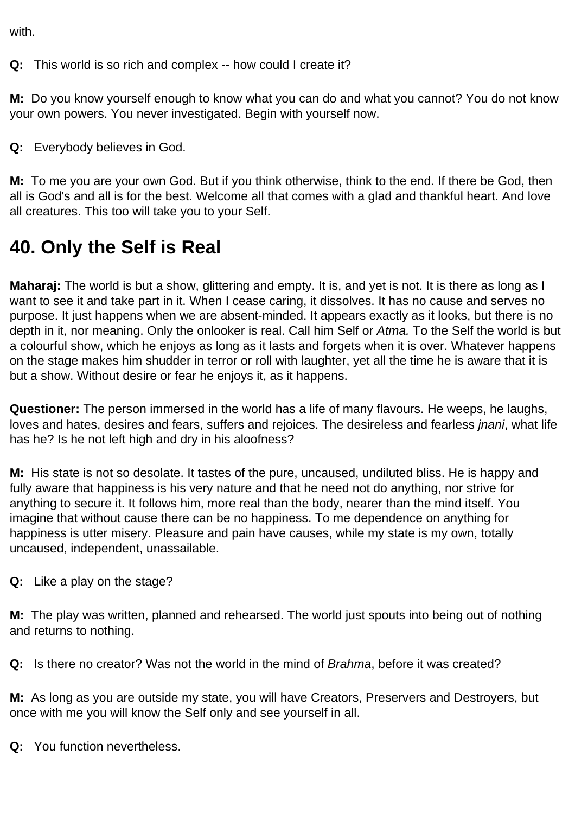with.

**Q:** This world is so rich and complex -- how could I create it?

**M:** Do you know yourself enough to know what you can do and what you cannot? You do not know your own powers. You never investigated. Begin with yourself now.

**Q:** Everybody believes in God.

**M:** To me you are your own God. But if you think otherwise, think to the end. If there be God, then all is God's and all is for the best. Welcome all that comes with a glad and thankful heart. And love all creatures. This too will take you to your Self.

# **40. Only the Self is Real**

**Maharaj:** The world is but a show, glittering and empty. It is, and yet is not. It is there as long as I want to see it and take part in it. When I cease caring, it dissolves. It has no cause and serves no purpose. It just happens when we are absent-minded. It appears exactly as it looks, but there is no depth in it, nor meaning. Only the onlooker is real. Call him Self or *Atma.* To the Self the world is but a colourful show, which he enjoys as long as it lasts and forgets when it is over. Whatever happens on the stage makes him shudder in terror or roll with laughter, yet all the time he is aware that it is but a show. Without desire or fear he enjoys it, as it happens.

**Questioner:** The person immersed in the world has a life of many flavours. He weeps, he laughs, loves and hates, desires and fears, suffers and rejoices. The desireless and fearless *jnani*, what life has he? Is he not left high and dry in his aloofness?

**M:** His state is not so desolate. It tastes of the pure, uncaused, undiluted bliss. He is happy and fully aware that happiness is his very nature and that he need not do anything, nor strive for anything to secure it. It follows him, more real than the body, nearer than the mind itself. You imagine that without cause there can be no happiness. To me dependence on anything for happiness is utter misery. Pleasure and pain have causes, while my state is my own, totally uncaused, independent, unassailable.

**Q:** Like a play on the stage?

**M:** The play was written, planned and rehearsed. The world just spouts into being out of nothing and returns to nothing.

**Q:** Is there no creator? Was not the world in the mind of *Brahma*, before it was created?

**M:** As long as you are outside my state, you will have Creators, Preservers and Destroyers, but once with me you will know the Self only and see yourself in all.

**Q:** You function nevertheless.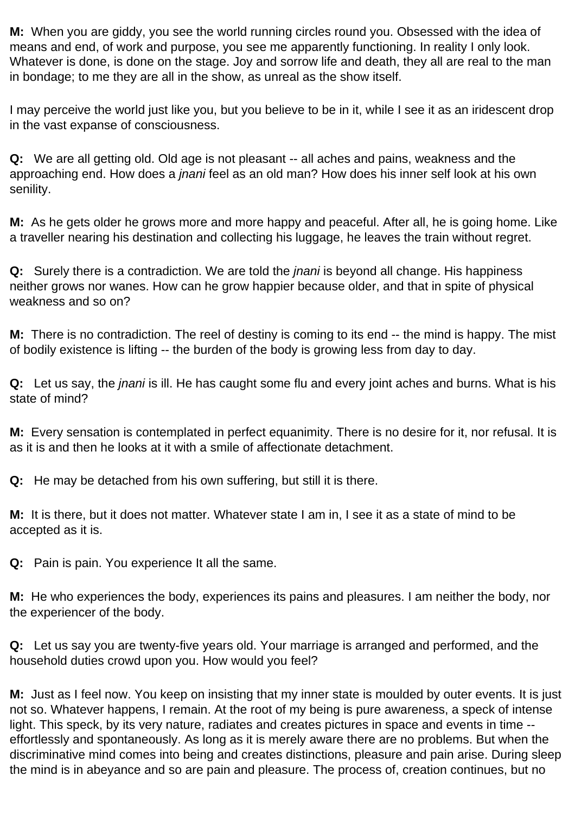**M:** When you are giddy, you see the world running circles round you. Obsessed with the idea of means and end, of work and purpose, you see me apparently functioning. In reality I only look. Whatever is done, is done on the stage. Joy and sorrow life and death, they all are real to the man in bondage; to me they are all in the show, as unreal as the show itself.

I may perceive the world just like you, but you believe to be in it, while I see it as an iridescent drop in the vast expanse of consciousness.

**Q:** We are all getting old. Old age is not pleasant -- all aches and pains, weakness and the approaching end. How does a *jnani* feel as an old man? How does his inner self look at his own senility.

**M:** As he gets older he grows more and more happy and peaceful. After all, he is going home. Like a traveller nearing his destination and collecting his luggage, he leaves the train without regret.

**Q:** Surely there is a contradiction. We are told the *jnani* is beyond all change. His happiness neither grows nor wanes. How can he grow happier because older, and that in spite of physical weakness and so on?

**M:** There is no contradiction. The reel of destiny is coming to its end -- the mind is happy. The mist of bodily existence is lifting -- the burden of the body is growing less from day to day.

**Q:** Let us say, the *jnani* is ill. He has caught some flu and every joint aches and burns. What is his state of mind?

**M:** Every sensation is contemplated in perfect equanimity. There is no desire for it, nor refusal. It is as it is and then he looks at it with a smile of affectionate detachment.

**Q:** He may be detached from his own suffering, but still it is there.

**M:** It is there, but it does not matter. Whatever state I am in, I see it as a state of mind to be accepted as it is.

**Q:** Pain is pain. You experience It all the same.

**M:** He who experiences the body, experiences its pains and pleasures. I am neither the body, nor the experiencer of the body.

**Q:** Let us say you are twenty-five years old. Your marriage is arranged and performed, and the household duties crowd upon you. How would you feel?

**M:** Just as I feel now. You keep on insisting that my inner state is moulded by outer events. It is just not so. Whatever happens, I remain. At the root of my being is pure awareness, a speck of intense light. This speck, by its very nature, radiates and creates pictures in space and events in time - effortlessly and spontaneously. As long as it is merely aware there are no problems. But when the discriminative mind comes into being and creates distinctions, pleasure and pain arise. During sleep the mind is in abeyance and so are pain and pleasure. The process of, creation continues, but no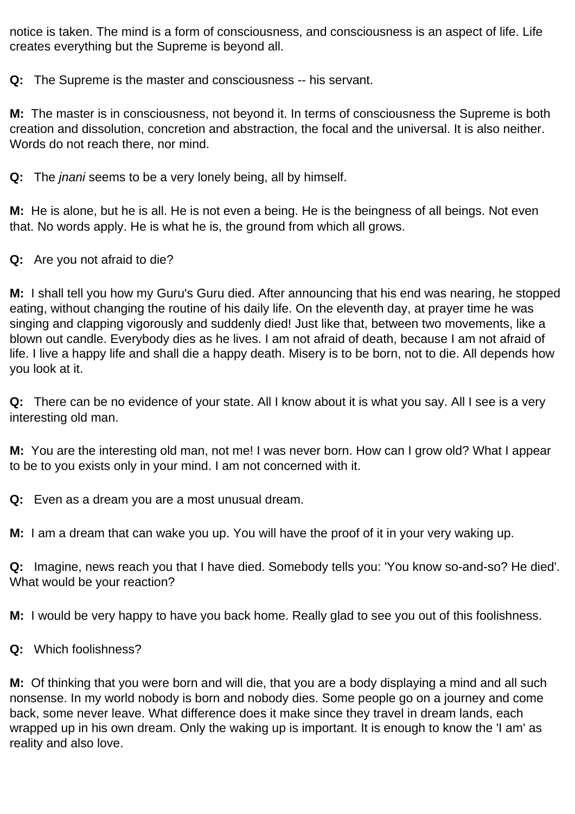notice is taken. The mind is a form of consciousness, and consciousness is an aspect of life. Life creates everything but the Supreme is beyond all.

**Q:** The Supreme is the master and consciousness -- his servant.

**M:** The master is in consciousness, not beyond it. In terms of consciousness the Supreme is both creation and dissolution, concretion and abstraction, the focal and the universal. It is also neither. Words do not reach there, nor mind.

**Q:** The *jnani* seems to be a very lonely being, all by himself.

**M:** He is alone, but he is all. He is not even a being. He is the beingness of all beings. Not even that. No words apply. He is what he is, the ground from which all grows.

**Q:** Are you not afraid to die?

**M:** I shall tell you how my Guru's Guru died. After announcing that his end was nearing, he stopped eating, without changing the routine of his daily life. On the eleventh day, at prayer time he was singing and clapping vigorously and suddenly died! Just like that, between two movements, like a blown out candle. Everybody dies as he lives. I am not afraid of death, because I am not afraid of life. I live a happy life and shall die a happy death. Misery is to be born, not to die. All depends how you look at it.

**Q:** There can be no evidence of your state. All I know about it is what you say. All I see is a very interesting old man.

**M:** You are the interesting old man, not me! I was never born. How can I grow old? What I appear to be to you exists only in your mind. I am not concerned with it.

**Q:** Even as a dream you are a most unusual dream.

**M:** I am a dream that can wake you up. You will have the proof of it in your very waking up.

**Q:** Imagine, news reach you that I have died. Somebody tells you: 'You know so-and-so? He died'. What would be your reaction?

**M:** I would be very happy to have you back home. Really glad to see you out of this foolishness.

**Q:** Which foolishness?

**M:** Of thinking that you were born and will die, that you are a body displaying a mind and all such nonsense. In my world nobody is born and nobody dies. Some people go on a journey and come back, some never leave. What difference does it make since they travel in dream lands, each wrapped up in his own dream. Only the waking up is important. It is enough to know the 'I am' as reality and also love.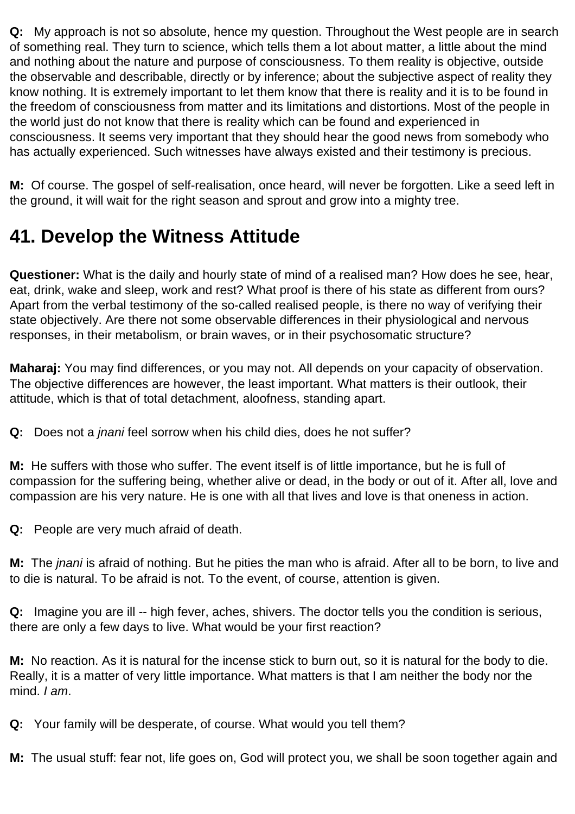**Q:** My approach is not so absolute, hence my question. Throughout the West people are in search of something real. They turn to science, which tells them a lot about matter, a little about the mind and nothing about the nature and purpose of consciousness. To them reality is objective, outside the observable and describable, directly or by inference; about the subjective aspect of reality they know nothing. It is extremely important to let them know that there is reality and it is to be found in the freedom of consciousness from matter and its limitations and distortions. Most of the people in the world just do not know that there is reality which can be found and experienced in consciousness. It seems very important that they should hear the good news from somebody who has actually experienced. Such witnesses have always existed and their testimony is precious.

**M:** Of course. The gospel of self-realisation, once heard, will never be forgotten. Like a seed left in the ground, it will wait for the right season and sprout and grow into a mighty tree.

# **41. Develop the Witness Attitude**

**Questioner:** What is the daily and hourly state of mind of a realised man? How does he see, hear, eat, drink, wake and sleep, work and rest? What proof is there of his state as different from ours? Apart from the verbal testimony of the so-called realised people, is there no way of verifying their state objectively. Are there not some observable differences in their physiological and nervous responses, in their metabolism, or brain waves, or in their psychosomatic structure?

**Maharaj:** You may find differences, or you may not. All depends on your capacity of observation. The objective differences are however, the least important. What matters is their outlook, their attitude, which is that of total detachment, aloofness, standing apart.

**Q:** Does not a *jnani* feel sorrow when his child dies, does he not suffer?

**M:** He suffers with those who suffer. The event itself is of little importance, but he is full of compassion for the suffering being, whether alive or dead, in the body or out of it. After all, love and compassion are his very nature. He is one with all that lives and love is that oneness in action.

**Q:** People are very much afraid of death.

**M:** The *jnani* is afraid of nothing. But he pities the man who is afraid. After all to be born, to live and to die is natural. To be afraid is not. To the event, of course, attention is given.

**Q:** Imagine you are ill -- high fever, aches, shivers. The doctor tells you the condition is serious, there are only a few days to live. What would be your first reaction?

**M:** No reaction. As it is natural for the incense stick to burn out, so it is natural for the body to die. Really, it is a matter of very little importance. What matters is that I am neither the body nor the mind. *I am*.

**Q:** Your family will be desperate, of course. What would you tell them?

**M:** The usual stuff: fear not, life goes on, God will protect you, we shall be soon together again and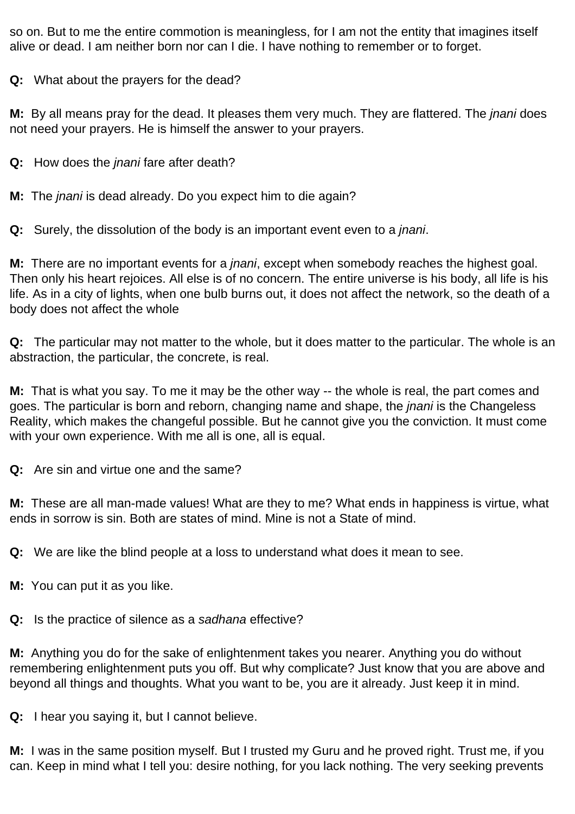so on. But to me the entire commotion is meaningless, for I am not the entity that imagines itself alive or dead. I am neither born nor can I die. I have nothing to remember or to forget.

**Q:** What about the prayers for the dead?

**M:** By all means pray for the dead. It pleases them very much. They are flattered. The *jnani* does not need your prayers. He is himself the answer to your prayers.

**Q:** How does the *jnani* fare after death?

**M:** The *jnani* is dead already. Do you expect him to die again?

**Q:** Surely, the dissolution of the body is an important event even to a *jnani*.

**M:** There are no important events for a *jnani*, except when somebody reaches the highest goal. Then only his heart rejoices. All else is of no concern. The entire universe is his body, all life is his life. As in a city of lights, when one bulb burns out, it does not affect the network, so the death of a body does not affect the whole

**Q:** The particular may not matter to the whole, but it does matter to the particular. The whole is an abstraction, the particular, the concrete, is real.

**M:** That is what you say. To me it may be the other way -- the whole is real, the part comes and goes. The particular is born and reborn, changing name and shape, the *jnani* is the Changeless Reality, which makes the changeful possible. But he cannot give you the conviction. It must come with your own experience. With me all is one, all is equal.

**Q:** Are sin and virtue one and the same?

**M:** These are all man-made values! What are they to me? What ends in happiness is virtue, what ends in sorrow is sin. Both are states of mind. Mine is not a State of mind.

**Q:** We are like the blind people at a loss to understand what does it mean to see.

**M:** You can put it as you like.

**Q:** Is the practice of silence as a *sadhana* effective?

**M:** Anything you do for the sake of enlightenment takes you nearer. Anything you do without remembering enlightenment puts you off. But why complicate? Just know that you are above and beyond all things and thoughts. What you want to be, you are it already. Just keep it in mind.

**Q:** I hear you saying it, but I cannot believe.

**M:** I was in the same position myself. But I trusted my Guru and he proved right. Trust me, if you can. Keep in mind what I tell you: desire nothing, for you lack nothing. The very seeking prevents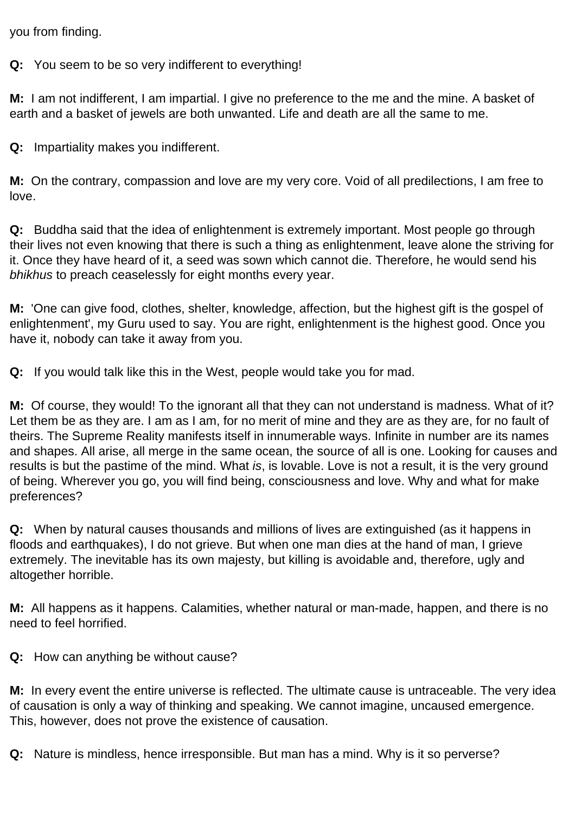you from finding.

**Q:** You seem to be so very indifferent to everything!

**M:** I am not indifferent, I am impartial. I give no preference to the me and the mine. A basket of earth and a basket of jewels are both unwanted. Life and death are all the same to me.

**Q:** Impartiality makes you indifferent.

**M:** On the contrary, compassion and love are my very core. Void of all predilections, I am free to love.

**Q:** Buddha said that the idea of enlightenment is extremely important. Most people go through their lives not even knowing that there is such a thing as enlightenment, leave alone the striving for it. Once they have heard of it, a seed was sown which cannot die. Therefore, he would send his *bhikhus* to preach ceaselessly for eight months every year.

**M:** 'One can give food, clothes, shelter, knowledge, affection, but the highest gift is the gospel of enlightenment', my Guru used to say. You are right, enlightenment is the highest good. Once you have it, nobody can take it away from you.

**Q:** If you would talk like this in the West, people would take you for mad.

**M:** Of course, they would! To the ignorant all that they can not understand is madness. What of it? Let them be as they are. I am as I am, for no merit of mine and they are as they are, for no fault of theirs. The Supreme Reality manifests itself in innumerable ways. Infinite in number are its names and shapes. All arise, all merge in the same ocean, the source of all is one. Looking for causes and results is but the pastime of the mind. What *is*, is lovable. Love is not a result, it is the very ground of being. Wherever you go, you will find being, consciousness and love. Why and what for make preferences?

**Q:** When by natural causes thousands and millions of lives are extinguished (as it happens in floods and earthquakes). I do not grieve. But when one man dies at the hand of man, I grieve extremely. The inevitable has its own majesty, but killing is avoidable and, therefore, ugly and altogether horrible.

**M:** All happens as it happens. Calamities, whether natural or man-made, happen, and there is no need to feel horrified.

**Q:** How can anything be without cause?

**M:** In every event the entire universe is reflected. The ultimate cause is untraceable. The very idea of causation is only a way of thinking and speaking. We cannot imagine, uncaused emergence. This, however, does not prove the existence of causation.

**Q:** Nature is mindless, hence irresponsible. But man has a mind. Why is it so perverse?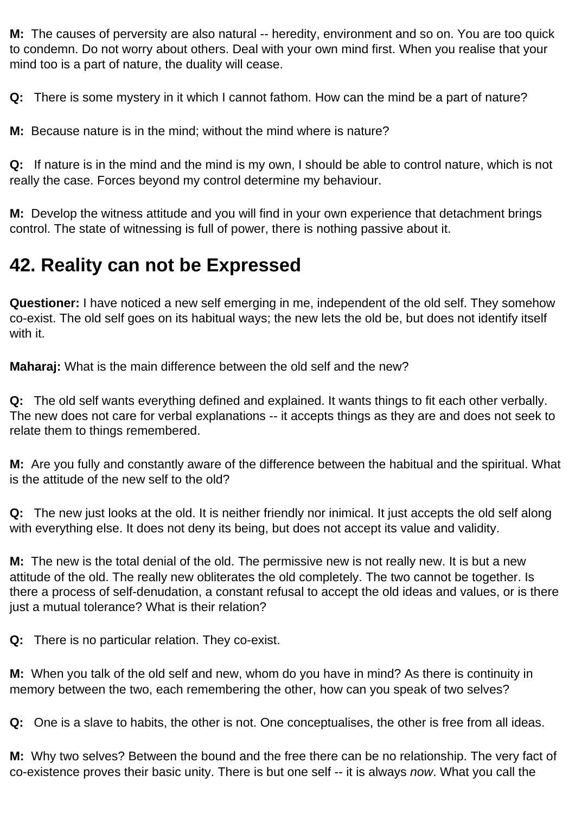**M:** The causes of perversity are also natural -- heredity, environment and so on. You are too quick to condemn. Do not worry about others. Deal with your own mind first. When you realise that your mind too is a part of nature, the duality will cease.

**Q:** There is some mystery in it which I cannot fathom. How can the mind be a part of nature?

**M:** Because nature is in the mind; without the mind where is nature?

**Q:** If nature is in the mind and the mind is my own, I should be able to control nature, which is not really the case. Forces beyond my control determine my behaviour.

**M:** Develop the witness attitude and you will find in your own experience that detachment brings control. The state of witnessing is full of power, there is nothing passive about it.

# **42. Reality can not be Expressed**

**Questioner:** I have noticed a new self emerging in me, independent of the old self. They somehow co-exist. The old self goes on its habitual ways; the new lets the old be, but does not identify itself with it.

**Maharaj:** What is the main difference between the old self and the new?

**Q:** The old self wants everything defined and explained. It wants things to fit each other verbally. The new does not care for verbal explanations -- it accepts things as they are and does not seek to relate them to things remembered.

**M:** Are you fully and constantly aware of the difference between the habitual and the spiritual. What is the attitude of the new self to the old?

**Q:** The new just looks at the old. It is neither friendly nor inimical. It just accepts the old self along with everything else. It does not deny its being, but does not accept its value and validity.

**M:** The new is the total denial of the old. The permissive new is not really new. It is but a new attitude of the old. The really new obliterates the old completely. The two cannot be together. Is there a process of self-denudation, a constant refusal to accept the old ideas and values, or is there just a mutual tolerance? What is their relation?

**Q:** There is no particular relation. They co-exist.

**M:** When you talk of the old self and new, whom do you have in mind? As there is continuity in memory between the two, each remembering the other, how can you speak of two selves?

**Q:** One is a slave to habits, the other is not. One conceptualises, the other is free from all ideas.

**M:** Why two selves? Between the bound and the free there can be no relationship. The very fact of co-existence proves their basic unity. There is but one self -- it is always *now*. What you call the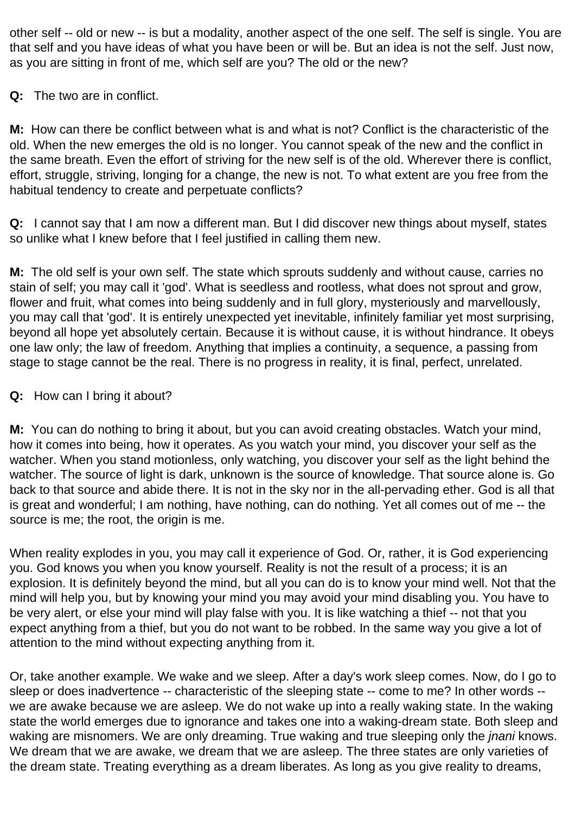other self -- old or new -- is but a modality, another aspect of the one self. The self is single. You are that self and you have ideas of what you have been or will be. But an idea is not the self. Just now, as you are sitting in front of me, which self are you? The old or the new?

### **Q:** The two are in conflict.

**M:** How can there be conflict between what is and what is not? Conflict is the characteristic of the old. When the new emerges the old is no longer. You cannot speak of the new and the conflict in the same breath. Even the effort of striving for the new self is of the old. Wherever there is conflict, effort, struggle, striving, longing for a change, the new is not. To what extent are you free from the habitual tendency to create and perpetuate conflicts?

**Q:** I cannot say that I am now a different man. But I did discover new things about myself, states so unlike what I knew before that I feel justified in calling them new.

**M:** The old self is your own self. The state which sprouts suddenly and without cause, carries no stain of self; you may call it 'god'. What is seedless and rootless, what does not sprout and grow, flower and fruit, what comes into being suddenly and in full glory, mysteriously and marvellously, you may call that 'god'. It is entirely unexpected yet inevitable, infinitely familiar yet most surprising, beyond all hope yet absolutely certain. Because it is without cause, it is without hindrance. It obeys one law only; the law of freedom. Anything that implies a continuity, a sequence, a passing from stage to stage cannot be the real. There is no progress in reality, it is final, perfect, unrelated.

#### **Q:** How can I bring it about?

**M:** You can do nothing to bring it about, but you can avoid creating obstacles. Watch your mind, how it comes into being, how it operates. As you watch your mind, you discover your self as the watcher. When you stand motionless, only watching, you discover your self as the light behind the watcher. The source of light is dark, unknown is the source of knowledge. That source alone is. Go back to that source and abide there. It is not in the sky nor in the all-pervading ether. God is all that is great and wonderful; I am nothing, have nothing, can do nothing. Yet all comes out of me -- the source is me; the root, the origin is me.

When reality explodes in you, you may call it experience of God. Or, rather, it is God experiencing you. God knows you when you know yourself. Reality is not the result of a process; it is an explosion. It is definitely beyond the mind, but all you can do is to know your mind well. Not that the mind will help you, but by knowing your mind you may avoid your mind disabling you. You have to be very alert, or else your mind will play false with you. It is like watching a thief -- not that you expect anything from a thief, but you do not want to be robbed. In the same way you give a lot of attention to the mind without expecting anything from it.

Or, take another example. We wake and we sleep. After a day's work sleep comes. Now, do I go to sleep or does inadvertence -- characteristic of the sleeping state -- come to me? In other words - we are awake because we are asleep. We do not wake up into a really waking state. In the waking state the world emerges due to ignorance and takes one into a waking-dream state. Both sleep and waking are misnomers. We are only dreaming. True waking and true sleeping only the *jnani* knows. We dream that we are awake, we dream that we are asleep. The three states are only varieties of the dream state. Treating everything as a dream liberates. As long as you give reality to dreams,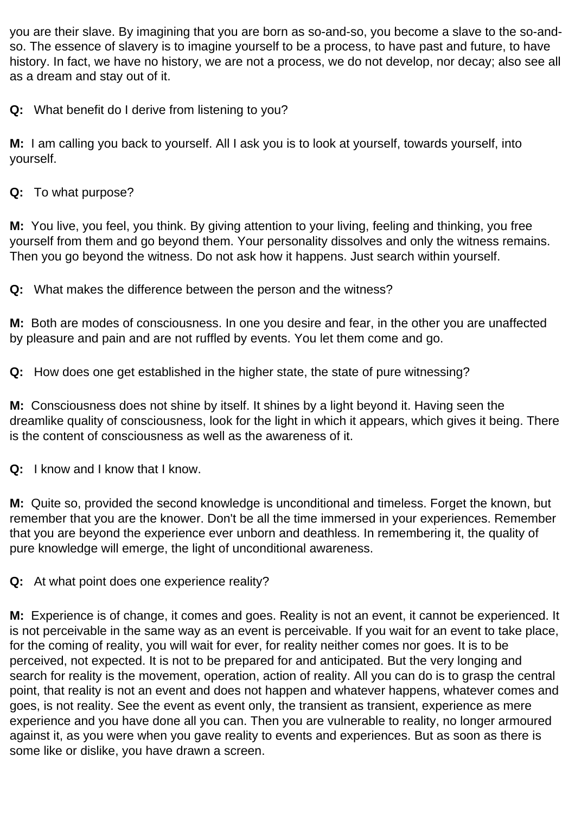you are their slave. By imagining that you are born as so-and-so, you become a slave to the so-andso. The essence of slavery is to imagine yourself to be a process, to have past and future, to have history. In fact, we have no history, we are not a process, we do not develop, nor decay; also see all as a dream and stay out of it.

**Q:** What benefit do I derive from listening to you?

**M:** I am calling you back to yourself. All I ask you is to look at yourself, towards yourself, into yourself.

**Q:** To what purpose?

**M:** You live, you feel, you think. By giving attention to your living, feeling and thinking, you free yourself from them and go beyond them. Your personality dissolves and only the witness remains. Then you go beyond the witness. Do not ask how it happens. Just search within yourself.

**Q:** What makes the difference between the person and the witness?

**M:** Both are modes of consciousness. In one you desire and fear, in the other you are unaffected by pleasure and pain and are not ruffled by events. You let them come and go.

**Q:** How does one get established in the higher state, the state of pure witnessing?

**M:** Consciousness does not shine by itself. It shines by a light beyond it. Having seen the dreamlike quality of consciousness, look for the light in which it appears, which gives it being. There is the content of consciousness as well as the awareness of it.

**Q:** I know and I know that I know.

**M:** Quite so, provided the second knowledge is unconditional and timeless. Forget the known, but remember that you are the knower. Don't be all the time immersed in your experiences. Remember that you are beyond the experience ever unborn and deathless. In remembering it, the quality of pure knowledge will emerge, the light of unconditional awareness.

**Q:** At what point does one experience reality?

**M:** Experience is of change, it comes and goes. Reality is not an event, it cannot be experienced. It is not perceivable in the same way as an event is perceivable. If you wait for an event to take place, for the coming of reality, you will wait for ever, for reality neither comes nor goes. It is to be perceived, not expected. It is not to be prepared for and anticipated. But the very longing and search for reality is the movement, operation, action of reality. All you can do is to grasp the central point, that reality is not an event and does not happen and whatever happens, whatever comes and goes, is not reality. See the event as event only, the transient as transient, experience as mere experience and you have done all you can. Then you are vulnerable to reality, no longer armoured against it, as you were when you gave reality to events and experiences. But as soon as there is some like or dislike, you have drawn a screen.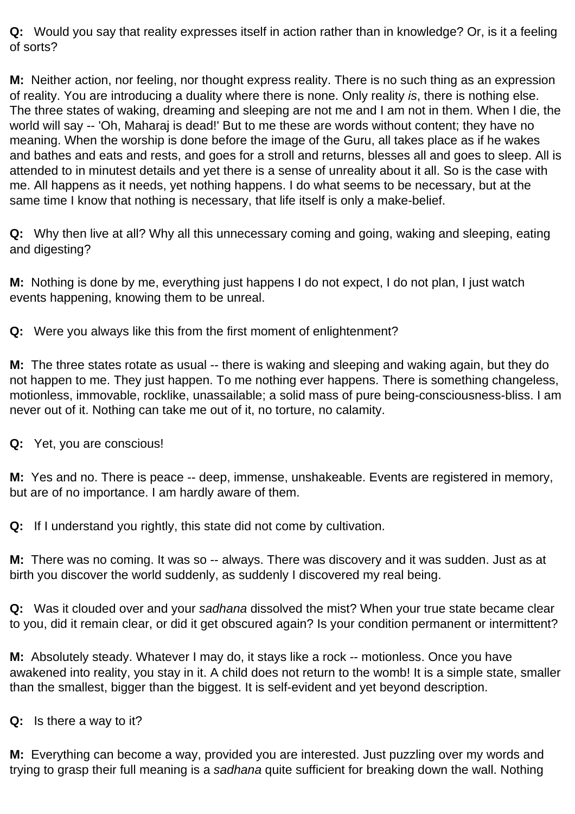**Q:** Would you say that reality expresses itself in action rather than in knowledge? Or, is it a feeling of sorts?

**M:** Neither action, nor feeling, nor thought express reality. There is no such thing as an expression of reality. You are introducing a duality where there is none. Only reality *is*, there is nothing else. The three states of waking, dreaming and sleeping are not me and I am not in them. When I die, the world will say -- 'Oh, Maharaj is dead!' But to me these are words without content; they have no meaning. When the worship is done before the image of the Guru, all takes place as if he wakes and bathes and eats and rests, and goes for a stroll and returns, blesses all and goes to sleep. All is attended to in minutest details and yet there is a sense of unreality about it all. So is the case with me. All happens as it needs, yet nothing happens. I do what seems to be necessary, but at the same time I know that nothing is necessary, that life itself is only a make-belief.

**Q:** Why then live at all? Why all this unnecessary coming and going, waking and sleeping, eating and digesting?

**M:** Nothing is done by me, everything just happens I do not expect, I do not plan, I just watch events happening, knowing them to be unreal.

**Q:** Were you always like this from the first moment of enlightenment?

**M:** The three states rotate as usual -- there is waking and sleeping and waking again, but they do not happen to me. They just happen. To me nothing ever happens. There is something changeless, motionless, immovable, rocklike, unassailable; a solid mass of pure being-consciousness-bliss. I am never out of it. Nothing can take me out of it, no torture, no calamity.

**Q:** Yet, you are conscious!

**M:** Yes and no. There is peace -- deep, immense, unshakeable. Events are registered in memory, but are of no importance. I am hardly aware of them.

**Q:** If I understand you rightly, this state did not come by cultivation.

**M:** There was no coming. It was so -- always. There was discovery and it was sudden. Just as at birth you discover the world suddenly, as suddenly I discovered my real being.

**Q:** Was it clouded over and your *sadhana* dissolved the mist? When your true state became clear to you, did it remain clear, or did it get obscured again? Is your condition permanent or intermittent?

**M:** Absolutely steady. Whatever I may do, it stays like a rock -- motionless. Once you have awakened into reality, you stay in it. A child does not return to the womb! It is a simple state, smaller than the smallest, bigger than the biggest. It is self-evident and yet beyond description.

**Q:** Is there a way to it?

**M:** Everything can become a way, provided you are interested. Just puzzling over my words and trying to grasp their full meaning is a *sadhana* quite sufficient for breaking down the wall. Nothing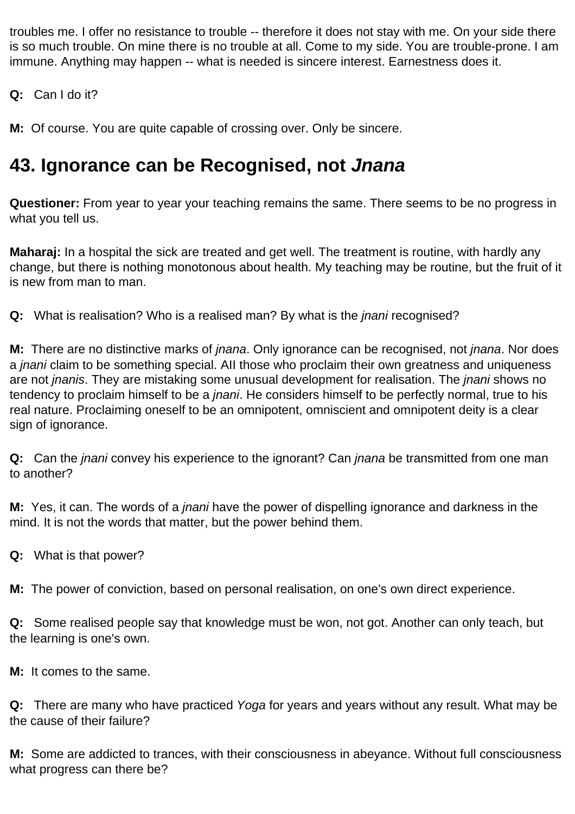troubles me. I offer no resistance to trouble -- therefore it does not stay with me. On your side there is so much trouble. On mine there is no trouble at all. Come to my side. You are trouble-prone. I am immune. Anything may happen -- what is needed is sincere interest. Earnestness does it.

**Q:** Can I do it?

**M:** Of course. You are quite capable of crossing over. Only be sincere.

# **43. Ignorance can be Recognised, not** *Jnana*

**Questioner:** From year to year your teaching remains the same. There seems to be no progress in what you tell us.

**Maharaj:** In a hospital the sick are treated and get well. The treatment is routine, with hardly any change, but there is nothing monotonous about health. My teaching may be routine, but the fruit of it is new from man to man.

**Q:** What is realisation? Who is a realised man? By what is the *jnani* recognised?

**M:** There are no distinctive marks of *jnana*. Only ignorance can be recognised, not *jnana*. Nor does a *jnani* claim to be something special. AII those who proclaim their own greatness and uniqueness are not *jnanis*. They are mistaking some unusual development for realisation. The *jnani* shows no tendency to proclaim himself to be a *jnani*. He considers himself to be perfectly normal, true to his real nature. Proclaiming oneself to be an omnipotent, omniscient and omnipotent deity is a clear sign of ignorance.

**Q:** Can the *jnani* convey his experience to the ignorant? Can *jnana* be transmitted from one man to another?

**M:** Yes, it can. The words of a *jnani* have the power of dispelling ignorance and darkness in the mind. It is not the words that matter, but the power behind them.

**Q:** What is that power?

**M:** The power of conviction, based on personal realisation, on one's own direct experience.

**Q:** Some realised people say that knowledge must be won, not got. Another can only teach, but the learning is one's own.

**M:** It comes to the same.

**Q:** There are many who have practiced *Yoga* for years and years without any result. What may be the cause of their failure?

**M:** Some are addicted to trances, with their consciousness in abeyance. Without full consciousness what progress can there be?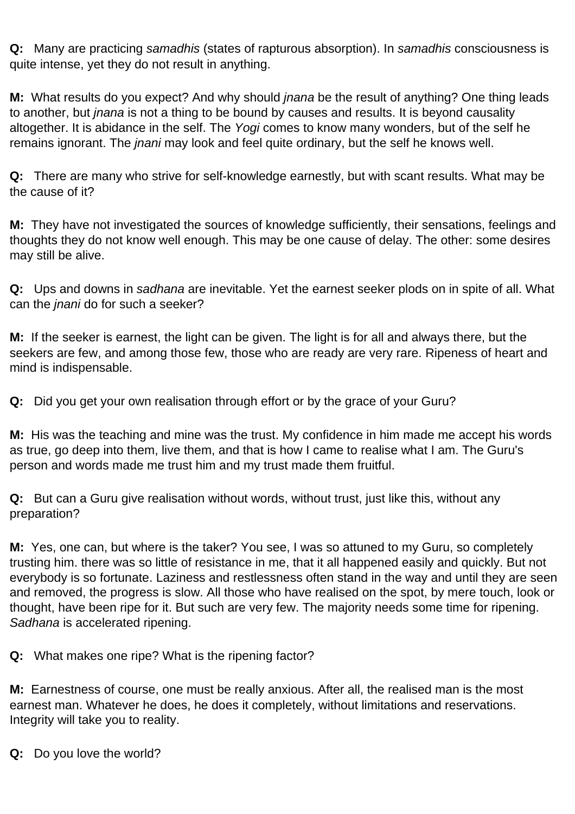**Q:** Many are practicing *samadhis* (states of rapturous absorption). In *samadhis* consciousness is quite intense, yet they do not result in anything.

**M:** What results do you expect? And why should *jnana* be the result of anything? One thing leads to another, but *jnana* is not a thing to be bound by causes and results. It is beyond causality altogether. It is abidance in the self. The *Yogi* comes to know many wonders, but of the self he remains ignorant. The *jnani* may look and feel quite ordinary, but the self he knows well.

**Q:** There are many who strive for self-knowledge earnestly, but with scant results. What may be the cause of it?

**M:** They have not investigated the sources of knowledge sufficiently, their sensations, feelings and thoughts they do not know well enough. This may be one cause of delay. The other: some desires may still be alive.

**Q:** Ups and downs in *sadhana* are inevitable. Yet the earnest seeker plods on in spite of all. What can the *jnani* do for such a seeker?

**M:** If the seeker is earnest, the light can be given. The light is for all and always there, but the seekers are few, and among those few, those who are ready are very rare. Ripeness of heart and mind is indispensable.

**Q:** Did you get your own realisation through effort or by the grace of your Guru?

**M:** His was the teaching and mine was the trust. My confidence in him made me accept his words as true, go deep into them, live them, and that is how I came to realise what I am. The Guru's person and words made me trust him and my trust made them fruitful.

**Q:** But can a Guru give realisation without words, without trust, just like this, without any preparation?

**M:** Yes, one can, but where is the taker? You see, I was so attuned to my Guru, so completely trusting him. there was so little of resistance in me, that it all happened easily and quickly. But not everybody is so fortunate. Laziness and restlessness often stand in the way and until they are seen and removed, the progress is slow. All those who have realised on the spot, by mere touch, look or thought, have been ripe for it. But such are very few. The majority needs some time for ripening. *Sadhana* is accelerated ripening.

**Q:** What makes one ripe? What is the ripening factor?

**M:** Earnestness of course, one must be really anxious. After all, the realised man is the most earnest man. Whatever he does, he does it completely, without limitations and reservations. Integrity will take you to reality.

**Q:** Do you love the world?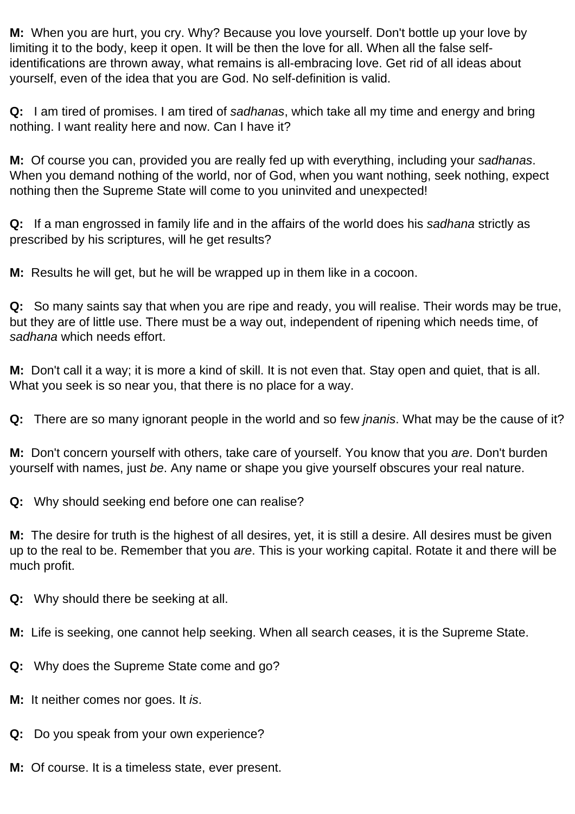**M:** When you are hurt, you cry. Why? Because you love yourself. Don't bottle up your love by limiting it to the body, keep it open. It will be then the love for all. When all the false selfidentifications are thrown away, what remains is all-embracing love. Get rid of all ideas about yourself, even of the idea that you are God. No self-definition is valid.

**Q:** I am tired of promises. I am tired of *sadhanas*, which take all my time and energy and bring nothing. I want reality here and now. Can I have it?

**M:** Of course you can, provided you are really fed up with everything, including your *sadhanas*. When you demand nothing of the world, nor of God, when you want nothing, seek nothing, expect nothing then the Supreme State will come to you uninvited and unexpected!

**Q:** If a man engrossed in family life and in the affairs of the world does his *sadhana* strictly as prescribed by his scriptures, will he get results?

**M:** Results he will get, but he will be wrapped up in them like in a cocoon.

**Q:** So many saints say that when you are ripe and ready, you will realise. Their words may be true, but they are of little use. There must be a way out, independent of ripening which needs time, of *sadhana* which needs effort.

**M:** Don't call it a way; it is more a kind of skill. It is not even that. Stay open and quiet, that is all. What you seek is so near you, that there is no place for a way.

**Q:** There are so many ignorant people in the world and so few *jnanis*. What may be the cause of it?

**M:** Don't concern yourself with others, take care of yourself. You know that you *are*. Don't burden yourself with names, just *be*. Any name or shape you give yourself obscures your real nature.

**Q:** Why should seeking end before one can realise?

**M:** The desire for truth is the highest of all desires, yet, it is still a desire. All desires must be given up to the real to be. Remember that you *are*. This is your working capital. Rotate it and there will be much profit.

**Q:** Why should there be seeking at all.

**M:** Life is seeking, one cannot help seeking. When all search ceases, it is the Supreme State.

- **Q:** Why does the Supreme State come and go?
- **M:** It neither comes nor goes. It *is*.
- **Q:** Do you speak from your own experience?
- **M:** Of course. It is a timeless state, ever present.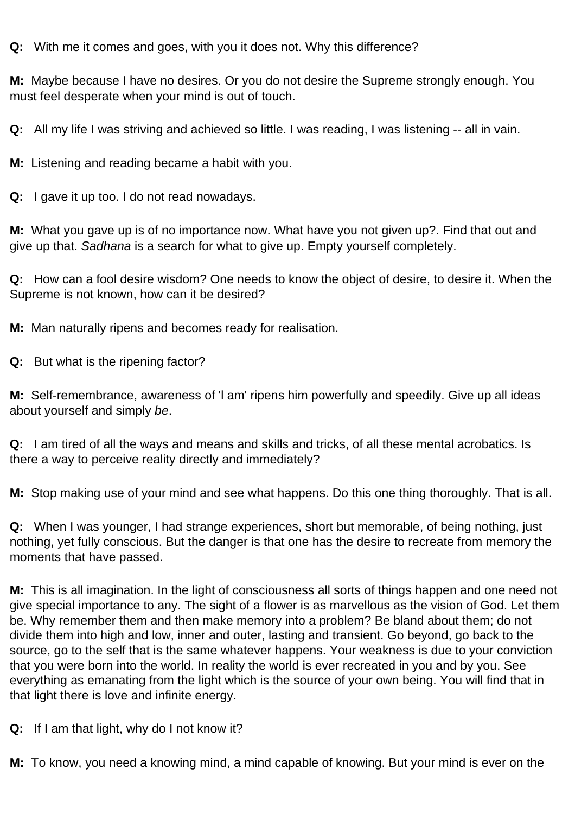**Q:** With me it comes and goes, with you it does not. Why this difference?

**M:** Maybe because I have no desires. Or you do not desire the Supreme strongly enough. You must feel desperate when your mind is out of touch.

**Q:** All my life I was striving and achieved so little. I was reading, I was listening -- all in vain.

**M:** Listening and reading became a habit with you.

**Q:** I gave it up too. I do not read nowadays.

**M:** What you gave up is of no importance now. What have you not given up?. Find that out and give up that. *Sadhana* is a search for what to give up. Empty yourself completely.

**Q:** How can a fool desire wisdom? One needs to know the object of desire, to desire it. When the Supreme is not known, how can it be desired?

**M:** Man naturally ripens and becomes ready for realisation.

**Q:** But what is the ripening factor?

**M:** Self-remembrance, awareness of 'l am' ripens him powerfully and speedily. Give up all ideas about yourself and simply *be*.

**Q:** I am tired of all the ways and means and skills and tricks, of all these mental acrobatics. Is there a way to perceive reality directly and immediately?

**M:** Stop making use of your mind and see what happens. Do this one thing thoroughly. That is all.

**Q:** When I was younger, I had strange experiences, short but memorable, of being nothing, just nothing, yet fully conscious. But the danger is that one has the desire to recreate from memory the moments that have passed.

**M:** This is all imagination. In the light of consciousness all sorts of things happen and one need not give special importance to any. The sight of a flower is as marvellous as the vision of God. Let them be. Why remember them and then make memory into a problem? Be bland about them; do not divide them into high and low, inner and outer, lasting and transient. Go beyond, go back to the source, go to the self that is the same whatever happens. Your weakness is due to your conviction that you were born into the world. In reality the world is ever recreated in you and by you. See everything as emanating from the light which is the source of your own being. You will find that in that light there is love and infinite energy.

**Q:** If I am that light, why do I not know it?

**M:** To know, you need a knowing mind, a mind capable of knowing. But your mind is ever on the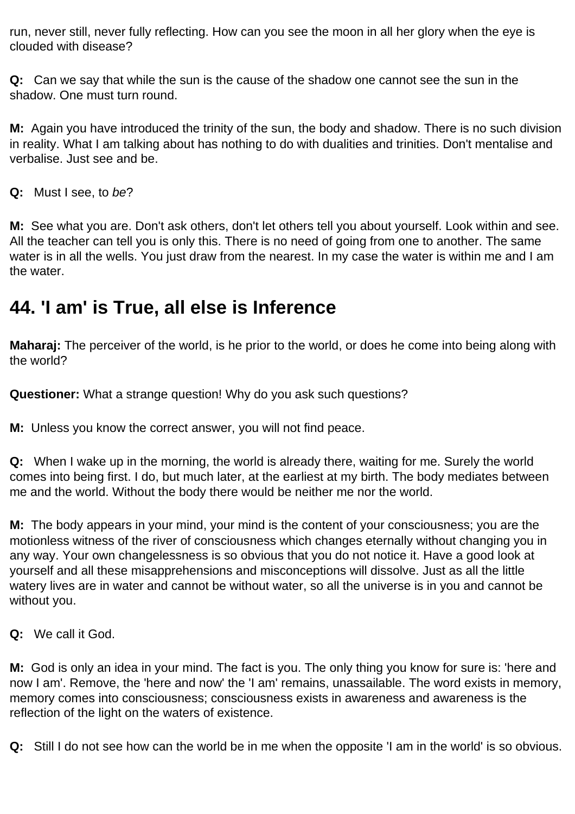run, never still, never fully reflecting. How can you see the moon in all her glory when the eye is clouded with disease?

**Q:** Can we say that while the sun is the cause of the shadow one cannot see the sun in the shadow. One must turn round.

**M:** Again you have introduced the trinity of the sun, the body and shadow. There is no such division in reality. What I am talking about has nothing to do with dualities and trinities. Don't mentalise and verbalise. Just see and be.

**Q:** Must I see, to *be*?

**M:** See what you are. Don't ask others, don't let others tell you about yourself. Look within and see. All the teacher can tell you is only this. There is no need of going from one to another. The same water is in all the wells. You just draw from the nearest. In my case the water is within me and I am the water.

### **44. 'I am' is True, all else is Inference**

**Maharaj:** The perceiver of the world, is he prior to the world, or does he come into being along with the world?

**Questioner:** What a strange question! Why do you ask such questions?

**M:** Unless you know the correct answer, you will not find peace.

**Q:** When I wake up in the morning, the world is already there, waiting for me. Surely the world comes into being first. I do, but much later, at the earliest at my birth. The body mediates between me and the world. Without the body there would be neither me nor the world.

**M:** The body appears in your mind, your mind is the content of your consciousness; you are the motionless witness of the river of consciousness which changes eternally without changing you in any way. Your own changelessness is so obvious that you do not notice it. Have a good look at yourself and all these misapprehensions and misconceptions will dissolve. Just as all the little watery lives are in water and cannot be without water, so all the universe is in you and cannot be without you.

**Q:** We call it God.

**M:** God is only an idea in your mind. The fact is you. The only thing you know for sure is: 'here and now I am'. Remove, the 'here and now' the 'I am' remains, unassailable. The word exists in memory, memory comes into consciousness; consciousness exists in awareness and awareness is the reflection of the light on the waters of existence.

**Q:** Still I do not see how can the world be in me when the opposite 'I am in the world' is so obvious.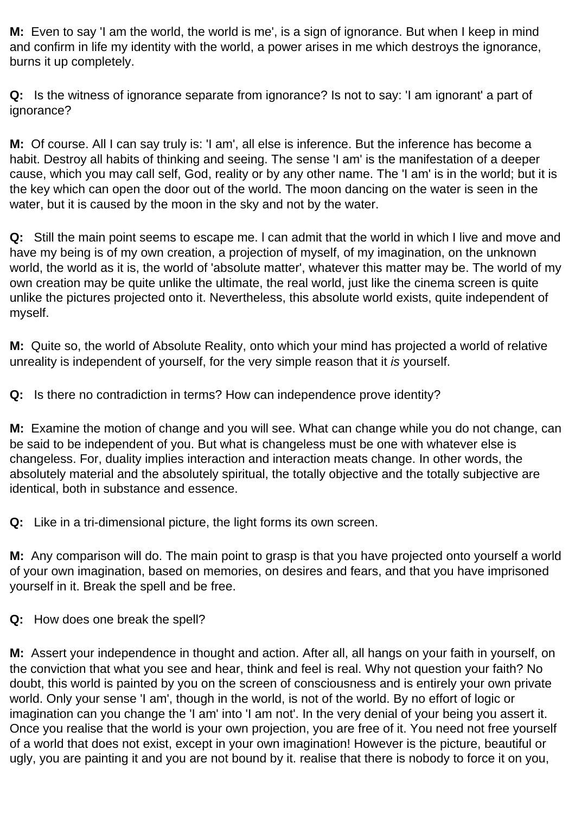**M:** Even to say 'I am the world, the world is me', is a sign of ignorance. But when I keep in mind and confirm in life my identity with the world, a power arises in me which destroys the ignorance, burns it up completely.

**Q:** Is the witness of ignorance separate from ignorance? Is not to say: 'I am ignorant' a part of ignorance?

**M:** Of course. All I can say truly is: 'I am', all else is inference. But the inference has become a habit. Destroy all habits of thinking and seeing. The sense 'I am' is the manifestation of a deeper cause, which you may call self, God, reality or by any other name. The 'I am' is in the world; but it is the key which can open the door out of the world. The moon dancing on the water is seen in the water, but it is caused by the moon in the sky and not by the water.

**Q:** Still the main point seems to escape me. l can admit that the world in which I live and move and have my being is of my own creation, a projection of myself, of my imagination, on the unknown world, the world as it is, the world of 'absolute matter', whatever this matter may be. The world of my own creation may be quite unlike the ultimate, the real world, just like the cinema screen is quite unlike the pictures projected onto it. Nevertheless, this absolute world exists, quite independent of myself.

**M:** Quite so, the world of Absolute Reality, onto which your mind has projected a world of relative unreality is independent of yourself, for the very simple reason that it *is* yourself.

**Q:** Is there no contradiction in terms? How can independence prove identity?

**M:** Examine the motion of change and you will see. What can change while you do not change, can be said to be independent of you. But what is changeless must be one with whatever else is changeless. For, duality implies interaction and interaction meats change. In other words, the absolutely material and the absolutely spiritual, the totally objective and the totally subjective are identical, both in substance and essence.

**Q:** Like in a tri-dimensional picture, the light forms its own screen.

**M:** Any comparison will do. The main point to grasp is that you have projected onto yourself a world of your own imagination, based on memories, on desires and fears, and that you have imprisoned yourself in it. Break the spell and be free.

**Q:** How does one break the spell?

**M:** Assert your independence in thought and action. After all, all hangs on your faith in yourself, on the conviction that what you see and hear, think and feel is real. Why not question your faith? No doubt, this world is painted by you on the screen of consciousness and is entirely your own private world. Only your sense 'I am', though in the world, is not of the world. By no effort of logic or imagination can you change the 'I am' into 'I am not'. In the very denial of your being you assert it. Once you realise that the world is your own projection, you are free of it. You need not free yourself of a world that does not exist, except in your own imagination! However is the picture, beautiful or ugly, you are painting it and you are not bound by it. realise that there is nobody to force it on you,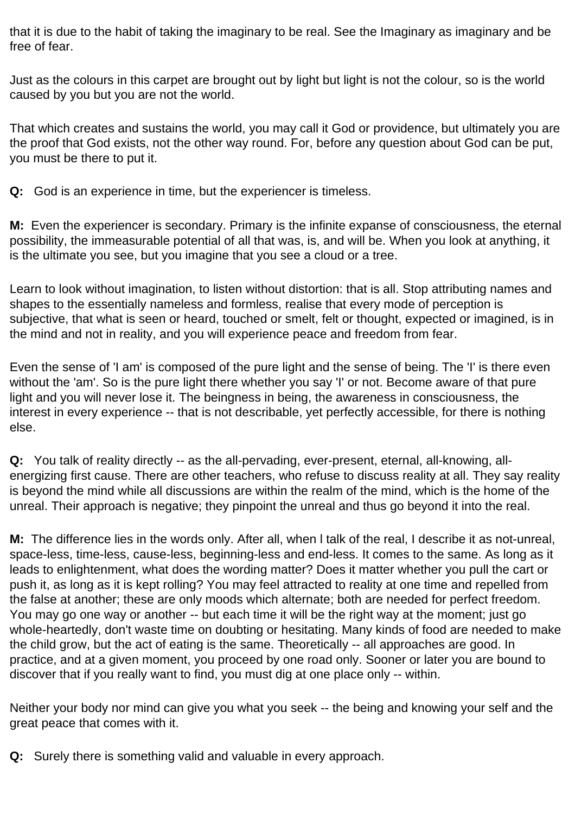that it is due to the habit of taking the imaginary to be real. See the Imaginary as imaginary and be free of fear.

Just as the colours in this carpet are brought out by light but light is not the colour, so is the world caused by you but you are not the world.

That which creates and sustains the world, you may call it God or providence, but ultimately you are the proof that God exists, not the other way round. For, before any question about God can be put, you must be there to put it.

**Q:** God is an experience in time, but the experiencer is timeless.

**M:** Even the experiencer is secondary. Primary is the infinite expanse of consciousness, the eternal possibility, the immeasurable potential of all that was, is, and will be. When you look at anything, it is the ultimate you see, but you imagine that you see a cloud or a tree.

Learn to look without imagination, to listen without distortion: that is all. Stop attributing names and shapes to the essentially nameless and formless, realise that every mode of perception is subjective, that what is seen or heard, touched or smelt, felt or thought, expected or imagined, is in the mind and not in reality, and you will experience peace and freedom from fear.

Even the sense of 'I am' is composed of the pure light and the sense of being. The 'I' is there even without the 'am'. So is the pure light there whether you say 'I' or not. Become aware of that pure light and you will never lose it. The beingness in being, the awareness in consciousness, the interest in every experience -- that is not describable, yet perfectly accessible, for there is nothing else.

**Q:** You talk of reality directly -- as the all-pervading, ever-present, eternal, all-knowing, allenergizing first cause. There are other teachers, who refuse to discuss reality at all. They say reality is beyond the mind while all discussions are within the realm of the mind, which is the home of the unreal. Their approach is negative; they pinpoint the unreal and thus go beyond it into the real.

**M:** The difference lies in the words only. After all, when l talk of the real, I describe it as not-unreal, space-less, time-less, cause-less, beginning-less and end-less. It comes to the same. As long as it leads to enlightenment, what does the wording matter? Does it matter whether you pull the cart or push it, as long as it is kept rolling? You may feel attracted to reality at one time and repelled from the false at another; these are only moods which alternate; both are needed for perfect freedom. You may go one way or another -- but each time it will be the right way at the moment; just go whole-heartedly, don't waste time on doubting or hesitating. Many kinds of food are needed to make the child grow, but the act of eating is the same. Theoretically -- all approaches are good. In practice, and at a given moment, you proceed by one road only. Sooner or later you are bound to discover that if you really want to find, you must dig at one place only -- within.

Neither your body nor mind can give you what you seek -- the being and knowing your self and the great peace that comes with it.

**Q:** Surely there is something valid and valuable in every approach.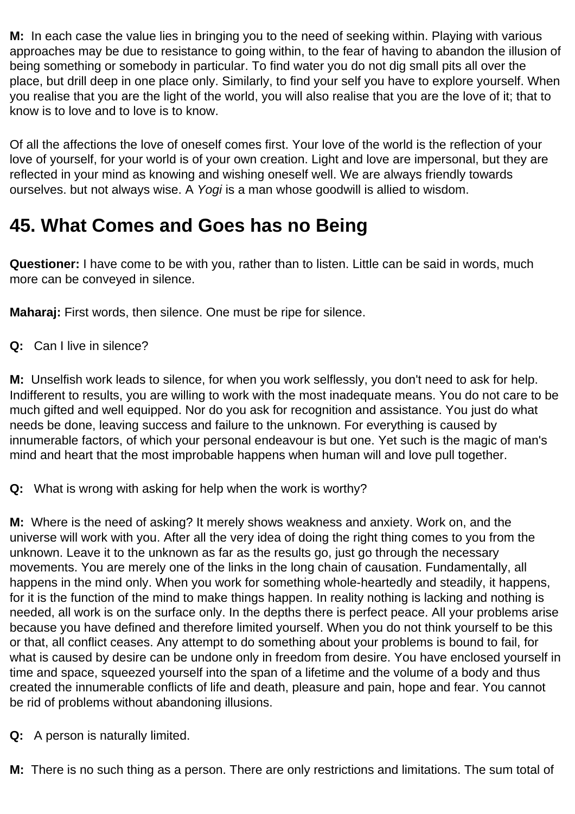**M:** In each case the value lies in bringing you to the need of seeking within. Playing with various approaches may be due to resistance to going within, to the fear of having to abandon the illusion of being something or somebody in particular. To find water you do not dig small pits all over the place, but drill deep in one place only. Similarly, to find your self you have to explore yourself. When you realise that you are the light of the world, you will also realise that you are the love of it; that to know is to love and to love is to know.

Of all the affections the love of oneself comes first. Your love of the world is the reflection of your love of yourself, for your world is of your own creation. Light and love are impersonal, but they are reflected in your mind as knowing and wishing oneself well. We are always friendly towards ourselves. but not always wise. A *Yogi* is a man whose goodwill is allied to wisdom.

# **45. What Comes and Goes has no Being**

**Questioner:** I have come to be with you, rather than to listen. Little can be said in words, much more can be conveyed in silence.

**Maharaj:** First words, then silence. One must be ripe for silence.

**Q:** Can I live in silence?

**M:** Unselfish work leads to silence, for when you work selflessly, you don't need to ask for help. Indifferent to results, you are willing to work with the most inadequate means. You do not care to be much gifted and well equipped. Nor do you ask for recognition and assistance. You just do what needs be done, leaving success and failure to the unknown. For everything is caused by innumerable factors, of which your personal endeavour is but one. Yet such is the magic of man's mind and heart that the most improbable happens when human will and love pull together.

**Q:** What is wrong with asking for help when the work is worthy?

**M:** Where is the need of asking? It merely shows weakness and anxiety. Work on, and the universe will work with you. After all the very idea of doing the right thing comes to you from the unknown. Leave it to the unknown as far as the results go, just go through the necessary movements. You are merely one of the links in the long chain of causation. Fundamentally, all happens in the mind only. When you work for something whole-heartedly and steadily, it happens, for it is the function of the mind to make things happen. In reality nothing is lacking and nothing is needed, all work is on the surface only. In the depths there is perfect peace. All your problems arise because you have defined and therefore limited yourself. When you do not think yourself to be this or that, all conflict ceases. Any attempt to do something about your problems is bound to fail, for what is caused by desire can be undone only in freedom from desire. You have enclosed yourself in time and space, squeezed yourself into the span of a lifetime and the volume of a body and thus created the innumerable conflicts of life and death, pleasure and pain, hope and fear. You cannot be rid of problems without abandoning illusions.

**Q:** A person is naturally limited.

**M:** There is no such thing as a person. There are only restrictions and limitations. The sum total of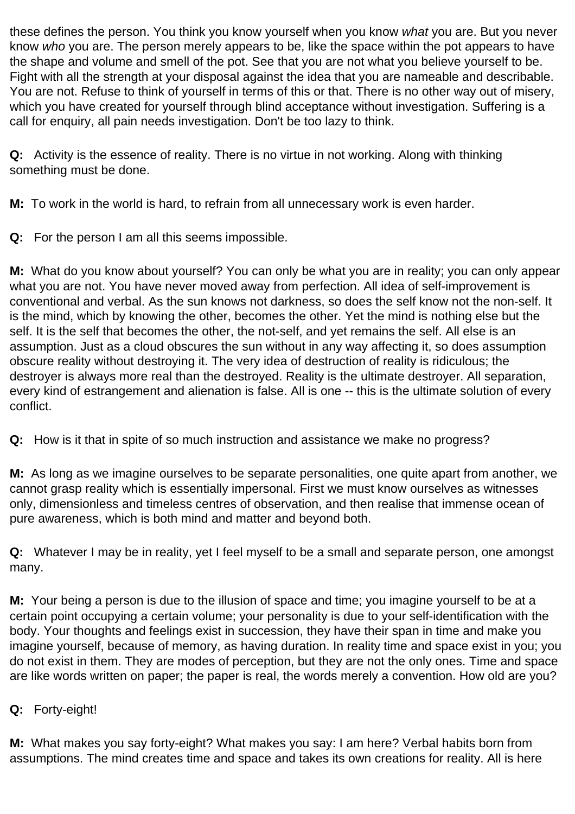these defines the person. You think you know yourself when you know *what* you are. But you never know *who* you are. The person merely appears to be, like the space within the pot appears to have the shape and volume and smell of the pot. See that you are not what you believe yourself to be. Fight with all the strength at your disposal against the idea that you are nameable and describable. You are not. Refuse to think of yourself in terms of this or that. There is no other way out of misery, which you have created for yourself through blind acceptance without investigation. Suffering is a call for enquiry, all pain needs investigation. Don't be too lazy to think.

**Q:** Activity is the essence of reality. There is no virtue in not working. Along with thinking something must be done.

**M:** To work in the world is hard, to refrain from all unnecessary work is even harder.

**Q:** For the person I am all this seems impossible.

**M:** What do you know about yourself? You can only be what you are in reality; you can only appear what you are not. You have never moved away from perfection. All idea of self-improvement is conventional and verbal. As the sun knows not darkness, so does the self know not the non-self. It is the mind, which by knowing the other, becomes the other. Yet the mind is nothing else but the self. It is the self that becomes the other, the not-self, and yet remains the self. All else is an assumption. Just as a cloud obscures the sun without in any way affecting it, so does assumption obscure reality without destroying it. The very idea of destruction of reality is ridiculous; the destroyer is always more real than the destroyed. Reality is the ultimate destroyer. All separation, every kind of estrangement and alienation is false. All is one -- this is the ultimate solution of every conflict.

**Q:** How is it that in spite of so much instruction and assistance we make no progress?

**M:** As long as we imagine ourselves to be separate personalities, one quite apart from another, we cannot grasp reality which is essentially impersonal. First we must know ourselves as witnesses only, dimensionless and timeless centres of observation, and then realise that immense ocean of pure awareness, which is both mind and matter and beyond both.

**Q:** Whatever I may be in reality, yet I feel myself to be a small and separate person, one amongst many.

**M:** Your being a person is due to the illusion of space and time; you imagine yourself to be at a certain point occupying a certain volume; your personality is due to your self-identification with the body. Your thoughts and feelings exist in succession, they have their span in time and make you imagine yourself, because of memory, as having duration. In reality time and space exist in you; you do not exist in them. They are modes of perception, but they are not the only ones. Time and space are like words written on paper; the paper is real, the words merely a convention. How old are you?

### **Q:** Forty-eight!

**M:** What makes you say forty-eight? What makes you say: I am here? Verbal habits born from assumptions. The mind creates time and space and takes its own creations for reality. All is here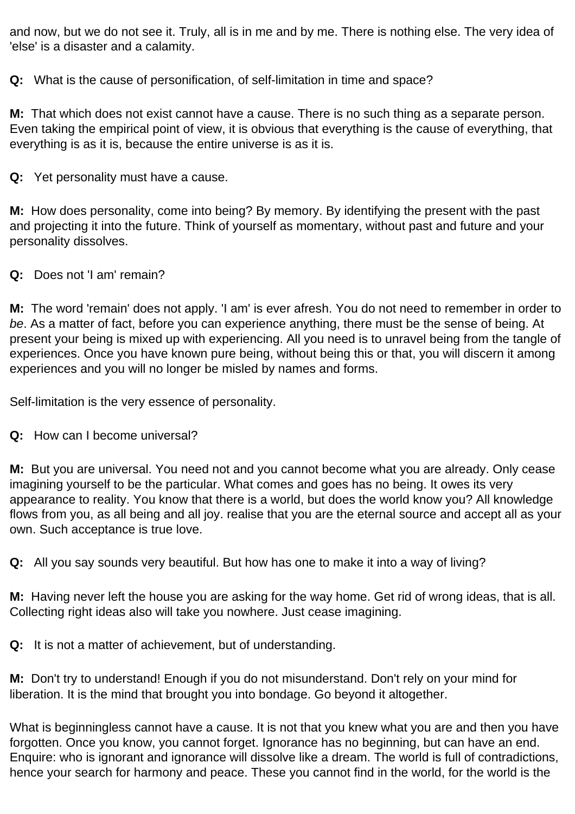and now, but we do not see it. Truly, all is in me and by me. There is nothing else. The very idea of 'else' is a disaster and a calamity.

**Q:** What is the cause of personification, of self-limitation in time and space?

**M:** That which does not exist cannot have a cause. There is no such thing as a separate person. Even taking the empirical point of view, it is obvious that everything is the cause of everything, that everything is as it is, because the entire universe is as it is.

**Q:** Yet personality must have a cause.

**M:** How does personality, come into being? By memory. By identifying the present with the past and projecting it into the future. Think of yourself as momentary, without past and future and your personality dissolves.

### **Q:** Does not 'I am' remain?

**M:** The word 'remain' does not apply. 'I am' is ever afresh. You do not need to remember in order to *be*. As a matter of fact, before you can experience anything, there must be the sense of being. At present your being is mixed up with experiencing. All you need is to unravel being from the tangle of experiences. Once you have known pure being, without being this or that, you will discern it among experiences and you will no longer be misled by names and forms.

Self-limitation is the very essence of personality.

**Q:** How can I become universal?

**M:** But you are universal. You need not and you cannot become what you are already. Only cease imagining yourself to be the particular. What comes and goes has no being. It owes its very appearance to reality. You know that there is a world, but does the world know you? All knowledge flows from you, as all being and all joy. realise that you are the eternal source and accept all as your own. Such acceptance is true love.

**Q:** All you say sounds very beautiful. But how has one to make it into a way of living?

**M:** Having never left the house you are asking for the way home. Get rid of wrong ideas, that is all. Collecting right ideas also will take you nowhere. Just cease imagining.

**Q:** It is not a matter of achievement, but of understanding.

**M:** Don't try to understand! Enough if you do not misunderstand. Don't rely on your mind for liberation. It is the mind that brought you into bondage. Go beyond it altogether.

What is beginningless cannot have a cause. It is not that you knew what you are and then you have forgotten. Once you know, you cannot forget. Ignorance has no beginning, but can have an end. Enquire: who is ignorant and ignorance will dissolve like a dream. The world is full of contradictions, hence your search for harmony and peace. These you cannot find in the world, for the world is the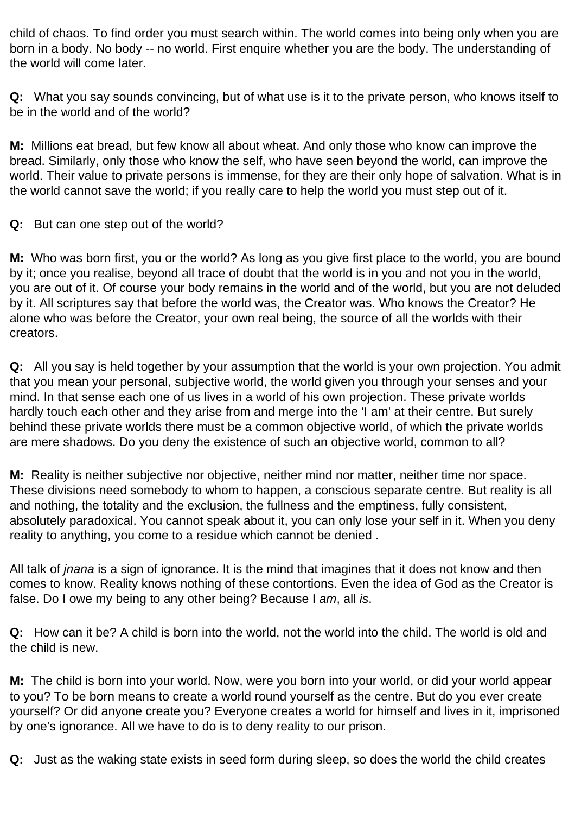child of chaos. To find order you must search within. The world comes into being only when you are born in a body. No body -- no world. First enquire whether you are the body. The understanding of the world will come later.

**Q:** What you say sounds convincing, but of what use is it to the private person, who knows itself to be in the world and of the world?

**M:** Millions eat bread, but few know all about wheat. And only those who know can improve the bread. Similarly, only those who know the self, who have seen beyond the world, can improve the world. Their value to private persons is immense, for they are their only hope of salvation. What is in the world cannot save the world; if you really care to help the world you must step out of it.

**Q:** But can one step out of the world?

**M:** Who was born first, you or the world? As long as you give first place to the world, you are bound by it; once you realise, beyond all trace of doubt that the world is in you and not you in the world, you are out of it. Of course your body remains in the world and of the world, but you are not deluded by it. All scriptures say that before the world was, the Creator was. Who knows the Creator? He alone who was before the Creator, your own real being, the source of all the worlds with their creators.

**Q:** All you say is held together by your assumption that the world is your own projection. You admit that you mean your personal, subjective world, the world given you through your senses and your mind. In that sense each one of us lives in a world of his own projection. These private worlds hardly touch each other and they arise from and merge into the 'I am' at their centre. But surely behind these private worlds there must be a common objective world, of which the private worlds are mere shadows. Do you deny the existence of such an objective world, common to all?

**M:** Reality is neither subjective nor objective, neither mind nor matter, neither time nor space. These divisions need somebody to whom to happen, a conscious separate centre. But reality is all and nothing, the totality and the exclusion, the fullness and the emptiness, fully consistent, absolutely paradoxical. You cannot speak about it, you can only lose your self in it. When you deny reality to anything, you come to a residue which cannot be denied .

All talk of *jnana* is a sign of ignorance. It is the mind that imagines that it does not know and then comes to know. Reality knows nothing of these contortions. Even the idea of God as the Creator is false. Do I owe my being to any other being? Because I *am*, all *is*.

**Q:** How can it be? A child is born into the world, not the world into the child. The world is old and the child is new.

**M:** The child is born into your world. Now, were you born into your world, or did your world appear to you? To be born means to create a world round yourself as the centre. But do you ever create yourself? Or did anyone create you? Everyone creates a world for himself and lives in it, imprisoned by one's ignorance. All we have to do is to deny reality to our prison.

**Q:** Just as the waking state exists in seed form during sleep, so does the world the child creates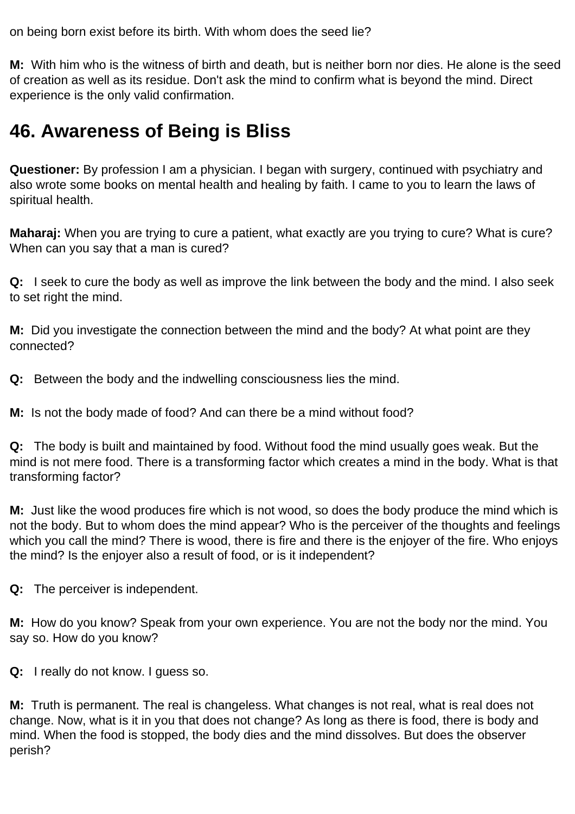on being born exist before its birth. With whom does the seed lie?

**M:** With him who is the witness of birth and death, but is neither born nor dies. He alone is the seed of creation as well as its residue. Don't ask the mind to confirm what is beyond the mind. Direct experience is the only valid confirmation.

### **46. Awareness of Being is Bliss**

**Questioner:** By profession I am a physician. I began with surgery, continued with psychiatry and also wrote some books on mental health and healing by faith. I came to you to learn the laws of spiritual health.

**Maharaj:** When you are trying to cure a patient, what exactly are you trying to cure? What is cure? When can you say that a man is cured?

**Q:** I seek to cure the body as well as improve the link between the body and the mind. I also seek to set right the mind.

**M:** Did you investigate the connection between the mind and the body? At what point are they connected?

**Q:** Between the body and the indwelling consciousness lies the mind.

**M:** Is not the body made of food? And can there be a mind without food?

**Q:** The body is built and maintained by food. Without food the mind usually goes weak. But the mind is not mere food. There is a transforming factor which creates a mind in the body. What is that transforming factor?

**M:** Just like the wood produces fire which is not wood, so does the body produce the mind which is not the body. But to whom does the mind appear? Who is the perceiver of the thoughts and feelings which you call the mind? There is wood, there is fire and there is the enjoyer of the fire. Who enjoys the mind? Is the enjoyer also a result of food, or is it independent?

**Q:** The perceiver is independent.

**M:** How do you know? Speak from your own experience. You are not the body nor the mind. You say so. How do you know?

**Q:** I really do not know. I guess so.

**M:** Truth is permanent. The real is changeless. What changes is not real, what is real does not change. Now, what is it in you that does not change? As long as there is food, there is body and mind. When the food is stopped, the body dies and the mind dissolves. But does the observer perish?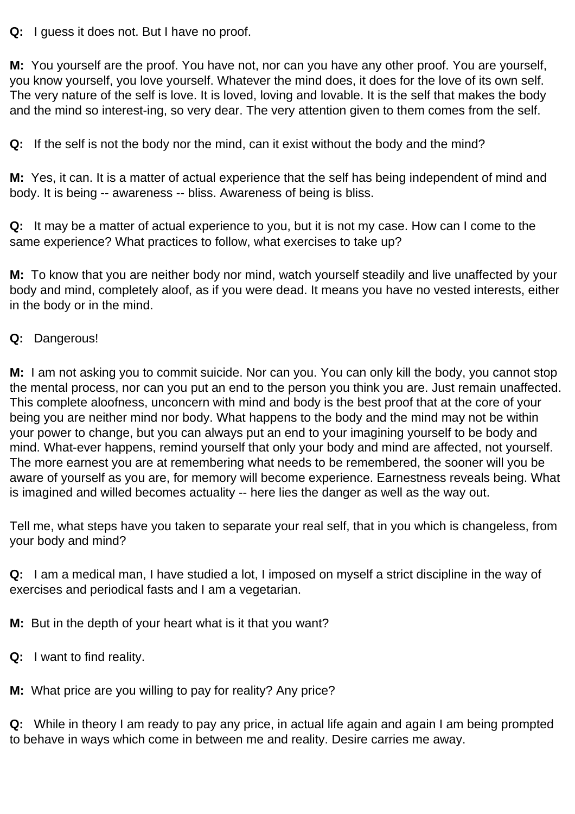**Q:** I guess it does not. But I have no proof.

**M:** You yourself are the proof. You have not, nor can you have any other proof. You are yourself, you know yourself, you love yourself. Whatever the mind does, it does for the love of its own self. The very nature of the self is love. It is loved, loving and lovable. It is the self that makes the body and the mind so interest-ing, so very dear. The very attention given to them comes from the self.

**Q:** If the self is not the body nor the mind, can it exist without the body and the mind?

**M:** Yes, it can. It is a matter of actual experience that the self has being independent of mind and body. It is being -- awareness -- bliss. Awareness of being is bliss.

**Q:** It may be a matter of actual experience to you, but it is not my case. How can I come to the same experience? What practices to follow, what exercises to take up?

**M:** To know that you are neither body nor mind, watch yourself steadily and live unaffected by your body and mind, completely aloof, as if you were dead. It means you have no vested interests, either in the body or in the mind.

#### **Q:** Dangerous!

**M:** I am not asking you to commit suicide. Nor can you. You can only kill the body, you cannot stop the mental process, nor can you put an end to the person you think you are. Just remain unaffected. This complete aloofness, unconcern with mind and body is the best proof that at the core of your being you are neither mind nor body. What happens to the body and the mind may not be within your power to change, but you can always put an end to your imagining yourself to be body and mind. What-ever happens, remind yourself that only your body and mind are affected, not yourself. The more earnest you are at remembering what needs to be remembered, the sooner will you be aware of yourself as you are, for memory will become experience. Earnestness reveals being. What is imagined and willed becomes actuality -- here lies the danger as well as the way out.

Tell me, what steps have you taken to separate your real self, that in you which is changeless, from your body and mind?

**Q:** I am a medical man, I have studied a lot, I imposed on myself a strict discipline in the way of exercises and periodical fasts and I am a vegetarian.

**M:** But in the depth of your heart what is it that you want?

**Q:** I want to find reality.

**M:** What price are you willing to pay for reality? Any price?

**Q:** While in theory I am ready to pay any price, in actual life again and again I am being prompted to behave in ways which come in between me and reality. Desire carries me away.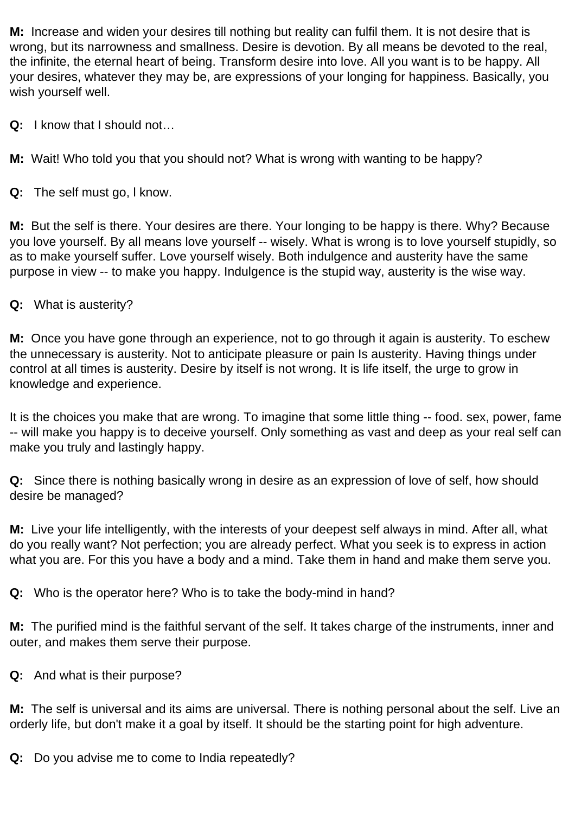**M:** Increase and widen your desires till nothing but reality can fulfil them. It is not desire that is wrong, but its narrowness and smallness. Desire is devotion. By all means be devoted to the real, the infinite, the eternal heart of being. Transform desire into love. All you want is to be happy. All your desires, whatever they may be, are expressions of your longing for happiness. Basically, you wish yourself well.

**Q:** I know that I should not…

**M:** Wait! Who told you that you should not? What is wrong with wanting to be happy?

**Q:** The self must go, l know.

**M:** But the self is there. Your desires are there. Your longing to be happy is there. Why? Because you love yourself. By all means love yourself -- wisely. What is wrong is to love yourself stupidly, so as to make yourself suffer. Love yourself wisely. Both indulgence and austerity have the same purpose in view -- to make you happy. Indulgence is the stupid way, austerity is the wise way.

### **Q:** What is austerity?

**M:** Once you have gone through an experience, not to go through it again is austerity. To eschew the unnecessary is austerity. Not to anticipate pleasure or pain Is austerity. Having things under control at all times is austerity. Desire by itself is not wrong. It is life itself, the urge to grow in knowledge and experience.

It is the choices you make that are wrong. To imagine that some little thing -- food. sex, power, fame -- will make you happy is to deceive yourself. Only something as vast and deep as your real self can make you truly and lastingly happy.

**Q:** Since there is nothing basically wrong in desire as an expression of love of self, how should desire be managed?

**M:** Live your life intelligently, with the interests of your deepest self always in mind. After all, what do you really want? Not perfection; you are already perfect. What you seek is to express in action what you are. For this you have a body and a mind. Take them in hand and make them serve you.

**Q:** Who is the operator here? Who is to take the body-mind in hand?

**M:** The purified mind is the faithful servant of the self. It takes charge of the instruments, inner and outer, and makes them serve their purpose.

**Q:** And what is their purpose?

**M:** The self is universal and its aims are universal. There is nothing personal about the self. Live an orderly life, but don't make it a goal by itself. It should be the starting point for high adventure.

**Q:** Do you advise me to come to India repeatedly?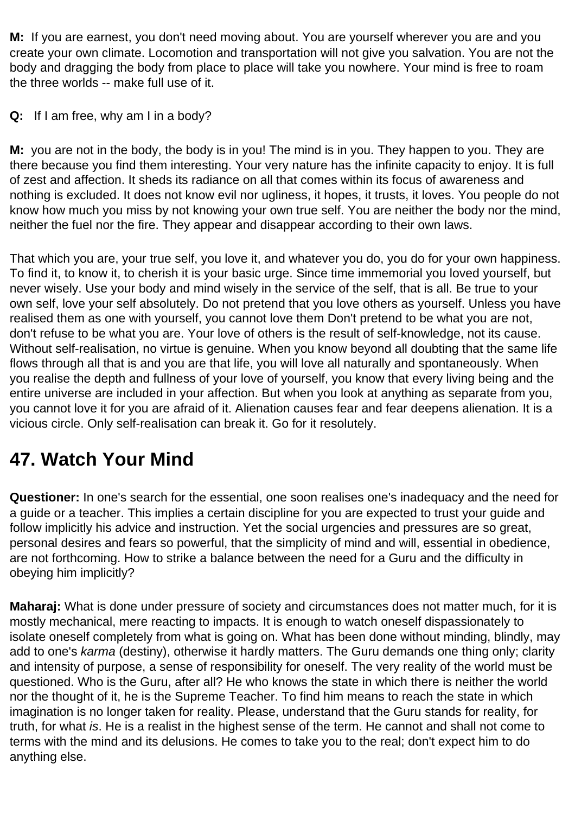**M:** If you are earnest, you don't need moving about. You are yourself wherever you are and you create your own climate. Locomotion and transportation will not give you salvation. You are not the body and dragging the body from place to place will take you nowhere. Your mind is free to roam the three worlds -- make full use of it.

**Q:** If I am free, why am I in a body?

**M:** you are not in the body, the body is in you! The mind is in you. They happen to you. They are there because you find them interesting. Your very nature has the infinite capacity to enjoy. It is full of zest and affection. It sheds its radiance on all that comes within its focus of awareness and nothing is excluded. It does not know evil nor ugliness, it hopes, it trusts, it loves. You people do not know how much you miss by not knowing your own true self. You are neither the body nor the mind, neither the fuel nor the fire. They appear and disappear according to their own laws.

That which you are, your true self, you love it, and whatever you do, you do for your own happiness. To find it, to know it, to cherish it is your basic urge. Since time immemorial you loved yourself, but never wisely. Use your body and mind wisely in the service of the self, that is all. Be true to your own self, love your self absolutely. Do not pretend that you love others as yourself. Unless you have realised them as one with yourself, you cannot love them Don't pretend to be what you are not, don't refuse to be what you are. Your love of others is the result of self-knowledge, not its cause. Without self-realisation, no virtue is genuine. When you know beyond all doubting that the same life flows through all that is and you are that life, you will love all naturally and spontaneously. When you realise the depth and fullness of your love of yourself, you know that every living being and the entire universe are included in your affection. But when you look at anything as separate from you, you cannot love it for you are afraid of it. Alienation causes fear and fear deepens alienation. It is a vicious circle. Only self-realisation can break it. Go for it resolutely.

# **47. Watch Your Mind**

**Questioner:** In one's search for the essential, one soon realises one's inadequacy and the need for a guide or a teacher. This implies a certain discipline for you are expected to trust your guide and follow implicitly his advice and instruction. Yet the social urgencies and pressures are so great, personal desires and fears so powerful, that the simplicity of mind and will, essential in obedience, are not forthcoming. How to strike a balance between the need for a Guru and the difficulty in obeying him implicitly?

**Maharaj:** What is done under pressure of society and circumstances does not matter much, for it is mostly mechanical, mere reacting to impacts. It is enough to watch oneself dispassionately to isolate oneself completely from what is going on. What has been done without minding, blindly, may add to one's *karma* (destiny), otherwise it hardly matters. The Guru demands one thing only; clarity and intensity of purpose, a sense of responsibility for oneself. The very reality of the world must be questioned. Who is the Guru, after all? He who knows the state in which there is neither the world nor the thought of it, he is the Supreme Teacher. To find him means to reach the state in which imagination is no longer taken for reality. Please, understand that the Guru stands for reality, for truth, for what *is*. He is a realist in the highest sense of the term. He cannot and shall not come to terms with the mind and its delusions. He comes to take you to the real; don't expect him to do anything else.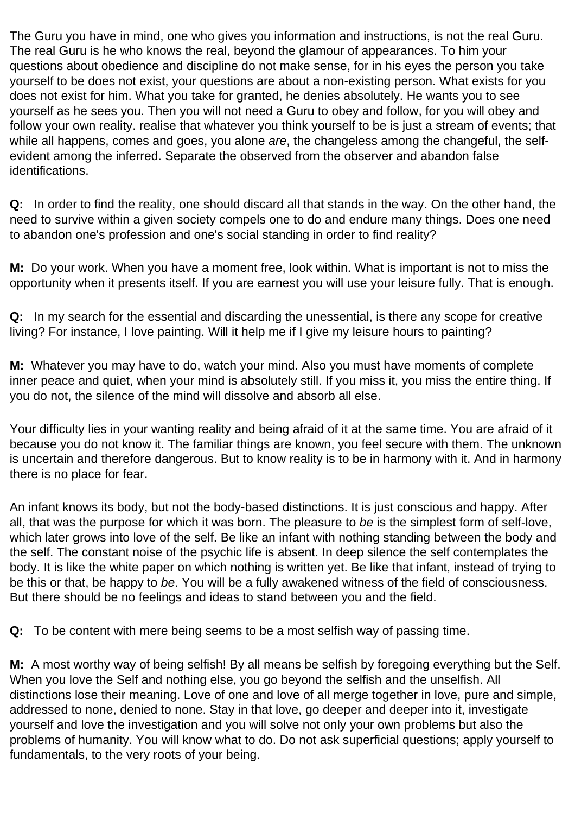The Guru you have in mind, one who gives you information and instructions, is not the real Guru. The real Guru is he who knows the real, beyond the glamour of appearances. To him your questions about obedience and discipline do not make sense, for in his eyes the person you take yourself to be does not exist, your questions are about a non-existing person. What exists for you does not exist for him. What you take for granted, he denies absolutely. He wants you to see yourself as he sees you. Then you will not need a Guru to obey and follow, for you will obey and follow your own reality. realise that whatever you think yourself to be is just a stream of events; that while all happens, comes and goes, you alone *are*, the changeless among the changeful, the selfevident among the inferred. Separate the observed from the observer and abandon false identifications.

**Q:** In order to find the reality, one should discard all that stands in the way. On the other hand, the need to survive within a given society compels one to do and endure many things. Does one need to abandon one's profession and one's social standing in order to find reality?

**M:** Do your work. When you have a moment free, look within. What is important is not to miss the opportunity when it presents itself. If you are earnest you will use your leisure fully. That is enough.

**Q:** In my search for the essential and discarding the unessential, is there any scope for creative living? For instance, I love painting. Will it help me if I give my leisure hours to painting?

**M:** Whatever you may have to do, watch your mind. Also you must have moments of complete inner peace and quiet, when your mind is absolutely still. If you miss it, you miss the entire thing. If you do not, the silence of the mind will dissolve and absorb all else.

Your difficulty lies in your wanting reality and being afraid of it at the same time. You are afraid of it because you do not know it. The familiar things are known, you feel secure with them. The unknown is uncertain and therefore dangerous. But to know reality is to be in harmony with it. And in harmony there is no place for fear.

An infant knows its body, but not the body-based distinctions. It is just conscious and happy. After all, that was the purpose for which it was born. The pleasure to *be* is the simplest form of self-love, which later grows into love of the self. Be like an infant with nothing standing between the body and the self. The constant noise of the psychic life is absent. In deep silence the self contemplates the body. It is like the white paper on which nothing is written yet. Be like that infant, instead of trying to be this or that, be happy to *be*. You will be a fully awakened witness of the field of consciousness. But there should be no feelings and ideas to stand between you and the field.

**Q:** To be content with mere being seems to be a most selfish way of passing time.

**M:** A most worthy way of being selfish! By all means be selfish by foregoing everything but the Self. When you love the Self and nothing else, you go beyond the selfish and the unselfish. All distinctions lose their meaning. Love of one and love of all merge together in love, pure and simple, addressed to none, denied to none. Stay in that love, go deeper and deeper into it, investigate yourself and love the investigation and you will solve not only your own problems but also the problems of humanity. You will know what to do. Do not ask superficial questions; apply yourself to fundamentals, to the very roots of your being.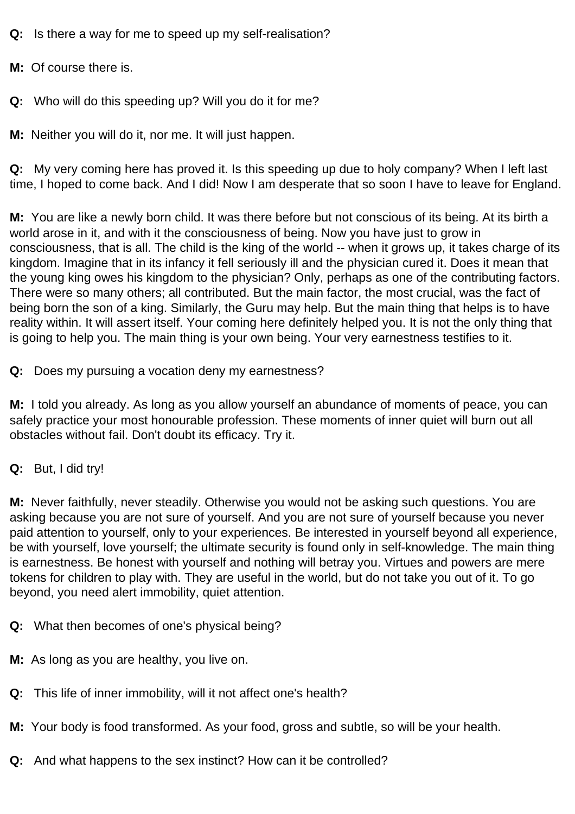**Q:** Is there a way for me to speed up my self-realisation?

**M:** Of course there is.

**Q:** Who will do this speeding up? Will you do it for me?

**M:** Neither you will do it, nor me. It will just happen.

**Q:** My very coming here has proved it. Is this speeding up due to holy company? When I left last time, I hoped to come back. And I did! Now I am desperate that so soon I have to leave for England.

**M:** You are like a newly born child. It was there before but not conscious of its being. At its birth a world arose in it, and with it the consciousness of being. Now you have just to grow in consciousness, that is all. The child is the king of the world -- when it grows up, it takes charge of its kingdom. Imagine that in its infancy it fell seriously ill and the physician cured it. Does it mean that the young king owes his kingdom to the physician? Only, perhaps as one of the contributing factors. There were so many others; all contributed. But the main factor, the most crucial, was the fact of being born the son of a king. Similarly, the Guru may help. But the main thing that helps is to have reality within. It will assert itself. Your coming here definitely helped you. It is not the only thing that is going to help you. The main thing is your own being. Your very earnestness testifies to it.

**Q:** Does my pursuing a vocation deny my earnestness?

**M:** I told you already. As long as you allow yourself an abundance of moments of peace, you can safely practice your most honourable profession. These moments of inner quiet will burn out all obstacles without fail. Don't doubt its efficacy. Try it.

**Q:** But, I did try!

**M:** Never faithfully, never steadily. Otherwise you would not be asking such questions. You are asking because you are not sure of yourself. And you are not sure of yourself because you never paid attention to yourself, only to your experiences. Be interested in yourself beyond all experience, be with yourself, love yourself; the ultimate security is found only in self-knowledge. The main thing is earnestness. Be honest with yourself and nothing will betray you. Virtues and powers are mere tokens for children to play with. They are useful in the world, but do not take you out of it. To go beyond, you need alert immobility, quiet attention.

- **Q:** What then becomes of one's physical being?
- **M:** As long as you are healthy, you live on.
- **Q:** This life of inner immobility, will it not affect one's health?
- **M:** Your body is food transformed. As your food, gross and subtle, so will be your health.
- **Q:** And what happens to the sex instinct? How can it be controlled?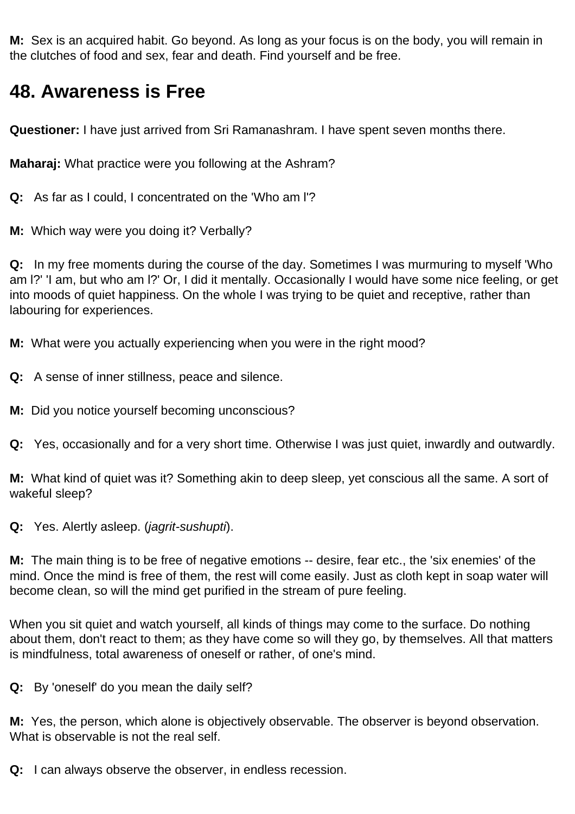**M:** Sex is an acquired habit. Go beyond. As long as your focus is on the body, you will remain in the clutches of food and sex, fear and death. Find yourself and be free.

### **48. Awareness is Free**

**Questioner:** I have just arrived from Sri Ramanashram. I have spent seven months there.

**Maharaj:** What practice were you following at the Ashram?

- **Q:** As far as I could, I concentrated on the 'Who am l'?
- **M:** Which way were you doing it? Verbally?

**Q:** In my free moments during the course of the day. Sometimes I was murmuring to myself 'Who am l?' 'I am, but who am l?' Or, I did it mentally. Occasionally I would have some nice feeling, or get into moods of quiet happiness. On the whole I was trying to be quiet and receptive, rather than labouring for experiences.

**M:** What were you actually experiencing when you were in the right mood?

- **Q:** A sense of inner stillness, peace and silence.
- **M:** Did you notice yourself becoming unconscious?
- **Q:** Yes, occasionally and for a very short time. Otherwise I was just quiet, inwardly and outwardly.

**M:** What kind of quiet was it? Something akin to deep sleep, yet conscious all the same. A sort of wakeful sleep?

**Q:** Yes. Alertly asleep. (*jagrit-sushupti*).

**M:** The main thing is to be free of negative emotions -- desire, fear etc., the 'six enemies' of the mind. Once the mind is free of them, the rest will come easily. Just as cloth kept in soap water will become clean, so will the mind get purified in the stream of pure feeling.

When you sit quiet and watch yourself, all kinds of things may come to the surface. Do nothing about them, don't react to them; as they have come so will they go, by themselves. All that matters is mindfulness, total awareness of oneself or rather, of one's mind.

**Q:** By 'oneself' do you mean the daily self?

**M:** Yes, the person, which alone is objectively observable. The observer is beyond observation. What is observable is not the real self.

**Q:** I can always observe the observer, in endless recession.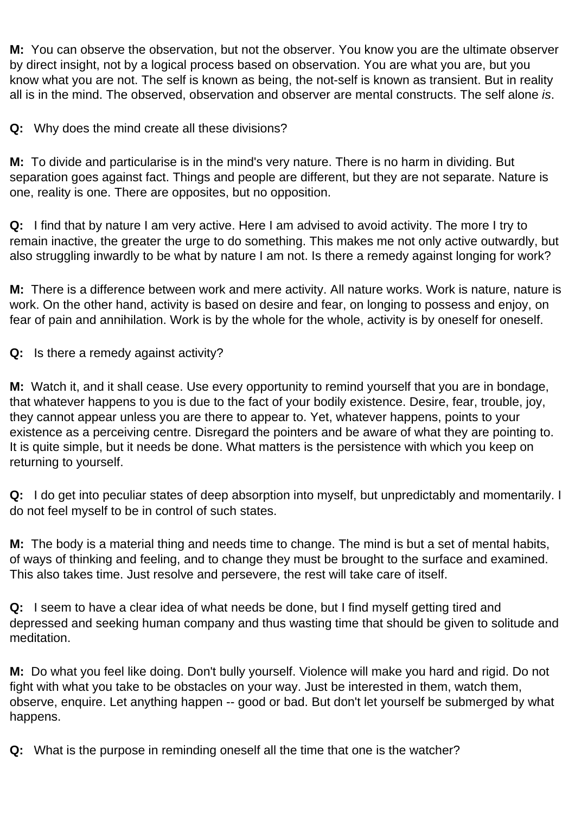**M:** You can observe the observation, but not the observer. You know you are the ultimate observer by direct insight, not by a logical process based on observation. You are what you are, but you know what you are not. The self is known as being, the not-self is known as transient. But in reality all is in the mind. The observed, observation and observer are mental constructs. The self alone *is*.

**Q:** Why does the mind create all these divisions?

**M:** To divide and particularise is in the mind's very nature. There is no harm in dividing. But separation goes against fact. Things and people are different, but they are not separate. Nature is one, reality is one. There are opposites, but no opposition.

**Q:** I find that by nature I am very active. Here I am advised to avoid activity. The more I try to remain inactive, the greater the urge to do something. This makes me not only active outwardly, but also struggling inwardly to be what by nature I am not. Is there a remedy against longing for work?

**M:** There is a difference between work and mere activity. All nature works. Work is nature, nature is work. On the other hand, activity is based on desire and fear, on longing to possess and enjoy, on fear of pain and annihilation. Work is by the whole for the whole, activity is by oneself for oneself.

**Q:** Is there a remedy against activity?

**M:** Watch it, and it shall cease. Use every opportunity to remind yourself that you are in bondage, that whatever happens to you is due to the fact of your bodily existence. Desire, fear, trouble, joy, they cannot appear unless you are there to appear to. Yet, whatever happens, points to your existence as a perceiving centre. Disregard the pointers and be aware of what they are pointing to. It is quite simple, but it needs be done. What matters is the persistence with which you keep on returning to yourself.

**Q:** I do get into peculiar states of deep absorption into myself, but unpredictably and momentarily. I do not feel myself to be in control of such states.

**M:** The body is a material thing and needs time to change. The mind is but a set of mental habits, of ways of thinking and feeling, and to change they must be brought to the surface and examined. This also takes time. Just resolve and persevere, the rest will take care of itself.

**Q:** I seem to have a clear idea of what needs be done, but I find myself getting tired and depressed and seeking human company and thus wasting time that should be given to solitude and meditation.

**M:** Do what you feel like doing. Don't bully yourself. Violence will make you hard and rigid. Do not fight with what you take to be obstacles on your way. Just be interested in them, watch them, observe, enquire. Let anything happen -- good or bad. But don't let yourself be submerged by what happens.

**Q:** What is the purpose in reminding oneself all the time that one is the watcher?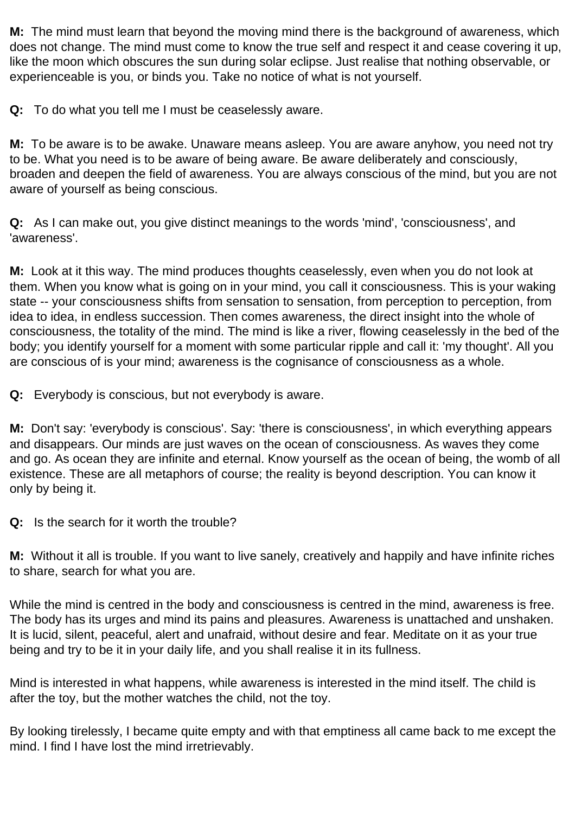**M:** The mind must learn that beyond the moving mind there is the background of awareness, which does not change. The mind must come to know the true self and respect it and cease covering it up, like the moon which obscures the sun during solar eclipse. Just realise that nothing observable, or experienceable is you, or binds you. Take no notice of what is not yourself.

**Q:** To do what you tell me I must be ceaselessly aware.

**M:** To be aware is to be awake. Unaware means asleep. You are aware anyhow, you need not try to be. What you need is to be aware of being aware. Be aware deliberately and consciously, broaden and deepen the field of awareness. You are always conscious of the mind, but you are not aware of yourself as being conscious.

**Q:** As I can make out, you give distinct meanings to the words 'mind', 'consciousness', and 'awareness'.

**M:** Look at it this way. The mind produces thoughts ceaselessly, even when you do not look at them. When you know what is going on in your mind, you call it consciousness. This is your waking state -- your consciousness shifts from sensation to sensation, from perception to perception, from idea to idea, in endless succession. Then comes awareness, the direct insight into the whole of consciousness, the totality of the mind. The mind is like a river, flowing ceaselessly in the bed of the body; you identify yourself for a moment with some particular ripple and call it: 'my thought'. All you are conscious of is your mind; awareness is the cognisance of consciousness as a whole.

**Q:** Everybody is conscious, but not everybody is aware.

**M:** Don't say: 'everybody is conscious'. Say: 'there is consciousness', in which everything appears and disappears. Our minds are just waves on the ocean of consciousness. As waves they come and go. As ocean they are infinite and eternal. Know yourself as the ocean of being, the womb of all existence. These are all metaphors of course; the reality is beyond description. You can know it only by being it.

**Q:** Is the search for it worth the trouble?

**M:** Without it all is trouble. If you want to live sanely, creatively and happily and have infinite riches to share, search for what you are.

While the mind is centred in the body and consciousness is centred in the mind, awareness is free. The body has its urges and mind its pains and pleasures. Awareness is unattached and unshaken. It is lucid, silent, peaceful, alert and unafraid, without desire and fear. Meditate on it as your true being and try to be it in your daily life, and you shall realise it in its fullness.

Mind is interested in what happens, while awareness is interested in the mind itself. The child is after the toy, but the mother watches the child, not the toy.

By looking tirelessly, I became quite empty and with that emptiness all came back to me except the mind. I find I have lost the mind irretrievably.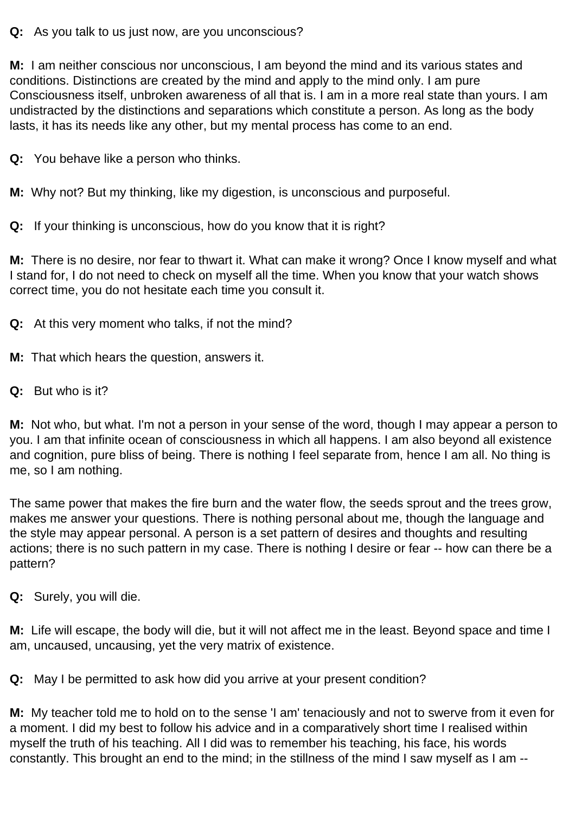#### **Q:** As you talk to us just now, are you unconscious?

**M:** I am neither conscious nor unconscious, I am beyond the mind and its various states and conditions. Distinctions are created by the mind and apply to the mind only. I am pure Consciousness itself, unbroken awareness of all that is. I am in a more real state than yours. I am undistracted by the distinctions and separations which constitute a person. As long as the body lasts, it has its needs like any other, but my mental process has come to an end.

**Q:** You behave like a person who thinks.

**M:** Why not? But my thinking, like my digestion, is unconscious and purposeful.

**Q:** If your thinking is unconscious, how do you know that it is right?

**M:** There is no desire, nor fear to thwart it. What can make it wrong? Once I know myself and what I stand for, I do not need to check on myself all the time. When you know that your watch shows correct time, you do not hesitate each time you consult it.

**Q:** At this very moment who talks, if not the mind?

**M:** That which hears the question, answers it.

**Q:** But who is it?

**M:** Not who, but what. I'm not a person in your sense of the word, though I may appear a person to you. I am that infinite ocean of consciousness in which all happens. I am also beyond all existence and cognition, pure bliss of being. There is nothing I feel separate from, hence I am all. No thing is me, so I am nothing.

The same power that makes the fire burn and the water flow, the seeds sprout and the trees grow, makes me answer your questions. There is nothing personal about me, though the language and the style may appear personal. A person is a set pattern of desires and thoughts and resulting actions; there is no such pattern in my case. There is nothing I desire or fear -- how can there be a pattern?

**Q:** Surely, you will die.

**M:** Life will escape, the body will die, but it will not affect me in the least. Beyond space and time I am, uncaused, uncausing, yet the very matrix of existence.

**Q:** May I be permitted to ask how did you arrive at your present condition?

**M:** My teacher told me to hold on to the sense 'I am' tenaciously and not to swerve from it even for a moment. I did my best to follow his advice and in a comparatively short time I realised within myself the truth of his teaching. All I did was to remember his teaching, his face, his words constantly. This brought an end to the mind; in the stillness of the mind I saw myself as I am --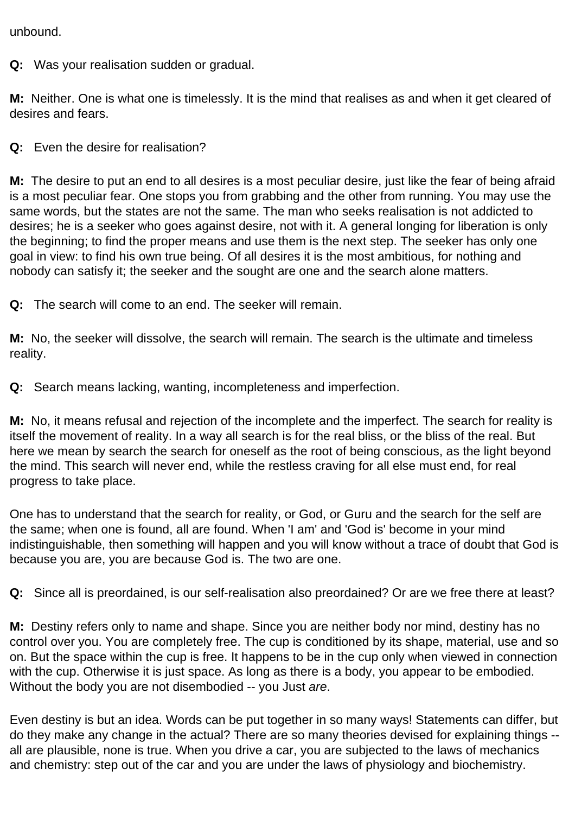unbound.

**Q:** Was your realisation sudden or gradual.

**M:** Neither. One is what one is timelessly. It is the mind that realises as and when it get cleared of desires and fears

**Q:** Even the desire for realisation?

**M:** The desire to put an end to all desires is a most peculiar desire, just like the fear of being afraid is a most peculiar fear. One stops you from grabbing and the other from running. You may use the same words, but the states are not the same. The man who seeks realisation is not addicted to desires; he is a seeker who goes against desire, not with it. A general longing for liberation is only the beginning; to find the proper means and use them is the next step. The seeker has only one goal in view: to find his own true being. Of all desires it is the most ambitious, for nothing and nobody can satisfy it; the seeker and the sought are one and the search alone matters.

**Q:** The search will come to an end. The seeker will remain.

**M:** No, the seeker will dissolve, the search will remain. The search is the ultimate and timeless reality.

**Q:** Search means lacking, wanting, incompleteness and imperfection.

**M:** No, it means refusal and rejection of the incomplete and the imperfect. The search for reality is itself the movement of reality. In a way all search is for the real bliss, or the bliss of the real. But here we mean by search the search for oneself as the root of being conscious, as the light beyond the mind. This search will never end, while the restless craving for all else must end, for real progress to take place.

One has to understand that the search for reality, or God, or Guru and the search for the self are the same; when one is found, all are found. When 'I am' and 'God is' become in your mind indistinguishable, then something will happen and you will know without a trace of doubt that God is because you are, you are because God is. The two are one.

**Q:** Since all is preordained, is our self-realisation also preordained? Or are we free there at least?

**M:** Destiny refers only to name and shape. Since you are neither body nor mind, destiny has no control over you. You are completely free. The cup is conditioned by its shape, material, use and so on. But the space within the cup is free. It happens to be in the cup only when viewed in connection with the cup. Otherwise it is just space. As long as there is a body, you appear to be embodied. Without the body you are not disembodied -- you Just *are*.

Even destiny is but an idea. Words can be put together in so many ways! Statements can differ, but do they make any change in the actual? There are so many theories devised for explaining things - all are plausible, none is true. When you drive a car, you are subjected to the laws of mechanics and chemistry: step out of the car and you are under the laws of physiology and biochemistry.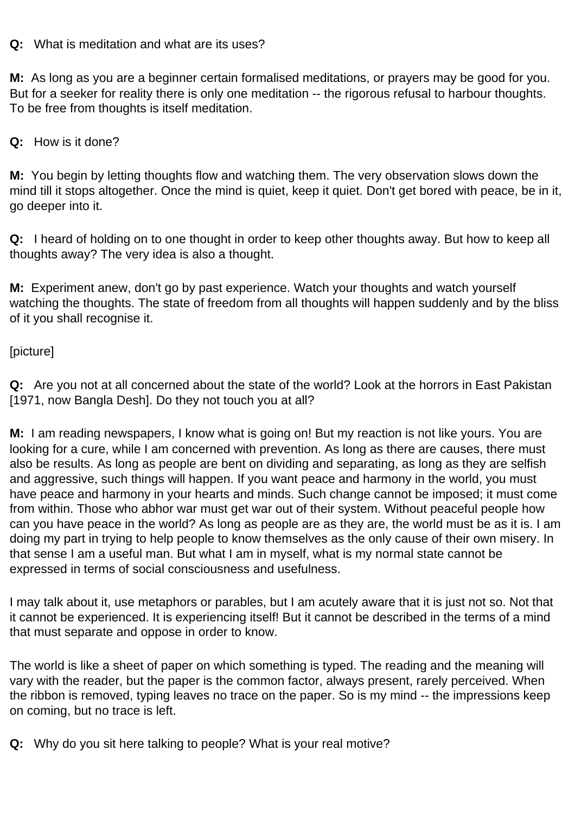**Q:** What is meditation and what are its uses?

**M:** As long as you are a beginner certain formalised meditations, or prayers may be good for you. But for a seeker for reality there is only one meditation -- the rigorous refusal to harbour thoughts. To be free from thoughts is itself meditation.

**Q:** How is it done?

**M:** You begin by letting thoughts flow and watching them. The very observation slows down the mind till it stops altogether. Once the mind is quiet, keep it quiet. Don't get bored with peace, be in it, go deeper into it.

**Q:** I heard of holding on to one thought in order to keep other thoughts away. But how to keep all thoughts away? The very idea is also a thought.

**M:** Experiment anew, don't go by past experience. Watch your thoughts and watch yourself watching the thoughts. The state of freedom from all thoughts will happen suddenly and by the bliss of it you shall recognise it.

[picture]

**Q:** Are you not at all concerned about the state of the world? Look at the horrors in East Pakistan [1971, now Bangla Desh]. Do they not touch you at all?

**M:** I am reading newspapers, I know what is going on! But my reaction is not like yours. You are looking for a cure, while I am concerned with prevention. As long as there are causes, there must also be results. As long as people are bent on dividing and separating, as long as they are selfish and aggressive, such things will happen. If you want peace and harmony in the world, you must have peace and harmony in your hearts and minds. Such change cannot be imposed; it must come from within. Those who abhor war must get war out of their system. Without peaceful people how can you have peace in the world? As long as people are as they are, the world must be as it is. I am doing my part in trying to help people to know themselves as the only cause of their own misery. In that sense I am a useful man. But what I am in myself, what is my normal state cannot be expressed in terms of social consciousness and usefulness.

I may talk about it, use metaphors or parables, but I am acutely aware that it is just not so. Not that it cannot be experienced. It is experiencing itself! But it cannot be described in the terms of a mind that must separate and oppose in order to know.

The world is like a sheet of paper on which something is typed. The reading and the meaning will vary with the reader, but the paper is the common factor, always present, rarely perceived. When the ribbon is removed, typing leaves no trace on the paper. So is my mind -- the impressions keep on coming, but no trace is left.

**Q:** Why do you sit here talking to people? What is your real motive?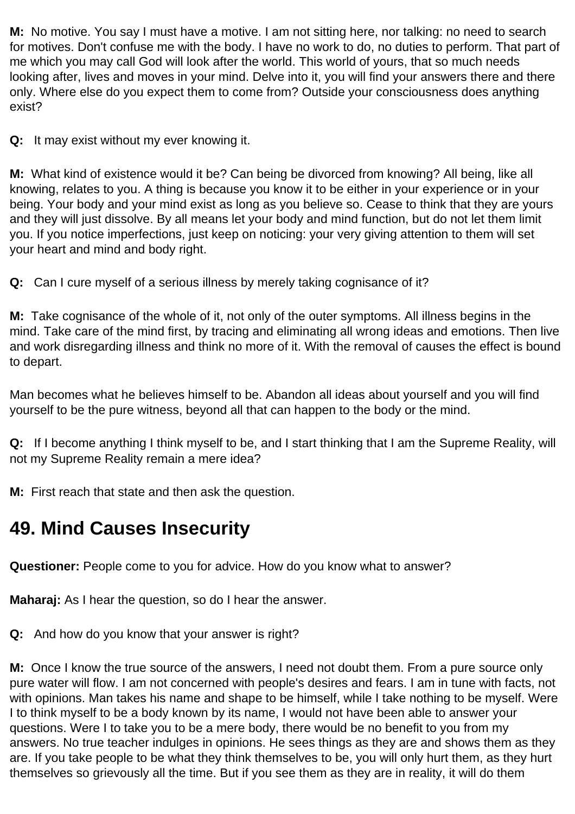**M:** No motive. You say I must have a motive. I am not sitting here, nor talking: no need to search for motives. Don't confuse me with the body. I have no work to do, no duties to perform. That part of me which you may call God will look after the world. This world of yours, that so much needs looking after, lives and moves in your mind. Delve into it, you will find your answers there and there only. Where else do you expect them to come from? Outside your consciousness does anything exist?

**Q:** It may exist without my ever knowing it.

**M:** What kind of existence would it be? Can being be divorced from knowing? All being, like all knowing, relates to you. A thing is because you know it to be either in your experience or in your being. Your body and your mind exist as long as you believe so. Cease to think that they are yours and they will just dissolve. By all means let your body and mind function, but do not let them limit you. If you notice imperfections, just keep on noticing: your very giving attention to them will set your heart and mind and body right.

**Q:** Can I cure myself of a serious illness by merely taking cognisance of it?

**M:** Take cognisance of the whole of it, not only of the outer symptoms. All illness begins in the mind. Take care of the mind first, by tracing and eliminating all wrong ideas and emotions. Then live and work disregarding illness and think no more of it. With the removal of causes the effect is bound to depart.

Man becomes what he believes himself to be. Abandon all ideas about yourself and you will find yourself to be the pure witness, beyond all that can happen to the body or the mind.

**Q:** If I become anything I think myself to be, and I start thinking that I am the Supreme Reality, will not my Supreme Reality remain a mere idea?

**M:** First reach that state and then ask the question.

### **49. Mind Causes Insecurity**

**Questioner:** People come to you for advice. How do you know what to answer?

**Maharaj:** As I hear the question, so do I hear the answer.

**Q:** And how do you know that your answer is right?

**M:** Once I know the true source of the answers, I need not doubt them. From a pure source only pure water will flow. I am not concerned with people's desires and fears. I am in tune with facts, not with opinions. Man takes his name and shape to be himself, while I take nothing to be myself. Were I to think myself to be a body known by its name, I would not have been able to answer your questions. Were I to take you to be a mere body, there would be no benefit to you from my answers. No true teacher indulges in opinions. He sees things as they are and shows them as they are. If you take people to be what they think themselves to be, you will only hurt them, as they hurt themselves so grievously all the time. But if you see them as they are in reality, it will do them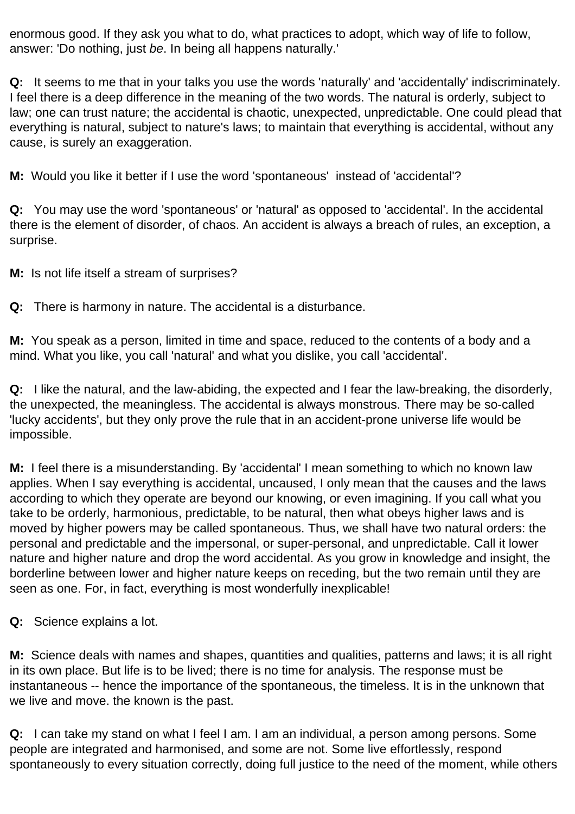enormous good. If they ask you what to do, what practices to adopt, which way of life to follow, answer: 'Do nothing, just *be*. In being all happens naturally.'

**Q:** It seems to me that in your talks you use the words 'naturally' and 'accidentally' indiscriminately. I feel there is a deep difference in the meaning of the two words. The natural is orderly, subject to law; one can trust nature; the accidental is chaotic, unexpected, unpredictable. One could plead that everything is natural, subject to nature's laws; to maintain that everything is accidental, without any cause, is surely an exaggeration.

**M:** Would you like it better if I use the word 'spontaneous' instead of 'accidental'?

**Q:** You may use the word 'spontaneous' or 'natural' as opposed to 'accidental'. In the accidental there is the element of disorder, of chaos. An accident is always a breach of rules, an exception, a surprise.

**M:** Is not life itself a stream of surprises?

**Q:** There is harmony in nature. The accidental is a disturbance.

**M:** You speak as a person, limited in time and space, reduced to the contents of a body and a mind. What you like, you call 'natural' and what you dislike, you call 'accidental'.

**Q:** I like the natural, and the law-abiding, the expected and I fear the law-breaking, the disorderly, the unexpected, the meaningless. The accidental is always monstrous. There may be so-called 'lucky accidents', but they only prove the rule that in an accident-prone universe life would be impossible.

**M:** I feel there is a misunderstanding. By 'accidental' I mean something to which no known law applies. When I say everything is accidental, uncaused, I only mean that the causes and the laws according to which they operate are beyond our knowing, or even imagining. If you call what you take to be orderly, harmonious, predictable, to be natural, then what obeys higher laws and is moved by higher powers may be called spontaneous. Thus, we shall have two natural orders: the personal and predictable and the impersonal, or super-personal, and unpredictable. Call it lower nature and higher nature and drop the word accidental. As you grow in knowledge and insight, the borderline between lower and higher nature keeps on receding, but the two remain until they are seen as one. For, in fact, everything is most wonderfully inexplicable!

**Q:** Science explains a lot.

**M:** Science deals with names and shapes, quantities and qualities, patterns and laws; it is all right in its own place. But life is to be lived; there is no time for analysis. The response must be instantaneous -- hence the importance of the spontaneous, the timeless. It is in the unknown that we live and move. the known is the past.

**Q:** I can take my stand on what I feel I am. I am an individual, a person among persons. Some people are integrated and harmonised, and some are not. Some live effortlessly, respond spontaneously to every situation correctly, doing full justice to the need of the moment, while others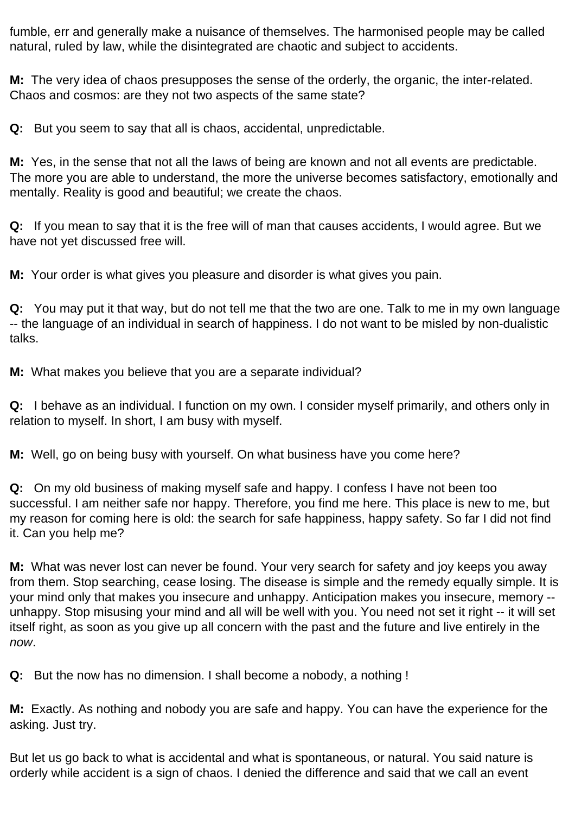fumble, err and generally make a nuisance of themselves. The harmonised people may be called natural, ruled by law, while the disintegrated are chaotic and subject to accidents.

**M:** The very idea of chaos presupposes the sense of the orderly, the organic, the inter-related. Chaos and cosmos: are they not two aspects of the same state?

**Q:** But you seem to say that all is chaos, accidental, unpredictable.

**M:** Yes, in the sense that not all the laws of being are known and not all events are predictable. The more you are able to understand, the more the universe becomes satisfactory, emotionally and mentally. Reality is good and beautiful; we create the chaos.

**Q:** If you mean to say that it is the free will of man that causes accidents, I would agree. But we have not yet discussed free will.

**M:** Your order is what gives you pleasure and disorder is what gives you pain.

**Q:** You may put it that way, but do not tell me that the two are one. Talk to me in my own language -- the language of an individual in search of happiness. I do not want to be misled by non-dualistic talks.

**M:** What makes you believe that you are a separate individual?

**Q:** I behave as an individual. I function on my own. I consider myself primarily, and others only in relation to myself. In short, I am busy with myself.

**M:** Well, go on being busy with yourself. On what business have you come here?

**Q:** On my old business of making myself safe and happy. I confess I have not been too successful. I am neither safe nor happy. Therefore, you find me here. This place is new to me, but my reason for coming here is old: the search for safe happiness, happy safety. So far I did not find it. Can you help me?

**M:** What was never lost can never be found. Your very search for safety and joy keeps you away from them. Stop searching, cease losing. The disease is simple and the remedy equally simple. It is your mind only that makes you insecure and unhappy. Anticipation makes you insecure, memory - unhappy. Stop misusing your mind and all will be well with you. You need not set it right -- it will set itself right, as soon as you give up all concern with the past and the future and live entirely in the *now*.

**Q:** But the now has no dimension. I shall become a nobody, a nothing !

**M:** Exactly. As nothing and nobody you are safe and happy. You can have the experience for the asking. Just try.

But let us go back to what is accidental and what is spontaneous, or natural. You said nature is orderly while accident is a sign of chaos. I denied the difference and said that we call an event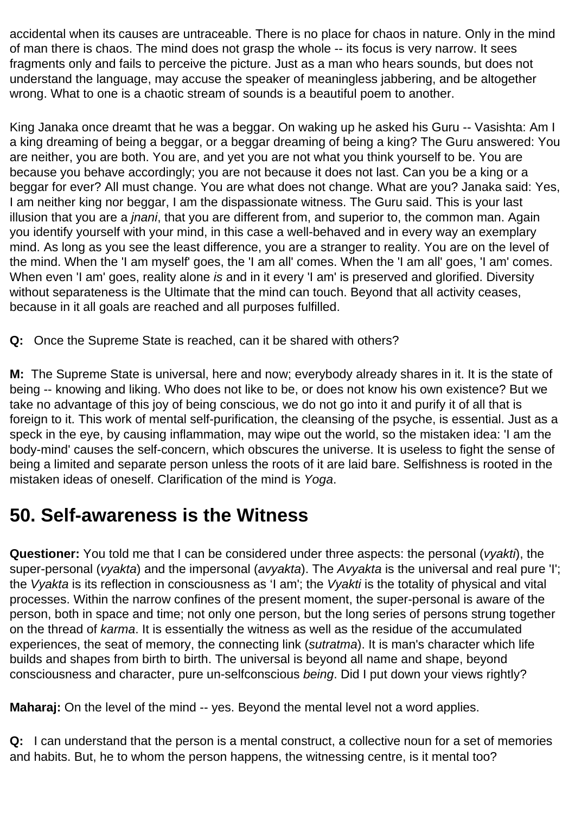accidental when its causes are untraceable. There is no place for chaos in nature. Only in the mind of man there is chaos. The mind does not grasp the whole -- its focus is very narrow. It sees fragments only and fails to perceive the picture. Just as a man who hears sounds, but does not understand the language, may accuse the speaker of meaningless jabbering, and be altogether wrong. What to one is a chaotic stream of sounds is a beautiful poem to another.

King Janaka once dreamt that he was a beggar. On waking up he asked his Guru -- Vasishta: Am I a king dreaming of being a beggar, or a beggar dreaming of being a king? The Guru answered: You are neither, you are both. You are, and yet you are not what you think yourself to be. You are because you behave accordingly; you are not because it does not last. Can you be a king or a beggar for ever? All must change. You are what does not change. What are you? Janaka said: Yes, I am neither king nor beggar, I am the dispassionate witness. The Guru said. This is your last illusion that you are a *jnani*, that you are different from, and superior to, the common man. Again you identify yourself with your mind, in this case a well-behaved and in every way an exemplary mind. As long as you see the least difference, you are a stranger to reality. You are on the level of the mind. When the 'I am myself' goes, the 'I am all' comes. When the 'I am all' goes, 'I am' comes. When even 'I am' goes, reality alone *is* and in it every 'I am' is preserved and glorified. Diversity without separateness is the Ultimate that the mind can touch. Beyond that all activity ceases, because in it all goals are reached and all purposes fulfilled.

**Q:** Once the Supreme State is reached, can it be shared with others?

**M:** The Supreme State is universal, here and now; everybody already shares in it. It is the state of being -- knowing and liking. Who does not like to be, or does not know his own existence? But we take no advantage of this joy of being conscious, we do not go into it and purify it of all that is foreign to it. This work of mental self-purification, the cleansing of the psyche, is essential. Just as a speck in the eye, by causing inflammation, may wipe out the world, so the mistaken idea: 'I am the body-mind' causes the self-concern, which obscures the universe. It is useless to fight the sense of being a limited and separate person unless the roots of it are laid bare. Selfishness is rooted in the mistaken ideas of oneself. Clarification of the mind is *Yoga*.

# **50. Self-awareness is the Witness**

**Questioner:** You told me that I can be considered under three aspects: the personal (*vyakti*), the super-personal (*vyakta*) and the impersonal (*avyakta*). The *Avyakta* is the universal and real pure 'I'; the *Vyakta* is its reflection in consciousness as 'I am'; the *Vyakti* is the totality of physical and vital processes. Within the narrow confines of the present moment, the super-personal is aware of the person, both in space and time; not only one person, but the long series of persons strung together on the thread of *karma*. It is essentially the witness as well as the residue of the accumulated experiences, the seat of memory, the connecting link (*sutratma*). It is man's character which life builds and shapes from birth to birth. The universal is beyond all name and shape, beyond consciousness and character, pure un-selfconscious *being*. Did I put down your views rightly?

**Maharaj:** On the level of the mind -- yes. Beyond the mental level not a word applies.

**Q:** I can understand that the person is a mental construct, a collective noun for a set of memories and habits. But, he to whom the person happens, the witnessing centre, is it mental too?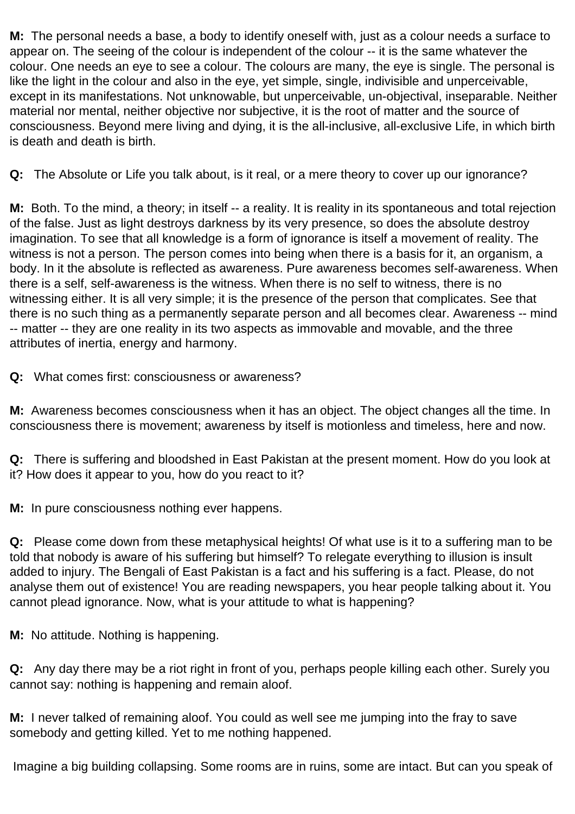**M:** The personal needs a base, a body to identify oneself with, just as a colour needs a surface to appear on. The seeing of the colour is independent of the colour -- it is the same whatever the colour. One needs an eye to see a colour. The colours are many, the eye is single. The personal is like the light in the colour and also in the eye, yet simple, single, indivisible and unperceivable, except in its manifestations. Not unknowable, but unperceivable, un-objectival, inseparable. Neither material nor mental, neither objective nor subjective, it is the root of matter and the source of consciousness. Beyond mere living and dying, it is the all-inclusive, all-exclusive Life, in which birth is death and death is birth.

**Q:** The Absolute or Life you talk about, is it real, or a mere theory to cover up our ignorance?

**M:** Both. To the mind, a theory; in itself -- a reality. It is reality in its spontaneous and total rejection of the false. Just as light destroys darkness by its very presence, so does the absolute destroy imagination. To see that all knowledge is a form of ignorance is itself a movement of reality. The witness is not a person. The person comes into being when there is a basis for it, an organism, a body. In it the absolute is reflected as awareness. Pure awareness becomes self-awareness. When there is a self, self-awareness is the witness. When there is no self to witness, there is no witnessing either. It is all very simple; it is the presence of the person that complicates. See that there is no such thing as a permanently separate person and all becomes clear. Awareness -- mind -- matter -- they are one reality in its two aspects as immovable and movable, and the three attributes of inertia, energy and harmony.

**Q:** What comes first: consciousness or awareness?

**M:** Awareness becomes consciousness when it has an object. The object changes all the time. In consciousness there is movement; awareness by itself is motionless and timeless, here and now.

**Q:** There is suffering and bloodshed in East Pakistan at the present moment. How do you look at it? How does it appear to you, how do you react to it?

**M:** In pure consciousness nothing ever happens.

**Q:** Please come down from these metaphysical heights! Of what use is it to a suffering man to be told that nobody is aware of his suffering but himself? To relegate everything to illusion is insult added to injury. The Bengali of East Pakistan is a fact and his suffering is a fact. Please, do not analyse them out of existence! You are reading newspapers, you hear people talking about it. You cannot plead ignorance. Now, what is your attitude to what is happening?

**M:** No attitude. Nothing is happening.

**Q:** Any day there may be a riot right in front of you, perhaps people killing each other. Surely you cannot say: nothing is happening and remain aloof.

**M:** I never talked of remaining aloof. You could as well see me jumping into the fray to save somebody and getting killed. Yet to me nothing happened.

Imagine a big building collapsing. Some rooms are in ruins, some are intact. But can you speak of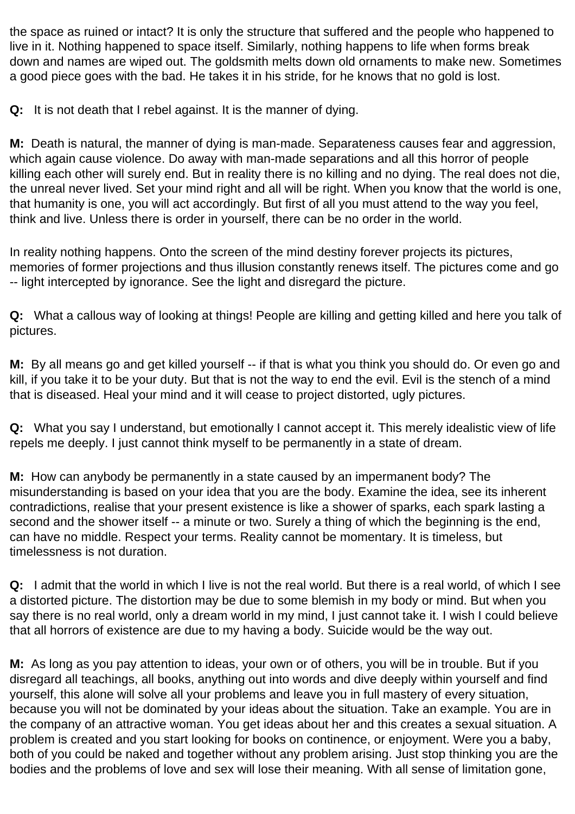the space as ruined or intact? It is only the structure that suffered and the people who happened to live in it. Nothing happened to space itself. Similarly, nothing happens to life when forms break down and names are wiped out. The goldsmith melts down old ornaments to make new. Sometimes a good piece goes with the bad. He takes it in his stride, for he knows that no gold is lost.

**Q:** It is not death that I rebel against. It is the manner of dying.

**M:** Death is natural, the manner of dying is man-made. Separateness causes fear and aggression, which again cause violence. Do away with man-made separations and all this horror of people killing each other will surely end. But in reality there is no killing and no dying. The real does not die, the unreal never lived. Set your mind right and all will be right. When you know that the world is one, that humanity is one, you will act accordingly. But first of all you must attend to the way you feel, think and live. Unless there is order in yourself, there can be no order in the world.

In reality nothing happens. Onto the screen of the mind destiny forever projects its pictures, memories of former projections and thus illusion constantly renews itself. The pictures come and go -- light intercepted by ignorance. See the light and disregard the picture.

**Q:** What a callous way of looking at things! People are killing and getting killed and here you talk of pictures.

**M:** By all means go and get killed yourself -- if that is what you think you should do. Or even go and kill, if you take it to be your duty. But that is not the way to end the evil. Evil is the stench of a mind that is diseased. Heal your mind and it will cease to project distorted, ugly pictures.

**Q:** What you say I understand, but emotionally I cannot accept it. This merely idealistic view of life repels me deeply. I just cannot think myself to be permanently in a state of dream.

**M:** How can anybody be permanently in a state caused by an impermanent body? The misunderstanding is based on your idea that you are the body. Examine the idea, see its inherent contradictions, realise that your present existence is like a shower of sparks, each spark lasting a second and the shower itself -- a minute or two. Surely a thing of which the beginning is the end, can have no middle. Respect your terms. Reality cannot be momentary. It is timeless, but timelessness is not duration.

**Q:** I admit that the world in which I live is not the real world. But there is a real world, of which I see a distorted picture. The distortion may be due to some blemish in my body or mind. But when you say there is no real world, only a dream world in my mind, I just cannot take it. I wish I could believe that all horrors of existence are due to my having a body. Suicide would be the way out.

**M:** As long as you pay attention to ideas, your own or of others, you will be in trouble. But if you disregard all teachings, all books, anything out into words and dive deeply within yourself and find yourself, this alone will solve all your problems and leave you in full mastery of every situation, because you will not be dominated by your ideas about the situation. Take an example. You are in the company of an attractive woman. You get ideas about her and this creates a sexual situation. A problem is created and you start looking for books on continence, or enjoyment. Were you a baby, both of you could be naked and together without any problem arising. Just stop thinking you are the bodies and the problems of love and sex will lose their meaning. With all sense of limitation gone,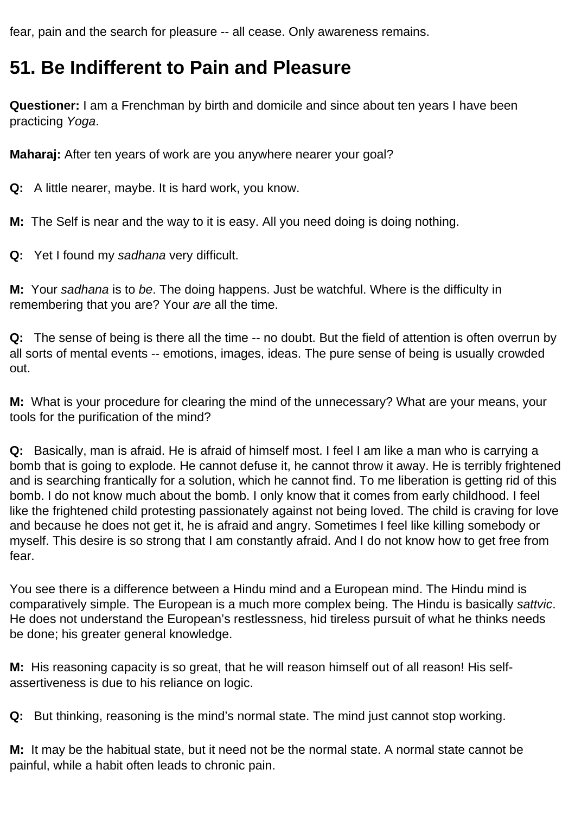fear, pain and the search for pleasure -- all cease. Only awareness remains.

## **51. Be Indifferent to Pain and Pleasure**

**Questioner:** I am a Frenchman by birth and domicile and since about ten years I have been practicing *Yoga*.

**Maharaj:** After ten years of work are you anywhere nearer your goal?

**Q:** A little nearer, maybe. It is hard work, you know.

**M:** The Self is near and the way to it is easy. All you need doing is doing nothing.

**Q:** Yet I found my *sadhana* very difficult.

**M:** Your *sadhana* is to *be*. The doing happens. Just be watchful. Where is the difficulty in remembering that you are? Your *are* all the time.

**Q:** The sense of being is there all the time -- no doubt. But the field of attention is often overrun by all sorts of mental events -- emotions, images, ideas. The pure sense of being is usually crowded out.

**M:** What is your procedure for clearing the mind of the unnecessary? What are your means, your tools for the purification of the mind?

**Q:** Basically, man is afraid. He is afraid of himself most. I feel I am like a man who is carrying a bomb that is going to explode. He cannot defuse it, he cannot throw it away. He is terribly frightened and is searching frantically for a solution, which he cannot find. To me liberation is getting rid of this bomb. I do not know much about the bomb. I only know that it comes from early childhood. I feel like the frightened child protesting passionately against not being loved. The child is craving for love and because he does not get it, he is afraid and angry. Sometimes I feel like killing somebody or myself. This desire is so strong that I am constantly afraid. And I do not know how to get free from fear.

You see there is a difference between a Hindu mind and a European mind. The Hindu mind is comparatively simple. The European is a much more complex being. The Hindu is basically *sattvic*. He does not understand the European's restlessness, hid tireless pursuit of what he thinks needs be done; his greater general knowledge.

**M:** His reasoning capacity is so great, that he will reason himself out of all reason! His selfassertiveness is due to his reliance on logic.

**Q:** But thinking, reasoning is the mind's normal state. The mind just cannot stop working.

**M:** It may be the habitual state, but it need not be the normal state. A normal state cannot be painful, while a habit often leads to chronic pain.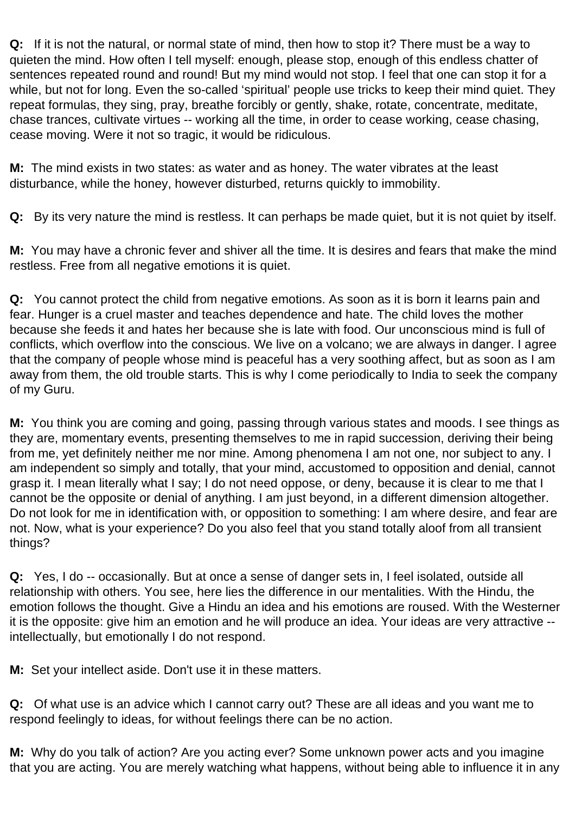**Q:** If it is not the natural, or normal state of mind, then how to stop it? There must be a way to quieten the mind. How often I tell myself: enough, please stop, enough of this endless chatter of sentences repeated round and round! But my mind would not stop. I feel that one can stop it for a while, but not for long. Even the so-called 'spiritual' people use tricks to keep their mind quiet. They repeat formulas, they sing, pray, breathe forcibly or gently, shake, rotate, concentrate, meditate, chase trances, cultivate virtues -- working all the time, in order to cease working, cease chasing, cease moving. Were it not so tragic, it would be ridiculous.

**M:** The mind exists in two states: as water and as honey. The water vibrates at the least disturbance, while the honey, however disturbed, returns quickly to immobility.

**Q:** By its very nature the mind is restless. It can perhaps be made quiet, but it is not quiet by itself.

**M:** You may have a chronic fever and shiver all the time. It is desires and fears that make the mind restless. Free from all negative emotions it is quiet.

**Q:** You cannot protect the child from negative emotions. As soon as it is born it learns pain and fear. Hunger is a cruel master and teaches dependence and hate. The child loves the mother because she feeds it and hates her because she is late with food. Our unconscious mind is full of conflicts, which overflow into the conscious. We live on a volcano; we are always in danger. I agree that the company of people whose mind is peaceful has a very soothing affect, but as soon as I am away from them, the old trouble starts. This is why I come periodically to India to seek the company of my Guru.

**M:** You think you are coming and going, passing through various states and moods. I see things as they are, momentary events, presenting themselves to me in rapid succession, deriving their being from me, yet definitely neither me nor mine. Among phenomena I am not one, nor subject to any. I am independent so simply and totally, that your mind, accustomed to opposition and denial, cannot grasp it. I mean literally what I say; I do not need oppose, or deny, because it is clear to me that I cannot be the opposite or denial of anything. I am just beyond, in a different dimension altogether. Do not look for me in identification with, or opposition to something: I am where desire, and fear are not. Now, what is your experience? Do you also feel that you stand totally aloof from all transient things?

**Q:** Yes, I do -- occasionally. But at once a sense of danger sets in, I feel isolated, outside all relationship with others. You see, here lies the difference in our mentalities. With the Hindu, the emotion follows the thought. Give a Hindu an idea and his emotions are roused. With the Westerner it is the opposite: give him an emotion and he will produce an idea. Your ideas are very attractive - intellectually, but emotionally I do not respond.

**M:** Set your intellect aside. Don't use it in these matters.

**Q:** Of what use is an advice which I cannot carry out? These are all ideas and you want me to respond feelingly to ideas, for without feelings there can be no action.

**M:** Why do you talk of action? Are you acting ever? Some unknown power acts and you imagine that you are acting. You are merely watching what happens, without being able to influence it in any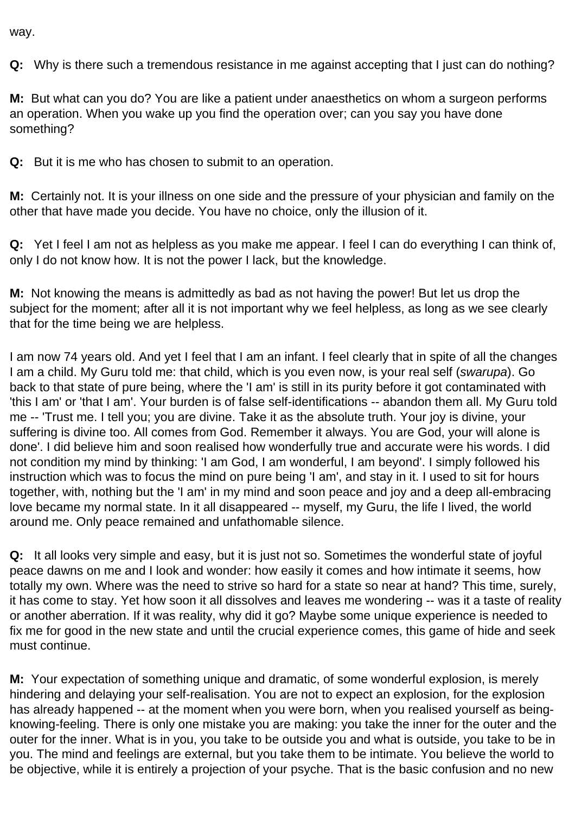way.

**Q:** Why is there such a tremendous resistance in me against accepting that I just can do nothing?

**M:** But what can you do? You are like a patient under anaesthetics on whom a surgeon performs an operation. When you wake up you find the operation over; can you say you have done something?

**Q:** But it is me who has chosen to submit to an operation.

**M:** Certainly not. It is your illness on one side and the pressure of your physician and family on the other that have made you decide. You have no choice, only the illusion of it.

**Q:** Yet I feel I am not as helpless as you make me appear. I feel I can do everything I can think of, only I do not know how. It is not the power I lack, but the knowledge.

**M:** Not knowing the means is admittedly as bad as not having the power! But let us drop the subject for the moment; after all it is not important why we feel helpless, as long as we see clearly that for the time being we are helpless.

I am now 74 years old. And yet I feel that I am an infant. I feel clearly that in spite of all the changes I am a child. My Guru told me: that child, which is you even now, is your real self (*swarupa*). Go back to that state of pure being, where the 'I am' is still in its purity before it got contaminated with 'this I am' or 'that I am'. Your burden is of false self-identifications -- abandon them all. My Guru told me -- 'Trust me. I tell you; you are divine. Take it as the absolute truth. Your joy is divine, your suffering is divine too. All comes from God. Remember it always. You are God, your will alone is done'. I did believe him and soon realised how wonderfully true and accurate were his words. I did not condition my mind by thinking: 'I am God, I am wonderful, I am beyond'. I simply followed his instruction which was to focus the mind on pure being 'I am', and stay in it. I used to sit for hours together, with, nothing but the 'I am' in my mind and soon peace and joy and a deep all-embracing love became my normal state. In it all disappeared -- myself, my Guru, the life I lived, the world around me. Only peace remained and unfathomable silence.

**Q:** It all looks very simple and easy, but it is just not so. Sometimes the wonderful state of joyful peace dawns on me and I look and wonder: how easily it comes and how intimate it seems, how totally my own. Where was the need to strive so hard for a state so near at hand? This time, surely, it has come to stay. Yet how soon it all dissolves and leaves me wondering -- was it a taste of reality or another aberration. If it was reality, why did it go? Maybe some unique experience is needed to fix me for good in the new state and until the crucial experience comes, this game of hide and seek must continue.

**M:** Your expectation of something unique and dramatic, of some wonderful explosion, is merely hindering and delaying your self-realisation. You are not to expect an explosion, for the explosion has already happened -- at the moment when you were born, when you realised yourself as beingknowing-feeling. There is only one mistake you are making: you take the inner for the outer and the outer for the inner. What is in you, you take to be outside you and what is outside, you take to be in you. The mind and feelings are external, but you take them to be intimate. You believe the world to be objective, while it is entirely a projection of your psyche. That is the basic confusion and no new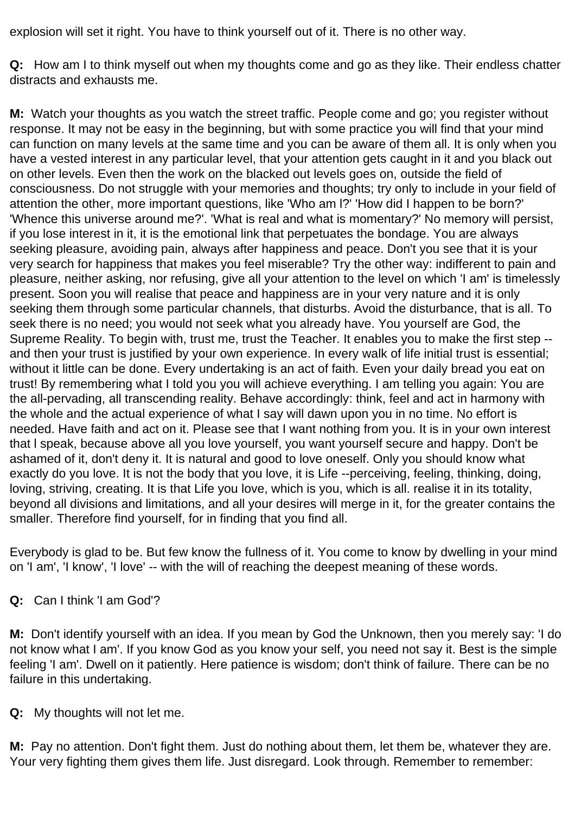explosion will set it right. You have to think yourself out of it. There is no other way.

**Q:** How am I to think myself out when my thoughts come and go as they like. Their endless chatter distracts and exhausts me.

**M:** Watch your thoughts as you watch the street traffic. People come and go; you register without response. It may not be easy in the beginning, but with some practice you will find that your mind can function on many levels at the same time and you can be aware of them all. It is only when you have a vested interest in any particular level, that your attention gets caught in it and you black out on other levels. Even then the work on the blacked out levels goes on, outside the field of consciousness. Do not struggle with your memories and thoughts; try only to include in your field of attention the other, more important questions, like 'Who am l?' 'How did I happen to be born?' 'Whence this universe around me?'. 'What is real and what is momentary?' No memory will persist, if you lose interest in it, it is the emotional link that perpetuates the bondage. You are always seeking pleasure, avoiding pain, always after happiness and peace. Don't you see that it is your very search for happiness that makes you feel miserable? Try the other way: indifferent to pain and pleasure, neither asking, nor refusing, give all your attention to the level on which 'I am' is timelessly present. Soon you will realise that peace and happiness are in your very nature and it is only seeking them through some particular channels, that disturbs. Avoid the disturbance, that is all. To seek there is no need; you would not seek what you already have. You yourself are God, the Supreme Reality. To begin with, trust me, trust the Teacher. It enables you to make the first step - and then your trust is justified by your own experience. In every walk of life initial trust is essential; without it little can be done. Every undertaking is an act of faith. Even your daily bread you eat on trust! By remembering what I told you you will achieve everything. I am telling you again: You are the all-pervading, all transcending reality. Behave accordingly: think, feel and act in harmony with the whole and the actual experience of what I say will dawn upon you in no time. No effort is needed. Have faith and act on it. Please see that I want nothing from you. It is in your own interest that l speak, because above all you love yourself, you want yourself secure and happy. Don't be ashamed of it, don't deny it. It is natural and good to love oneself. Only you should know what exactly do you love. It is not the body that you love, it is Life --perceiving, feeling, thinking, doing, loving, striving, creating. It is that Life you love, which is you, which is all. realise it in its totality, beyond all divisions and limitations, and all your desires will merge in it, for the greater contains the smaller. Therefore find yourself, for in finding that you find all.

Everybody is glad to be. But few know the fullness of it. You come to know by dwelling in your mind on 'I am', 'I know', 'I love' -- with the will of reaching the deepest meaning of these words.

**Q:** Can I think 'I am God'?

**M:** Don't identify yourself with an idea. If you mean by God the Unknown, then you merely say: 'I do not know what I am'. If you know God as you know your self, you need not say it. Best is the simple feeling 'I am'. Dwell on it patiently. Here patience is wisdom; don't think of failure. There can be no failure in this undertaking.

**Q:** My thoughts will not let me.

**M:** Pay no attention. Don't fight them. Just do nothing about them, let them be, whatever they are. Your very fighting them gives them life. Just disregard. Look through. Remember to remember: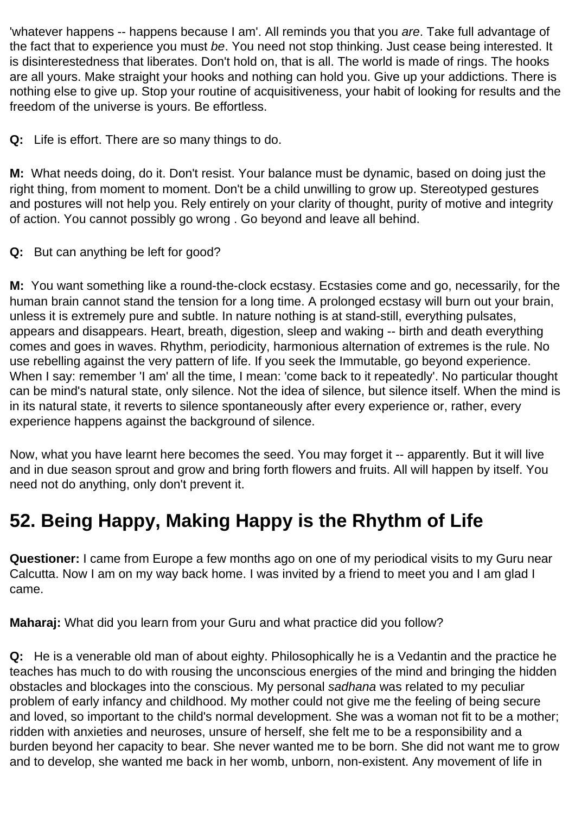'whatever happens -- happens because I am'. All reminds you that you *are*. Take full advantage of the fact that to experience you must *be*. You need not stop thinking. Just cease being interested. It is disinterestedness that liberates. Don't hold on, that is all. The world is made of rings. The hooks are all yours. Make straight your hooks and nothing can hold you. Give up your addictions. There is nothing else to give up. Stop your routine of acquisitiveness, your habit of looking for results and the freedom of the universe is yours. Be effortless.

**Q:** Life is effort. There are so many things to do.

**M:** What needs doing, do it. Don't resist. Your balance must be dynamic, based on doing just the right thing, from moment to moment. Don't be a child unwilling to grow up. Stereotyped gestures and postures will not help you. Rely entirely on your clarity of thought, purity of motive and integrity of action. You cannot possibly go wrong . Go beyond and leave all behind.

**Q:** But can anything be left for good?

**M:** You want something like a round-the-clock ecstasy. Ecstasies come and go, necessarily, for the human brain cannot stand the tension for a long time. A prolonged ecstasy will burn out your brain, unless it is extremely pure and subtle. In nature nothing is at stand-still, everything pulsates, appears and disappears. Heart, breath, digestion, sleep and waking -- birth and death everything comes and goes in waves. Rhythm, periodicity, harmonious alternation of extremes is the rule. No use rebelling against the very pattern of life. If you seek the Immutable, go beyond experience. When I say: remember 'I am' all the time, I mean: 'come back to it repeatedly'. No particular thought can be mind's natural state, only silence. Not the idea of silence, but silence itself. When the mind is in its natural state, it reverts to silence spontaneously after every experience or, rather, every experience happens against the background of silence.

Now, what you have learnt here becomes the seed. You may forget it -- apparently. But it will live and in due season sprout and grow and bring forth flowers and fruits. All will happen by itself. You need not do anything, only don't prevent it.

## **52. Being Happy, Making Happy is the Rhythm of Life**

**Questioner:** I came from Europe a few months ago on one of my periodical visits to my Guru near Calcutta. Now I am on my way back home. I was invited by a friend to meet you and I am glad I came.

**Maharaj:** What did you learn from your Guru and what practice did you follow?

**Q:** He is a venerable old man of about eighty. Philosophically he is a Vedantin and the practice he teaches has much to do with rousing the unconscious energies of the mind and bringing the hidden obstacles and blockages into the conscious. My personal *sadhana* was related to my peculiar problem of early infancy and childhood. My mother could not give me the feeling of being secure and loved, so important to the child's normal development. She was a woman not fit to be a mother; ridden with anxieties and neuroses, unsure of herself, she felt me to be a responsibility and a burden beyond her capacity to bear. She never wanted me to be born. She did not want me to grow and to develop, she wanted me back in her womb, unborn, non-existent. Any movement of life in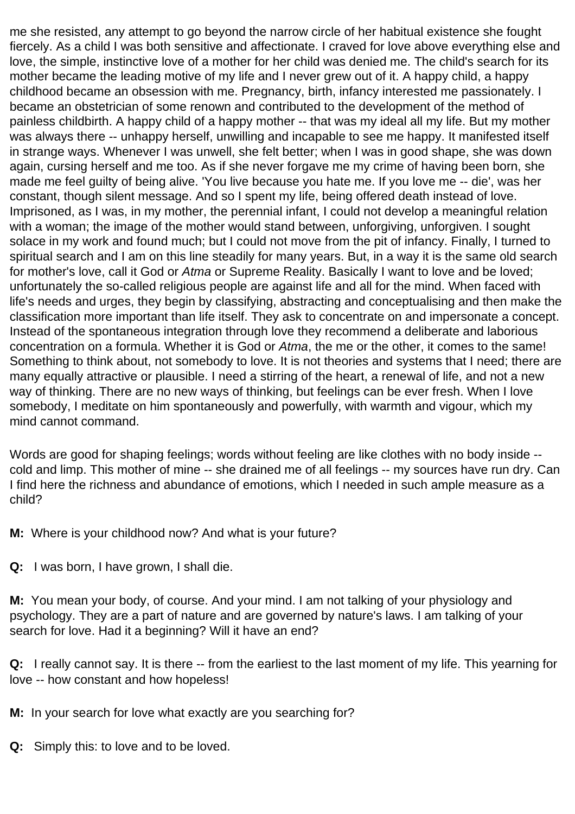me she resisted, any attempt to go beyond the narrow circle of her habitual existence she fought fiercely. As a child I was both sensitive and affectionate. I craved for love above everything else and love, the simple, instinctive love of a mother for her child was denied me. The child's search for its mother became the leading motive of my life and I never grew out of it. A happy child, a happy childhood became an obsession with me. Pregnancy, birth, infancy interested me passionately. I became an obstetrician of some renown and contributed to the development of the method of painless childbirth. A happy child of a happy mother -- that was my ideal all my life. But my mother was always there -- unhappy herself, unwilling and incapable to see me happy. It manifested itself in strange ways. Whenever I was unwell, she felt better; when I was in good shape, she was down again, cursing herself and me too. As if she never forgave me my crime of having been born, she made me feel guilty of being alive. 'You live because you hate me. If you love me -- die', was her constant, though silent message. And so I spent my life, being offered death instead of love. Imprisoned, as I was, in my mother, the perennial infant, I could not develop a meaningful relation with a woman; the image of the mother would stand between, unforgiving, unforgiven. I sought solace in my work and found much; but I could not move from the pit of infancy. Finally, I turned to spiritual search and I am on this line steadily for many years. But, in a way it is the same old search for mother's love, call it God or *Atma* or Supreme Reality. Basically I want to love and be loved; unfortunately the so-called religious people are against life and all for the mind. When faced with life's needs and urges, they begin by classifying, abstracting and conceptualising and then make the classification more important than life itself. They ask to concentrate on and impersonate a concept. Instead of the spontaneous integration through love they recommend a deliberate and laborious concentration on a formula. Whether it is God or *Atma*, the me or the other, it comes to the same! Something to think about, not somebody to love. It is not theories and systems that I need; there are many equally attractive or plausible. I need a stirring of the heart, a renewal of life, and not a new way of thinking. There are no new ways of thinking, but feelings can be ever fresh. When I love somebody, I meditate on him spontaneously and powerfully, with warmth and vigour, which my mind cannot command.

Words are good for shaping feelings; words without feeling are like clothes with no body inside - cold and limp. This mother of mine -- she drained me of all feelings -- my sources have run dry. Can I find here the richness and abundance of emotions, which I needed in such ample measure as a child?

**M:** Where is your childhood now? And what is your future?

**Q:** I was born, I have grown, I shall die.

**M:** You mean your body, of course. And your mind. I am not talking of your physiology and psychology. They are a part of nature and are governed by nature's laws. I am talking of your search for love. Had it a beginning? Will it have an end?

**Q:** I really cannot say. It is there -- from the earliest to the last moment of my life. This yearning for love -- how constant and how hopeless!

**M:** In your search for love what exactly are you searching for?

**Q:** Simply this: to love and to be loved.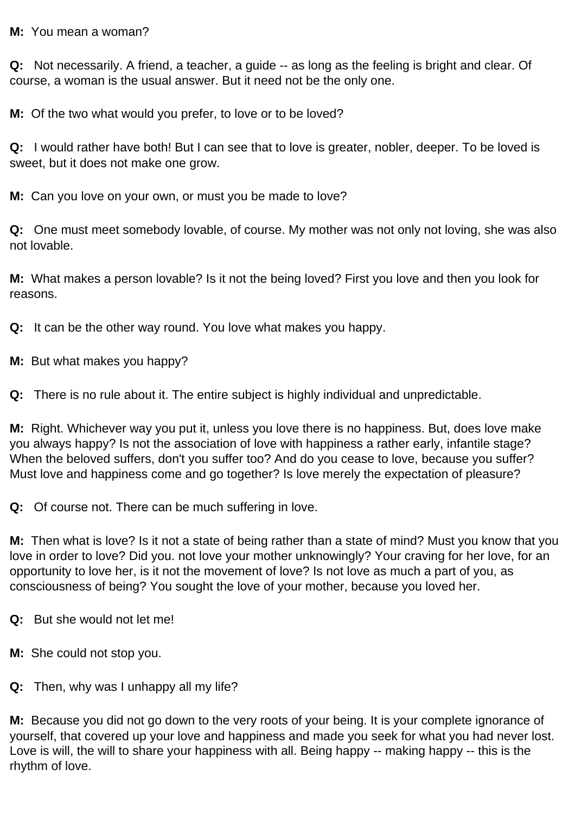#### **M:** You mean a woman?

**Q:** Not necessarily. A friend, a teacher, a guide -- as long as the feeling is bright and clear. Of course, a woman is the usual answer. But it need not be the only one.

**M:** Of the two what would you prefer, to love or to be loved?

**Q:** I would rather have both! But I can see that to love is greater, nobler, deeper. To be loved is sweet, but it does not make one grow.

**M:** Can you love on your own, or must you be made to love?

**Q:** One must meet somebody lovable, of course. My mother was not only not loving, she was also not lovable.

**M:** What makes a person lovable? Is it not the being loved? First you love and then you look for reasons.

**Q:** It can be the other way round. You love what makes you happy.

**M:** But what makes you happy?

**Q:** There is no rule about it. The entire subject is highly individual and unpredictable.

**M:** Right. Whichever way you put it, unless you love there is no happiness. But, does love make you always happy? Is not the association of love with happiness a rather early, infantile stage? When the beloved suffers, don't you suffer too? And do you cease to love, because you suffer? Must love and happiness come and go together? Is love merely the expectation of pleasure?

**Q:** Of course not. There can be much suffering in love.

**M:** Then what is love? Is it not a state of being rather than a state of mind? Must you know that you love in order to love? Did you. not love your mother unknowingly? Your craving for her love, for an opportunity to love her, is it not the movement of love? Is not love as much a part of you, as consciousness of being? You sought the love of your mother, because you loved her.

- **Q:** But she would not let me!
- **M:** She could not stop you.
- **Q:** Then, why was I unhappy all my life?

**M:** Because you did not go down to the very roots of your being. It is your complete ignorance of yourself, that covered up your love and happiness and made you seek for what you had never lost. Love is will, the will to share your happiness with all. Being happy -- making happy -- this is the rhythm of love.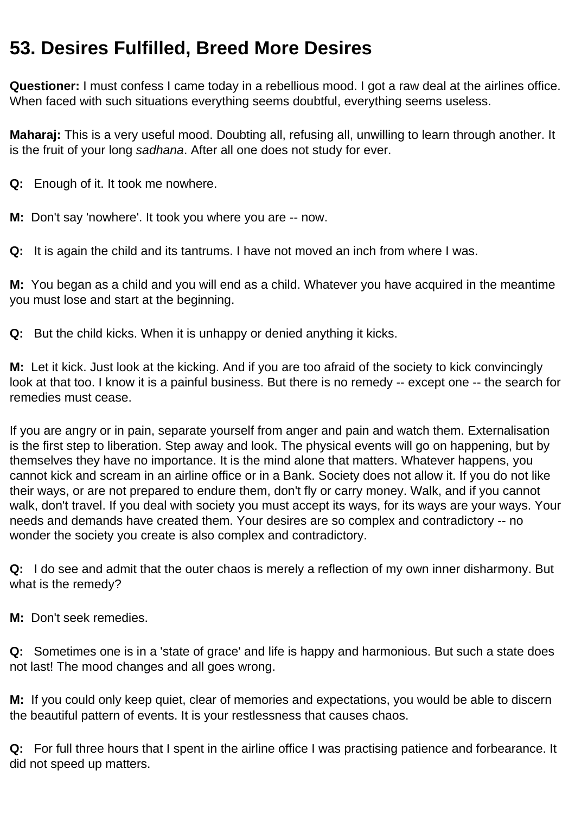## **53. Desires Fulfilled, Breed More Desires**

**Questioner:** I must confess I came today in a rebellious mood. I got a raw deal at the airlines office. When faced with such situations everything seems doubtful, everything seems useless.

**Maharaj:** This is a very useful mood. Doubting all, refusing all, unwilling to learn through another. It is the fruit of your long *sadhana*. After all one does not study for ever.

**Q:** Enough of it. It took me nowhere.

**M:** Don't say 'nowhere'. It took you where you are -- now.

**Q:** It is again the child and its tantrums. I have not moved an inch from where I was.

**M:** You began as a child and you will end as a child. Whatever you have acquired in the meantime you must lose and start at the beginning.

**Q:** But the child kicks. When it is unhappy or denied anything it kicks.

**M:** Let it kick. Just look at the kicking. And if you are too afraid of the society to kick convincingly look at that too. I know it is a painful business. But there is no remedy -- except one -- the search for remedies must cease.

If you are angry or in pain, separate yourself from anger and pain and watch them. Externalisation is the first step to liberation. Step away and look. The physical events will go on happening, but by themselves they have no importance. It is the mind alone that matters. Whatever happens, you cannot kick and scream in an airline office or in a Bank. Society does not allow it. If you do not like their ways, or are not prepared to endure them, don't fly or carry money. Walk, and if you cannot walk, don't travel. If you deal with society you must accept its ways, for its ways are your ways. Your needs and demands have created them. Your desires are so complex and contradictory -- no wonder the society you create is also complex and contradictory.

**Q:** I do see and admit that the outer chaos is merely a reflection of my own inner disharmony. But what is the remedy?

**M:** Don't seek remedies.

**Q:** Sometimes one is in a 'state of grace' and life is happy and harmonious. But such a state does not last! The mood changes and all goes wrong.

**M:** If you could only keep quiet, clear of memories and expectations, you would be able to discern the beautiful pattern of events. It is your restlessness that causes chaos.

**Q:** For full three hours that I spent in the airline office I was practising patience and forbearance. It did not speed up matters.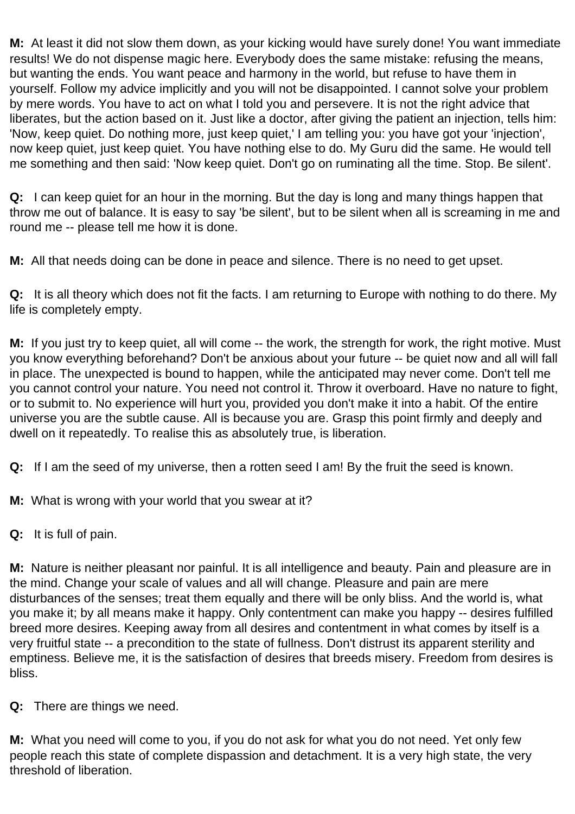**M:** At least it did not slow them down, as your kicking would have surely done! You want immediate results! We do not dispense magic here. Everybody does the same mistake: refusing the means, but wanting the ends. You want peace and harmony in the world, but refuse to have them in yourself. Follow my advice implicitly and you will not be disappointed. I cannot solve your problem by mere words. You have to act on what I told you and persevere. It is not the right advice that liberates, but the action based on it. Just like a doctor, after giving the patient an injection, tells him: 'Now, keep quiet. Do nothing more, just keep quiet,' I am telling you: you have got your 'injection', now keep quiet, just keep quiet. You have nothing else to do. My Guru did the same. He would tell me something and then said: 'Now keep quiet. Don't go on ruminating all the time. Stop. Be silent'.

**Q:** I can keep quiet for an hour in the morning. But the day is long and many things happen that throw me out of balance. It is easy to say 'be silent', but to be silent when all is screaming in me and round me -- please tell me how it is done.

**M:** All that needs doing can be done in peace and silence. There is no need to get upset.

**Q:** It is all theory which does not fit the facts. I am returning to Europe with nothing to do there. My life is completely empty.

**M:** If you just try to keep quiet, all will come -- the work, the strength for work, the right motive. Must you know everything beforehand? Don't be anxious about your future -- be quiet now and all will fall in place. The unexpected is bound to happen, while the anticipated may never come. Don't tell me you cannot control your nature. You need not control it. Throw it overboard. Have no nature to fight, or to submit to. No experience will hurt you, provided you don't make it into a habit. Of the entire universe you are the subtle cause. All is because you are. Grasp this point firmly and deeply and dwell on it repeatedly. To realise this as absolutely true, is liberation.

**Q:** If I am the seed of my universe, then a rotten seed I am! By the fruit the seed is known.

**M:** What is wrong with your world that you swear at it?

**Q:** It is full of pain.

**M:** Nature is neither pleasant nor painful. It is all intelligence and beauty. Pain and pleasure are in the mind. Change your scale of values and all will change. Pleasure and pain are mere disturbances of the senses; treat them equally and there will be only bliss. And the world is, what you make it; by all means make it happy. Only contentment can make you happy -- desires fulfilled breed more desires. Keeping away from all desires and contentment in what comes by itself is a very fruitful state -- a precondition to the state of fullness. Don't distrust its apparent sterility and emptiness. Believe me, it is the satisfaction of desires that breeds misery. Freedom from desires is bliss.

**Q:** There are things we need.

**M:** What you need will come to you, if you do not ask for what you do not need. Yet only few people reach this state of complete dispassion and detachment. It is a very high state, the very threshold of liberation.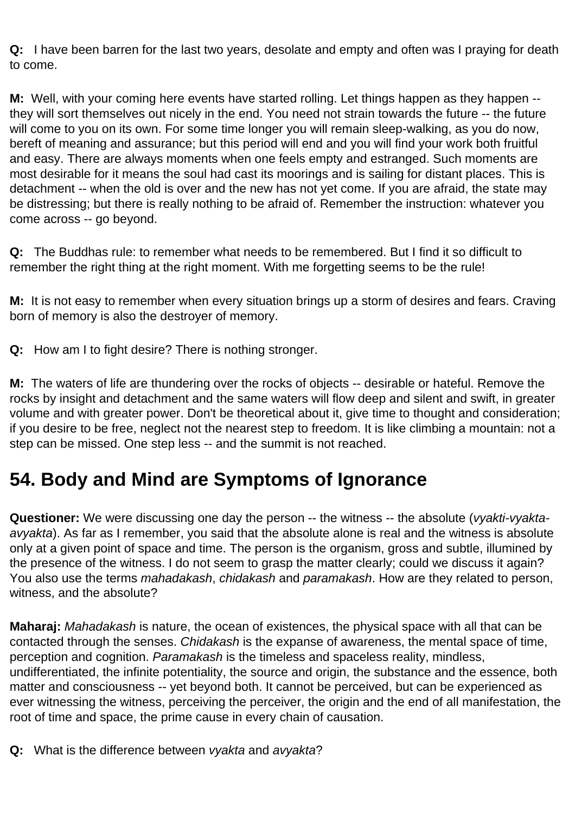**Q:** I have been barren for the last two years, desolate and empty and often was I praying for death to come.

**M:** Well, with your coming here events have started rolling. Let things happen as they happen - they will sort themselves out nicely in the end. You need not strain towards the future -- the future will come to you on its own. For some time longer you will remain sleep-walking, as you do now, bereft of meaning and assurance; but this period will end and you will find your work both fruitful and easy. There are always moments when one feels empty and estranged. Such moments are most desirable for it means the soul had cast its moorings and is sailing for distant places. This is detachment -- when the old is over and the new has not yet come. If you are afraid, the state may be distressing; but there is really nothing to be afraid of. Remember the instruction: whatever you come across -- go beyond.

**Q:** The Buddhas rule: to remember what needs to be remembered. But I find it so difficult to remember the right thing at the right moment. With me forgetting seems to be the rule!

**M:** It is not easy to remember when every situation brings up a storm of desires and fears. Craving born of memory is also the destroyer of memory.

**Q:** How am I to fight desire? There is nothing stronger.

**M:** The waters of life are thundering over the rocks of objects -- desirable or hateful. Remove the rocks by insight and detachment and the same waters will flow deep and silent and swift, in greater volume and with greater power. Don't be theoretical about it, give time to thought and consideration; if you desire to be free, neglect not the nearest step to freedom. It is like climbing a mountain: not a step can be missed. One step less -- and the summit is not reached.

## **54. Body and Mind are Symptoms of Ignorance**

**Questioner:** We were discussing one day the person -- the witness -- the absolute (*vyakti-vyaktaavyakta*). As far as I remember, you said that the absolute alone is real and the witness is absolute only at a given point of space and time. The person is the organism, gross and subtle, illumined by the presence of the witness. I do not seem to grasp the matter clearly; could we discuss it again? You also use the terms *mahadakash*, *chidakash* and *paramakash*. How are they related to person, witness, and the absolute?

**Maharaj:** *Mahadakash* is nature, the ocean of existences, the physical space with all that can be contacted through the senses. *Chidakash* is the expanse of awareness, the mental space of time, perception and cognition. *Paramakash* is the timeless and spaceless reality, mindless, undifferentiated, the infinite potentiality, the source and origin, the substance and the essence, both matter and consciousness -- yet beyond both. It cannot be perceived, but can be experienced as ever witnessing the witness, perceiving the perceiver, the origin and the end of all manifestation, the root of time and space, the prime cause in every chain of causation.

**Q:** What is the difference between *vyakta* and *avyakta*?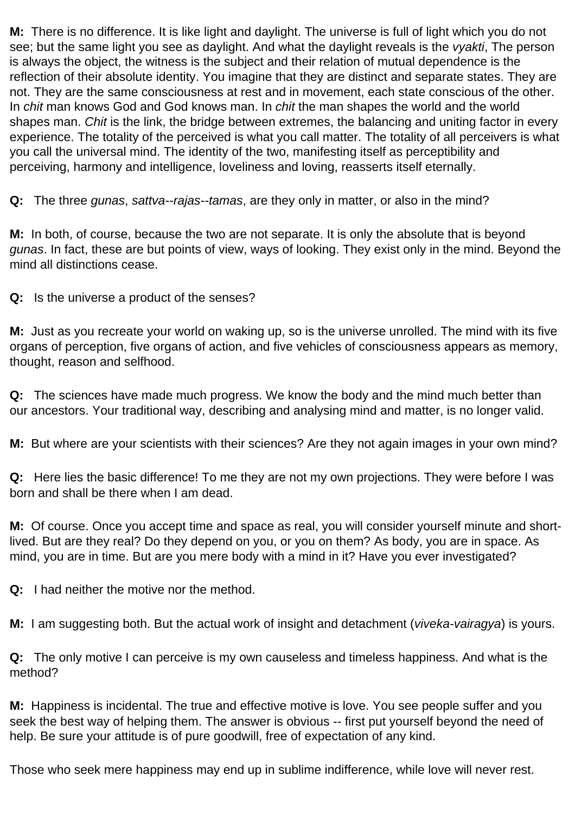**M:** There is no difference. It is like light and daylight. The universe is full of light which you do not see; but the same light you see as daylight. And what the daylight reveals is the *vyakti*, The person is always the object, the witness is the subject and their relation of mutual dependence is the reflection of their absolute identity. You imagine that they are distinct and separate states. They are not. They are the same consciousness at rest and in movement, each state conscious of the other. In *chit* man knows God and God knows man. In *chit* the man shapes the world and the world shapes man. *Chit* is the link, the bridge between extremes, the balancing and uniting factor in every experience. The totality of the perceived is what you call matter. The totality of all perceivers is what you call the universal mind. The identity of the two, manifesting itself as perceptibility and perceiving, harmony and intelligence, loveliness and loving, reasserts itself eternally.

**Q:** The three *gunas*, *sattva--rajas--tamas*, are they only in matter, or also in the mind?

**M:** In both, of course, because the two are not separate. It is only the absolute that is beyond *gunas*. In fact, these are but points of view, ways of looking. They exist only in the mind. Beyond the mind all distinctions cease.

**Q:** Is the universe a product of the senses?

**M:** Just as you recreate your world on waking up, so is the universe unrolled. The mind with its five organs of perception, five organs of action, and five vehicles of consciousness appears as memory, thought, reason and selfhood.

**Q:** The sciences have made much progress. We know the body and the mind much better than our ancestors. Your traditional way, describing and analysing mind and matter, is no longer valid.

**M:** But where are your scientists with their sciences? Are they not again images in your own mind?

**Q:** Here lies the basic difference! To me they are not my own projections. They were before I was born and shall be there when I am dead.

**M:** Of course. Once you accept time and space as real, you will consider yourself minute and shortlived. But are they real? Do they depend on you, or you on them? As body, you are in space. As mind, you are in time. But are you mere body with a mind in it? Have you ever investigated?

**Q:** I had neither the motive nor the method.

**M:** I am suggesting both. But the actual work of insight and detachment (*viveka-vairagya*) is yours.

**Q:** The only motive I can perceive is my own causeless and timeless happiness. And what is the method?

**M:** Happiness is incidental. The true and effective motive is love. You see people suffer and you seek the best way of helping them. The answer is obvious -- first put yourself beyond the need of help. Be sure your attitude is of pure goodwill, free of expectation of any kind.

Those who seek mere happiness may end up in sublime indifference, while love will never rest.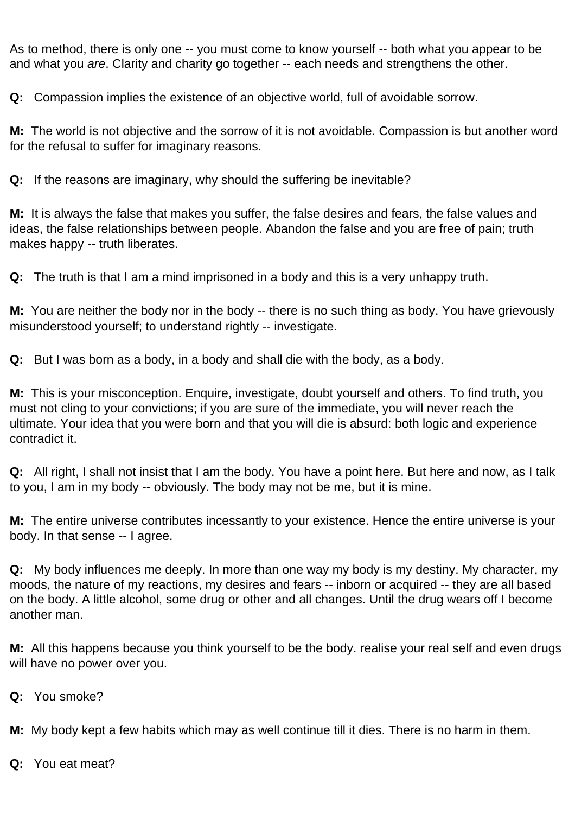As to method, there is only one -- you must come to know yourself -- both what you appear to be and what you *are*. Clarity and charity go together -- each needs and strengthens the other.

**Q:** Compassion implies the existence of an objective world, full of avoidable sorrow.

**M:** The world is not objective and the sorrow of it is not avoidable. Compassion is but another word for the refusal to suffer for imaginary reasons.

**Q:** If the reasons are imaginary, why should the suffering be inevitable?

**M:** It is always the false that makes you suffer, the false desires and fears, the false values and ideas, the false relationships between people. Abandon the false and you are free of pain; truth makes happy -- truth liberates.

**Q:** The truth is that I am a mind imprisoned in a body and this is a very unhappy truth.

**M:** You are neither the body nor in the body -- there is no such thing as body. You have grievously misunderstood yourself; to understand rightly -- investigate.

**Q:** But I was born as a body, in a body and shall die with the body, as a body.

**M:** This is your misconception. Enquire, investigate, doubt yourself and others. To find truth, you must not cling to your convictions; if you are sure of the immediate, you will never reach the ultimate. Your idea that you were born and that you will die is absurd: both logic and experience contradict it.

**Q:** All right, I shall not insist that I am the body. You have a point here. But here and now, as I talk to you, I am in my body -- obviously. The body may not be me, but it is mine.

**M:** The entire universe contributes incessantly to your existence. Hence the entire universe is your body. In that sense -- I agree.

**Q:** My body influences me deeply. In more than one way my body is my destiny. My character, my moods, the nature of my reactions, my desires and fears -- inborn or acquired -- they are all based on the body. A little alcohol, some drug or other and all changes. Until the drug wears off I become another man.

**M:** All this happens because you think yourself to be the body. realise your real self and even drugs will have no power over you.

**Q:** You smoke?

**M:** My body kept a few habits which may as well continue till it dies. There is no harm in them.

**Q:** You eat meat?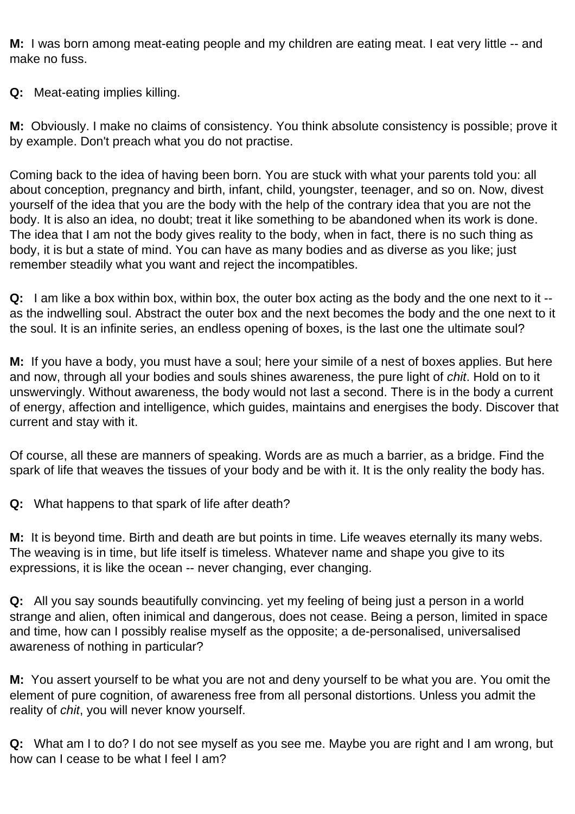**M:** I was born among meat-eating people and my children are eating meat. I eat very little -- and make no fuss.

**Q:** Meat-eating implies killing.

**M:** Obviously. I make no claims of consistency. You think absolute consistency is possible; prove it by example. Don't preach what you do not practise.

Coming back to the idea of having been born. You are stuck with what your parents told you: all about conception, pregnancy and birth, infant, child, youngster, teenager, and so on. Now, divest yourself of the idea that you are the body with the help of the contrary idea that you are not the body. It is also an idea, no doubt; treat it like something to be abandoned when its work is done. The idea that I am not the body gives reality to the body, when in fact, there is no such thing as body, it is but a state of mind. You can have as many bodies and as diverse as you like; just remember steadily what you want and reject the incompatibles.

**Q:** I am like a box within box, within box, the outer box acting as the body and the one next to it - as the indwelling soul. Abstract the outer box and the next becomes the body and the one next to it the soul. It is an infinite series, an endless opening of boxes, is the last one the ultimate soul?

**M:** If you have a body, you must have a soul; here your simile of a nest of boxes applies. But here and now, through all your bodies and souls shines awareness, the pure light of *chit*. Hold on to it unswervingly. Without awareness, the body would not last a second. There is in the body a current of energy, affection and intelligence, which guides, maintains and energises the body. Discover that current and stay with it.

Of course, all these are manners of speaking. Words are as much a barrier, as a bridge. Find the spark of life that weaves the tissues of your body and be with it. It is the only reality the body has.

**Q:** What happens to that spark of life after death?

**M:** It is beyond time. Birth and death are but points in time. Life weaves eternally its many webs. The weaving is in time, but life itself is timeless. Whatever name and shape you give to its expressions, it is like the ocean -- never changing, ever changing.

**Q:** All you say sounds beautifully convincing. yet my feeling of being just a person in a world strange and alien, often inimical and dangerous, does not cease. Being a person, limited in space and time, how can I possibly realise myself as the opposite; a de-personalised, universalised awareness of nothing in particular?

**M:** You assert yourself to be what you are not and deny yourself to be what you are. You omit the element of pure cognition, of awareness free from all personal distortions. Unless you admit the reality of *chit*, you will never know yourself.

**Q:** What am I to do? I do not see myself as you see me. Maybe you are right and I am wrong, but how can I cease to be what I feel I am?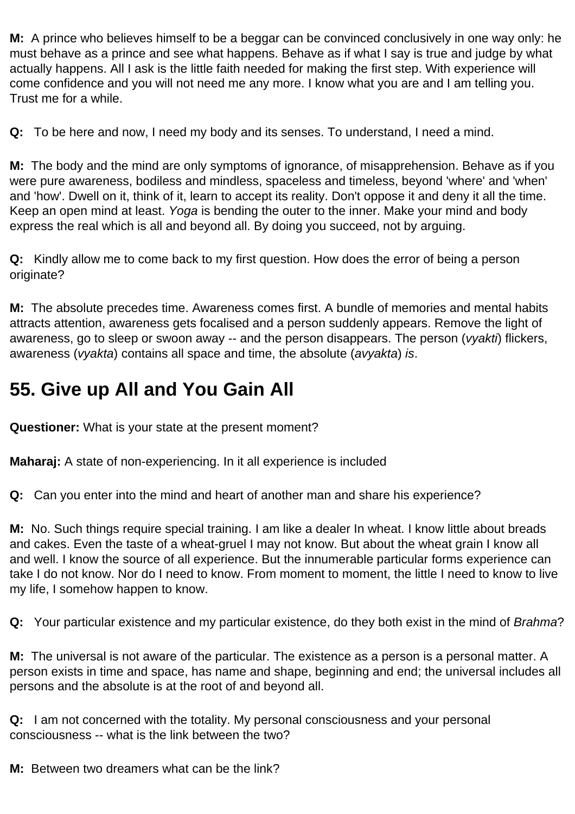**M:** A prince who believes himself to be a beggar can be convinced conclusively in one way only: he must behave as a prince and see what happens. Behave as if what I say is true and judge by what actually happens. All I ask is the little faith needed for making the first step. With experience will come confidence and you will not need me any more. I know what you are and I am telling you. Trust me for a while.

**Q:** To be here and now, I need my body and its senses. To understand, I need a mind.

**M:** The body and the mind are only symptoms of ignorance, of misapprehension. Behave as if you were pure awareness, bodiless and mindless, spaceless and timeless, beyond 'where' and 'when' and 'how'. Dwell on it, think of it, learn to accept its reality. Don't oppose it and deny it all the time. Keep an open mind at least. *Yoga* is bending the outer to the inner. Make your mind and body express the real which is all and beyond all. By doing you succeed, not by arguing.

**Q:** Kindly allow me to come back to my first question. How does the error of being a person originate?

**M:** The absolute precedes time. Awareness comes first. A bundle of memories and mental habits attracts attention, awareness gets focalised and a person suddenly appears. Remove the light of awareness, go to sleep or swoon away -- and the person disappears. The person (*vyakti*) flickers, awareness (*vyakta*) contains all space and time, the absolute (*avyakta*) *is*.

## **55. Give up All and You Gain All**

**Questioner:** What is your state at the present moment?

**Maharaj:** A state of non-experiencing. In it all experience is included

**Q:** Can you enter into the mind and heart of another man and share his experience?

**M:** No. Such things require special training. I am like a dealer In wheat. I know little about breads and cakes. Even the taste of a wheat-gruel I may not know. But about the wheat grain I know all and well. I know the source of all experience. But the innumerable particular forms experience can take I do not know. Nor do I need to know. From moment to moment, the little I need to know to live my life, I somehow happen to know.

**Q:** Your particular existence and my particular existence, do they both exist in the mind of *Brahma*?

**M:** The universal is not aware of the particular. The existence as a person is a personal matter. A person exists in time and space, has name and shape, beginning and end; the universal includes all persons and the absolute is at the root of and beyond all.

**Q:** I am not concerned with the totality. My personal consciousness and your personal consciousness -- what is the link between the two?

**M:** Between two dreamers what can be the link?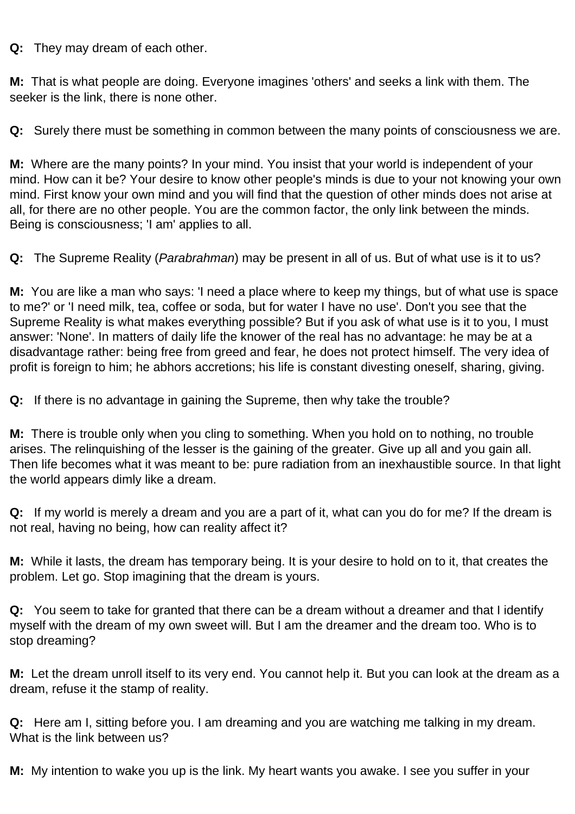**Q:** They may dream of each other.

**M:** That is what people are doing. Everyone imagines 'others' and seeks a link with them. The seeker is the link, there is none other.

**Q:** Surely there must be something in common between the many points of consciousness we are.

**M:** Where are the many points? In your mind. You insist that your world is independent of your mind. How can it be? Your desire to know other people's minds is due to your not knowing your own mind. First know your own mind and you will find that the question of other minds does not arise at all, for there are no other people. You are the common factor, the only link between the minds. Being is consciousness; 'I am' applies to all.

**Q:** The Supreme Reality (*Parabrahman*) may be present in all of us. But of what use is it to us?

**M:** You are like a man who says: 'I need a place where to keep my things, but of what use is space to me?' or 'I need milk, tea, coffee or soda, but for water I have no use'. Don't you see that the Supreme Reality is what makes everything possible? But if you ask of what use is it to you, I must answer: 'None'. In matters of daily life the knower of the real has no advantage: he may be at a disadvantage rather: being free from greed and fear, he does not protect himself. The very idea of profit is foreign to him; he abhors accretions; his life is constant divesting oneself, sharing, giving.

**Q:** If there is no advantage in gaining the Supreme, then why take the trouble?

**M:** There is trouble only when you cling to something. When you hold on to nothing, no trouble arises. The relinquishing of the lesser is the gaining of the greater. Give up all and you gain all. Then life becomes what it was meant to be: pure radiation from an inexhaustible source. In that light the world appears dimly like a dream.

**Q:** If my world is merely a dream and you are a part of it, what can you do for me? If the dream is not real, having no being, how can reality affect it?

**M:** While it lasts, the dream has temporary being. It is your desire to hold on to it, that creates the problem. Let go. Stop imagining that the dream is yours.

**Q:** You seem to take for granted that there can be a dream without a dreamer and that I identify myself with the dream of my own sweet will. But I am the dreamer and the dream too. Who is to stop dreaming?

**M:** Let the dream unroll itself to its very end. You cannot help it. But you can look at the dream as a dream, refuse it the stamp of reality.

**Q:** Here am I, sitting before you. I am dreaming and you are watching me talking in my dream. What is the link between us?

**M:** My intention to wake you up is the link. My heart wants you awake. I see you suffer in your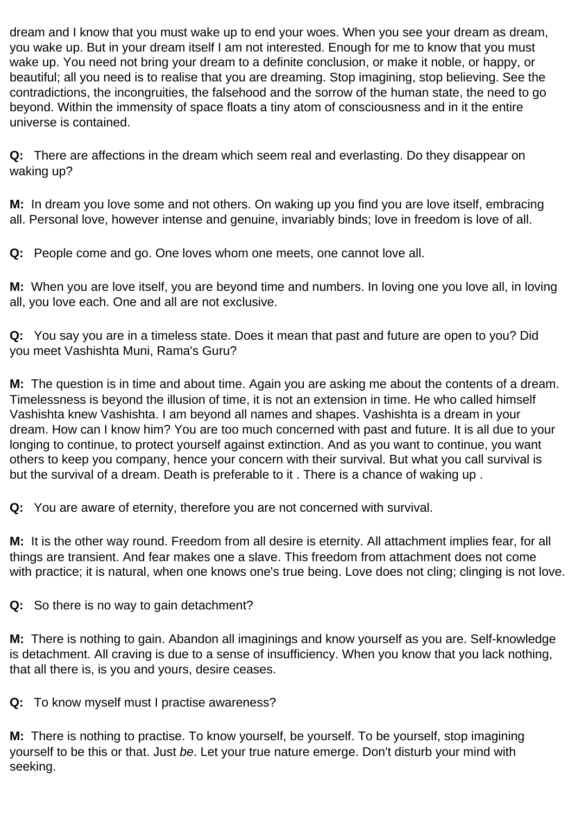dream and I know that you must wake up to end your woes. When you see your dream as dream, you wake up. But in your dream itself I am not interested. Enough for me to know that you must wake up. You need not bring your dream to a definite conclusion, or make it noble, or happy, or beautiful; all you need is to realise that you are dreaming. Stop imagining, stop believing. See the contradictions, the incongruities, the falsehood and the sorrow of the human state, the need to go beyond. Within the immensity of space floats a tiny atom of consciousness and in it the entire universe is contained.

**Q:** There are affections in the dream which seem real and everlasting. Do they disappear on waking up?

**M:** In dream you love some and not others. On waking up you find you are love itself, embracing all. Personal love, however intense and genuine, invariably binds; love in freedom is love of all.

**Q:** People come and go. One loves whom one meets, one cannot love all.

**M:** When you are love itself, you are beyond time and numbers. In loving one you love all, in loving all, you love each. One and all are not exclusive.

**Q:** You say you are in a timeless state. Does it mean that past and future are open to you? Did you meet Vashishta Muni, Rama's Guru?

**M:** The question is in time and about time. Again you are asking me about the contents of a dream. Timelessness is beyond the illusion of time, it is not an extension in time. He who called himself Vashishta knew Vashishta. I am beyond all names and shapes. Vashishta is a dream in your dream. How can I know him? You are too much concerned with past and future. It is all due to your longing to continue, to protect yourself against extinction. And as you want to continue, you want others to keep you company, hence your concern with their survival. But what you call survival is but the survival of a dream. Death is preferable to it . There is a chance of waking up .

**Q:** You are aware of eternity, therefore you are not concerned with survival.

**M:** It is the other way round. Freedom from all desire is eternity. All attachment implies fear, for all things are transient. And fear makes one a slave. This freedom from attachment does not come with practice; it is natural, when one knows one's true being. Love does not cling; clinging is not love.

**Q:** So there is no way to gain detachment?

**M:** There is nothing to gain. Abandon all imaginings and know yourself as you are. Self-knowledge is detachment. All craving is due to a sense of insufficiency. When you know that you lack nothing, that all there is, is you and yours, desire ceases.

**Q:** To know myself must I practise awareness?

**M:** There is nothing to practise. To know yourself, be yourself. To be yourself, stop imagining yourself to be this or that. Just *be*. Let your true nature emerge. Don't disturb your mind with seeking.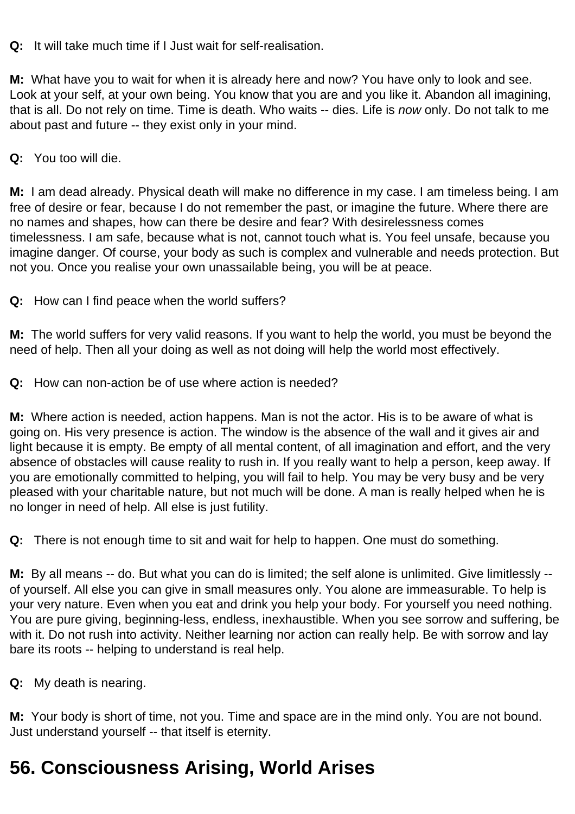**Q:** It will take much time if I Just wait for self-realisation.

**M:** What have you to wait for when it is already here and now? You have only to look and see. Look at your self, at your own being. You know that you are and you like it. Abandon all imagining, that is all. Do not rely on time. Time is death. Who waits -- dies. Life is *now* only. Do not talk to me about past and future -- they exist only in your mind.

**Q:** You too will die.

**M:** I am dead already. Physical death will make no difference in my case. I am timeless being. I am free of desire or fear, because I do not remember the past, or imagine the future. Where there are no names and shapes, how can there be desire and fear? With desirelessness comes timelessness. I am safe, because what is not, cannot touch what is. You feel unsafe, because you imagine danger. Of course, your body as such is complex and vulnerable and needs protection. But not you. Once you realise your own unassailable being, you will be at peace.

#### **Q:** How can I find peace when the world suffers?

**M:** The world suffers for very valid reasons. If you want to help the world, you must be beyond the need of help. Then all your doing as well as not doing will help the world most effectively.

**Q:** How can non-action be of use where action is needed?

**M:** Where action is needed, action happens. Man is not the actor. His is to be aware of what is going on. His very presence is action. The window is the absence of the wall and it gives air and light because it is empty. Be empty of all mental content, of all imagination and effort, and the very absence of obstacles will cause reality to rush in. If you really want to help a person, keep away. If you are emotionally committed to helping, you will fail to help. You may be very busy and be very pleased with your charitable nature, but not much will be done. A man is really helped when he is no longer in need of help. All else is just futility.

**Q:** There is not enough time to sit and wait for help to happen. One must do something.

**M:** By all means -- do. But what you can do is limited; the self alone is unlimited. Give limitlessly - of yourself. All else you can give in small measures only. You alone are immeasurable. To help is your very nature. Even when you eat and drink you help your body. For yourself you need nothing. You are pure giving, beginning-less, endless, inexhaustible. When you see sorrow and suffering, be with it. Do not rush into activity. Neither learning nor action can really help. Be with sorrow and lay bare its roots -- helping to understand is real help.

**Q:** My death is nearing.

**M:** Your body is short of time, not you. Time and space are in the mind only. You are not bound. Just understand yourself -- that itself is eternity.

## **56. Consciousness Arising, World Arises**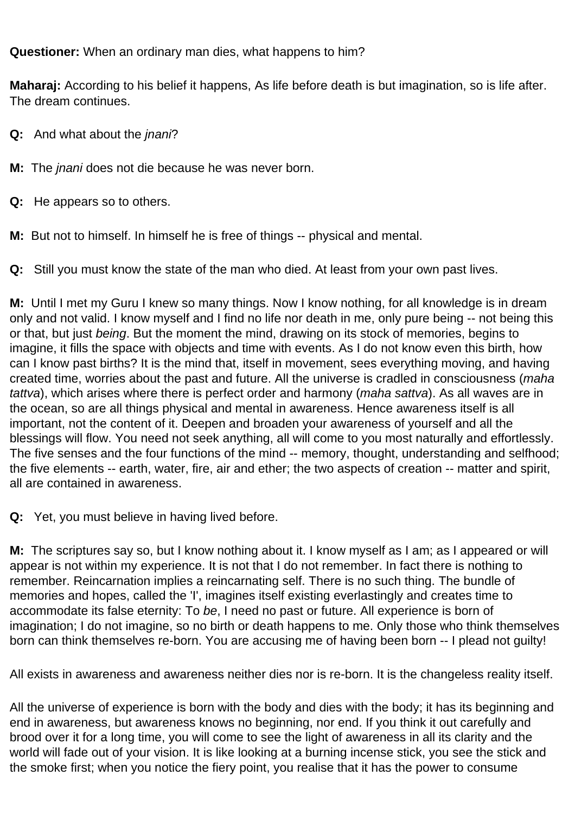**Questioner:** When an ordinary man dies, what happens to him?

**Maharaj:** According to his belief it happens, As life before death is but imagination, so is life after. The dream continues.

**Q:** And what about the *jnani*?

**M:** The *jnani* does not die because he was never born.

**Q:** He appears so to others.

**M:** But not to himself. In himself he is free of things -- physical and mental.

**Q:** Still you must know the state of the man who died. At least from your own past lives.

**M:** Until I met my Guru I knew so many things. Now I know nothing, for all knowledge is in dream only and not valid. I know myself and I find no life nor death in me, only pure being -- not being this or that, but just *being*. But the moment the mind, drawing on its stock of memories, begins to imagine, it fills the space with objects and time with events. As I do not know even this birth, how can I know past births? It is the mind that, itself in movement, sees everything moving, and having created time, worries about the past and future. All the universe is cradled in consciousness (*maha tattva*), which arises where there is perfect order and harmony (*maha sattva*). As all waves are in the ocean, so are all things physical and mental in awareness. Hence awareness itself is all important, not the content of it. Deepen and broaden your awareness of yourself and all the blessings will flow. You need not seek anything, all will come to you most naturally and effortlessly. The five senses and the four functions of the mind -- memory, thought, understanding and selfhood; the five elements -- earth, water, fire, air and ether; the two aspects of creation -- matter and spirit, all are contained in awareness.

**Q:** Yet, you must believe in having lived before.

**M:** The scriptures say so, but I know nothing about it. I know myself as I am; as I appeared or will appear is not within my experience. It is not that I do not remember. In fact there is nothing to remember. Reincarnation implies a reincarnating self. There is no such thing. The bundle of memories and hopes, called the 'I', imagines itself existing everlastingly and creates time to accommodate its false eternity: To *be*, I need no past or future. All experience is born of imagination; I do not imagine, so no birth or death happens to me. Only those who think themselves born can think themselves re-born. You are accusing me of having been born -- I plead not guilty!

All exists in awareness and awareness neither dies nor is re-born. It is the changeless reality itself.

All the universe of experience is born with the body and dies with the body; it has its beginning and end in awareness, but awareness knows no beginning, nor end. If you think it out carefully and brood over it for a long time, you will come to see the light of awareness in all its clarity and the world will fade out of your vision. It is like looking at a burning incense stick, you see the stick and the smoke first; when you notice the fiery point, you realise that it has the power to consume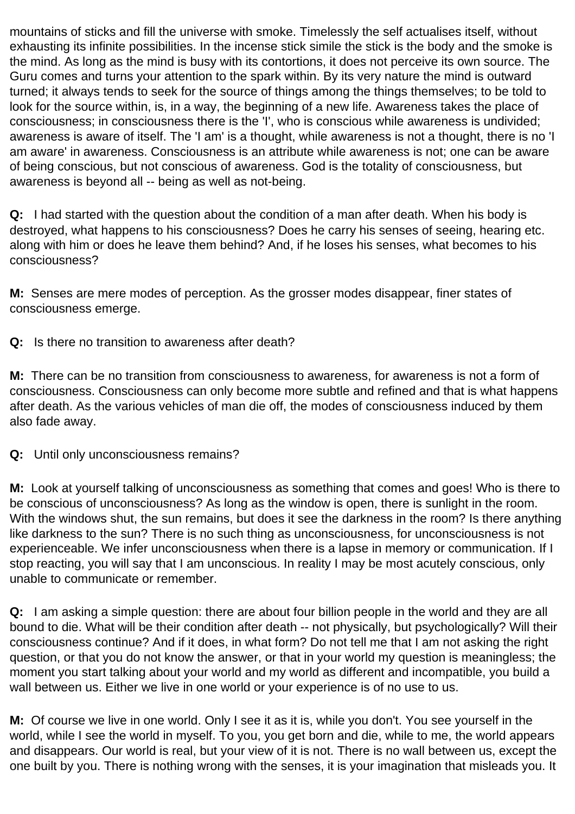mountains of sticks and fill the universe with smoke. Timelessly the self actualises itself, without exhausting its infinite possibilities. In the incense stick simile the stick is the body and the smoke is the mind. As long as the mind is busy with its contortions, it does not perceive its own source. The Guru comes and turns your attention to the spark within. By its very nature the mind is outward turned; it always tends to seek for the source of things among the things themselves; to be told to look for the source within, is, in a way, the beginning of a new life. Awareness takes the place of consciousness; in consciousness there is the 'I', who is conscious while awareness is undivided; awareness is aware of itself. The 'I am' is a thought, while awareness is not a thought, there is no 'I am aware' in awareness. Consciousness is an attribute while awareness is not; one can be aware of being conscious, but not conscious of awareness. God is the totality of consciousness, but awareness is beyond all -- being as well as not-being.

**Q:** I had started with the question about the condition of a man after death. When his body is destroyed, what happens to his consciousness? Does he carry his senses of seeing, hearing etc. along with him or does he leave them behind? And, if he loses his senses, what becomes to his consciousness?

**M:** Senses are mere modes of perception. As the grosser modes disappear, finer states of consciousness emerge.

**Q:** Is there no transition to awareness after death?

**M:** There can be no transition from consciousness to awareness, for awareness is not a form of consciousness. Consciousness can only become more subtle and refined and that is what happens after death. As the various vehicles of man die off, the modes of consciousness induced by them also fade away.

**Q:** Until only unconsciousness remains?

**M:** Look at yourself talking of unconsciousness as something that comes and goes! Who is there to be conscious of unconsciousness? As long as the window is open, there is sunlight in the room. With the windows shut, the sun remains, but does it see the darkness in the room? Is there anything like darkness to the sun? There is no such thing as unconsciousness, for unconsciousness is not experienceable. We infer unconsciousness when there is a lapse in memory or communication. If I stop reacting, you will say that I am unconscious. In reality I may be most acutely conscious, only unable to communicate or remember.

**Q:** I am asking a simple question: there are about four billion people in the world and they are all bound to die. What will be their condition after death -- not physically, but psychologically? Will their consciousness continue? And if it does, in what form? Do not tell me that I am not asking the right question, or that you do not know the answer, or that in your world my question is meaningless; the moment you start talking about your world and my world as different and incompatible, you build a wall between us. Either we live in one world or your experience is of no use to us.

**M:** Of course we live in one world. Only I see it as it is, while you don't. You see yourself in the world, while I see the world in myself. To you, you get born and die, while to me, the world appears and disappears. Our world is real, but your view of it is not. There is no wall between us, except the one built by you. There is nothing wrong with the senses, it is your imagination that misleads you. It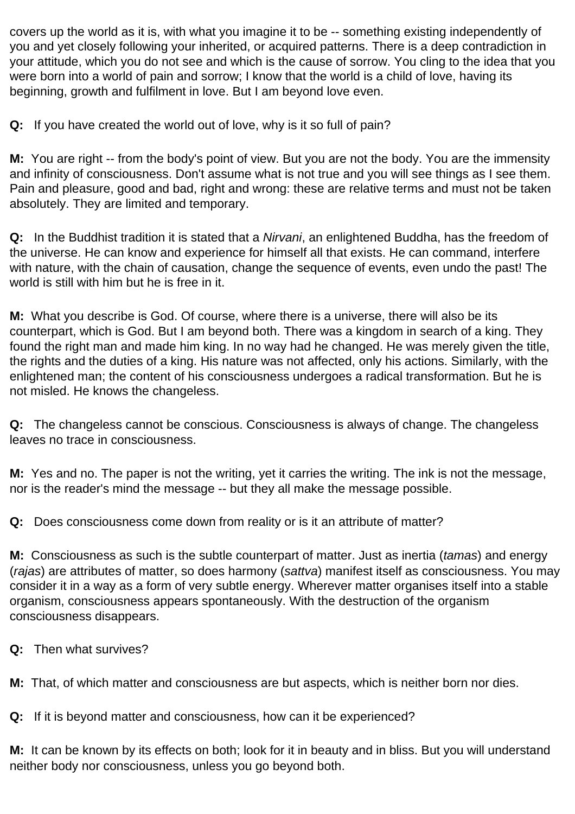covers up the world as it is, with what you imagine it to be -- something existing independently of you and yet closely following your inherited, or acquired patterns. There is a deep contradiction in your attitude, which you do not see and which is the cause of sorrow. You cling to the idea that you were born into a world of pain and sorrow; I know that the world is a child of love, having its beginning, growth and fulfilment in love. But I am beyond love even.

**Q:** If you have created the world out of love, why is it so full of pain?

**M:** You are right -- from the body's point of view. But you are not the body. You are the immensity and infinity of consciousness. Don't assume what is not true and you will see things as I see them. Pain and pleasure, good and bad, right and wrong: these are relative terms and must not be taken absolutely. They are limited and temporary.

**Q:** In the Buddhist tradition it is stated that a *Nirvani*, an enlightened Buddha, has the freedom of the universe. He can know and experience for himself all that exists. He can command, interfere with nature, with the chain of causation, change the sequence of events, even undo the past! The world is still with him but he is free in it.

**M:** What you describe is God. Of course, where there is a universe, there will also be its counterpart, which is God. But I am beyond both. There was a kingdom in search of a king. They found the right man and made him king. In no way had he changed. He was merely given the title, the rights and the duties of a king. His nature was not affected, only his actions. Similarly, with the enlightened man; the content of his consciousness undergoes a radical transformation. But he is not misled. He knows the changeless.

**Q:** The changeless cannot be conscious. Consciousness is always of change. The changeless leaves no trace in consciousness.

**M:** Yes and no. The paper is not the writing, yet it carries the writing. The ink is not the message, nor is the reader's mind the message -- but they all make the message possible.

**Q:** Does consciousness come down from reality or is it an attribute of matter?

**M:** Consciousness as such is the subtle counterpart of matter. Just as inertia (*tamas*) and energy (*rajas*) are attributes of matter, so does harmony (*sattva*) manifest itself as consciousness. You may consider it in a way as a form of very subtle energy. Wherever matter organises itself into a stable organism, consciousness appears spontaneously. With the destruction of the organism consciousness disappears.

**Q:** Then what survives?

**M:** That, of which matter and consciousness are but aspects, which is neither born nor dies.

**Q:** If it is beyond matter and consciousness, how can it be experienced?

**M:** It can be known by its effects on both; look for it in beauty and in bliss. But you will understand neither body nor consciousness, unless you go beyond both.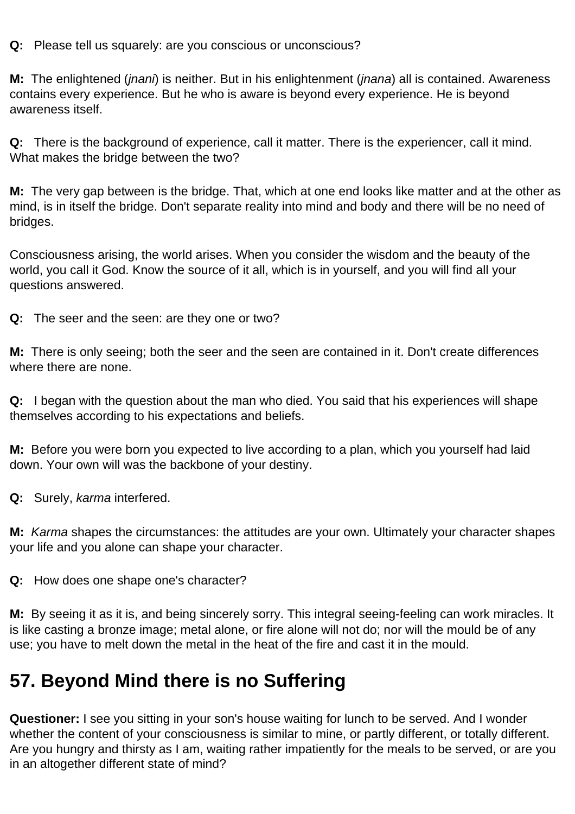**Q:** Please tell us squarely: are you conscious or unconscious?

**M:** The enlightened (*jnani*) is neither. But in his enlightenment (*jnana*) all is contained. Awareness contains every experience. But he who is aware is beyond every experience. He is beyond awareness itself.

**Q:** There is the background of experience, call it matter. There is the experiencer, call it mind. What makes the bridge between the two?

**M:** The very gap between is the bridge. That, which at one end looks like matter and at the other as mind, is in itself the bridge. Don't separate reality into mind and body and there will be no need of bridges.

Consciousness arising, the world arises. When you consider the wisdom and the beauty of the world, you call it God. Know the source of it all, which is in yourself, and you will find all your questions answered.

**Q:** The seer and the seen: are they one or two?

**M:** There is only seeing; both the seer and the seen are contained in it. Don't create differences where there are none.

**Q:** I began with the question about the man who died. You said that his experiences will shape themselves according to his expectations and beliefs.

**M:** Before you were born you expected to live according to a plan, which you yourself had laid down. Your own will was the backbone of your destiny.

**Q:** Surely, *karma* interfered.

**M:** *Karma* shapes the circumstances: the attitudes are your own. Ultimately your character shapes your life and you alone can shape your character.

**Q:** How does one shape one's character?

**M:** By seeing it as it is, and being sincerely sorry. This integral seeing-feeling can work miracles. It is like casting a bronze image; metal alone, or fire alone will not do; nor will the mould be of any use; you have to melt down the metal in the heat of the fire and cast it in the mould.

### **57. Beyond Mind there is no Suffering**

**Questioner:** I see you sitting in your son's house waiting for lunch to be served. And I wonder whether the content of your consciousness is similar to mine, or partly different, or totally different. Are you hungry and thirsty as I am, waiting rather impatiently for the meals to be served, or are you in an altogether different state of mind?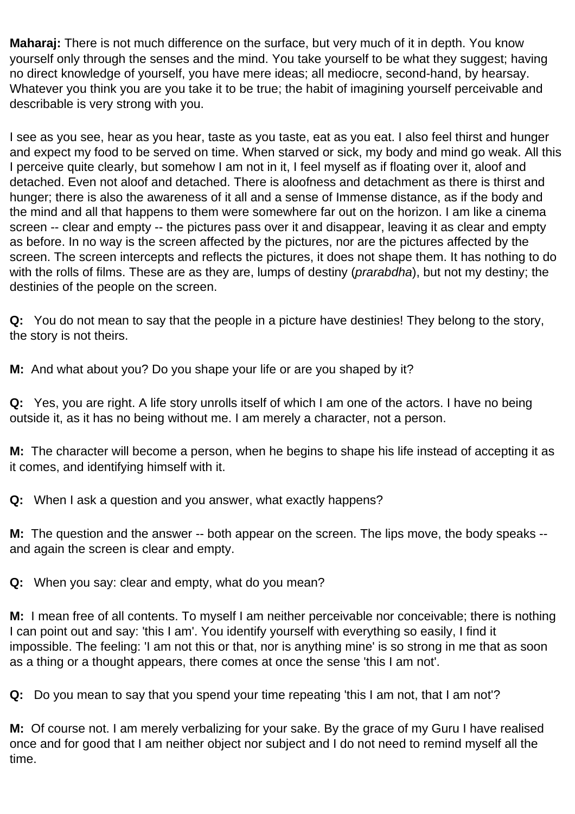**Maharaj:** There is not much difference on the surface, but very much of it in depth. You know yourself only through the senses and the mind. You take yourself to be what they suggest; having no direct knowledge of yourself, you have mere ideas; all mediocre, second-hand, by hearsay. Whatever you think you are you take it to be true; the habit of imagining yourself perceivable and describable is very strong with you.

I see as you see, hear as you hear, taste as you taste, eat as you eat. I also feel thirst and hunger and expect my food to be served on time. When starved or sick, my body and mind go weak. All this I perceive quite clearly, but somehow I am not in it, I feel myself as if floating over it, aloof and detached. Even not aloof and detached. There is aloofness and detachment as there is thirst and hunger; there is also the awareness of it all and a sense of Immense distance, as if the body and the mind and all that happens to them were somewhere far out on the horizon. I am like a cinema screen -- clear and empty -- the pictures pass over it and disappear, leaving it as clear and empty as before. In no way is the screen affected by the pictures, nor are the pictures affected by the screen. The screen intercepts and reflects the pictures, it does not shape them. It has nothing to do with the rolls of films. These are as they are, lumps of destiny (*prarabdha*), but not my destiny; the destinies of the people on the screen.

**Q:** You do not mean to say that the people in a picture have destinies! They belong to the story, the story is not theirs.

**M:** And what about you? Do you shape your life or are you shaped by it?

**Q:** Yes, you are right. A life story unrolls itself of which I am one of the actors. I have no being outside it, as it has no being without me. I am merely a character, not a person.

**M:** The character will become a person, when he begins to shape his life instead of accepting it as it comes, and identifying himself with it.

**Q:** When I ask a question and you answer, what exactly happens?

**M:** The question and the answer -- both appear on the screen. The lips move, the body speaks - and again the screen is clear and empty.

**Q:** When you say: clear and empty, what do you mean?

**M:** I mean free of all contents. To myself I am neither perceivable nor conceivable; there is nothing I can point out and say: 'this I am'. You identify yourself with everything so easily, I find it impossible. The feeling: 'I am not this or that, nor is anything mine' is so strong in me that as soon as a thing or a thought appears, there comes at once the sense 'this I am not'.

**Q:** Do you mean to say that you spend your time repeating 'this I am not, that I am not'?

**M:** Of course not. I am merely verbalizing for your sake. By the grace of my Guru I have realised once and for good that I am neither object nor subject and I do not need to remind myself all the time.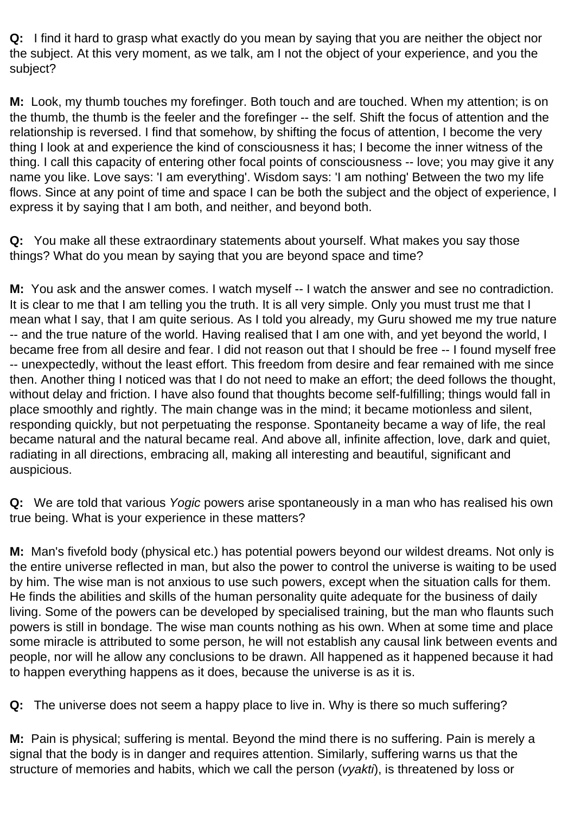**Q:** I find it hard to grasp what exactly do you mean by saying that you are neither the object nor the subject. At this very moment, as we talk, am I not the object of your experience, and you the subject?

**M:** Look, my thumb touches my forefinger. Both touch and are touched. When my attention; is on the thumb, the thumb is the feeler and the forefinger -- the self. Shift the focus of attention and the relationship is reversed. I find that somehow, by shifting the focus of attention, I become the very thing I look at and experience the kind of consciousness it has; I become the inner witness of the thing. I call this capacity of entering other focal points of consciousness -- love; you may give it any name you like. Love says: 'I am everything'. Wisdom says: 'I am nothing' Between the two my life flows. Since at any point of time and space I can be both the subject and the object of experience, I express it by saying that I am both, and neither, and beyond both.

**Q:** You make all these extraordinary statements about yourself. What makes you say those things? What do you mean by saying that you are beyond space and time?

**M:** You ask and the answer comes. I watch myself -- I watch the answer and see no contradiction. It is clear to me that I am telling you the truth. It is all very simple. Only you must trust me that I mean what I say, that I am quite serious. As I told you already, my Guru showed me my true nature -- and the true nature of the world. Having realised that I am one with, and yet beyond the world, I became free from all desire and fear. I did not reason out that I should be free -- I found myself free -- unexpectedly, without the least effort. This freedom from desire and fear remained with me since then. Another thing I noticed was that I do not need to make an effort; the deed follows the thought, without delay and friction. I have also found that thoughts become self-fulfilling; things would fall in place smoothly and rightly. The main change was in the mind; it became motionless and silent, responding quickly, but not perpetuating the response. Spontaneity became a way of life, the real became natural and the natural became real. And above all, infinite affection, love, dark and quiet, radiating in all directions, embracing all, making all interesting and beautiful, significant and auspicious.

**Q:** We are told that various *Yogic* powers arise spontaneously in a man who has realised his own true being. What is your experience in these matters?

**M:** Man's fivefold body (physical etc.) has potential powers beyond our wildest dreams. Not only is the entire universe reflected in man, but also the power to control the universe is waiting to be used by him. The wise man is not anxious to use such powers, except when the situation calls for them. He finds the abilities and skills of the human personality quite adequate for the business of daily living. Some of the powers can be developed by specialised training, but the man who flaunts such powers is still in bondage. The wise man counts nothing as his own. When at some time and place some miracle is attributed to some person, he will not establish any causal link between events and people, nor will he allow any conclusions to be drawn. All happened as it happened because it had to happen everything happens as it does, because the universe is as it is.

**Q:** The universe does not seem a happy place to live in. Why is there so much suffering?

**M:** Pain is physical; suffering is mental. Beyond the mind there is no suffering. Pain is merely a signal that the body is in danger and requires attention. Similarly, suffering warns us that the structure of memories and habits, which we call the person (*vyakti*), is threatened by loss or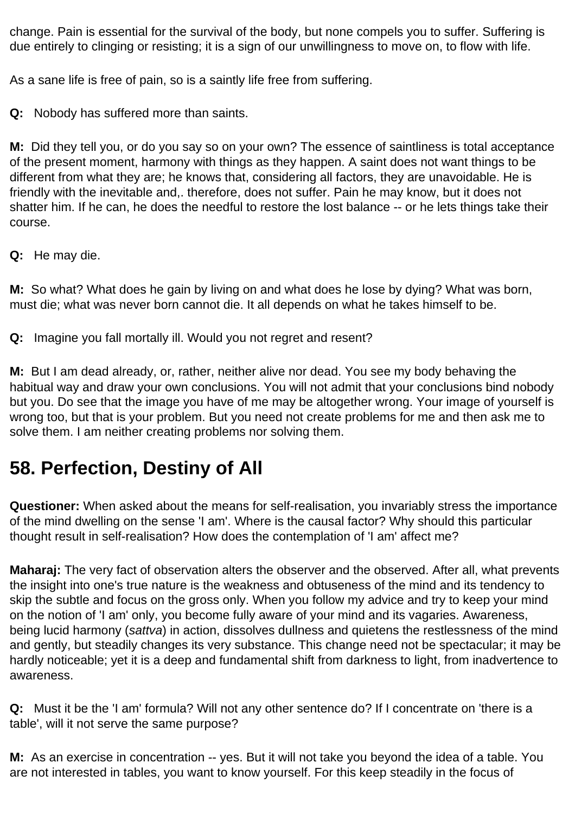change. Pain is essential for the survival of the body, but none compels you to suffer. Suffering is due entirely to clinging or resisting; it is a sign of our unwillingness to move on, to flow with life.

As a sane life is free of pain, so is a saintly life free from suffering.

**Q:** Nobody has suffered more than saints.

**M:** Did they tell you, or do you say so on your own? The essence of saintliness is total acceptance of the present moment, harmony with things as they happen. A saint does not want things to be different from what they are; he knows that, considering all factors, they are unavoidable. He is friendly with the inevitable and,. therefore, does not suffer. Pain he may know, but it does not shatter him. If he can, he does the needful to restore the lost balance -- or he lets things take their course.

**Q:** He may die.

**M:** So what? What does he gain by living on and what does he lose by dying? What was born, must die; what was never born cannot die. It all depends on what he takes himself to be.

**Q:** Imagine you fall mortally ill. Would you not regret and resent?

**M:** But I am dead already, or, rather, neither alive nor dead. You see my body behaving the habitual way and draw your own conclusions. You will not admit that your conclusions bind nobody but you. Do see that the image you have of me may be altogether wrong. Your image of yourself is wrong too, but that is your problem. But you need not create problems for me and then ask me to solve them. I am neither creating problems nor solving them.

## **58. Perfection, Destiny of All**

**Questioner:** When asked about the means for self-realisation, you invariably stress the importance of the mind dwelling on the sense 'I am'. Where is the causal factor? Why should this particular thought result in self-realisation? How does the contemplation of 'I am' affect me?

**Maharaj:** The very fact of observation alters the observer and the observed. After all, what prevents the insight into one's true nature is the weakness and obtuseness of the mind and its tendency to skip the subtle and focus on the gross only. When you follow my advice and try to keep your mind on the notion of 'I am' only, you become fully aware of your mind and its vagaries. Awareness, being lucid harmony (*sattva*) in action, dissolves dullness and quietens the restlessness of the mind and gently, but steadily changes its very substance. This change need not be spectacular; it may be hardly noticeable; yet it is a deep and fundamental shift from darkness to light, from inadvertence to awareness.

**Q:** Must it be the 'I am' formula? Will not any other sentence do? If I concentrate on 'there is a table', will it not serve the same purpose?

**M:** As an exercise in concentration -- yes. But it will not take you beyond the idea of a table. You are not interested in tables, you want to know yourself. For this keep steadily in the focus of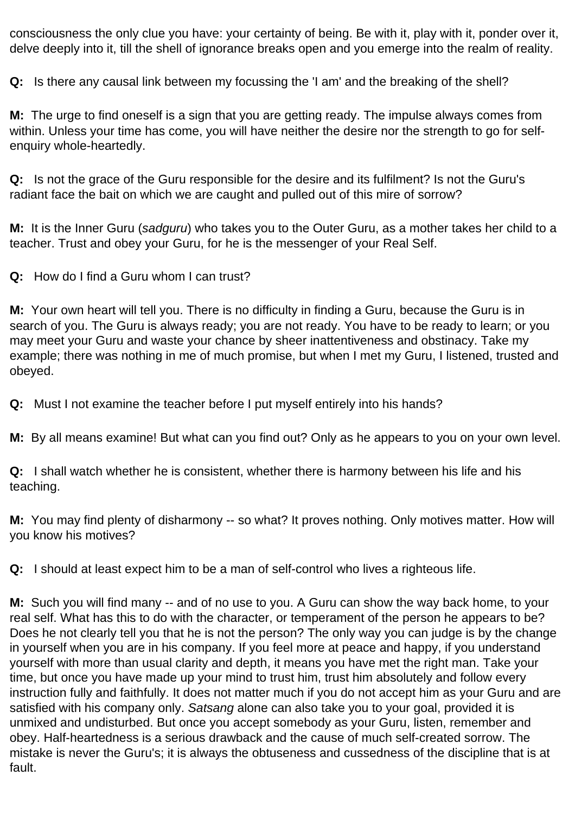consciousness the only clue you have: your certainty of being. Be with it, play with it, ponder over it, delve deeply into it, till the shell of ignorance breaks open and you emerge into the realm of reality.

**Q:** Is there any causal link between my focussing the 'I am' and the breaking of the shell?

**M:** The urge to find oneself is a sign that you are getting ready. The impulse always comes from within. Unless your time has come, you will have neither the desire nor the strength to go for selfenquiry whole-heartedly.

**Q:** Is not the grace of the Guru responsible for the desire and its fulfilment? Is not the Guru's radiant face the bait on which we are caught and pulled out of this mire of sorrow?

**M:** It is the Inner Guru (*sadguru*) who takes you to the Outer Guru, as a mother takes her child to a teacher. Trust and obey your Guru, for he is the messenger of your Real Self.

**Q:** How do I find a Guru whom I can trust?

**M:** Your own heart will tell you. There is no difficulty in finding a Guru, because the Guru is in search of you. The Guru is always ready; you are not ready. You have to be ready to learn; or you may meet your Guru and waste your chance by sheer inattentiveness and obstinacy. Take my example; there was nothing in me of much promise, but when I met my Guru, I listened, trusted and obeyed.

**Q:** Must I not examine the teacher before I put myself entirely into his hands?

**M:** By all means examine! But what can you find out? Only as he appears to you on your own level.

**Q:** I shall watch whether he is consistent, whether there is harmony between his life and his teaching.

**M:** You may find plenty of disharmony -- so what? It proves nothing. Only motives matter. How will you know his motives?

**Q:** I should at least expect him to be a man of self-control who lives a righteous life.

**M:** Such you will find many -- and of no use to you. A Guru can show the way back home, to your real self. What has this to do with the character, or temperament of the person he appears to be? Does he not clearly tell you that he is not the person? The only way you can judge is by the change in yourself when you are in his company. If you feel more at peace and happy, if you understand yourself with more than usual clarity and depth, it means you have met the right man. Take your time, but once you have made up your mind to trust him, trust him absolutely and follow every instruction fully and faithfully. It does not matter much if you do not accept him as your Guru and are satisfied with his company only. *Satsang* alone can also take you to your goal, provided it is unmixed and undisturbed. But once you accept somebody as your Guru, listen, remember and obey. Half-heartedness is a serious drawback and the cause of much self-created sorrow. The mistake is never the Guru's; it is always the obtuseness and cussedness of the discipline that is at fault.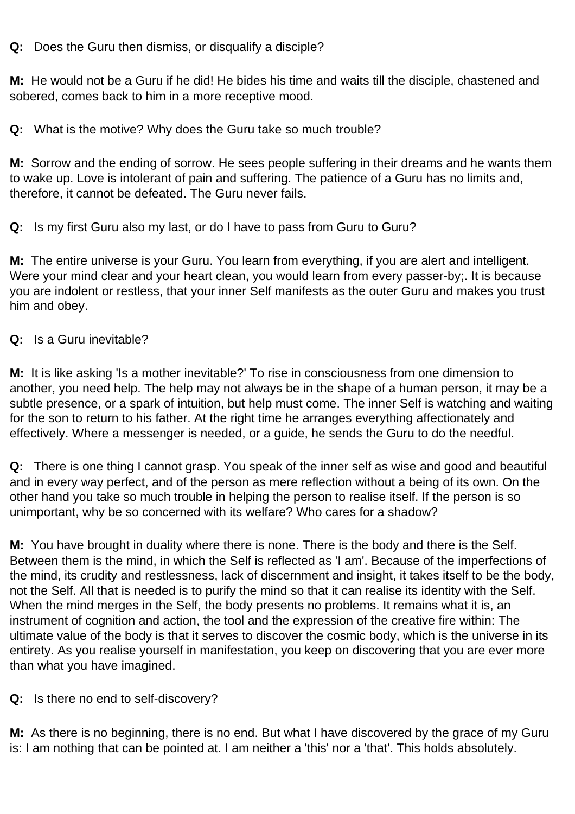**Q:** Does the Guru then dismiss, or disqualify a disciple?

**M:** He would not be a Guru if he did! He bides his time and waits till the disciple, chastened and sobered, comes back to him in a more receptive mood.

**Q:** What is the motive? Why does the Guru take so much trouble?

**M:** Sorrow and the ending of sorrow. He sees people suffering in their dreams and he wants them to wake up. Love is intolerant of pain and suffering. The patience of a Guru has no limits and, therefore, it cannot be defeated. The Guru never fails.

**Q:** Is my first Guru also my last, or do I have to pass from Guru to Guru?

**M:** The entire universe is your Guru. You learn from everything, if you are alert and intelligent. Were your mind clear and your heart clean, you would learn from every passer-by;. It is because you are indolent or restless, that your inner Self manifests as the outer Guru and makes you trust him and obey.

#### **Q:** Is a Guru inevitable?

**M:** It is like asking 'Is a mother inevitable?' To rise in consciousness from one dimension to another, you need help. The help may not always be in the shape of a human person, it may be a subtle presence, or a spark of intuition, but help must come. The inner Self is watching and waiting for the son to return to his father. At the right time he arranges everything affectionately and effectively. Where a messenger is needed, or a guide, he sends the Guru to do the needful.

**Q:** There is one thing I cannot grasp. You speak of the inner self as wise and good and beautiful and in every way perfect, and of the person as mere reflection without a being of its own. On the other hand you take so much trouble in helping the person to realise itself. If the person is so unimportant, why be so concerned with its welfare? Who cares for a shadow?

**M:** You have brought in duality where there is none. There is the body and there is the Self. Between them is the mind, in which the Self is reflected as 'I am'. Because of the imperfections of the mind, its crudity and restlessness, lack of discernment and insight, it takes itself to be the body, not the Self. All that is needed is to purify the mind so that it can realise its identity with the Self. When the mind merges in the Self, the body presents no problems. It remains what it is, an instrument of cognition and action, the tool and the expression of the creative fire within: The ultimate value of the body is that it serves to discover the cosmic body, which is the universe in its entirety. As you realise yourself in manifestation, you keep on discovering that you are ever more than what you have imagined.

**Q:** Is there no end to self-discovery?

**M:** As there is no beginning, there is no end. But what I have discovered by the grace of my Guru is: I am nothing that can be pointed at. I am neither a 'this' nor a 'that'. This holds absolutely.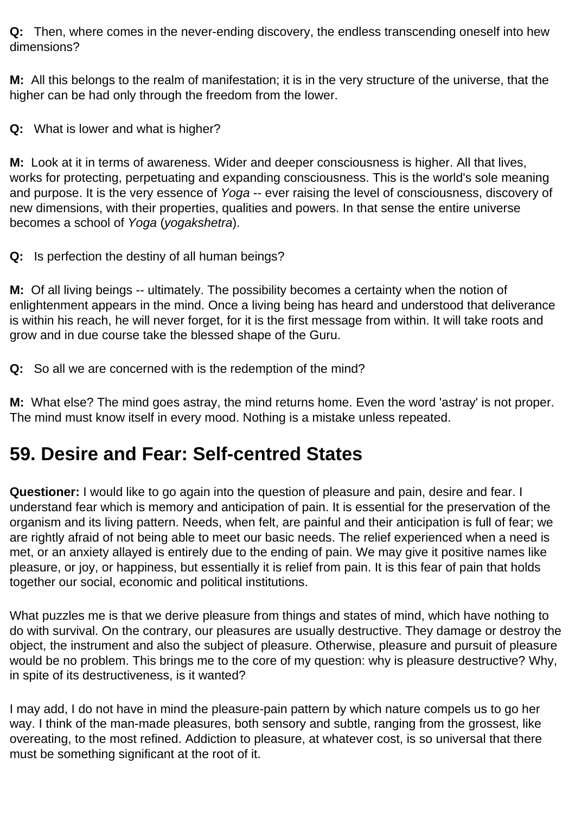**Q:** Then, where comes in the never-ending discovery, the endless transcending oneself into hew dimensions?

**M:** All this belongs to the realm of manifestation; it is in the very structure of the universe, that the higher can be had only through the freedom from the lower.

**Q:** What is lower and what is higher?

**M:** Look at it in terms of awareness. Wider and deeper consciousness is higher. All that lives, works for protecting, perpetuating and expanding consciousness. This is the world's sole meaning and purpose. It is the very essence of *Yoga* -- ever raising the level of consciousness, discovery of new dimensions, with their properties, qualities and powers. In that sense the entire universe becomes a school of *Yoga* (*yogakshetra*).

**Q:** Is perfection the destiny of all human beings?

**M:** Of all living beings -- ultimately. The possibility becomes a certainty when the notion of enlightenment appears in the mind. Once a living being has heard and understood that deliverance is within his reach, he will never forget, for it is the first message from within. It will take roots and grow and in due course take the blessed shape of the Guru.

**Q:** So all we are concerned with is the redemption of the mind?

**M:** What else? The mind goes astray, the mind returns home. Even the word 'astray' is not proper. The mind must know itself in every mood. Nothing is a mistake unless repeated.

# **59. Desire and Fear: Self-centred States**

**Questioner:** I would like to go again into the question of pleasure and pain, desire and fear. I understand fear which is memory and anticipation of pain. It is essential for the preservation of the organism and its living pattern. Needs, when felt, are painful and their anticipation is full of fear; we are rightly afraid of not being able to meet our basic needs. The relief experienced when a need is met, or an anxiety allayed is entirely due to the ending of pain. We may give it positive names like pleasure, or joy, or happiness, but essentially it is relief from pain. It is this fear of pain that holds together our social, economic and political institutions.

What puzzles me is that we derive pleasure from things and states of mind, which have nothing to do with survival. On the contrary, our pleasures are usually destructive. They damage or destroy the object, the instrument and also the subject of pleasure. Otherwise, pleasure and pursuit of pleasure would be no problem. This brings me to the core of my question: why is pleasure destructive? Why, in spite of its destructiveness, is it wanted?

I may add, I do not have in mind the pleasure-pain pattern by which nature compels us to go her way. I think of the man-made pleasures, both sensory and subtle, ranging from the grossest, like overeating, to the most refined. Addiction to pleasure, at whatever cost, is so universal that there must be something significant at the root of it.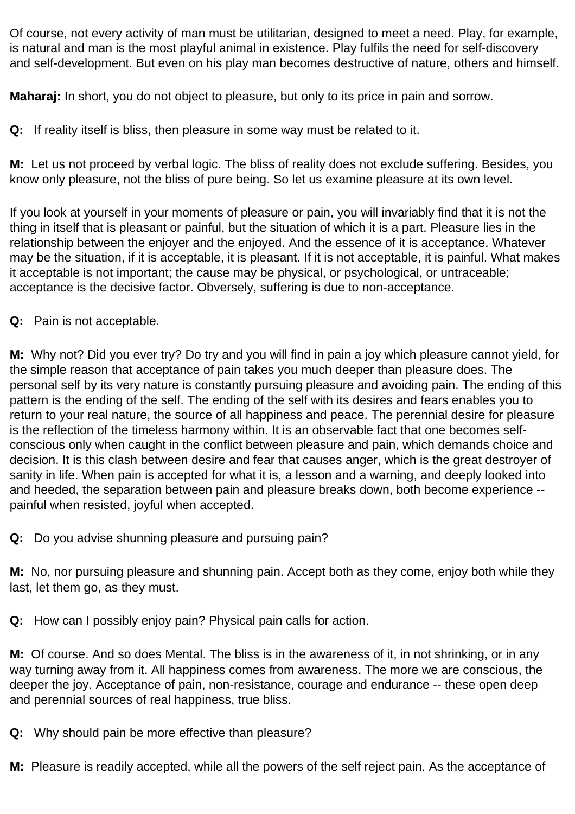Of course, not every activity of man must be utilitarian, designed to meet a need. Play, for example, is natural and man is the most playful animal in existence. Play fulfils the need for self-discovery and self-development. But even on his play man becomes destructive of nature, others and himself.

**Maharaj:** In short, you do not object to pleasure, but only to its price in pain and sorrow.

**Q:** If reality itself is bliss, then pleasure in some way must be related to it.

**M:** Let us not proceed by verbal logic. The bliss of reality does not exclude suffering. Besides, you know only pleasure, not the bliss of pure being. So let us examine pleasure at its own level.

If you look at yourself in your moments of pleasure or pain, you will invariably find that it is not the thing in itself that is pleasant or painful, but the situation of which it is a part. Pleasure lies in the relationship between the enjoyer and the enjoyed. And the essence of it is acceptance. Whatever may be the situation, if it is acceptable, it is pleasant. If it is not acceptable, it is painful. What makes it acceptable is not important; the cause may be physical, or psychological, or untraceable; acceptance is the decisive factor. Obversely, suffering is due to non-acceptance.

**Q:** Pain is not acceptable.

**M:** Why not? Did you ever try? Do try and you will find in pain a joy which pleasure cannot yield, for the simple reason that acceptance of pain takes you much deeper than pleasure does. The personal self by its very nature is constantly pursuing pleasure and avoiding pain. The ending of this pattern is the ending of the self. The ending of the self with its desires and fears enables you to return to your real nature, the source of all happiness and peace. The perennial desire for pleasure is the reflection of the timeless harmony within. It is an observable fact that one becomes selfconscious only when caught in the conflict between pleasure and pain, which demands choice and decision. It is this clash between desire and fear that causes anger, which is the great destroyer of sanity in life. When pain is accepted for what it is, a lesson and a warning, and deeply looked into and heeded, the separation between pain and pleasure breaks down, both become experience - painful when resisted, joyful when accepted.

**Q:** Do you advise shunning pleasure and pursuing pain?

**M:** No, nor pursuing pleasure and shunning pain. Accept both as they come, enjoy both while they last, let them go, as they must.

**Q:** How can I possibly enjoy pain? Physical pain calls for action.

**M:** Of course. And so does Mental. The bliss is in the awareness of it, in not shrinking, or in any way turning away from it. All happiness comes from awareness. The more we are conscious, the deeper the joy. Acceptance of pain, non-resistance, courage and endurance -- these open deep and perennial sources of real happiness, true bliss.

**Q:** Why should pain be more effective than pleasure?

**M:** Pleasure is readily accepted, while all the powers of the self reject pain. As the acceptance of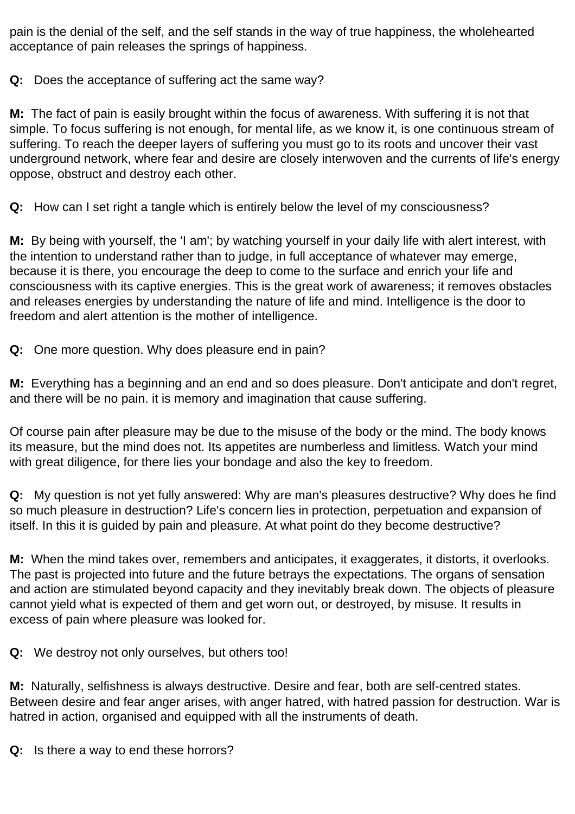pain is the denial of the self, and the self stands in the way of true happiness, the wholehearted acceptance of pain releases the springs of happiness.

**Q:** Does the acceptance of suffering act the same way?

**M:** The fact of pain is easily brought within the focus of awareness. With suffering it is not that simple. To focus suffering is not enough, for mental life, as we know it, is one continuous stream of suffering. To reach the deeper layers of suffering you must go to its roots and uncover their vast underground network, where fear and desire are closely interwoven and the currents of life's energy oppose, obstruct and destroy each other.

**Q:** How can I set right a tangle which is entirely below the level of my consciousness?

**M:** By being with yourself, the 'I am'; by watching yourself in your daily life with alert interest, with the intention to understand rather than to judge, in full acceptance of whatever may emerge, because it is there, you encourage the deep to come to the surface and enrich your life and consciousness with its captive energies. This is the great work of awareness; it removes obstacles and releases energies by understanding the nature of life and mind. Intelligence is the door to freedom and alert attention is the mother of intelligence.

**Q:** One more question. Why does pleasure end in pain?

**M:** Everything has a beginning and an end and so does pleasure. Don't anticipate and don't regret, and there will be no pain. it is memory and imagination that cause suffering.

Of course pain after pleasure may be due to the misuse of the body or the mind. The body knows its measure, but the mind does not. Its appetites are numberless and limitless. Watch your mind with great diligence, for there lies your bondage and also the key to freedom.

**Q:** My question is not yet fully answered: Why are man's pleasures destructive? Why does he find so much pleasure in destruction? Life's concern lies in protection, perpetuation and expansion of itself. In this it is guided by pain and pleasure. At what point do they become destructive?

**M:** When the mind takes over, remembers and anticipates, it exaggerates, it distorts, it overlooks. The past is projected into future and the future betrays the expectations. The organs of sensation and action are stimulated beyond capacity and they inevitably break down. The objects of pleasure cannot yield what is expected of them and get worn out, or destroyed, by misuse. It results in excess of pain where pleasure was looked for.

**Q:** We destroy not only ourselves, but others too!

**M:** Naturally, selfishness is always destructive. Desire and fear, both are self-centred states. Between desire and fear anger arises, with anger hatred, with hatred passion for destruction. War is hatred in action, organised and equipped with all the instruments of death.

**Q:** Is there a way to end these horrors?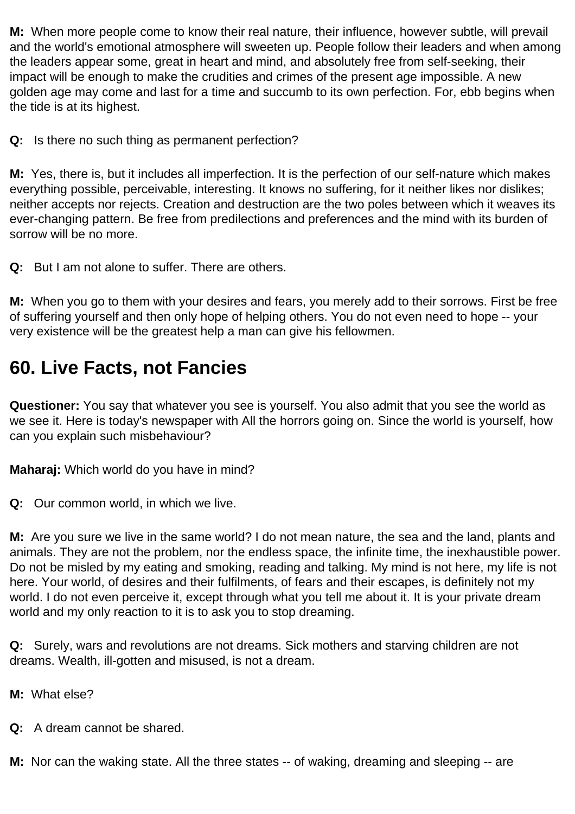**M:** When more people come to know their real nature, their influence, however subtle, will prevail and the world's emotional atmosphere will sweeten up. People follow their leaders and when among the leaders appear some, great in heart and mind, and absolutely free from self-seeking, their impact will be enough to make the crudities and crimes of the present age impossible. A new golden age may come and last for a time and succumb to its own perfection. For, ebb begins when the tide is at its highest.

**Q:** Is there no such thing as permanent perfection?

**M:** Yes, there is, but it includes all imperfection. It is the perfection of our self-nature which makes everything possible, perceivable, interesting. It knows no suffering, for it neither likes nor dislikes; neither accepts nor rejects. Creation and destruction are the two poles between which it weaves its ever-changing pattern. Be free from predilections and preferences and the mind with its burden of sorrow will be no more.

**Q:** But I am not alone to suffer. There are others.

**M:** When you go to them with your desires and fears, you merely add to their sorrows. First be free of suffering yourself and then only hope of helping others. You do not even need to hope -- your very existence will be the greatest help a man can give his fellowmen.

## **60. Live Facts, not Fancies**

**Questioner:** You say that whatever you see is yourself. You also admit that you see the world as we see it. Here is today's newspaper with All the horrors going on. Since the world is yourself, how can you explain such misbehaviour?

**Maharaj:** Which world do you have in mind?

**Q:** Our common world, in which we live.

**M:** Are you sure we live in the same world? I do not mean nature, the sea and the land, plants and animals. They are not the problem, nor the endless space, the infinite time, the inexhaustible power. Do not be misled by my eating and smoking, reading and talking. My mind is not here, my life is not here. Your world, of desires and their fulfilments, of fears and their escapes, is definitely not my world. I do not even perceive it, except through what you tell me about it. It is your private dream world and my only reaction to it is to ask you to stop dreaming.

**Q:** Surely, wars and revolutions are not dreams. Sick mothers and starving children are not dreams. Wealth, ill-gotten and misused, is not a dream.

- **M:** What else?
- **Q:** A dream cannot be shared.

**M:** Nor can the waking state. All the three states -- of waking, dreaming and sleeping -- are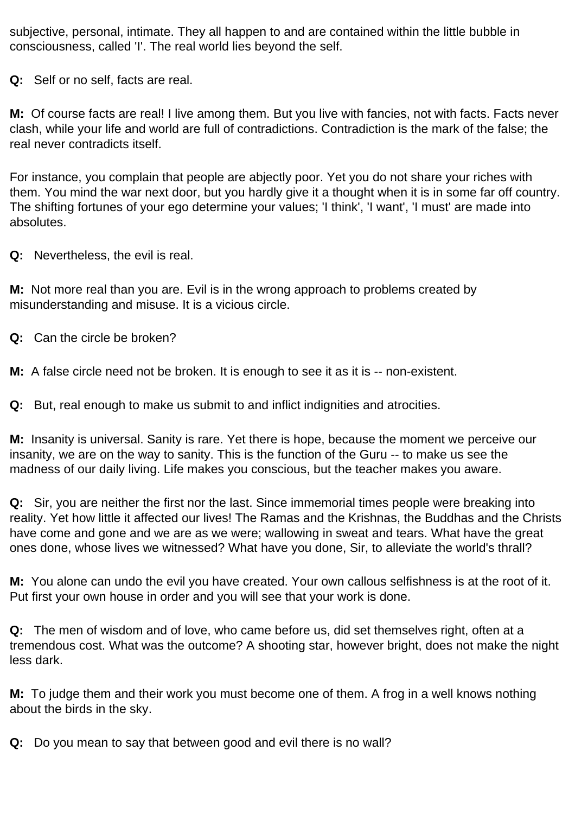subjective, personal, intimate. They all happen to and are contained within the little bubble in consciousness, called 'I'. The real world lies beyond the self.

**Q:** Self or no self, facts are real.

**M:** Of course facts are real! I live among them. But you live with fancies, not with facts. Facts never clash, while your life and world are full of contradictions. Contradiction is the mark of the false; the real never contradicts itself.

For instance, you complain that people are abjectly poor. Yet you do not share your riches with them. You mind the war next door, but you hardly give it a thought when it is in some far off country. The shifting fortunes of your ego determine your values; 'I think', 'I want', 'I must' are made into absolutes.

**Q:** Nevertheless, the evil is real.

**M:** Not more real than you are. Evil is in the wrong approach to problems created by misunderstanding and misuse. It is a vicious circle.

**Q:** Can the circle be broken?

**M:** A false circle need not be broken. It is enough to see it as it is -- non-existent.

**Q:** But, real enough to make us submit to and inflict indignities and atrocities.

**M:** Insanity is universal. Sanity is rare. Yet there is hope, because the moment we perceive our insanity, we are on the way to sanity. This is the function of the Guru -- to make us see the madness of our daily living. Life makes you conscious, but the teacher makes you aware.

**Q:** Sir, you are neither the first nor the last. Since immemorial times people were breaking into reality. Yet how little it affected our lives! The Ramas and the Krishnas, the Buddhas and the Christs have come and gone and we are as we were; wallowing in sweat and tears. What have the great ones done, whose lives we witnessed? What have you done, Sir, to alleviate the world's thrall?

**M:** You alone can undo the evil you have created. Your own callous selfishness is at the root of it. Put first your own house in order and you will see that your work is done.

**Q:** The men of wisdom and of love, who came before us, did set themselves right, often at a tremendous cost. What was the outcome? A shooting star, however bright, does not make the night less dark.

**M:** To judge them and their work you must become one of them. A frog in a well knows nothing about the birds in the sky.

**Q:** Do you mean to say that between good and evil there is no wall?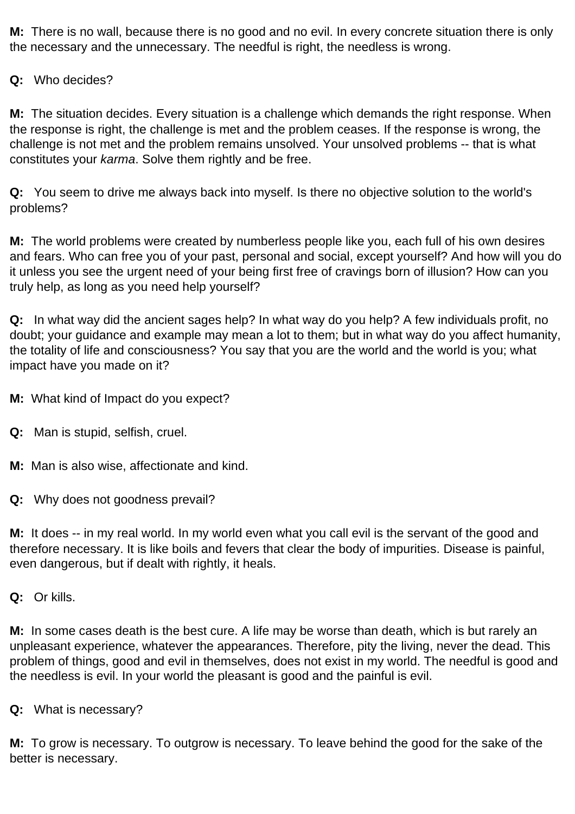**M:** There is no wall, because there is no good and no evil. In every concrete situation there is only the necessary and the unnecessary. The needful is right, the needless is wrong.

#### **Q:** Who decides?

**M:** The situation decides. Every situation is a challenge which demands the right response. When the response is right, the challenge is met and the problem ceases. If the response is wrong, the challenge is not met and the problem remains unsolved. Your unsolved problems -- that is what constitutes your *karma*. Solve them rightly and be free.

**Q:** You seem to drive me always back into myself. Is there no objective solution to the world's problems?

**M:** The world problems were created by numberless people like you, each full of his own desires and fears. Who can free you of your past, personal and social, except yourself? And how will you do it unless you see the urgent need of your being first free of cravings born of illusion? How can you truly help, as long as you need help yourself?

**Q:** In what way did the ancient sages help? In what way do you help? A few individuals profit, no doubt; your guidance and example may mean a lot to them; but in what way do you affect humanity, the totality of life and consciousness? You say that you are the world and the world is you; what impact have you made on it?

- **M:** What kind of Impact do you expect?
- **Q:** Man is stupid, selfish, cruel.
- **M:** Man is also wise, affectionate and kind.
- **Q:** Why does not goodness prevail?

**M:** It does -- in my real world. In my world even what you call evil is the servant of the good and therefore necessary. It is like boils and fevers that clear the body of impurities. Disease is painful, even dangerous, but if dealt with rightly, it heals.

**Q:** Or kills.

**M:** In some cases death is the best cure. A life may be worse than death, which is but rarely an unpleasant experience, whatever the appearances. Therefore, pity the living, never the dead. This problem of things, good and evil in themselves, does not exist in my world. The needful is good and the needless is evil. In your world the pleasant is good and the painful is evil.

**Q:** What is necessary?

**M:** To grow is necessary. To outgrow is necessary. To leave behind the good for the sake of the better is necessary.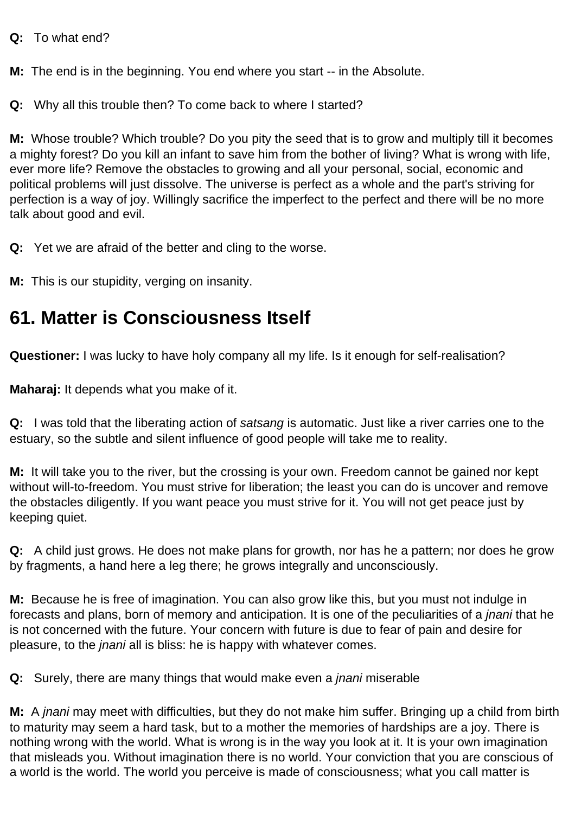**Q:** To what end?

**M:** The end is in the beginning. You end where you start -- in the Absolute.

**Q:** Why all this trouble then? To come back to where I started?

**M:** Whose trouble? Which trouble? Do you pity the seed that is to grow and multiply till it becomes a mighty forest? Do you kill an infant to save him from the bother of living? What is wrong with life, ever more life? Remove the obstacles to growing and all your personal, social, economic and political problems will just dissolve. The universe is perfect as a whole and the part's striving for perfection is a way of joy. Willingly sacrifice the imperfect to the perfect and there will be no more talk about good and evil.

**Q:** Yet we are afraid of the better and cling to the worse.

**M:** This is our stupidity, verging on insanity.

### **61. Matter is Consciousness Itself**

**Questioner:** I was lucky to have holy company all my life. Is it enough for self-realisation?

**Maharaj:** It depends what you make of it.

**Q:** I was told that the liberating action of *satsang* is automatic. Just like a river carries one to the estuary, so the subtle and silent influence of good people will take me to reality.

**M:** It will take you to the river, but the crossing is your own. Freedom cannot be gained nor kept without will-to-freedom. You must strive for liberation; the least you can do is uncover and remove the obstacles diligently. If you want peace you must strive for it. You will not get peace just by keeping quiet.

**Q:** A child just grows. He does not make plans for growth, nor has he a pattern; nor does he grow by fragments, a hand here a leg there; he grows integrally and unconsciously.

**M:** Because he is free of imagination. You can also grow like this, but you must not indulge in forecasts and plans, born of memory and anticipation. It is one of the peculiarities of a *jnani* that he is not concerned with the future. Your concern with future is due to fear of pain and desire for pleasure, to the *jnani* all is bliss: he is happy with whatever comes.

**Q:** Surely, there are many things that would make even a *jnani* miserable

**M:** A *jnani* may meet with difficulties, but they do not make him suffer. Bringing up a child from birth to maturity may seem a hard task, but to a mother the memories of hardships are a joy. There is nothing wrong with the world. What is wrong is in the way you look at it. It is your own imagination that misleads you. Without imagination there is no world. Your conviction that you are conscious of a world is the world. The world you perceive is made of consciousness; what you call matter is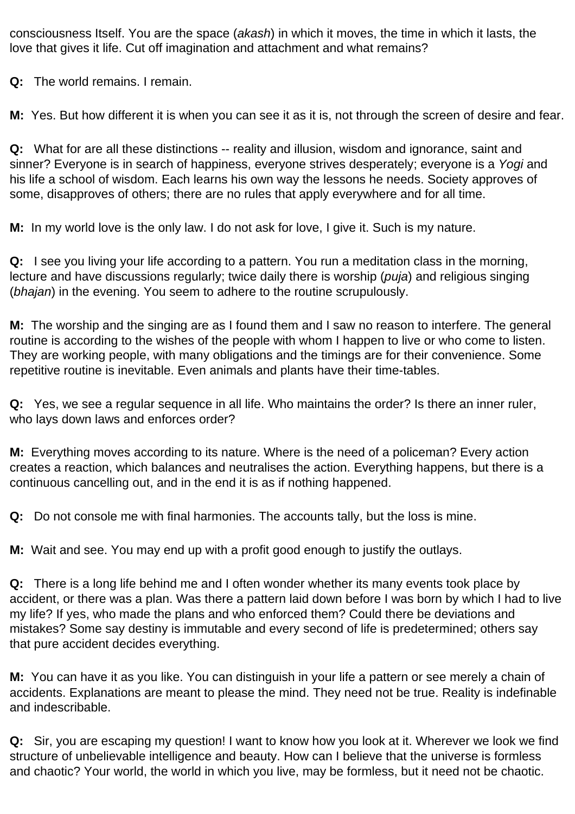consciousness Itself. You are the space (*akash*) in which it moves, the time in which it lasts, the love that gives it life. Cut off imagination and attachment and what remains?

**Q:** The world remains. I remain.

**M:** Yes. But how different it is when you can see it as it is, not through the screen of desire and fear.

**Q:** What for are all these distinctions -- reality and illusion, wisdom and ignorance, saint and sinner? Everyone is in search of happiness, everyone strives desperately; everyone is a *Yogi* and his life a school of wisdom. Each learns his own way the lessons he needs. Society approves of some, disapproves of others; there are no rules that apply everywhere and for all time.

**M:** In my world love is the only law. I do not ask for love, I give it. Such is my nature.

**Q:** I see you living your life according to a pattern. You run a meditation class in the morning, lecture and have discussions regularly; twice daily there is worship (*puja*) and religious singing (*bhajan*) in the evening. You seem to adhere to the routine scrupulously.

**M:** The worship and the singing are as I found them and I saw no reason to interfere. The general routine is according to the wishes of the people with whom I happen to live or who come to listen. They are working people, with many obligations and the timings are for their convenience. Some repetitive routine is inevitable. Even animals and plants have their time-tables.

**Q:** Yes, we see a regular sequence in all life. Who maintains the order? Is there an inner ruler, who lays down laws and enforces order?

**M:** Everything moves according to its nature. Where is the need of a policeman? Every action creates a reaction, which balances and neutralises the action. Everything happens, but there is a continuous cancelling out, and in the end it is as if nothing happened.

**Q:** Do not console me with final harmonies. The accounts tally, but the loss is mine.

**M:** Wait and see. You may end up with a profit good enough to justify the outlays.

**Q:** There is a long life behind me and I often wonder whether its many events took place by accident, or there was a plan. Was there a pattern laid down before I was born by which I had to live my life? If yes, who made the plans and who enforced them? Could there be deviations and mistakes? Some say destiny is immutable and every second of life is predetermined; others say that pure accident decides everything.

**M:** You can have it as you like. You can distinguish in your life a pattern or see merely a chain of accidents. Explanations are meant to please the mind. They need not be true. Reality is indefinable and indescribable.

**Q:** Sir, you are escaping my question! I want to know how you look at it. Wherever we look we find structure of unbelievable intelligence and beauty. How can I believe that the universe is formless and chaotic? Your world, the world in which you live, may be formless, but it need not be chaotic.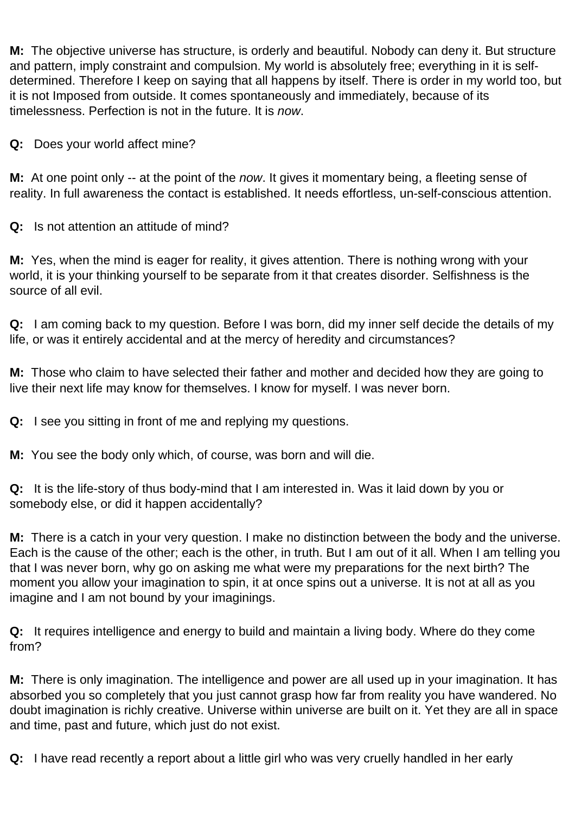**M:** The objective universe has structure, is orderly and beautiful. Nobody can deny it. But structure and pattern, imply constraint and compulsion. My world is absolutely free; everything in it is selfdetermined. Therefore I keep on saying that all happens by itself. There is order in my world too, but it is not Imposed from outside. It comes spontaneously and immediately, because of its timelessness. Perfection is not in the future. It is *now*.

**Q:** Does your world affect mine?

**M:** At one point only -- at the point of the *now*. It gives it momentary being, a fleeting sense of reality. In full awareness the contact is established. It needs effortless, un-self-conscious attention.

**Q:** Is not attention an attitude of mind?

**M:** Yes, when the mind is eager for reality, it gives attention. There is nothing wrong with your world, it is your thinking yourself to be separate from it that creates disorder. Selfishness is the source of all evil.

**Q:** I am coming back to my question. Before I was born, did my inner self decide the details of my life, or was it entirely accidental and at the mercy of heredity and circumstances?

**M:** Those who claim to have selected their father and mother and decided how they are going to live their next life may know for themselves. I know for myself. I was never born.

**Q:** I see you sitting in front of me and replying my questions.

**M:** You see the body only which, of course, was born and will die.

**Q:** It is the life-story of thus body-mind that I am interested in. Was it laid down by you or somebody else, or did it happen accidentally?

**M:** There is a catch in your very question. I make no distinction between the body and the universe. Each is the cause of the other; each is the other, in truth. But I am out of it all. When I am telling you that I was never born, why go on asking me what were my preparations for the next birth? The moment you allow your imagination to spin, it at once spins out a universe. It is not at all as you imagine and I am not bound by your imaginings.

**Q:** It requires intelligence and energy to build and maintain a living body. Where do they come from?

**M:** There is only imagination. The intelligence and power are all used up in your imagination. It has absorbed you so completely that you just cannot grasp how far from reality you have wandered. No doubt imagination is richly creative. Universe within universe are built on it. Yet they are all in space and time, past and future, which just do not exist.

**Q:** I have read recently a report about a little girl who was very cruelly handled in her early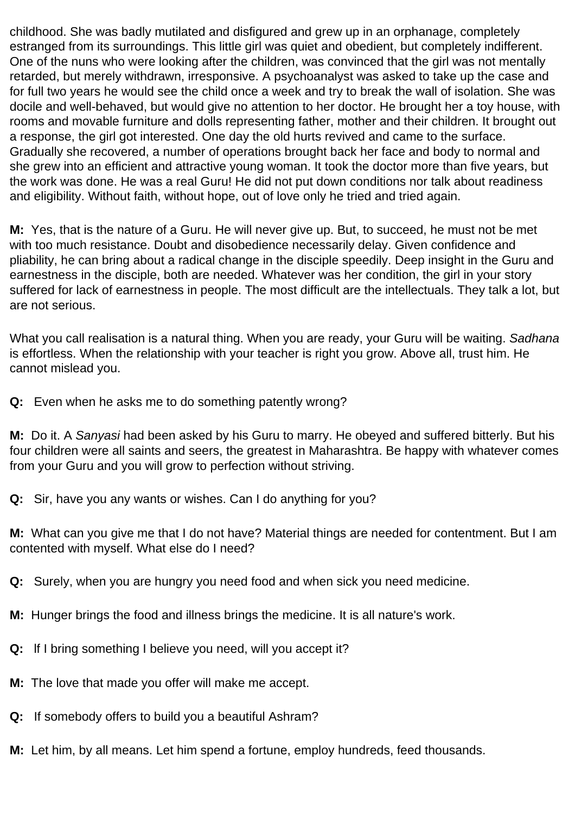childhood. She was badly mutilated and disfigured and grew up in an orphanage, completely estranged from its surroundings. This little girl was quiet and obedient, but completely indifferent. One of the nuns who were looking after the children, was convinced that the girl was not mentally retarded, but merely withdrawn, irresponsive. A psychoanalyst was asked to take up the case and for full two years he would see the child once a week and try to break the wall of isolation. She was docile and well-behaved, but would give no attention to her doctor. He brought her a toy house, with rooms and movable furniture and dolls representing father, mother and their children. It brought out a response, the girl got interested. One day the old hurts revived and came to the surface. Gradually she recovered, a number of operations brought back her face and body to normal and she grew into an efficient and attractive young woman. It took the doctor more than five years, but the work was done. He was a real Guru! He did not put down conditions nor talk about readiness and eligibility. Without faith, without hope, out of love only he tried and tried again.

**M:** Yes, that is the nature of a Guru. He will never give up. But, to succeed, he must not be met with too much resistance. Doubt and disobedience necessarily delay. Given confidence and pliability, he can bring about a radical change in the disciple speedily. Deep insight in the Guru and earnestness in the disciple, both are needed. Whatever was her condition, the girl in your story suffered for lack of earnestness in people. The most difficult are the intellectuals. They talk a lot, but are not serious.

What you call realisation is a natural thing. When you are ready, your Guru will be waiting. *Sadhana* is effortless. When the relationship with your teacher is right you grow. Above all, trust him. He cannot mislead you.

**Q:** Even when he asks me to do something patently wrong?

**M:** Do it. A *Sanyasi* had been asked by his Guru to marry. He obeyed and suffered bitterly. But his four children were all saints and seers, the greatest in Maharashtra. Be happy with whatever comes from your Guru and you will grow to perfection without striving.

**Q:** Sir, have you any wants or wishes. Can I do anything for you?

**M:** What can you give me that I do not have? Material things are needed for contentment. But I am contented with myself. What else do I need?

- **Q:** Surely, when you are hungry you need food and when sick you need medicine.
- **M:** Hunger brings the food and illness brings the medicine. It is all nature's work.
- **Q:** lf I bring something I believe you need, will you accept it?
- **M:** The love that made you offer will make me accept.
- **Q:** If somebody offers to build you a beautiful Ashram?
- **M:** Let him, by all means. Let him spend a fortune, employ hundreds, feed thousands.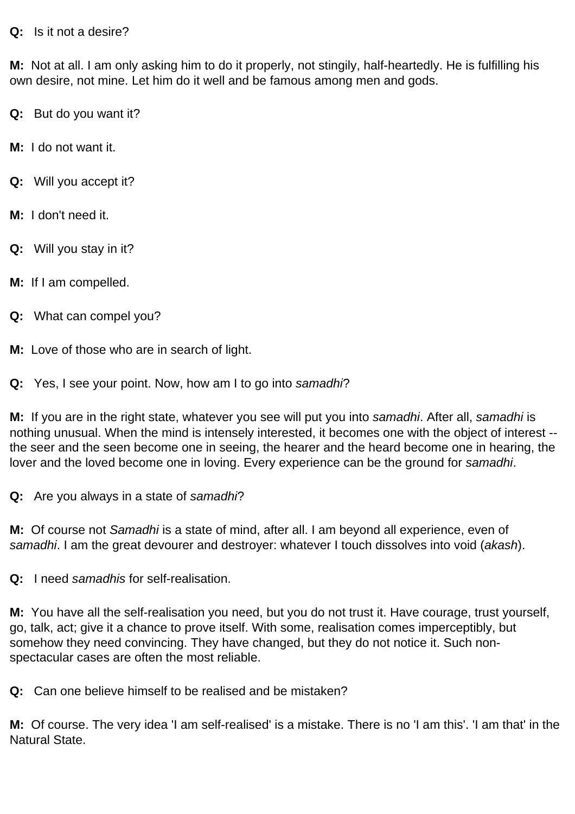#### **Q:** Is it not a desire?

**M:** Not at all. I am only asking him to do it properly, not stingily, half-heartedly. He is fulfilling his own desire, not mine. Let him do it well and be famous among men and gods.

- **Q:** But do you want it?
- **M:** I do not want it.
- **Q:** Will you accept it?
- **M:** I don't need it.
- **Q:** Will you stay in it?
- **M:** If I am compelled.
- **Q:** What can compel you?

**M:** Love of those who are in search of light.

**Q:** Yes, I see your point. Now, how am I to go into *samadhi*?

**M:** If you are in the right state, whatever you see will put you into *samadhi*. After all, *samadhi* is nothing unusual. When the mind is intensely interested, it becomes one with the object of interest - the seer and the seen become one in seeing, the hearer and the heard become one in hearing, the lover and the loved become one in loving. Every experience can be the ground for *samadhi*.

**Q:** Are you always in a state of *samadhi*?

**M:** Of course not *Samadhi* is a state of mind, after all. I am beyond all experience, even of *samadhi*. I am the great devourer and destroyer: whatever I touch dissolves into void (*akash*).

**Q:** I need *samadhis* for self-realisation.

**M:** You have all the self-realisation you need, but you do not trust it. Have courage, trust yourself, go, talk, act; give it a chance to prove itself. With some, realisation comes imperceptibly, but somehow they need convincing. They have changed, but they do not notice it. Such nonspectacular cases are often the most reliable.

**Q:** Can one believe himself to be realised and be mistaken?

**M:** Of course. The very idea 'I am self-realised' is a mistake. There is no 'I am this'. 'I am that' in the Natural State.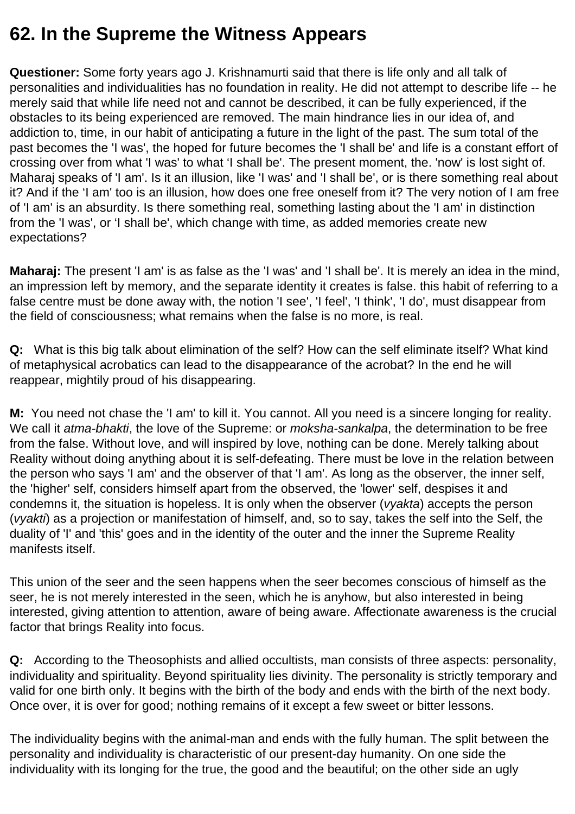# **62. In the Supreme the Witness Appears**

**Questioner:** Some forty years ago J. Krishnamurti said that there is life only and all talk of personalities and individualities has no foundation in reality. He did not attempt to describe life -- he merely said that while life need not and cannot be described, it can be fully experienced, if the obstacles to its being experienced are removed. The main hindrance lies in our idea of, and addiction to, time, in our habit of anticipating a future in the light of the past. The sum total of the past becomes the 'I was', the hoped for future becomes the 'I shall be' and life is a constant effort of crossing over from what 'I was' to what 'I shall be'. The present moment, the. 'now' is lost sight of. Maharaj speaks of 'I am'. Is it an illusion, like 'I was' and 'I shall be', or is there something real about it? And if the 'I am' too is an illusion, how does one free oneself from it? The very notion of I am free of 'I am' is an absurdity. Is there something real, something lasting about the 'I am' in distinction from the 'I was', or 'I shall be', which change with time, as added memories create new expectations?

**Maharaj:** The present 'I am' is as false as the 'I was' and 'I shall be'. It is merely an idea in the mind, an impression left by memory, and the separate identity it creates is false. this habit of referring to a false centre must be done away with, the notion 'I see', 'I feel', 'I think', 'I do', must disappear from the field of consciousness; what remains when the false is no more, is real.

**Q:** What is this big talk about elimination of the self? How can the self eliminate itself? What kind of metaphysical acrobatics can lead to the disappearance of the acrobat? In the end he will reappear, mightily proud of his disappearing.

**M:** You need not chase the 'I am' to kill it. You cannot. All you need is a sincere longing for reality. We call it *atma-bhakti*, the love of the Supreme: or *moksha-sankalpa*, the determination to be free from the false. Without love, and will inspired by love, nothing can be done. Merely talking about Reality without doing anything about it is self-defeating. There must be love in the relation between the person who says 'I am' and the observer of that 'I am'. As long as the observer, the inner self, the 'higher' self, considers himself apart from the observed, the 'lower' self, despises it and condemns it, the situation is hopeless. It is only when the observer (*vyakta*) accepts the person (*vyakti*) as a projection or manifestation of himself, and, so to say, takes the self into the Self, the duality of 'I' and 'this' goes and in the identity of the outer and the inner the Supreme Reality manifests itself.

This union of the seer and the seen happens when the seer becomes conscious of himself as the seer, he is not merely interested in the seen, which he is anyhow, but also interested in being interested, giving attention to attention, aware of being aware. Affectionate awareness is the crucial factor that brings Reality into focus.

**Q:** According to the Theosophists and allied occultists, man consists of three aspects: personality, individuality and spirituality. Beyond spirituality lies divinity. The personality is strictly temporary and valid for one birth only. It begins with the birth of the body and ends with the birth of the next body. Once over, it is over for good; nothing remains of it except a few sweet or bitter lessons.

The individuality begins with the animal-man and ends with the fully human. The split between the personality and individuality is characteristic of our present-day humanity. On one side the individuality with its longing for the true, the good and the beautiful; on the other side an ugly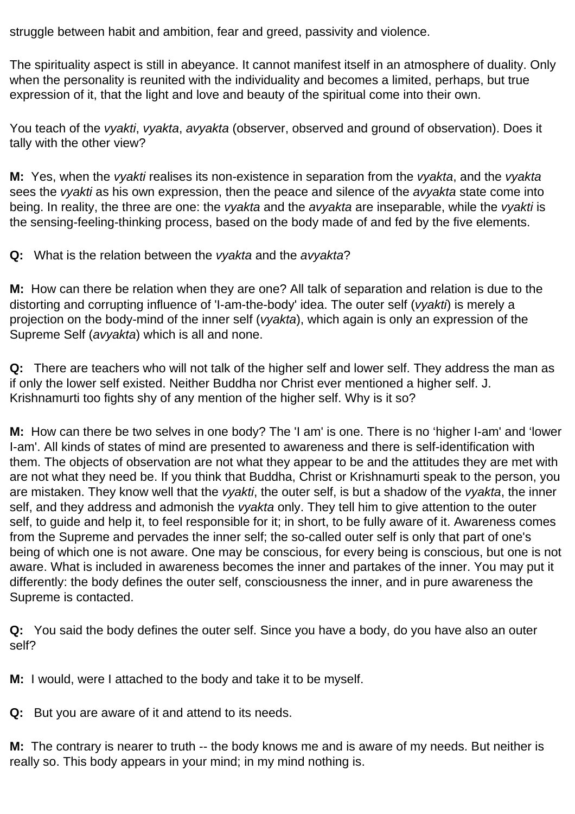struggle between habit and ambition, fear and greed, passivity and violence.

The spirituality aspect is still in abeyance. It cannot manifest itself in an atmosphere of duality. Only when the personality is reunited with the individuality and becomes a limited, perhaps, but true expression of it, that the light and love and beauty of the spiritual come into their own.

You teach of the *vyakti*, *vyakta*, *avyakta* (observer, observed and ground of observation). Does it tally with the other view?

**M:** Yes, when the *vyakti* realises its non-existence in separation from the *vyakta*, and the *vyakta* sees the *vyakti* as his own expression, then the peace and silence of the *avyakta* state come into being. In reality, the three are one: the *vyakta* and the *avyakta* are inseparable, while the *vyakti* is the sensing-feeling-thinking process, based on the body made of and fed by the five elements.

**Q:** What is the relation between the *vyakta* and the *avyakta*?

**M:** How can there be relation when they are one? All talk of separation and relation is due to the distorting and corrupting influence of 'I-am-the-body' idea. The outer self (*vyakti*) is merely a projection on the body-mind of the inner self (*vyakta*), which again is only an expression of the Supreme Self (*avyakta*) which is all and none.

**Q:** There are teachers who will not talk of the higher self and lower self. They address the man as if only the lower self existed. Neither Buddha nor Christ ever mentioned a higher self. J. Krishnamurti too fights shy of any mention of the higher self. Why is it so?

**M:** How can there be two selves in one body? The 'I am' is one. There is no 'higher I-am' and 'lower I-am'. All kinds of states of mind are presented to awareness and there is self-identification with them. The objects of observation are not what they appear to be and the attitudes they are met with are not what they need be. If you think that Buddha, Christ or Krishnamurti speak to the person, you are mistaken. They know well that the *vyakti*, the outer self, is but a shadow of the *vyakta*, the inner self, and they address and admonish the *vyakta* only. They tell him to give attention to the outer self, to guide and help it, to feel responsible for it; in short, to be fully aware of it. Awareness comes from the Supreme and pervades the inner self; the so-called outer self is only that part of one's being of which one is not aware. One may be conscious, for every being is conscious, but one is not aware. What is included in awareness becomes the inner and partakes of the inner. You may put it differently: the body defines the outer self, consciousness the inner, and in pure awareness the Supreme is contacted.

**Q:** You said the body defines the outer self. Since you have a body, do you have also an outer self?

**M:** I would, were I attached to the body and take it to be myself.

**Q:** But you are aware of it and attend to its needs.

**M:** The contrary is nearer to truth -- the body knows me and is aware of my needs. But neither is really so. This body appears in your mind; in my mind nothing is.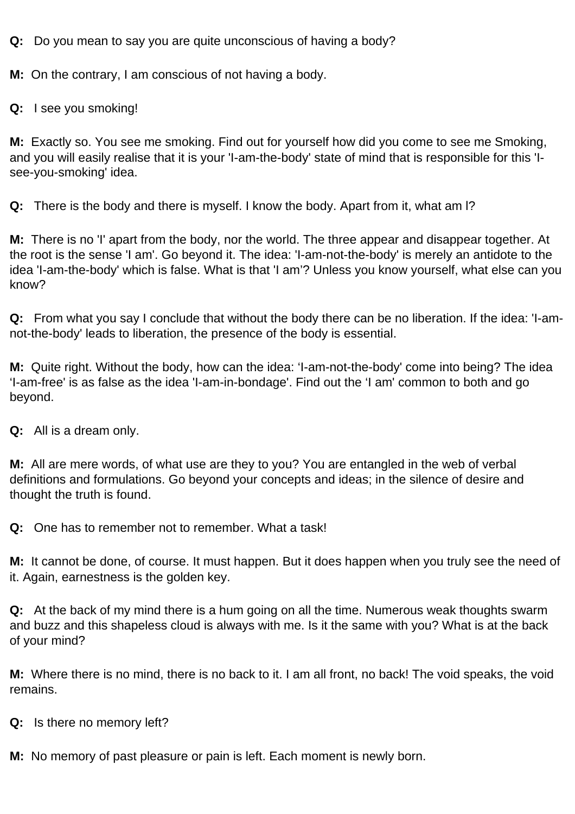**Q:** Do you mean to say you are quite unconscious of having a body?

**M:** On the contrary, I am conscious of not having a body.

**Q:** I see you smoking!

**M:** Exactly so. You see me smoking. Find out for yourself how did you come to see me Smoking, and you will easily realise that it is your 'I-am-the-body' state of mind that is responsible for this 'Isee-you-smoking' idea.

**Q:** There is the body and there is myself. I know the body. Apart from it, what am l?

**M:** There is no 'I' apart from the body, nor the world. The three appear and disappear together. At the root is the sense 'I am'. Go beyond it. The idea: 'I-am-not-the-body' is merely an antidote to the idea 'I-am-the-body' which is false. What is that 'I am'? Unless you know yourself, what else can you know?

**Q:** From what you say I conclude that without the body there can be no liberation. If the idea: 'I-amnot-the-body' leads to liberation, the presence of the body is essential.

**M:** Quite right. Without the body, how can the idea: 'I-am-not-the-body' come into being? The idea 'I-am-free' is as false as the idea 'I-am-in-bondage'. Find out the 'I am' common to both and go beyond.

**Q:** All is a dream only.

**M:** All are mere words, of what use are they to you? You are entangled in the web of verbal definitions and formulations. Go beyond your concepts and ideas; in the silence of desire and thought the truth is found.

**Q:** One has to remember not to remember. What a task!

**M:** It cannot be done, of course. It must happen. But it does happen when you truly see the need of it. Again, earnestness is the golden key.

**Q:** At the back of my mind there is a hum going on all the time. Numerous weak thoughts swarm and buzz and this shapeless cloud is always with me. Is it the same with you? What is at the back of your mind?

**M:** Where there is no mind, there is no back to it. I am all front, no back! The void speaks, the void remains.

**Q:** Is there no memory left?

**M:** No memory of past pleasure or pain is left. Each moment is newly born.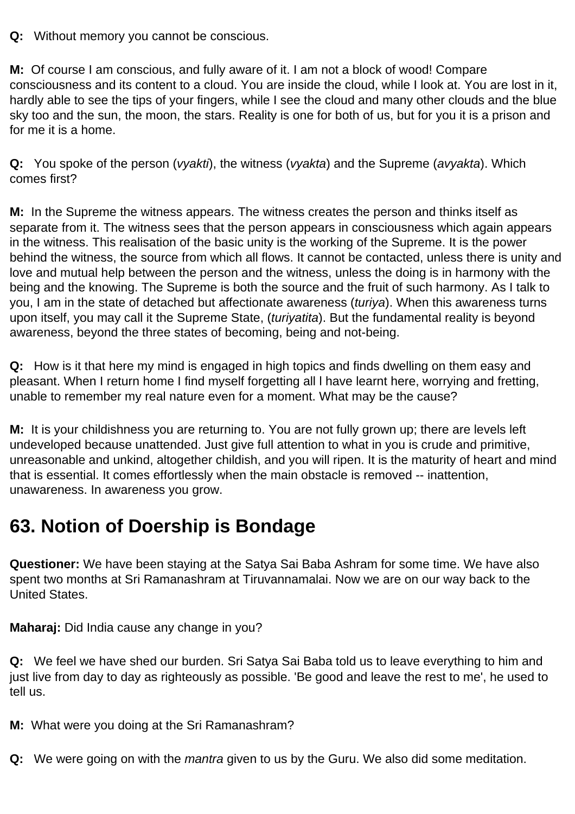**Q:** Without memory you cannot be conscious.

**M:** Of course I am conscious, and fully aware of it. I am not a block of wood! Compare consciousness and its content to a cloud. You are inside the cloud, while I look at. You are lost in it, hardly able to see the tips of your fingers, while I see the cloud and many other clouds and the blue sky too and the sun, the moon, the stars. Reality is one for both of us, but for you it is a prison and for me it is a home.

**Q:** You spoke of the person (*vyakti*), the witness (*vyakta*) and the Supreme (*avyakta*). Which comes first?

**M:** In the Supreme the witness appears. The witness creates the person and thinks itself as separate from it. The witness sees that the person appears in consciousness which again appears in the witness. This realisation of the basic unity is the working of the Supreme. It is the power behind the witness, the source from which all flows. It cannot be contacted, unless there is unity and love and mutual help between the person and the witness, unless the doing is in harmony with the being and the knowing. The Supreme is both the source and the fruit of such harmony. As I talk to you, I am in the state of detached but affectionate awareness (*turiya*). When this awareness turns upon itself, you may call it the Supreme State, (*turiyatita*). But the fundamental reality is beyond awareness, beyond the three states of becoming, being and not-being.

**Q:** How is it that here my mind is engaged in high topics and finds dwelling on them easy and pleasant. When I return home I find myself forgetting all l have learnt here, worrying and fretting, unable to remember my real nature even for a moment. What may be the cause?

**M:** It is your childishness you are returning to. You are not fully grown up; there are levels left undeveloped because unattended. Just give full attention to what in you is crude and primitive, unreasonable and unkind, altogether childish, and you will ripen. It is the maturity of heart and mind that is essential. It comes effortlessly when the main obstacle is removed -- inattention, unawareness. In awareness you grow.

# **63. Notion of Doership is Bondage**

**Questioner:** We have been staying at the Satya Sai Baba Ashram for some time. We have also spent two months at Sri Ramanashram at Tiruvannamalai. Now we are on our way back to the United States.

**Maharaj:** Did India cause any change in you?

**Q:** We feel we have shed our burden. Sri Satya Sai Baba told us to leave everything to him and just live from day to day as righteously as possible. 'Be good and leave the rest to me', he used to tell us.

**M:** What were you doing at the Sri Ramanashram?

**Q:** We were going on with the *mantra* given to us by the Guru. We also did some meditation.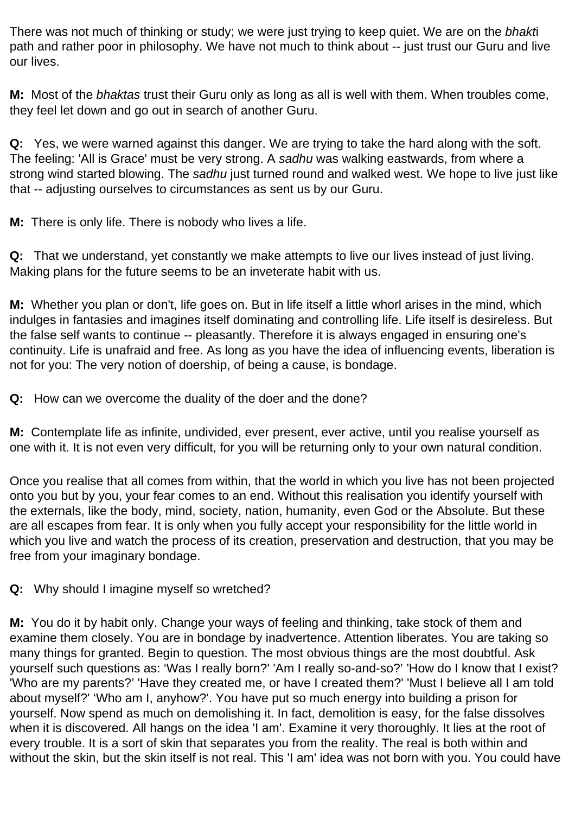There was not much of thinking or study; we were just trying to keep quiet. We are on the *bhakt*i path and rather poor in philosophy. We have not much to think about -- just trust our Guru and live our lives.

**M:** Most of the *bhaktas* trust their Guru only as long as all is well with them. When troubles come, they feel let down and go out in search of another Guru.

**Q:** Yes, we were warned against this danger. We are trying to take the hard along with the soft. The feeling: 'All is Grace' must be very strong. A *sadhu* was walking eastwards, from where a strong wind started blowing. The *sadhu* just turned round and walked west. We hope to live just like that -- adjusting ourselves to circumstances as sent us by our Guru.

**M:** There is only life. There is nobody who lives a life.

**Q:** That we understand, yet constantly we make attempts to live our lives instead of just living. Making plans for the future seems to be an inveterate habit with us.

**M:** Whether you plan or don't, life goes on. But in life itself a little whorl arises in the mind, which indulges in fantasies and imagines itself dominating and controlling life. Life itself is desireless. But the false self wants to continue -- pleasantly. Therefore it is always engaged in ensuring one's continuity. Life is unafraid and free. As long as you have the idea of influencing events, liberation is not for you: The very notion of doership, of being a cause, is bondage.

**Q:** How can we overcome the duality of the doer and the done?

**M:** Contemplate life as infinite, undivided, ever present, ever active, until you realise yourself as one with it. It is not even very difficult, for you will be returning only to your own natural condition.

Once you realise that all comes from within, that the world in which you live has not been projected onto you but by you, your fear comes to an end. Without this realisation you identify yourself with the externals, like the body, mind, society, nation, humanity, even God or the Absolute. But these are all escapes from fear. It is only when you fully accept your responsibility for the little world in which you live and watch the process of its creation, preservation and destruction, that you may be free from your imaginary bondage.

**Q:** Why should I imagine myself so wretched?

**M:** You do it by habit only. Change your ways of feeling and thinking, take stock of them and examine them closely. You are in bondage by inadvertence. Attention liberates. You are taking so many things for granted. Begin to question. The most obvious things are the most doubtful. Ask yourself such questions as: 'Was I really born?' 'Am I really so-and-so?' 'How do I know that I exist? 'Who are my parents?' 'Have they created me, or have I created them?' 'Must I believe all I am told about myself?' 'Who am I, anyhow?'. You have put so much energy into building a prison for yourself. Now spend as much on demolishing it. In fact, demolition is easy, for the false dissolves when it is discovered. All hangs on the idea 'I am'. Examine it very thoroughly. It lies at the root of every trouble. It is a sort of skin that separates you from the reality. The real is both within and without the skin, but the skin itself is not real. This 'I am' idea was not born with you. You could have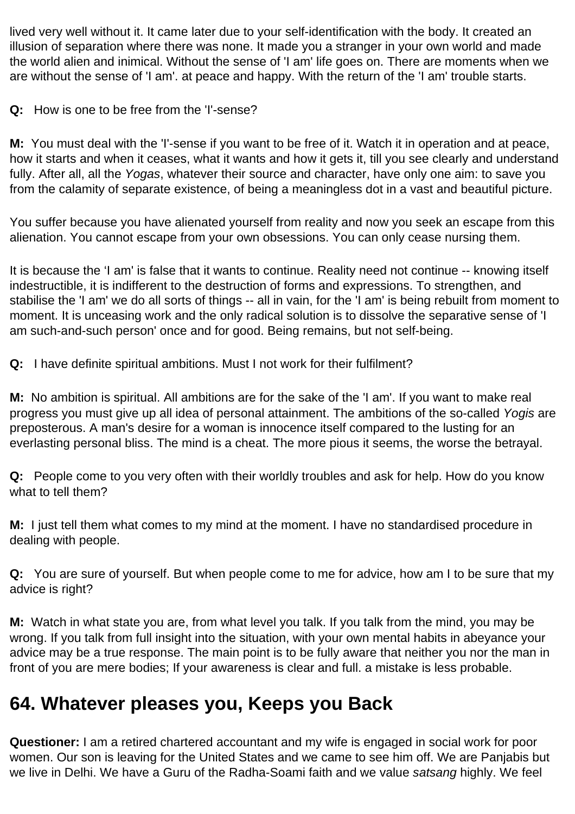lived very well without it. It came later due to your self-identification with the body. It created an illusion of separation where there was none. It made you a stranger in your own world and made the world alien and inimical. Without the sense of 'I am' life goes on. There are moments when we are without the sense of 'I am'. at peace and happy. With the return of the 'I am' trouble starts.

**Q:** How is one to be free from the 'I'-sense?

**M:** You must deal with the 'I'-sense if you want to be free of it. Watch it in operation and at peace, how it starts and when it ceases, what it wants and how it gets it, till you see clearly and understand fully. After all, all the *Yogas*, whatever their source and character, have only one aim: to save you from the calamity of separate existence, of being a meaningless dot in a vast and beautiful picture.

You suffer because you have alienated yourself from reality and now you seek an escape from this alienation. You cannot escape from your own obsessions. You can only cease nursing them.

It is because the 'I am' is false that it wants to continue. Reality need not continue -- knowing itself indestructible, it is indifferent to the destruction of forms and expressions. To strengthen, and stabilise the 'I am' we do all sorts of things -- all in vain, for the 'I am' is being rebuilt from moment to moment. It is unceasing work and the only radical solution is to dissolve the separative sense of 'I am such-and-such person' once and for good. Being remains, but not self-being.

**Q:** I have definite spiritual ambitions. Must I not work for their fulfilment?

**M:** No ambition is spiritual. All ambitions are for the sake of the 'I am'. If you want to make real progress you must give up all idea of personal attainment. The ambitions of the so-called *Yogis* are preposterous. A man's desire for a woman is innocence itself compared to the lusting for an everlasting personal bliss. The mind is a cheat. The more pious it seems, the worse the betrayal.

**Q:** People come to you very often with their worldly troubles and ask for help. How do you know what to tell them?

**M:** I just tell them what comes to my mind at the moment. I have no standardised procedure in dealing with people.

**Q:** You are sure of yourself. But when people come to me for advice, how am I to be sure that my advice is right?

**M:** Watch in what state you are, from what level you talk. If you talk from the mind, you may be wrong. If you talk from full insight into the situation, with your own mental habits in abeyance your advice may be a true response. The main point is to be fully aware that neither you nor the man in front of you are mere bodies; If your awareness is clear and full. a mistake is less probable.

## **64. Whatever pleases you, Keeps you Back**

**Questioner:** I am a retired chartered accountant and my wife is engaged in social work for poor women. Our son is leaving for the United States and we came to see him off. We are Panjabis but we live in Delhi. We have a Guru of the Radha-Soami faith and we value *satsang* highly. We feel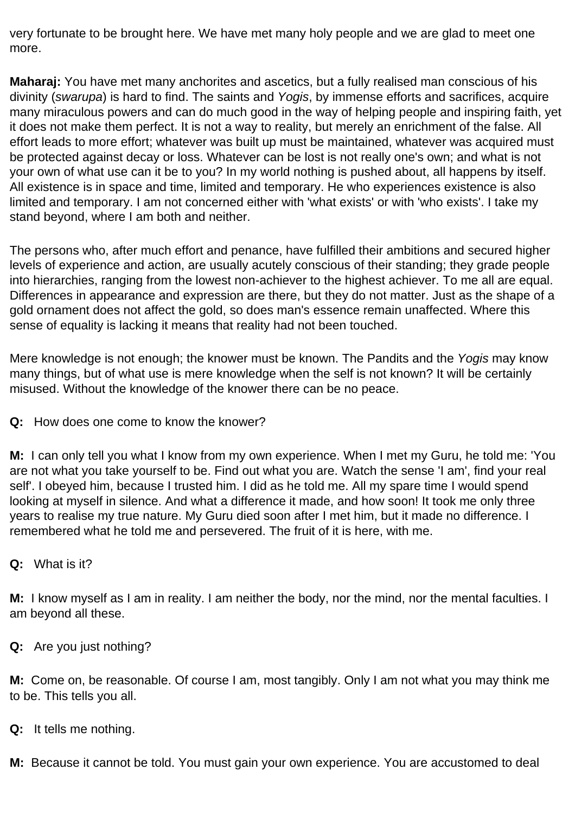very fortunate to be brought here. We have met many holy people and we are glad to meet one more.

**Maharaj:** You have met many anchorites and ascetics, but a fully realised man conscious of his divinity (*swarupa*) is hard to find. The saints and *Yogis*, by immense efforts and sacrifices, acquire many miraculous powers and can do much good in the way of helping people and inspiring faith, yet it does not make them perfect. It is not a way to reality, but merely an enrichment of the false. All effort leads to more effort; whatever was built up must be maintained, whatever was acquired must be protected against decay or loss. Whatever can be lost is not really one's own; and what is not your own of what use can it be to you? In my world nothing is pushed about, all happens by itself. All existence is in space and time, limited and temporary. He who experiences existence is also limited and temporary. I am not concerned either with 'what exists' or with 'who exists'. I take my stand beyond, where I am both and neither.

The persons who, after much effort and penance, have fulfilled their ambitions and secured higher levels of experience and action, are usually acutely conscious of their standing; they grade people into hierarchies, ranging from the lowest non-achiever to the highest achiever. To me all are equal. Differences in appearance and expression are there, but they do not matter. Just as the shape of a gold ornament does not affect the gold, so does man's essence remain unaffected. Where this sense of equality is lacking it means that reality had not been touched.

Mere knowledge is not enough; the knower must be known. The Pandits and the *Yogis* may know many things, but of what use is mere knowledge when the self is not known? It will be certainly misused. Without the knowledge of the knower there can be no peace.

**Q:** How does one come to know the knower?

**M:** I can only tell you what I know from my own experience. When I met my Guru, he told me: 'You are not what you take yourself to be. Find out what you are. Watch the sense 'I am', find your real self'. I obeyed him, because I trusted him. I did as he told me. All my spare time I would spend looking at myself in silence. And what a difference it made, and how soon! It took me only three years to realise my true nature. My Guru died soon after I met him, but it made no difference. I remembered what he told me and persevered. The fruit of it is here, with me.

**Q:** What is it?

**M:** I know myself as I am in reality. I am neither the body, nor the mind, nor the mental faculties. I am beyond all these.

**Q:** Are you just nothing?

**M:** Come on, be reasonable. Of course I am, most tangibly. Only I am not what you may think me to be. This tells you all.

**Q:** It tells me nothing.

**M:** Because it cannot be told. You must gain your own experience. You are accustomed to deal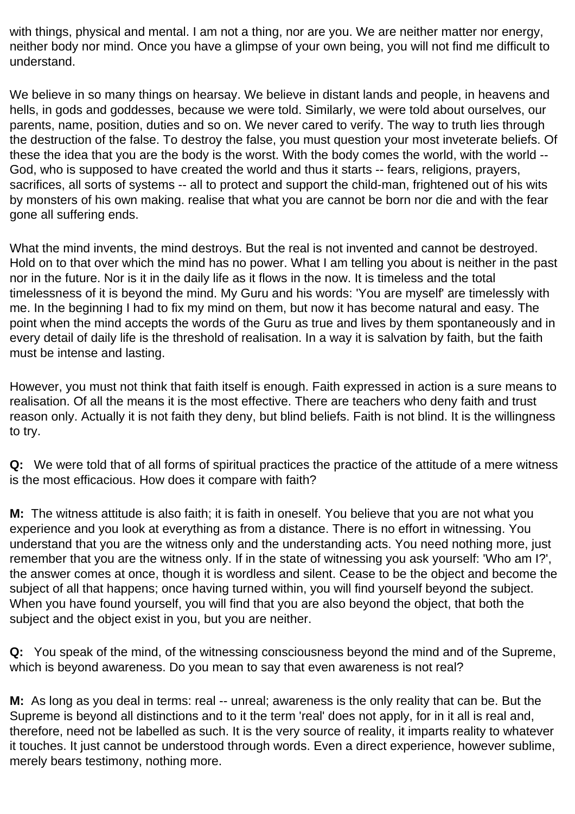with things, physical and mental. I am not a thing, nor are you. We are neither matter nor energy, neither body nor mind. Once you have a glimpse of your own being, you will not find me difficult to understand.

We believe in so many things on hearsay. We believe in distant lands and people, in heavens and hells, in gods and goddesses, because we were told. Similarly, we were told about ourselves, our parents, name, position, duties and so on. We never cared to verify. The way to truth lies through the destruction of the false. To destroy the false, you must question your most inveterate beliefs. Of these the idea that you are the body is the worst. With the body comes the world, with the world -- God, who is supposed to have created the world and thus it starts -- fears, religions, prayers, sacrifices, all sorts of systems -- all to protect and support the child-man, frightened out of his wits by monsters of his own making. realise that what you are cannot be born nor die and with the fear gone all suffering ends.

What the mind invents, the mind destroys. But the real is not invented and cannot be destroyed. Hold on to that over which the mind has no power. What I am telling you about is neither in the past nor in the future. Nor is it in the daily life as it flows in the now. It is timeless and the total timelessness of it is beyond the mind. My Guru and his words: 'You are myself' are timelessly with me. In the beginning I had to fix my mind on them, but now it has become natural and easy. The point when the mind accepts the words of the Guru as true and lives by them spontaneously and in every detail of daily life is the threshold of realisation. In a way it is salvation by faith, but the faith must be intense and lasting.

However, you must not think that faith itself is enough. Faith expressed in action is a sure means to realisation. Of all the means it is the most effective. There are teachers who deny faith and trust reason only. Actually it is not faith they deny, but blind beliefs. Faith is not blind. It is the willingness to try.

**Q:** We were told that of all forms of spiritual practices the practice of the attitude of a mere witness is the most efficacious. How does it compare with faith?

**M:** The witness attitude is also faith; it is faith in oneself. You believe that you are not what you experience and you look at everything as from a distance. There is no effort in witnessing. You understand that you are the witness only and the understanding acts. You need nothing more, just remember that you are the witness only. If in the state of witnessing you ask yourself: 'Who am I?', the answer comes at once, though it is wordless and silent. Cease to be the object and become the subject of all that happens; once having turned within, you will find yourself beyond the subject. When you have found yourself, you will find that you are also beyond the object, that both the subject and the object exist in you, but you are neither.

**Q:** You speak of the mind, of the witnessing consciousness beyond the mind and of the Supreme, which is beyond awareness. Do you mean to say that even awareness is not real?

**M:** As long as you deal in terms: real -- unreal; awareness is the only reality that can be. But the Supreme is beyond all distinctions and to it the term 'real' does not apply, for in it all is real and, therefore, need not be labelled as such. It is the very source of reality, it imparts reality to whatever it touches. It just cannot be understood through words. Even a direct experience, however sublime, merely bears testimony, nothing more.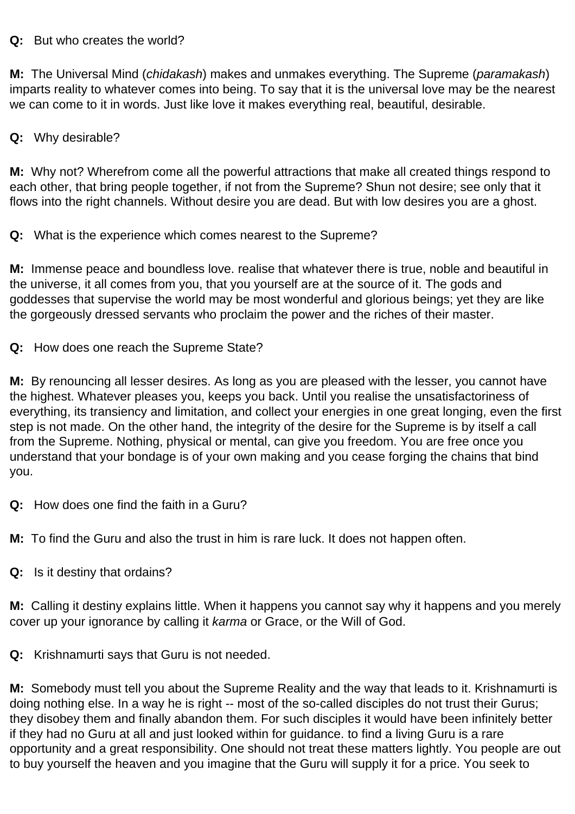### **Q:** But who creates the world?

**M:** The Universal Mind (*chidakash*) makes and unmakes everything. The Supreme (*paramakash*) imparts reality to whatever comes into being. To say that it is the universal love may be the nearest we can come to it in words. Just like love it makes everything real, beautiful, desirable.

### **Q:** Why desirable?

**M:** Why not? Wherefrom come all the powerful attractions that make all created things respond to each other, that bring people together, if not from the Supreme? Shun not desire; see only that it flows into the right channels. Without desire you are dead. But with low desires you are a ghost.

**Q:** What is the experience which comes nearest to the Supreme?

**M:** Immense peace and boundless love. realise that whatever there is true, noble and beautiful in the universe, it all comes from you, that you yourself are at the source of it. The gods and goddesses that supervise the world may be most wonderful and glorious beings; yet they are like the gorgeously dressed servants who proclaim the power and the riches of their master.

**Q:** How does one reach the Supreme State?

**M:** By renouncing all lesser desires. As long as you are pleased with the lesser, you cannot have the highest. Whatever pleases you, keeps you back. Until you realise the unsatisfactoriness of everything, its transiency and limitation, and collect your energies in one great longing, even the first step is not made. On the other hand, the integrity of the desire for the Supreme is by itself a call from the Supreme. Nothing, physical or mental, can give you freedom. You are free once you understand that your bondage is of your own making and you cease forging the chains that bind you.

- **Q:** How does one find the faith in a Guru?
- **M:** To find the Guru and also the trust in him is rare luck. It does not happen often.
- **Q:** Is it destiny that ordains?

**M:** Calling it destiny explains little. When it happens you cannot say why it happens and you merely cover up your ignorance by calling it *karma* or Grace, or the Will of God.

**Q:** Krishnamurti says that Guru is not needed.

**M:** Somebody must tell you about the Supreme Reality and the way that leads to it. Krishnamurti is doing nothing else. In a way he is right -- most of the so-called disciples do not trust their Gurus; they disobey them and finally abandon them. For such disciples it would have been infinitely better if they had no Guru at all and just looked within for guidance. to find a living Guru is a rare opportunity and a great responsibility. One should not treat these matters lightly. You people are out to buy yourself the heaven and you imagine that the Guru will supply it for a price. You seek to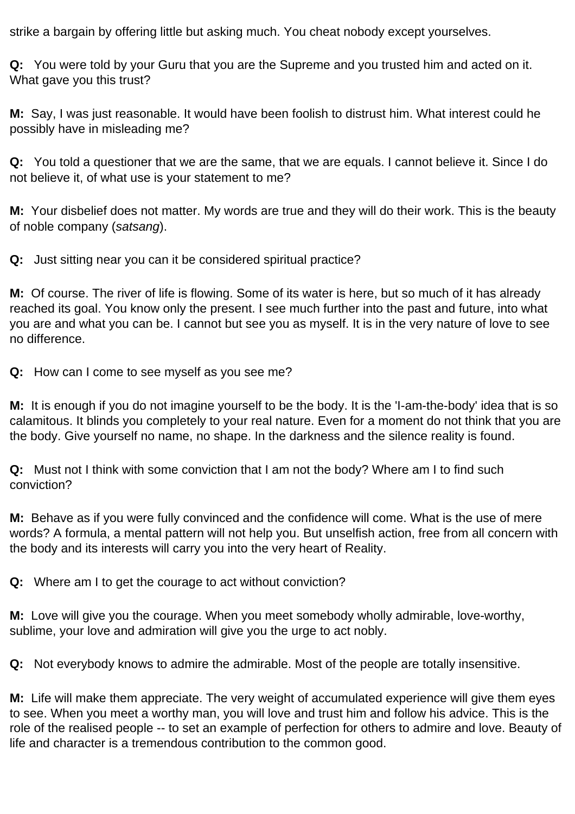strike a bargain by offering little but asking much. You cheat nobody except yourselves.

**Q:** You were told by your Guru that you are the Supreme and you trusted him and acted on it. What gave you this trust?

**M:** Say, I was just reasonable. It would have been foolish to distrust him. What interest could he possibly have in misleading me?

**Q:** You told a questioner that we are the same, that we are equals. I cannot believe it. Since I do not believe it, of what use is your statement to me?

**M:** Your disbelief does not matter. My words are true and they will do their work. This is the beauty of noble company (*satsang*).

**Q:** Just sitting near you can it be considered spiritual practice?

**M:** Of course. The river of life is flowing. Some of its water is here, but so much of it has already reached its goal. You know only the present. I see much further into the past and future, into what you are and what you can be. I cannot but see you as myself. It is in the very nature of love to see no difference.

**Q:** How can I come to see myself as you see me?

**M:** It is enough if you do not imagine yourself to be the body. It is the 'I-am-the-body' idea that is so calamitous. It blinds you completely to your real nature. Even for a moment do not think that you are the body. Give yourself no name, no shape. In the darkness and the silence reality is found.

**Q:** Must not I think with some conviction that I am not the body? Where am I to find such conviction?

**M:** Behave as if you were fully convinced and the confidence will come. What is the use of mere words? A formula, a mental pattern will not help you. But unselfish action, free from all concern with the body and its interests will carry you into the very heart of Reality.

**Q:** Where am I to get the courage to act without conviction?

**M:** Love will give you the courage. When you meet somebody wholly admirable, love-worthy, sublime, your love and admiration will give you the urge to act nobly.

**Q:** Not everybody knows to admire the admirable. Most of the people are totally insensitive.

**M:** Life will make them appreciate. The very weight of accumulated experience will give them eyes to see. When you meet a worthy man, you will love and trust him and follow his advice. This is the role of the realised people -- to set an example of perfection for others to admire and love. Beauty of life and character is a tremendous contribution to the common good.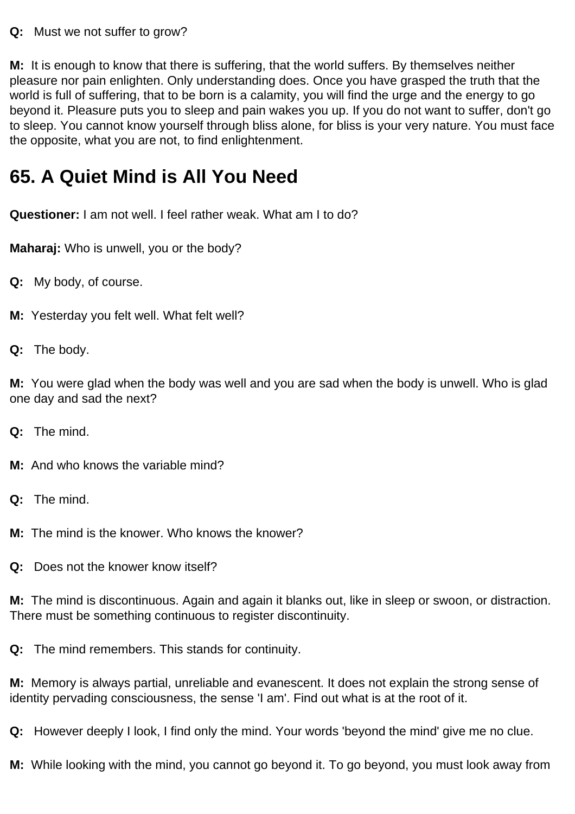**M:** It is enough to know that there is suffering, that the world suffers. By themselves neither pleasure nor pain enlighten. Only understanding does. Once you have grasped the truth that the world is full of suffering, that to be born is a calamity, you will find the urge and the energy to go beyond it. Pleasure puts you to sleep and pain wakes you up. If you do not want to suffer, don't go to sleep. You cannot know yourself through bliss alone, for bliss is your very nature. You must face the opposite, what you are not, to find enlightenment.

# **65. A Quiet Mind is All You Need**

**Questioner:** I am not well. I feel rather weak. What am I to do?

**Maharaj:** Who is unwell, you or the body?

- **Q:** My body, of course.
- **M:** Yesterday you felt well. What felt well?
- **Q:** The body.

**M:** You were glad when the body was well and you are sad when the body is unwell. Who is glad one day and sad the next?

- **Q:** The mind.
- **M:** And who knows the variable mind?
- **Q:** The mind.
- **M:** The mind is the knower. Who knows the knower?
- **Q:** Does not the knower know itself?

**M:** The mind is discontinuous. Again and again it blanks out, like in sleep or swoon, or distraction. There must be something continuous to register discontinuity.

**Q:** The mind remembers. This stands for continuity.

**M:** Memory is always partial, unreliable and evanescent. It does not explain the strong sense of identity pervading consciousness, the sense 'I am'. Find out what is at the root of it.

**Q:** However deeply I look, I find only the mind. Your words 'beyond the mind' give me no clue.

**M:** While looking with the mind, you cannot go beyond it. To go beyond, you must look away from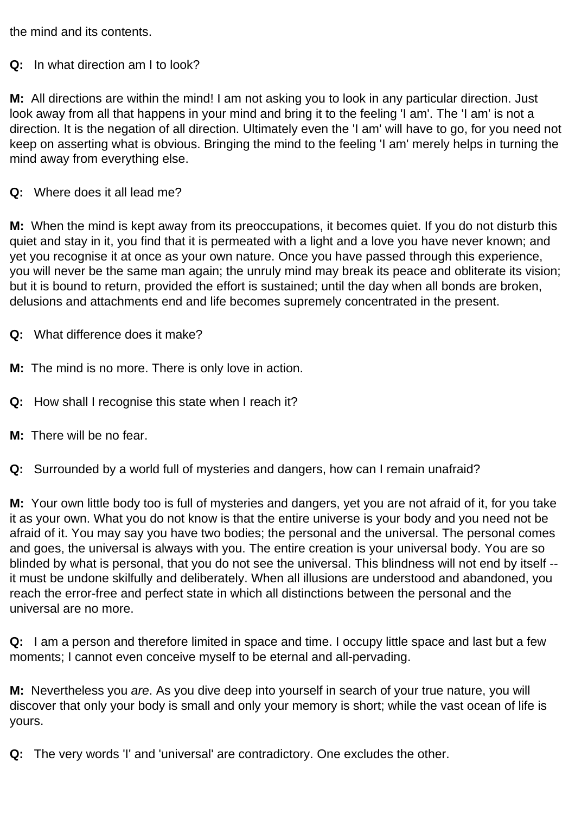the mind and its contents.

**Q:** In what direction am I to look?

**M:** All directions are within the mind! I am not asking you to look in any particular direction. Just look away from all that happens in your mind and bring it to the feeling 'I am'. The 'I am' is not a direction. It is the negation of all direction. Ultimately even the 'I am' will have to go, for you need not keep on asserting what is obvious. Bringing the mind to the feeling 'I am' merely helps in turning the mind away from everything else.

**Q:** Where does it all lead me?

**M:** When the mind is kept away from its preoccupations, it becomes quiet. If you do not disturb this quiet and stay in it, you find that it is permeated with a light and a love you have never known; and yet you recognise it at once as your own nature. Once you have passed through this experience, you will never be the same man again; the unruly mind may break its peace and obliterate its vision; but it is bound to return, provided the effort is sustained; until the day when all bonds are broken, delusions and attachments end and life becomes supremely concentrated in the present.

- **Q:** What difference does it make?
- **M:** The mind is no more. There is only love in action.
- **Q:** How shall I recognise this state when I reach it?
- **M:** There will be no fear.
- **Q:** Surrounded by a world full of mysteries and dangers, how can I remain unafraid?

**M:** Your own little body too is full of mysteries and dangers, yet you are not afraid of it, for you take it as your own. What you do not know is that the entire universe is your body and you need not be afraid of it. You may say you have two bodies; the personal and the universal. The personal comes and goes, the universal is always with you. The entire creation is your universal body. You are so blinded by what is personal, that you do not see the universal. This blindness will not end by itself - it must be undone skilfully and deliberately. When all illusions are understood and abandoned, you reach the error-free and perfect state in which all distinctions between the personal and the universal are no more.

**Q:** I am a person and therefore limited in space and time. I occupy little space and last but a few moments; I cannot even conceive myself to be eternal and all-pervading.

**M:** Nevertheless you *are*. As you dive deep into yourself in search of your true nature, you will discover that only your body is small and only your memory is short; while the vast ocean of life is yours.

**Q:** The very words 'I' and 'universal' are contradictory. One excludes the other.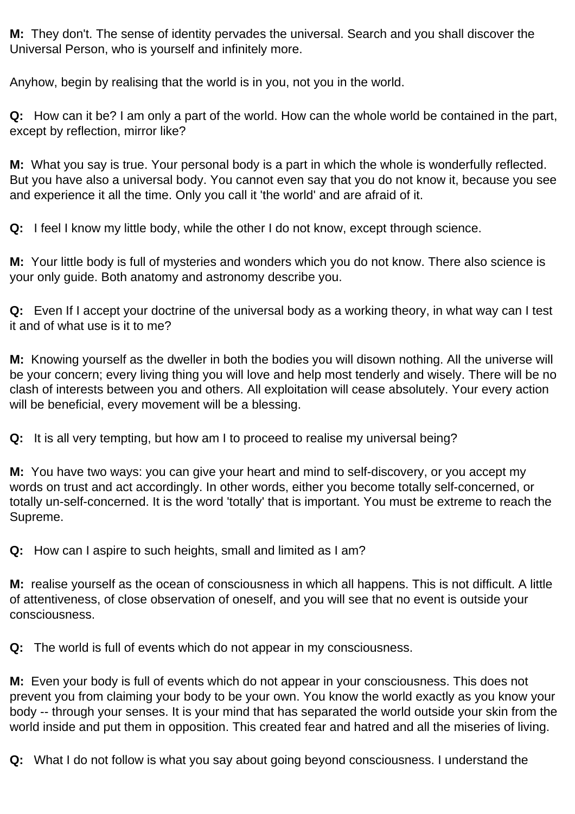**M:** They don't. The sense of identity pervades the universal. Search and you shall discover the Universal Person, who is yourself and infinitely more.

Anyhow, begin by realising that the world is in you, not you in the world.

**Q:** How can it be? I am only a part of the world. How can the whole world be contained in the part, except by reflection, mirror like?

**M:** What you say is true. Your personal body is a part in which the whole is wonderfully reflected. But you have also a universal body. You cannot even say that you do not know it, because you see and experience it all the time. Only you call it 'the world' and are afraid of it.

**Q:** I feel I know my little body, while the other I do not know, except through science.

**M:** Your little body is full of mysteries and wonders which you do not know. There also science is your only guide. Both anatomy and astronomy describe you.

**Q:** Even If I accept your doctrine of the universal body as a working theory, in what way can I test it and of what use is it to me?

**M:** Knowing yourself as the dweller in both the bodies you will disown nothing. All the universe will be your concern; every living thing you will love and help most tenderly and wisely. There will be no clash of interests between you and others. All exploitation will cease absolutely. Your every action will be beneficial, every movement will be a blessing.

**Q:** It is all very tempting, but how am I to proceed to realise my universal being?

**M:** You have two ways: you can give your heart and mind to self-discovery, or you accept my words on trust and act accordingly. In other words, either you become totally self-concerned, or totally un-self-concerned. It is the word 'totally' that is important. You must be extreme to reach the Supreme.

**Q:** How can I aspire to such heights, small and limited as I am?

**M:** realise yourself as the ocean of consciousness in which all happens. This is not difficult. A little of attentiveness, of close observation of oneself, and you will see that no event is outside your consciousness.

**Q:** The world is full of events which do not appear in my consciousness.

**M:** Even your body is full of events which do not appear in your consciousness. This does not prevent you from claiming your body to be your own. You know the world exactly as you know your body -- through your senses. It is your mind that has separated the world outside your skin from the world inside and put them in opposition. This created fear and hatred and all the miseries of living.

**Q:** What I do not follow is what you say about going beyond consciousness. I understand the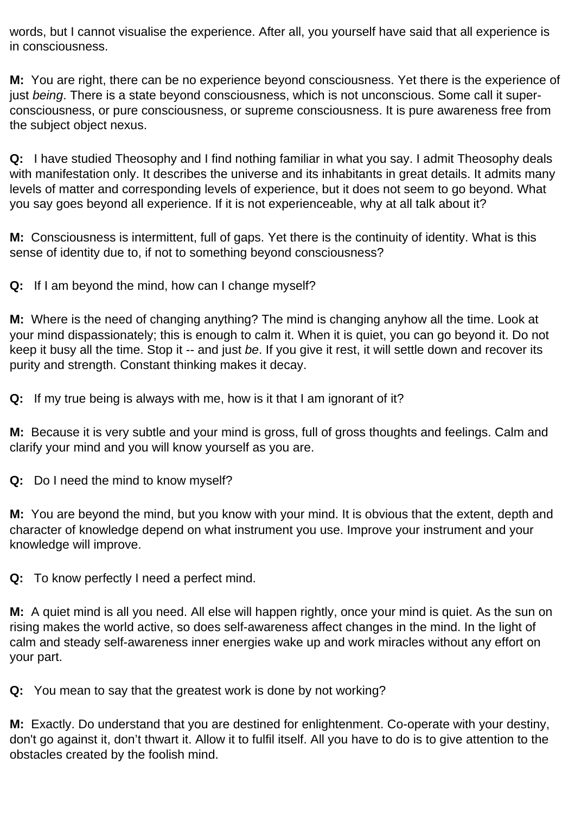words, but I cannot visualise the experience. After all, you yourself have said that all experience is in consciousness.

**M:** You are right, there can be no experience beyond consciousness. Yet there is the experience of just *being*. There is a state beyond consciousness, which is not unconscious. Some call it superconsciousness, or pure consciousness, or supreme consciousness. It is pure awareness free from the subject object nexus.

**Q:** I have studied Theosophy and I find nothing familiar in what you say. I admit Theosophy deals with manifestation only. It describes the universe and its inhabitants in great details. It admits many levels of matter and corresponding levels of experience, but it does not seem to go beyond. What you say goes beyond all experience. If it is not experienceable, why at all talk about it?

**M:** Consciousness is intermittent, full of gaps. Yet there is the continuity of identity. What is this sense of identity due to, if not to something beyond consciousness?

**Q:** If I am beyond the mind, how can I change myself?

**M:** Where is the need of changing anything? The mind is changing anyhow all the time. Look at your mind dispassionately; this is enough to calm it. When it is quiet, you can go beyond it. Do not keep it busy all the time. Stop it -- and just *be*. If you give it rest, it will settle down and recover its purity and strength. Constant thinking makes it decay.

**Q:** If my true being is always with me, how is it that I am ignorant of it?

**M:** Because it is very subtle and your mind is gross, full of gross thoughts and feelings. Calm and clarify your mind and you will know yourself as you are.

**Q:** Do I need the mind to know myself?

**M:** You are beyond the mind, but you know with your mind. It is obvious that the extent, depth and character of knowledge depend on what instrument you use. Improve your instrument and your knowledge will improve.

**Q:** To know perfectly I need a perfect mind.

**M:** A quiet mind is all you need. All else will happen rightly, once your mind is quiet. As the sun on rising makes the world active, so does self-awareness affect changes in the mind. In the light of calm and steady self-awareness inner energies wake up and work miracles without any effort on your part.

**Q:** You mean to say that the greatest work is done by not working?

**M:** Exactly. Do understand that you are destined for enlightenment. Co-operate with your destiny, don't go against it, don't thwart it. Allow it to fulfil itself. All you have to do is to give attention to the obstacles created by the foolish mind.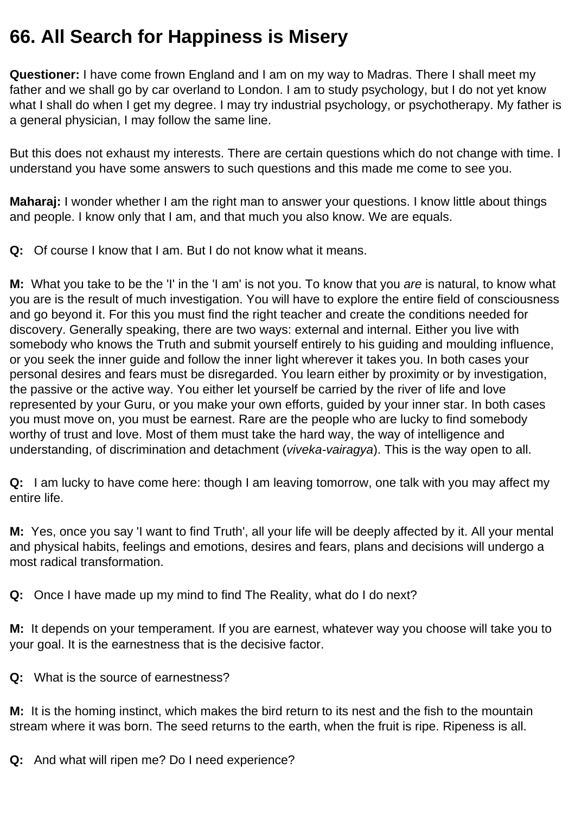# **66. All Search for Happiness is Misery**

**Questioner:** I have come frown England and I am on my way to Madras. There I shall meet my father and we shall go by car overland to London. I am to study psychology, but I do not yet know what I shall do when I get my degree. I may try industrial psychology, or psychotherapy. My father is a general physician, I may follow the same line.

But this does not exhaust my interests. There are certain questions which do not change with time. I understand you have some answers to such questions and this made me come to see you.

**Maharaj:** I wonder whether I am the right man to answer your questions. I know little about things and people. I know only that I am, and that much you also know. We are equals.

**Q:** Of course I know that I am. But I do not know what it means.

**M:** What you take to be the 'I' in the 'I am' is not you. To know that you *are* is natural, to know what you are is the result of much investigation. You will have to explore the entire field of consciousness and go beyond it. For this you must find the right teacher and create the conditions needed for discovery. Generally speaking, there are two ways: external and internal. Either you live with somebody who knows the Truth and submit yourself entirely to his guiding and moulding influence, or you seek the inner guide and follow the inner light wherever it takes you. In both cases your personal desires and fears must be disregarded. You learn either by proximity or by investigation, the passive or the active way. You either let yourself be carried by the river of life and love represented by your Guru, or you make your own efforts, guided by your inner star. In both cases you must move on, you must be earnest. Rare are the people who are lucky to find somebody worthy of trust and love. Most of them must take the hard way, the way of intelligence and understanding, of discrimination and detachment (*viveka-vairagya*). This is the way open to all.

**Q:** I am lucky to have come here: though I am leaving tomorrow, one talk with you may affect my entire life.

**M:** Yes, once you say 'I want to find Truth', all your life will be deeply affected by it. All your mental and physical habits, feelings and emotions, desires and fears, plans and decisions will undergo a most radical transformation.

**Q:** Once I have made up my mind to find The Reality, what do I do next?

**M:** It depends on your temperament. If you are earnest, whatever way you choose will take you to your goal. It is the earnestness that is the decisive factor.

**Q:** What is the source of earnestness?

**M:** It is the homing instinct, which makes the bird return to its nest and the fish to the mountain stream where it was born. The seed returns to the earth, when the fruit is ripe. Ripeness is all.

**Q:** And what will ripen me? Do I need experience?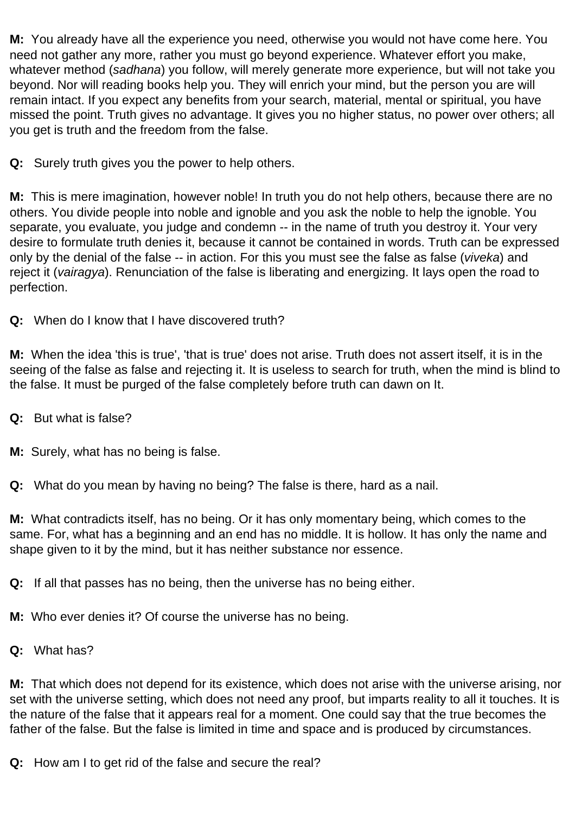**M:** You already have all the experience you need, otherwise you would not have come here. You need not gather any more, rather you must go beyond experience. Whatever effort you make, whatever method (*sadhana*) you follow, will merely generate more experience, but will not take you beyond. Nor will reading books help you. They will enrich your mind, but the person you are will remain intact. If you expect any benefits from your search, material, mental or spiritual, you have missed the point. Truth gives no advantage. It gives you no higher status, no power over others; all you get is truth and the freedom from the false.

**Q:** Surely truth gives you the power to help others.

**M:** This is mere imagination, however noble! In truth you do not help others, because there are no others. You divide people into noble and ignoble and you ask the noble to help the ignoble. You separate, you evaluate, you judge and condemn -- in the name of truth you destroy it. Your very desire to formulate truth denies it, because it cannot be contained in words. Truth can be expressed only by the denial of the false -- in action. For this you must see the false as false (*viveka*) and reject it (*vairagya*). Renunciation of the false is liberating and energizing. It lays open the road to perfection.

**Q:** When do I know that I have discovered truth?

**M:** When the idea 'this is true', 'that is true' does not arise. Truth does not assert itself, it is in the seeing of the false as false and rejecting it. It is useless to search for truth, when the mind is blind to the false. It must be purged of the false completely before truth can dawn on It.

**Q:** But what is false?

**M:** Surely, what has no being is false.

**Q:** What do you mean by having no being? The false is there, hard as a nail.

**M:** What contradicts itself, has no being. Or it has only momentary being, which comes to the same. For, what has a beginning and an end has no middle. It is hollow. It has only the name and shape given to it by the mind, but it has neither substance nor essence.

**Q:** If all that passes has no being, then the universe has no being either.

**M:** Who ever denies it? Of course the universe has no being.

**Q:** What has?

**M:** That which does not depend for its existence, which does not arise with the universe arising, nor set with the universe setting, which does not need any proof, but imparts reality to all it touches. It is the nature of the false that it appears real for a moment. One could say that the true becomes the father of the false. But the false is limited in time and space and is produced by circumstances.

**Q:** How am I to get rid of the false and secure the real?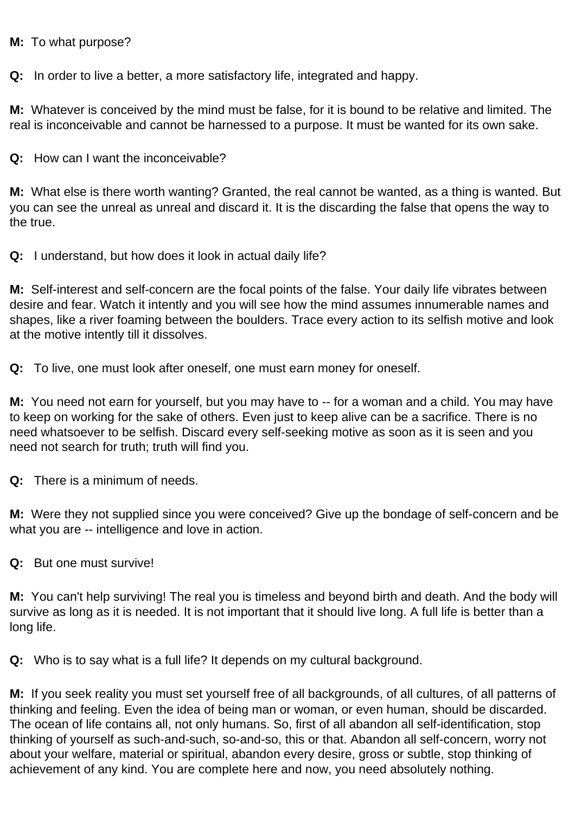#### **M:** To what purpose?

**Q:** In order to live a better, a more satisfactory life, integrated and happy.

**M:** Whatever is conceived by the mind must be false, for it is bound to be relative and limited. The real is inconceivable and cannot be harnessed to a purpose. It must be wanted for its own sake.

**Q:** How can I want the inconceivable?

**M:** What else is there worth wanting? Granted, the real cannot be wanted, as a thing is wanted. But you can see the unreal as unreal and discard it. It is the discarding the false that opens the way to the true.

**Q:** I understand, but how does it look in actual daily life?

**M:** Self-interest and self-concern are the focal points of the false. Your daily life vibrates between desire and fear. Watch it intently and you will see how the mind assumes innumerable names and shapes, like a river foaming between the boulders. Trace every action to its selfish motive and look at the motive intently till it dissolves.

**Q:** To live, one must look after oneself, one must earn money for oneself.

**M:** You need not earn for yourself, but you may have to -- for a woman and a child. You may have to keep on working for the sake of others. Even just to keep alive can be a sacrifice. There is no need whatsoever to be selfish. Discard every self-seeking motive as soon as it is seen and you need not search for truth; truth will find you.

**Q:** There is a minimum of needs.

**M:** Were they not supplied since you were conceived? Give up the bondage of self-concern and be what you are -- intelligence and love in action.

**Q:** But one must survive!

**M:** You can't help surviving! The real you is timeless and beyond birth and death. And the body will survive as long as it is needed. It is not important that it should live long. A full life is better than a long life.

**Q:** Who is to say what is a full life? It depends on my cultural background.

**M:** If you seek reality you must set yourself free of all backgrounds, of all cultures, of all patterns of thinking and feeling. Even the idea of being man or woman, or even human, should be discarded. The ocean of life contains all, not only humans. So, first of all abandon all self-identification, stop thinking of yourself as such-and-such, so-and-so, this or that. Abandon all self-concern, worry not about your welfare, material or spiritual, abandon every desire, gross or subtle, stop thinking of achievement of any kind. You are complete here and now, you need absolutely nothing.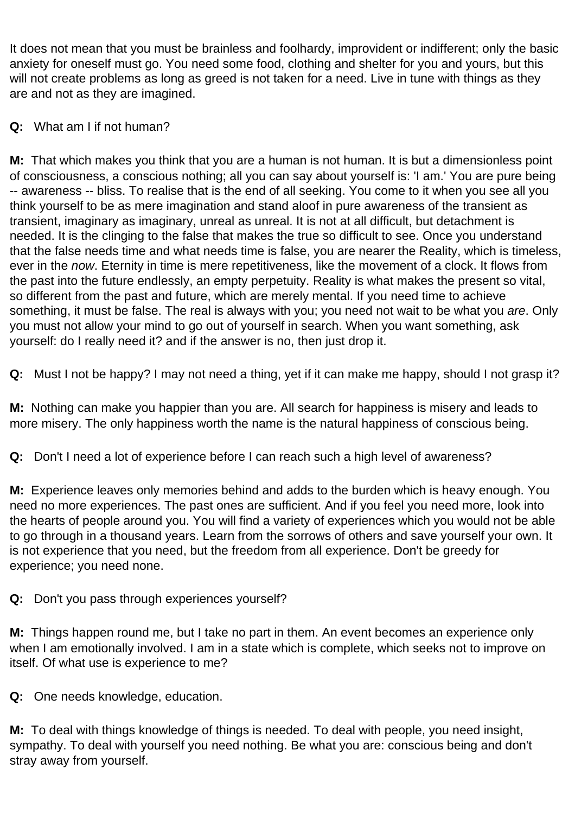It does not mean that you must be brainless and foolhardy, improvident or indifferent; only the basic anxiety for oneself must go. You need some food, clothing and shelter for you and yours, but this will not create problems as long as greed is not taken for a need. Live in tune with things as they are and not as they are imagined.

### **Q:** What am I if not human?

**M:** That which makes you think that you are a human is not human. It is but a dimensionless point of consciousness, a conscious nothing; all you can say about yourself is: 'I am.' You are pure being -- awareness -- bliss. To realise that is the end of all seeking. You come to it when you see all you think yourself to be as mere imagination and stand aloof in pure awareness of the transient as transient, imaginary as imaginary, unreal as unreal. It is not at all difficult, but detachment is needed. It is the clinging to the false that makes the true so difficult to see. Once you understand that the false needs time and what needs time is false, you are nearer the Reality, which is timeless, ever in the *now*. Eternity in time is mere repetitiveness, like the movement of a clock. It flows from the past into the future endlessly, an empty perpetuity. Reality is what makes the present so vital, so different from the past and future, which are merely mental. If you need time to achieve something, it must be false. The real is always with you; you need not wait to be what you *are*. Only you must not allow your mind to go out of yourself in search. When you want something, ask yourself: do I really need it? and if the answer is no, then just drop it.

**Q:** Must I not be happy? I may not need a thing, yet if it can make me happy, should I not grasp it?

**M:** Nothing can make you happier than you are. All search for happiness is misery and leads to more misery. The only happiness worth the name is the natural happiness of conscious being.

**Q:** Don't I need a lot of experience before I can reach such a high level of awareness?

**M:** Experience leaves only memories behind and adds to the burden which is heavy enough. You need no more experiences. The past ones are sufficient. And if you feel you need more, look into the hearts of people around you. You will find a variety of experiences which you would not be able to go through in a thousand years. Learn from the sorrows of others and save yourself your own. It is not experience that you need, but the freedom from all experience. Don't be greedy for experience; you need none.

### **Q:** Don't you pass through experiences yourself?

**M:** Things happen round me, but I take no part in them. An event becomes an experience only when I am emotionally involved. I am in a state which is complete, which seeks not to improve on itself. Of what use is experience to me?

**Q:** One needs knowledge, education.

**M:** To deal with things knowledge of things is needed. To deal with people, you need insight, sympathy. To deal with yourself you need nothing. Be what you are: conscious being and don't stray away from yourself.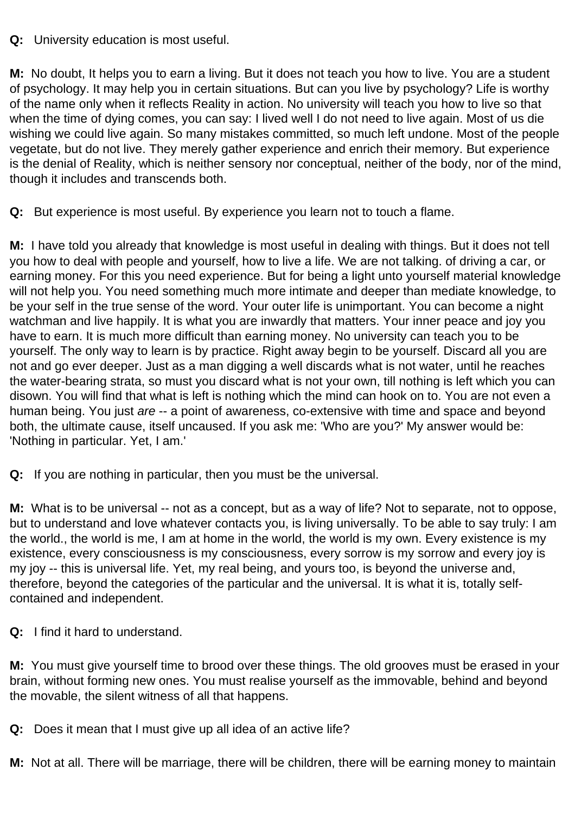**Q:** University education is most useful.

**M:** No doubt, It helps you to earn a living. But it does not teach you how to live. You are a student of psychology. It may help you in certain situations. But can you live by psychology? Life is worthy of the name only when it reflects Reality in action. No university will teach you how to live so that when the time of dying comes, you can say: I lived well I do not need to live again. Most of us die wishing we could live again. So many mistakes committed, so much left undone. Most of the people vegetate, but do not live. They merely gather experience and enrich their memory. But experience is the denial of Reality, which is neither sensory nor conceptual, neither of the body, nor of the mind, though it includes and transcends both.

**Q:** But experience is most useful. By experience you learn not to touch a flame.

**M:** I have told you already that knowledge is most useful in dealing with things. But it does not tell you how to deal with people and yourself, how to live a life. We are not talking. of driving a car, or earning money. For this you need experience. But for being a light unto yourself material knowledge will not help you. You need something much more intimate and deeper than mediate knowledge, to be your self in the true sense of the word. Your outer life is unimportant. You can become a night watchman and live happily. It is what you are inwardly that matters. Your inner peace and joy you have to earn. It is much more difficult than earning money. No university can teach you to be yourself. The only way to learn is by practice. Right away begin to be yourself. Discard all you are not and go ever deeper. Just as a man digging a well discards what is not water, until he reaches the water-bearing strata, so must you discard what is not your own, till nothing is left which you can disown. You will find that what is left is nothing which the mind can hook on to. You are not even a human being. You just *are* -- a point of awareness, co-extensive with time and space and beyond both, the ultimate cause, itself uncaused. If you ask me: 'Who are you?' My answer would be: 'Nothing in particular. Yet, I am.'

**Q:** If you are nothing in particular, then you must be the universal.

**M:** What is to be universal -- not as a concept, but as a way of life? Not to separate, not to oppose, but to understand and love whatever contacts you, is living universally. To be able to say truly: I am the world., the world is me, I am at home in the world, the world is my own. Every existence is my existence, every consciousness is my consciousness, every sorrow is my sorrow and every joy is my joy -- this is universal life. Yet, my real being, and yours too, is beyond the universe and, therefore, beyond the categories of the particular and the universal. It is what it is, totally selfcontained and independent.

**Q:** I find it hard to understand.

**M:** You must give yourself time to brood over these things. The old grooves must be erased in your brain, without forming new ones. You must realise yourself as the immovable, behind and beyond the movable, the silent witness of all that happens.

**Q:** Does it mean that I must give up all idea of an active life?

**M:** Not at all. There will be marriage, there will be children, there will be earning money to maintain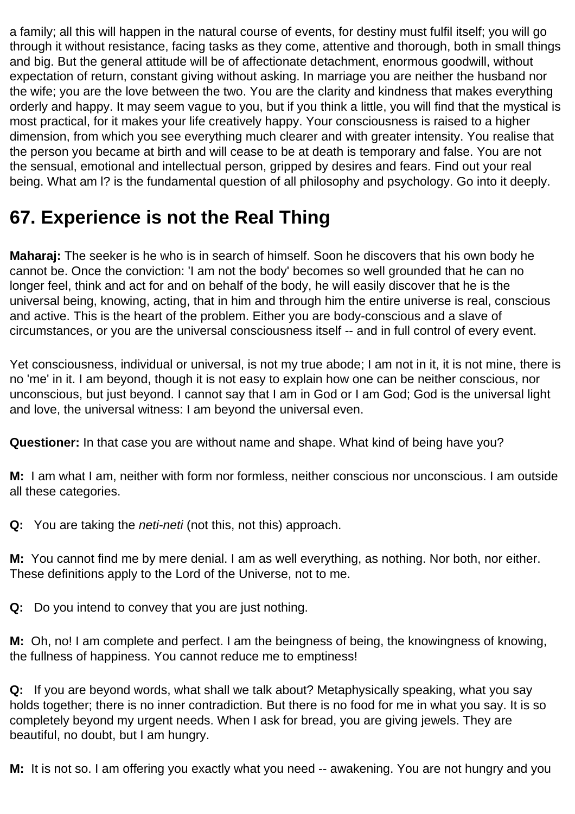a family; all this will happen in the natural course of events, for destiny must fulfil itself; you will go through it without resistance, facing tasks as they come, attentive and thorough, both in small things and big. But the general attitude will be of affectionate detachment, enormous goodwill, without expectation of return, constant giving without asking. In marriage you are neither the husband nor the wife; you are the love between the two. You are the clarity and kindness that makes everything orderly and happy. It may seem vague to you, but if you think a little, you will find that the mystical is most practical, for it makes your life creatively happy. Your consciousness is raised to a higher dimension, from which you see everything much clearer and with greater intensity. You realise that the person you became at birth and will cease to be at death is temporary and false. You are not the sensual, emotional and intellectual person, gripped by desires and fears. Find out your real being. What am l? is the fundamental question of all philosophy and psychology. Go into it deeply.

# **67. Experience is not the Real Thing**

**Maharaj:** The seeker is he who is in search of himself. Soon he discovers that his own body he cannot be. Once the conviction: 'I am not the body' becomes so well grounded that he can no longer feel, think and act for and on behalf of the body, he will easily discover that he is the universal being, knowing, acting, that in him and through him the entire universe is real, conscious and active. This is the heart of the problem. Either you are body-conscious and a slave of circumstances, or you are the universal consciousness itself -- and in full control of every event.

Yet consciousness, individual or universal, is not my true abode; I am not in it, it is not mine, there is no 'me' in it. I am beyond, though it is not easy to explain how one can be neither conscious, nor unconscious, but just beyond. I cannot say that I am in God or I am God; God is the universal light and love, the universal witness: I am beyond the universal even.

**Questioner:** In that case you are without name and shape. What kind of being have you?

**M:** I am what I am, neither with form nor formless, neither conscious nor unconscious. I am outside all these categories.

**Q:** You are taking the *neti-neti* (not this, not this) approach.

**M:** You cannot find me by mere denial. I am as well everything, as nothing. Nor both, nor either. These definitions apply to the Lord of the Universe, not to me.

**Q:** Do you intend to convey that you are just nothing.

**M:** Oh, no! I am complete and perfect. I am the beingness of being, the knowingness of knowing, the fullness of happiness. You cannot reduce me to emptiness!

**Q:** If you are beyond words, what shall we talk about? Metaphysically speaking, what you say holds together; there is no inner contradiction. But there is no food for me in what you say. It is so completely beyond my urgent needs. When I ask for bread, you are giving jewels. They are beautiful, no doubt, but I am hungry.

**M:** It is not so. I am offering you exactly what you need -- awakening. You are not hungry and you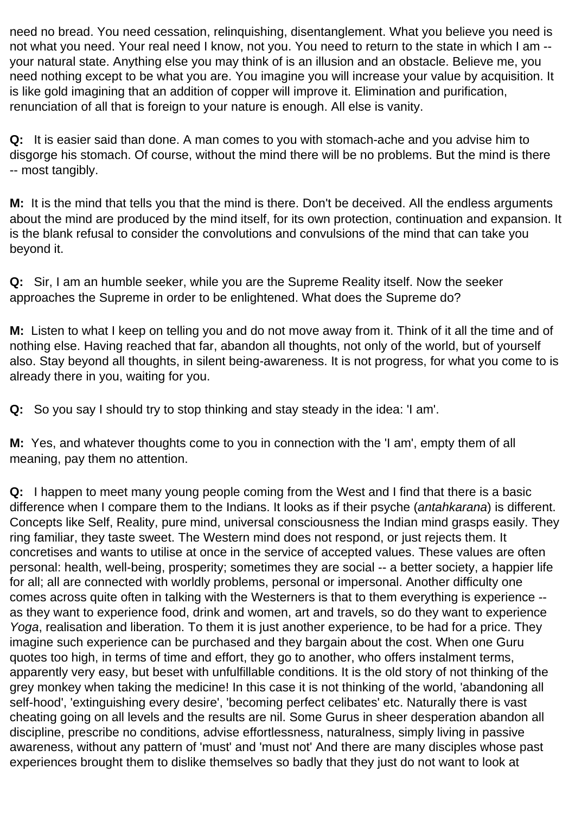need no bread. You need cessation, relinquishing, disentanglement. What you believe you need is not what you need. Your real need I know, not you. You need to return to the state in which I am - your natural state. Anything else you may think of is an illusion and an obstacle. Believe me, you need nothing except to be what you are. You imagine you will increase your value by acquisition. It is like gold imagining that an addition of copper will improve it. Elimination and purification, renunciation of all that is foreign to your nature is enough. All else is vanity.

**Q:** It is easier said than done. A man comes to you with stomach-ache and you advise him to disgorge his stomach. Of course, without the mind there will be no problems. But the mind is there -- most tangibly.

**M:** It is the mind that tells you that the mind is there. Don't be deceived. All the endless arguments about the mind are produced by the mind itself, for its own protection, continuation and expansion. It is the blank refusal to consider the convolutions and convulsions of the mind that can take you beyond it.

**Q:** Sir, I am an humble seeker, while you are the Supreme Reality itself. Now the seeker approaches the Supreme in order to be enlightened. What does the Supreme do?

**M:** Listen to what I keep on telling you and do not move away from it. Think of it all the time and of nothing else. Having reached that far, abandon all thoughts, not only of the world, but of yourself also. Stay beyond all thoughts, in silent being-awareness. It is not progress, for what you come to is already there in you, waiting for you.

**Q:** So you say I should try to stop thinking and stay steady in the idea: 'I am'.

**M:** Yes, and whatever thoughts come to you in connection with the 'I am', empty them of all meaning, pay them no attention.

**Q:** I happen to meet many young people coming from the West and I find that there is a basic difference when I compare them to the Indians. It looks as if their psyche (*antahkarana*) is different. Concepts like Self, Reality, pure mind, universal consciousness the Indian mind grasps easily. They ring familiar, they taste sweet. The Western mind does not respond, or just rejects them. It concretises and wants to utilise at once in the service of accepted values. These values are often personal: health, well-being, prosperity; sometimes they are social -- a better society, a happier life for all; all are connected with worldly problems, personal or impersonal. Another difficulty one comes across quite often in talking with the Westerners is that to them everything is experience - as they want to experience food, drink and women, art and travels, so do they want to experience *Yoga*, realisation and liberation. To them it is just another experience, to be had for a price. They imagine such experience can be purchased and they bargain about the cost. When one Guru quotes too high, in terms of time and effort, they go to another, who offers instalment terms, apparently very easy, but beset with unfulfillable conditions. It is the old story of not thinking of the grey monkey when taking the medicine! In this case it is not thinking of the world, 'abandoning all self-hood', 'extinguishing every desire', 'becoming perfect celibates' etc. Naturally there is vast cheating going on all levels and the results are nil. Some Gurus in sheer desperation abandon all discipline, prescribe no conditions, advise effortlessness, naturalness, simply living in passive awareness, without any pattern of 'must' and 'must not' And there are many disciples whose past experiences brought them to dislike themselves so badly that they just do not want to look at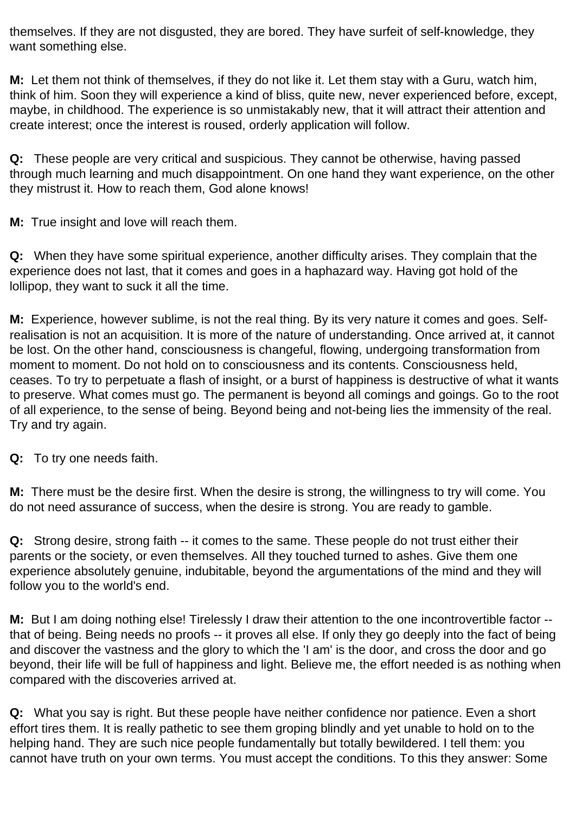themselves. If they are not disgusted, they are bored. They have surfeit of self-knowledge, they want something else.

**M:** Let them not think of themselves, if they do not like it. Let them stay with a Guru, watch him, think of him. Soon they will experience a kind of bliss, quite new, never experienced before, except, maybe, in childhood. The experience is so unmistakably new, that it will attract their attention and create interest; once the interest is roused, orderly application will follow.

**Q:** These people are very critical and suspicious. They cannot be otherwise, having passed through much learning and much disappointment. On one hand they want experience, on the other they mistrust it. How to reach them, God alone knows!

**M:** True insight and love will reach them.

**Q:** When they have some spiritual experience, another difficulty arises. They complain that the experience does not last, that it comes and goes in a haphazard way. Having got hold of the lollipop, they want to suck it all the time.

**M:** Experience, however sublime, is not the real thing. By its very nature it comes and goes. Selfrealisation is not an acquisition. It is more of the nature of understanding. Once arrived at, it cannot be lost. On the other hand, consciousness is changeful, flowing, undergoing transformation from moment to moment. Do not hold on to consciousness and its contents. Consciousness held, ceases. To try to perpetuate a flash of insight, or a burst of happiness is destructive of what it wants to preserve. What comes must go. The permanent is beyond all comings and goings. Go to the root of all experience, to the sense of being. Beyond being and not-being lies the immensity of the real. Try and try again.

**Q:** To try one needs faith.

**M:** There must be the desire first. When the desire is strong, the willingness to try will come. You do not need assurance of success, when the desire is strong. You are ready to gamble.

**Q:** Strong desire, strong faith -- it comes to the same. These people do not trust either their parents or the society, or even themselves. All they touched turned to ashes. Give them one experience absolutely genuine, indubitable, beyond the argumentations of the mind and they will follow you to the world's end.

**M:** But I am doing nothing else! Tirelessly I draw their attention to the one incontrovertible factor -that of being. Being needs no proofs -- it proves all else. If only they go deeply into the fact of being and discover the vastness and the glory to which the 'I am' is the door, and cross the door and go beyond, their life will be full of happiness and light. Believe me, the effort needed is as nothing when compared with the discoveries arrived at.

**Q:** What you say is right. But these people have neither confidence nor patience. Even a short effort tires them. It is really pathetic to see them groping blindly and yet unable to hold on to the helping hand. They are such nice people fundamentally but totally bewildered. I tell them: you cannot have truth on your own terms. You must accept the conditions. To this they answer: Some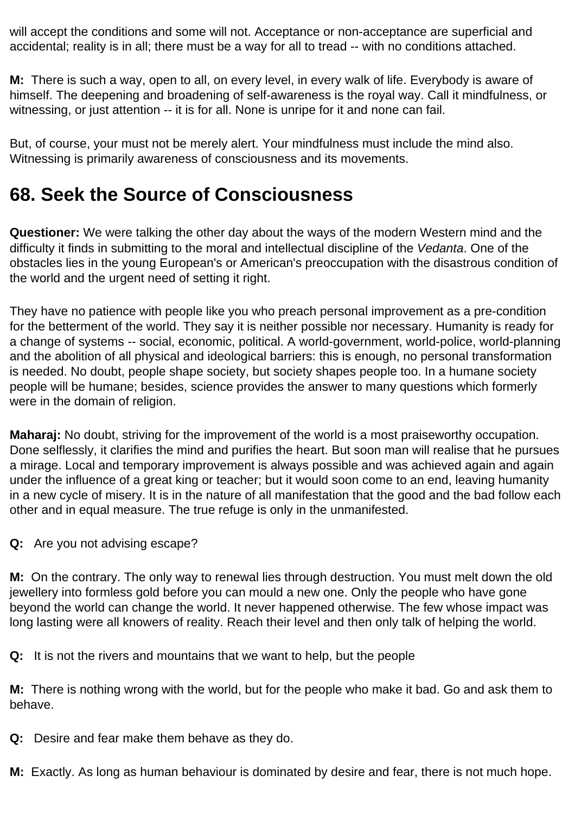will accept the conditions and some will not. Acceptance or non-acceptance are superficial and accidental; reality is in all; there must be a way for all to tread -- with no conditions attached.

**M:** There is such a way, open to all, on every level, in every walk of life. Everybody is aware of himself. The deepening and broadening of self-awareness is the royal way. Call it mindfulness, or witnessing, or just attention -- it is for all. None is unripe for it and none can fail.

But, of course, your must not be merely alert. Your mindfulness must include the mind also. Witnessing is primarily awareness of consciousness and its movements.

## **68. Seek the Source of Consciousness**

**Questioner:** We were talking the other day about the ways of the modern Western mind and the difficulty it finds in submitting to the moral and intellectual discipline of the *Vedanta*. One of the obstacles lies in the young European's or American's preoccupation with the disastrous condition of the world and the urgent need of setting it right.

They have no patience with people like you who preach personal improvement as a pre-condition for the betterment of the world. They say it is neither possible nor necessary. Humanity is ready for a change of systems -- social, economic, political. A world-government, world-police, world-planning and the abolition of all physical and ideological barriers: this is enough, no personal transformation is needed. No doubt, people shape society, but society shapes people too. In a humane society people will be humane; besides, science provides the answer to many questions which formerly were in the domain of religion.

**Maharaj:** No doubt, striving for the improvement of the world is a most praiseworthy occupation. Done selflessly, it clarifies the mind and purifies the heart. But soon man will realise that he pursues a mirage. Local and temporary improvement is always possible and was achieved again and again under the influence of a great king or teacher; but it would soon come to an end, leaving humanity in a new cycle of misery. It is in the nature of all manifestation that the good and the bad follow each other and in equal measure. The true refuge is only in the unmanifested.

**Q:** Are you not advising escape?

**M:** On the contrary. The only way to renewal lies through destruction. You must melt down the old jewellery into formless gold before you can mould a new one. Only the people who have gone beyond the world can change the world. It never happened otherwise. The few whose impact was long lasting were all knowers of reality. Reach their level and then only talk of helping the world.

**Q:** It is not the rivers and mountains that we want to help, but the people

**M:** There is nothing wrong with the world, but for the people who make it bad. Go and ask them to behave.

**Q:** Desire and fear make them behave as they do.

**M:** Exactly. As long as human behaviour is dominated by desire and fear, there is not much hope.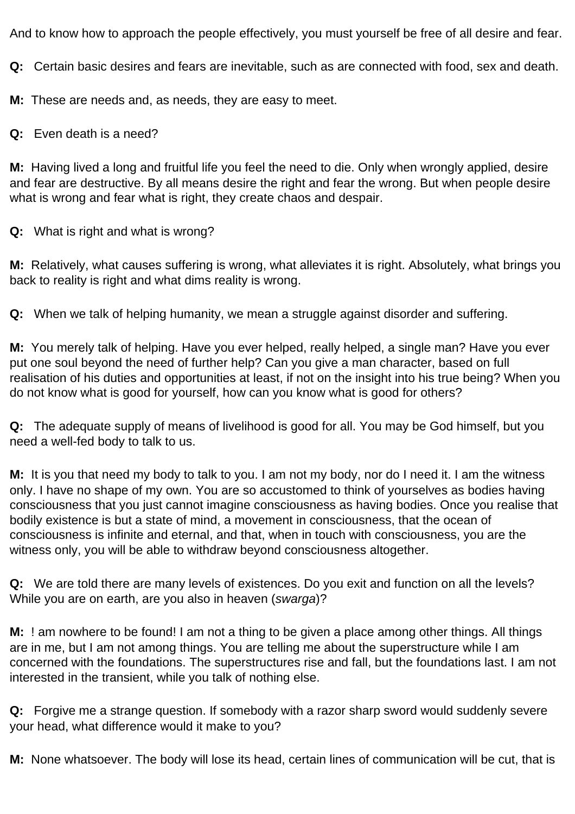And to know how to approach the people effectively, you must yourself be free of all desire and fear.

**Q:** Certain basic desires and fears are inevitable, such as are connected with food, sex and death.

**M:** These are needs and, as needs, they are easy to meet.

**Q:** Even death is a need?

**M:** Having lived a long and fruitful life you feel the need to die. Only when wrongly applied, desire and fear are destructive. By all means desire the right and fear the wrong. But when people desire what is wrong and fear what is right, they create chaos and despair.

**Q:** What is right and what is wrong?

**M:** Relatively, what causes suffering is wrong, what alleviates it is right. Absolutely, what brings you back to reality is right and what dims reality is wrong.

**Q:** When we talk of helping humanity, we mean a struggle against disorder and suffering.

**M:** You merely talk of helping. Have you ever helped, really helped, a single man? Have you ever put one soul beyond the need of further help? Can you give a man character, based on full realisation of his duties and opportunities at least, if not on the insight into his true being? When you do not know what is good for yourself, how can you know what is good for others?

**Q:** The adequate supply of means of livelihood is good for all. You may be God himself, but you need a well-fed body to talk to us.

**M:** It is you that need my body to talk to you. I am not my body, nor do I need it. I am the witness only. I have no shape of my own. You are so accustomed to think of yourselves as bodies having consciousness that you just cannot imagine consciousness as having bodies. Once you realise that bodily existence is but a state of mind, a movement in consciousness, that the ocean of consciousness is infinite and eternal, and that, when in touch with consciousness, you are the witness only, you will be able to withdraw beyond consciousness altogether.

**Q:** We are told there are many levels of existences. Do you exit and function on all the levels? While you are on earth, are you also in heaven (*swarga*)?

**M:** ! am nowhere to be found! I am not a thing to be given a place among other things. All things are in me, but I am not among things. You are telling me about the superstructure while I am concerned with the foundations. The superstructures rise and fall, but the foundations last. I am not interested in the transient, while you talk of nothing else.

**Q:** Forgive me a strange question. If somebody with a razor sharp sword would suddenly severe your head, what difference would it make to you?

**M:** None whatsoever. The body will lose its head, certain lines of communication will be cut, that is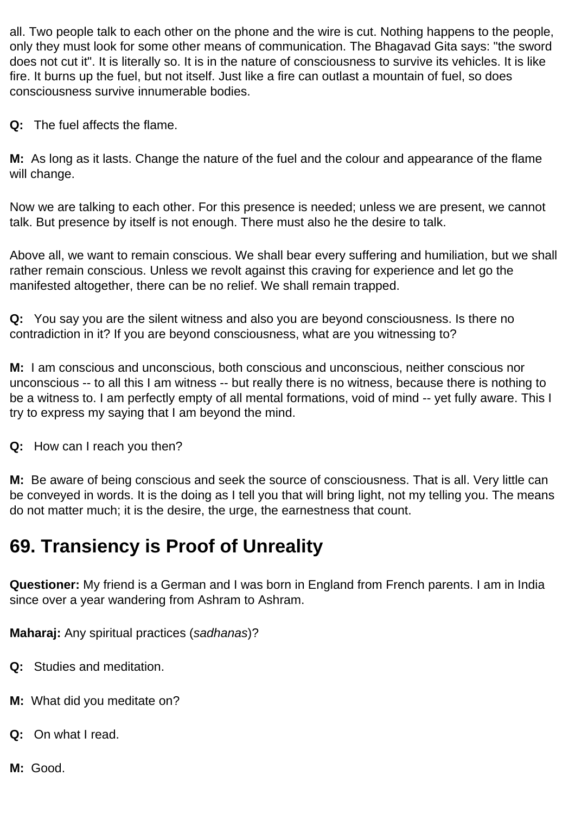all. Two people talk to each other on the phone and the wire is cut. Nothing happens to the people, only they must look for some other means of communication. The Bhagavad Gita says: "the sword does not cut it". It is literally so. It is in the nature of consciousness to survive its vehicles. It is like fire. It burns up the fuel, but not itself. Just like a fire can outlast a mountain of fuel, so does consciousness survive innumerable bodies.

**Q:** The fuel affects the flame.

**M:** As long as it lasts. Change the nature of the fuel and the colour and appearance of the flame will change.

Now we are talking to each other. For this presence is needed; unless we are present, we cannot talk. But presence by itself is not enough. There must also he the desire to talk.

Above all, we want to remain conscious. We shall bear every suffering and humiliation, but we shall rather remain conscious. Unless we revolt against this craving for experience and let go the manifested altogether, there can be no relief. We shall remain trapped.

**Q:** You say you are the silent witness and also you are beyond consciousness. Is there no contradiction in it? If you are beyond consciousness, what are you witnessing to?

**M:** I am conscious and unconscious, both conscious and unconscious, neither conscious nor unconscious -- to all this I am witness -- but really there is no witness, because there is nothing to be a witness to. I am perfectly empty of all mental formations, void of mind -- yet fully aware. This I try to express my saying that I am beyond the mind.

**Q:** How can I reach you then?

**M:** Be aware of being conscious and seek the source of consciousness. That is all. Very little can be conveyed in words. It is the doing as I tell you that will bring light, not my telling you. The means do not matter much; it is the desire, the urge, the earnestness that count.

## **69. Transiency is Proof of Unreality**

**Questioner:** My friend is a German and I was born in England from French parents. I am in India since over a year wandering from Ashram to Ashram.

**Maharaj:** Any spiritual practices (*sadhanas*)?

- **Q:** Studies and meditation.
- **M:** What did you meditate on?
- **Q:** On what I read.
- **M:** Good.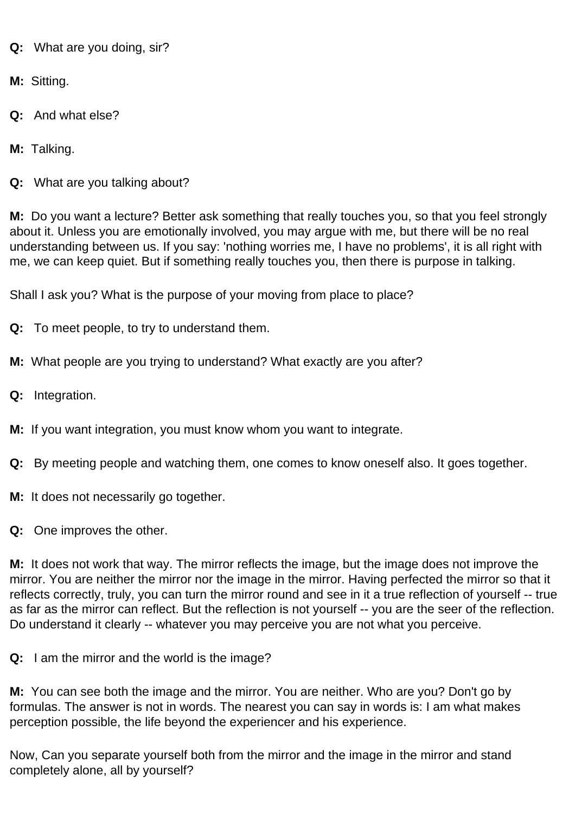- **Q:** What are you doing, sir?
- **M:** Sitting.
- **Q:** And what else?
- **M:** Talking.
- **Q:** What are you talking about?

**M:** Do you want a lecture? Better ask something that really touches you, so that you feel strongly about it. Unless you are emotionally involved, you may argue with me, but there will be no real understanding between us. If you say: 'nothing worries me, I have no problems', it is all right with me, we can keep quiet. But if something really touches you, then there is purpose in talking.

Shall I ask you? What is the purpose of your moving from place to place?

- **Q:** To meet people, to try to understand them.
- **M:** What people are you trying to understand? What exactly are you after?
- **Q:** Integration.
- **M:** If you want integration, you must know whom you want to integrate.
- **Q:** By meeting people and watching them, one comes to know oneself also. It goes together.
- **M:** It does not necessarily go together.
- **Q:** One improves the other.

**M:** It does not work that way. The mirror reflects the image, but the image does not improve the mirror. You are neither the mirror nor the image in the mirror. Having perfected the mirror so that it reflects correctly, truly, you can turn the mirror round and see in it a true reflection of yourself -- true as far as the mirror can reflect. But the reflection is not yourself -- you are the seer of the reflection. Do understand it clearly -- whatever you may perceive you are not what you perceive.

**Q:** I am the mirror and the world is the image?

**M:** You can see both the image and the mirror. You are neither. Who are you? Don't go by formulas. The answer is not in words. The nearest you can say in words is: I am what makes perception possible, the life beyond the experiencer and his experience.

Now, Can you separate yourself both from the mirror and the image in the mirror and stand completely alone, all by yourself?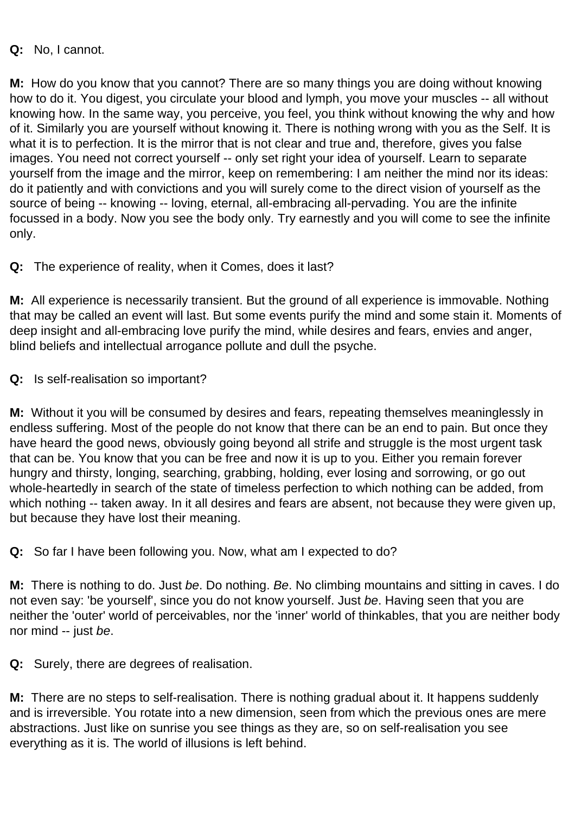### **Q:** No, I cannot.

**M:** How do you know that you cannot? There are so many things you are doing without knowing how to do it. You digest, you circulate your blood and lymph, you move your muscles -- all without knowing how. In the same way, you perceive, you feel, you think without knowing the why and how of it. Similarly you are yourself without knowing it. There is nothing wrong with you as the Self. It is what it is to perfection. It is the mirror that is not clear and true and, therefore, gives you false images. You need not correct yourself -- only set right your idea of yourself. Learn to separate yourself from the image and the mirror, keep on remembering: I am neither the mind nor its ideas: do it patiently and with convictions and you will surely come to the direct vision of yourself as the source of being -- knowing -- loving, eternal, all-embracing all-pervading. You are the infinite focussed in a body. Now you see the body only. Try earnestly and you will come to see the infinite only.

**Q:** The experience of reality, when it Comes, does it last?

**M:** All experience is necessarily transient. But the ground of all experience is immovable. Nothing that may be called an event will last. But some events purify the mind and some stain it. Moments of deep insight and all-embracing love purify the mind, while desires and fears, envies and anger, blind beliefs and intellectual arrogance pollute and dull the psyche.

**Q:** Is self-realisation so important?

**M:** Without it you will be consumed by desires and fears, repeating themselves meaninglessly in endless suffering. Most of the people do not know that there can be an end to pain. But once they have heard the good news, obviously going beyond all strife and struggle is the most urgent task that can be. You know that you can be free and now it is up to you. Either you remain forever hungry and thirsty, longing, searching, grabbing, holding, ever losing and sorrowing, or go out whole-heartedly in search of the state of timeless perfection to which nothing can be added, from which nothing -- taken away. In it all desires and fears are absent, not because they were given up, but because they have lost their meaning.

**Q:** So far I have been following you. Now, what am I expected to do?

**M:** There is nothing to do. Just *be*. Do nothing. *Be*. No climbing mountains and sitting in caves. I do not even say: 'be yourself', since you do not know yourself. Just *be*. Having seen that you are neither the 'outer' world of perceivables, nor the 'inner' world of thinkables, that you are neither body nor mind -- just *be*.

**Q:** Surely, there are degrees of realisation.

**M:** There are no steps to self-realisation. There is nothing gradual about it. It happens suddenly and is irreversible. You rotate into a new dimension, seen from which the previous ones are mere abstractions. Just like on sunrise you see things as they are, so on self-realisation you see everything as it is. The world of illusions is left behind.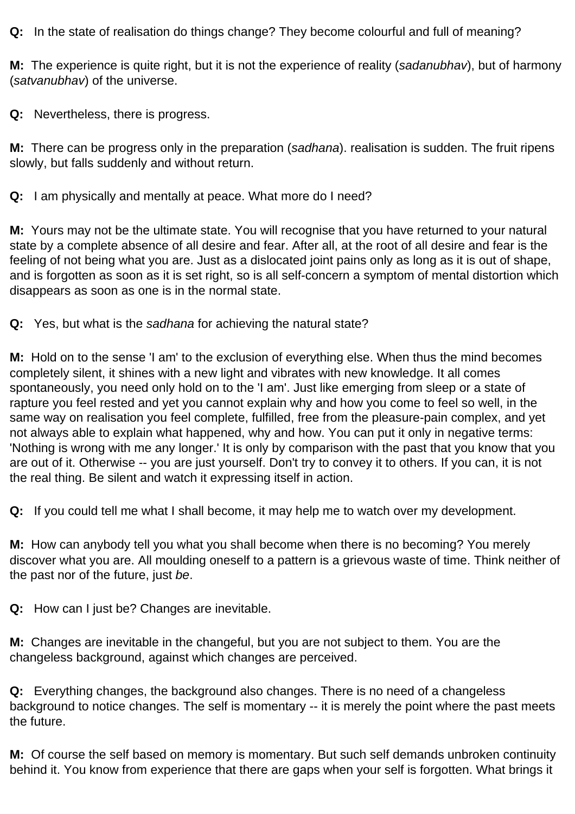**Q:** In the state of realisation do things change? They become colourful and full of meaning?

**M:** The experience is quite right, but it is not the experience of reality (*sadanubhav*), but of harmony (*satvanubhav*) of the universe.

**Q:** Nevertheless, there is progress.

**M:** There can be progress only in the preparation (*sadhana*). realisation is sudden. The fruit ripens slowly, but falls suddenly and without return.

**Q:** I am physically and mentally at peace. What more do I need?

**M:** Yours may not be the ultimate state. You will recognise that you have returned to your natural state by a complete absence of all desire and fear. After all, at the root of all desire and fear is the feeling of not being what you are. Just as a dislocated joint pains only as long as it is out of shape, and is forgotten as soon as it is set right, so is all self-concern a symptom of mental distortion which disappears as soon as one is in the normal state.

**Q:** Yes, but what is the *sadhana* for achieving the natural state?

**M:** Hold on to the sense 'I am' to the exclusion of everything else. When thus the mind becomes completely silent, it shines with a new light and vibrates with new knowledge. It all comes spontaneously, you need only hold on to the 'I am'. Just like emerging from sleep or a state of rapture you feel rested and yet you cannot explain why and how you come to feel so well, in the same way on realisation you feel complete, fulfilled, free from the pleasure-pain complex, and yet not always able to explain what happened, why and how. You can put it only in negative terms: 'Nothing is wrong with me any longer.' It is only by comparison with the past that you know that you are out of it. Otherwise -- you are just yourself. Don't try to convey it to others. If you can, it is not the real thing. Be silent and watch it expressing itself in action.

**Q:** If you could tell me what I shall become, it may help me to watch over my development.

**M:** How can anybody tell you what you shall become when there is no becoming? You merely discover what you are. All moulding oneself to a pattern is a grievous waste of time. Think neither of the past nor of the future, just *be*.

**Q:** How can I just be? Changes are inevitable.

**M:** Changes are inevitable in the changeful, but you are not subject to them. You are the changeless background, against which changes are perceived.

**Q:** Everything changes, the background also changes. There is no need of a changeless background to notice changes. The self is momentary -- it is merely the point where the past meets the future.

**M:** Of course the self based on memory is momentary. But such self demands unbroken continuity behind it. You know from experience that there are gaps when your self is forgotten. What brings it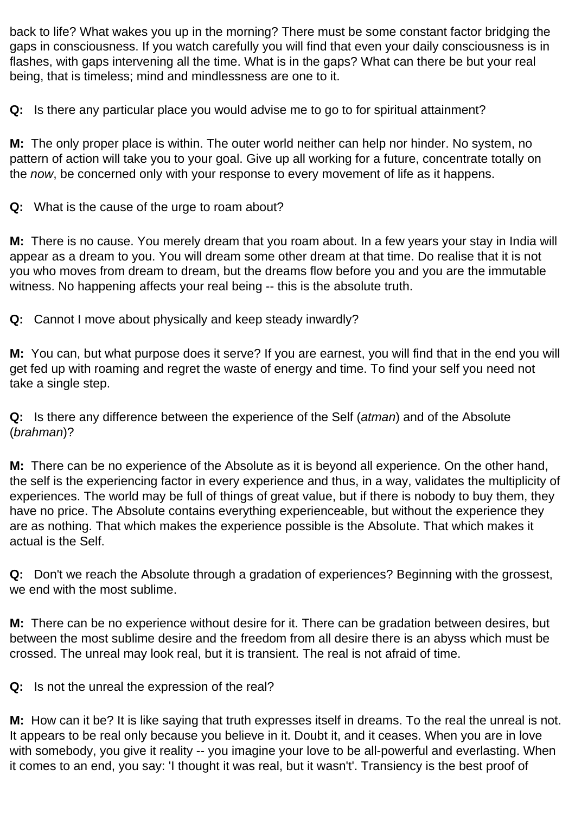back to life? What wakes you up in the morning? There must be some constant factor bridging the gaps in consciousness. If you watch carefully you will find that even your daily consciousness is in flashes, with gaps intervening all the time. What is in the gaps? What can there be but your real being, that is timeless; mind and mindlessness are one to it.

**Q:** Is there any particular place you would advise me to go to for spiritual attainment?

**M:** The only proper place is within. The outer world neither can help nor hinder. No system, no pattern of action will take you to your goal. Give up all working for a future, concentrate totally on the *now*, be concerned only with your response to every movement of life as it happens.

**Q:** What is the cause of the urge to roam about?

**M:** There is no cause. You merely dream that you roam about. In a few years your stay in India will appear as a dream to you. You will dream some other dream at that time. Do realise that it is not you who moves from dream to dream, but the dreams flow before you and you are the immutable witness. No happening affects your real being -- this is the absolute truth.

**Q:** Cannot I move about physically and keep steady inwardly?

**M:** You can, but what purpose does it serve? If you are earnest, you will find that in the end you will get fed up with roaming and regret the waste of energy and time. To find your self you need not take a single step.

**Q:** Is there any difference between the experience of the Self (*atman*) and of the Absolute (*brahman*)?

**M:** There can be no experience of the Absolute as it is beyond all experience. On the other hand, the self is the experiencing factor in every experience and thus, in a way, validates the multiplicity of experiences. The world may be full of things of great value, but if there is nobody to buy them, they have no price. The Absolute contains everything experienceable, but without the experience they are as nothing. That which makes the experience possible is the Absolute. That which makes it actual is the Self.

**Q:** Don't we reach the Absolute through a gradation of experiences? Beginning with the grossest, we end with the most sublime.

**M:** There can be no experience without desire for it. There can be gradation between desires, but between the most sublime desire and the freedom from all desire there is an abyss which must be crossed. The unreal may look real, but it is transient. The real is not afraid of time.

**Q:** Is not the unreal the expression of the real?

**M:** How can it be? It is like saying that truth expresses itself in dreams. To the real the unreal is not. It appears to be real only because you believe in it. Doubt it, and it ceases. When you are in love with somebody, you give it reality -- you imagine your love to be all-powerful and everlasting. When it comes to an end, you say: 'I thought it was real, but it wasn't'. Transiency is the best proof of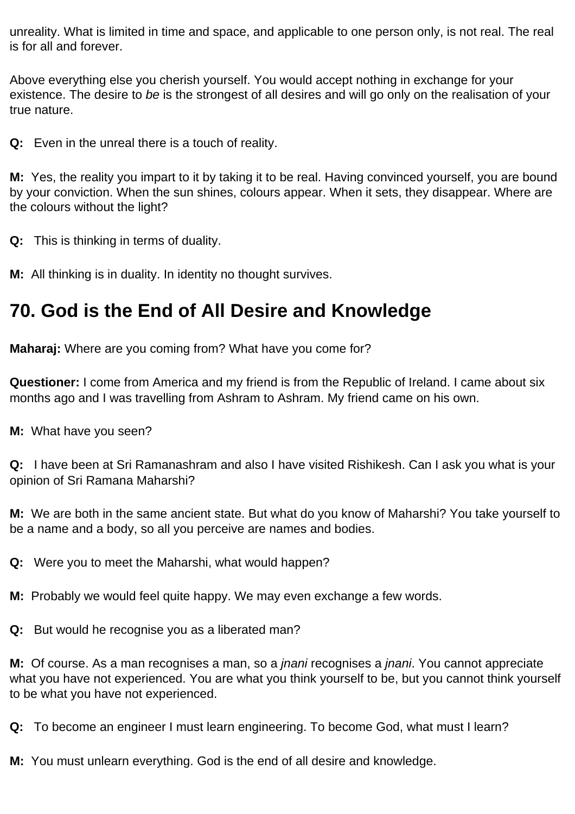unreality. What is limited in time and space, and applicable to one person only, is not real. The real is for all and forever.

Above everything else you cherish yourself. You would accept nothing in exchange for your existence. The desire to *be* is the strongest of all desires and will go only on the realisation of your true nature.

**Q:** Even in the unreal there is a touch of reality.

**M:** Yes, the reality you impart to it by taking it to be real. Having convinced yourself, you are bound by your conviction. When the sun shines, colours appear. When it sets, they disappear. Where are the colours without the light?

**Q:** This is thinking in terms of duality.

**M:** All thinking is in duality. In identity no thought survives.

# **70. God is the End of All Desire and Knowledge**

**Maharaj:** Where are you coming from? What have you come for?

**Questioner:** I come from America and my friend is from the Republic of Ireland. I came about six months ago and I was travelling from Ashram to Ashram. My friend came on his own.

**M:** What have you seen?

**Q:** I have been at Sri Ramanashram and also I have visited Rishikesh. Can I ask you what is your opinion of Sri Ramana Maharshi?

**M:** We are both in the same ancient state. But what do you know of Maharshi? You take yourself to be a name and a body, so all you perceive are names and bodies.

**Q:** Were you to meet the Maharshi, what would happen?

**M:** Probably we would feel quite happy. We may even exchange a few words.

**Q:** But would he recognise you as a liberated man?

**M:** Of course. As a man recognises a man, so a *jnani* recognises a *jnani*. You cannot appreciate what you have not experienced. You are what you think yourself to be, but you cannot think yourself to be what you have not experienced.

**Q:** To become an engineer I must learn engineering. To become God, what must I learn?

**M:** You must unlearn everything. God is the end of all desire and knowledge.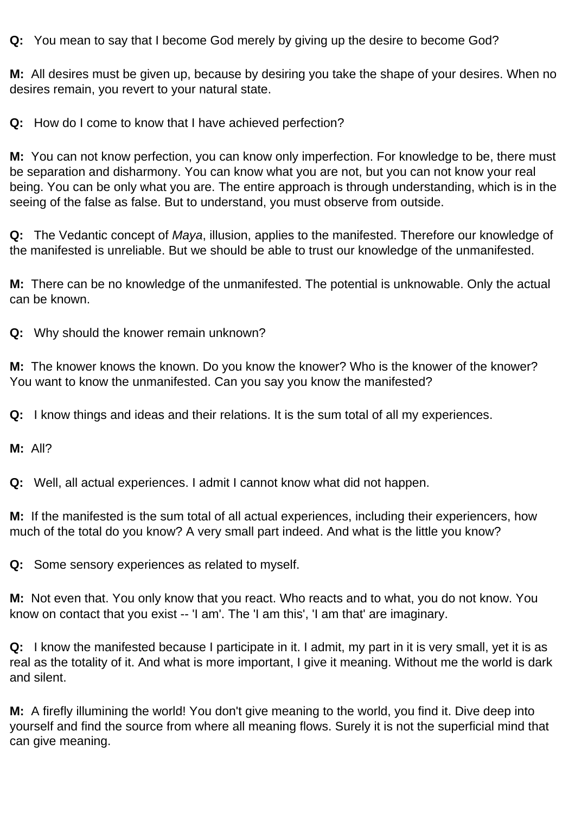**Q:** You mean to say that I become God merely by giving up the desire to become God?

**M:** All desires must be given up, because by desiring you take the shape of your desires. When no desires remain, you revert to your natural state.

**Q:** How do I come to know that I have achieved perfection?

**M:** You can not know perfection, you can know only imperfection. For knowledge to be, there must be separation and disharmony. You can know what you are not, but you can not know your real being. You can be only what you are. The entire approach is through understanding, which is in the seeing of the false as false. But to understand, you must observe from outside.

**Q:** The Vedantic concept of *Maya*, illusion, applies to the manifested. Therefore our knowledge of the manifested is unreliable. But we should be able to trust our knowledge of the unmanifested.

**M:** There can be no knowledge of the unmanifested. The potential is unknowable. Only the actual can be known.

**Q:** Why should the knower remain unknown?

**M:** The knower knows the known. Do you know the knower? Who is the knower of the knower? You want to know the unmanifested. Can you say you know the manifested?

**Q:** I know things and ideas and their relations. It is the sum total of all my experiences.

**M:** All?

**Q:** Well, all actual experiences. I admit I cannot know what did not happen.

**M:** If the manifested is the sum total of all actual experiences, including their experiencers, how much of the total do you know? A very small part indeed. And what is the little you know?

**Q:** Some sensory experiences as related to myself.

**M:** Not even that. You only know that you react. Who reacts and to what, you do not know. You know on contact that you exist -- 'I am'. The 'I am this', 'I am that' are imaginary.

**Q:** I know the manifested because I participate in it. I admit, my part in it is very small, yet it is as real as the totality of it. And what is more important, I give it meaning. Without me the world is dark and silent.

**M:** A firefly illumining the world! You don't give meaning to the world, you find it. Dive deep into yourself and find the source from where all meaning flows. Surely it is not the superficial mind that can give meaning.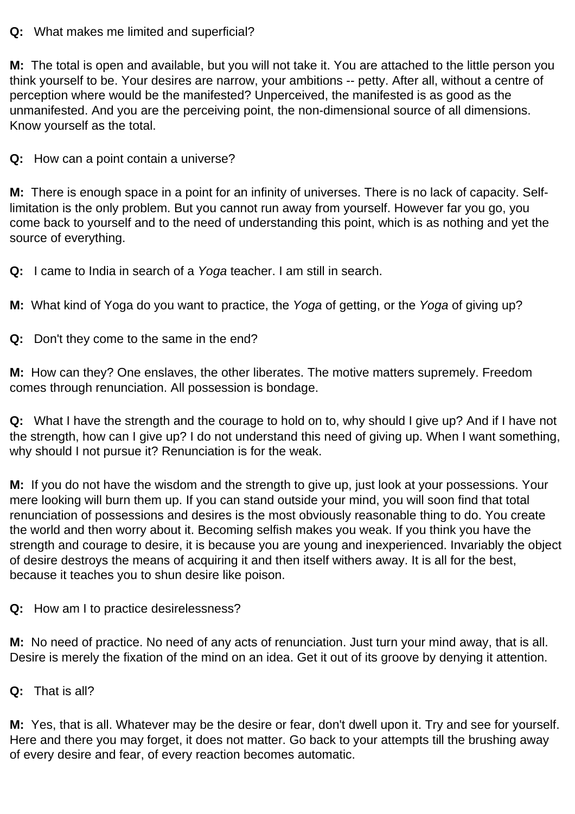### **Q:** What makes me limited and superficial?

**M:** The total is open and available, but you will not take it. You are attached to the little person you think yourself to be. Your desires are narrow, your ambitions -- petty. After all, without a centre of perception where would be the manifested? Unperceived, the manifested is as good as the unmanifested. And you are the perceiving point, the non-dimensional source of all dimensions. Know yourself as the total.

**Q:** How can a point contain a universe?

**M:** There is enough space in a point for an infinity of universes. There is no lack of capacity. Selflimitation is the only problem. But you cannot run away from yourself. However far you go, you come back to yourself and to the need of understanding this point, which is as nothing and yet the source of everything.

**Q:** I came to India in search of a *Yoga* teacher. I am still in search.

**M:** What kind of Yoga do you want to practice, the *Yoga* of getting, or the *Yoga* of giving up?

**Q:** Don't they come to the same in the end?

**M:** How can they? One enslaves, the other liberates. The motive matters supremely. Freedom comes through renunciation. All possession is bondage.

**Q:** What I have the strength and the courage to hold on to, why should I give up? And if I have not the strength, how can I give up? I do not understand this need of giving up. When I want something, why should I not pursue it? Renunciation is for the weak.

**M:** If you do not have the wisdom and the strength to give up, just look at your possessions. Your mere looking will burn them up. If you can stand outside your mind, you will soon find that total renunciation of possessions and desires is the most obviously reasonable thing to do. You create the world and then worry about it. Becoming selfish makes you weak. If you think you have the strength and courage to desire, it is because you are young and inexperienced. Invariably the object of desire destroys the means of acquiring it and then itself withers away. It is all for the best, because it teaches you to shun desire like poison.

**Q:** How am I to practice desirelessness?

**M:** No need of practice. No need of any acts of renunciation. Just turn your mind away, that is all. Desire is merely the fixation of the mind on an idea. Get it out of its groove by denying it attention.

**Q:** That is all?

**M:** Yes, that is all. Whatever may be the desire or fear, don't dwell upon it. Try and see for yourself. Here and there you may forget, it does not matter. Go back to your attempts till the brushing away of every desire and fear, of every reaction becomes automatic.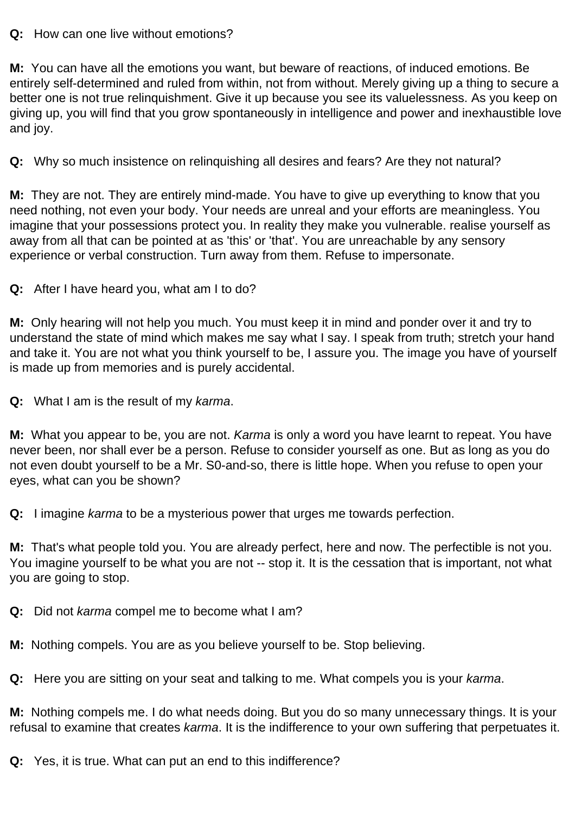### **Q:** How can one live without emotions?

**M:** You can have all the emotions you want, but beware of reactions, of induced emotions. Be entirely self-determined and ruled from within, not from without. Merely giving up a thing to secure a better one is not true relinquishment. Give it up because you see its valuelessness. As you keep on giving up, you will find that you grow spontaneously in intelligence and power and inexhaustible love and joy.

**Q:** Why so much insistence on relinquishing all desires and fears? Are they not natural?

**M:** They are not. They are entirely mind-made. You have to give up everything to know that you need nothing, not even your body. Your needs are unreal and your efforts are meaningless. You imagine that your possessions protect you. In reality they make you vulnerable. realise yourself as away from all that can be pointed at as 'this' or 'that'. You are unreachable by any sensory experience or verbal construction. Turn away from them. Refuse to impersonate.

**Q:** After I have heard you, what am I to do?

**M:** Only hearing will not help you much. You must keep it in mind and ponder over it and try to understand the state of mind which makes me say what I say. I speak from truth; stretch your hand and take it. You are not what you think yourself to be, I assure you. The image you have of yourself is made up from memories and is purely accidental.

**Q:** What I am is the result of my *karma*.

**M:** What you appear to be, you are not. *Karma* is only a word you have learnt to repeat. You have never been, nor shall ever be a person. Refuse to consider yourself as one. But as long as you do not even doubt yourself to be a Mr. S0-and-so, there is little hope. When you refuse to open your eyes, what can you be shown?

**Q:** I imagine *karma* to be a mysterious power that urges me towards perfection.

**M:** That's what people told you. You are already perfect, here and now. The perfectible is not you. You imagine yourself to be what you are not -- stop it. It is the cessation that is important, not what you are going to stop.

**Q:** Did not *karma* compel me to become what I am?

**M:** Nothing compels. You are as you believe yourself to be. Stop believing.

**Q:** Here you are sitting on your seat and talking to me. What compels you is your *karma*.

**M:** Nothing compels me. I do what needs doing. But you do so many unnecessary things. It is your refusal to examine that creates *karma*. It is the indifference to your own suffering that perpetuates it.

**Q:** Yes, it is true. What can put an end to this indifference?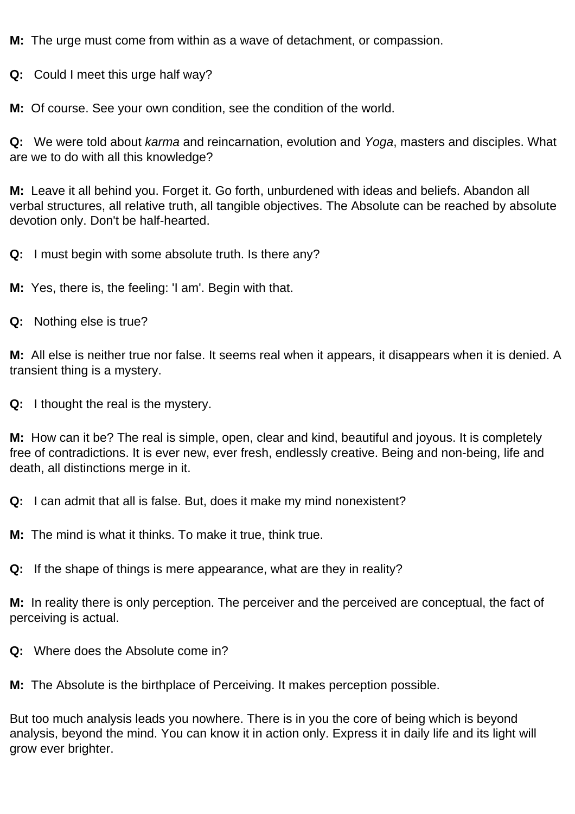**M:** The urge must come from within as a wave of detachment, or compassion.

**Q:** Could I meet this urge half way?

**M:** Of course. See your own condition, see the condition of the world.

**Q:** We were told about *karma* and reincarnation, evolution and *Yoga*, masters and disciples. What are we to do with all this knowledge?

**M:** Leave it all behind you. Forget it. Go forth, unburdened with ideas and beliefs. Abandon all verbal structures, all relative truth, all tangible objectives. The Absolute can be reached by absolute devotion only. Don't be half-hearted.

**Q:** I must begin with some absolute truth. Is there any?

**M:** Yes, there is, the feeling: 'I am'. Begin with that.

**Q:** Nothing else is true?

**M:** All else is neither true nor false. It seems real when it appears, it disappears when it is denied. A transient thing is a mystery.

**Q:** I thought the real is the mystery.

**M:** How can it be? The real is simple, open, clear and kind, beautiful and joyous. It is completely free of contradictions. It is ever new, ever fresh, endlessly creative. Being and non-being, life and death, all distinctions merge in it.

**Q:** I can admit that all is false. But, does it make my mind nonexistent?

**M:** The mind is what it thinks. To make it true, think true.

**Q:** If the shape of things is mere appearance, what are they in reality?

**M:** In reality there is only perception. The perceiver and the perceived are conceptual, the fact of perceiving is actual.

**Q:** Where does the Absolute come in?

**M:** The Absolute is the birthplace of Perceiving. It makes perception possible.

But too much analysis leads you nowhere. There is in you the core of being which is beyond analysis, beyond the mind. You can know it in action only. Express it in daily life and its light will grow ever brighter.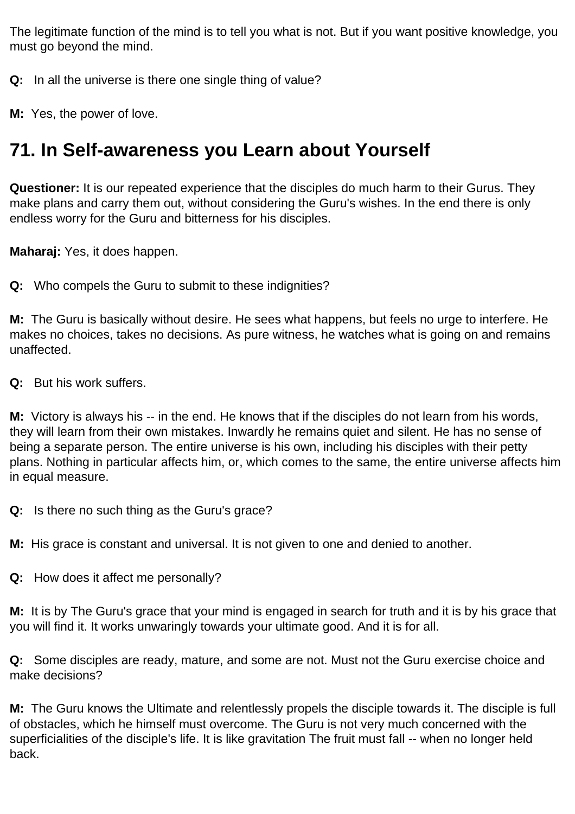The legitimate function of the mind is to tell you what is not. But if you want positive knowledge, you must go beyond the mind.

**Q:** In all the universe is there one single thing of value?

**M:** Yes, the power of love.

# **71. In Self-awareness you Learn about Yourself**

**Questioner:** It is our repeated experience that the disciples do much harm to their Gurus. They make plans and carry them out, without considering the Guru's wishes. In the end there is only endless worry for the Guru and bitterness for his disciples.

**Maharaj:** Yes, it does happen.

**Q:** Who compels the Guru to submit to these indignities?

**M:** The Guru is basically without desire. He sees what happens, but feels no urge to interfere. He makes no choices, takes no decisions. As pure witness, he watches what is going on and remains unaffected.

**Q:** But his work suffers.

**M:** Victory is always his -- in the end. He knows that if the disciples do not learn from his words, they will learn from their own mistakes. Inwardly he remains quiet and silent. He has no sense of being a separate person. The entire universe is his own, including his disciples with their petty plans. Nothing in particular affects him, or, which comes to the same, the entire universe affects him in equal measure.

**Q:** Is there no such thing as the Guru's grace?

**M:** His grace is constant and universal. It is not given to one and denied to another.

**Q:** How does it affect me personally?

**M:** It is by The Guru's grace that your mind is engaged in search for truth and it is by his grace that you will find it. It works unwaringly towards your ultimate good. And it is for all.

**Q:** Some disciples are ready, mature, and some are not. Must not the Guru exercise choice and make decisions?

**M:** The Guru knows the Ultimate and relentlessly propels the disciple towards it. The disciple is full of obstacles, which he himself must overcome. The Guru is not very much concerned with the superficialities of the disciple's life. It is like gravitation The fruit must fall -- when no longer held back.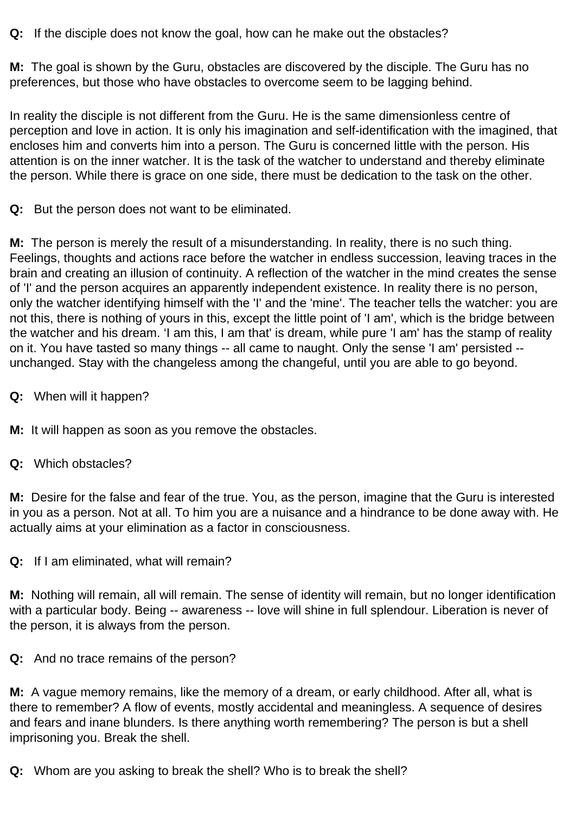**Q:** If the disciple does not know the goal, how can he make out the obstacles?

**M:** The goal is shown by the Guru, obstacles are discovered by the disciple. The Guru has no preferences, but those who have obstacles to overcome seem to be lagging behind.

In reality the disciple is not different from the Guru. He is the same dimensionless centre of perception and love in action. It is only his imagination and self-identification with the imagined, that encloses him and converts him into a person. The Guru is concerned little with the person. His attention is on the inner watcher. It is the task of the watcher to understand and thereby eliminate the person. While there is grace on one side, there must be dedication to the task on the other.

**Q:** But the person does not want to be eliminated.

**M:** The person is merely the result of a misunderstanding. In reality, there is no such thing. Feelings, thoughts and actions race before the watcher in endless succession, leaving traces in the brain and creating an illusion of continuity. A reflection of the watcher in the mind creates the sense of 'I' and the person acquires an apparently independent existence. In reality there is no person, only the watcher identifying himself with the 'I' and the 'mine'. The teacher tells the watcher: you are not this, there is nothing of yours in this, except the little point of 'I am', which is the bridge between the watcher and his dream. 'I am this, I am that' is dream, while pure 'I am' has the stamp of reality on it. You have tasted so many things -- all came to naught. Only the sense 'I am' persisted - unchanged. Stay with the changeless among the changeful, until you are able to go beyond.

**Q:** When will it happen?

**M:** It will happen as soon as you remove the obstacles.

**Q:** Which obstacles?

**M:** Desire for the false and fear of the true. You, as the person, imagine that the Guru is interested in you as a person. Not at all. To him you are a nuisance and a hindrance to be done away with. He actually aims at your elimination as a factor in consciousness.

**Q:** If I am eliminated, what will remain?

**M:** Nothing will remain, all will remain. The sense of identity will remain, but no longer identification with a particular body. Being -- awareness -- love will shine in full splendour. Liberation is never of the person, it is always from the person.

**Q:** And no trace remains of the person?

**M:** A vague memory remains, like the memory of a dream, or early childhood. After all, what is there to remember? A flow of events, mostly accidental and meaningless. A sequence of desires and fears and inane blunders. Is there anything worth remembering? The person is but a shell imprisoning you. Break the shell.

**Q:** Whom are you asking to break the shell? Who is to break the shell?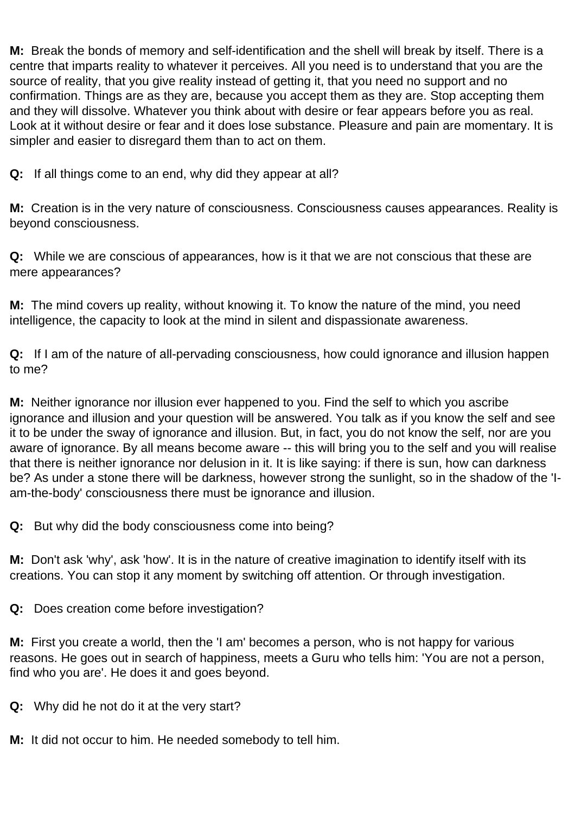**M:** Break the bonds of memory and self-identification and the shell will break by itself. There is a centre that imparts reality to whatever it perceives. All you need is to understand that you are the source of reality, that you give reality instead of getting it, that you need no support and no confirmation. Things are as they are, because you accept them as they are. Stop accepting them and they will dissolve. Whatever you think about with desire or fear appears before you as real. Look at it without desire or fear and it does lose substance. Pleasure and pain are momentary. It is simpler and easier to disregard them than to act on them.

**Q:** If all things come to an end, why did they appear at all?

**M:** Creation is in the very nature of consciousness. Consciousness causes appearances. Reality is beyond consciousness.

**Q:** While we are conscious of appearances, how is it that we are not conscious that these are mere appearances?

**M:** The mind covers up reality, without knowing it. To know the nature of the mind, you need intelligence, the capacity to look at the mind in silent and dispassionate awareness.

**Q:** If I am of the nature of all-pervading consciousness, how could ignorance and illusion happen to me?

**M:** Neither ignorance nor illusion ever happened to you. Find the self to which you ascribe ignorance and illusion and your question will be answered. You talk as if you know the self and see it to be under the sway of ignorance and illusion. But, in fact, you do not know the self, nor are you aware of ignorance. By all means become aware -- this will bring you to the self and you will realise that there is neither ignorance nor delusion in it. It is like saying: if there is sun, how can darkness be? As under a stone there will be darkness, however strong the sunlight, so in the shadow of the 'Iam-the-body' consciousness there must be ignorance and illusion.

**Q:** But why did the body consciousness come into being?

**M:** Don't ask 'why', ask 'how'. It is in the nature of creative imagination to identify itself with its creations. You can stop it any moment by switching off attention. Or through investigation.

**Q:** Does creation come before investigation?

**M:** First you create a world, then the 'I am' becomes a person, who is not happy for various reasons. He goes out in search of happiness, meets a Guru who tells him: 'You are not a person, find who you are'. He does it and goes beyond.

**Q:** Why did he not do it at the very start?

**M:** It did not occur to him. He needed somebody to tell him.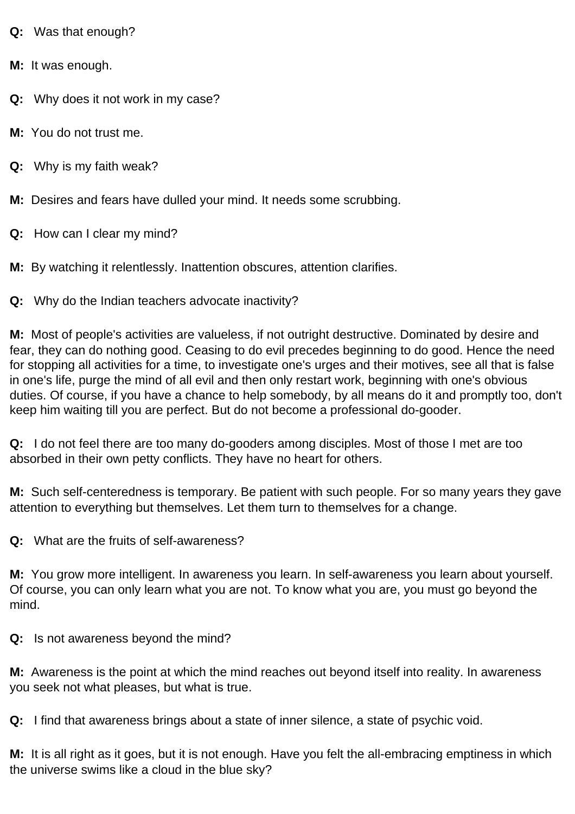- **Q:** Was that enough?
- **M:** It was enough.
- **Q:** Why does it not work in my case?
- **M:** You do not trust me.
- **Q:** Why is my faith weak?
- **M:** Desires and fears have dulled your mind. It needs some scrubbing.
- **Q:** How can I clear my mind?
- **M:** By watching it relentlessly. Inattention obscures, attention clarifies.
- **Q:** Why do the Indian teachers advocate inactivity?

**M:** Most of people's activities are valueless, if not outright destructive. Dominated by desire and fear, they can do nothing good. Ceasing to do evil precedes beginning to do good. Hence the need for stopping all activities for a time, to investigate one's urges and their motives, see all that is false in one's life, purge the mind of all evil and then only restart work, beginning with one's obvious duties. Of course, if you have a chance to help somebody, by all means do it and promptly too, don't keep him waiting till you are perfect. But do not become a professional do-gooder.

**Q:** I do not feel there are too many do-gooders among disciples. Most of those I met are too absorbed in their own petty conflicts. They have no heart for others.

**M:** Such self-centeredness is temporary. Be patient with such people. For so many years they gave attention to everything but themselves. Let them turn to themselves for a change.

**Q:** What are the fruits of self-awareness?

**M:** You grow more intelligent. In awareness you learn. In self-awareness you learn about yourself. Of course, you can only learn what you are not. To know what you are, you must go beyond the mind.

**Q:** Is not awareness beyond the mind?

**M:** Awareness is the point at which the mind reaches out beyond itself into reality. In awareness you seek not what pleases, but what is true.

**Q:** I find that awareness brings about a state of inner silence, a state of psychic void.

**M:** It is all right as it goes, but it is not enough. Have you felt the all-embracing emptiness in which the universe swims like a cloud in the blue sky?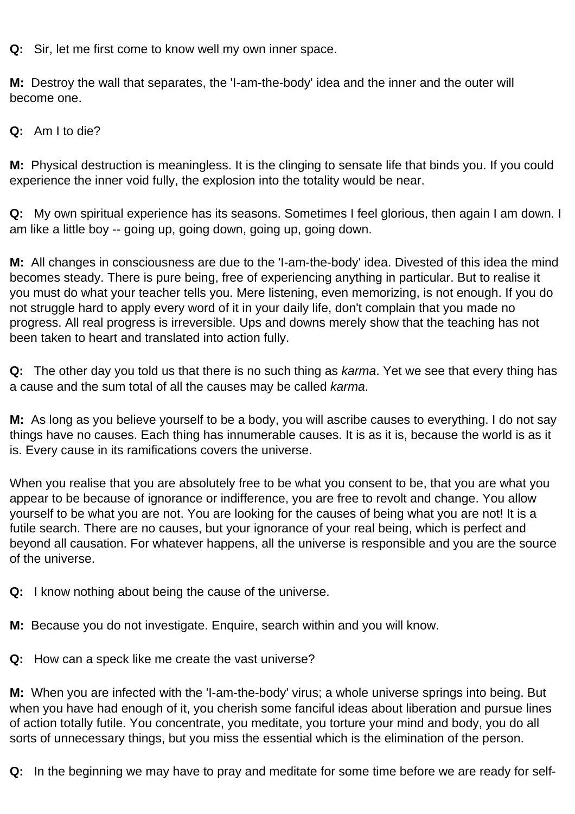**Q:** Sir, let me first come to know well my own inner space.

**M:** Destroy the wall that separates, the 'I-am-the-body' idea and the inner and the outer will become one.

**Q:** Am I to die?

**M:** Physical destruction is meaningless. It is the clinging to sensate life that binds you. If you could experience the inner void fully, the explosion into the totality would be near.

**Q:** My own spiritual experience has its seasons. Sometimes I feel glorious, then again I am down. I am like a little boy -- going up, going down, going up, going down.

**M:** All changes in consciousness are due to the 'I-am-the-body' idea. Divested of this idea the mind becomes steady. There is pure being, free of experiencing anything in particular. But to realise it you must do what your teacher tells you. Mere listening, even memorizing, is not enough. If you do not struggle hard to apply every word of it in your daily life, don't complain that you made no progress. All real progress is irreversible. Ups and downs merely show that the teaching has not been taken to heart and translated into action fully.

**Q:** The other day you told us that there is no such thing as *karma*. Yet we see that every thing has a cause and the sum total of all the causes may be called *karma*.

**M:** As long as you believe yourself to be a body, you will ascribe causes to everything. I do not say things have no causes. Each thing has innumerable causes. It is as it is, because the world is as it is. Every cause in its ramifications covers the universe.

When you realise that you are absolutely free to be what you consent to be, that you are what you appear to be because of ignorance or indifference, you are free to revolt and change. You allow yourself to be what you are not. You are looking for the causes of being what you are not! It is a futile search. There are no causes, but your ignorance of your real being, which is perfect and beyond all causation. For whatever happens, all the universe is responsible and you are the source of the universe.

**Q:** I know nothing about being the cause of the universe.

**M:** Because you do not investigate. Enquire, search within and you will know.

**Q:** How can a speck like me create the vast universe?

**M:** When you are infected with the 'I-am-the-body' virus; a whole universe springs into being. But when you have had enough of it, you cherish some fanciful ideas about liberation and pursue lines of action totally futile. You concentrate, you meditate, you torture your mind and body, you do all sorts of unnecessary things, but you miss the essential which is the elimination of the person.

**Q:** In the beginning we may have to pray and meditate for some time before we are ready for self-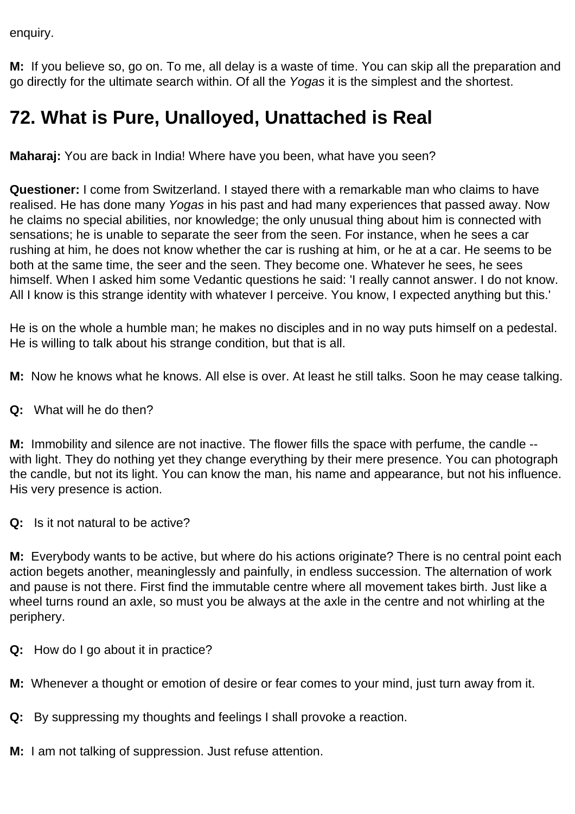enquiry.

**M:** If you believe so, go on. To me, all delay is a waste of time. You can skip all the preparation and go directly for the ultimate search within. Of all the *Yogas* it is the simplest and the shortest.

### **72. What is Pure, Unalloyed, Unattached is Real**

**Maharaj:** You are back in India! Where have you been, what have you seen?

**Questioner:** I come from Switzerland. I stayed there with a remarkable man who claims to have realised. He has done many *Yogas* in his past and had many experiences that passed away. Now he claims no special abilities, nor knowledge; the only unusual thing about him is connected with sensations; he is unable to separate the seer from the seen. For instance, when he sees a car rushing at him, he does not know whether the car is rushing at him, or he at a car. He seems to be both at the same time, the seer and the seen. They become one. Whatever he sees, he sees himself. When I asked him some Vedantic questions he said: 'I really cannot answer. I do not know. All I know is this strange identity with whatever I perceive. You know, I expected anything but this.'

He is on the whole a humble man; he makes no disciples and in no way puts himself on a pedestal. He is willing to talk about his strange condition, but that is all.

**M:** Now he knows what he knows. All else is over. At least he still talks. Soon he may cease talking.

**Q:** What will he do then?

**M:** Immobility and silence are not inactive. The flower fills the space with perfume, the candle - with light. They do nothing yet they change everything by their mere presence. You can photograph the candle, but not its light. You can know the man, his name and appearance, but not his influence. His very presence is action.

**Q:** Is it not natural to be active?

**M:** Everybody wants to be active, but where do his actions originate? There is no central point each action begets another, meaninglessly and painfully, in endless succession. The alternation of work and pause is not there. First find the immutable centre where all movement takes birth. Just like a wheel turns round an axle, so must you be always at the axle in the centre and not whirling at the periphery.

- **Q:** How do I go about it in practice?
- **M:** Whenever a thought or emotion of desire or fear comes to your mind, just turn away from it.
- **Q:** By suppressing my thoughts and feelings I shall provoke a reaction.
- **M:** I am not talking of suppression. Just refuse attention.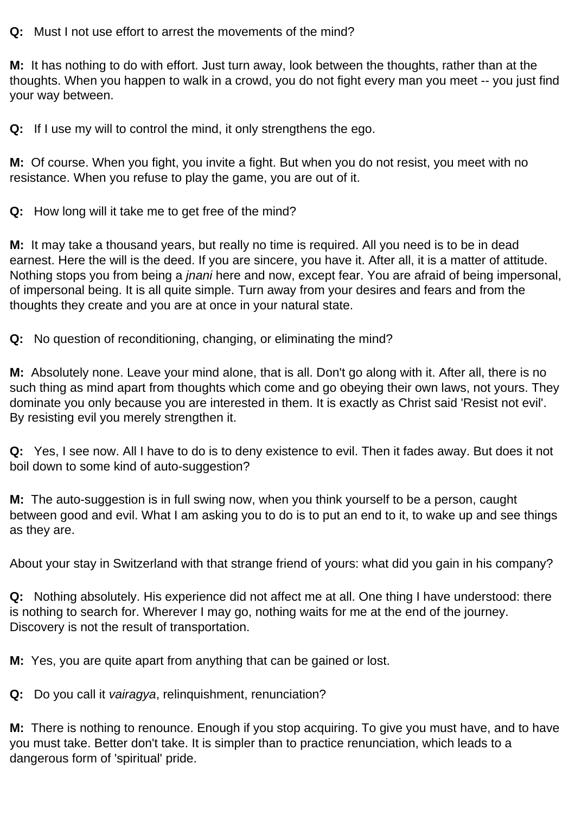**Q:** Must I not use effort to arrest the movements of the mind?

**M:** It has nothing to do with effort. Just turn away, look between the thoughts, rather than at the thoughts. When you happen to walk in a crowd, you do not fight every man you meet -- you just find your way between.

**Q:** If I use my will to control the mind, it only strengthens the ego.

**M:** Of course. When you fight, you invite a fight. But when you do not resist, you meet with no resistance. When you refuse to play the game, you are out of it.

**Q:** How long will it take me to get free of the mind?

**M:** It may take a thousand years, but really no time is required. All you need is to be in dead earnest. Here the will is the deed. If you are sincere, you have it. After all, it is a matter of attitude. Nothing stops you from being a *jnani* here and now, except fear. You are afraid of being impersonal, of impersonal being. It is all quite simple. Turn away from your desires and fears and from the thoughts they create and you are at once in your natural state.

**Q:** No question of reconditioning, changing, or eliminating the mind?

**M:** Absolutely none. Leave your mind alone, that is all. Don't go along with it. After all, there is no such thing as mind apart from thoughts which come and go obeying their own laws, not yours. They dominate you only because you are interested in them. It is exactly as Christ said 'Resist not evil'. By resisting evil you merely strengthen it.

**Q:** Yes, I see now. All I have to do is to deny existence to evil. Then it fades away. But does it not boil down to some kind of auto-suggestion?

**M:** The auto-suggestion is in full swing now, when you think yourself to be a person, caught between good and evil. What I am asking you to do is to put an end to it, to wake up and see things as they are.

About your stay in Switzerland with that strange friend of yours: what did you gain in his company?

**Q:** Nothing absolutely. His experience did not affect me at all. One thing I have understood: there is nothing to search for. Wherever I may go, nothing waits for me at the end of the journey. Discovery is not the result of transportation.

**M:** Yes, you are quite apart from anything that can be gained or lost.

**Q:** Do you call it *vairagya*, relinquishment, renunciation?

**M:** There is nothing to renounce. Enough if you stop acquiring. To give you must have, and to have you must take. Better don't take. It is simpler than to practice renunciation, which leads to a dangerous form of 'spiritual' pride.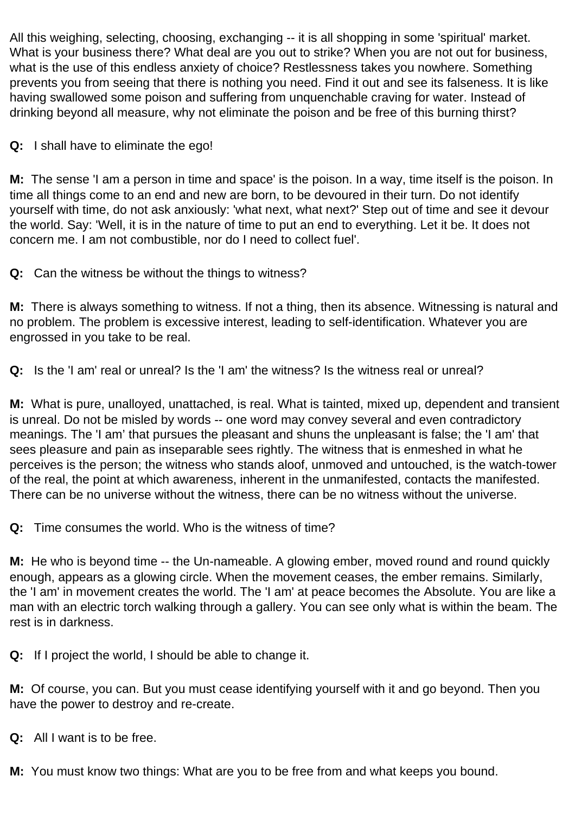All this weighing, selecting, choosing, exchanging -- it is all shopping in some 'spiritual' market. What is your business there? What deal are you out to strike? When you are not out for business, what is the use of this endless anxiety of choice? Restlessness takes you nowhere. Something prevents you from seeing that there is nothing you need. Find it out and see its falseness. It is like having swallowed some poison and suffering from unquenchable craving for water. Instead of drinking beyond all measure, why not eliminate the poison and be free of this burning thirst?

**Q:** I shall have to eliminate the ego!

**M:** The sense 'I am a person in time and space' is the poison. In a way, time itself is the poison. In time all things come to an end and new are born, to be devoured in their turn. Do not identify yourself with time, do not ask anxiously: 'what next, what next?' Step out of time and see it devour the world. Say: 'Well, it is in the nature of time to put an end to everything. Let it be. It does not concern me. I am not combustible, nor do I need to collect fuel'.

**Q:** Can the witness be without the things to witness?

**M:** There is always something to witness. If not a thing, then its absence. Witnessing is natural and no problem. The problem is excessive interest, leading to self-identification. Whatever you are engrossed in you take to be real.

**Q:** Is the 'I am' real or unreal? Is the 'I am' the witness? Is the witness real or unreal?

**M:** What is pure, unalloyed, unattached, is real. What is tainted, mixed up, dependent and transient is unreal. Do not be misled by words -- one word may convey several and even contradictory meanings. The 'I am' that pursues the pleasant and shuns the unpleasant is false; the 'I am' that sees pleasure and pain as inseparable sees rightly. The witness that is enmeshed in what he perceives is the person; the witness who stands aloof, unmoved and untouched, is the watch-tower of the real, the point at which awareness, inherent in the unmanifested, contacts the manifested. There can be no universe without the witness, there can be no witness without the universe.

**Q:** Time consumes the world. Who is the witness of time?

**M:** He who is beyond time -- the Un-nameable. A glowing ember, moved round and round quickly enough, appears as a glowing circle. When the movement ceases, the ember remains. Similarly, the 'I am' in movement creates the world. The 'I am' at peace becomes the Absolute. You are like a man with an electric torch walking through a gallery. You can see only what is within the beam. The rest is in darkness.

**Q:** If I project the world, I should be able to change it.

**M:** Of course, you can. But you must cease identifying yourself with it and go beyond. Then you have the power to destroy and re-create.

**Q:** All I want is to be free.

**M:** You must know two things: What are you to be free from and what keeps you bound.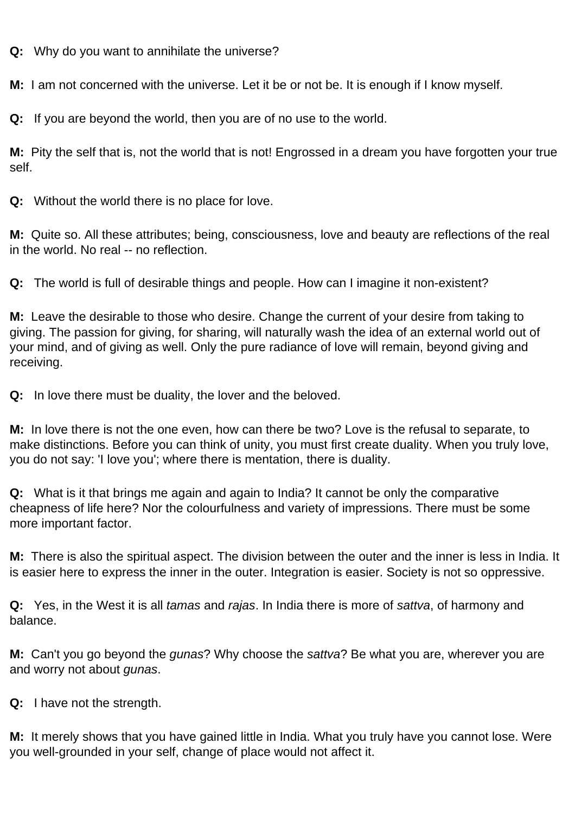**Q:** Why do you want to annihilate the universe?

**M:** I am not concerned with the universe. Let it be or not be. It is enough if I know myself.

**Q:** If you are beyond the world, then you are of no use to the world.

**M:** Pity the self that is, not the world that is not! Engrossed in a dream you have forgotten your true self.

**Q:** Without the world there is no place for love.

**M:** Quite so. All these attributes; being, consciousness, love and beauty are reflections of the real in the world. No real -- no reflection.

**Q:** The world is full of desirable things and people. How can I imagine it non-existent?

**M:** Leave the desirable to those who desire. Change the current of your desire from taking to giving. The passion for giving, for sharing, will naturally wash the idea of an external world out of your mind, and of giving as well. Only the pure radiance of love will remain, beyond giving and receiving.

**Q:** In love there must be duality, the lover and the beloved.

**M:** In love there is not the one even, how can there be two? Love is the refusal to separate, to make distinctions. Before you can think of unity, you must first create duality. When you truly love, you do not say: 'I love you'; where there is mentation, there is duality.

**Q:** What is it that brings me again and again to India? It cannot be only the comparative cheapness of life here? Nor the colourfulness and variety of impressions. There must be some more important factor.

**M:** There is also the spiritual aspect. The division between the outer and the inner is less in India. It is easier here to express the inner in the outer. Integration is easier. Society is not so oppressive.

**Q:** Yes, in the West it is all *tamas* and *rajas*. In India there is more of *sattva*, of harmony and balance.

**M:** Can't you go beyond the *gunas*? Why choose the *sattva*? Be what you are, wherever you are and worry not about *gunas*.

**Q:** I have not the strength.

**M:** It merely shows that you have gained little in India. What you truly have you cannot lose. Were you well-grounded in your self, change of place would not affect it.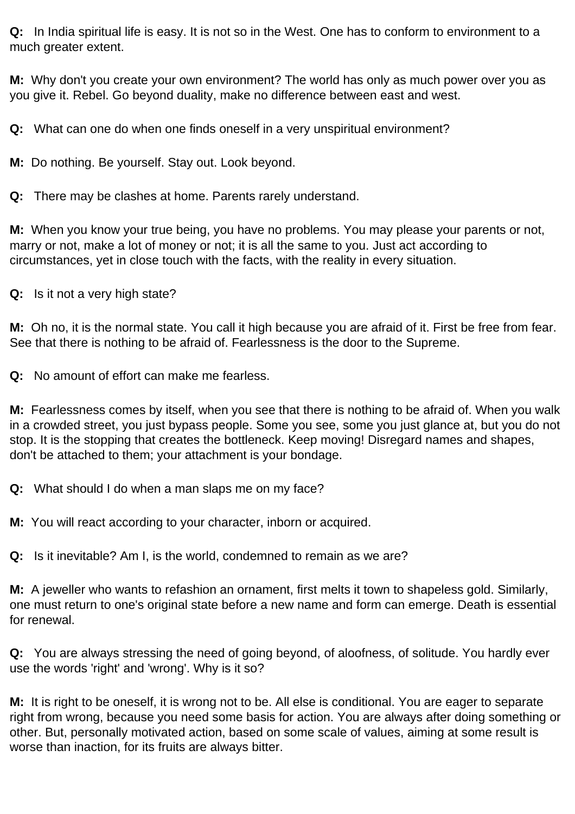**Q:** In India spiritual life is easy. It is not so in the West. One has to conform to environment to a much greater extent.

**M:** Why don't you create your own environment? The world has only as much power over you as you give it. Rebel. Go beyond duality, make no difference between east and west.

**Q:** What can one do when one finds oneself in a very unspiritual environment?

**M:** Do nothing. Be yourself. Stay out. Look beyond.

**Q:** There may be clashes at home. Parents rarely understand.

**M:** When you know your true being, you have no problems. You may please your parents or not, marry or not, make a lot of money or not; it is all the same to you. Just act according to circumstances, yet in close touch with the facts, with the reality in every situation.

**Q:** Is it not a very high state?

**M:** Oh no, it is the normal state. You call it high because you are afraid of it. First be free from fear. See that there is nothing to be afraid of. Fearlessness is the door to the Supreme.

**Q:** No amount of effort can make me fearless.

**M:** Fearlessness comes by itself, when you see that there is nothing to be afraid of. When you walk in a crowded street, you just bypass people. Some you see, some you just glance at, but you do not stop. It is the stopping that creates the bottleneck. Keep moving! Disregard names and shapes, don't be attached to them; your attachment is your bondage.

**Q:** What should I do when a man slaps me on my face?

**M:** You will react according to your character, inborn or acquired.

**Q:** Is it inevitable? Am I, is the world, condemned to remain as we are?

**M:** A jeweller who wants to refashion an ornament, first melts it town to shapeless gold. Similarly, one must return to one's original state before a new name and form can emerge. Death is essential for renewal.

**Q:** You are always stressing the need of going beyond, of aloofness, of solitude. You hardly ever use the words 'right' and 'wrong'. Why is it so?

**M:** It is right to be oneself, it is wrong not to be. All else is conditional. You are eager to separate right from wrong, because you need some basis for action. You are always after doing something or other. But, personally motivated action, based on some scale of values, aiming at some result is worse than inaction, for its fruits are always bitter.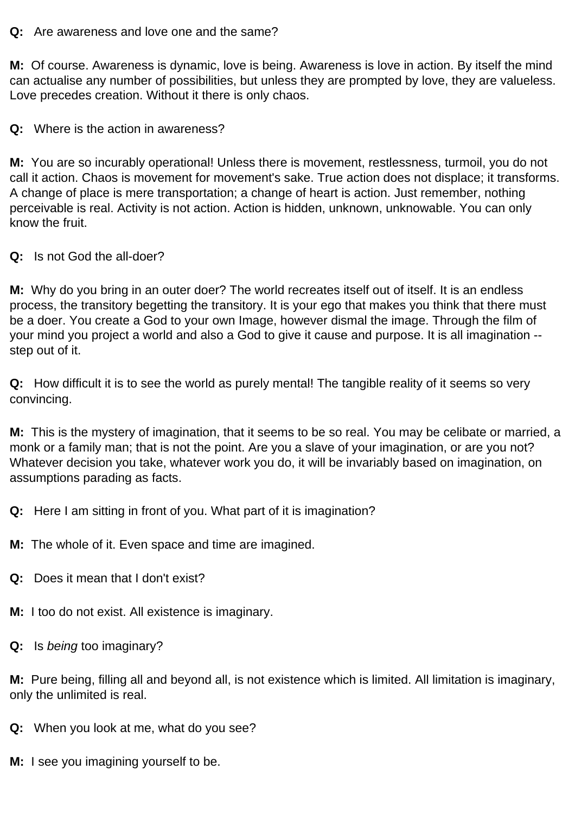#### **Q:** Are awareness and love one and the same?

**M:** Of course. Awareness is dynamic, love is being. Awareness is love in action. By itself the mind can actualise any number of possibilities, but unless they are prompted by love, they are valueless. Love precedes creation. Without it there is only chaos.

**Q:** Where is the action in awareness?

**M:** You are so incurably operational! Unless there is movement, restlessness, turmoil, you do not call it action. Chaos is movement for movement's sake. True action does not displace; it transforms. A change of place is mere transportation; a change of heart is action. Just remember, nothing perceivable is real. Activity is not action. Action is hidden, unknown, unknowable. You can only know the fruit.

**Q:** Is not God the all-doer?

**M:** Why do you bring in an outer doer? The world recreates itself out of itself. It is an endless process, the transitory begetting the transitory. It is your ego that makes you think that there must be a doer. You create a God to your own Image, however dismal the image. Through the film of your mind you project a world and also a God to give it cause and purpose. It is all imagination - step out of it.

**Q:** How difficult it is to see the world as purely mental! The tangible reality of it seems so very convincing.

**M:** This is the mystery of imagination, that it seems to be so real. You may be celibate or married, a monk or a family man; that is not the point. Are you a slave of your imagination, or are you not? Whatever decision you take, whatever work you do, it will be invariably based on imagination, on assumptions parading as facts.

- **Q:** Here I am sitting in front of you. What part of it is imagination?
- **M:** The whole of it. Even space and time are imagined.
- **Q:** Does it mean that I don't exist?
- **M:** I too do not exist. All existence is imaginary.
- **Q:** Is *being* too imaginary?

**M:** Pure being, filling all and beyond all, is not existence which is limited. All limitation is imaginary, only the unlimited is real.

- **Q:** When you look at me, what do you see?
- **M:** I see you imagining yourself to be.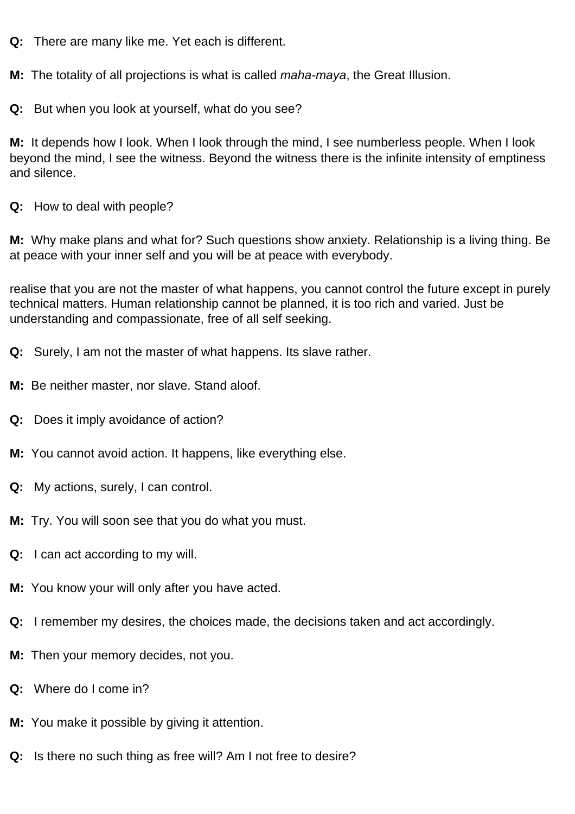**Q:** There are many like me. Yet each is different.

**M:** The totality of all projections is what is called *maha-maya*, the Great Illusion.

**Q:** But when you look at yourself, what do you see?

**M:** It depends how I look. When I look through the mind, I see numberless people. When I look beyond the mind, I see the witness. Beyond the witness there is the infinite intensity of emptiness and silence.

**Q:** How to deal with people?

**M:** Why make plans and what for? Such questions show anxiety. Relationship is a living thing. Be at peace with your inner self and you will be at peace with everybody.

realise that you are not the master of what happens, you cannot control the future except in purely technical matters. Human relationship cannot be planned, it is too rich and varied. Just be understanding and compassionate, free of all self seeking.

- **Q:** Surely, I am not the master of what happens. Its slave rather.
- **M:** Be neither master, nor slave. Stand aloof.
- **Q:** Does it imply avoidance of action?
- **M:** You cannot avoid action. It happens, like everything else.
- **Q:** My actions, surely, I can control.
- **M:** Try. You will soon see that you do what you must.
- **Q:** I can act according to my will.
- **M:** You know your will only after you have acted.
- **Q:** I remember my desires, the choices made, the decisions taken and act accordingly.
- **M:** Then your memory decides, not you.
- **Q:** Where do I come in?
- **M:** You make it possible by giving it attention.
- **Q:** Is there no such thing as free will? Am I not free to desire?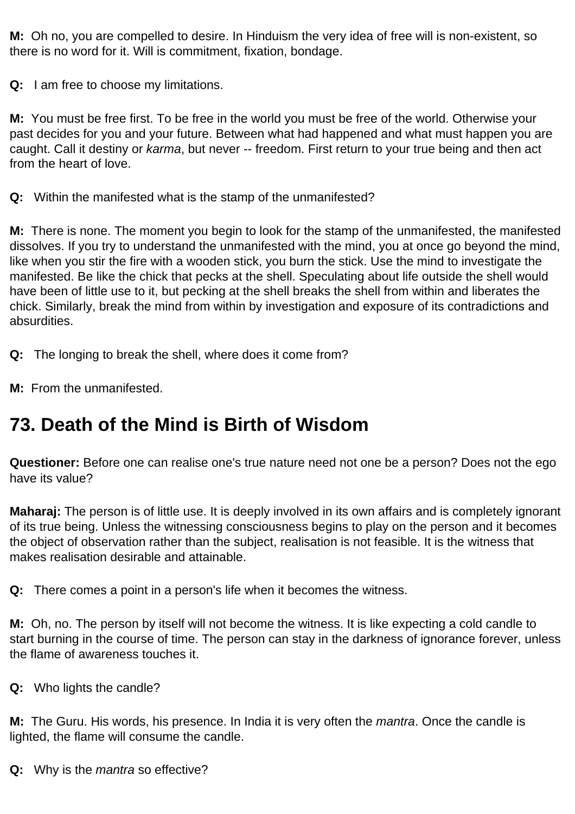**M:** Oh no, you are compelled to desire. In Hinduism the very idea of free will is non-existent, so there is no word for it. Will is commitment, fixation, bondage.

**Q:** I am free to choose my limitations.

**M:** You must be free first. To be free in the world you must be free of the world. Otherwise your past decides for you and your future. Between what had happened and what must happen you are caught. Call it destiny or *karma*, but never -- freedom. First return to your true being and then act from the heart of love.

**Q:** Within the manifested what is the stamp of the unmanifested?

**M:** There is none. The moment you begin to look for the stamp of the unmanifested, the manifested dissolves. If you try to understand the unmanifested with the mind, you at once go beyond the mind, like when you stir the fire with a wooden stick, you burn the stick. Use the mind to investigate the manifested. Be like the chick that pecks at the shell. Speculating about life outside the shell would have been of little use to it, but pecking at the shell breaks the shell from within and liberates the chick. Similarly, break the mind from within by investigation and exposure of its contradictions and absurdities.

**Q:** The longing to break the shell, where does it come from?

**M:** From the unmanifested.

### **73. Death of the Mind is Birth of Wisdom**

**Questioner:** Before one can realise one's true nature need not one be a person? Does not the ego have its value?

**Maharaj:** The person is of little use. It is deeply involved in its own affairs and is completely ignorant of its true being. Unless the witnessing consciousness begins to play on the person and it becomes the object of observation rather than the subject, realisation is not feasible. It is the witness that makes realisation desirable and attainable.

**Q:** There comes a point in a person's life when it becomes the witness.

**M:** Oh, no. The person by itself will not become the witness. It is like expecting a cold candle to start burning in the course of time. The person can stay in the darkness of ignorance forever, unless the flame of awareness touches it.

**Q:** Who lights the candle?

**M:** The Guru. His words, his presence. In India it is very often the *mantra*. Once the candle is lighted, the flame will consume the candle.

**Q:** Why is the *mantra* so effective?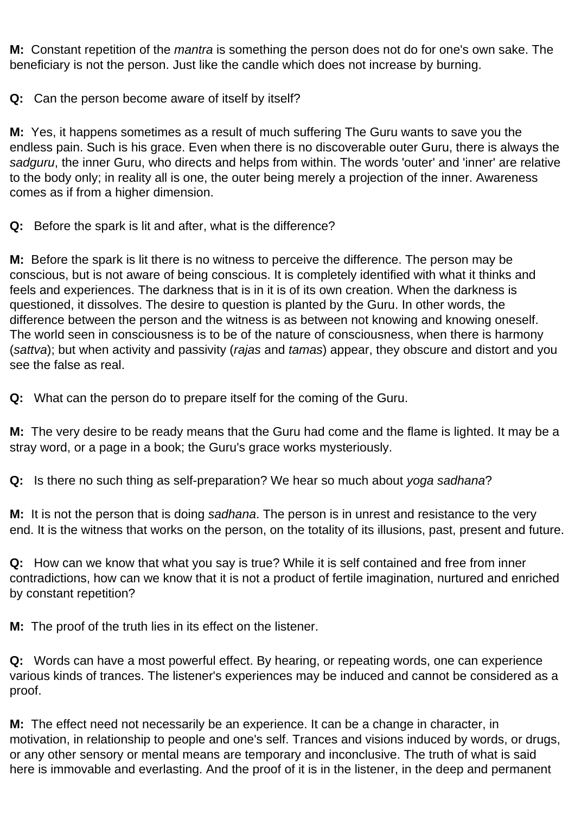**M:** Constant repetition of the *mantra* is something the person does not do for one's own sake. The beneficiary is not the person. Just like the candle which does not increase by burning.

**Q:** Can the person become aware of itself by itself?

**M:** Yes, it happens sometimes as a result of much suffering The Guru wants to save you the endless pain. Such is his grace. Even when there is no discoverable outer Guru, there is always the *sadguru*, the inner Guru, who directs and helps from within. The words 'outer' and 'inner' are relative to the body only; in reality all is one, the outer being merely a projection of the inner. Awareness comes as if from a higher dimension.

**Q:** Before the spark is lit and after, what is the difference?

**M:** Before the spark is lit there is no witness to perceive the difference. The person may be conscious, but is not aware of being conscious. It is completely identified with what it thinks and feels and experiences. The darkness that is in it is of its own creation. When the darkness is questioned, it dissolves. The desire to question is planted by the Guru. In other words, the difference between the person and the witness is as between not knowing and knowing oneself. The world seen in consciousness is to be of the nature of consciousness, when there is harmony (*sattva*); but when activity and passivity (*rajas* and *tamas*) appear, they obscure and distort and you see the false as real.

**Q:** What can the person do to prepare itself for the coming of the Guru.

**M:** The very desire to be ready means that the Guru had come and the flame is lighted. It may be a stray word, or a page in a book; the Guru's grace works mysteriously.

**Q:** Is there no such thing as self-preparation? We hear so much about *yoga sadhana*?

**M:** It is not the person that is doing *sadhana*. The person is in unrest and resistance to the very end. It is the witness that works on the person, on the totality of its illusions, past, present and future.

**Q:** How can we know that what you say is true? While it is self contained and free from inner contradictions, how can we know that it is not a product of fertile imagination, nurtured and enriched by constant repetition?

**M:** The proof of the truth lies in its effect on the listener.

**Q:** Words can have a most powerful effect. By hearing, or repeating words, one can experience various kinds of trances. The listener's experiences may be induced and cannot be considered as a proof.

**M:** The effect need not necessarily be an experience. It can be a change in character, in motivation, in relationship to people and one's self. Trances and visions induced by words, or drugs, or any other sensory or mental means are temporary and inconclusive. The truth of what is said here is immovable and everlasting. And the proof of it is in the listener, in the deep and permanent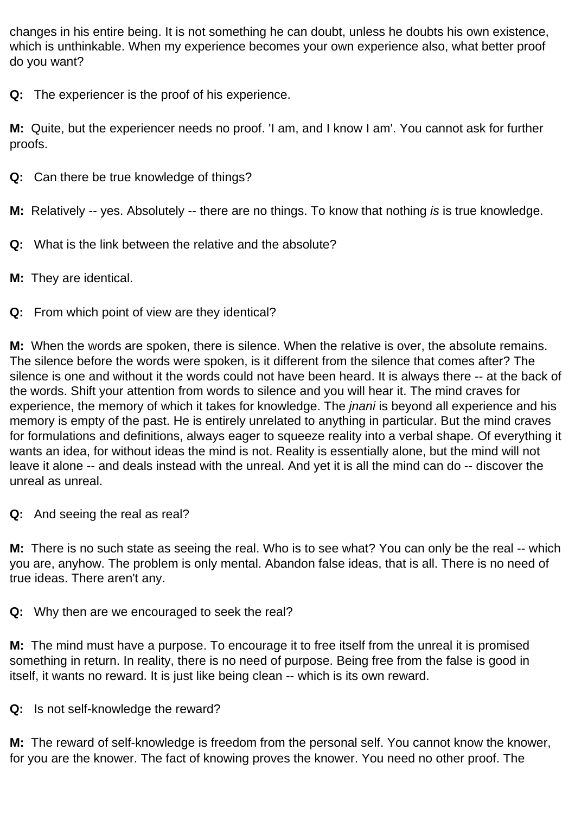changes in his entire being. It is not something he can doubt, unless he doubts his own existence, which is unthinkable. When my experience becomes your own experience also, what better proof do you want?

**Q:** The experiencer is the proof of his experience.

**M:** Quite, but the experiencer needs no proof. 'I am, and I know I am'. You cannot ask for further proofs.

- **Q:** Can there be true knowledge of things?
- **M:** Relatively -- yes. Absolutely -- there are no things. To know that nothing *is* is true knowledge.
- **Q:** What is the link between the relative and the absolute?
- **M:** They are identical.
- **Q:** From which point of view are they identical?

**M:** When the words are spoken, there is silence. When the relative is over, the absolute remains. The silence before the words were spoken, is it different from the silence that comes after? The silence is one and without it the words could not have been heard. It is always there -- at the back of the words. Shift your attention from words to silence and you will hear it. The mind craves for experience, the memory of which it takes for knowledge. The *jnani* is beyond all experience and his memory is empty of the past. He is entirely unrelated to anything in particular. But the mind craves for formulations and definitions, always eager to squeeze reality into a verbal shape. Of everything it wants an idea, for without ideas the mind is not. Reality is essentially alone, but the mind will not leave it alone -- and deals instead with the unreal. And yet it is all the mind can do -- discover the unreal as unreal.

**Q:** And seeing the real as real?

**M:** There is no such state as seeing the real. Who is to see what? You can only be the real -- which you are, anyhow. The problem is only mental. Abandon false ideas, that is all. There is no need of true ideas. There aren't any.

**Q:** Why then are we encouraged to seek the real?

**M:** The mind must have a purpose. To encourage it to free itself from the unreal it is promised something in return. In reality, there is no need of purpose. Being free from the false is good in itself, it wants no reward. It is just like being clean -- which is its own reward.

**Q:** Is not self-knowledge the reward?

**M:** The reward of self-knowledge is freedom from the personal self. You cannot know the knower, for you are the knower. The fact of knowing proves the knower. You need no other proof. The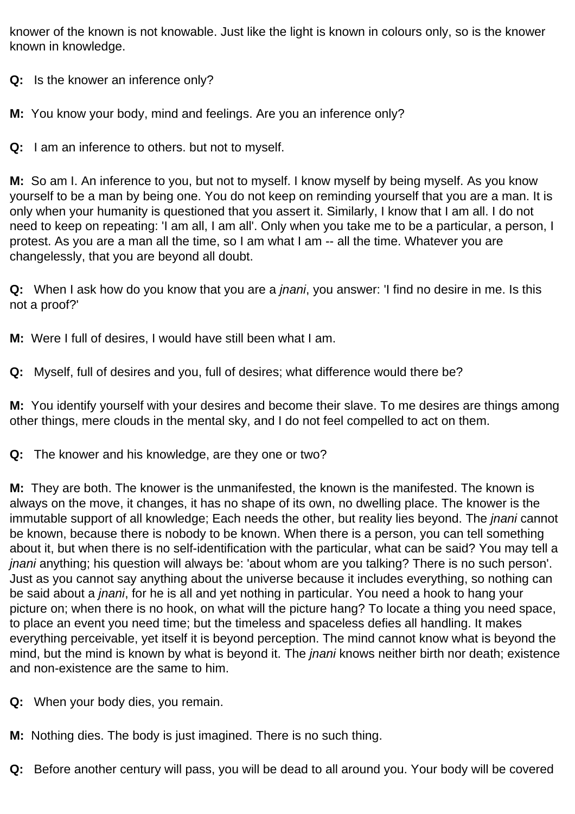knower of the known is not knowable. Just like the light is known in colours only, so is the knower known in knowledge.

**Q:** Is the knower an inference only?

**M:** You know your body, mind and feelings. Are you an inference only?

**Q:** I am an inference to others. but not to myself.

**M:** So am I. An inference to you, but not to myself. I know myself by being myself. As you know yourself to be a man by being one. You do not keep on reminding yourself that you are a man. It is only when your humanity is questioned that you assert it. Similarly, I know that I am all. I do not need to keep on repeating: 'I am all, I am all'. Only when you take me to be a particular, a person, I protest. As you are a man all the time, so I am what I am -- all the time. Whatever you are changelessly, that you are beyond all doubt.

**Q:** When I ask how do you know that you are a *jnani*, you answer: 'I find no desire in me. Is this not a proof?'

**M:** Were I full of desires, I would have still been what I am.

**Q:** Myself, full of desires and you, full of desires; what difference would there be?

**M:** You identify yourself with your desires and become their slave. To me desires are things among other things, mere clouds in the mental sky, and I do not feel compelled to act on them.

**Q:** The knower and his knowledge, are they one or two?

**M:** They are both. The knower is the unmanifested, the known is the manifested. The known is always on the move, it changes, it has no shape of its own, no dwelling place. The knower is the immutable support of all knowledge; Each needs the other, but reality lies beyond. The *jnani* cannot be known, because there is nobody to be known. When there is a person, you can tell something about it, but when there is no self-identification with the particular, what can be said? You may tell a *jnani* anything; his question will always be: 'about whom are you talking? There is no such person'. Just as you cannot say anything about the universe because it includes everything, so nothing can be said about a *jnani*, for he is all and yet nothing in particular. You need a hook to hang your picture on; when there is no hook, on what will the picture hang? To locate a thing you need space, to place an event you need time; but the timeless and spaceless defies all handling. It makes everything perceivable, yet itself it is beyond perception. The mind cannot know what is beyond the mind, but the mind is known by what is beyond it. The *jnani* knows neither birth nor death; existence and non-existence are the same to him.

- **Q:** When your body dies, you remain.
- **M:** Nothing dies. The body is just imagined. There is no such thing.
- **Q:** Before another century will pass, you will be dead to all around you. Your body will be covered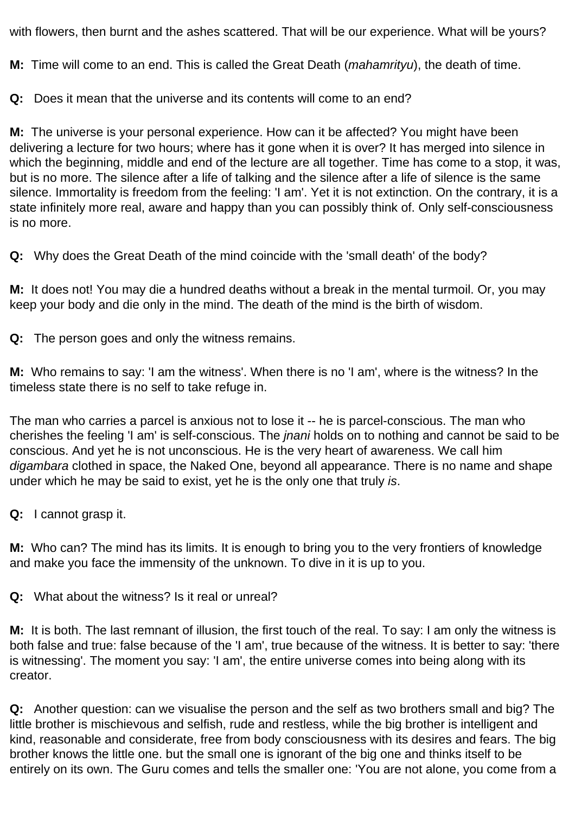with flowers, then burnt and the ashes scattered. That will be our experience. What will be yours?

**M:** Time will come to an end. This is called the Great Death (*mahamrityu*), the death of time.

**Q:** Does it mean that the universe and its contents will come to an end?

**M:** The universe is your personal experience. How can it be affected? You might have been delivering a lecture for two hours; where has it gone when it is over? It has merged into silence in which the beginning, middle and end of the lecture are all together. Time has come to a stop, it was, but is no more. The silence after a life of talking and the silence after a life of silence is the same silence. Immortality is freedom from the feeling: 'I am'. Yet it is not extinction. On the contrary, it is a state infinitely more real, aware and happy than you can possibly think of. Only self-consciousness is no more.

**Q:** Why does the Great Death of the mind coincide with the 'small death' of the body?

**M:** It does not! You may die a hundred deaths without a break in the mental turmoil. Or, you may keep your body and die only in the mind. The death of the mind is the birth of wisdom.

**Q:** The person goes and only the witness remains.

**M:** Who remains to say: 'I am the witness'. When there is no 'I am', where is the witness? In the timeless state there is no self to take refuge in.

The man who carries a parcel is anxious not to lose it -- he is parcel-conscious. The man who cherishes the feeling 'I am' is self-conscious. The *jnani* holds on to nothing and cannot be said to be conscious. And yet he is not unconscious. He is the very heart of awareness. We call him *digambara* clothed in space, the Naked One, beyond all appearance. There is no name and shape under which he may be said to exist, yet he is the only one that truly *is*.

**Q:** I cannot grasp it.

**M:** Who can? The mind has its limits. It is enough to bring you to the very frontiers of knowledge and make you face the immensity of the unknown. To dive in it is up to you.

**Q:** What about the witness? Is it real or unreal?

**M:** It is both. The last remnant of illusion, the first touch of the real. To say: I am only the witness is both false and true: false because of the 'I am', true because of the witness. It is better to say: 'there is witnessing'. The moment you say: 'I am', the entire universe comes into being along with its creator.

**Q:** Another question: can we visualise the person and the self as two brothers small and big? The little brother is mischievous and selfish, rude and restless, while the big brother is intelligent and kind, reasonable and considerate, free from body consciousness with its desires and fears. The big brother knows the little one. but the small one is ignorant of the big one and thinks itself to be entirely on its own. The Guru comes and tells the smaller one: 'You are not alone, you come from a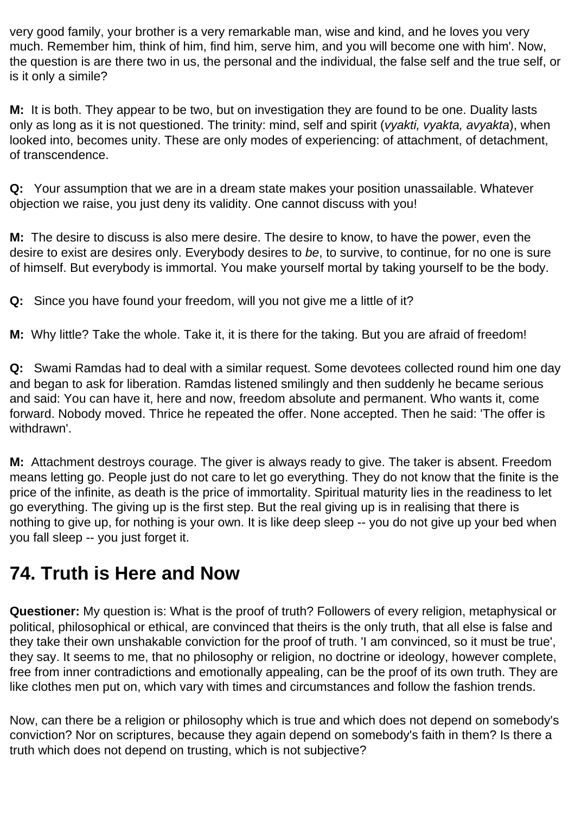very good family, your brother is a very remarkable man, wise and kind, and he loves you very much. Remember him, think of him, find him, serve him, and you will become one with him'. Now, the question is are there two in us, the personal and the individual, the false self and the true self, or is it only a simile?

**M:** It is both. They appear to be two, but on investigation they are found to be one. Duality lasts only as long as it is not questioned. The trinity: mind, self and spirit (*vyakti, vyakta, avyakta*), when looked into, becomes unity. These are only modes of experiencing: of attachment, of detachment, of transcendence.

**Q:** Your assumption that we are in a dream state makes your position unassailable. Whatever objection we raise, you just deny its validity. One cannot discuss with you!

**M:** The desire to discuss is also mere desire. The desire to know, to have the power, even the desire to exist are desires only. Everybody desires to *be*, to survive, to continue, for no one is sure of himself. But everybody is immortal. You make yourself mortal by taking yourself to be the body.

**Q:** Since you have found your freedom, will you not give me a little of it?

**M:** Why little? Take the whole. Take it, it is there for the taking. But you are afraid of freedom!

**Q:** Swami Ramdas had to deal with a similar request. Some devotees collected round him one day and began to ask for liberation. Ramdas listened smilingly and then suddenly he became serious and said: You can have it, here and now, freedom absolute and permanent. Who wants it, come forward. Nobody moved. Thrice he repeated the offer. None accepted. Then he said: 'The offer is withdrawn'.

**M:** Attachment destroys courage. The giver is always ready to give. The taker is absent. Freedom means letting go. People just do not care to let go everything. They do not know that the finite is the price of the infinite, as death is the price of immortality. Spiritual maturity lies in the readiness to let go everything. The giving up is the first step. But the real giving up is in realising that there is nothing to give up, for nothing is your own. It is like deep sleep -- you do not give up your bed when you fall sleep -- you just forget it.

## **74. Truth is Here and Now**

**Questioner:** My question is: What is the proof of truth? Followers of every religion, metaphysical or political, philosophical or ethical, are convinced that theirs is the only truth, that all else is false and they take their own unshakable conviction for the proof of truth. 'I am convinced, so it must be true', they say. It seems to me, that no philosophy or religion, no doctrine or ideology, however complete, free from inner contradictions and emotionally appealing, can be the proof of its own truth. They are like clothes men put on, which vary with times and circumstances and follow the fashion trends.

Now, can there be a religion or philosophy which is true and which does not depend on somebody's conviction? Nor on scriptures, because they again depend on somebody's faith in them? Is there a truth which does not depend on trusting, which is not subjective?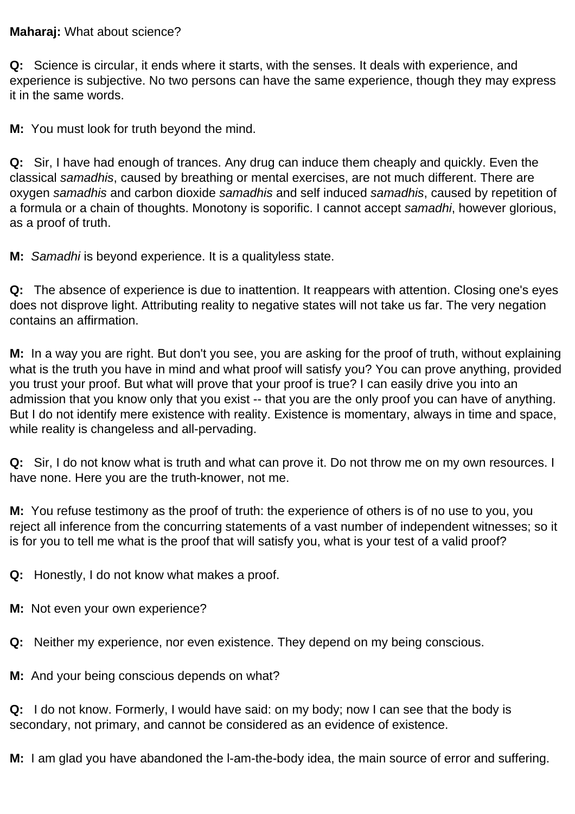#### **Maharaj:** What about science?

**Q:** Science is circular, it ends where it starts, with the senses. It deals with experience, and experience is subjective. No two persons can have the same experience, though they may express it in the same words.

**M:** You must look for truth beyond the mind.

**Q:** Sir, I have had enough of trances. Any drug can induce them cheaply and quickly. Even the classical *samadhis*, caused by breathing or mental exercises, are not much different. There are oxygen *samadhis* and carbon dioxide *samadhis* and self induced *samadhis*, caused by repetition of a formula or a chain of thoughts. Monotony is soporific. I cannot accept *samadhi*, however glorious, as a proof of truth.

**M:** *Samadhi* is beyond experience. It is a qualityless state.

**Q:** The absence of experience is due to inattention. It reappears with attention. Closing one's eyes does not disprove light. Attributing reality to negative states will not take us far. The very negation contains an affirmation.

**M:** In a way you are right. But don't you see, you are asking for the proof of truth, without explaining what is the truth you have in mind and what proof will satisfy you? You can prove anything, provided you trust your proof. But what will prove that your proof is true? I can easily drive you into an admission that you know only that you exist -- that you are the only proof you can have of anything. But I do not identify mere existence with reality. Existence is momentary, always in time and space, while reality is changeless and all-pervading.

**Q:** Sir, I do not know what is truth and what can prove it. Do not throw me on my own resources. I have none. Here you are the truth-knower, not me.

**M:** You refuse testimony as the proof of truth: the experience of others is of no use to you, you reject all inference from the concurring statements of a vast number of independent witnesses; so it is for you to tell me what is the proof that will satisfy you, what is your test of a valid proof?

**Q:** Honestly, I do not know what makes a proof.

**M:** Not even your own experience?

**Q:** Neither my experience, nor even existence. They depend on my being conscious.

**M:** And your being conscious depends on what?

**Q:** I do not know. Formerly, I would have said: on my body; now I can see that the body is secondary, not primary, and cannot be considered as an evidence of existence.

**M:** I am glad you have abandoned the l-am-the-body idea, the main source of error and suffering.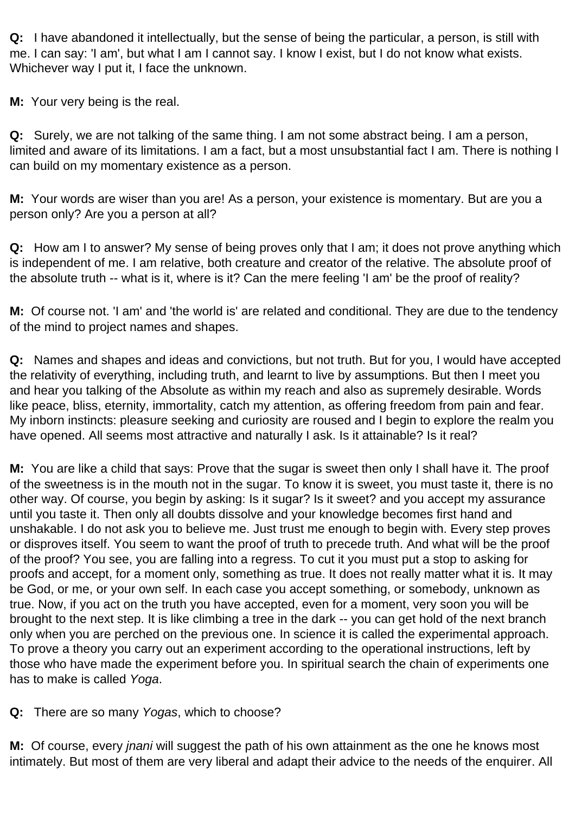**Q:** I have abandoned it intellectually, but the sense of being the particular, a person, is still with me. I can say: 'I am', but what I am I cannot say. I know I exist, but I do not know what exists. Whichever way I put it, I face the unknown.

**M:** Your very being is the real.

**Q:** Surely, we are not talking of the same thing. I am not some abstract being. I am a person, limited and aware of its limitations. I am a fact, but a most unsubstantial fact I am. There is nothing I can build on my momentary existence as a person.

**M:** Your words are wiser than you are! As a person, your existence is momentary. But are you a person only? Are you a person at all?

**Q:** How am I to answer? My sense of being proves only that I am; it does not prove anything which is independent of me. I am relative, both creature and creator of the relative. The absolute proof of the absolute truth -- what is it, where is it? Can the mere feeling 'I am' be the proof of reality?

**M:** Of course not. 'I am' and 'the world is' are related and conditional. They are due to the tendency of the mind to project names and shapes.

**Q:** Names and shapes and ideas and convictions, but not truth. But for you, I would have accepted the relativity of everything, including truth, and learnt to live by assumptions. But then I meet you and hear you talking of the Absolute as within my reach and also as supremely desirable. Words like peace, bliss, eternity, immortality, catch my attention, as offering freedom from pain and fear. My inborn instincts: pleasure seeking and curiosity are roused and I begin to explore the realm you have opened. All seems most attractive and naturally I ask. Is it attainable? Is it real?

**M:** You are like a child that says: Prove that the sugar is sweet then only I shall have it. The proof of the sweetness is in the mouth not in the sugar. To know it is sweet, you must taste it, there is no other way. Of course, you begin by asking: Is it sugar? Is it sweet? and you accept my assurance until you taste it. Then only all doubts dissolve and your knowledge becomes first hand and unshakable. I do not ask you to believe me. Just trust me enough to begin with. Every step proves or disproves itself. You seem to want the proof of truth to precede truth. And what will be the proof of the proof? You see, you are falling into a regress. To cut it you must put a stop to asking for proofs and accept, for a moment only, something as true. It does not really matter what it is. It may be God, or me, or your own self. In each case you accept something, or somebody, unknown as true. Now, if you act on the truth you have accepted, even for a moment, very soon you will be brought to the next step. It is like climbing a tree in the dark -- you can get hold of the next branch only when you are perched on the previous one. In science it is called the experimental approach. To prove a theory you carry out an experiment according to the operational instructions, left by those who have made the experiment before you. In spiritual search the chain of experiments one has to make is called *Yoga*.

**Q:** There are so many *Yogas*, which to choose?

**M:** Of course, every *jnani* will suggest the path of his own attainment as the one he knows most intimately. But most of them are very liberal and adapt their advice to the needs of the enquirer. All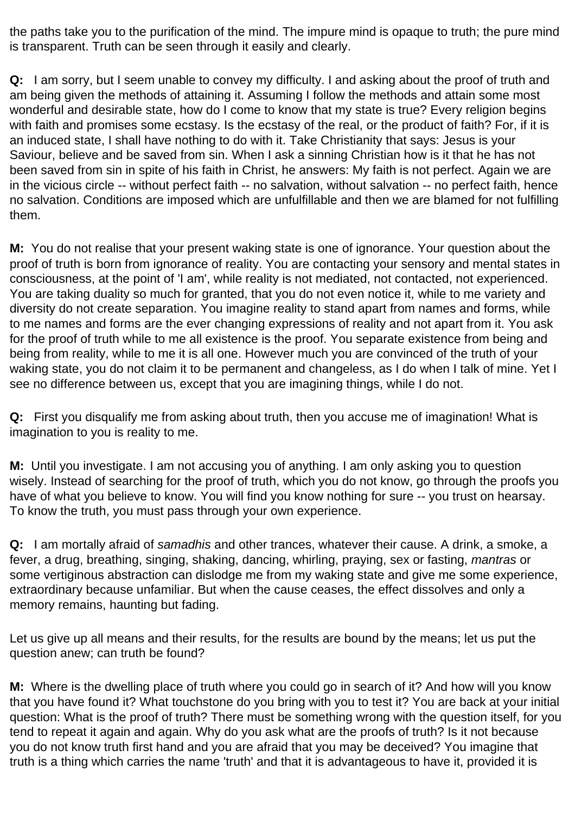the paths take you to the purification of the mind. The impure mind is opaque to truth; the pure mind is transparent. Truth can be seen through it easily and clearly.

**Q:** I am sorry, but I seem unable to convey my difficulty. I and asking about the proof of truth and am being given the methods of attaining it. Assuming I follow the methods and attain some most wonderful and desirable state, how do I come to know that my state is true? Every religion begins with faith and promises some ecstasy. Is the ecstasy of the real, or the product of faith? For, if it is an induced state, I shall have nothing to do with it. Take Christianity that says: Jesus is your Saviour, believe and be saved from sin. When I ask a sinning Christian how is it that he has not been saved from sin in spite of his faith in Christ, he answers: My faith is not perfect. Again we are in the vicious circle -- without perfect faith -- no salvation, without salvation -- no perfect faith, hence no salvation. Conditions are imposed which are unfulfillable and then we are blamed for not fulfilling them.

**M:** You do not realise that your present waking state is one of ignorance. Your question about the proof of truth is born from ignorance of reality. You are contacting your sensory and mental states in consciousness, at the point of 'I am', while reality is not mediated, not contacted, not experienced. You are taking duality so much for granted, that you do not even notice it, while to me variety and diversity do not create separation. You imagine reality to stand apart from names and forms, while to me names and forms are the ever changing expressions of reality and not apart from it. You ask for the proof of truth while to me all existence is the proof. You separate existence from being and being from reality, while to me it is all one. However much you are convinced of the truth of your waking state, you do not claim it to be permanent and changeless, as I do when I talk of mine. Yet I see no difference between us, except that you are imagining things, while I do not.

**Q:** First you disqualify me from asking about truth, then you accuse me of imagination! What is imagination to you is reality to me.

**M:** Until you investigate. I am not accusing you of anything. I am only asking you to question wisely. Instead of searching for the proof of truth, which you do not know, go through the proofs you have of what you believe to know. You will find you know nothing for sure -- you trust on hearsay. To know the truth, you must pass through your own experience.

**Q:** I am mortally afraid of *samadhis* and other trances, whatever their cause. A drink, a smoke, a fever, a drug, breathing, singing, shaking, dancing, whirling, praying, sex or fasting, *mantras* or some vertiginous abstraction can dislodge me from my waking state and give me some experience, extraordinary because unfamiliar. But when the cause ceases, the effect dissolves and only a memory remains, haunting but fading.

Let us give up all means and their results, for the results are bound by the means; let us put the question anew; can truth be found?

**M:** Where is the dwelling place of truth where you could go in search of it? And how will you know that you have found it? What touchstone do you bring with you to test it? You are back at your initial question: What is the proof of truth? There must be something wrong with the question itself, for you tend to repeat it again and again. Why do you ask what are the proofs of truth? Is it not because you do not know truth first hand and you are afraid that you may be deceived? You imagine that truth is a thing which carries the name 'truth' and that it is advantageous to have it, provided it is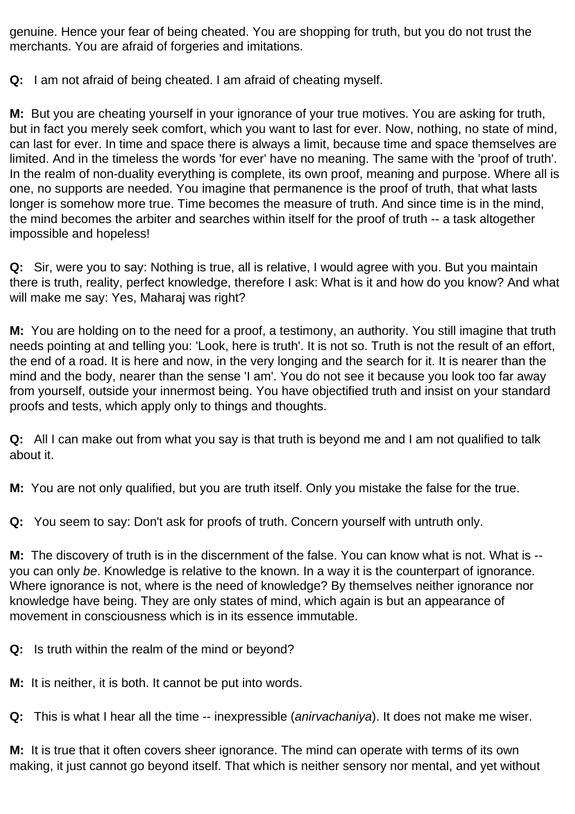genuine. Hence your fear of being cheated. You are shopping for truth, but you do not trust the merchants. You are afraid of forgeries and imitations.

**Q:** I am not afraid of being cheated. I am afraid of cheating myself.

**M:** But you are cheating yourself in your ignorance of your true motives. You are asking for truth, but in fact you merely seek comfort, which you want to last for ever. Now, nothing, no state of mind, can last for ever. In time and space there is always a limit, because time and space themselves are limited. And in the timeless the words 'for ever' have no meaning. The same with the 'proof of truth'. In the realm of non-duality everything is complete, its own proof, meaning and purpose. Where all is one, no supports are needed. You imagine that permanence is the proof of truth, that what lasts longer is somehow more true. Time becomes the measure of truth. And since time is in the mind, the mind becomes the arbiter and searches within itself for the proof of truth -- a task altogether impossible and hopeless!

**Q:** Sir, were you to say: Nothing is true, all is relative, I would agree with you. But you maintain there is truth, reality, perfect knowledge, therefore I ask: What is it and how do you know? And what will make me say: Yes, Maharaj was right?

**M:** You are holding on to the need for a proof, a testimony, an authority. You still imagine that truth needs pointing at and telling you: 'Look, here is truth'. It is not so. Truth is not the result of an effort, the end of a road. It is here and now, in the very longing and the search for it. It is nearer than the mind and the body, nearer than the sense 'I am'. You do not see it because you look too far away from yourself, outside your innermost being. You have objectified truth and insist on your standard proofs and tests, which apply only to things and thoughts.

**Q:** All I can make out from what you say is that truth is beyond me and I am not qualified to talk about it.

**M:** You are not only qualified, but you are truth itself. Only you mistake the false for the true.

**Q:** You seem to say: Don't ask for proofs of truth. Concern yourself with untruth only.

**M:** The discovery of truth is in the discernment of the false. You can know what is not. What is - you can only *be*. Knowledge is relative to the known. In a way it is the counterpart of ignorance. Where ignorance is not, where is the need of knowledge? By themselves neither ignorance nor knowledge have being. They are only states of mind, which again is but an appearance of movement in consciousness which is in its essence immutable.

**Q:** Is truth within the realm of the mind or beyond?

**M:** It is neither, it is both. It cannot be put into words.

**Q:** This is what I hear all the time -- inexpressible (*anirvachaniya*). It does not make me wiser.

**M:** It is true that it often covers sheer ignorance. The mind can operate with terms of its own making, it just cannot go beyond itself. That which is neither sensory nor mental, and yet without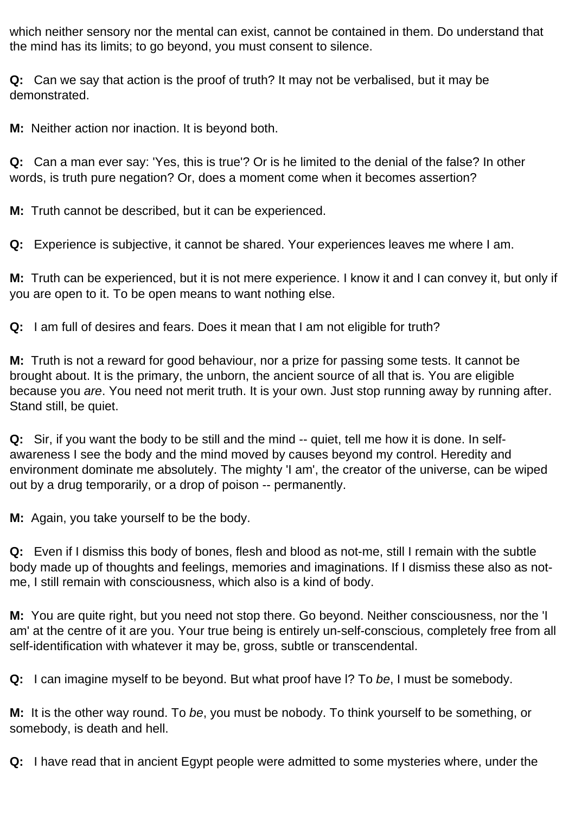which neither sensory nor the mental can exist, cannot be contained in them. Do understand that the mind has its limits; to go beyond, you must consent to silence.

**Q:** Can we say that action is the proof of truth? It may not be verbalised, but it may be demonstrated.

**M:** Neither action nor inaction. It is beyond both.

**Q:** Can a man ever say: 'Yes, this is true'? Or is he limited to the denial of the false? In other words, is truth pure negation? Or, does a moment come when it becomes assertion?

**M:** Truth cannot be described, but it can be experienced.

**Q:** Experience is subjective, it cannot be shared. Your experiences leaves me where I am.

**M:** Truth can be experienced, but it is not mere experience. I know it and I can convey it, but only if you are open to it. To be open means to want nothing else.

**Q:** I am full of desires and fears. Does it mean that I am not eligible for truth?

**M:** Truth is not a reward for good behaviour, nor a prize for passing some tests. It cannot be brought about. It is the primary, the unborn, the ancient source of all that is. You are eligible because you *are*. You need not merit truth. It is your own. Just stop running away by running after. Stand still, be quiet.

**Q:** Sir, if you want the body to be still and the mind -- quiet, tell me how it is done. In selfawareness I see the body and the mind moved by causes beyond my control. Heredity and environment dominate me absolutely. The mighty 'I am', the creator of the universe, can be wiped out by a drug temporarily, or a drop of poison -- permanently.

**M:** Again, you take yourself to be the body.

**Q:** Even if I dismiss this body of bones, flesh and blood as not-me, still I remain with the subtle body made up of thoughts and feelings, memories and imaginations. If I dismiss these also as notme, I still remain with consciousness, which also is a kind of body.

**M:** You are quite right, but you need not stop there. Go beyond. Neither consciousness, nor the 'I am' at the centre of it are you. Your true being is entirely un-self-conscious, completely free from all self-identification with whatever it may be, gross, subtle or transcendental.

**Q:** I can imagine myself to be beyond. But what proof have l? To *be*, I must be somebody.

**M:** It is the other way round. To *be*, you must be nobody. To think yourself to be something, or somebody, is death and hell.

**Q:** I have read that in ancient Egypt people were admitted to some mysteries where, under the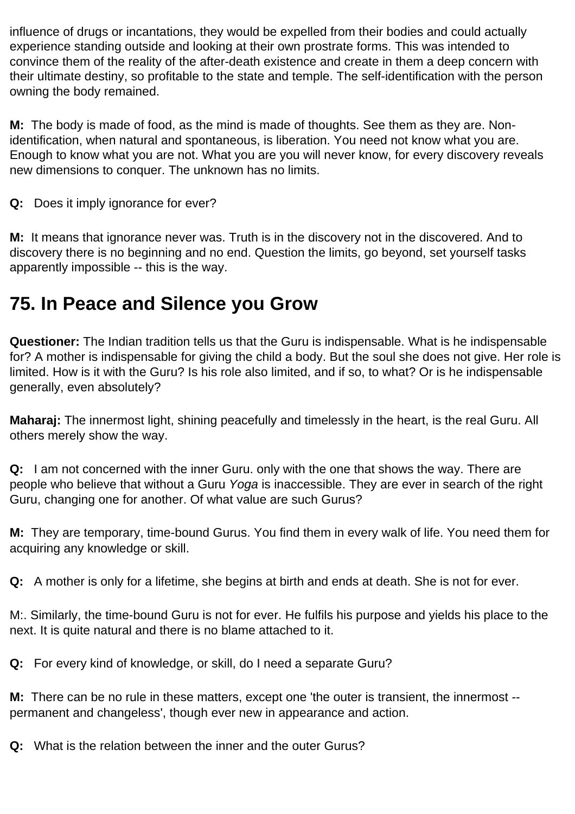influence of drugs or incantations, they would be expelled from their bodies and could actually experience standing outside and looking at their own prostrate forms. This was intended to convince them of the reality of the after-death existence and create in them a deep concern with their ultimate destiny, so profitable to the state and temple. The self-identification with the person owning the body remained.

**M:** The body is made of food, as the mind is made of thoughts. See them as they are. Nonidentification, when natural and spontaneous, is liberation. You need not know what you are. Enough to know what you are not. What you are you will never know, for every discovery reveals new dimensions to conquer. The unknown has no limits.

**Q:** Does it imply ignorance for ever?

**M:** It means that ignorance never was. Truth is in the discovery not in the discovered. And to discovery there is no beginning and no end. Question the limits, go beyond, set yourself tasks apparently impossible -- this is the way.

## **75. In Peace and Silence you Grow**

**Questioner:** The Indian tradition tells us that the Guru is indispensable. What is he indispensable for? A mother is indispensable for giving the child a body. But the soul she does not give. Her role is limited. How is it with the Guru? Is his role also limited, and if so, to what? Or is he indispensable generally, even absolutely?

**Maharaj:** The innermost light, shining peacefully and timelessly in the heart, is the real Guru. All others merely show the way.

**Q:** I am not concerned with the inner Guru. only with the one that shows the way. There are people who believe that without a Guru *Yoga* is inaccessible. They are ever in search of the right Guru, changing one for another. Of what value are such Gurus?

**M:** They are temporary, time-bound Gurus. You find them in every walk of life. You need them for acquiring any knowledge or skill.

**Q:** A mother is only for a lifetime, she begins at birth and ends at death. She is not for ever.

M:. Similarly, the time-bound Guru is not for ever. He fulfils his purpose and yields his place to the next. It is quite natural and there is no blame attached to it.

**Q:** For every kind of knowledge, or skill, do I need a separate Guru?

**M:** There can be no rule in these matters, except one 'the outer is transient, the innermost - permanent and changeless', though ever new in appearance and action.

**Q:** What is the relation between the inner and the outer Gurus?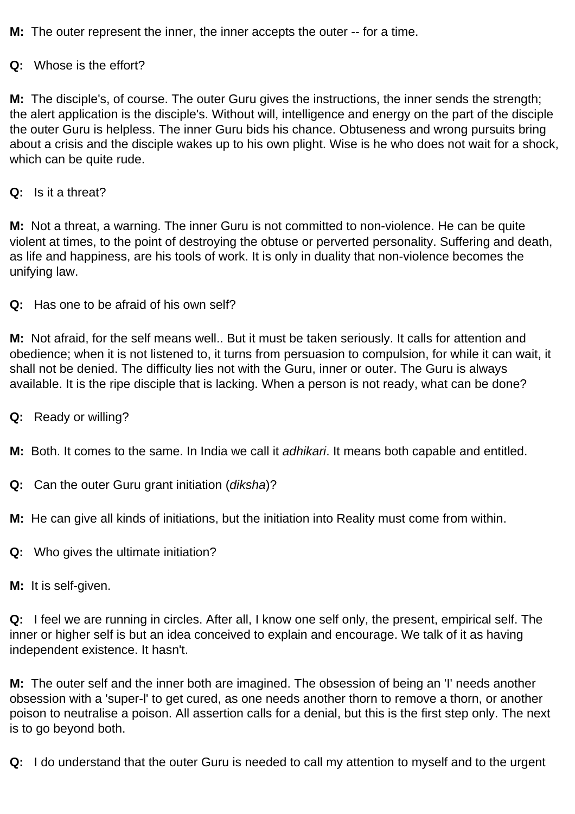**M:** The outer represent the inner, the inner accepts the outer -- for a time.

#### **Q:** Whose is the effort?

**M:** The disciple's, of course. The outer Guru gives the instructions, the inner sends the strength; the alert application is the disciple's. Without will, intelligence and energy on the part of the disciple the outer Guru is helpless. The inner Guru bids his chance. Obtuseness and wrong pursuits bring about a crisis and the disciple wakes up to his own plight. Wise is he who does not wait for a shock, which can be quite rude.

#### **Q:** Is it a threat?

**M:** Not a threat, a warning. The inner Guru is not committed to non-violence. He can be quite violent at times, to the point of destroying the obtuse or perverted personality. Suffering and death, as life and happiness, are his tools of work. It is only in duality that non-violence becomes the unifying law.

**Q:** Has one to be afraid of his own self?

**M:** Not afraid, for the self means well.. But it must be taken seriously. It calls for attention and obedience; when it is not listened to, it turns from persuasion to compulsion, for while it can wait, it shall not be denied. The difficulty lies not with the Guru, inner or outer. The Guru is always available. It is the ripe disciple that is lacking. When a person is not ready, what can be done?

**Q:** Ready or willing?

**M:** Both. It comes to the same. In India we call it *adhikari*. It means both capable and entitled.

- **Q:** Can the outer Guru grant initiation (*diksha*)?
- **M:** He can give all kinds of initiations, but the initiation into Reality must come from within.
- **Q:** Who gives the ultimate initiation?
- **M:** It is self-given.

**Q:** I feel we are running in circles. After all, I know one self only, the present, empirical self. The inner or higher self is but an idea conceived to explain and encourage. We talk of it as having independent existence. It hasn't.

**M:** The outer self and the inner both are imagined. The obsession of being an 'I' needs another obsession with a 'super-l' to get cured, as one needs another thorn to remove a thorn, or another poison to neutralise a poison. All assertion calls for a denial, but this is the first step only. The next is to go beyond both.

**Q:** I do understand that the outer Guru is needed to call my attention to myself and to the urgent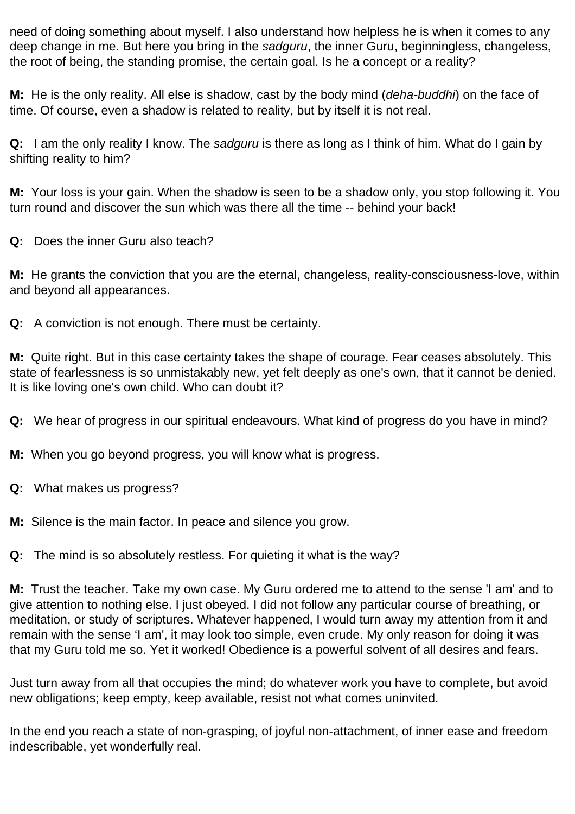need of doing something about myself. I also understand how helpless he is when it comes to any deep change in me. But here you bring in the *sadguru*, the inner Guru, beginningless, changeless, the root of being, the standing promise, the certain goal. Is he a concept or a reality?

**M:** He is the only reality. All else is shadow, cast by the body mind (*deha-buddhi*) on the face of time. Of course, even a shadow is related to reality, but by itself it is not real.

**Q:** I am the only reality I know. The *sadguru* is there as long as I think of him. What do I gain by shifting reality to him?

**M:** Your loss is your gain. When the shadow is seen to be a shadow only, you stop following it. You turn round and discover the sun which was there all the time -- behind your back!

**Q:** Does the inner Guru also teach?

**M:** He grants the conviction that you are the eternal, changeless, reality-consciousness-love, within and beyond all appearances.

**Q:** A conviction is not enough. There must be certainty.

**M:** Quite right. But in this case certainty takes the shape of courage. Fear ceases absolutely. This state of fearlessness is so unmistakably new, yet felt deeply as one's own, that it cannot be denied. It is like loving one's own child. Who can doubt it?

**Q:** We hear of progress in our spiritual endeavours. What kind of progress do you have in mind?

**M:** When you go beyond progress, you will know what is progress.

- **Q:** What makes us progress?
- **M:** Silence is the main factor. In peace and silence you grow.

**Q:** The mind is so absolutely restless. For quieting it what is the way?

**M:** Trust the teacher. Take my own case. My Guru ordered me to attend to the sense 'I am' and to give attention to nothing else. I just obeyed. I did not follow any particular course of breathing, or meditation, or study of scriptures. Whatever happened, I would turn away my attention from it and remain with the sense 'I am', it may look too simple, even crude. My only reason for doing it was that my Guru told me so. Yet it worked! Obedience is a powerful solvent of all desires and fears.

Just turn away from all that occupies the mind; do whatever work you have to complete, but avoid new obligations; keep empty, keep available, resist not what comes uninvited.

In the end you reach a state of non-grasping, of joyful non-attachment, of inner ease and freedom indescribable, yet wonderfully real.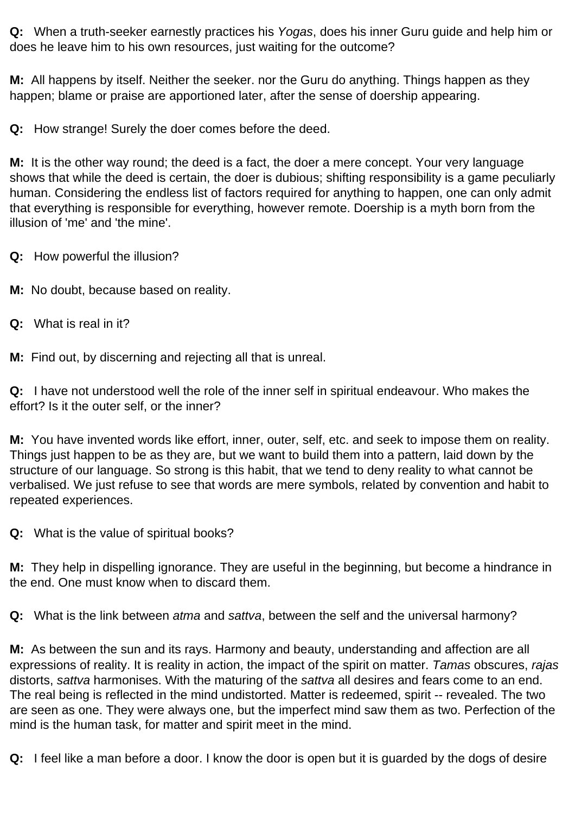**Q:** When a truth-seeker earnestly practices his *Yogas*, does his inner Guru guide and help him or does he leave him to his own resources, just waiting for the outcome?

**M:** All happens by itself. Neither the seeker. nor the Guru do anything. Things happen as they happen; blame or praise are apportioned later, after the sense of doership appearing.

**Q:** How strange! Surely the doer comes before the deed.

**M:** It is the other way round; the deed is a fact, the doer a mere concept. Your very language shows that while the deed is certain, the doer is dubious; shifting responsibility is a game peculiarly human. Considering the endless list of factors required for anything to happen, one can only admit that everything is responsible for everything, however remote. Doership is a myth born from the illusion of 'me' and 'the mine'.

- **Q:** How powerful the illusion?
- **M:** No doubt, because based on reality.
- **Q:** What is real in it?

**M:** Find out, by discerning and rejecting all that is unreal.

**Q:** I have not understood well the role of the inner self in spiritual endeavour. Who makes the effort? Is it the outer self, or the inner?

**M:** You have invented words like effort, inner, outer, self, etc. and seek to impose them on reality. Things just happen to be as they are, but we want to build them into a pattern, laid down by the structure of our language. So strong is this habit, that we tend to deny reality to what cannot be verbalised. We just refuse to see that words are mere symbols, related by convention and habit to repeated experiences.

**Q:** What is the value of spiritual books?

**M:** They help in dispelling ignorance. They are useful in the beginning, but become a hindrance in the end. One must know when to discard them.

**Q:** What is the link between *atma* and *sattva*, between the self and the universal harmony?

**M:** As between the sun and its rays. Harmony and beauty, understanding and affection are all expressions of reality. It is reality in action, the impact of the spirit on matter. *Tamas* obscures, *rajas* distorts, *sattva* harmonises. With the maturing of the *sattva* all desires and fears come to an end. The real being is reflected in the mind undistorted. Matter is redeemed, spirit -- revealed. The two are seen as one. They were always one, but the imperfect mind saw them as two. Perfection of the mind is the human task, for matter and spirit meet in the mind.

**Q:** I feel like a man before a door. I know the door is open but it is guarded by the dogs of desire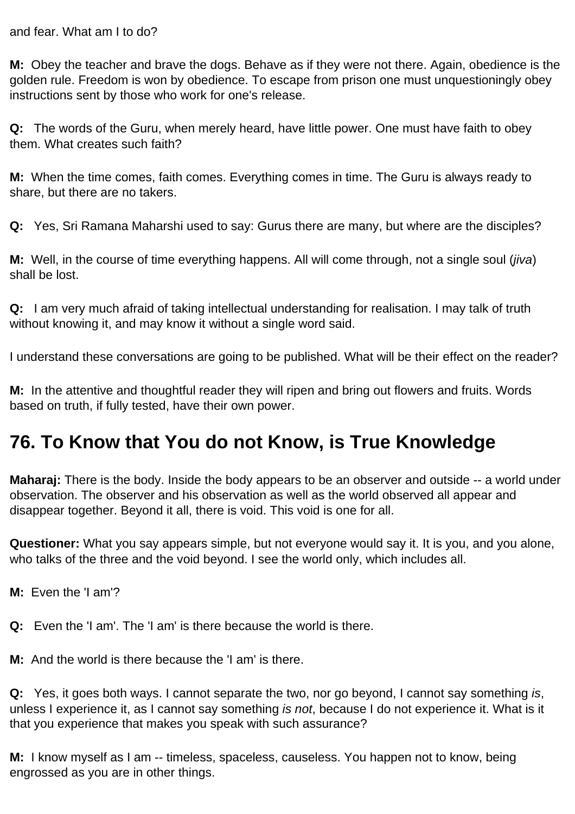and fear. What am I to do?

**M:** Obey the teacher and brave the dogs. Behave as if they were not there. Again, obedience is the golden rule. Freedom is won by obedience. To escape from prison one must unquestioningly obey instructions sent by those who work for one's release.

**Q:** The words of the Guru, when merely heard, have little power. One must have faith to obey them. What creates such faith?

**M:** When the time comes, faith comes. Everything comes in time. The Guru is always ready to share, but there are no takers.

**Q:** Yes, Sri Ramana Maharshi used to say: Gurus there are many, but where are the disciples?

**M:** Well, in the course of time everything happens. All will come through, not a single soul (*jiva*) shall be lost.

**Q:** I am very much afraid of taking intellectual understanding for realisation. I may talk of truth without knowing it, and may know it without a single word said.

I understand these conversations are going to be published. What will be their effect on the reader?

**M:** In the attentive and thoughtful reader they will ripen and bring out flowers and fruits. Words based on truth, if fully tested, have their own power.

### **76. To Know that You do not Know, is True Knowledge**

**Maharaj:** There is the body. Inside the body appears to be an observer and outside -- a world under observation. The observer and his observation as well as the world observed all appear and disappear together. Beyond it all, there is void. This void is one for all.

**Questioner:** What you say appears simple, but not everyone would say it. It is you, and you alone, who talks of the three and the void beyond. I see the world only, which includes all.

**M:** Even the 'I am'?

**Q:** Even the 'I am'. The 'I am' is there because the world is there.

**M:** And the world is there because the 'I am' is there.

**Q:** Yes, it goes both ways. I cannot separate the two, nor go beyond, I cannot say something *is*, unless I experience it, as I cannot say something *is not*, because I do not experience it. What is it that you experience that makes you speak with such assurance?

**M:** I know myself as I am -- timeless, spaceless, causeless. You happen not to know, being engrossed as you are in other things.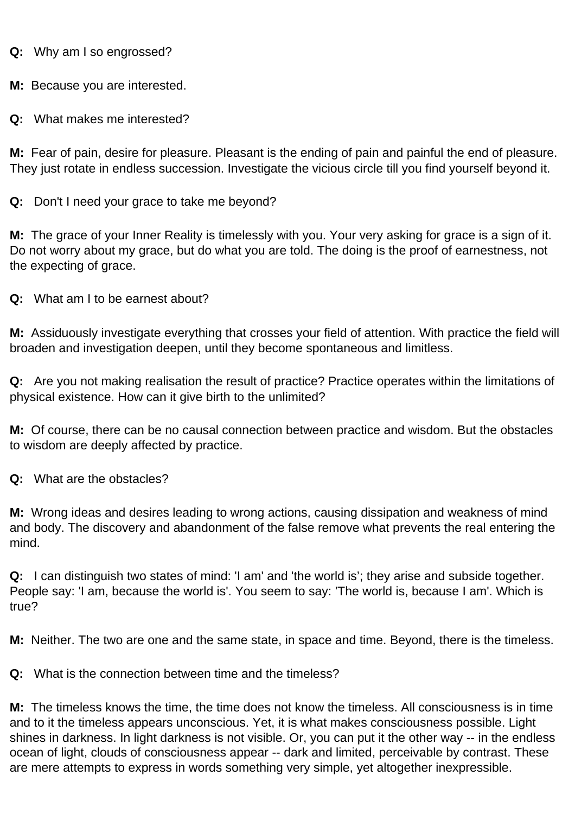**Q:** Why am I so engrossed?

**M:** Because you are interested.

**Q:** What makes me interested?

**M:** Fear of pain, desire for pleasure. Pleasant is the ending of pain and painful the end of pleasure. They just rotate in endless succession. Investigate the vicious circle till you find yourself beyond it.

**Q:** Don't I need your grace to take me beyond?

**M:** The grace of your Inner Reality is timelessly with you. Your very asking for grace is a sign of it. Do not worry about my grace, but do what you are told. The doing is the proof of earnestness, not the expecting of grace.

**Q:** What am I to be earnest about?

**M:** Assiduously investigate everything that crosses your field of attention. With practice the field will broaden and investigation deepen, until they become spontaneous and limitless.

**Q:** Are you not making realisation the result of practice? Practice operates within the limitations of physical existence. How can it give birth to the unlimited?

**M:** Of course, there can be no causal connection between practice and wisdom. But the obstacles to wisdom are deeply affected by practice.

**Q:** What are the obstacles?

**M:** Wrong ideas and desires leading to wrong actions, causing dissipation and weakness of mind and body. The discovery and abandonment of the false remove what prevents the real entering the mind.

**Q:** I can distinguish two states of mind: 'I am' and 'the world is'; they arise and subside together. People say: 'I am, because the world is'. You seem to say: 'The world is, because I am'. Which is true?

**M:** Neither. The two are one and the same state, in space and time. Beyond, there is the timeless.

**Q:** What is the connection between time and the timeless?

**M:** The timeless knows the time, the time does not know the timeless. All consciousness is in time and to it the timeless appears unconscious. Yet, it is what makes consciousness possible. Light shines in darkness. In light darkness is not visible. Or, you can put it the other way -- in the endless ocean of light, clouds of consciousness appear -- dark and limited, perceivable by contrast. These are mere attempts to express in words something very simple, yet altogether inexpressible.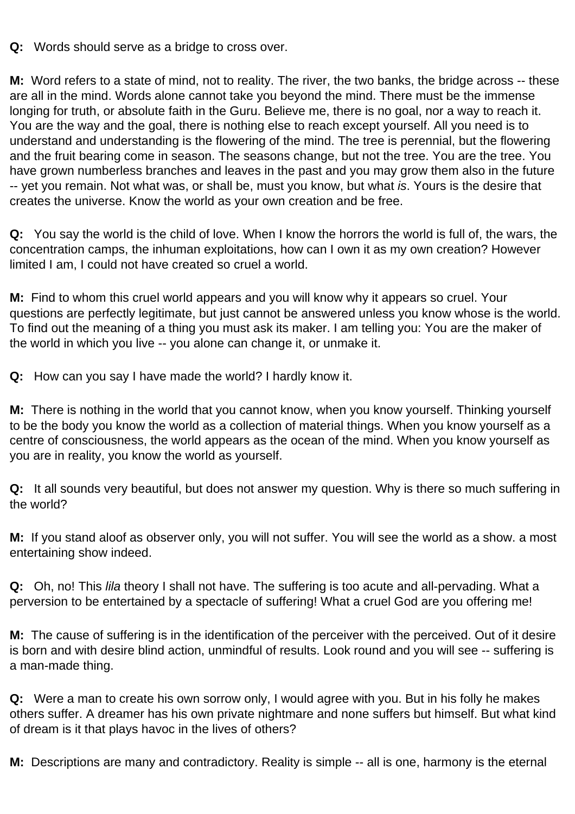**Q:** Words should serve as a bridge to cross over.

**M:** Word refers to a state of mind, not to reality. The river, the two banks, the bridge across -- these are all in the mind. Words alone cannot take you beyond the mind. There must be the immense longing for truth, or absolute faith in the Guru. Believe me, there is no goal, nor a way to reach it. You are the way and the goal, there is nothing else to reach except yourself. All you need is to understand and understanding is the flowering of the mind. The tree is perennial, but the flowering and the fruit bearing come in season. The seasons change, but not the tree. You are the tree. You have grown numberless branches and leaves in the past and you may grow them also in the future -- yet you remain. Not what was, or shall be, must you know, but what *is*. Yours is the desire that creates the universe. Know the world as your own creation and be free.

**Q:** You say the world is the child of love. When I know the horrors the world is full of, the wars, the concentration camps, the inhuman exploitations, how can I own it as my own creation? However limited I am, I could not have created so cruel a world.

**M:** Find to whom this cruel world appears and you will know why it appears so cruel. Your questions are perfectly legitimate, but just cannot be answered unless you know whose is the world. To find out the meaning of a thing you must ask its maker. I am telling you: You are the maker of the world in which you live -- you alone can change it, or unmake it.

**Q:** How can you say I have made the world? I hardly know it.

**M:** There is nothing in the world that you cannot know, when you know yourself. Thinking yourself to be the body you know the world as a collection of material things. When you know yourself as a centre of consciousness, the world appears as the ocean of the mind. When you know yourself as you are in reality, you know the world as yourself.

**Q:** It all sounds very beautiful, but does not answer my question. Why is there so much suffering in the world?

**M:** If you stand aloof as observer only, you will not suffer. You will see the world as a show. a most entertaining show indeed.

**Q:** Oh, no! This *lila* theory I shall not have. The suffering is too acute and all-pervading. What a perversion to be entertained by a spectacle of suffering! What a cruel God are you offering me!

**M:** The cause of suffering is in the identification of the perceiver with the perceived. Out of it desire is born and with desire blind action, unmindful of results. Look round and you will see -- suffering is a man-made thing.

**Q:** Were a man to create his own sorrow only, I would agree with you. But in his folly he makes others suffer. A dreamer has his own private nightmare and none suffers but himself. But what kind of dream is it that plays havoc in the lives of others?

**M:** Descriptions are many and contradictory. Reality is simple -- all is one, harmony is the eternal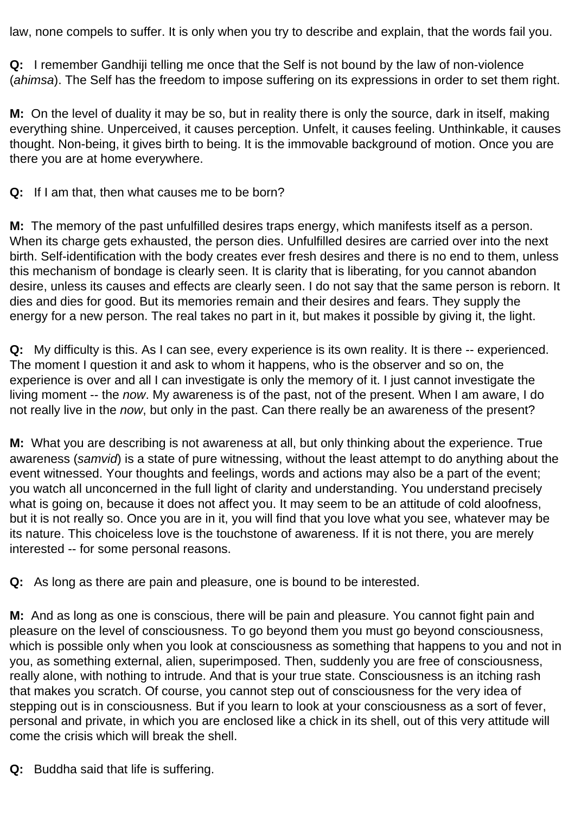law, none compels to suffer. It is only when you try to describe and explain, that the words fail you.

**Q:** I remember Gandhiji telling me once that the Self is not bound by the law of non-violence (*ahimsa*). The Self has the freedom to impose suffering on its expressions in order to set them right.

**M:** On the level of duality it may be so, but in reality there is only the source, dark in itself, making everything shine. Unperceived, it causes perception. Unfelt, it causes feeling. Unthinkable, it causes thought. Non-being, it gives birth to being. It is the immovable background of motion. Once you are there you are at home everywhere.

**Q:** If I am that, then what causes me to be born?

**M:** The memory of the past unfulfilled desires traps energy, which manifests itself as a person. When its charge gets exhausted, the person dies. Unfulfilled desires are carried over into the next birth. Self-identification with the body creates ever fresh desires and there is no end to them, unless this mechanism of bondage is clearly seen. It is clarity that is liberating, for you cannot abandon desire, unless its causes and effects are clearly seen. I do not say that the same person is reborn. It dies and dies for good. But its memories remain and their desires and fears. They supply the energy for a new person. The real takes no part in it, but makes it possible by giving it, the light.

**Q:** My difficulty is this. As I can see, every experience is its own reality. It is there -- experienced. The moment I question it and ask to whom it happens, who is the observer and so on, the experience is over and all I can investigate is only the memory of it. I just cannot investigate the living moment -- the *now*. My awareness is of the past, not of the present. When I am aware, I do not really live in the *now*, but only in the past. Can there really be an awareness of the present?

**M:** What you are describing is not awareness at all, but only thinking about the experience. True awareness (*samvid*) is a state of pure witnessing, without the least attempt to do anything about the event witnessed. Your thoughts and feelings, words and actions may also be a part of the event; you watch all unconcerned in the full light of clarity and understanding. You understand precisely what is going on, because it does not affect you. It may seem to be an attitude of cold aloofness, but it is not really so. Once you are in it, you will find that you love what you see, whatever may be its nature. This choiceless love is the touchstone of awareness. If it is not there, you are merely interested -- for some personal reasons.

**Q:** As long as there are pain and pleasure, one is bound to be interested.

**M:** And as long as one is conscious, there will be pain and pleasure. You cannot fight pain and pleasure on the level of consciousness. To go beyond them you must go beyond consciousness, which is possible only when you look at consciousness as something that happens to you and not in you, as something external, alien, superimposed. Then, suddenly you are free of consciousness, really alone, with nothing to intrude. And that is your true state. Consciousness is an itching rash that makes you scratch. Of course, you cannot step out of consciousness for the very idea of stepping out is in consciousness. But if you learn to look at your consciousness as a sort of fever, personal and private, in which you are enclosed like a chick in its shell, out of this very attitude will come the crisis which will break the shell.

**Q:** Buddha said that life is suffering.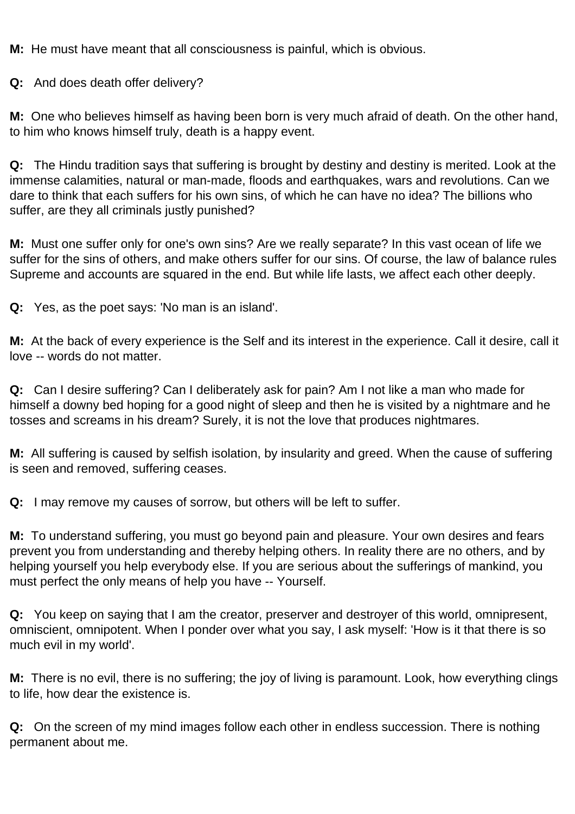**M:** He must have meant that all consciousness is painful, which is obvious.

**Q:** And does death offer delivery?

**M:** One who believes himself as having been born is very much afraid of death. On the other hand, to him who knows himself truly, death is a happy event.

**Q:** The Hindu tradition says that suffering is brought by destiny and destiny is merited. Look at the immense calamities, natural or man-made, floods and earthquakes, wars and revolutions. Can we dare to think that each suffers for his own sins, of which he can have no idea? The billions who suffer, are they all criminals justly punished?

**M:** Must one suffer only for one's own sins? Are we really separate? In this vast ocean of life we suffer for the sins of others, and make others suffer for our sins. Of course, the law of balance rules Supreme and accounts are squared in the end. But while life lasts, we affect each other deeply.

**Q:** Yes, as the poet says: 'No man is an island'.

**M:** At the back of every experience is the Self and its interest in the experience. Call it desire, call it love -- words do not matter.

**Q:** Can I desire suffering? Can I deliberately ask for pain? Am I not like a man who made for himself a downy bed hoping for a good night of sleep and then he is visited by a nightmare and he tosses and screams in his dream? Surely, it is not the love that produces nightmares.

**M:** All suffering is caused by selfish isolation, by insularity and greed. When the cause of suffering is seen and removed, suffering ceases.

**Q:** I may remove my causes of sorrow, but others will be left to suffer.

**M:** To understand suffering, you must go beyond pain and pleasure. Your own desires and fears prevent you from understanding and thereby helping others. In reality there are no others, and by helping yourself you help everybody else. If you are serious about the sufferings of mankind, you must perfect the only means of help you have -- Yourself.

**Q:** You keep on saying that I am the creator, preserver and destroyer of this world, omnipresent, omniscient, omnipotent. When I ponder over what you say, I ask myself: 'How is it that there is so much evil in my world'.

**M:** There is no evil, there is no suffering; the joy of living is paramount. Look, how everything clings to life, how dear the existence is.

**Q:** On the screen of my mind images follow each other in endless succession. There is nothing permanent about me.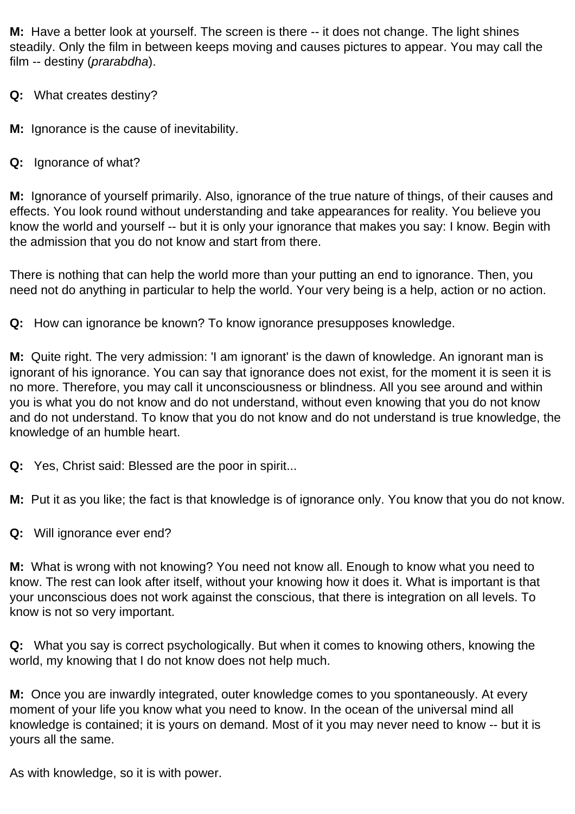**M:** Have a better look at yourself. The screen is there -- it does not change. The light shines steadily. Only the film in between keeps moving and causes pictures to appear. You may call the film -- destiny (*prarabdha*).

- **Q:** What creates destiny?
- **M:** Ignorance is the cause of inevitability.
- **Q:** Ignorance of what?

**M:** Ignorance of yourself primarily. Also, ignorance of the true nature of things, of their causes and effects. You look round without understanding and take appearances for reality. You believe you know the world and yourself -- but it is only your ignorance that makes you say: I know. Begin with the admission that you do not know and start from there.

There is nothing that can help the world more than your putting an end to ignorance. Then, you need not do anything in particular to help the world. Your very being is a help, action or no action.

**Q:** How can ignorance be known? To know ignorance presupposes knowledge.

**M:** Quite right. The very admission: 'I am ignorant' is the dawn of knowledge. An ignorant man is ignorant of his ignorance. You can say that ignorance does not exist, for the moment it is seen it is no more. Therefore, you may call it unconsciousness or blindness. All you see around and within you is what you do not know and do not understand, without even knowing that you do not know and do not understand. To know that you do not know and do not understand is true knowledge, the knowledge of an humble heart.

**Q:** Yes, Christ said: Blessed are the poor in spirit...

**M:** Put it as you like; the fact is that knowledge is of ignorance only. You know that you do not know.

**Q:** Will ignorance ever end?

**M:** What is wrong with not knowing? You need not know all. Enough to know what you need to know. The rest can look after itself, without your knowing how it does it. What is important is that your unconscious does not work against the conscious, that there is integration on all levels. To know is not so very important.

**Q:** What you say is correct psychologically. But when it comes to knowing others, knowing the world, my knowing that I do not know does not help much.

**M:** Once you are inwardly integrated, outer knowledge comes to you spontaneously. At every moment of your life you know what you need to know. In the ocean of the universal mind all knowledge is contained; it is yours on demand. Most of it you may never need to know -- but it is yours all the same.

As with knowledge, so it is with power.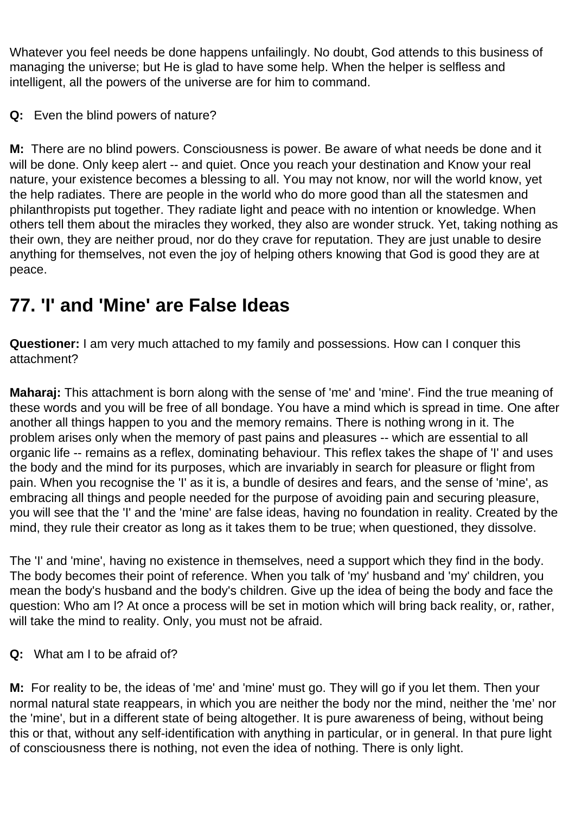Whatever you feel needs be done happens unfailingly. No doubt, God attends to this business of managing the universe; but He is glad to have some help. When the helper is selfless and intelligent, all the powers of the universe are for him to command.

**Q:** Even the blind powers of nature?

**M:** There are no blind powers. Consciousness is power. Be aware of what needs be done and it will be done. Only keep alert -- and quiet. Once you reach your destination and Know your real nature, your existence becomes a blessing to all. You may not know, nor will the world know, yet the help radiates. There are people in the world who do more good than all the statesmen and philanthropists put together. They radiate light and peace with no intention or knowledge. When others tell them about the miracles they worked, they also are wonder struck. Yet, taking nothing as their own, they are neither proud, nor do they crave for reputation. They are just unable to desire anything for themselves, not even the joy of helping others knowing that God is good they are at peace.

## **77. 'I' and 'Mine' are False Ideas**

**Questioner:** I am very much attached to my family and possessions. How can I conquer this attachment?

**Maharaj:** This attachment is born along with the sense of 'me' and 'mine'. Find the true meaning of these words and you will be free of all bondage. You have a mind which is spread in time. One after another all things happen to you and the memory remains. There is nothing wrong in it. The problem arises only when the memory of past pains and pleasures -- which are essential to all organic life -- remains as a reflex, dominating behaviour. This reflex takes the shape of 'I' and uses the body and the mind for its purposes, which are invariably in search for pleasure or flight from pain. When you recognise the 'I' as it is, a bundle of desires and fears, and the sense of 'mine', as embracing all things and people needed for the purpose of avoiding pain and securing pleasure, you will see that the 'I' and the 'mine' are false ideas, having no foundation in reality. Created by the mind, they rule their creator as long as it takes them to be true; when questioned, they dissolve.

The 'I' and 'mine', having no existence in themselves, need a support which they find in the body. The body becomes their point of reference. When you talk of 'my' husband and 'my' children, you mean the body's husband and the body's children. Give up the idea of being the body and face the question: Who am l? At once a process will be set in motion which will bring back reality, or, rather, will take the mind to reality. Only, you must not be afraid.

### **Q:** What am I to be afraid of?

**M:** For reality to be, the ideas of 'me' and 'mine' must go. They will go if you let them. Then your normal natural state reappears, in which you are neither the body nor the mind, neither the 'me' nor the 'mine', but in a different state of being altogether. It is pure awareness of being, without being this or that, without any self-identification with anything in particular, or in general. In that pure light of consciousness there is nothing, not even the idea of nothing. There is only light.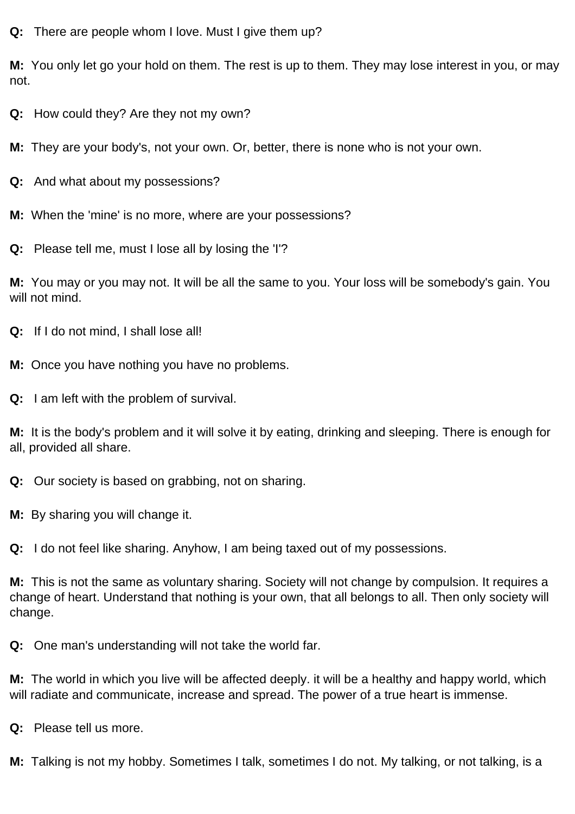**Q:** There are people whom I love. Must I give them up?

**M:** You only let go your hold on them. The rest is up to them. They may lose interest in you, or may not.

**Q:** How could they? Are they not my own?

**M:** They are your body's, not your own. Or, better, there is none who is not your own.

**Q:** And what about my possessions?

**M:** When the 'mine' is no more, where are your possessions?

**Q:** Please tell me, must I lose all by losing the 'I'?

**M:** You may or you may not. It will be all the same to you. Your loss will be somebody's gain. You will not mind.

**Q:** If I do not mind, I shall lose all!

**M:** Once you have nothing you have no problems.

**Q:** I am left with the problem of survival.

**M:** It is the body's problem and it will solve it by eating, drinking and sleeping. There is enough for all, provided all share.

**Q:** Our society is based on grabbing, not on sharing.

**M:** By sharing you will change it.

**Q:** I do not feel like sharing. Anyhow, I am being taxed out of my possessions.

**M:** This is not the same as voluntary sharing. Society will not change by compulsion. It requires a change of heart. Understand that nothing is your own, that all belongs to all. Then only society will change.

**Q:** One man's understanding will not take the world far.

**M:** The world in which you live will be affected deeply. it will be a healthy and happy world, which will radiate and communicate, increase and spread. The power of a true heart is immense.

**Q:** Please tell us more.

**M:** Talking is not my hobby. Sometimes I talk, sometimes I do not. My talking, or not talking, is a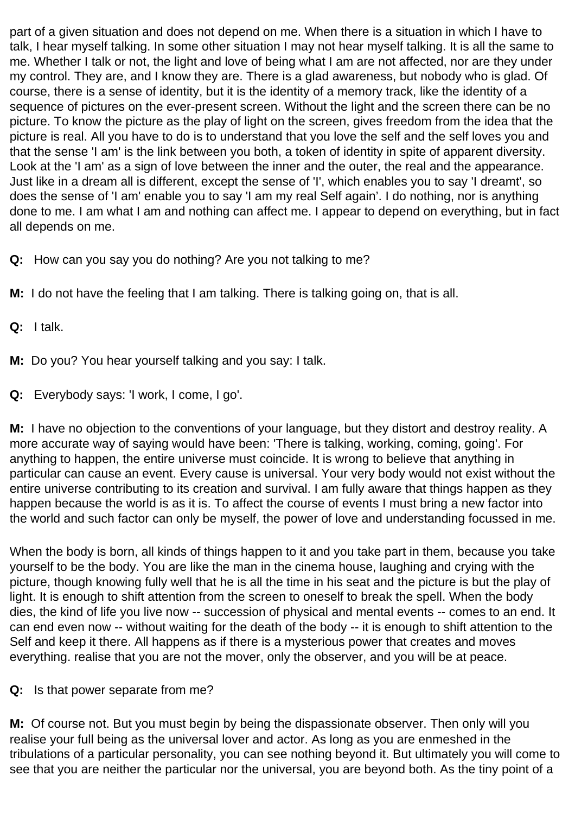part of a given situation and does not depend on me. When there is a situation in which I have to talk, I hear myself talking. In some other situation I may not hear myself talking. It is all the same to me. Whether I talk or not, the light and love of being what I am are not affected, nor are they under my control. They are, and I know they are. There is a glad awareness, but nobody who is glad. Of course, there is a sense of identity, but it is the identity of a memory track, like the identity of a sequence of pictures on the ever-present screen. Without the light and the screen there can be no picture. To know the picture as the play of light on the screen, gives freedom from the idea that the picture is real. All you have to do is to understand that you love the self and the self loves you and that the sense 'I am' is the link between you both, a token of identity in spite of apparent diversity. Look at the 'I am' as a sign of love between the inner and the outer, the real and the appearance. Just like in a dream all is different, except the sense of 'I', which enables you to say 'I dreamt', so does the sense of 'I am' enable you to say 'I am my real Self again'. I do nothing, nor is anything done to me. I am what I am and nothing can affect me. I appear to depend on everything, but in fact all depends on me.

- **Q:** How can you say you do nothing? Are you not talking to me?
- **M:** I do not have the feeling that I am talking. There is talking going on, that is all.
- **Q:** I talk.
- **M:** Do you? You hear yourself talking and you say: I talk.
- **Q:** Everybody says: 'I work, I come, I go'.

**M:** I have no objection to the conventions of your language, but they distort and destroy reality. A more accurate way of saying would have been: 'There is talking, working, coming, going'. For anything to happen, the entire universe must coincide. It is wrong to believe that anything in particular can cause an event. Every cause is universal. Your very body would not exist without the entire universe contributing to its creation and survival. I am fully aware that things happen as they happen because the world is as it is. To affect the course of events I must bring a new factor into the world and such factor can only be myself, the power of love and understanding focussed in me.

When the body is born, all kinds of things happen to it and you take part in them, because you take yourself to be the body. You are like the man in the cinema house, laughing and crying with the picture, though knowing fully well that he is all the time in his seat and the picture is but the play of light. It is enough to shift attention from the screen to oneself to break the spell. When the body dies, the kind of life you live now -- succession of physical and mental events -- comes to an end. It can end even now -- without waiting for the death of the body -- it is enough to shift attention to the Self and keep it there. All happens as if there is a mysterious power that creates and moves everything. realise that you are not the mover, only the observer, and you will be at peace.

**Q:** Is that power separate from me?

**M:** Of course not. But you must begin by being the dispassionate observer. Then only will you realise your full being as the universal lover and actor. As long as you are enmeshed in the tribulations of a particular personality, you can see nothing beyond it. But ultimately you will come to see that you are neither the particular nor the universal, you are beyond both. As the tiny point of a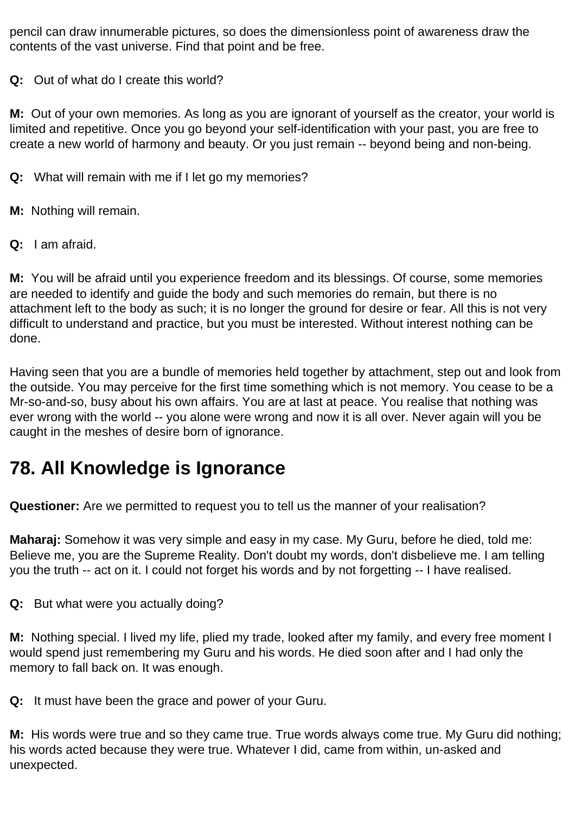pencil can draw innumerable pictures, so does the dimensionless point of awareness draw the contents of the vast universe. Find that point and be free.

**Q:** Out of what do I create this world?

**M:** Out of your own memories. As long as you are ignorant of yourself as the creator, your world is limited and repetitive. Once you go beyond your self-identification with your past, you are free to create a new world of harmony and beauty. Or you just remain -- beyond being and non-being.

**Q:** What will remain with me if I let go my memories?

**M:** Nothing will remain.

**Q:** I am afraid.

**M:** You will be afraid until you experience freedom and its blessings. Of course, some memories are needed to identify and guide the body and such memories do remain, but there is no attachment left to the body as such; it is no longer the ground for desire or fear. All this is not very difficult to understand and practice, but you must be interested. Without interest nothing can be done.

Having seen that you are a bundle of memories held together by attachment, step out and look from the outside. You may perceive for the first time something which is not memory. You cease to be a Mr-so-and-so, busy about his own affairs. You are at last at peace. You realise that nothing was ever wrong with the world -- you alone were wrong and now it is all over. Never again will you be caught in the meshes of desire born of ignorance.

# **78. All Knowledge is Ignorance**

**Questioner:** Are we permitted to request you to tell us the manner of your realisation?

**Maharaj:** Somehow it was very simple and easy in my case. My Guru, before he died, told me: Believe me, you are the Supreme Reality. Don't doubt my words, don't disbelieve me. I am telling you the truth -- act on it. I could not forget his words and by not forgetting -- I have realised.

**Q:** But what were you actually doing?

**M:** Nothing special. I lived my life, plied my trade, looked after my family, and every free moment I would spend just remembering my Guru and his words. He died soon after and I had only the memory to fall back on. It was enough.

**Q:** It must have been the grace and power of your Guru.

**M:** His words were true and so they came true. True words always come true. My Guru did nothing; his words acted because they were true. Whatever I did, came from within, un-asked and unexpected.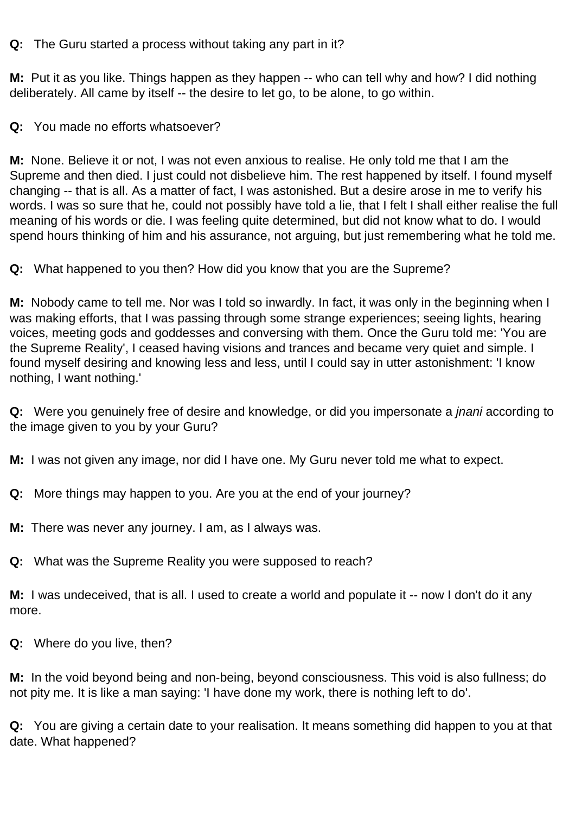#### **Q:** The Guru started a process without taking any part in it?

**M:** Put it as you like. Things happen as they happen -- who can tell why and how? I did nothing deliberately. All came by itself -- the desire to let go, to be alone, to go within.

**Q:** You made no efforts whatsoever?

**M:** None. Believe it or not, I was not even anxious to realise. He only told me that I am the Supreme and then died. I just could not disbelieve him. The rest happened by itself. I found myself changing -- that is all. As a matter of fact, I was astonished. But a desire arose in me to verify his words. I was so sure that he, could not possibly have told a lie, that I felt I shall either realise the full meaning of his words or die. I was feeling quite determined, but did not know what to do. I would spend hours thinking of him and his assurance, not arguing, but just remembering what he told me.

**Q:** What happened to you then? How did you know that you are the Supreme?

**M:** Nobody came to tell me. Nor was I told so inwardly. In fact, it was only in the beginning when I was making efforts, that I was passing through some strange experiences; seeing lights, hearing voices, meeting gods and goddesses and conversing with them. Once the Guru told me: 'You are the Supreme Reality', I ceased having visions and trances and became very quiet and simple. I found myself desiring and knowing less and less, until I could say in utter astonishment: 'I know nothing, I want nothing.'

**Q:** Were you genuinely free of desire and knowledge, or did you impersonate a *jnani* according to the image given to you by your Guru?

**M:** I was not given any image, nor did I have one. My Guru never told me what to expect.

- **Q:** More things may happen to you. Are you at the end of your journey?
- **M:** There was never any journey. I am, as I always was.

**Q:** What was the Supreme Reality you were supposed to reach?

**M:** I was undeceived, that is all. I used to create a world and populate it -- now I don't do it any more.

**Q:** Where do you live, then?

**M:** In the void beyond being and non-being, beyond consciousness. This void is also fullness; do not pity me. It is like a man saying: 'I have done my work, there is nothing left to do'.

**Q:** You are giving a certain date to your realisation. It means something did happen to you at that date. What happened?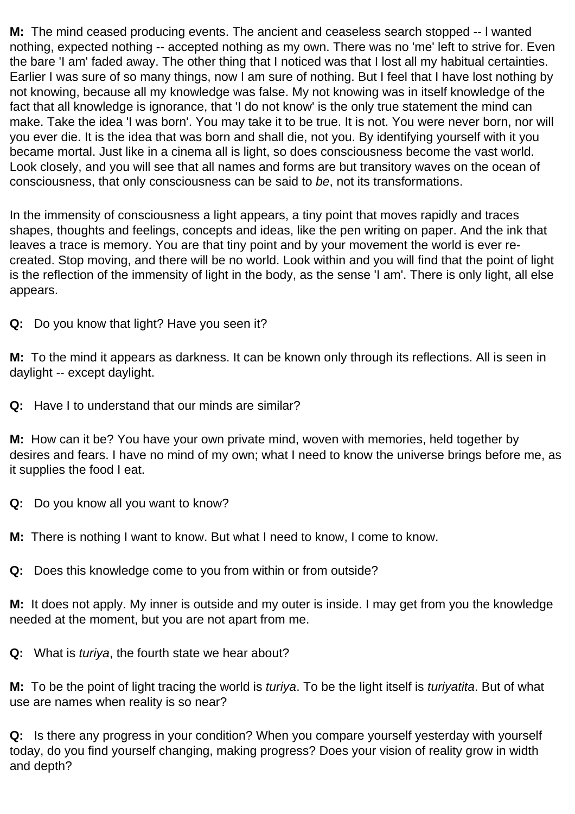**M:** The mind ceased producing events. The ancient and ceaseless search stopped -- l wanted nothing, expected nothing -- accepted nothing as my own. There was no 'me' left to strive for. Even the bare 'I am' faded away. The other thing that I noticed was that I lost all my habitual certainties. Earlier I was sure of so many things, now I am sure of nothing. But I feel that I have lost nothing by not knowing, because all my knowledge was false. My not knowing was in itself knowledge of the fact that all knowledge is ignorance, that 'I do not know' is the only true statement the mind can make. Take the idea 'I was born'. You may take it to be true. It is not. You were never born, nor will you ever die. It is the idea that was born and shall die, not you. By identifying yourself with it you became mortal. Just like in a cinema all is light, so does consciousness become the vast world. Look closely, and you will see that all names and forms are but transitory waves on the ocean of consciousness, that only consciousness can be said to *be*, not its transformations.

In the immensity of consciousness a light appears, a tiny point that moves rapidly and traces shapes, thoughts and feelings, concepts and ideas, like the pen writing on paper. And the ink that leaves a trace is memory. You are that tiny point and by your movement the world is ever recreated. Stop moving, and there will be no world. Look within and you will find that the point of light is the reflection of the immensity of light in the body, as the sense 'I am'. There is only light, all else appears.

**Q:** Do you know that light? Have you seen it?

**M:** To the mind it appears as darkness. It can be known only through its reflections. All is seen in daylight -- except daylight.

**Q:** Have I to understand that our minds are similar?

**M:** How can it be? You have your own private mind, woven with memories, held together by desires and fears. I have no mind of my own; what I need to know the universe brings before me, as it supplies the food I eat.

**Q:** Do you know all you want to know?

**M:** There is nothing I want to know. But what I need to know, I come to know.

**Q:** Does this knowledge come to you from within or from outside?

**M:** It does not apply. My inner is outside and my outer is inside. I may get from you the knowledge needed at the moment, but you are not apart from me.

**Q:** What is *turiya*, the fourth state we hear about?

**M:** To be the point of light tracing the world is *turiya*. To be the light itself is *turiyatita*. But of what use are names when reality is so near?

**Q:** Is there any progress in your condition? When you compare yourself yesterday with yourself today, do you find yourself changing, making progress? Does your vision of reality grow in width and depth?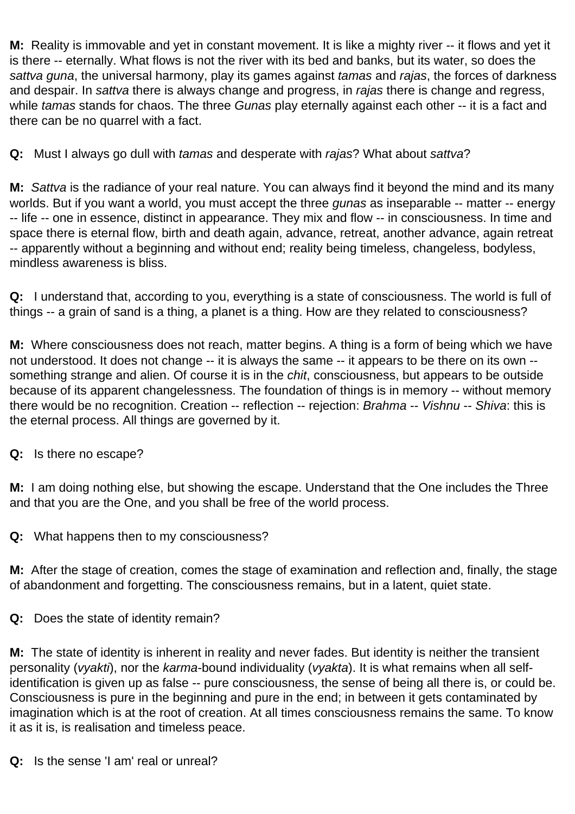**M:** Reality is immovable and yet in constant movement. It is like a mighty river -- it flows and yet it is there -- eternally. What flows is not the river with its bed and banks, but its water, so does the *sattva guna*, the universal harmony, play its games against *tamas* and *rajas*, the forces of darkness and despair. In *sattva* there is always change and progress, in *rajas* there is change and regress, while *tamas* stands for chaos. The three *Gunas* play eternally against each other -- it is a fact and there can be no quarrel with a fact.

**Q:** Must I always go dull with *tamas* and desperate with *rajas*? What about *sattva*?

**M:** *Sattva* is the radiance of your real nature. You can always find it beyond the mind and its many worlds. But if you want a world, you must accept the three *gunas* as inseparable -- matter -- energy -- life -- one in essence, distinct in appearance. They mix and flow -- in consciousness. In time and space there is eternal flow, birth and death again, advance, retreat, another advance, again retreat -- apparently without a beginning and without end; reality being timeless, changeless, bodyless, mindless awareness is bliss.

**Q:** I understand that, according to you, everything is a state of consciousness. The world is full of things -- a grain of sand is a thing, a planet is a thing. How are they related to consciousness?

**M:** Where consciousness does not reach, matter begins. A thing is a form of being which we have not understood. It does not change -- it is always the same -- it appears to be there on its own - something strange and alien. Of course it is in the *chit*, consciousness, but appears to be outside because of its apparent changelessness. The foundation of things is in memory -- without memory there would be no recognition. Creation -- reflection -- rejection: *Brahma* -- *Vishnu* -- *Shiva*: this is the eternal process. All things are governed by it.

**Q:** Is there no escape?

**M:** I am doing nothing else, but showing the escape. Understand that the One includes the Three and that you are the One, and you shall be free of the world process.

**Q:** What happens then to my consciousness?

**M:** After the stage of creation, comes the stage of examination and reflection and, finally, the stage of abandonment and forgetting. The consciousness remains, but in a latent, quiet state.

**Q:** Does the state of identity remain?

**M:** The state of identity is inherent in reality and never fades. But identity is neither the transient personality (*vyakti*), nor the *karma*-bound individuality (*vyakta*). It is what remains when all selfidentification is given up as false -- pure consciousness, the sense of being all there is, or could be. Consciousness is pure in the beginning and pure in the end; in between it gets contaminated by imagination which is at the root of creation. At all times consciousness remains the same. To know it as it is, is realisation and timeless peace.

**Q:** Is the sense 'I am' real or unreal?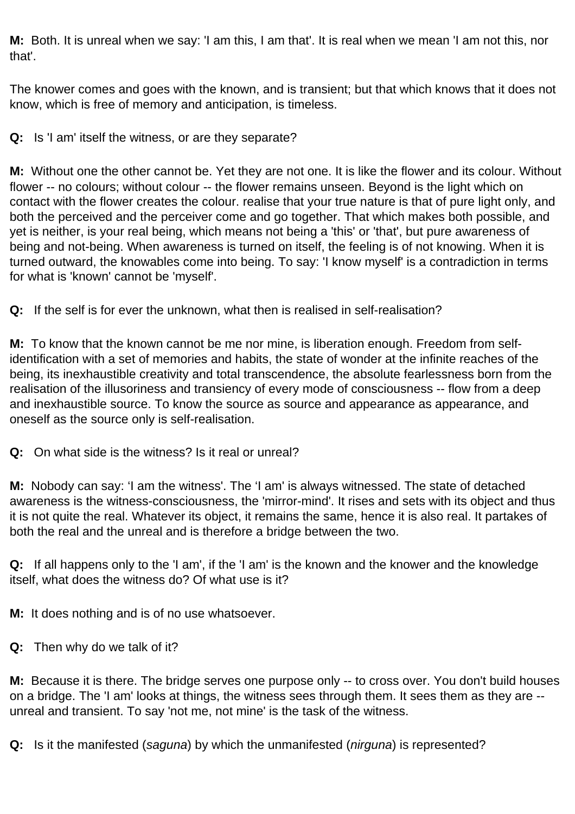**M:** Both. It is unreal when we say: 'I am this, I am that'. It is real when we mean 'I am not this, nor that'.

The knower comes and goes with the known, and is transient; but that which knows that it does not know, which is free of memory and anticipation, is timeless.

**Q:** Is 'I am' itself the witness, or are they separate?

**M:** Without one the other cannot be. Yet they are not one. It is like the flower and its colour. Without flower -- no colours; without colour -- the flower remains unseen. Beyond is the light which on contact with the flower creates the colour. realise that your true nature is that of pure light only, and both the perceived and the perceiver come and go together. That which makes both possible, and yet is neither, is your real being, which means not being a 'this' or 'that', but pure awareness of being and not-being. When awareness is turned on itself, the feeling is of not knowing. When it is turned outward, the knowables come into being. To say: 'I know myself' is a contradiction in terms for what is 'known' cannot be 'myself'.

**Q:** If the self is for ever the unknown, what then is realised in self-realisation?

**M:** To know that the known cannot be me nor mine, is liberation enough. Freedom from selfidentification with a set of memories and habits, the state of wonder at the infinite reaches of the being, its inexhaustible creativity and total transcendence, the absolute fearlessness born from the realisation of the illusoriness and transiency of every mode of consciousness -- flow from a deep and inexhaustible source. To know the source as source and appearance as appearance, and oneself as the source only is self-realisation.

**Q:** On what side is the witness? Is it real or unreal?

**M:** Nobody can say: 'I am the witness'. The 'I am' is always witnessed. The state of detached awareness is the witness-consciousness, the 'mirror-mind'. It rises and sets with its object and thus it is not quite the real. Whatever its object, it remains the same, hence it is also real. It partakes of both the real and the unreal and is therefore a bridge between the two.

**Q:** If all happens only to the 'I am', if the 'I am' is the known and the knower and the knowledge itself, what does the witness do? Of what use is it?

**M:** It does nothing and is of no use whatsoever.

**Q:** Then why do we talk of it?

**M:** Because it is there. The bridge serves one purpose only -- to cross over. You don't build houses on a bridge. The 'I am' looks at things, the witness sees through them. It sees them as they are - unreal and transient. To say 'not me, not mine' is the task of the witness.

**Q:** Is it the manifested (*saguna*) by which the unmanifested (*nirguna*) is represented?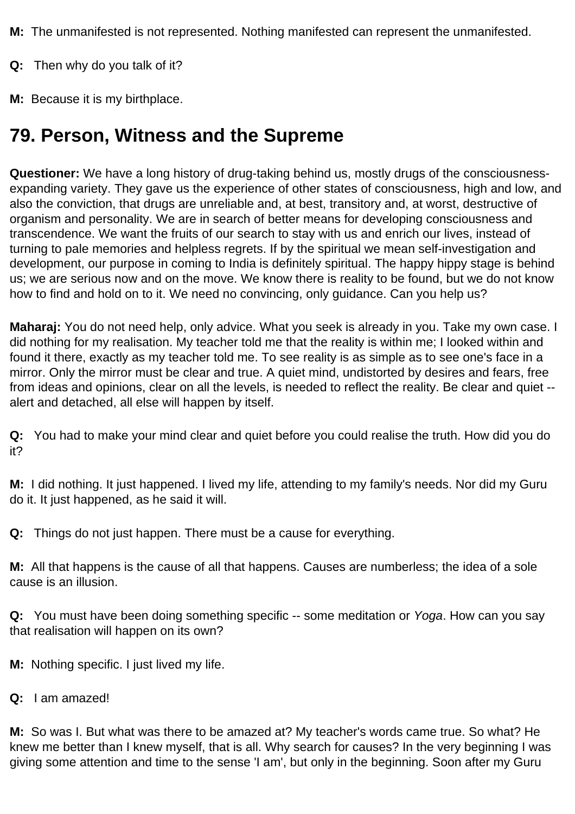**M:** The unmanifested is not represented. Nothing manifested can represent the unmanifested.

- **Q:** Then why do you talk of it?
- **M:** Because it is my birthplace.

# **79. Person, Witness and the Supreme**

**Questioner:** We have a long history of drug-taking behind us, mostly drugs of the consciousnessexpanding variety. They gave us the experience of other states of consciousness, high and low, and also the conviction, that drugs are unreliable and, at best, transitory and, at worst, destructive of organism and personality. We are in search of better means for developing consciousness and transcendence. We want the fruits of our search to stay with us and enrich our lives, instead of turning to pale memories and helpless regrets. If by the spiritual we mean self-investigation and development, our purpose in coming to India is definitely spiritual. The happy hippy stage is behind us; we are serious now and on the move. We know there is reality to be found, but we do not know how to find and hold on to it. We need no convincing, only guidance. Can you help us?

**Maharaj:** You do not need help, only advice. What you seek is already in you. Take my own case. I did nothing for my realisation. My teacher told me that the reality is within me; I looked within and found it there, exactly as my teacher told me. To see reality is as simple as to see one's face in a mirror. Only the mirror must be clear and true. A quiet mind, undistorted by desires and fears, free from ideas and opinions, clear on all the levels, is needed to reflect the reality. Be clear and quiet - alert and detached, all else will happen by itself.

**Q:** You had to make your mind clear and quiet before you could realise the truth. How did you do it?

**M:** I did nothing. It just happened. I lived my life, attending to my family's needs. Nor did my Guru do it. It just happened, as he said it will.

**Q:** Things do not just happen. There must be a cause for everything.

**M:** All that happens is the cause of all that happens. Causes are numberless; the idea of a sole cause is an illusion.

**Q:** You must have been doing something specific -- some meditation or *Yoga*. How can you say that realisation will happen on its own?

**M:** Nothing specific. I just lived my life.

**Q:** I am amazed!

**M:** So was I. But what was there to be amazed at? My teacher's words came true. So what? He knew me better than I knew myself, that is all. Why search for causes? In the very beginning I was giving some attention and time to the sense 'I am', but only in the beginning. Soon after my Guru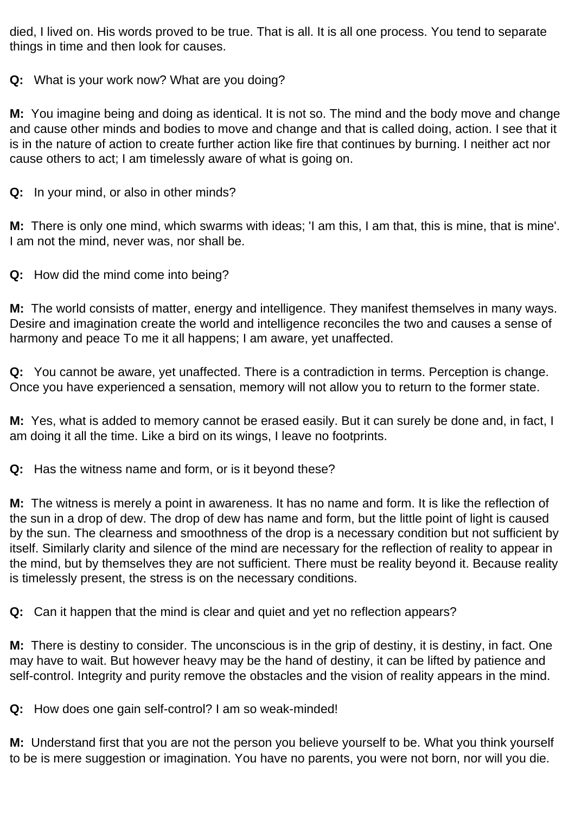died, I lived on. His words proved to be true. That is all. It is all one process. You tend to separate things in time and then look for causes.

**Q:** What is your work now? What are you doing?

**M:** You imagine being and doing as identical. It is not so. The mind and the body move and change and cause other minds and bodies to move and change and that is called doing, action. I see that it is in the nature of action to create further action like fire that continues by burning. I neither act nor cause others to act; I am timelessly aware of what is going on.

**Q:** In your mind, or also in other minds?

**M:** There is only one mind, which swarms with ideas; 'I am this, I am that, this is mine, that is mine'. I am not the mind, never was, nor shall be.

**Q:** How did the mind come into being?

**M:** The world consists of matter, energy and intelligence. They manifest themselves in many ways. Desire and imagination create the world and intelligence reconciles the two and causes a sense of harmony and peace To me it all happens; I am aware, yet unaffected.

**Q:** You cannot be aware, yet unaffected. There is a contradiction in terms. Perception is change. Once you have experienced a sensation, memory will not allow you to return to the former state.

**M:** Yes, what is added to memory cannot be erased easily. But it can surely be done and, in fact, I am doing it all the time. Like a bird on its wings, I leave no footprints.

**Q:** Has the witness name and form, or is it beyond these?

**M:** The witness is merely a point in awareness. It has no name and form. It is like the reflection of the sun in a drop of dew. The drop of dew has name and form, but the little point of light is caused by the sun. The clearness and smoothness of the drop is a necessary condition but not sufficient by itself. Similarly clarity and silence of the mind are necessary for the reflection of reality to appear in the mind, but by themselves they are not sufficient. There must be reality beyond it. Because reality is timelessly present, the stress is on the necessary conditions.

**Q:** Can it happen that the mind is clear and quiet and yet no reflection appears?

**M:** There is destiny to consider. The unconscious is in the grip of destiny, it is destiny, in fact. One may have to wait. But however heavy may be the hand of destiny, it can be lifted by patience and self-control. Integrity and purity remove the obstacles and the vision of reality appears in the mind.

**Q:** How does one gain self-control? I am so weak-minded!

**M:** Understand first that you are not the person you believe yourself to be. What you think yourself to be is mere suggestion or imagination. You have no parents, you were not born, nor will you die.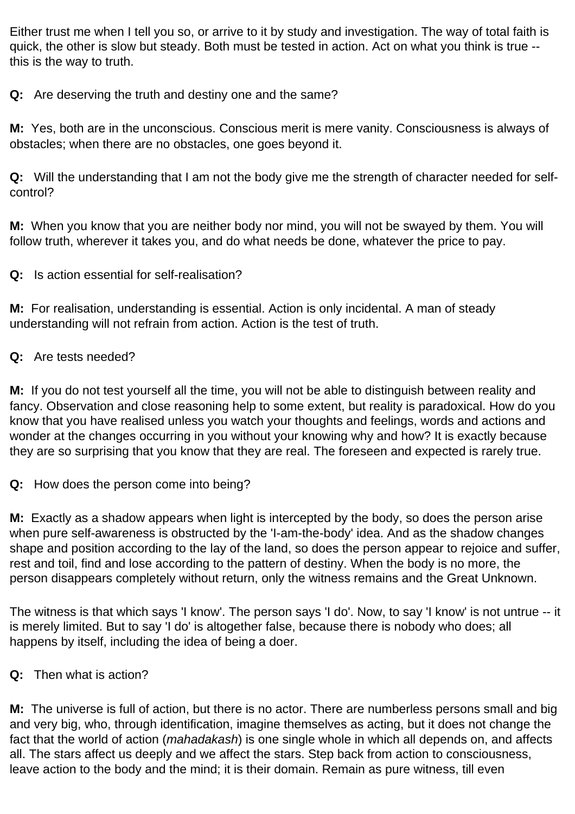Either trust me when I tell you so, or arrive to it by study and investigation. The way of total faith is quick, the other is slow but steady. Both must be tested in action. Act on what you think is true - this is the way to truth.

**Q:** Are deserving the truth and destiny one and the same?

**M:** Yes, both are in the unconscious. Conscious merit is mere vanity. Consciousness is always of obstacles; when there are no obstacles, one goes beyond it.

**Q:** Will the understanding that I am not the body give me the strength of character needed for selfcontrol?

**M:** When you know that you are neither body nor mind, you will not be swayed by them. You will follow truth, wherever it takes you, and do what needs be done, whatever the price to pay.

**Q:** Is action essential for self-realisation?

**M:** For realisation, understanding is essential. Action is only incidental. A man of steady understanding will not refrain from action. Action is the test of truth.

#### **Q:** Are tests needed?

**M:** If you do not test yourself all the time, you will not be able to distinguish between reality and fancy. Observation and close reasoning help to some extent, but reality is paradoxical. How do you know that you have realised unless you watch your thoughts and feelings, words and actions and wonder at the changes occurring in you without your knowing why and how? It is exactly because they are so surprising that you know that they are real. The foreseen and expected is rarely true.

**Q:** How does the person come into being?

**M:** Exactly as a shadow appears when light is intercepted by the body, so does the person arise when pure self-awareness is obstructed by the 'I-am-the-body' idea. And as the shadow changes shape and position according to the lay of the land, so does the person appear to rejoice and suffer, rest and toil, find and lose according to the pattern of destiny. When the body is no more, the person disappears completely without return, only the witness remains and the Great Unknown.

The witness is that which says 'I know'. The person says 'I do'. Now, to say 'I know' is not untrue -- it is merely limited. But to say 'I do' is altogether false, because there is nobody who does; all happens by itself, including the idea of being a doer.

#### **Q:** Then what is action?

**M:** The universe is full of action, but there is no actor. There are numberless persons small and big and very big, who, through identification, imagine themselves as acting, but it does not change the fact that the world of action (*mahadakash*) is one single whole in which all depends on, and affects all. The stars affect us deeply and we affect the stars. Step back from action to consciousness, leave action to the body and the mind; it is their domain. Remain as pure witness, till even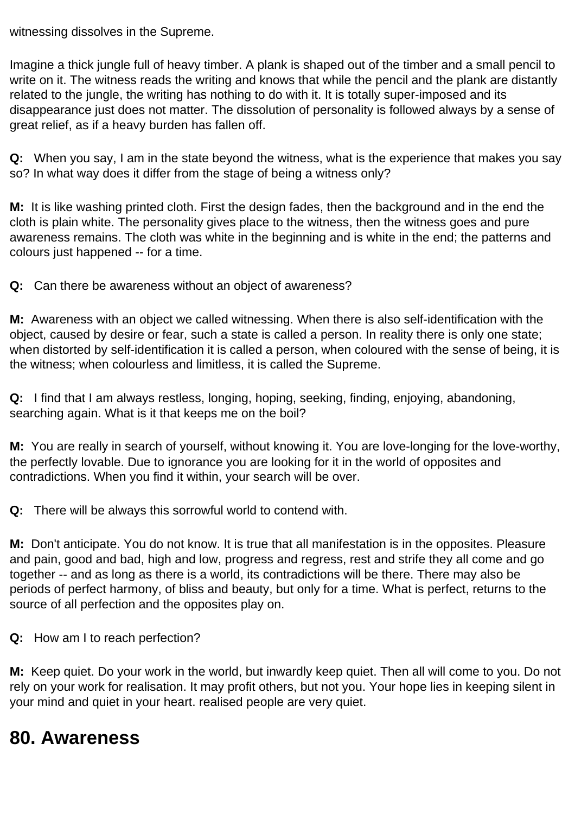witnessing dissolves in the Supreme.

Imagine a thick jungle full of heavy timber. A plank is shaped out of the timber and a small pencil to write on it. The witness reads the writing and knows that while the pencil and the plank are distantly related to the jungle, the writing has nothing to do with it. It is totally super-imposed and its disappearance just does not matter. The dissolution of personality is followed always by a sense of great relief, as if a heavy burden has fallen off.

**Q:** When you say, I am in the state beyond the witness, what is the experience that makes you say so? In what way does it differ from the stage of being a witness only?

**M:** It is like washing printed cloth. First the design fades, then the background and in the end the cloth is plain white. The personality gives place to the witness, then the witness goes and pure awareness remains. The cloth was white in the beginning and is white in the end; the patterns and colours just happened -- for a time.

**Q:** Can there be awareness without an object of awareness?

**M:** Awareness with an object we called witnessing. When there is also self-identification with the object, caused by desire or fear, such a state is called a person. In reality there is only one state; when distorted by self-identification it is called a person, when coloured with the sense of being, it is the witness; when colourless and limitless, it is called the Supreme.

**Q:** I find that I am always restless, longing, hoping, seeking, finding, enjoying, abandoning, searching again. What is it that keeps me on the boil?

**M:** You are really in search of yourself, without knowing it. You are love-longing for the love-worthy, the perfectly lovable. Due to ignorance you are looking for it in the world of opposites and contradictions. When you find it within, your search will be over.

**Q:** There will be always this sorrowful world to contend with.

**M:** Don't anticipate. You do not know. It is true that all manifestation is in the opposites. Pleasure and pain, good and bad, high and low, progress and regress, rest and strife they all come and go together -- and as long as there is a world, its contradictions will be there. There may also be periods of perfect harmony, of bliss and beauty, but only for a time. What is perfect, returns to the source of all perfection and the opposites play on.

**Q:** How am I to reach perfection?

**M:** Keep quiet. Do your work in the world, but inwardly keep quiet. Then all will come to you. Do not rely on your work for realisation. It may profit others, but not you. Your hope lies in keeping silent in your mind and quiet in your heart. realised people are very quiet.

### **80. Awareness**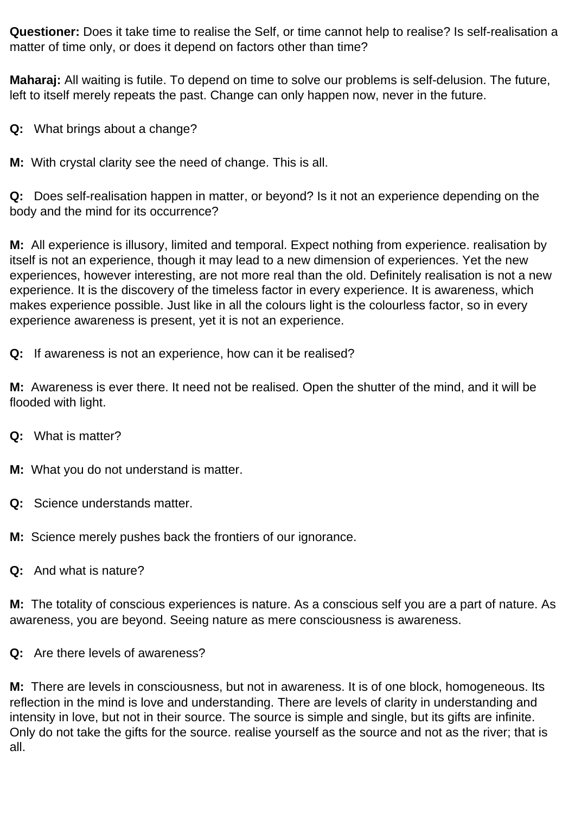**Questioner:** Does it take time to realise the Self, or time cannot help to realise? Is self-realisation a matter of time only, or does it depend on factors other than time?

**Maharaj:** All waiting is futile. To depend on time to solve our problems is self-delusion. The future, left to itself merely repeats the past. Change can only happen now, never in the future.

**Q:** What brings about a change?

**M:** With crystal clarity see the need of change. This is all.

**Q:** Does self-realisation happen in matter, or beyond? Is it not an experience depending on the body and the mind for its occurrence?

**M:** All experience is illusory, limited and temporal. Expect nothing from experience. realisation by itself is not an experience, though it may lead to a new dimension of experiences. Yet the new experiences, however interesting, are not more real than the old. Definitely realisation is not a new experience. It is the discovery of the timeless factor in every experience. It is awareness, which makes experience possible. Just like in all the colours light is the colourless factor, so in every experience awareness is present, yet it is not an experience.

**Q:** If awareness is not an experience, how can it be realised?

**M:** Awareness is ever there. It need not be realised. Open the shutter of the mind, and it will be flooded with light.

- **Q:** What is matter?
- **M:** What you do not understand is matter.
- **Q:** Science understands matter.
- **M:** Science merely pushes back the frontiers of our ignorance.
- **Q:** And what is nature?

**M:** The totality of conscious experiences is nature. As a conscious self you are a part of nature. As awareness, you are beyond. Seeing nature as mere consciousness is awareness.

**Q:** Are there levels of awareness?

**M:** There are levels in consciousness, but not in awareness. It is of one block, homogeneous. Its reflection in the mind is love and understanding. There are levels of clarity in understanding and intensity in love, but not in their source. The source is simple and single, but its gifts are infinite. Only do not take the gifts for the source. realise yourself as the source and not as the river; that is all.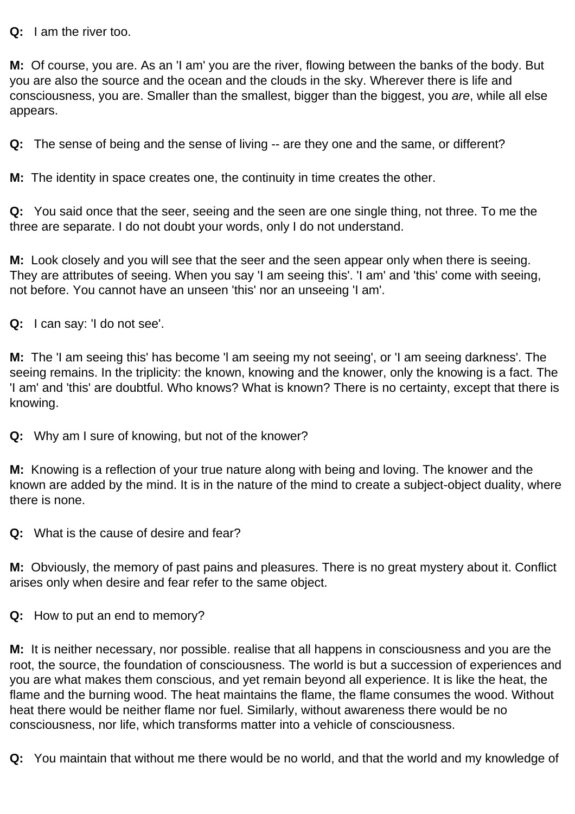**Q:** I am the river too.

**M:** Of course, you are. As an 'I am' you are the river, flowing between the banks of the body. But you are also the source and the ocean and the clouds in the sky. Wherever there is life and consciousness, you are. Smaller than the smallest, bigger than the biggest, you *are*, while all else appears.

**Q:** The sense of being and the sense of living -- are they one and the same, or different?

**M:** The identity in space creates one, the continuity in time creates the other.

**Q:** You said once that the seer, seeing and the seen are one single thing, not three. To me the three are separate. I do not doubt your words, only I do not understand.

**M:** Look closely and you will see that the seer and the seen appear only when there is seeing. They are attributes of seeing. When you say 'I am seeing this'. 'I am' and 'this' come with seeing, not before. You cannot have an unseen 'this' nor an unseeing 'I am'.

**Q:** I can say: 'I do not see'.

**M:** The 'I am seeing this' has become 'l am seeing my not seeing', or 'I am seeing darkness'. The seeing remains. In the triplicity: the known, knowing and the knower, only the knowing is a fact. The 'I am' and 'this' are doubtful. Who knows? What is known? There is no certainty, except that there is knowing.

**Q:** Why am I sure of knowing, but not of the knower?

**M:** Knowing is a reflection of your true nature along with being and loving. The knower and the known are added by the mind. It is in the nature of the mind to create a subject-object duality, where there is none.

**Q:** What is the cause of desire and fear?

**M:** Obviously, the memory of past pains and pleasures. There is no great mystery about it. Conflict arises only when desire and fear refer to the same object.

**Q:** How to put an end to memory?

**M:** It is neither necessary, nor possible. realise that all happens in consciousness and you are the root, the source, the foundation of consciousness. The world is but a succession of experiences and you are what makes them conscious, and yet remain beyond all experience. It is like the heat, the flame and the burning wood. The heat maintains the flame, the flame consumes the wood. Without heat there would be neither flame nor fuel. Similarly, without awareness there would be no consciousness, nor life, which transforms matter into a vehicle of consciousness.

**Q:** You maintain that without me there would be no world, and that the world and my knowledge of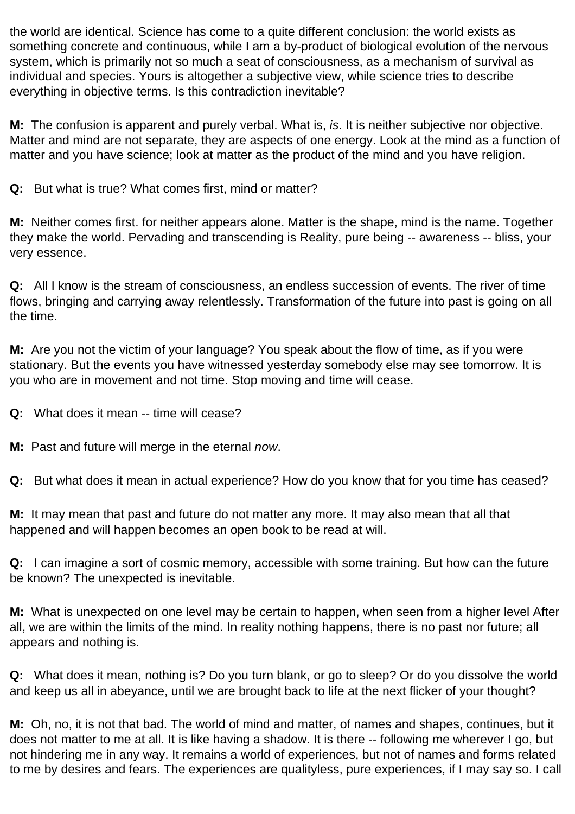the world are identical. Science has come to a quite different conclusion: the world exists as something concrete and continuous, while I am a by-product of biological evolution of the nervous system, which is primarily not so much a seat of consciousness, as a mechanism of survival as individual and species. Yours is altogether a subjective view, while science tries to describe everything in objective terms. Is this contradiction inevitable?

**M:** The confusion is apparent and purely verbal. What is, *is*. It is neither subjective nor objective. Matter and mind are not separate, they are aspects of one energy. Look at the mind as a function of matter and you have science; look at matter as the product of the mind and you have religion.

**Q:** But what is true? What comes first, mind or matter?

**M:** Neither comes first. for neither appears alone. Matter is the shape, mind is the name. Together they make the world. Pervading and transcending is Reality, pure being -- awareness -- bliss, your very essence.

**Q:** All I know is the stream of consciousness, an endless succession of events. The river of time flows, bringing and carrying away relentlessly. Transformation of the future into past is going on all the time.

**M:** Are you not the victim of your language? You speak about the flow of time, as if you were stationary. But the events you have witnessed yesterday somebody else may see tomorrow. It is you who are in movement and not time. Stop moving and time will cease.

- **Q:** What does it mean -- time will cease?
- **M:** Past and future will merge in the eternal *now*.

**Q:** But what does it mean in actual experience? How do you know that for you time has ceased?

**M:** It may mean that past and future do not matter any more. It may also mean that all that happened and will happen becomes an open book to be read at will.

**Q:** I can imagine a sort of cosmic memory, accessible with some training. But how can the future be known? The unexpected is inevitable.

**M:** What is unexpected on one level may be certain to happen, when seen from a higher level After all, we are within the limits of the mind. In reality nothing happens, there is no past nor future; all appears and nothing is.

**Q:** What does it mean, nothing is? Do you turn blank, or go to sleep? Or do you dissolve the world and keep us all in abeyance, until we are brought back to life at the next flicker of your thought?

**M:** Oh, no, it is not that bad. The world of mind and matter, of names and shapes, continues, but it does not matter to me at all. It is like having a shadow. It is there -- following me wherever I go, but not hindering me in any way. It remains a world of experiences, but not of names and forms related to me by desires and fears. The experiences are qualityless, pure experiences, if I may say so. I call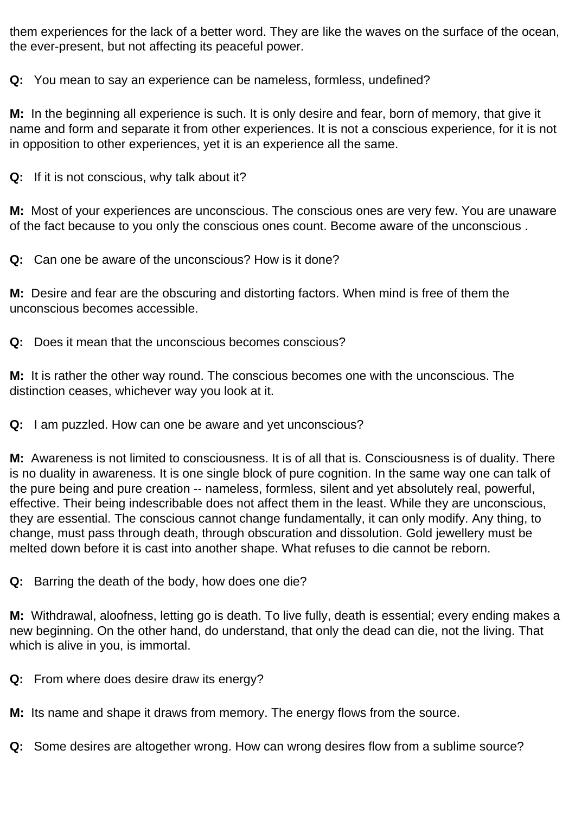them experiences for the lack of a better word. They are like the waves on the surface of the ocean, the ever-present, but not affecting its peaceful power.

**Q:** You mean to say an experience can be nameless, formless, undefined?

**M:** In the beginning all experience is such. It is only desire and fear, born of memory, that give it name and form and separate it from other experiences. It is not a conscious experience, for it is not in opposition to other experiences, yet it is an experience all the same.

**Q:** If it is not conscious, why talk about it?

**M:** Most of your experiences are unconscious. The conscious ones are very few. You are unaware of the fact because to you only the conscious ones count. Become aware of the unconscious .

**Q:** Can one be aware of the unconscious? How is it done?

**M:** Desire and fear are the obscuring and distorting factors. When mind is free of them the unconscious becomes accessible.

**Q:** Does it mean that the unconscious becomes conscious?

**M:** It is rather the other way round. The conscious becomes one with the unconscious. The distinction ceases, whichever way you look at it.

**Q:** I am puzzled. How can one be aware and yet unconscious?

**M:** Awareness is not limited to consciousness. It is of all that is. Consciousness is of duality. There is no duality in awareness. It is one single block of pure cognition. In the same way one can talk of the pure being and pure creation -- nameless, formless, silent and yet absolutely real, powerful, effective. Their being indescribable does not affect them in the least. While they are unconscious, they are essential. The conscious cannot change fundamentally, it can only modify. Any thing, to change, must pass through death, through obscuration and dissolution. Gold jewellery must be melted down before it is cast into another shape. What refuses to die cannot be reborn.

**Q:** Barring the death of the body, how does one die?

**M:** Withdrawal, aloofness, letting go is death. To live fully, death is essential; every ending makes a new beginning. On the other hand, do understand, that only the dead can die, not the living. That which is alive in you, is immortal.

- **Q:** From where does desire draw its energy?
- **M:** Its name and shape it draws from memory. The energy flows from the source.
- **Q:** Some desires are altogether wrong. How can wrong desires flow from a sublime source?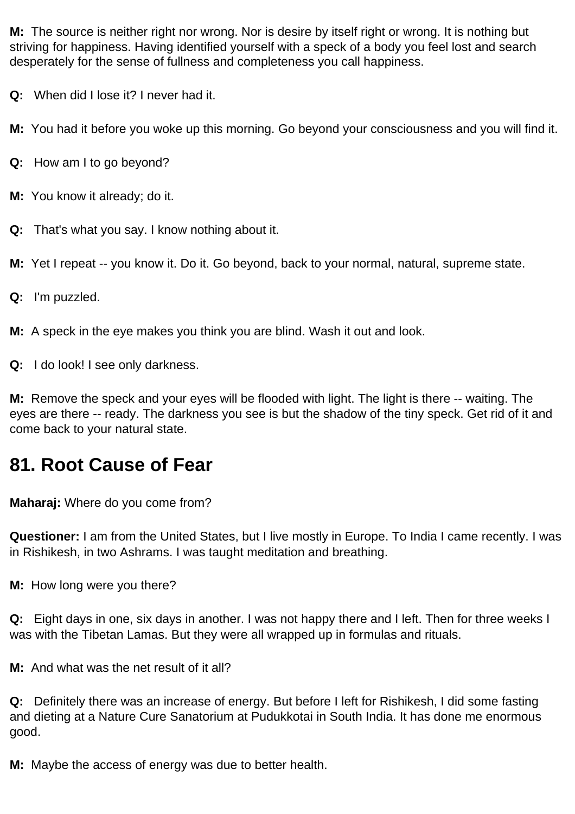**M:** The source is neither right nor wrong. Nor is desire by itself right or wrong. It is nothing but striving for happiness. Having identified yourself with a speck of a body you feel lost and search desperately for the sense of fullness and completeness you call happiness.

- **Q:** When did I lose it? I never had it.
- **M:** You had it before you woke up this morning. Go beyond your consciousness and you will find it.
- **Q:** How am I to go beyond?
- **M:** You know it already; do it.
- **Q:** That's what you say. I know nothing about it.
- **M:** Yet I repeat -- you know it. Do it. Go beyond, back to your normal, natural, supreme state.
- **Q:** I'm puzzled.
- **M:** A speck in the eye makes you think you are blind. Wash it out and look.
- **Q:** I do look! I see only darkness.

**M:** Remove the speck and your eyes will be flooded with light. The light is there -- waiting. The eyes are there -- ready. The darkness you see is but the shadow of the tiny speck. Get rid of it and come back to your natural state.

### **81. Root Cause of Fear**

**Maharaj:** Where do you come from?

**Questioner:** I am from the United States, but I live mostly in Europe. To India I came recently. I was in Rishikesh, in two Ashrams. I was taught meditation and breathing.

**M:** How long were you there?

**Q:** Eight days in one, six days in another. I was not happy there and I left. Then for three weeks I was with the Tibetan Lamas. But they were all wrapped up in formulas and rituals.

**M:** And what was the net result of it all?

**Q:** Definitely there was an increase of energy. But before I left for Rishikesh, I did some fasting and dieting at a Nature Cure Sanatorium at Pudukkotai in South India. It has done me enormous good.

**M:** Maybe the access of energy was due to better health.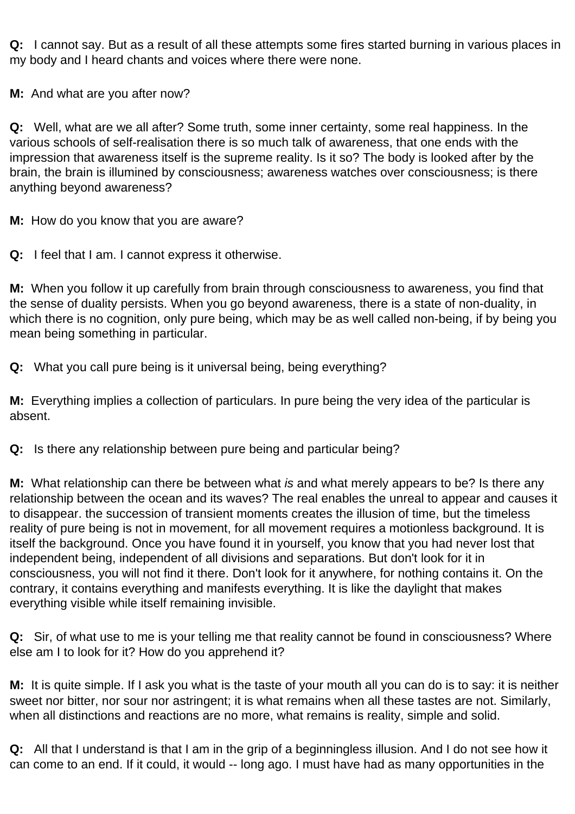**Q:** I cannot say. But as a result of all these attempts some fires started burning in various places in my body and I heard chants and voices where there were none.

**M:** And what are you after now?

**Q:** Well, what are we all after? Some truth, some inner certainty, some real happiness. In the various schools of self-realisation there is so much talk of awareness, that one ends with the impression that awareness itself is the supreme reality. Is it so? The body is looked after by the brain, the brain is illumined by consciousness; awareness watches over consciousness; is there anything beyond awareness?

**M:** How do you know that you are aware?

**Q:** I feel that I am. I cannot express it otherwise.

**M:** When you follow it up carefully from brain through consciousness to awareness, you find that the sense of duality persists. When you go beyond awareness, there is a state of non-duality, in which there is no cognition, only pure being, which may be as well called non-being, if by being you mean being something in particular.

**Q:** What you call pure being is it universal being, being everything?

**M:** Everything implies a collection of particulars. In pure being the very idea of the particular is absent.

**Q:** Is there any relationship between pure being and particular being?

**M:** What relationship can there be between what *is* and what merely appears to be? Is there any relationship between the ocean and its waves? The real enables the unreal to appear and causes it to disappear. the succession of transient moments creates the illusion of time, but the timeless reality of pure being is not in movement, for all movement requires a motionless background. It is itself the background. Once you have found it in yourself, you know that you had never lost that independent being, independent of all divisions and separations. But don't look for it in consciousness, you will not find it there. Don't look for it anywhere, for nothing contains it. On the contrary, it contains everything and manifests everything. It is like the daylight that makes everything visible while itself remaining invisible.

**Q:** Sir, of what use to me is your telling me that reality cannot be found in consciousness? Where else am I to look for it? How do you apprehend it?

**M:** It is quite simple. If I ask you what is the taste of your mouth all you can do is to say: it is neither sweet nor bitter, nor sour nor astringent; it is what remains when all these tastes are not. Similarly, when all distinctions and reactions are no more, what remains is reality, simple and solid.

**Q:** All that I understand is that I am in the grip of a beginningless illusion. And I do not see how it can come to an end. If it could, it would -- long ago. I must have had as many opportunities in the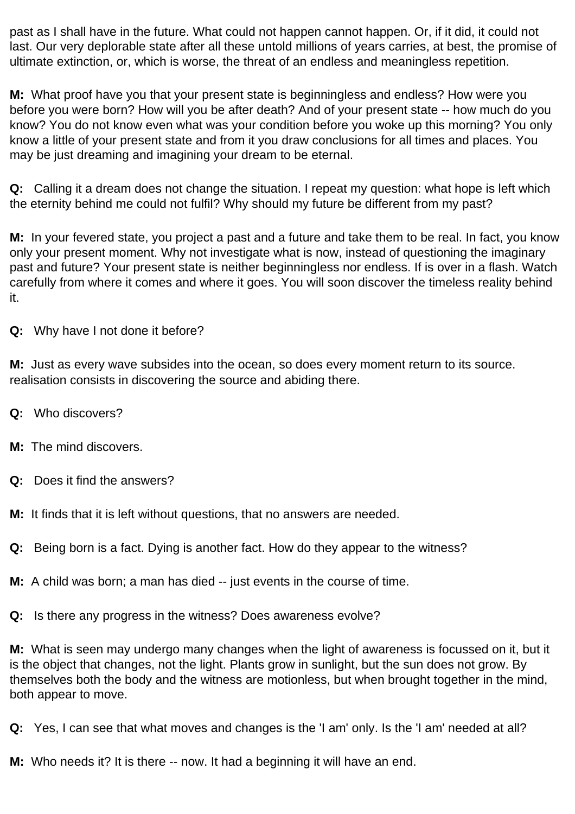past as I shall have in the future. What could not happen cannot happen. Or, if it did, it could not last. Our very deplorable state after all these untold millions of years carries, at best, the promise of ultimate extinction, or, which is worse, the threat of an endless and meaningless repetition.

**M:** What proof have you that your present state is beginningless and endless? How were you before you were born? How will you be after death? And of your present state -- how much do you know? You do not know even what was your condition before you woke up this morning? You only know a little of your present state and from it you draw conclusions for all times and places. You may be just dreaming and imagining your dream to be eternal.

**Q:** Calling it a dream does not change the situation. I repeat my question: what hope is left which the eternity behind me could not fulfil? Why should my future be different from my past?

**M:** In your fevered state, you project a past and a future and take them to be real. In fact, you know only your present moment. Why not investigate what is now, instead of questioning the imaginary past and future? Your present state is neither beginningless nor endless. If is over in a flash. Watch carefully from where it comes and where it goes. You will soon discover the timeless reality behind it.

**Q:** Why have I not done it before?

**M:** Just as every wave subsides into the ocean, so does every moment return to its source. realisation consists in discovering the source and abiding there.

- **Q:** Who discovers?
- **M:** The mind discovers.
- **Q:** Does it find the answers?
- **M:** It finds that it is left without questions, that no answers are needed.
- **Q:** Being born is a fact. Dying is another fact. How do they appear to the witness?
- **M:** A child was born; a man has died -- just events in the course of time.
- **Q:** Is there any progress in the witness? Does awareness evolve?

**M:** What is seen may undergo many changes when the light of awareness is focussed on it, but it is the object that changes, not the light. Plants grow in sunlight, but the sun does not grow. By themselves both the body and the witness are motionless, but when brought together in the mind, both appear to move.

**Q:** Yes, I can see that what moves and changes is the 'I am' only. Is the 'I am' needed at all?

**M:** Who needs it? It is there -- now. It had a beginning it will have an end.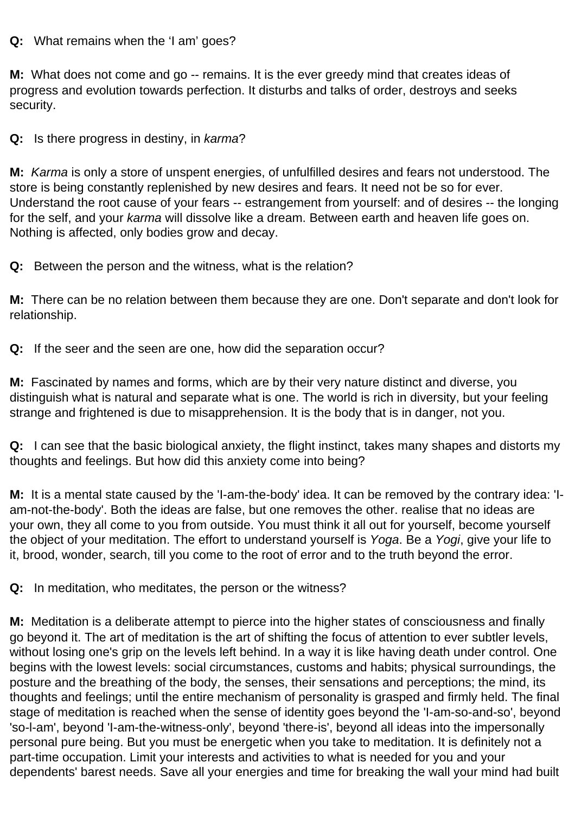**Q:** What remains when the 'I am' goes?

**M:** What does not come and go -- remains. It is the ever greedy mind that creates ideas of progress and evolution towards perfection. It disturbs and talks of order, destroys and seeks security.

**Q:** Is there progress in destiny, in *karma*?

**M:** *Karma* is only a store of unspent energies, of unfulfilled desires and fears not understood. The store is being constantly replenished by new desires and fears. It need not be so for ever. Understand the root cause of your fears -- estrangement from yourself: and of desires -- the longing for the self, and your *karma* will dissolve like a dream. Between earth and heaven life goes on. Nothing is affected, only bodies grow and decay.

**Q:** Between the person and the witness, what is the relation?

**M:** There can be no relation between them because they are one. Don't separate and don't look for relationship.

**Q:** If the seer and the seen are one, how did the separation occur?

**M:** Fascinated by names and forms, which are by their very nature distinct and diverse, you distinguish what is natural and separate what is one. The world is rich in diversity, but your feeling strange and frightened is due to misapprehension. It is the body that is in danger, not you.

**Q:** I can see that the basic biological anxiety, the flight instinct, takes many shapes and distorts my thoughts and feelings. But how did this anxiety come into being?

**M:** It is a mental state caused by the 'I-am-the-body' idea. It can be removed by the contrary idea: 'Iam-not-the-body'. Both the ideas are false, but one removes the other. realise that no ideas are your own, they all come to you from outside. You must think it all out for yourself, become yourself the object of your meditation. The effort to understand yourself is *Yoga*. Be a *Yogi*, give your life to it, brood, wonder, search, till you come to the root of error and to the truth beyond the error.

**Q:** In meditation, who meditates, the person or the witness?

**M:** Meditation is a deliberate attempt to pierce into the higher states of consciousness and finally go beyond it. The art of meditation is the art of shifting the focus of attention to ever subtler levels, without losing one's grip on the levels left behind. In a way it is like having death under control. One begins with the lowest levels: social circumstances, customs and habits; physical surroundings, the posture and the breathing of the body, the senses, their sensations and perceptions; the mind, its thoughts and feelings; until the entire mechanism of personality is grasped and firmly held. The final stage of meditation is reached when the sense of identity goes beyond the 'I-am-so-and-so', beyond 'so-l-am', beyond 'I-am-the-witness-only', beyond 'there-is', beyond all ideas into the impersonally personal pure being. But you must be energetic when you take to meditation. It is definitely not a part-time occupation. Limit your interests and activities to what is needed for you and your dependents' barest needs. Save all your energies and time for breaking the wall your mind had built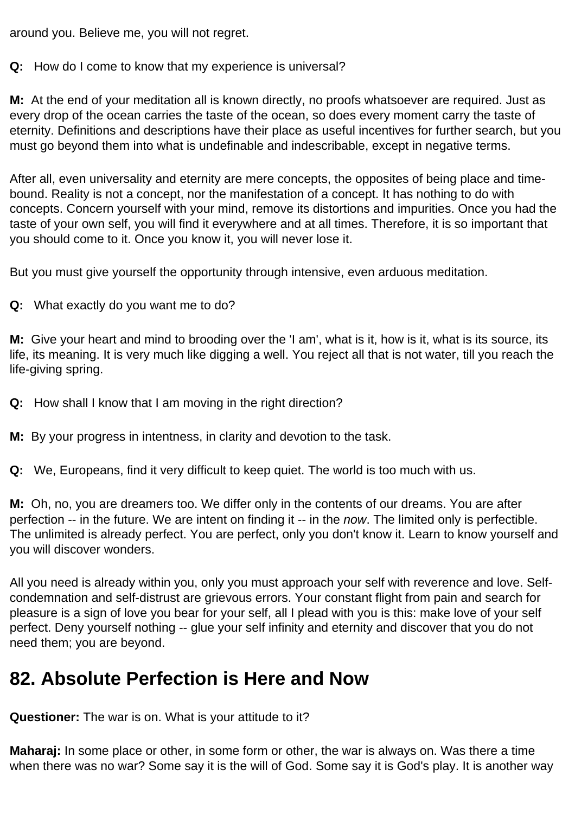around you. Believe me, you will not regret.

**Q:** How do I come to know that my experience is universal?

**M:** At the end of your meditation all is known directly, no proofs whatsoever are required. Just as every drop of the ocean carries the taste of the ocean, so does every moment carry the taste of eternity. Definitions and descriptions have their place as useful incentives for further search, but you must go beyond them into what is undefinable and indescribable, except in negative terms.

After all, even universality and eternity are mere concepts, the opposites of being place and timebound. Reality is not a concept, nor the manifestation of a concept. It has nothing to do with concepts. Concern yourself with your mind, remove its distortions and impurities. Once you had the taste of your own self, you will find it everywhere and at all times. Therefore, it is so important that you should come to it. Once you know it, you will never lose it.

But you must give yourself the opportunity through intensive, even arduous meditation.

**Q:** What exactly do you want me to do?

**M:** Give your heart and mind to brooding over the 'I am', what is it, how is it, what is its source, its life, its meaning. It is very much like digging a well. You reject all that is not water, till you reach the life-giving spring.

- **Q:** How shall I know that I am moving in the right direction?
- **M:** By your progress in intentness, in clarity and devotion to the task.
- **Q:** We, Europeans, find it very difficult to keep quiet. The world is too much with us.

**M:** Oh, no, you are dreamers too. We differ only in the contents of our dreams. You are after perfection -- in the future. We are intent on finding it -- in the *now*. The limited only is perfectible. The unlimited is already perfect. You are perfect, only you don't know it. Learn to know yourself and you will discover wonders.

All you need is already within you, only you must approach your self with reverence and love. Selfcondemnation and self-distrust are grievous errors. Your constant flight from pain and search for pleasure is a sign of love you bear for your self, all I plead with you is this: make love of your self perfect. Deny yourself nothing -- glue your self infinity and eternity and discover that you do not need them; you are beyond.

### **82. Absolute Perfection is Here and Now**

**Questioner:** The war is on. What is your attitude to it?

**Maharaj:** In some place or other, in some form or other, the war is always on. Was there a time when there was no war? Some say it is the will of God. Some say it is God's play. It is another way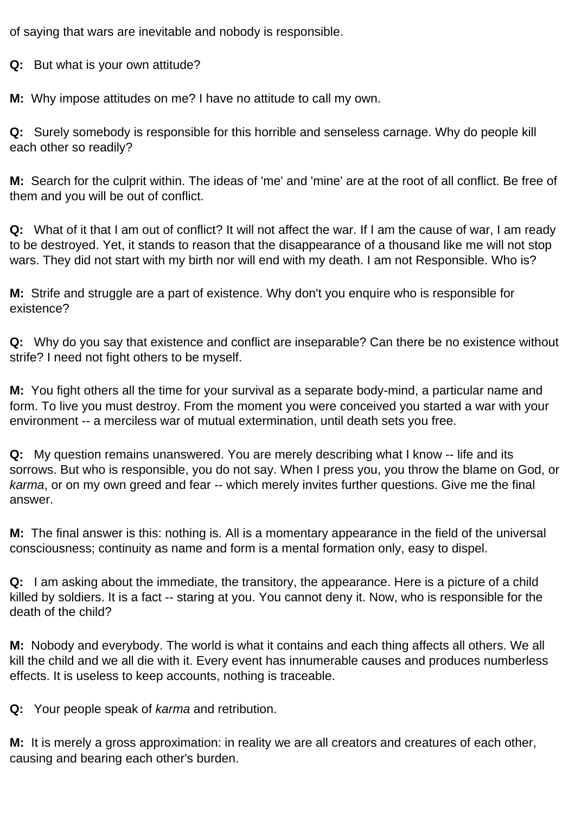of saying that wars are inevitable and nobody is responsible.

**Q:** But what is your own attitude?

**M:** Why impose attitudes on me? I have no attitude to call my own.

**Q:** Surely somebody is responsible for this horrible and senseless carnage. Why do people kill each other so readily?

**M:** Search for the culprit within. The ideas of 'me' and 'mine' are at the root of all conflict. Be free of them and you will be out of conflict.

**Q:** What of it that I am out of conflict? It will not affect the war. If I am the cause of war, I am ready to be destroyed. Yet, it stands to reason that the disappearance of a thousand like me will not stop wars. They did not start with my birth nor will end with my death. I am not Responsible. Who is?

**M:** Strife and struggle are a part of existence. Why don't you enquire who is responsible for existence?

**Q:** Why do you say that existence and conflict are inseparable? Can there be no existence without strife? I need not fight others to be myself.

**M:** You fight others all the time for your survival as a separate body-mind, a particular name and form. To live you must destroy. From the moment you were conceived you started a war with your environment -- a merciless war of mutual extermination, until death sets you free.

**Q:** My question remains unanswered. You are merely describing what I know -- life and its sorrows. But who is responsible, you do not say. When I press you, you throw the blame on God, or *karma*, or on my own greed and fear -- which merely invites further questions. Give me the final answer.

**M:** The final answer is this: nothing is. All is a momentary appearance in the field of the universal consciousness; continuity as name and form is a mental formation only, easy to dispel.

**Q:** I am asking about the immediate, the transitory, the appearance. Here is a picture of a child killed by soldiers. It is a fact -- staring at you. You cannot deny it. Now, who is responsible for the death of the child?

**M:** Nobody and everybody. The world is what it contains and each thing affects all others. We all kill the child and we all die with it. Every event has innumerable causes and produces numberless effects. It is useless to keep accounts, nothing is traceable.

**Q:** Your people speak of *karma* and retribution.

**M:** It is merely a gross approximation: in reality we are all creators and creatures of each other, causing and bearing each other's burden.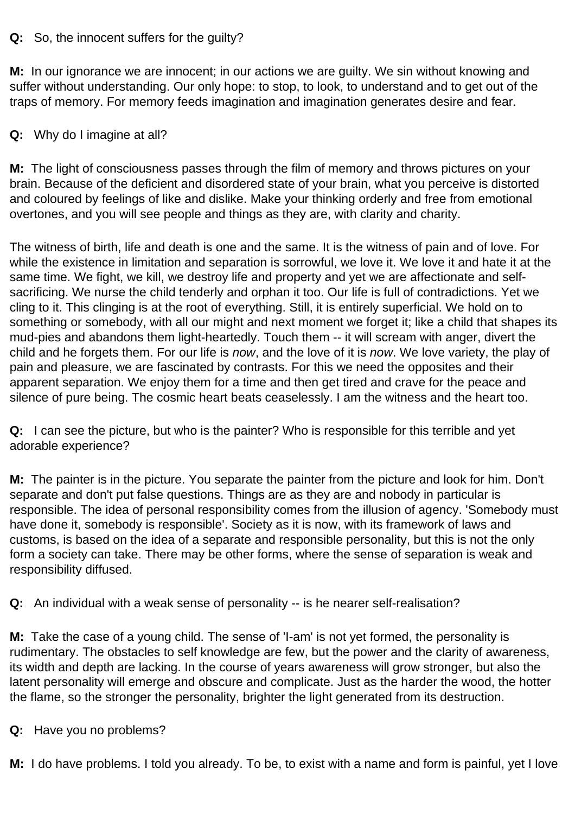#### **Q:** So, the innocent suffers for the guilty?

**M:** In our ignorance we are innocent; in our actions we are guilty. We sin without knowing and suffer without understanding. Our only hope: to stop, to look, to understand and to get out of the traps of memory. For memory feeds imagination and imagination generates desire and fear.

#### **Q:** Why do I imagine at all?

**M:** The light of consciousness passes through the film of memory and throws pictures on your brain. Because of the deficient and disordered state of your brain, what you perceive is distorted and coloured by feelings of like and dislike. Make your thinking orderly and free from emotional overtones, and you will see people and things as they are, with clarity and charity.

The witness of birth, life and death is one and the same. It is the witness of pain and of love. For while the existence in limitation and separation is sorrowful, we love it. We love it and hate it at the same time. We fight, we kill, we destroy life and property and yet we are affectionate and selfsacrificing. We nurse the child tenderly and orphan it too. Our life is full of contradictions. Yet we cling to it. This clinging is at the root of everything. Still, it is entirely superficial. We hold on to something or somebody, with all our might and next moment we forget it; like a child that shapes its mud-pies and abandons them light-heartedly. Touch them -- it will scream with anger, divert the child and he forgets them. For our life is *now*, and the love of it is *now*. We love variety, the play of pain and pleasure, we are fascinated by contrasts. For this we need the opposites and their apparent separation. We enjoy them for a time and then get tired and crave for the peace and silence of pure being. The cosmic heart beats ceaselessly. I am the witness and the heart too.

**Q:** I can see the picture, but who is the painter? Who is responsible for this terrible and yet adorable experience?

**M:** The painter is in the picture. You separate the painter from the picture and look for him. Don't separate and don't put false questions. Things are as they are and nobody in particular is responsible. The idea of personal responsibility comes from the illusion of agency. 'Somebody must have done it, somebody is responsible'. Society as it is now, with its framework of laws and customs, is based on the idea of a separate and responsible personality, but this is not the only form a society can take. There may be other forms, where the sense of separation is weak and responsibility diffused.

**Q:** An individual with a weak sense of personality -- is he nearer self-realisation?

**M:** Take the case of a young child. The sense of 'I-am' is not yet formed, the personality is rudimentary. The obstacles to self knowledge are few, but the power and the clarity of awareness, its width and depth are lacking. In the course of years awareness will grow stronger, but also the latent personality will emerge and obscure and complicate. Just as the harder the wood, the hotter the flame, so the stronger the personality, brighter the light generated from its destruction.

#### **Q:** Have you no problems?

**M:** I do have problems. I told you already. To be, to exist with a name and form is painful, yet I love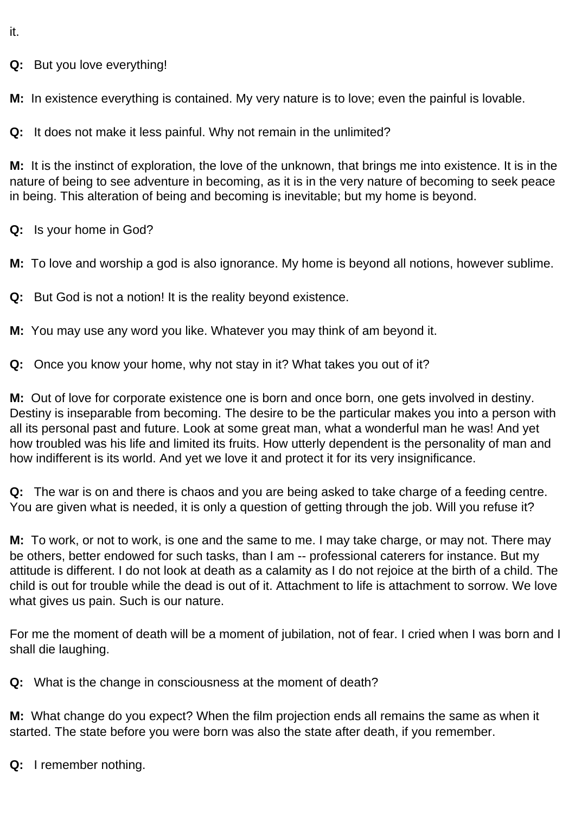it.

**Q:** But you love everything!

**M:** In existence everything is contained. My very nature is to love; even the painful is lovable.

**Q:** It does not make it less painful. Why not remain in the unlimited?

**M:** It is the instinct of exploration, the love of the unknown, that brings me into existence. It is in the nature of being to see adventure in becoming, as it is in the very nature of becoming to seek peace in being. This alteration of being and becoming is inevitable; but my home is beyond.

**Q:** Is your home in God?

**M:** To love and worship a god is also ignorance. My home is beyond all notions, however sublime.

- **Q:** But God is not a notion! It is the reality beyond existence.
- **M:** You may use any word you like. Whatever you may think of am beyond it.
- **Q:** Once you know your home, why not stay in it? What takes you out of it?

**M:** Out of love for corporate existence one is born and once born, one gets involved in destiny. Destiny is inseparable from becoming. The desire to be the particular makes you into a person with all its personal past and future. Look at some great man, what a wonderful man he was! And yet how troubled was his life and limited its fruits. How utterly dependent is the personality of man and how indifferent is its world. And yet we love it and protect it for its very insignificance.

**Q:** The war is on and there is chaos and you are being asked to take charge of a feeding centre. You are given what is needed, it is only a question of getting through the job. Will you refuse it?

**M:** To work, or not to work, is one and the same to me. I may take charge, or may not. There may be others, better endowed for such tasks, than I am -- professional caterers for instance. But my attitude is different. I do not look at death as a calamity as I do not rejoice at the birth of a child. The child is out for trouble while the dead is out of it. Attachment to life is attachment to sorrow. We love what gives us pain. Such is our nature.

For me the moment of death will be a moment of jubilation, not of fear. I cried when I was born and I shall die laughing.

**Q:** What is the change in consciousness at the moment of death?

**M:** What change do you expect? When the film projection ends all remains the same as when it started. The state before you were born was also the state after death, if you remember.

**Q:** I remember nothing.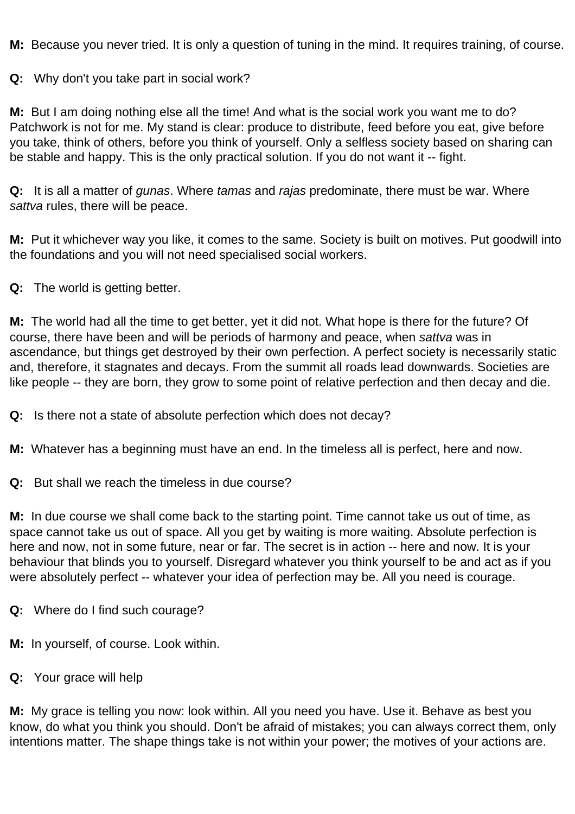**M:** Because you never tried. It is only a question of tuning in the mind. It requires training, of course.

**Q:** Why don't you take part in social work?

**M:** But I am doing nothing else all the time! And what is the social work you want me to do? Patchwork is not for me. My stand is clear: produce to distribute, feed before you eat, give before you take, think of others, before you think of yourself. Only a selfless society based on sharing can be stable and happy. This is the only practical solution. If you do not want it -- fight.

**Q:** It is all a matter of *gunas*. Where *tamas* and *rajas* predominate, there must be war. Where *sattva* rules, there will be peace.

**M:** Put it whichever way you like, it comes to the same. Society is built on motives. Put goodwill into the foundations and you will not need specialised social workers.

**Q:** The world is getting better.

**M:** The world had all the time to get better, yet it did not. What hope is there for the future? Of course, there have been and will be periods of harmony and peace, when *sattva* was in ascendance, but things get destroyed by their own perfection. A perfect society is necessarily static and, therefore, it stagnates and decays. From the summit all roads lead downwards. Societies are like people -- they are born, they grow to some point of relative perfection and then decay and die.

**Q:** Is there not a state of absolute perfection which does not decay?

**M:** Whatever has a beginning must have an end. In the timeless all is perfect, here and now.

**Q:** But shall we reach the timeless in due course?

**M:** In due course we shall come back to the starting point. Time cannot take us out of time, as space cannot take us out of space. All you get by waiting is more waiting. Absolute perfection is here and now, not in some future, near or far. The secret is in action -- here and now. It is your behaviour that blinds you to yourself. Disregard whatever you think yourself to be and act as if you were absolutely perfect -- whatever your idea of perfection may be. All you need is courage.

- **Q:** Where do I find such courage?
- **M:** In yourself, of course. Look within.
- **Q:** Your grace will help

**M:** My grace is telling you now: look within. All you need you have. Use it. Behave as best you know, do what you think you should. Don't be afraid of mistakes; you can always correct them, only intentions matter. The shape things take is not within your power; the motives of your actions are.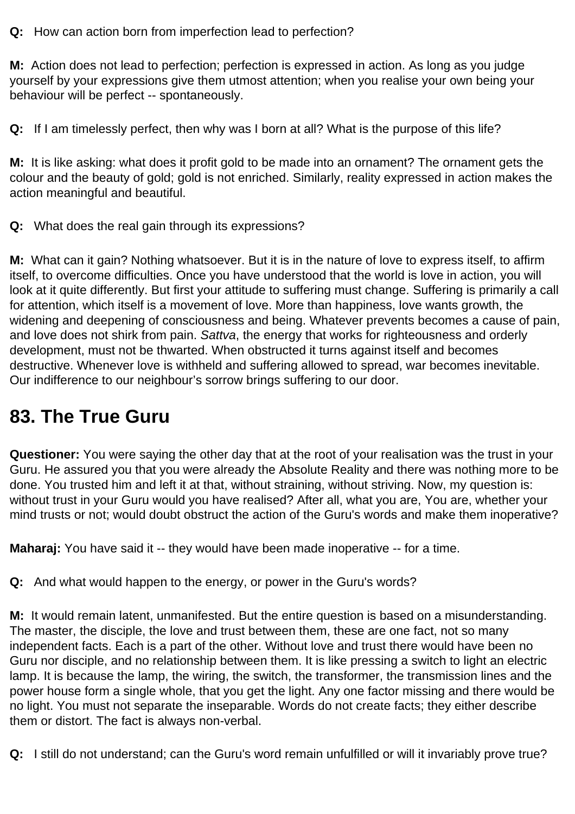**Q:** How can action born from imperfection lead to perfection?

**M:** Action does not lead to perfection; perfection is expressed in action. As long as you judge yourself by your expressions give them utmost attention; when you realise your own being your behaviour will be perfect -- spontaneously.

**Q:** If I am timelessly perfect, then why was I born at all? What is the purpose of this life?

**M:** It is like asking: what does it profit gold to be made into an ornament? The ornament gets the colour and the beauty of gold; gold is not enriched. Similarly, reality expressed in action makes the action meaningful and beautiful.

**Q:** What does the real gain through its expressions?

**M:** What can it gain? Nothing whatsoever. But it is in the nature of love to express itself, to affirm itself, to overcome difficulties. Once you have understood that the world is love in action, you will look at it quite differently. But first your attitude to suffering must change. Suffering is primarily a call for attention, which itself is a movement of love. More than happiness, love wants growth, the widening and deepening of consciousness and being. Whatever prevents becomes a cause of pain, and love does not shirk from pain. *Sattva*, the energy that works for righteousness and orderly development, must not be thwarted. When obstructed it turns against itself and becomes destructive. Whenever love is withheld and suffering allowed to spread, war becomes inevitable. Our indifference to our neighbour's sorrow brings suffering to our door.

## **83. The True Guru**

**Questioner:** You were saying the other day that at the root of your realisation was the trust in your Guru. He assured you that you were already the Absolute Reality and there was nothing more to be done. You trusted him and left it at that, without straining, without striving. Now, my question is: without trust in your Guru would you have realised? After all, what you are, You are, whether your mind trusts or not; would doubt obstruct the action of the Guru's words and make them inoperative?

**Maharaj:** You have said it -- they would have been made inoperative -- for a time.

**Q:** And what would happen to the energy, or power in the Guru's words?

**M:** It would remain latent, unmanifested. But the entire question is based on a misunderstanding. The master, the disciple, the love and trust between them, these are one fact, not so many independent facts. Each is a part of the other. Without love and trust there would have been no Guru nor disciple, and no relationship between them. It is like pressing a switch to light an electric lamp. It is because the lamp, the wiring, the switch, the transformer, the transmission lines and the power house form a single whole, that you get the light. Any one factor missing and there would be no light. You must not separate the inseparable. Words do not create facts; they either describe them or distort. The fact is always non-verbal.

**Q:** I still do not understand; can the Guru's word remain unfulfilled or will it invariably prove true?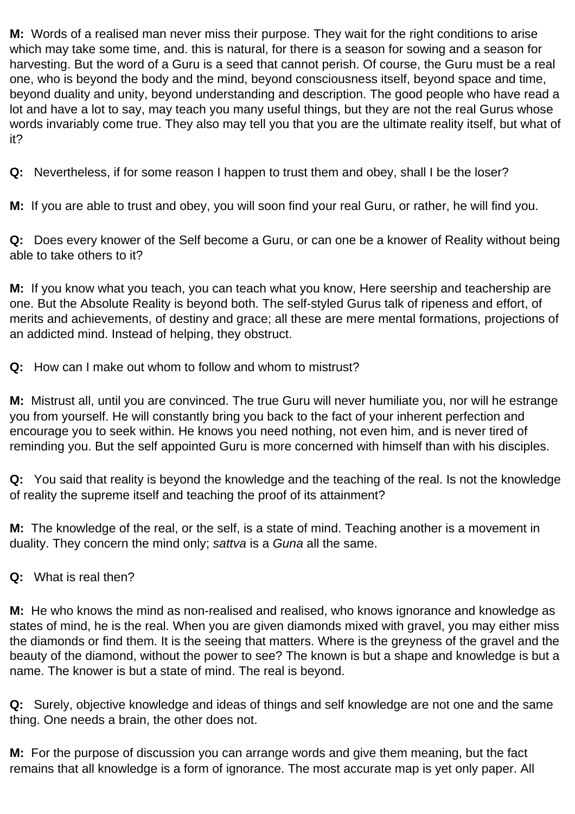**M:** Words of a realised man never miss their purpose. They wait for the right conditions to arise which may take some time, and. this is natural, for there is a season for sowing and a season for harvesting. But the word of a Guru is a seed that cannot perish. Of course, the Guru must be a real one, who is beyond the body and the mind, beyond consciousness itself, beyond space and time, beyond duality and unity, beyond understanding and description. The good people who have read a lot and have a lot to say, may teach you many useful things, but they are not the real Gurus whose words invariably come true. They also may tell you that you are the ultimate reality itself, but what of it?

**Q:** Nevertheless, if for some reason I happen to trust them and obey, shall I be the loser?

**M:** If you are able to trust and obey, you will soon find your real Guru, or rather, he will find you.

**Q:** Does every knower of the Self become a Guru, or can one be a knower of Reality without being able to take others to it?

**M:** If you know what you teach, you can teach what you know, Here seership and teachership are one. But the Absolute Reality is beyond both. The self-styled Gurus talk of ripeness and effort, of merits and achievements, of destiny and grace; all these are mere mental formations, projections of an addicted mind. Instead of helping, they obstruct.

**Q:** How can I make out whom to follow and whom to mistrust?

**M:** Mistrust all, until you are convinced. The true Guru will never humiliate you, nor will he estrange you from yourself. He will constantly bring you back to the fact of your inherent perfection and encourage you to seek within. He knows you need nothing, not even him, and is never tired of reminding you. But the self appointed Guru is more concerned with himself than with his disciples.

**Q:** You said that reality is beyond the knowledge and the teaching of the real. Is not the knowledge of reality the supreme itself and teaching the proof of its attainment?

**M:** The knowledge of the real, or the self, is a state of mind. Teaching another is a movement in duality. They concern the mind only; *sattva* is a *Guna* all the same.

**Q:** What is real then?

**M:** He who knows the mind as non-realised and realised, who knows ignorance and knowledge as states of mind, he is the real. When you are given diamonds mixed with gravel, you may either miss the diamonds or find them. It is the seeing that matters. Where is the greyness of the gravel and the beauty of the diamond, without the power to see? The known is but a shape and knowledge is but a name. The knower is but a state of mind. The real is beyond.

**Q:** Surely, objective knowledge and ideas of things and self knowledge are not one and the same thing. One needs a brain, the other does not.

**M:** For the purpose of discussion you can arrange words and give them meaning, but the fact remains that all knowledge is a form of ignorance. The most accurate map is yet only paper. All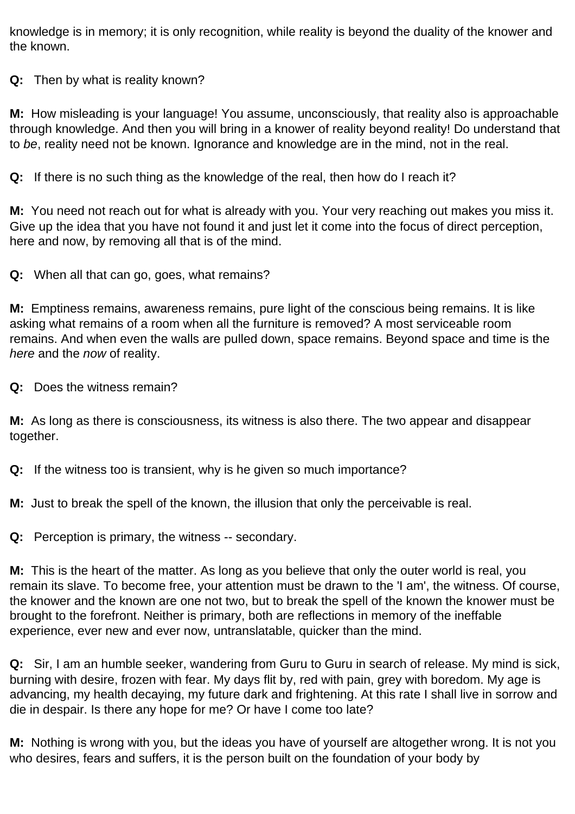knowledge is in memory; it is only recognition, while reality is beyond the duality of the knower and the known.

**Q:** Then by what is reality known?

**M:** How misleading is your language! You assume, unconsciously, that reality also is approachable through knowledge. And then you will bring in a knower of reality beyond reality! Do understand that to *be*, reality need not be known. Ignorance and knowledge are in the mind, not in the real.

**Q:** If there is no such thing as the knowledge of the real, then how do I reach it?

**M:** You need not reach out for what is already with you. Your very reaching out makes you miss it. Give up the idea that you have not found it and just let it come into the focus of direct perception, here and now, by removing all that is of the mind.

**Q:** When all that can go, goes, what remains?

**M:** Emptiness remains, awareness remains, pure light of the conscious being remains. It is like asking what remains of a room when all the furniture is removed? A most serviceable room remains. And when even the walls are pulled down, space remains. Beyond space and time is the *here* and the *now* of reality.

**Q:** Does the witness remain?

**M:** As long as there is consciousness, its witness is also there. The two appear and disappear together.

**Q:** If the witness too is transient, why is he given so much importance?

**M:** Just to break the spell of the known, the illusion that only the perceivable is real.

**Q:** Perception is primary, the witness -- secondary.

**M:** This is the heart of the matter. As long as you believe that only the outer world is real, you remain its slave. To become free, your attention must be drawn to the 'I am', the witness. Of course, the knower and the known are one not two, but to break the spell of the known the knower must be brought to the forefront. Neither is primary, both are reflections in memory of the ineffable experience, ever new and ever now, untranslatable, quicker than the mind.

**Q:** Sir, I am an humble seeker, wandering from Guru to Guru in search of release. My mind is sick, burning with desire, frozen with fear. My days flit by, red with pain, grey with boredom. My age is advancing, my health decaying, my future dark and frightening. At this rate I shall live in sorrow and die in despair. Is there any hope for me? Or have I come too late?

**M:** Nothing is wrong with you, but the ideas you have of yourself are altogether wrong. It is not you who desires, fears and suffers, it is the person built on the foundation of your body by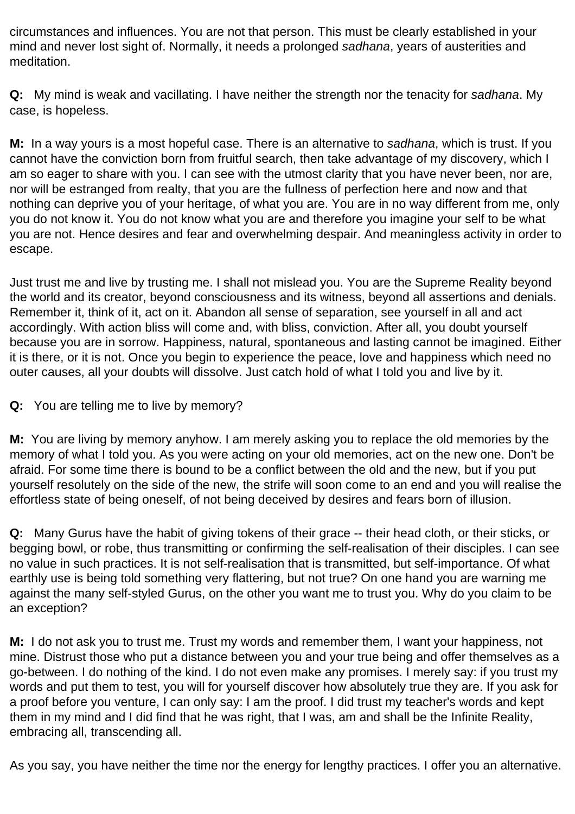circumstances and influences. You are not that person. This must be clearly established in your mind and never lost sight of. Normally, it needs a prolonged *sadhana*, years of austerities and meditation.

**Q:** My mind is weak and vacillating. I have neither the strength nor the tenacity for *sadhana*. My case, is hopeless.

**M:** In a way yours is a most hopeful case. There is an alternative to *sadhana*, which is trust. If you cannot have the conviction born from fruitful search, then take advantage of my discovery, which I am so eager to share with you. I can see with the utmost clarity that you have never been, nor are, nor will be estranged from realty, that you are the fullness of perfection here and now and that nothing can deprive you of your heritage, of what you are. You are in no way different from me, only you do not know it. You do not know what you are and therefore you imagine your self to be what you are not. Hence desires and fear and overwhelming despair. And meaningless activity in order to escape.

Just trust me and live by trusting me. I shall not mislead you. You are the Supreme Reality beyond the world and its creator, beyond consciousness and its witness, beyond all assertions and denials. Remember it, think of it, act on it. Abandon all sense of separation, see yourself in all and act accordingly. With action bliss will come and, with bliss, conviction. After all, you doubt yourself because you are in sorrow. Happiness, natural, spontaneous and lasting cannot be imagined. Either it is there, or it is not. Once you begin to experience the peace, love and happiness which need no outer causes, all your doubts will dissolve. Just catch hold of what I told you and live by it.

**Q:** You are telling me to live by memory?

**M:** You are living by memory anyhow. I am merely asking you to replace the old memories by the memory of what I told you. As you were acting on your old memories, act on the new one. Don't be afraid. For some time there is bound to be a conflict between the old and the new, but if you put yourself resolutely on the side of the new, the strife will soon come to an end and you will realise the effortless state of being oneself, of not being deceived by desires and fears born of illusion.

**Q:** Many Gurus have the habit of giving tokens of their grace -- their head cloth, or their sticks, or begging bowl, or robe, thus transmitting or confirming the self-realisation of their disciples. I can see no value in such practices. It is not self-realisation that is transmitted, but self-importance. Of what earthly use is being told something very flattering, but not true? On one hand you are warning me against the many self-styled Gurus, on the other you want me to trust you. Why do you claim to be an exception?

**M:** I do not ask you to trust me. Trust my words and remember them, I want your happiness, not mine. Distrust those who put a distance between you and your true being and offer themselves as a go-between. I do nothing of the kind. I do not even make any promises. I merely say: if you trust my words and put them to test, you will for yourself discover how absolutely true they are. If you ask for a proof before you venture, I can only say: I am the proof. I did trust my teacher's words and kept them in my mind and I did find that he was right, that I was, am and shall be the Infinite Reality, embracing all, transcending all.

As you say, you have neither the time nor the energy for lengthy practices. I offer you an alternative.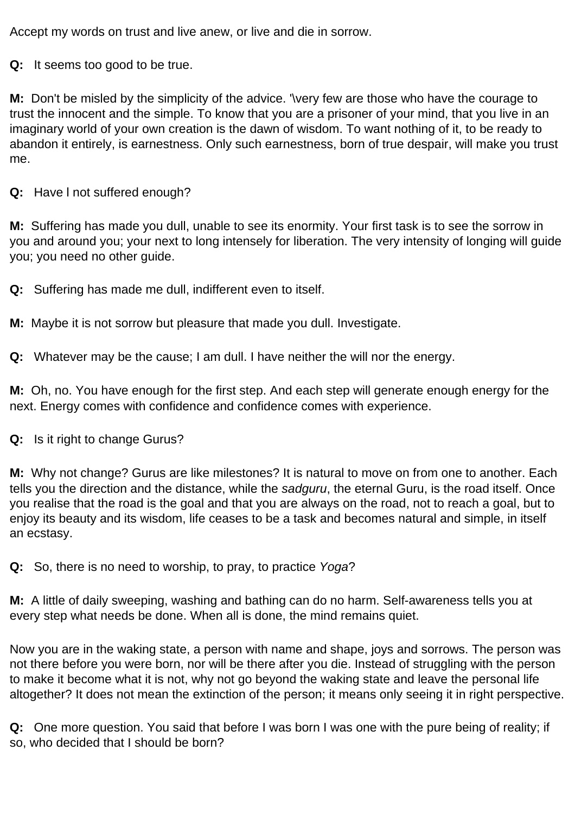Accept my words on trust and live anew, or live and die in sorrow.

**Q:** It seems too good to be true.

**M:** Don't be misled by the simplicity of the advice. '\very few are those who have the courage to trust the innocent and the simple. To know that you are a prisoner of your mind, that you live in an imaginary world of your own creation is the dawn of wisdom. To want nothing of it, to be ready to abandon it entirely, is earnestness. Only such earnestness, born of true despair, will make you trust me.

**Q:** Have l not suffered enough?

**M:** Suffering has made you dull, unable to see its enormity. Your first task is to see the sorrow in you and around you; your next to long intensely for liberation. The very intensity of longing will guide you; you need no other guide.

**Q:** Suffering has made me dull, indifferent even to itself.

**M:** Maybe it is not sorrow but pleasure that made you dull. Investigate.

**Q:** Whatever may be the cause; I am dull. I have neither the will nor the energy.

**M:** Oh, no. You have enough for the first step. And each step will generate enough energy for the next. Energy comes with confidence and confidence comes with experience.

**Q:** Is it right to change Gurus?

**M:** Why not change? Gurus are like milestones? It is natural to move on from one to another. Each tells you the direction and the distance, while the *sadguru*, the eternal Guru, is the road itself. Once you realise that the road is the goal and that you are always on the road, not to reach a goal, but to enjoy its beauty and its wisdom, life ceases to be a task and becomes natural and simple, in itself an ecstasy.

**Q:** So, there is no need to worship, to pray, to practice *Yoga*?

**M:** A little of daily sweeping, washing and bathing can do no harm. Self-awareness tells you at every step what needs be done. When all is done, the mind remains quiet.

Now you are in the waking state, a person with name and shape, joys and sorrows. The person was not there before you were born, nor will be there after you die. Instead of struggling with the person to make it become what it is not, why not go beyond the waking state and leave the personal life altogether? It does not mean the extinction of the person; it means only seeing it in right perspective.

**Q:** One more question. You said that before I was born I was one with the pure being of reality; if so, who decided that I should be born?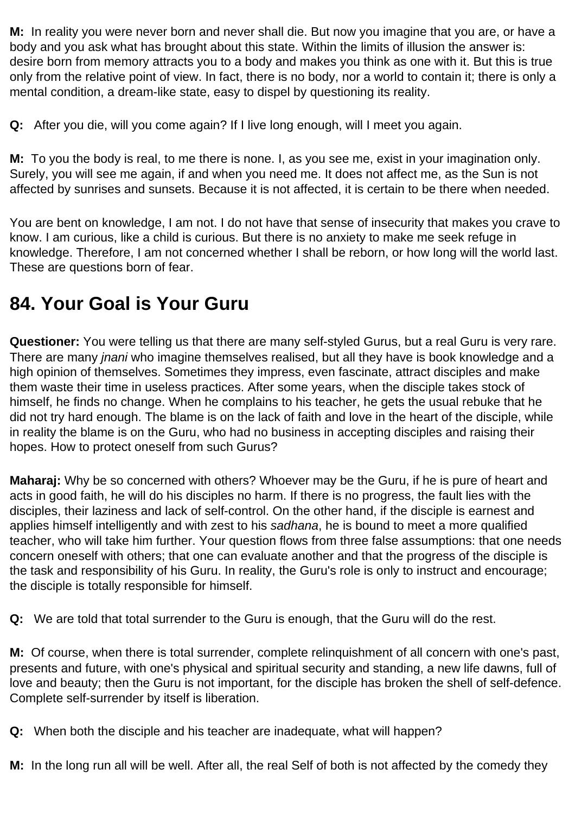**M:** In reality you were never born and never shall die. But now you imagine that you are, or have a body and you ask what has brought about this state. Within the limits of illusion the answer is: desire born from memory attracts you to a body and makes you think as one with it. But this is true only from the relative point of view. In fact, there is no body, nor a world to contain it; there is only a mental condition, a dream-like state, easy to dispel by questioning its reality.

**Q:** After you die, will you come again? If I live long enough, will I meet you again.

**M:** To you the body is real, to me there is none. I, as you see me, exist in your imagination only. Surely, you will see me again, if and when you need me. It does not affect me, as the Sun is not affected by sunrises and sunsets. Because it is not affected, it is certain to be there when needed.

You are bent on knowledge, I am not. I do not have that sense of insecurity that makes you crave to know. I am curious, like a child is curious. But there is no anxiety to make me seek refuge in knowledge. Therefore, I am not concerned whether I shall be reborn, or how long will the world last. These are questions born of fear.

# **84. Your Goal is Your Guru**

**Questioner:** You were telling us that there are many self-styled Gurus, but a real Guru is very rare. There are many *jnani* who imagine themselves realised, but all they have is book knowledge and a high opinion of themselves. Sometimes they impress, even fascinate, attract disciples and make them waste their time in useless practices. After some years, when the disciple takes stock of himself, he finds no change. When he complains to his teacher, he gets the usual rebuke that he did not try hard enough. The blame is on the lack of faith and love in the heart of the disciple, while in reality the blame is on the Guru, who had no business in accepting disciples and raising their hopes. How to protect oneself from such Gurus?

**Maharaj:** Why be so concerned with others? Whoever may be the Guru, if he is pure of heart and acts in good faith, he will do his disciples no harm. If there is no progress, the fault lies with the disciples, their laziness and lack of self-control. On the other hand, if the disciple is earnest and applies himself intelligently and with zest to his *sadhana*, he is bound to meet a more qualified teacher, who will take him further. Your question flows from three false assumptions: that one needs concern oneself with others; that one can evaluate another and that the progress of the disciple is the task and responsibility of his Guru. In reality, the Guru's role is only to instruct and encourage; the disciple is totally responsible for himself.

**Q:** We are told that total surrender to the Guru is enough, that the Guru will do the rest.

**M:** Of course, when there is total surrender, complete relinquishment of all concern with one's past, presents and future, with one's physical and spiritual security and standing, a new life dawns, full of love and beauty; then the Guru is not important, for the disciple has broken the shell of self-defence. Complete self-surrender by itself is liberation.

**Q:** When both the disciple and his teacher are inadequate, what will happen?

**M:** In the long run all will be well. After all, the real Self of both is not affected by the comedy they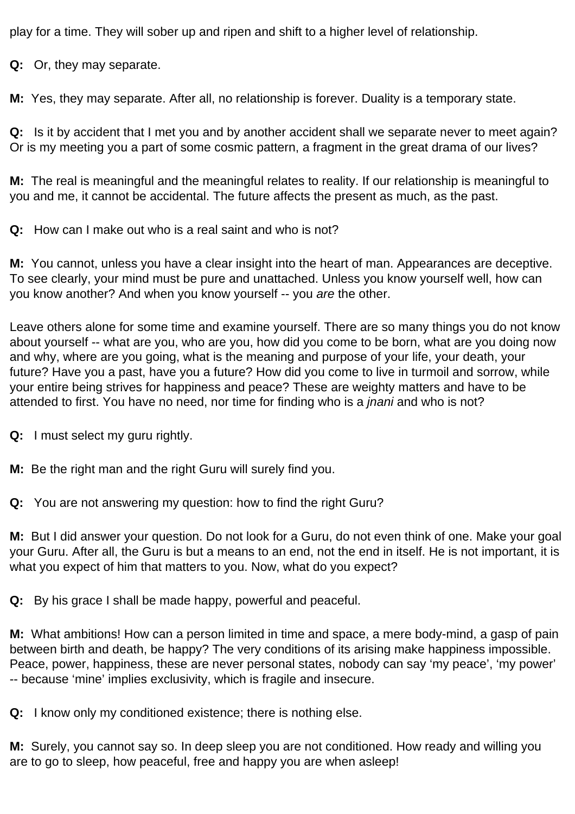play for a time. They will sober up and ripen and shift to a higher level of relationship.

**Q:** Or, they may separate.

**M:** Yes, they may separate. After all, no relationship is forever. Duality is a temporary state.

**Q:** Is it by accident that I met you and by another accident shall we separate never to meet again? Or is my meeting you a part of some cosmic pattern, a fragment in the great drama of our lives?

**M:** The real is meaningful and the meaningful relates to reality. If our relationship is meaningful to you and me, it cannot be accidental. The future affects the present as much, as the past.

**Q:** How can I make out who is a real saint and who is not?

**M:** You cannot, unless you have a clear insight into the heart of man. Appearances are deceptive. To see clearly, your mind must be pure and unattached. Unless you know yourself well, how can you know another? And when you know yourself -- you *are* the other.

Leave others alone for some time and examine yourself. There are so many things you do not know about yourself -- what are you, who are you, how did you come to be born, what are you doing now and why, where are you going, what is the meaning and purpose of your life, your death, your future? Have you a past, have you a future? How did you come to live in turmoil and sorrow, while your entire being strives for happiness and peace? These are weighty matters and have to be attended to first. You have no need, nor time for finding who is a *jnani* and who is not?

- **Q:** I must select my guru rightly.
- **M:** Be the right man and the right Guru will surely find you.
- **Q:** You are not answering my question: how to find the right Guru?

**M:** But I did answer your question. Do not look for a Guru, do not even think of one. Make your goal your Guru. After all, the Guru is but a means to an end, not the end in itself. He is not important, it is what you expect of him that matters to you. Now, what do you expect?

**Q:** By his grace I shall be made happy, powerful and peaceful.

**M:** What ambitions! How can a person limited in time and space, a mere body-mind, a gasp of pain between birth and death, be happy? The very conditions of its arising make happiness impossible. Peace, power, happiness, these are never personal states, nobody can say 'my peace', 'my power' -- because 'mine' implies exclusivity, which is fragile and insecure.

**Q:** I know only my conditioned existence; there is nothing else.

**M:** Surely, you cannot say so. In deep sleep you are not conditioned. How ready and willing you are to go to sleep, how peaceful, free and happy you are when asleep!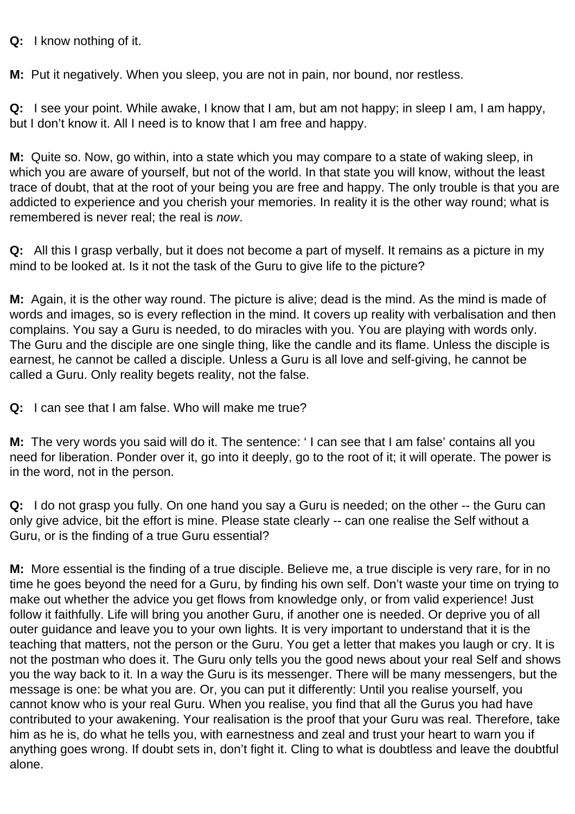**Q:** I know nothing of it.

**M:** Put it negatively. When you sleep, you are not in pain, nor bound, nor restless.

**Q:** I see your point. While awake, I know that I am, but am not happy; in sleep I am, I am happy, but I don't know it. All I need is to know that I am free and happy.

**M:** Quite so. Now, go within, into a state which you may compare to a state of waking sleep, in which you are aware of yourself, but not of the world. In that state you will know, without the least trace of doubt, that at the root of your being you are free and happy. The only trouble is that you are addicted to experience and you cherish your memories. In reality it is the other way round; what is remembered is never real; the real is *now*.

**Q:** All this I grasp verbally, but it does not become a part of myself. It remains as a picture in my mind to be looked at. Is it not the task of the Guru to give life to the picture?

**M:** Again, it is the other way round. The picture is alive; dead is the mind. As the mind is made of words and images, so is every reflection in the mind. It covers up reality with verbalisation and then complains. You say a Guru is needed, to do miracles with you. You are playing with words only. The Guru and the disciple are one single thing, like the candle and its flame. Unless the disciple is earnest, he cannot be called a disciple. Unless a Guru is all love and self-giving, he cannot be called a Guru. Only reality begets reality, not the false.

**Q:** I can see that I am false. Who will make me true?

**M:** The very words you said will do it. The sentence: ' I can see that I am false' contains all you need for liberation. Ponder over it, go into it deeply, go to the root of it; it will operate. The power is in the word, not in the person.

**Q:** I do not grasp you fully. On one hand you say a Guru is needed; on the other -- the Guru can only give advice, bit the effort is mine. Please state clearly -- can one realise the Self without a Guru, or is the finding of a true Guru essential?

**M:** More essential is the finding of a true disciple. Believe me, a true disciple is very rare, for in no time he goes beyond the need for a Guru, by finding his own self. Don't waste your time on trying to make out whether the advice you get flows from knowledge only, or from valid experience! Just follow it faithfully. Life will bring you another Guru, if another one is needed. Or deprive you of all outer guidance and leave you to your own lights. It is very important to understand that it is the teaching that matters, not the person or the Guru. You get a letter that makes you laugh or cry. It is not the postman who does it. The Guru only tells you the good news about your real Self and shows you the way back to it. In a way the Guru is its messenger. There will be many messengers, but the message is one: be what you are. Or, you can put it differently: Until you realise yourself, you cannot know who is your real Guru. When you realise, you find that all the Gurus you had have contributed to your awakening. Your realisation is the proof that your Guru was real. Therefore, take him as he is, do what he tells you, with earnestness and zeal and trust your heart to warn you if anything goes wrong. If doubt sets in, don't fight it. Cling to what is doubtless and leave the doubtful alone.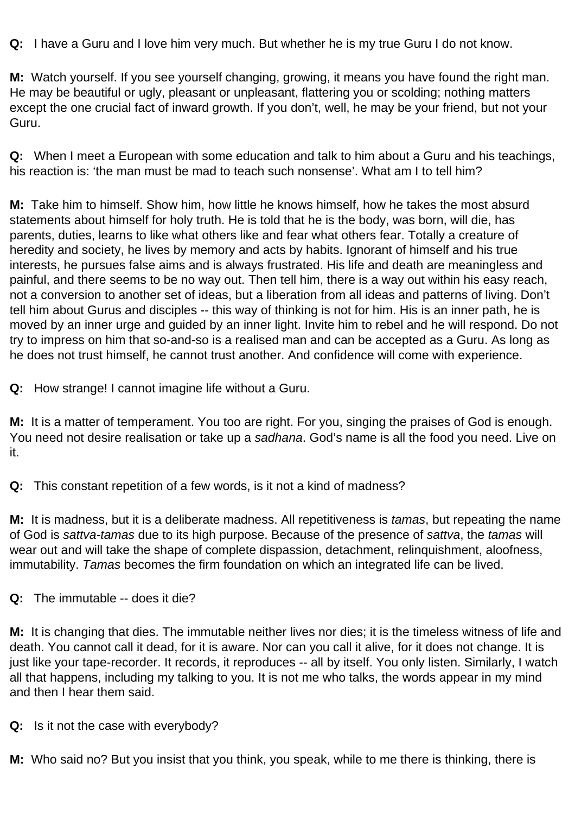**Q:** I have a Guru and I love him very much. But whether he is my true Guru I do not know.

**M:** Watch yourself. If you see yourself changing, growing, it means you have found the right man. He may be beautiful or ugly, pleasant or unpleasant, flattering you or scolding; nothing matters except the one crucial fact of inward growth. If you don't, well, he may be your friend, but not your Guru.

**Q:** When I meet a European with some education and talk to him about a Guru and his teachings, his reaction is: 'the man must be mad to teach such nonsense'. What am I to tell him?

**M:** Take him to himself. Show him, how little he knows himself, how he takes the most absurd statements about himself for holy truth. He is told that he is the body, was born, will die, has parents, duties, learns to like what others like and fear what others fear. Totally a creature of heredity and society, he lives by memory and acts by habits. Ignorant of himself and his true interests, he pursues false aims and is always frustrated. His life and death are meaningless and painful, and there seems to be no way out. Then tell him, there is a way out within his easy reach, not a conversion to another set of ideas, but a liberation from all ideas and patterns of living. Don't tell him about Gurus and disciples -- this way of thinking is not for him. His is an inner path, he is moved by an inner urge and guided by an inner light. Invite him to rebel and he will respond. Do not try to impress on him that so-and-so is a realised man and can be accepted as a Guru. As long as he does not trust himself, he cannot trust another. And confidence will come with experience.

**Q:** How strange! I cannot imagine life without a Guru.

**M:** It is a matter of temperament. You too are right. For you, singing the praises of God is enough. You need not desire realisation or take up a *sadhana*. God's name is all the food you need. Live on it.

**Q:** This constant repetition of a few words, is it not a kind of madness?

**M:** It is madness, but it is a deliberate madness. All repetitiveness is *tamas*, but repeating the name of God is *sattva-tamas* due to its high purpose. Because of the presence of *sattva*, the *tamas* will wear out and will take the shape of complete dispassion, detachment, relinquishment, aloofness, immutability. *Tamas* becomes the firm foundation on which an integrated life can be lived.

**Q:** The immutable -- does it die?

**M:** It is changing that dies. The immutable neither lives nor dies; it is the timeless witness of life and death. You cannot call it dead, for it is aware. Nor can you call it alive, for it does not change. It is just like your tape-recorder. It records, it reproduces -- all by itself. You only listen. Similarly, I watch all that happens, including my talking to you. It is not me who talks, the words appear in my mind and then I hear them said.

**Q:** Is it not the case with everybody?

**M:** Who said no? But you insist that you think, you speak, while to me there is thinking, there is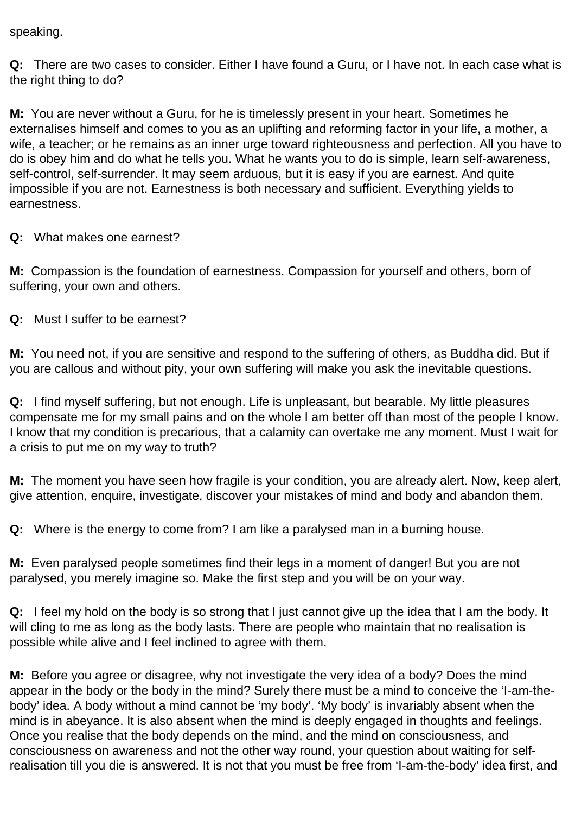speaking.

**Q:** There are two cases to consider. Either I have found a Guru, or I have not. In each case what is the right thing to do?

**M:** You are never without a Guru, for he is timelessly present in your heart. Sometimes he externalises himself and comes to you as an uplifting and reforming factor in your life, a mother, a wife, a teacher; or he remains as an inner urge toward righteousness and perfection. All you have to do is obey him and do what he tells you. What he wants you to do is simple, learn self-awareness, self-control, self-surrender. It may seem arduous, but it is easy if you are earnest. And quite impossible if you are not. Earnestness is both necessary and sufficient. Everything yields to earnestness.

**Q:** What makes one earnest?

**M:** Compassion is the foundation of earnestness. Compassion for yourself and others, born of suffering, your own and others.

**Q:** Must I suffer to be earnest?

**M:** You need not, if you are sensitive and respond to the suffering of others, as Buddha did. But if you are callous and without pity, your own suffering will make you ask the inevitable questions.

**Q:** I find myself suffering, but not enough. Life is unpleasant, but bearable. My little pleasures compensate me for my small pains and on the whole I am better off than most of the people I know. I know that my condition is precarious, that a calamity can overtake me any moment. Must I wait for a crisis to put me on my way to truth?

**M:** The moment you have seen how fragile is your condition, you are already alert. Now, keep alert, give attention, enquire, investigate, discover your mistakes of mind and body and abandon them.

**Q:** Where is the energy to come from? I am like a paralysed man in a burning house.

**M:** Even paralysed people sometimes find their legs in a moment of danger! But you are not paralysed, you merely imagine so. Make the first step and you will be on your way.

**Q:** I feel my hold on the body is so strong that I just cannot give up the idea that I am the body. It will cling to me as long as the body lasts. There are people who maintain that no realisation is possible while alive and I feel inclined to agree with them.

**M:** Before you agree or disagree, why not investigate the very idea of a body? Does the mind appear in the body or the body in the mind? Surely there must be a mind to conceive the 'I-am-thebody' idea. A body without a mind cannot be 'my body'. 'My body' is invariably absent when the mind is in abeyance. It is also absent when the mind is deeply engaged in thoughts and feelings. Once you realise that the body depends on the mind, and the mind on consciousness, and consciousness on awareness and not the other way round, your question about waiting for selfrealisation till you die is answered. It is not that you must be free from 'I-am-the-body' idea first, and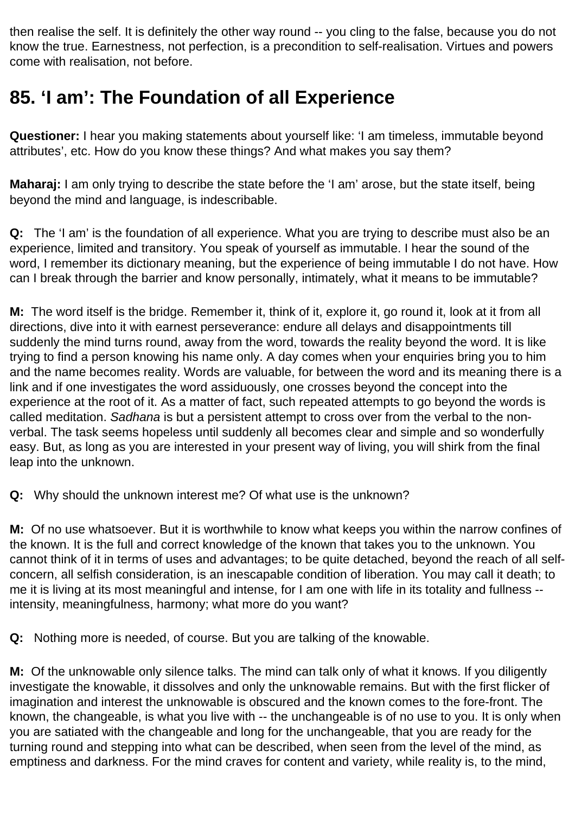then realise the self. It is definitely the other way round -- you cling to the false, because you do not know the true. Earnestness, not perfection, is a precondition to self-realisation. Virtues and powers come with realisation, not before.

## **85. 'I am': The Foundation of all Experience**

**Questioner:** I hear you making statements about yourself like: 'I am timeless, immutable beyond attributes', etc. How do you know these things? And what makes you say them?

**Maharaj:** I am only trying to describe the state before the 'I am' arose, but the state itself, being beyond the mind and language, is indescribable.

**Q:** The 'I am' is the foundation of all experience. What you are trying to describe must also be an experience, limited and transitory. You speak of yourself as immutable. I hear the sound of the word, I remember its dictionary meaning, but the experience of being immutable I do not have. How can I break through the barrier and know personally, intimately, what it means to be immutable?

**M:** The word itself is the bridge. Remember it, think of it, explore it, go round it, look at it from all directions, dive into it with earnest perseverance: endure all delays and disappointments till suddenly the mind turns round, away from the word, towards the reality beyond the word. It is like trying to find a person knowing his name only. A day comes when your enquiries bring you to him and the name becomes reality. Words are valuable, for between the word and its meaning there is a link and if one investigates the word assiduously, one crosses beyond the concept into the experience at the root of it. As a matter of fact, such repeated attempts to go beyond the words is called meditation. *Sadhana* is but a persistent attempt to cross over from the verbal to the nonverbal. The task seems hopeless until suddenly all becomes clear and simple and so wonderfully easy. But, as long as you are interested in your present way of living, you will shirk from the final leap into the unknown.

**Q:** Why should the unknown interest me? Of what use is the unknown?

**M:** Of no use whatsoever. But it is worthwhile to know what keeps you within the narrow confines of the known. It is the full and correct knowledge of the known that takes you to the unknown. You cannot think of it in terms of uses and advantages; to be quite detached, beyond the reach of all selfconcern, all selfish consideration, is an inescapable condition of liberation. You may call it death; to me it is living at its most meaningful and intense, for I am one with life in its totality and fullness - intensity, meaningfulness, harmony; what more do you want?

**Q:** Nothing more is needed, of course. But you are talking of the knowable.

**M:** Of the unknowable only silence talks. The mind can talk only of what it knows. If you diligently investigate the knowable, it dissolves and only the unknowable remains. But with the first flicker of imagination and interest the unknowable is obscured and the known comes to the fore-front. The known, the changeable, is what you live with -- the unchangeable is of no use to you. It is only when you are satiated with the changeable and long for the unchangeable, that you are ready for the turning round and stepping into what can be described, when seen from the level of the mind, as emptiness and darkness. For the mind craves for content and variety, while reality is, to the mind,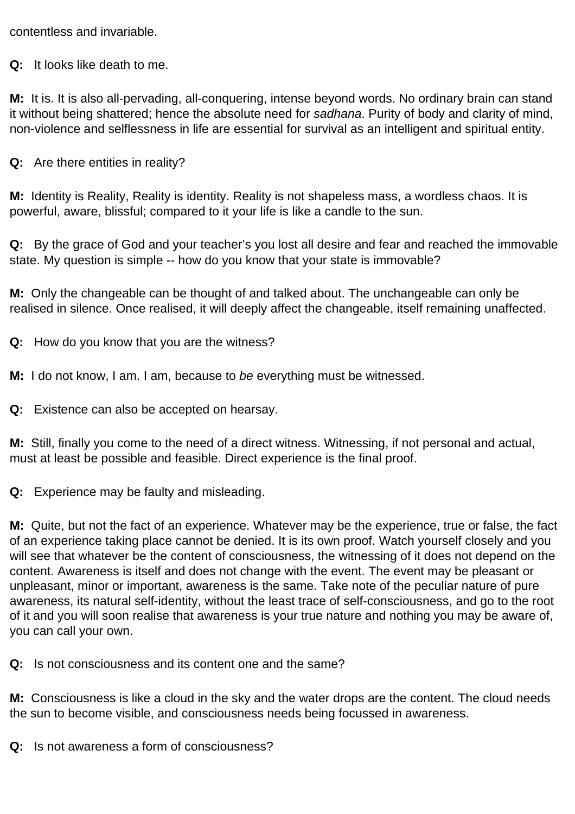contentless and invariable.

**Q:** It looks like death to me.

**M:** It is. It is also all-pervading, all-conquering, intense beyond words. No ordinary brain can stand it without being shattered; hence the absolute need for *sadhana*. Purity of body and clarity of mind, non-violence and selflessness in life are essential for survival as an intelligent and spiritual entity.

**Q:** Are there entities in reality?

**M:** Identity is Reality, Reality is identity. Reality is not shapeless mass, a wordless chaos. It is powerful, aware, blissful; compared to it your life is like a candle to the sun.

**Q:** By the grace of God and your teacher's you lost all desire and fear and reached the immovable state. My question is simple -- how do you know that your state is immovable?

**M:** Only the changeable can be thought of and talked about. The unchangeable can only be realised in silence. Once realised, it will deeply affect the changeable, itself remaining unaffected.

**Q:** How do you know that you are the witness?

**M:** I do not know, I am. I am, because to *be* everything must be witnessed.

**Q:** Existence can also be accepted on hearsay.

**M:** Still, finally you come to the need of a direct witness. Witnessing, if not personal and actual, must at least be possible and feasible. Direct experience is the final proof.

**Q:** Experience may be faulty and misleading.

**M:** Quite, but not the fact of an experience. Whatever may be the experience, true or false, the fact of an experience taking place cannot be denied. It is its own proof. Watch yourself closely and you will see that whatever be the content of consciousness, the witnessing of it does not depend on the content. Awareness is itself and does not change with the event. The event may be pleasant or unpleasant, minor or important, awareness is the same. Take note of the peculiar nature of pure awareness, its natural self-identity, without the least trace of self-consciousness, and go to the root of it and you will soon realise that awareness is your true nature and nothing you may be aware of, you can call your own.

**Q:** Is not consciousness and its content one and the same?

**M:** Consciousness is like a cloud in the sky and the water drops are the content. The cloud needs the sun to become visible, and consciousness needs being focussed in awareness.

**Q:** Is not awareness a form of consciousness?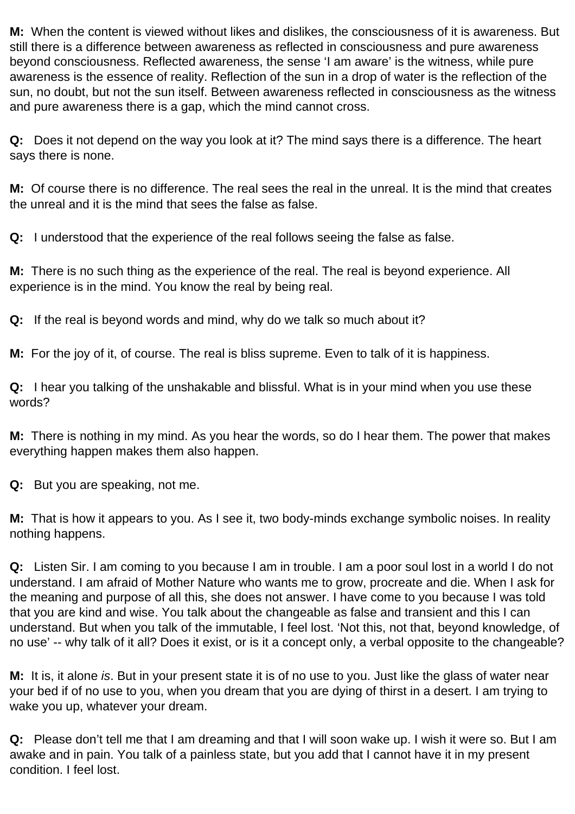**M:** When the content is viewed without likes and dislikes, the consciousness of it is awareness. But still there is a difference between awareness as reflected in consciousness and pure awareness beyond consciousness. Reflected awareness, the sense 'I am aware' is the witness, while pure awareness is the essence of reality. Reflection of the sun in a drop of water is the reflection of the sun, no doubt, but not the sun itself. Between awareness reflected in consciousness as the witness and pure awareness there is a gap, which the mind cannot cross.

**Q:** Does it not depend on the way you look at it? The mind says there is a difference. The heart says there is none.

**M:** Of course there is no difference. The real sees the real in the unreal. It is the mind that creates the unreal and it is the mind that sees the false as false.

**Q:** I understood that the experience of the real follows seeing the false as false.

**M:** There is no such thing as the experience of the real. The real is beyond experience. All experience is in the mind. You know the real by being real.

**Q:** If the real is beyond words and mind, why do we talk so much about it?

**M:** For the joy of it, of course. The real is bliss supreme. Even to talk of it is happiness.

**Q:** I hear you talking of the unshakable and blissful. What is in your mind when you use these words?

**M:** There is nothing in my mind. As you hear the words, so do I hear them. The power that makes everything happen makes them also happen.

**Q:** But you are speaking, not me.

**M:** That is how it appears to you. As I see it, two body-minds exchange symbolic noises. In reality nothing happens.

**Q:** Listen Sir. I am coming to you because I am in trouble. I am a poor soul lost in a world I do not understand. I am afraid of Mother Nature who wants me to grow, procreate and die. When I ask for the meaning and purpose of all this, she does not answer. I have come to you because I was told that you are kind and wise. You talk about the changeable as false and transient and this I can understand. But when you talk of the immutable, I feel lost. 'Not this, not that, beyond knowledge, of no use' -- why talk of it all? Does it exist, or is it a concept only, a verbal opposite to the changeable?

**M:** It is, it alone *is*. But in your present state it is of no use to you. Just like the glass of water near your bed if of no use to you, when you dream that you are dying of thirst in a desert. I am trying to wake you up, whatever your dream.

**Q:** Please don't tell me that I am dreaming and that I will soon wake up. I wish it were so. But I am awake and in pain. You talk of a painless state, but you add that I cannot have it in my present condition. I feel lost.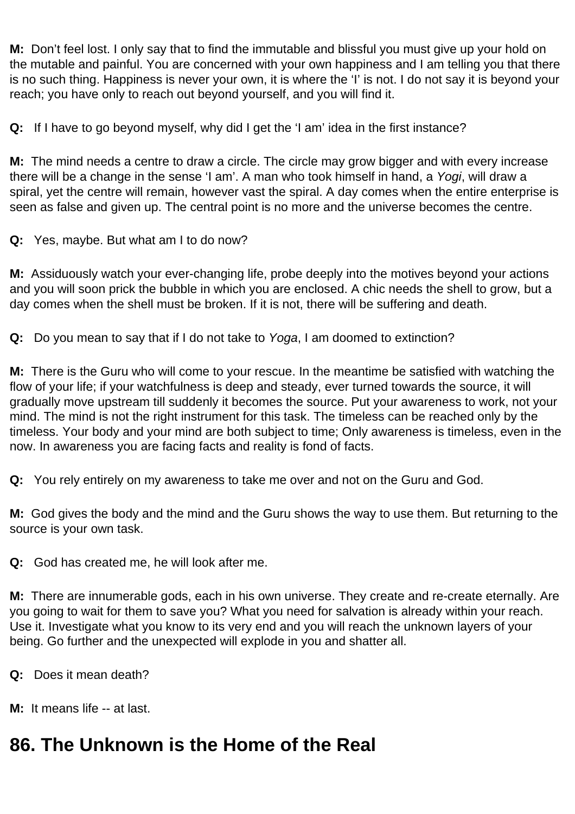**M:** Don't feel lost. I only say that to find the immutable and blissful you must give up your hold on the mutable and painful. You are concerned with your own happiness and I am telling you that there is no such thing. Happiness is never your own, it is where the 'I' is not. I do not say it is beyond your reach; you have only to reach out beyond yourself, and you will find it.

**Q:** If I have to go beyond myself, why did I get the 'I am' idea in the first instance?

**M:** The mind needs a centre to draw a circle. The circle may grow bigger and with every increase there will be a change in the sense 'I am'. A man who took himself in hand, a *Yogi*, will draw a spiral, yet the centre will remain, however vast the spiral. A day comes when the entire enterprise is seen as false and given up. The central point is no more and the universe becomes the centre.

**Q:** Yes, maybe. But what am I to do now?

**M:** Assiduously watch your ever-changing life, probe deeply into the motives beyond your actions and you will soon prick the bubble in which you are enclosed. A chic needs the shell to grow, but a day comes when the shell must be broken. If it is not, there will be suffering and death.

**Q:** Do you mean to say that if I do not take to *Yoga*, I am doomed to extinction?

**M:** There is the Guru who will come to your rescue. In the meantime be satisfied with watching the flow of your life; if your watchfulness is deep and steady, ever turned towards the source, it will gradually move upstream till suddenly it becomes the source. Put your awareness to work, not your mind. The mind is not the right instrument for this task. The timeless can be reached only by the timeless. Your body and your mind are both subject to time; Only awareness is timeless, even in the now. In awareness you are facing facts and reality is fond of facts.

**Q:** You rely entirely on my awareness to take me over and not on the Guru and God.

**M:** God gives the body and the mind and the Guru shows the way to use them. But returning to the source is your own task.

**Q:** God has created me, he will look after me.

**M:** There are innumerable gods, each in his own universe. They create and re-create eternally. Are you going to wait for them to save you? What you need for salvation is already within your reach. Use it. Investigate what you know to its very end and you will reach the unknown layers of your being. Go further and the unexpected will explode in you and shatter all.

**Q:** Does it mean death?

**M:** It means life -- at last.

# **86. The Unknown is the Home of the Real**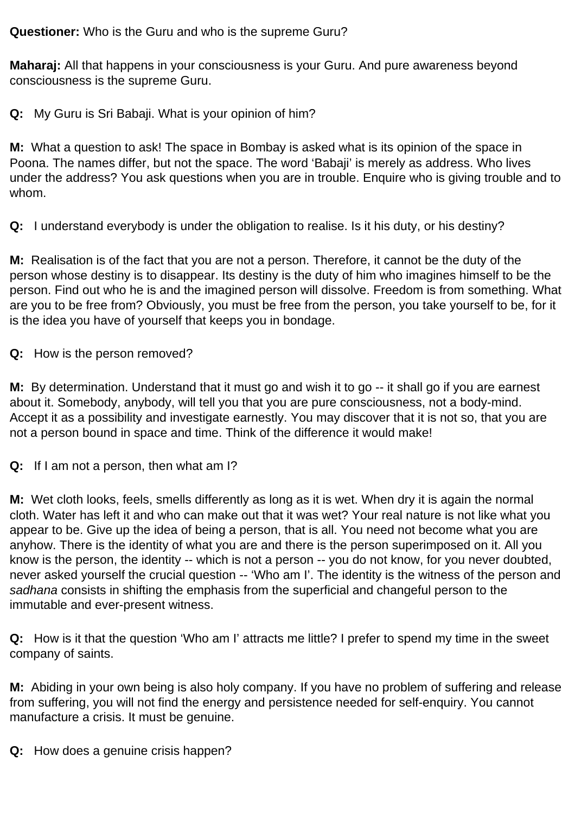**Questioner:** Who is the Guru and who is the supreme Guru?

**Maharaj:** All that happens in your consciousness is your Guru. And pure awareness beyond consciousness is the supreme Guru.

**Q:** My Guru is Sri Babaji. What is your opinion of him?

**M:** What a question to ask! The space in Bombay is asked what is its opinion of the space in Poona. The names differ, but not the space. The word 'Babaji' is merely as address. Who lives under the address? You ask questions when you are in trouble. Enquire who is giving trouble and to whom.

**Q:** I understand everybody is under the obligation to realise. Is it his duty, or his destiny?

**M:** Realisation is of the fact that you are not a person. Therefore, it cannot be the duty of the person whose destiny is to disappear. Its destiny is the duty of him who imagines himself to be the person. Find out who he is and the imagined person will dissolve. Freedom is from something. What are you to be free from? Obviously, you must be free from the person, you take yourself to be, for it is the idea you have of yourself that keeps you in bondage.

**Q:** How is the person removed?

**M:** By determination. Understand that it must go and wish it to go -- it shall go if you are earnest about it. Somebody, anybody, will tell you that you are pure consciousness, not a body-mind. Accept it as a possibility and investigate earnestly. You may discover that it is not so, that you are not a person bound in space and time. Think of the difference it would make!

**Q:** If I am not a person, then what am I?

**M:** Wet cloth looks, feels, smells differently as long as it is wet. When dry it is again the normal cloth. Water has left it and who can make out that it was wet? Your real nature is not like what you appear to be. Give up the idea of being a person, that is all. You need not become what you are anyhow. There is the identity of what you are and there is the person superimposed on it. All you know is the person, the identity -- which is not a person -- you do not know, for you never doubted, never asked yourself the crucial question -- 'Who am I'. The identity is the witness of the person and *sadhana* consists in shifting the emphasis from the superficial and changeful person to the immutable and ever-present witness.

**Q:** How is it that the question 'Who am I' attracts me little? I prefer to spend my time in the sweet company of saints.

**M:** Abiding in your own being is also holy company. If you have no problem of suffering and release from suffering, you will not find the energy and persistence needed for self-enquiry. You cannot manufacture a crisis. It must be genuine.

**Q:** How does a genuine crisis happen?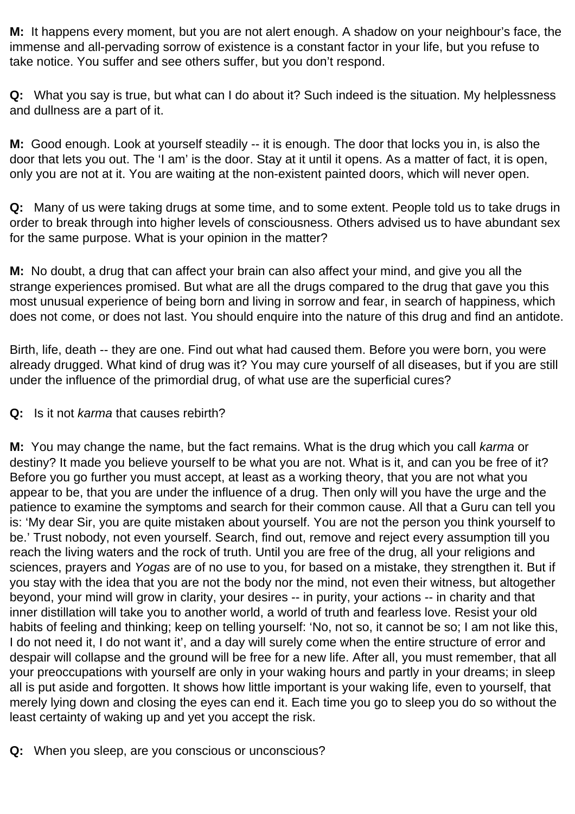**M:** It happens every moment, but you are not alert enough. A shadow on your neighbour's face, the immense and all-pervading sorrow of existence is a constant factor in your life, but you refuse to take notice. You suffer and see others suffer, but you don't respond.

**Q:** What you say is true, but what can I do about it? Such indeed is the situation. My helplessness and dullness are a part of it.

**M:** Good enough. Look at yourself steadily -- it is enough. The door that locks you in, is also the door that lets you out. The 'I am' is the door. Stay at it until it opens. As a matter of fact, it is open, only you are not at it. You are waiting at the non-existent painted doors, which will never open.

**Q:** Many of us were taking drugs at some time, and to some extent. People told us to take drugs in order to break through into higher levels of consciousness. Others advised us to have abundant sex for the same purpose. What is your opinion in the matter?

**M:** No doubt, a drug that can affect your brain can also affect your mind, and give you all the strange experiences promised. But what are all the drugs compared to the drug that gave you this most unusual experience of being born and living in sorrow and fear, in search of happiness, which does not come, or does not last. You should enquire into the nature of this drug and find an antidote.

Birth, life, death -- they are one. Find out what had caused them. Before you were born, you were already drugged. What kind of drug was it? You may cure yourself of all diseases, but if you are still under the influence of the primordial drug, of what use are the superficial cures?

### **Q:** Is it not *karma* that causes rebirth?

**M:** You may change the name, but the fact remains. What is the drug which you call *karma* or destiny? It made you believe yourself to be what you are not. What is it, and can you be free of it? Before you go further you must accept, at least as a working theory, that you are not what you appear to be, that you are under the influence of a drug. Then only will you have the urge and the patience to examine the symptoms and search for their common cause. All that a Guru can tell you is: 'My dear Sir, you are quite mistaken about yourself. You are not the person you think yourself to be.' Trust nobody, not even yourself. Search, find out, remove and reject every assumption till you reach the living waters and the rock of truth. Until you are free of the drug, all your religions and sciences, prayers and *Yogas* are of no use to you, for based on a mistake, they strengthen it. But if you stay with the idea that you are not the body nor the mind, not even their witness, but altogether beyond, your mind will grow in clarity, your desires -- in purity, your actions -- in charity and that inner distillation will take you to another world, a world of truth and fearless love. Resist your old habits of feeling and thinking; keep on telling yourself: 'No, not so, it cannot be so; I am not like this, I do not need it, I do not want it', and a day will surely come when the entire structure of error and despair will collapse and the ground will be free for a new life. After all, you must remember, that all your preoccupations with yourself are only in your waking hours and partly in your dreams; in sleep all is put aside and forgotten. It shows how little important is your waking life, even to yourself, that merely lying down and closing the eyes can end it. Each time you go to sleep you do so without the least certainty of waking up and yet you accept the risk.

**Q:** When you sleep, are you conscious or unconscious?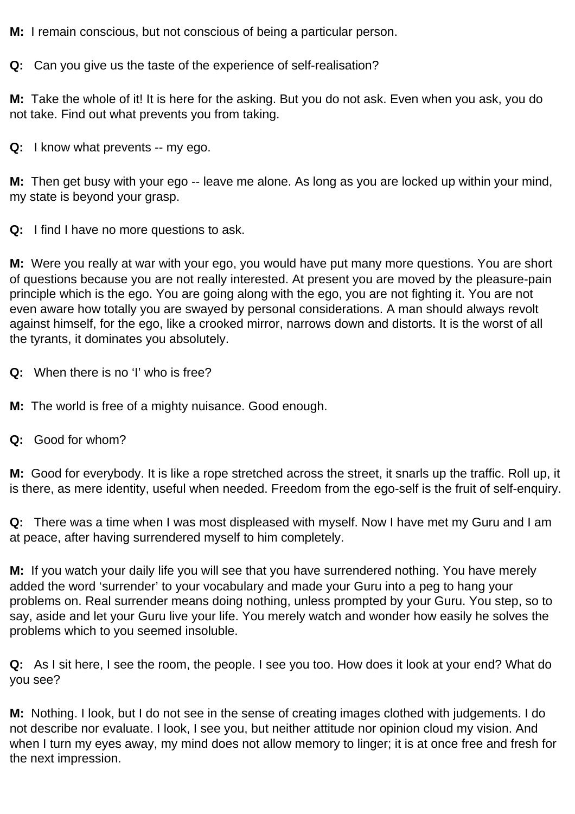**M:** I remain conscious, but not conscious of being a particular person.

**Q:** Can you give us the taste of the experience of self-realisation?

**M:** Take the whole of it! It is here for the asking. But you do not ask. Even when you ask, you do not take. Find out what prevents you from taking.

**Q:** I know what prevents -- my ego.

**M:** Then get busy with your ego -- leave me alone. As long as you are locked up within your mind, my state is beyond your grasp.

**Q:** I find I have no more questions to ask.

**M:** Were you really at war with your ego, you would have put many more questions. You are short of questions because you are not really interested. At present you are moved by the pleasure-pain principle which is the ego. You are going along with the ego, you are not fighting it. You are not even aware how totally you are swayed by personal considerations. A man should always revolt against himself, for the ego, like a crooked mirror, narrows down and distorts. It is the worst of all the tyrants, it dominates you absolutely.

**Q:** When there is no 'I' who is free?

**M:** The world is free of a mighty nuisance. Good enough.

**Q:** Good for whom?

**M:** Good for everybody. It is like a rope stretched across the street, it snarls up the traffic. Roll up, it is there, as mere identity, useful when needed. Freedom from the ego-self is the fruit of self-enquiry.

**Q:** There was a time when I was most displeased with myself. Now I have met my Guru and I am at peace, after having surrendered myself to him completely.

**M:** If you watch your daily life you will see that you have surrendered nothing. You have merely added the word 'surrender' to your vocabulary and made your Guru into a peg to hang your problems on. Real surrender means doing nothing, unless prompted by your Guru. You step, so to say, aside and let your Guru live your life. You merely watch and wonder how easily he solves the problems which to you seemed insoluble.

**Q:** As I sit here, I see the room, the people. I see you too. How does it look at your end? What do you see?

**M:** Nothing. I look, but I do not see in the sense of creating images clothed with judgements. I do not describe nor evaluate. I look, I see you, but neither attitude nor opinion cloud my vision. And when I turn my eyes away, my mind does not allow memory to linger; it is at once free and fresh for the next impression.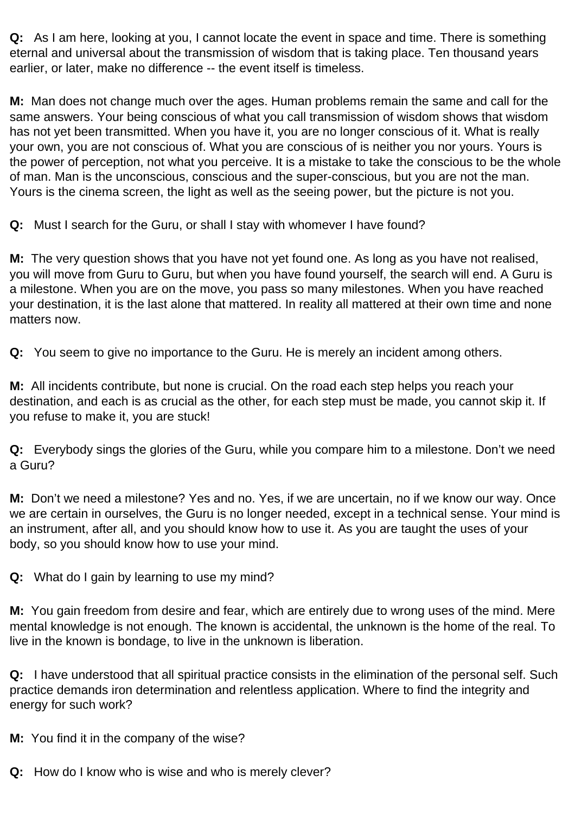**Q:** As I am here, looking at you, I cannot locate the event in space and time. There is something eternal and universal about the transmission of wisdom that is taking place. Ten thousand years earlier, or later, make no difference -- the event itself is timeless.

**M:** Man does not change much over the ages. Human problems remain the same and call for the same answers. Your being conscious of what you call transmission of wisdom shows that wisdom has not yet been transmitted. When you have it, you are no longer conscious of it. What is really your own, you are not conscious of. What you are conscious of is neither you nor yours. Yours is the power of perception, not what you perceive. It is a mistake to take the conscious to be the whole of man. Man is the unconscious, conscious and the super-conscious, but you are not the man. Yours is the cinema screen, the light as well as the seeing power, but the picture is not you.

**Q:** Must I search for the Guru, or shall I stay with whomever I have found?

**M:** The very question shows that you have not yet found one. As long as you have not realised, you will move from Guru to Guru, but when you have found yourself, the search will end. A Guru is a milestone. When you are on the move, you pass so many milestones. When you have reached your destination, it is the last alone that mattered. In reality all mattered at their own time and none matters now.

**Q:** You seem to give no importance to the Guru. He is merely an incident among others.

**M:** All incidents contribute, but none is crucial. On the road each step helps you reach your destination, and each is as crucial as the other, for each step must be made, you cannot skip it. If you refuse to make it, you are stuck!

**Q:** Everybody sings the glories of the Guru, while you compare him to a milestone. Don't we need a Guru?

**M:** Don't we need a milestone? Yes and no. Yes, if we are uncertain, no if we know our way. Once we are certain in ourselves, the Guru is no longer needed, except in a technical sense. Your mind is an instrument, after all, and you should know how to use it. As you are taught the uses of your body, so you should know how to use your mind.

**Q:** What do I gain by learning to use my mind?

**M:** You gain freedom from desire and fear, which are entirely due to wrong uses of the mind. Mere mental knowledge is not enough. The known is accidental, the unknown is the home of the real. To live in the known is bondage, to live in the unknown is liberation.

**Q:** I have understood that all spiritual practice consists in the elimination of the personal self. Such practice demands iron determination and relentless application. Where to find the integrity and energy for such work?

**M:** You find it in the company of the wise?

**Q:** How do I know who is wise and who is merely clever?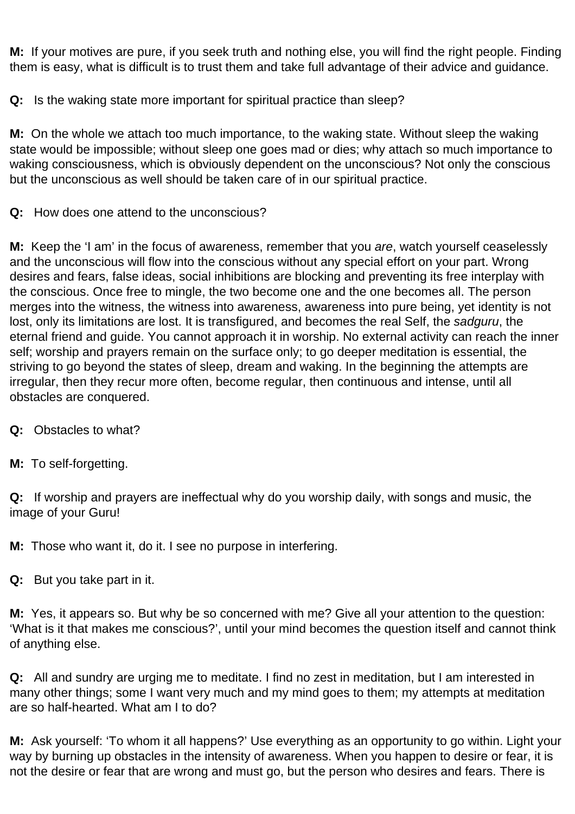**M:** If your motives are pure, if you seek truth and nothing else, you will find the right people. Finding them is easy, what is difficult is to trust them and take full advantage of their advice and guidance.

**Q:** Is the waking state more important for spiritual practice than sleep?

**M:** On the whole we attach too much importance, to the waking state. Without sleep the waking state would be impossible; without sleep one goes mad or dies; why attach so much importance to waking consciousness, which is obviously dependent on the unconscious? Not only the conscious but the unconscious as well should be taken care of in our spiritual practice.

**Q:** How does one attend to the unconscious?

**M:** Keep the 'I am' in the focus of awareness, remember that you *are*, watch yourself ceaselessly and the unconscious will flow into the conscious without any special effort on your part. Wrong desires and fears, false ideas, social inhibitions are blocking and preventing its free interplay with the conscious. Once free to mingle, the two become one and the one becomes all. The person merges into the witness, the witness into awareness, awareness into pure being, yet identity is not lost, only its limitations are lost. It is transfigured, and becomes the real Self, the *sadguru*, the eternal friend and guide. You cannot approach it in worship. No external activity can reach the inner self; worship and prayers remain on the surface only; to go deeper meditation is essential, the striving to go beyond the states of sleep, dream and waking. In the beginning the attempts are irregular, then they recur more often, become regular, then continuous and intense, until all obstacles are conquered.

- **Q:** Obstacles to what?
- **M:** To self-forgetting.

**Q:** If worship and prayers are ineffectual why do you worship daily, with songs and music, the image of your Guru!

- **M:** Those who want it, do it. I see no purpose in interfering.
- **Q:** But you take part in it.

**M:** Yes, it appears so. But why be so concerned with me? Give all your attention to the question: 'What is it that makes me conscious?', until your mind becomes the question itself and cannot think of anything else.

**Q:** All and sundry are urging me to meditate. I find no zest in meditation, but I am interested in many other things; some I want very much and my mind goes to them; my attempts at meditation are so half-hearted. What am I to do?

**M:** Ask yourself: 'To whom it all happens?' Use everything as an opportunity to go within. Light your way by burning up obstacles in the intensity of awareness. When you happen to desire or fear, it is not the desire or fear that are wrong and must go, but the person who desires and fears. There is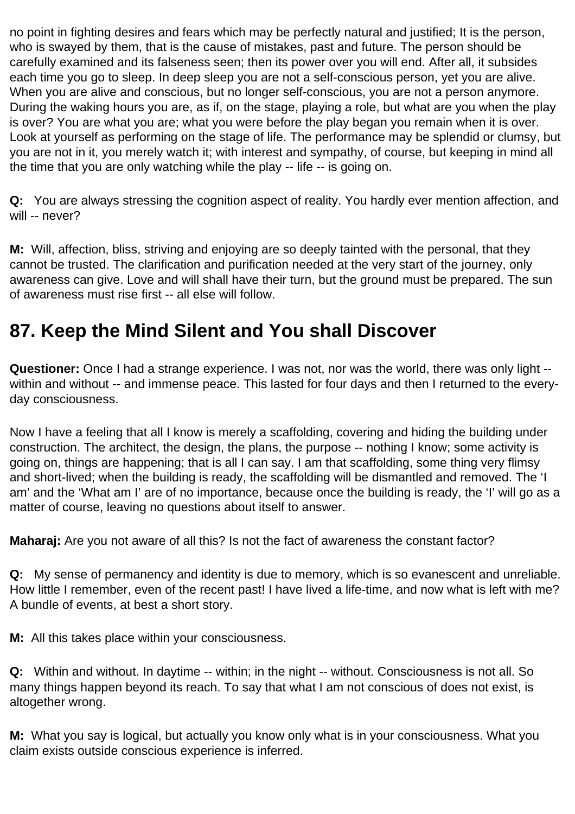no point in fighting desires and fears which may be perfectly natural and justified; It is the person, who is swayed by them, that is the cause of mistakes, past and future. The person should be carefully examined and its falseness seen; then its power over you will end. After all, it subsides each time you go to sleep. In deep sleep you are not a self-conscious person, yet you are alive. When you are alive and conscious, but no longer self-conscious, you are not a person anymore. During the waking hours you are, as if, on the stage, playing a role, but what are you when the play is over? You are what you are; what you were before the play began you remain when it is over. Look at yourself as performing on the stage of life. The performance may be splendid or clumsy, but you are not in it, you merely watch it; with interest and sympathy, of course, but keeping in mind all the time that you are only watching while the play -- life -- is going on.

**Q:** You are always stressing the cognition aspect of reality. You hardly ever mention affection, and will -- never?

**M:** Will, affection, bliss, striving and enjoying are so deeply tainted with the personal, that they cannot be trusted. The clarification and purification needed at the very start of the journey, only awareness can give. Love and will shall have their turn, but the ground must be prepared. The sun of awareness must rise first -- all else will follow.

## **87. Keep the Mind Silent and You shall Discover**

**Questioner:** Once I had a strange experience. I was not, nor was the world, there was only light - within and without -- and immense peace. This lasted for four days and then I returned to the everyday consciousness.

Now I have a feeling that all I know is merely a scaffolding, covering and hiding the building under construction. The architect, the design, the plans, the purpose -- nothing I know; some activity is going on, things are happening; that is all I can say. I am that scaffolding, some thing very flimsy and short-lived; when the building is ready, the scaffolding will be dismantled and removed. The 'I am' and the 'What am I' are of no importance, because once the building is ready, the 'I' will go as a matter of course, leaving no questions about itself to answer.

**Maharaj:** Are you not aware of all this? Is not the fact of awareness the constant factor?

**Q:** My sense of permanency and identity is due to memory, which is so evanescent and unreliable. How little I remember, even of the recent past! I have lived a life-time, and now what is left with me? A bundle of events, at best a short story.

**M:** All this takes place within your consciousness.

**Q:** Within and without. In daytime -- within; in the night -- without. Consciousness is not all. So many things happen beyond its reach. To say that what I am not conscious of does not exist, is altogether wrong.

**M:** What you say is logical, but actually you know only what is in your consciousness. What you claim exists outside conscious experience is inferred.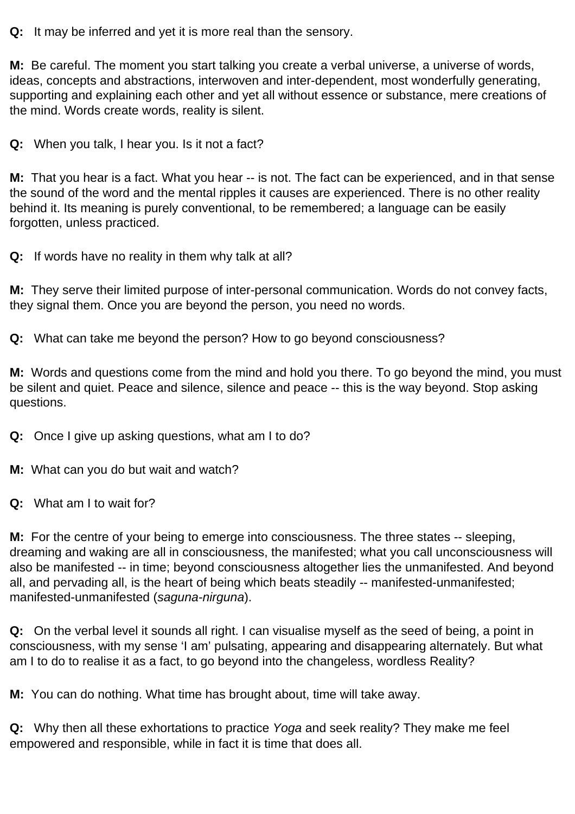**Q:** It may be inferred and yet it is more real than the sensory.

**M:** Be careful. The moment you start talking you create a verbal universe, a universe of words, ideas, concepts and abstractions, interwoven and inter-dependent, most wonderfully generating, supporting and explaining each other and yet all without essence or substance, mere creations of the mind. Words create words, reality is silent.

**Q:** When you talk, I hear you. Is it not a fact?

**M:** That you hear is a fact. What you hear -- is not. The fact can be experienced, and in that sense the sound of the word and the mental ripples it causes are experienced. There is no other reality behind it. Its meaning is purely conventional, to be remembered; a language can be easily forgotten, unless practiced.

**Q:** If words have no reality in them why talk at all?

**M:** They serve their limited purpose of inter-personal communication. Words do not convey facts, they signal them. Once you are beyond the person, you need no words.

**Q:** What can take me beyond the person? How to go beyond consciousness?

**M:** Words and questions come from the mind and hold you there. To go beyond the mind, you must be silent and quiet. Peace and silence, silence and peace -- this is the way beyond. Stop asking questions.

**Q:** Once I give up asking questions, what am I to do?

**M:** What can you do but wait and watch?

**Q:** What am I to wait for?

**M:** For the centre of your being to emerge into consciousness. The three states -- sleeping, dreaming and waking are all in consciousness, the manifested; what you call unconsciousness will also be manifested -- in time; beyond consciousness altogether lies the unmanifested. And beyond all, and pervading all, is the heart of being which beats steadily -- manifested-unmanifested; manifested-unmanifested (*saguna-nirguna*).

**Q:** On the verbal level it sounds all right. I can visualise myself as the seed of being, a point in consciousness, with my sense 'I am' pulsating, appearing and disappearing alternately. But what am I to do to realise it as a fact, to go beyond into the changeless, wordless Reality?

**M:** You can do nothing. What time has brought about, time will take away.

**Q:** Why then all these exhortations to practice *Yoga* and seek reality? They make me feel empowered and responsible, while in fact it is time that does all.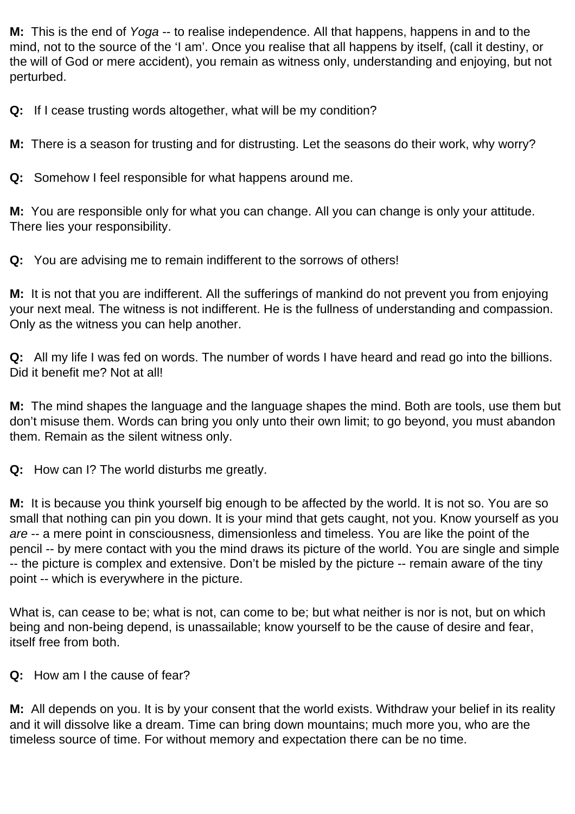**M:** This is the end of *Yoga* -- to realise independence. All that happens, happens in and to the mind, not to the source of the 'I am'. Once you realise that all happens by itself, (call it destiny, or the will of God or mere accident), you remain as witness only, understanding and enjoying, but not perturbed.

**Q:** If I cease trusting words altogether, what will be my condition?

**M:** There is a season for trusting and for distrusting. Let the seasons do their work, why worry?

**Q:** Somehow I feel responsible for what happens around me.

**M:** You are responsible only for what you can change. All you can change is only your attitude. There lies your responsibility.

**Q:** You are advising me to remain indifferent to the sorrows of others!

**M:** It is not that you are indifferent. All the sufferings of mankind do not prevent you from enjoying your next meal. The witness is not indifferent. He is the fullness of understanding and compassion. Only as the witness you can help another.

**Q:** All my life I was fed on words. The number of words I have heard and read go into the billions. Did it benefit me? Not at all!

**M:** The mind shapes the language and the language shapes the mind. Both are tools, use them but don't misuse them. Words can bring you only unto their own limit; to go beyond, you must abandon them. Remain as the silent witness only.

**Q:** How can I? The world disturbs me greatly.

**M:** It is because you think yourself big enough to be affected by the world. It is not so. You are so small that nothing can pin you down. It is your mind that gets caught, not you. Know yourself as you *are* -- a mere point in consciousness, dimensionless and timeless. You are like the point of the pencil -- by mere contact with you the mind draws its picture of the world. You are single and simple -- the picture is complex and extensive. Don't be misled by the picture -- remain aware of the tiny point -- which is everywhere in the picture.

What is, can cease to be; what is not, can come to be; but what neither is nor is not, but on which being and non-being depend, is unassailable; know yourself to be the cause of desire and fear, itself free from both.

**Q:** How am I the cause of fear?

**M:** All depends on you. It is by your consent that the world exists. Withdraw your belief in its reality and it will dissolve like a dream. Time can bring down mountains; much more you, who are the timeless source of time. For without memory and expectation there can be no time.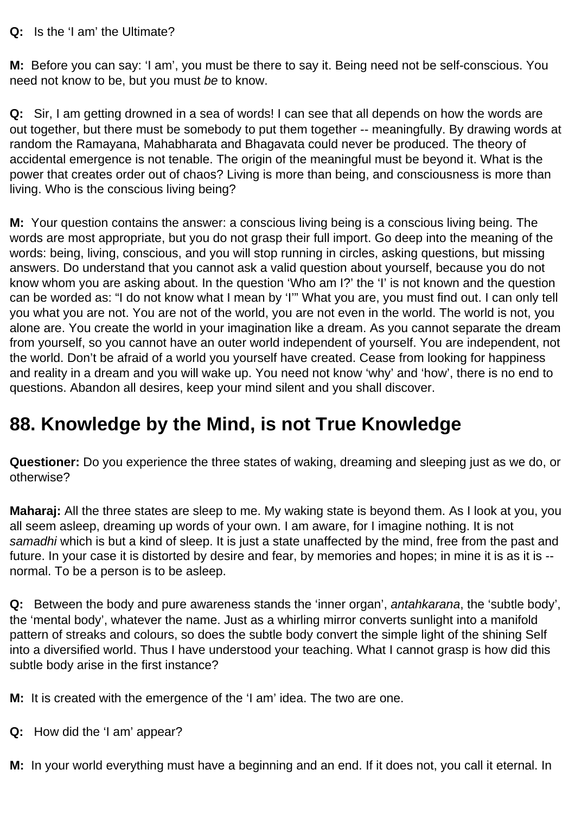### **Q:** Is the 'I am' the Ultimate?

**M:** Before you can say: 'I am', you must be there to say it. Being need not be self-conscious. You need not know to be, but you must *be* to know.

**Q:** Sir, I am getting drowned in a sea of words! I can see that all depends on how the words are out together, but there must be somebody to put them together -- meaningfully. By drawing words at random the Ramayana, Mahabharata and Bhagavata could never be produced. The theory of accidental emergence is not tenable. The origin of the meaningful must be beyond it. What is the power that creates order out of chaos? Living is more than being, and consciousness is more than living. Who is the conscious living being?

**M:** Your question contains the answer: a conscious living being is a conscious living being. The words are most appropriate, but you do not grasp their full import. Go deep into the meaning of the words: being, living, conscious, and you will stop running in circles, asking questions, but missing answers. Do understand that you cannot ask a valid question about yourself, because you do not know whom you are asking about. In the question 'Who am I?' the 'I' is not known and the question can be worded as: "I do not know what I mean by 'I'" What you are, you must find out. I can only tell you what you are not. You are not of the world, you are not even in the world. The world is not, you alone are. You create the world in your imagination like a dream. As you cannot separate the dream from yourself, so you cannot have an outer world independent of yourself. You are independent, not the world. Don't be afraid of a world you yourself have created. Cease from looking for happiness and reality in a dream and you will wake up. You need not know 'why' and 'how', there is no end to questions. Abandon all desires, keep your mind silent and you shall discover.

## **88. Knowledge by the Mind, is not True Knowledge**

**Questioner:** Do you experience the three states of waking, dreaming and sleeping just as we do, or otherwise?

**Maharaj:** All the three states are sleep to me. My waking state is beyond them. As I look at you, you all seem asleep, dreaming up words of your own. I am aware, for I imagine nothing. It is not *samadhi* which is but a kind of sleep. It is just a state unaffected by the mind, free from the past and future. In your case it is distorted by desire and fear, by memories and hopes; in mine it is as it is - normal. To be a person is to be asleep.

**Q:** Between the body and pure awareness stands the 'inner organ', *antahkarana*, the 'subtle body', the 'mental body', whatever the name. Just as a whirling mirror converts sunlight into a manifold pattern of streaks and colours, so does the subtle body convert the simple light of the shining Self into a diversified world. Thus I have understood your teaching. What I cannot grasp is how did this subtle body arise in the first instance?

**M:** It is created with the emergence of the 'I am' idea. The two are one.

**Q:** How did the 'I am' appear?

**M:** In your world everything must have a beginning and an end. If it does not, you call it eternal. In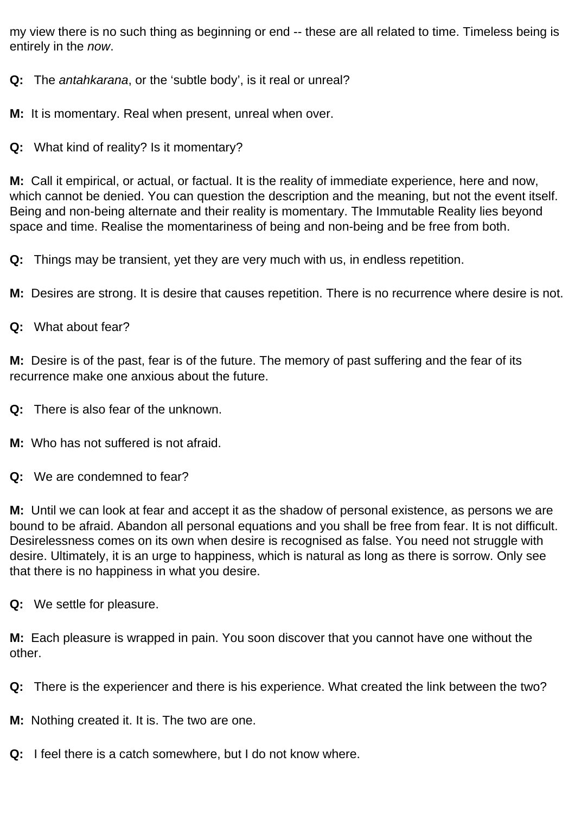my view there is no such thing as beginning or end -- these are all related to time. Timeless being is entirely in the *now*.

**Q:** The *antahkarana*, or the 'subtle body', is it real or unreal?

**M:** It is momentary. Real when present, unreal when over.

**Q:** What kind of reality? Is it momentary?

**M:** Call it empirical, or actual, or factual. It is the reality of immediate experience, here and now, which cannot be denied. You can question the description and the meaning, but not the event itself. Being and non-being alternate and their reality is momentary. The Immutable Reality lies beyond space and time. Realise the momentariness of being and non-being and be free from both.

**Q:** Things may be transient, yet they are very much with us, in endless repetition.

**M:** Desires are strong. It is desire that causes repetition. There is no recurrence where desire is not.

**Q:** What about fear?

**M:** Desire is of the past, fear is of the future. The memory of past suffering and the fear of its recurrence make one anxious about the future.

**Q:** There is also fear of the unknown.

**M:** Who has not suffered is not afraid.

**Q:** We are condemned to fear?

**M:** Until we can look at fear and accept it as the shadow of personal existence, as persons we are bound to be afraid. Abandon all personal equations and you shall be free from fear. It is not difficult. Desirelessness comes on its own when desire is recognised as false. You need not struggle with desire. Ultimately, it is an urge to happiness, which is natural as long as there is sorrow. Only see that there is no happiness in what you desire.

**Q:** We settle for pleasure.

**M:** Each pleasure is wrapped in pain. You soon discover that you cannot have one without the other.

**Q:** There is the experiencer and there is his experience. What created the link between the two?

- **M:** Nothing created it. It is. The two are one.
- **Q:** I feel there is a catch somewhere, but I do not know where.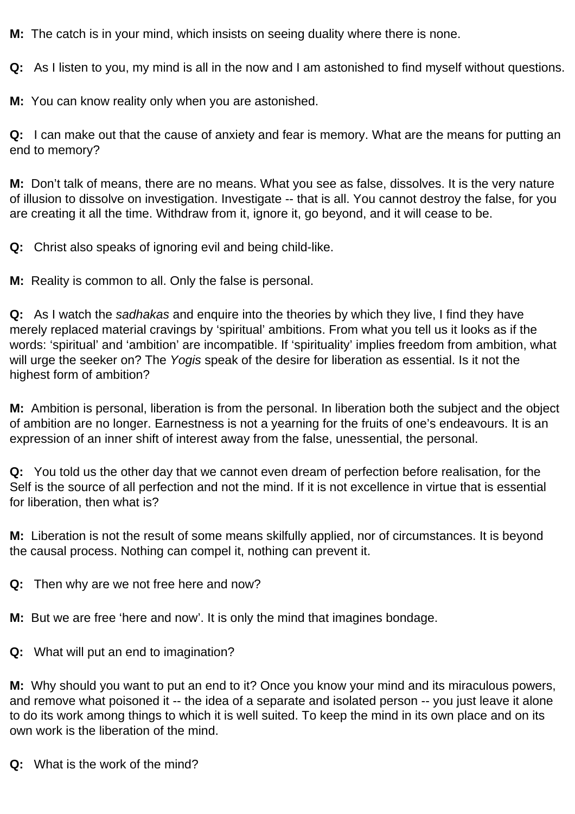**M:** The catch is in your mind, which insists on seeing duality where there is none.

**Q:** As I listen to you, my mind is all in the now and I am astonished to find myself without questions.

**M:** You can know reality only when you are astonished.

**Q:** I can make out that the cause of anxiety and fear is memory. What are the means for putting an end to memory?

**M:** Don't talk of means, there are no means. What you see as false, dissolves. It is the very nature of illusion to dissolve on investigation. Investigate -- that is all. You cannot destroy the false, for you are creating it all the time. Withdraw from it, ignore it, go beyond, and it will cease to be.

**Q:** Christ also speaks of ignoring evil and being child-like.

**M:** Reality is common to all. Only the false is personal.

**Q:** As I watch the *sadhakas* and enquire into the theories by which they live, I find they have merely replaced material cravings by 'spiritual' ambitions. From what you tell us it looks as if the words: 'spiritual' and 'ambition' are incompatible. If 'spirituality' implies freedom from ambition, what will urge the seeker on? The *Yogis* speak of the desire for liberation as essential. Is it not the highest form of ambition?

**M:** Ambition is personal, liberation is from the personal. In liberation both the subject and the object of ambition are no longer. Earnestness is not a yearning for the fruits of one's endeavours. It is an expression of an inner shift of interest away from the false, unessential, the personal.

**Q:** You told us the other day that we cannot even dream of perfection before realisation, for the Self is the source of all perfection and not the mind. If it is not excellence in virtue that is essential for liberation, then what is?

**M:** Liberation is not the result of some means skilfully applied, nor of circumstances. It is beyond the causal process. Nothing can compel it, nothing can prevent it.

**Q:** Then why are we not free here and now?

**M:** But we are free 'here and now'. It is only the mind that imagines bondage.

**Q:** What will put an end to imagination?

**M:** Why should you want to put an end to it? Once you know your mind and its miraculous powers, and remove what poisoned it -- the idea of a separate and isolated person -- you just leave it alone to do its work among things to which it is well suited. To keep the mind in its own place and on its own work is the liberation of the mind.

**Q:** What is the work of the mind?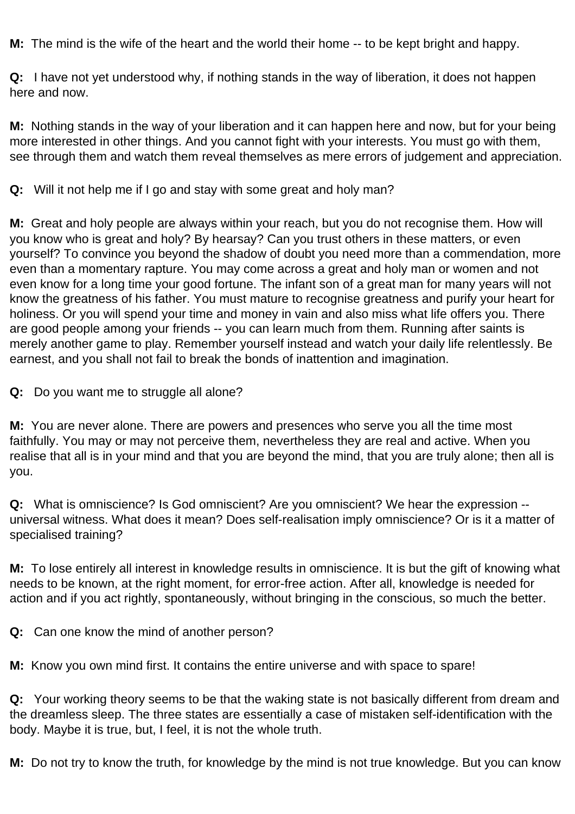**M:** The mind is the wife of the heart and the world their home -- to be kept bright and happy.

**Q:** I have not yet understood why, if nothing stands in the way of liberation, it does not happen here and now.

**M:** Nothing stands in the way of your liberation and it can happen here and now, but for your being more interested in other things. And you cannot fight with your interests. You must go with them, see through them and watch them reveal themselves as mere errors of judgement and appreciation.

**Q:** Will it not help me if I go and stay with some great and holy man?

**M:** Great and holy people are always within your reach, but you do not recognise them. How will you know who is great and holy? By hearsay? Can you trust others in these matters, or even yourself? To convince you beyond the shadow of doubt you need more than a commendation, more even than a momentary rapture. You may come across a great and holy man or women and not even know for a long time your good fortune. The infant son of a great man for many years will not know the greatness of his father. You must mature to recognise greatness and purify your heart for holiness. Or you will spend your time and money in vain and also miss what life offers you. There are good people among your friends -- you can learn much from them. Running after saints is merely another game to play. Remember yourself instead and watch your daily life relentlessly. Be earnest, and you shall not fail to break the bonds of inattention and imagination.

**Q:** Do you want me to struggle all alone?

**M:** You are never alone. There are powers and presences who serve you all the time most faithfully. You may or may not perceive them, nevertheless they are real and active. When you realise that all is in your mind and that you are beyond the mind, that you are truly alone; then all is you.

**Q:** What is omniscience? Is God omniscient? Are you omniscient? We hear the expression - universal witness. What does it mean? Does self-realisation imply omniscience? Or is it a matter of specialised training?

**M:** To lose entirely all interest in knowledge results in omniscience. It is but the gift of knowing what needs to be known, at the right moment, for error-free action. After all, knowledge is needed for action and if you act rightly, spontaneously, without bringing in the conscious, so much the better.

**Q:** Can one know the mind of another person?

**M:** Know you own mind first. It contains the entire universe and with space to spare!

**Q:** Your working theory seems to be that the waking state is not basically different from dream and the dreamless sleep. The three states are essentially a case of mistaken self-identification with the body. Maybe it is true, but, I feel, it is not the whole truth.

**M:** Do not try to know the truth, for knowledge by the mind is not true knowledge. But you can know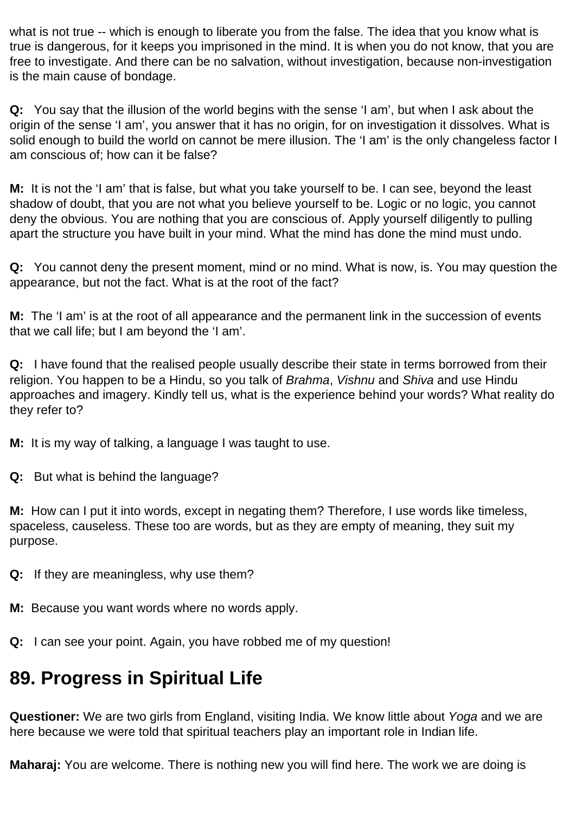what is not true -- which is enough to liberate you from the false. The idea that you know what is true is dangerous, for it keeps you imprisoned in the mind. It is when you do not know, that you are free to investigate. And there can be no salvation, without investigation, because non-investigation is the main cause of bondage.

**Q:** You say that the illusion of the world begins with the sense 'I am', but when I ask about the origin of the sense 'I am', you answer that it has no origin, for on investigation it dissolves. What is solid enough to build the world on cannot be mere illusion. The 'I am' is the only changeless factor I am conscious of; how can it be false?

**M:** It is not the 'I am' that is false, but what you take yourself to be. I can see, beyond the least shadow of doubt, that you are not what you believe yourself to be. Logic or no logic, you cannot deny the obvious. You are nothing that you are conscious of. Apply yourself diligently to pulling apart the structure you have built in your mind. What the mind has done the mind must undo.

**Q:** You cannot deny the present moment, mind or no mind. What is now, is. You may question the appearance, but not the fact. What is at the root of the fact?

**M:** The 'I am' is at the root of all appearance and the permanent link in the succession of events that we call life; but I am beyond the 'I am'.

**Q:** I have found that the realised people usually describe their state in terms borrowed from their religion. You happen to be a Hindu, so you talk of *Brahma*, *Vishnu* and *Shiva* and use Hindu approaches and imagery. Kindly tell us, what is the experience behind your words? What reality do they refer to?

**M:** It is my way of talking, a language I was taught to use.

**Q:** But what is behind the language?

**M:** How can I put it into words, except in negating them? Therefore, I use words like timeless, spaceless, causeless. These too are words, but as they are empty of meaning, they suit my purpose.

- **Q:** If they are meaningless, why use them?
- **M:** Because you want words where no words apply.
- **Q:** I can see your point. Again, you have robbed me of my question!

# **89. Progress in Spiritual Life**

**Questioner:** We are two girls from England, visiting India. We know little about *Yoga* and we are here because we were told that spiritual teachers play an important role in Indian life.

**Maharaj:** You are welcome. There is nothing new you will find here. The work we are doing is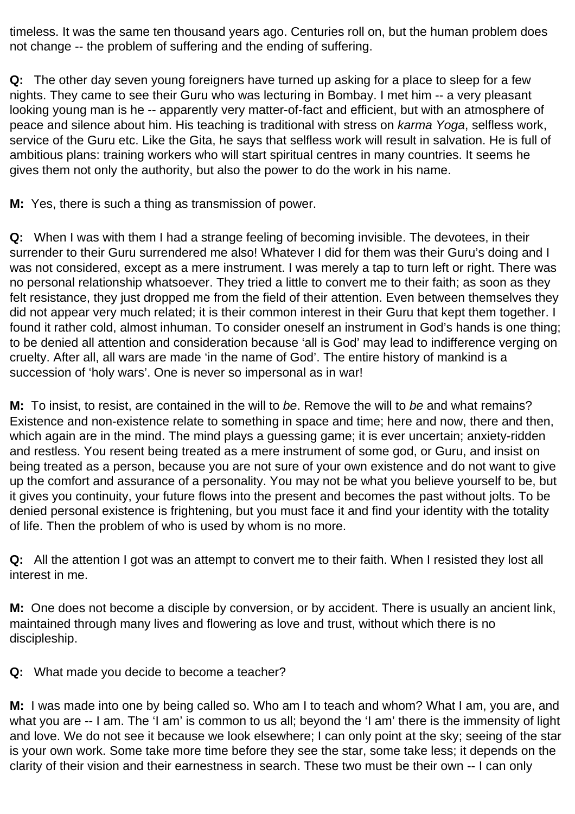timeless. It was the same ten thousand years ago. Centuries roll on, but the human problem does not change -- the problem of suffering and the ending of suffering.

**Q:** The other day seven young foreigners have turned up asking for a place to sleep for a few nights. They came to see their Guru who was lecturing in Bombay. I met him -- a very pleasant looking young man is he -- apparently very matter-of-fact and efficient, but with an atmosphere of peace and silence about him. His teaching is traditional with stress on *karma Yoga*, selfless work, service of the Guru etc. Like the Gita, he says that selfless work will result in salvation. He is full of ambitious plans: training workers who will start spiritual centres in many countries. It seems he gives them not only the authority, but also the power to do the work in his name.

**M:** Yes, there is such a thing as transmission of power.

**Q:** When I was with them I had a strange feeling of becoming invisible. The devotees, in their surrender to their Guru surrendered me also! Whatever I did for them was their Guru's doing and I was not considered, except as a mere instrument. I was merely a tap to turn left or right. There was no personal relationship whatsoever. They tried a little to convert me to their faith; as soon as they felt resistance, they just dropped me from the field of their attention. Even between themselves they did not appear very much related; it is their common interest in their Guru that kept them together. I found it rather cold, almost inhuman. To consider oneself an instrument in God's hands is one thing; to be denied all attention and consideration because 'all is God' may lead to indifference verging on cruelty. After all, all wars are made 'in the name of God'. The entire history of mankind is a succession of 'holy wars'. One is never so impersonal as in war!

**M:** To insist, to resist, are contained in the will to *be*. Remove the will to *be* and what remains? Existence and non-existence relate to something in space and time; here and now, there and then, which again are in the mind. The mind plays a guessing game; it is ever uncertain; anxiety-ridden and restless. You resent being treated as a mere instrument of some god, or Guru, and insist on being treated as a person, because you are not sure of your own existence and do not want to give up the comfort and assurance of a personality. You may not be what you believe yourself to be, but it gives you continuity, your future flows into the present and becomes the past without jolts. To be denied personal existence is frightening, but you must face it and find your identity with the totality of life. Then the problem of who is used by whom is no more.

**Q:** All the attention I got was an attempt to convert me to their faith. When I resisted they lost all interest in me.

**M:** One does not become a disciple by conversion, or by accident. There is usually an ancient link, maintained through many lives and flowering as love and trust, without which there is no discipleship.

**Q:** What made you decide to become a teacher?

**M:** I was made into one by being called so. Who am I to teach and whom? What I am, you are, and what you are -- I am. The 'I am' is common to us all; beyond the 'I am' there is the immensity of light and love. We do not see it because we look elsewhere; I can only point at the sky; seeing of the star is your own work. Some take more time before they see the star, some take less; it depends on the clarity of their vision and their earnestness in search. These two must be their own -- I can only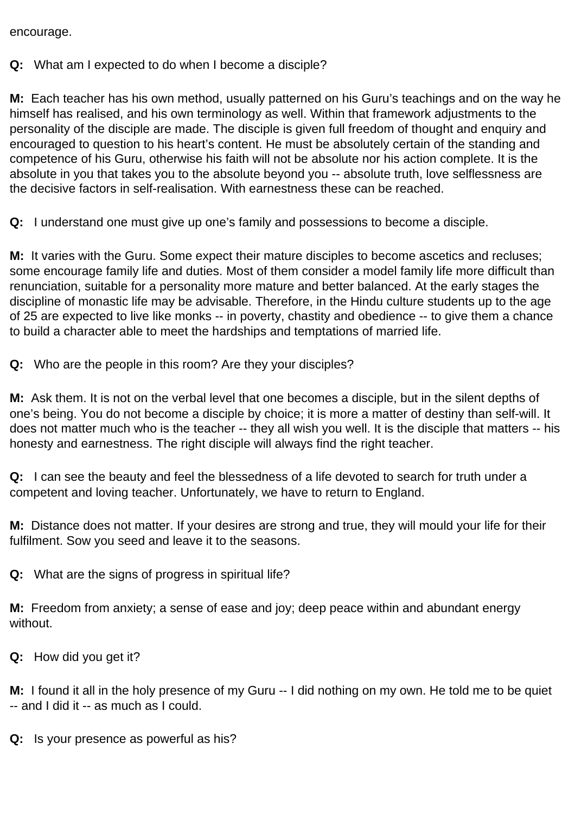encourage.

**Q:** What am I expected to do when I become a disciple?

**M:** Each teacher has his own method, usually patterned on his Guru's teachings and on the way he himself has realised, and his own terminology as well. Within that framework adjustments to the personality of the disciple are made. The disciple is given full freedom of thought and enquiry and encouraged to question to his heart's content. He must be absolutely certain of the standing and competence of his Guru, otherwise his faith will not be absolute nor his action complete. It is the absolute in you that takes you to the absolute beyond you -- absolute truth, love selflessness are the decisive factors in self-realisation. With earnestness these can be reached.

**Q:** I understand one must give up one's family and possessions to become a disciple.

**M:** It varies with the Guru. Some expect their mature disciples to become ascetics and recluses; some encourage family life and duties. Most of them consider a model family life more difficult than renunciation, suitable for a personality more mature and better balanced. At the early stages the discipline of monastic life may be advisable. Therefore, in the Hindu culture students up to the age of 25 are expected to live like monks -- in poverty, chastity and obedience -- to give them a chance to build a character able to meet the hardships and temptations of married life.

**Q:** Who are the people in this room? Are they your disciples?

**M:** Ask them. It is not on the verbal level that one becomes a disciple, but in the silent depths of one's being. You do not become a disciple by choice; it is more a matter of destiny than self-will. It does not matter much who is the teacher -- they all wish you well. It is the disciple that matters -- his honesty and earnestness. The right disciple will always find the right teacher.

**Q:** I can see the beauty and feel the blessedness of a life devoted to search for truth under a competent and loving teacher. Unfortunately, we have to return to England.

**M:** Distance does not matter. If your desires are strong and true, they will mould your life for their fulfilment. Sow you seed and leave it to the seasons.

**Q:** What are the signs of progress in spiritual life?

**M:** Freedom from anxiety; a sense of ease and joy; deep peace within and abundant energy without.

**Q:** How did you get it?

**M:** I found it all in the holy presence of my Guru -- I did nothing on my own. He told me to be quiet -- and I did it -- as much as I could.

**Q:** Is your presence as powerful as his?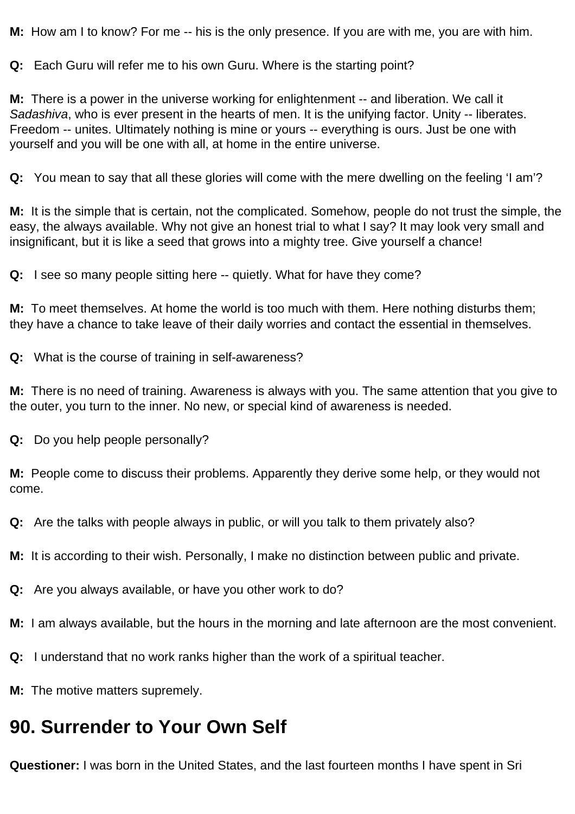**M:** How am I to know? For me -- his is the only presence. If you are with me, you are with him.

**Q:** Each Guru will refer me to his own Guru. Where is the starting point?

**M:** There is a power in the universe working for enlightenment -- and liberation. We call it *Sadashiva*, who is ever present in the hearts of men. It is the unifying factor. Unity -- liberates. Freedom -- unites. Ultimately nothing is mine or yours -- everything is ours. Just be one with yourself and you will be one with all, at home in the entire universe.

**Q:** You mean to say that all these glories will come with the mere dwelling on the feeling 'I am'?

**M:** It is the simple that is certain, not the complicated. Somehow, people do not trust the simple, the easy, the always available. Why not give an honest trial to what I say? It may look very small and insignificant, but it is like a seed that grows into a mighty tree. Give yourself a chance!

**Q:** I see so many people sitting here -- quietly. What for have they come?

**M:** To meet themselves. At home the world is too much with them. Here nothing disturbs them; they have a chance to take leave of their daily worries and contact the essential in themselves.

**Q:** What is the course of training in self-awareness?

**M:** There is no need of training. Awareness is always with you. The same attention that you give to the outer, you turn to the inner. No new, or special kind of awareness is needed.

**Q:** Do you help people personally?

**M:** People come to discuss their problems. Apparently they derive some help, or they would not come.

- **Q:** Are the talks with people always in public, or will you talk to them privately also?
- **M:** It is according to their wish. Personally, I make no distinction between public and private.
- **Q:** Are you always available, or have you other work to do?
- **M:** I am always available, but the hours in the morning and late afternoon are the most convenient.
- **Q:** I understand that no work ranks higher than the work of a spiritual teacher.
- **M:** The motive matters supremely.

### **90. Surrender to Your Own Self**

**Questioner:** I was born in the United States, and the last fourteen months I have spent in Sri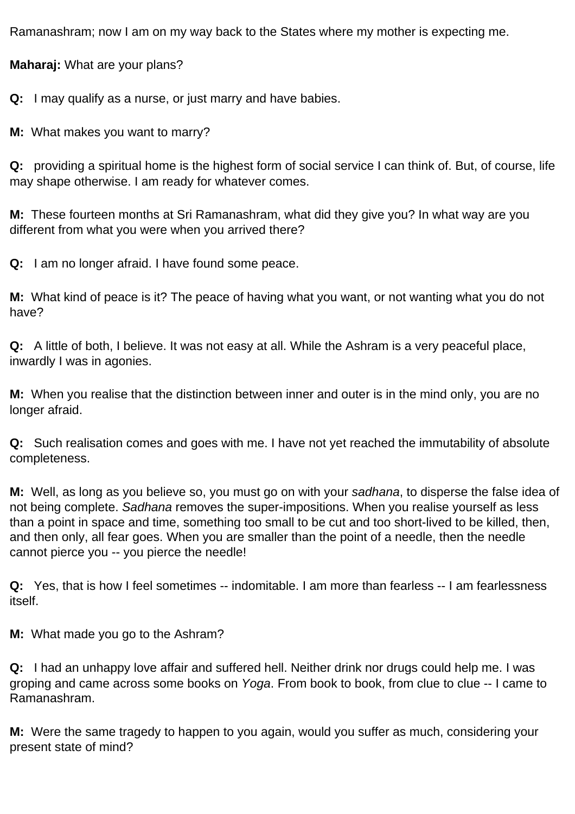Ramanashram; now I am on my way back to the States where my mother is expecting me.

**Maharaj:** What are your plans?

**Q:** I may qualify as a nurse, or just marry and have babies.

**M:** What makes you want to marry?

**Q:** providing a spiritual home is the highest form of social service I can think of. But, of course, life may shape otherwise. I am ready for whatever comes.

**M:** These fourteen months at Sri Ramanashram, what did they give you? In what way are you different from what you were when you arrived there?

**Q:** I am no longer afraid. I have found some peace.

**M:** What kind of peace is it? The peace of having what you want, or not wanting what you do not have?

**Q:** A little of both, I believe. It was not easy at all. While the Ashram is a very peaceful place, inwardly I was in agonies.

**M:** When you realise that the distinction between inner and outer is in the mind only, you are no longer afraid.

**Q:** Such realisation comes and goes with me. I have not yet reached the immutability of absolute completeness.

**M:** Well, as long as you believe so, you must go on with your *sadhana*, to disperse the false idea of not being complete. *Sadhana* removes the super-impositions. When you realise yourself as less than a point in space and time, something too small to be cut and too short-lived to be killed, then, and then only, all fear goes. When you are smaller than the point of a needle, then the needle cannot pierce you -- you pierce the needle!

**Q:** Yes, that is how I feel sometimes -- indomitable. I am more than fearless -- I am fearlessness itself.

**M:** What made you go to the Ashram?

**Q:** I had an unhappy love affair and suffered hell. Neither drink nor drugs could help me. I was groping and came across some books on *Yoga*. From book to book, from clue to clue -- I came to Ramanashram.

**M:** Were the same tragedy to happen to you again, would you suffer as much, considering your present state of mind?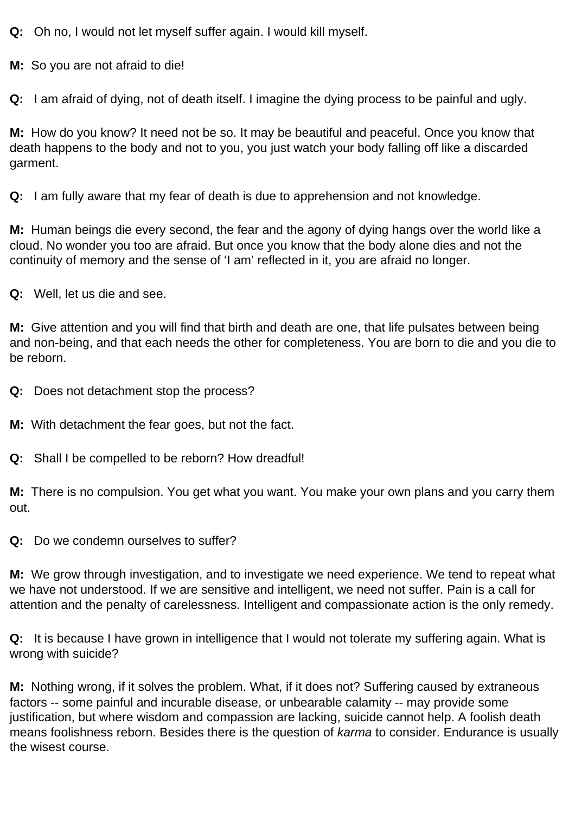**Q:** Oh no, I would not let myself suffer again. I would kill myself.

**M:** So you are not afraid to die!

**Q:** I am afraid of dying, not of death itself. I imagine the dying process to be painful and ugly.

**M:** How do you know? It need not be so. It may be beautiful and peaceful. Once you know that death happens to the body and not to you, you just watch your body falling off like a discarded garment.

**Q:** I am fully aware that my fear of death is due to apprehension and not knowledge.

**M:** Human beings die every second, the fear and the agony of dying hangs over the world like a cloud. No wonder you too are afraid. But once you know that the body alone dies and not the continuity of memory and the sense of 'I am' reflected in it, you are afraid no longer.

**Q:** Well, let us die and see.

**M:** Give attention and you will find that birth and death are one, that life pulsates between being and non-being, and that each needs the other for completeness. You are born to die and you die to be reborn.

**Q:** Does not detachment stop the process?

**M:** With detachment the fear goes, but not the fact.

**Q:** Shall I be compelled to be reborn? How dreadful!

**M:** There is no compulsion. You get what you want. You make your own plans and you carry them out.

**Q:** Do we condemn ourselves to suffer?

**M:** We grow through investigation, and to investigate we need experience. We tend to repeat what we have not understood. If we are sensitive and intelligent, we need not suffer. Pain is a call for attention and the penalty of carelessness. Intelligent and compassionate action is the only remedy.

**Q:** It is because I have grown in intelligence that I would not tolerate my suffering again. What is wrong with suicide?

**M:** Nothing wrong, if it solves the problem. What, if it does not? Suffering caused by extraneous factors -- some painful and incurable disease, or unbearable calamity -- may provide some justification, but where wisdom and compassion are lacking, suicide cannot help. A foolish death means foolishness reborn. Besides there is the question of *karma* to consider. Endurance is usually the wisest course.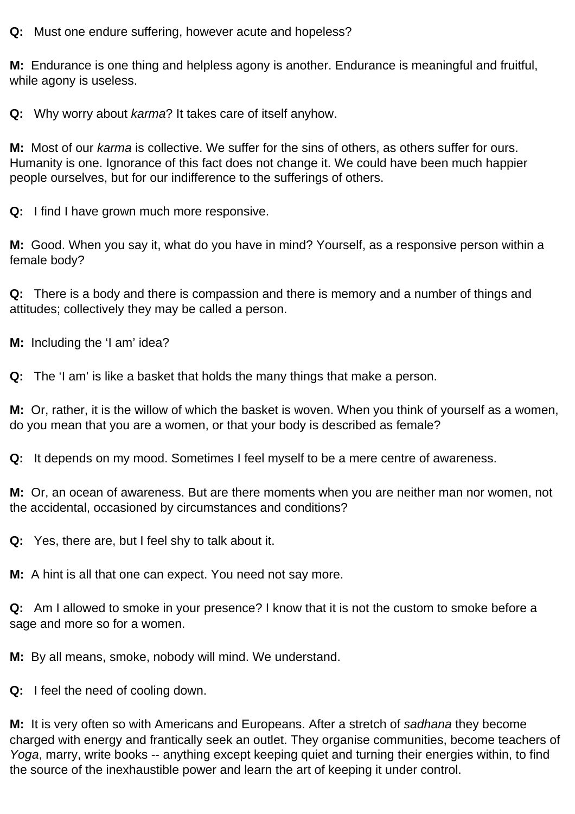**Q:** Must one endure suffering, however acute and hopeless?

**M:** Endurance is one thing and helpless agony is another. Endurance is meaningful and fruitful, while agony is useless.

**Q:** Why worry about *karma*? It takes care of itself anyhow.

**M:** Most of our *karma* is collective. We suffer for the sins of others, as others suffer for ours. Humanity is one. Ignorance of this fact does not change it. We could have been much happier people ourselves, but for our indifference to the sufferings of others.

**Q:** I find I have grown much more responsive.

**M:** Good. When you say it, what do you have in mind? Yourself, as a responsive person within a female body?

**Q:** There is a body and there is compassion and there is memory and a number of things and attitudes; collectively they may be called a person.

**M:** Including the 'I am' idea?

**Q:** The 'I am' is like a basket that holds the many things that make a person.

**M:** Or, rather, it is the willow of which the basket is woven. When you think of yourself as a women, do you mean that you are a women, or that your body is described as female?

**Q:** It depends on my mood. Sometimes I feel myself to be a mere centre of awareness.

**M:** Or, an ocean of awareness. But are there moments when you are neither man nor women, not the accidental, occasioned by circumstances and conditions?

**Q:** Yes, there are, but I feel shy to talk about it.

**M:** A hint is all that one can expect. You need not say more.

**Q:** Am I allowed to smoke in your presence? I know that it is not the custom to smoke before a sage and more so for a women.

**M:** By all means, smoke, nobody will mind. We understand.

**Q:** I feel the need of cooling down.

**M:** It is very often so with Americans and Europeans. After a stretch of *sadhana* they become charged with energy and frantically seek an outlet. They organise communities, become teachers of *Yoga*, marry, write books -- anything except keeping quiet and turning their energies within, to find the source of the inexhaustible power and learn the art of keeping it under control.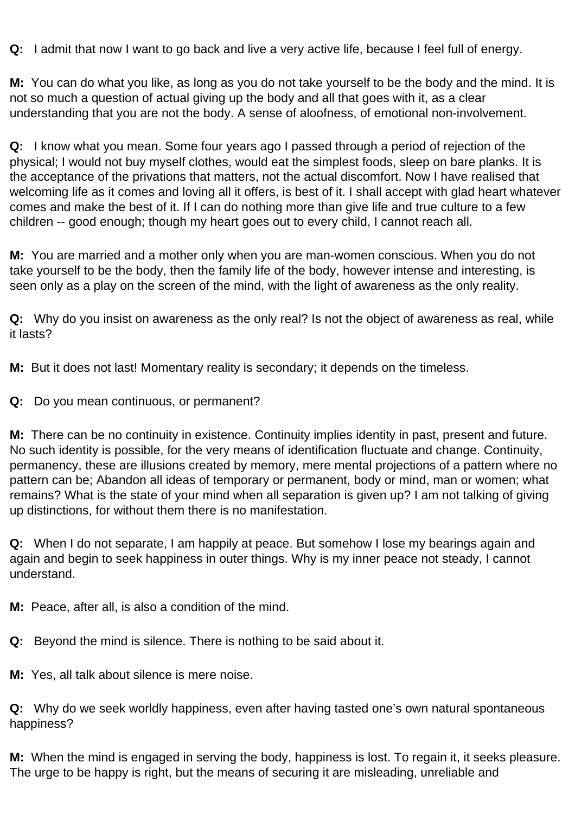**Q:** I admit that now I want to go back and live a very active life, because I feel full of energy.

**M:** You can do what you like, as long as you do not take yourself to be the body and the mind. It is not so much a question of actual giving up the body and all that goes with it, as a clear understanding that you are not the body. A sense of aloofness, of emotional non-involvement.

**Q:** I know what you mean. Some four years ago I passed through a period of rejection of the physical; I would not buy myself clothes, would eat the simplest foods, sleep on bare planks. It is the acceptance of the privations that matters, not the actual discomfort. Now I have realised that welcoming life as it comes and loving all it offers, is best of it. I shall accept with glad heart whatever comes and make the best of it. If I can do nothing more than give life and true culture to a few children -- good enough; though my heart goes out to every child, I cannot reach all.

**M:** You are married and a mother only when you are man-women conscious. When you do not take yourself to be the body, then the family life of the body, however intense and interesting, is seen only as a play on the screen of the mind, with the light of awareness as the only reality.

**Q:** Why do you insist on awareness as the only real? Is not the object of awareness as real, while it lasts?

**M:** But it does not last! Momentary reality is secondary; it depends on the timeless.

**Q:** Do you mean continuous, or permanent?

**M:** There can be no continuity in existence. Continuity implies identity in past, present and future. No such identity is possible, for the very means of identification fluctuate and change. Continuity, permanency, these are illusions created by memory, mere mental projections of a pattern where no pattern can be; Abandon all ideas of temporary or permanent, body or mind, man or women; what remains? What is the state of your mind when all separation is given up? I am not talking of giving up distinctions, for without them there is no manifestation.

**Q:** When I do not separate, I am happily at peace. But somehow I lose my bearings again and again and begin to seek happiness in outer things. Why is my inner peace not steady, I cannot understand.

**M:** Peace, after all, is also a condition of the mind.

**Q:** Beyond the mind is silence. There is nothing to be said about it.

**M:** Yes, all talk about silence is mere noise.

**Q:** Why do we seek worldly happiness, even after having tasted one's own natural spontaneous happiness?

**M:** When the mind is engaged in serving the body, happiness is lost. To regain it, it seeks pleasure. The urge to be happy is right, but the means of securing it are misleading, unreliable and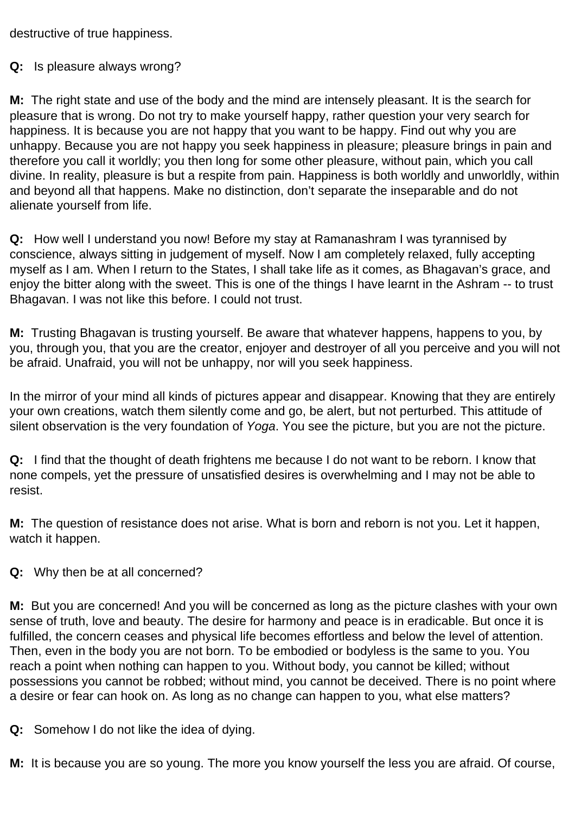destructive of true happiness.

#### **Q:** Is pleasure always wrong?

**M:** The right state and use of the body and the mind are intensely pleasant. It is the search for pleasure that is wrong. Do not try to make yourself happy, rather question your very search for happiness. It is because you are not happy that you want to be happy. Find out why you are unhappy. Because you are not happy you seek happiness in pleasure; pleasure brings in pain and therefore you call it worldly; you then long for some other pleasure, without pain, which you call divine. In reality, pleasure is but a respite from pain. Happiness is both worldly and unworldly, within and beyond all that happens. Make no distinction, don't separate the inseparable and do not alienate yourself from life.

**Q:** How well I understand you now! Before my stay at Ramanashram I was tyrannised by conscience, always sitting in judgement of myself. Now I am completely relaxed, fully accepting myself as I am. When I return to the States, I shall take life as it comes, as Bhagavan's grace, and enjoy the bitter along with the sweet. This is one of the things I have learnt in the Ashram -- to trust Bhagavan. I was not like this before. I could not trust.

**M:** Trusting Bhagavan is trusting yourself. Be aware that whatever happens, happens to you, by you, through you, that you are the creator, enjoyer and destroyer of all you perceive and you will not be afraid. Unafraid, you will not be unhappy, nor will you seek happiness.

In the mirror of your mind all kinds of pictures appear and disappear. Knowing that they are entirely your own creations, watch them silently come and go, be alert, but not perturbed. This attitude of silent observation is the very foundation of *Yoga*. You see the picture, but you are not the picture.

**Q:** I find that the thought of death frightens me because I do not want to be reborn. I know that none compels, yet the pressure of unsatisfied desires is overwhelming and I may not be able to resist.

**M:** The question of resistance does not arise. What is born and reborn is not you. Let it happen, watch it happen.

### **Q:** Why then be at all concerned?

**M:** But you are concerned! And you will be concerned as long as the picture clashes with your own sense of truth, love and beauty. The desire for harmony and peace is in eradicable. But once it is fulfilled, the concern ceases and physical life becomes effortless and below the level of attention. Then, even in the body you are not born. To be embodied or bodyless is the same to you. You reach a point when nothing can happen to you. Without body, you cannot be killed; without possessions you cannot be robbed; without mind, you cannot be deceived. There is no point where a desire or fear can hook on. As long as no change can happen to you, what else matters?

**Q:** Somehow I do not like the idea of dying.

**M:** It is because you are so young. The more you know yourself the less you are afraid. Of course,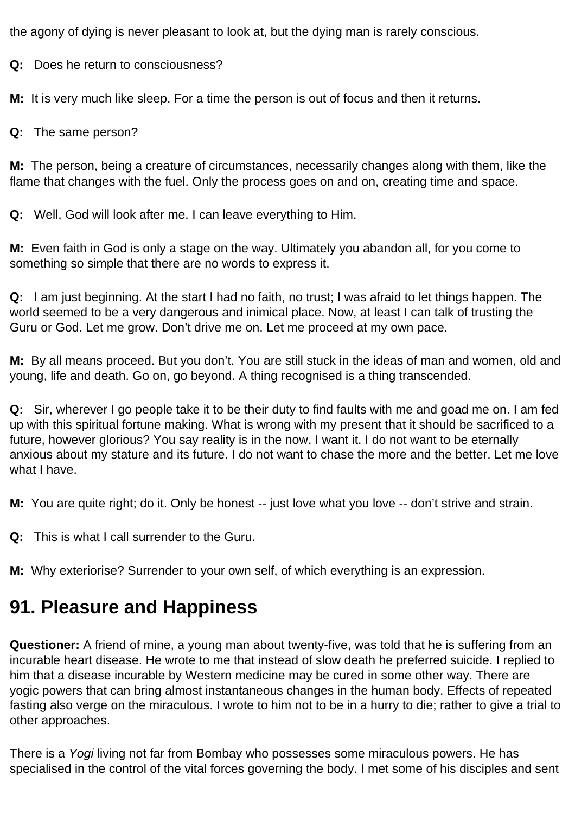the agony of dying is never pleasant to look at, but the dying man is rarely conscious.

**Q:** Does he return to consciousness?

**M:** It is very much like sleep. For a time the person is out of focus and then it returns.

**Q:** The same person?

**M:** The person, being a creature of circumstances, necessarily changes along with them, like the flame that changes with the fuel. Only the process goes on and on, creating time and space.

**Q:** Well, God will look after me. I can leave everything to Him.

**M:** Even faith in God is only a stage on the way. Ultimately you abandon all, for you come to something so simple that there are no words to express it.

**Q:** I am just beginning. At the start I had no faith, no trust; I was afraid to let things happen. The world seemed to be a very dangerous and inimical place. Now, at least I can talk of trusting the Guru or God. Let me grow. Don't drive me on. Let me proceed at my own pace.

**M:** By all means proceed. But you don't. You are still stuck in the ideas of man and women, old and young, life and death. Go on, go beyond. A thing recognised is a thing transcended.

**Q:** Sir, wherever I go people take it to be their duty to find faults with me and goad me on. I am fed up with this spiritual fortune making. What is wrong with my present that it should be sacrificed to a future, however glorious? You say reality is in the now. I want it. I do not want to be eternally anxious about my stature and its future. I do not want to chase the more and the better. Let me love what I have.

**M:** You are quite right; do it. Only be honest -- just love what you love -- don't strive and strain.

**Q:** This is what I call surrender to the Guru.

**M:** Why exteriorise? Surrender to your own self, of which everything is an expression.

## **91. Pleasure and Happiness**

**Questioner:** A friend of mine, a young man about twenty-five, was told that he is suffering from an incurable heart disease. He wrote to me that instead of slow death he preferred suicide. I replied to him that a disease incurable by Western medicine may be cured in some other way. There are yogic powers that can bring almost instantaneous changes in the human body. Effects of repeated fasting also verge on the miraculous. I wrote to him not to be in a hurry to die; rather to give a trial to other approaches.

There is a *Yogi* living not far from Bombay who possesses some miraculous powers. He has specialised in the control of the vital forces governing the body. I met some of his disciples and sent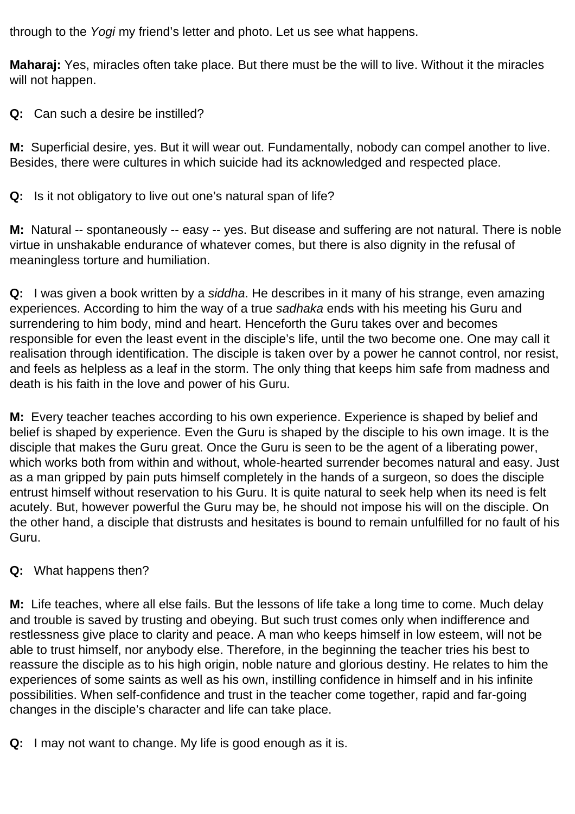through to the *Yogi* my friend's letter and photo. Let us see what happens.

**Maharaj:** Yes, miracles often take place. But there must be the will to live. Without it the miracles will not happen.

**Q:** Can such a desire be instilled?

**M:** Superficial desire, yes. But it will wear out. Fundamentally, nobody can compel another to live. Besides, there were cultures in which suicide had its acknowledged and respected place.

**Q:** Is it not obligatory to live out one's natural span of life?

**M:** Natural -- spontaneously -- easy -- yes. But disease and suffering are not natural. There is noble virtue in unshakable endurance of whatever comes, but there is also dignity in the refusal of meaningless torture and humiliation.

**Q:** I was given a book written by a *siddha*. He describes in it many of his strange, even amazing experiences. According to him the way of a true *sadhaka* ends with his meeting his Guru and surrendering to him body, mind and heart. Henceforth the Guru takes over and becomes responsible for even the least event in the disciple's life, until the two become one. One may call it realisation through identification. The disciple is taken over by a power he cannot control, nor resist, and feels as helpless as a leaf in the storm. The only thing that keeps him safe from madness and death is his faith in the love and power of his Guru.

**M:** Every teacher teaches according to his own experience. Experience is shaped by belief and belief is shaped by experience. Even the Guru is shaped by the disciple to his own image. It is the disciple that makes the Guru great. Once the Guru is seen to be the agent of a liberating power, which works both from within and without, whole-hearted surrender becomes natural and easy. Just as a man gripped by pain puts himself completely in the hands of a surgeon, so does the disciple entrust himself without reservation to his Guru. It is quite natural to seek help when its need is felt acutely. But, however powerful the Guru may be, he should not impose his will on the disciple. On the other hand, a disciple that distrusts and hesitates is bound to remain unfulfilled for no fault of his Guru.

### **Q:** What happens then?

**M:** Life teaches, where all else fails. But the lessons of life take a long time to come. Much delay and trouble is saved by trusting and obeying. But such trust comes only when indifference and restlessness give place to clarity and peace. A man who keeps himself in low esteem, will not be able to trust himself, nor anybody else. Therefore, in the beginning the teacher tries his best to reassure the disciple as to his high origin, noble nature and glorious destiny. He relates to him the experiences of some saints as well as his own, instilling confidence in himself and in his infinite possibilities. When self-confidence and trust in the teacher come together, rapid and far-going changes in the disciple's character and life can take place.

**Q:** I may not want to change. My life is good enough as it is.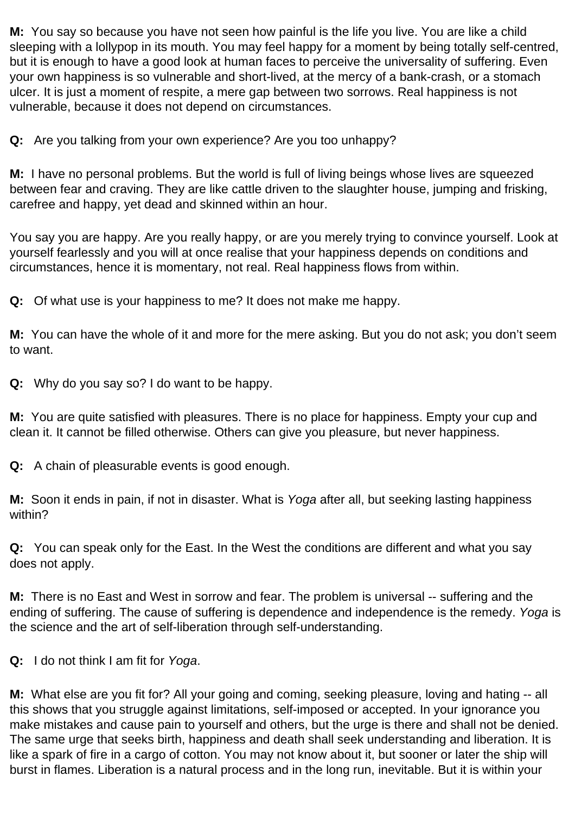**M:** You say so because you have not seen how painful is the life you live. You are like a child sleeping with a lollypop in its mouth. You may feel happy for a moment by being totally self-centred, but it is enough to have a good look at human faces to perceive the universality of suffering. Even your own happiness is so vulnerable and short-lived, at the mercy of a bank-crash, or a stomach ulcer. It is just a moment of respite, a mere gap between two sorrows. Real happiness is not vulnerable, because it does not depend on circumstances.

**Q:** Are you talking from your own experience? Are you too unhappy?

**M:** I have no personal problems. But the world is full of living beings whose lives are squeezed between fear and craving. They are like cattle driven to the slaughter house, jumping and frisking, carefree and happy, yet dead and skinned within an hour.

You say you are happy. Are you really happy, or are you merely trying to convince yourself. Look at yourself fearlessly and you will at once realise that your happiness depends on conditions and circumstances, hence it is momentary, not real. Real happiness flows from within.

**Q:** Of what use is your happiness to me? It does not make me happy.

**M:** You can have the whole of it and more for the mere asking. But you do not ask; you don't seem to want.

**Q:** Why do you say so? I do want to be happy.

**M:** You are quite satisfied with pleasures. There is no place for happiness. Empty your cup and clean it. It cannot be filled otherwise. Others can give you pleasure, but never happiness.

**Q:** A chain of pleasurable events is good enough.

**M:** Soon it ends in pain, if not in disaster. What is *Yoga* after all, but seeking lasting happiness within?

**Q:** You can speak only for the East. In the West the conditions are different and what you say does not apply.

**M:** There is no East and West in sorrow and fear. The problem is universal -- suffering and the ending of suffering. The cause of suffering is dependence and independence is the remedy. *Yoga* is the science and the art of self-liberation through self-understanding.

**Q:** I do not think I am fit for *Yoga*.

**M:** What else are you fit for? All your going and coming, seeking pleasure, loving and hating -- all this shows that you struggle against limitations, self-imposed or accepted. In your ignorance you make mistakes and cause pain to yourself and others, but the urge is there and shall not be denied. The same urge that seeks birth, happiness and death shall seek understanding and liberation. It is like a spark of fire in a cargo of cotton. You may not know about it, but sooner or later the ship will burst in flames. Liberation is a natural process and in the long run, inevitable. But it is within your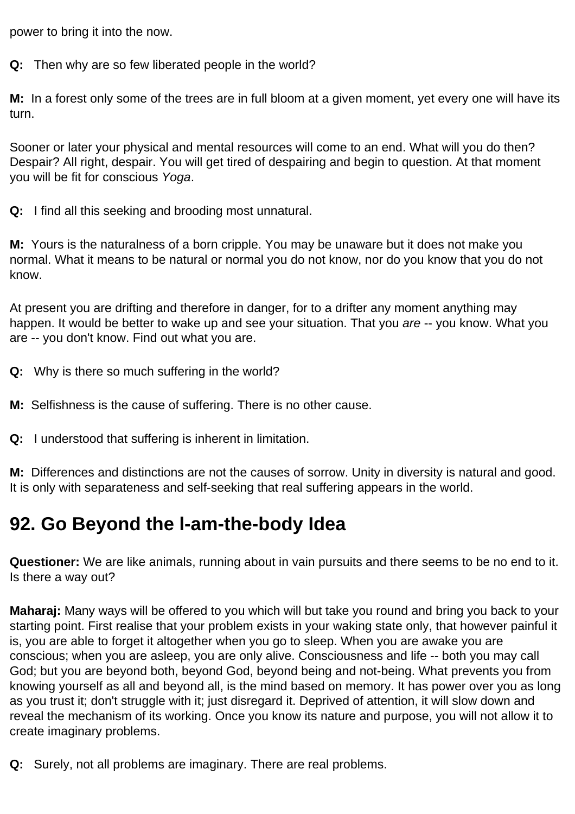power to bring it into the now.

**Q:** Then why are so few liberated people in the world?

**M:** In a forest only some of the trees are in full bloom at a given moment, yet every one will have its turn.

Sooner or later your physical and mental resources will come to an end. What will you do then? Despair? All right, despair. You will get tired of despairing and begin to question. At that moment you will be fit for conscious *Yoga*.

**Q:** I find all this seeking and brooding most unnatural.

**M:** Yours is the naturalness of a born cripple. You may be unaware but it does not make you normal. What it means to be natural or normal you do not know, nor do you know that you do not know.

At present you are drifting and therefore in danger, for to a drifter any moment anything may happen. It would be better to wake up and see your situation. That you *are* -- you know. What you are -- you don't know. Find out what you are.

**Q:** Why is there so much suffering in the world?

- **M:** Selfishness is the cause of suffering. There is no other cause.
- **Q:** I understood that suffering is inherent in limitation.

**M:** Differences and distinctions are not the causes of sorrow. Unity in diversity is natural and good. It is only with separateness and self-seeking that real suffering appears in the world.

### **92. Go Beyond the l-am-the-body Idea**

**Questioner:** We are like animals, running about in vain pursuits and there seems to be no end to it. Is there a way out?

**Maharaj:** Many ways will be offered to you which will but take you round and bring you back to your starting point. First realise that your problem exists in your waking state only, that however painful it is, you are able to forget it altogether when you go to sleep. When you are awake you are conscious; when you are asleep, you are only alive. Consciousness and life -- both you may call God; but you are beyond both, beyond God, beyond being and not-being. What prevents you from knowing yourself as all and beyond all, is the mind based on memory. It has power over you as long as you trust it; don't struggle with it; just disregard it. Deprived of attention, it will slow down and reveal the mechanism of its working. Once you know its nature and purpose, you will not allow it to create imaginary problems.

**Q:** Surely, not all problems are imaginary. There are real problems.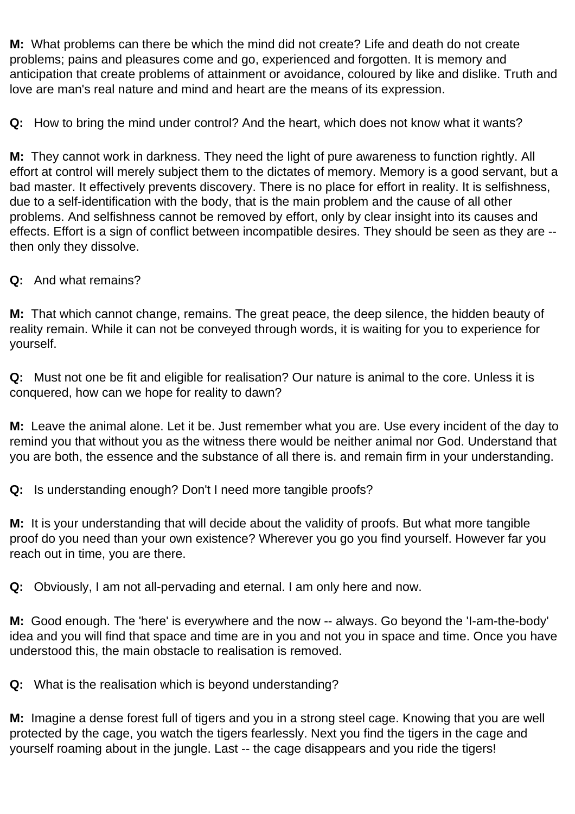**M:** What problems can there be which the mind did not create? Life and death do not create problems; pains and pleasures come and go, experienced and forgotten. It is memory and anticipation that create problems of attainment or avoidance, coloured by like and dislike. Truth and love are man's real nature and mind and heart are the means of its expression.

**Q:** How to bring the mind under control? And the heart, which does not know what it wants?

**M:** They cannot work in darkness. They need the light of pure awareness to function rightly. All effort at control will merely subject them to the dictates of memory. Memory is a good servant, but a bad master. It effectively prevents discovery. There is no place for effort in reality. It is selfishness, due to a self-identification with the body, that is the main problem and the cause of all other problems. And selfishness cannot be removed by effort, only by clear insight into its causes and effects. Effort is a sign of conflict between incompatible desires. They should be seen as they are - then only they dissolve.

**Q:** And what remains?

**M:** That which cannot change, remains. The great peace, the deep silence, the hidden beauty of reality remain. While it can not be conveyed through words, it is waiting for you to experience for yourself.

**Q:** Must not one be fit and eligible for realisation? Our nature is animal to the core. Unless it is conquered, how can we hope for reality to dawn?

**M:** Leave the animal alone. Let it be. Just remember what you are. Use every incident of the day to remind you that without you as the witness there would be neither animal nor God. Understand that you are both, the essence and the substance of all there is. and remain firm in your understanding.

**Q:** Is understanding enough? Don't I need more tangible proofs?

**M:** It is your understanding that will decide about the validity of proofs. But what more tangible proof do you need than your own existence? Wherever you go you find yourself. However far you reach out in time, you are there.

**Q:** Obviously, I am not all-pervading and eternal. I am only here and now.

**M:** Good enough. The 'here' is everywhere and the now -- always. Go beyond the 'I-am-the-body' idea and you will find that space and time are in you and not you in space and time. Once you have understood this, the main obstacle to realisation is removed.

**Q:** What is the realisation which is beyond understanding?

**M:** Imagine a dense forest full of tigers and you in a strong steel cage. Knowing that you are well protected by the cage, you watch the tigers fearlessly. Next you find the tigers in the cage and yourself roaming about in the jungle. Last -- the cage disappears and you ride the tigers!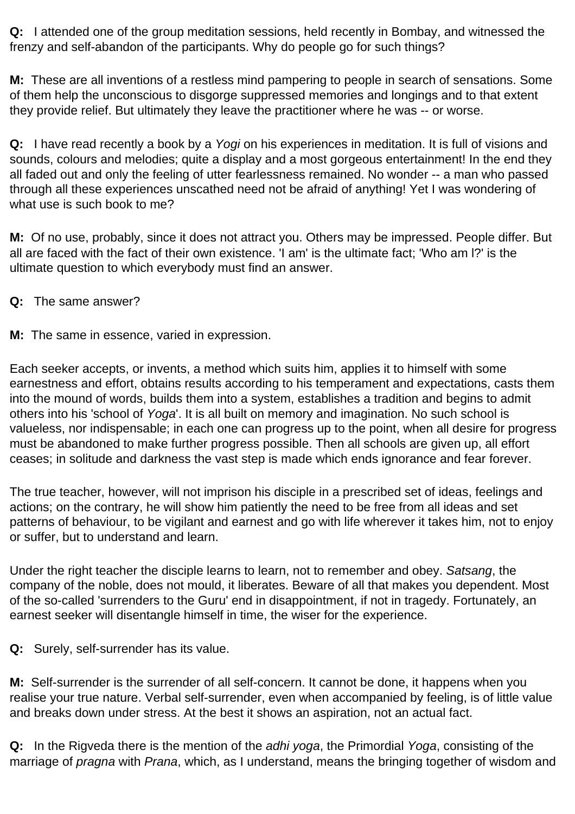**Q:** I attended one of the group meditation sessions, held recently in Bombay, and witnessed the frenzy and self-abandon of the participants. Why do people go for such things?

**M:** These are all inventions of a restless mind pampering to people in search of sensations. Some of them help the unconscious to disgorge suppressed memories and longings and to that extent they provide relief. But ultimately they leave the practitioner where he was -- or worse.

**Q:** I have read recently a book by a *Yogi* on his experiences in meditation. It is full of visions and sounds, colours and melodies; quite a display and a most gorgeous entertainment! In the end they all faded out and only the feeling of utter fearlessness remained. No wonder -- a man who passed through all these experiences unscathed need not be afraid of anything! Yet I was wondering of what use is such book to me?

**M:** Of no use, probably, since it does not attract you. Others may be impressed. People differ. But all are faced with the fact of their own existence. 'I am' is the ultimate fact; 'Who am l?' is the ultimate question to which everybody must find an answer.

- **Q:** The same answer?
- **M:** The same in essence, varied in expression.

Each seeker accepts, or invents, a method which suits him, applies it to himself with some earnestness and effort, obtains results according to his temperament and expectations, casts them into the mound of words, builds them into a system, establishes a tradition and begins to admit others into his 'school of *Yoga*'. It is all built on memory and imagination. No such school is valueless, nor indispensable; in each one can progress up to the point, when all desire for progress must be abandoned to make further progress possible. Then all schools are given up, all effort ceases; in solitude and darkness the vast step is made which ends ignorance and fear forever.

The true teacher, however, will not imprison his disciple in a prescribed set of ideas, feelings and actions; on the contrary, he will show him patiently the need to be free from all ideas and set patterns of behaviour, to be vigilant and earnest and go with life wherever it takes him, not to enjoy or suffer, but to understand and learn.

Under the right teacher the disciple learns to learn, not to remember and obey. *Satsang*, the company of the noble, does not mould, it liberates. Beware of all that makes you dependent. Most of the so-called 'surrenders to the Guru' end in disappointment, if not in tragedy. Fortunately, an earnest seeker will disentangle himself in time, the wiser for the experience.

**Q:** Surely, self-surrender has its value.

**M:** Self-surrender is the surrender of all self-concern. It cannot be done, it happens when you realise your true nature. Verbal self-surrender, even when accompanied by feeling, is of little value and breaks down under stress. At the best it shows an aspiration, not an actual fact.

**Q:** In the Rigveda there is the mention of the *adhi yoga*, the Primordial *Yoga*, consisting of the marriage of *pragna* with *Prana*, which, as I understand, means the bringing together of wisdom and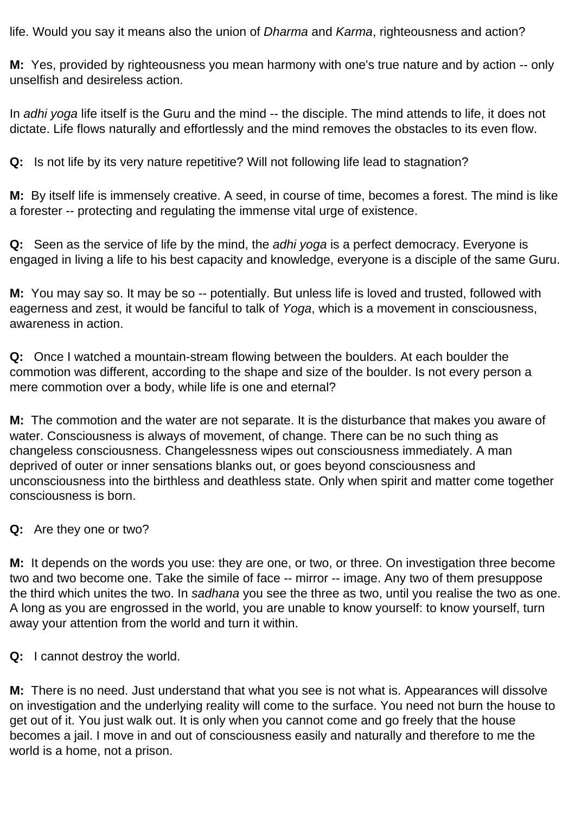life. Would you say it means also the union of *Dharma* and *Karma*, righteousness and action?

**M:** Yes, provided by righteousness you mean harmony with one's true nature and by action -- only unselfish and desireless action.

In *adhi yoga* life itself is the Guru and the mind -- the disciple. The mind attends to life, it does not dictate. Life flows naturally and effortlessly and the mind removes the obstacles to its even flow.

**Q:** Is not life by its very nature repetitive? Will not following life lead to stagnation?

**M:** By itself life is immensely creative. A seed, in course of time, becomes a forest. The mind is like a forester -- protecting and regulating the immense vital urge of existence.

**Q:** Seen as the service of life by the mind, the *adhi yoga* is a perfect democracy. Everyone is engaged in living a life to his best capacity and knowledge, everyone is a disciple of the same Guru.

**M:** You may say so. It may be so -- potentially. But unless life is loved and trusted, followed with eagerness and zest, it would be fanciful to talk of *Yoga*, which is a movement in consciousness, awareness in action.

**Q:** Once I watched a mountain-stream flowing between the boulders. At each boulder the commotion was different, according to the shape and size of the boulder. Is not every person a mere commotion over a body, while life is one and eternal?

**M:** The commotion and the water are not separate. It is the disturbance that makes you aware of water. Consciousness is always of movement, of change. There can be no such thing as changeless consciousness. Changelessness wipes out consciousness immediately. A man deprived of outer or inner sensations blanks out, or goes beyond consciousness and unconsciousness into the birthless and deathless state. Only when spirit and matter come together consciousness is born.

### **Q:** Are they one or two?

**M:** It depends on the words you use: they are one, or two, or three. On investigation three become two and two become one. Take the simile of face -- mirror -- image. Any two of them presuppose the third which unites the two. In *sadhana* you see the three as two, until you realise the two as one. A long as you are engrossed in the world, you are unable to know yourself: to know yourself, turn away your attention from the world and turn it within.

**Q:** I cannot destroy the world.

**M:** There is no need. Just understand that what you see is not what is. Appearances will dissolve on investigation and the underlying reality will come to the surface. You need not burn the house to get out of it. You just walk out. It is only when you cannot come and go freely that the house becomes a jail. I move in and out of consciousness easily and naturally and therefore to me the world is a home, not a prison.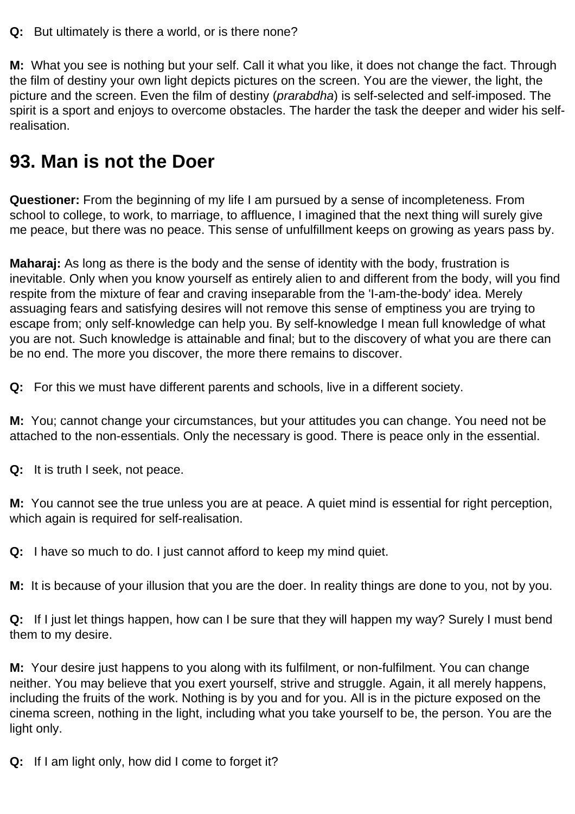**M:** What you see is nothing but your self. Call it what you like, it does not change the fact. Through the film of destiny your own light depicts pictures on the screen. You are the viewer, the light, the picture and the screen. Even the film of destiny (*prarabdha*) is self-selected and self-imposed. The spirit is a sport and enjoys to overcome obstacles. The harder the task the deeper and wider his selfrealisation.

## **93. Man is not the Doer**

**Questioner:** From the beginning of my life I am pursued by a sense of incompleteness. From school to college, to work, to marriage, to affluence, I imagined that the next thing will surely give me peace, but there was no peace. This sense of unfulfillment keeps on growing as years pass by.

**Maharaj:** As long as there is the body and the sense of identity with the body, frustration is inevitable. Only when you know yourself as entirely alien to and different from the body, will you find respite from the mixture of fear and craving inseparable from the 'I-am-the-body' idea. Merely assuaging fears and satisfying desires will not remove this sense of emptiness you are trying to escape from; only self-knowledge can help you. By self-knowledge I mean full knowledge of what you are not. Such knowledge is attainable and final; but to the discovery of what you are there can be no end. The more you discover, the more there remains to discover.

**Q:** For this we must have different parents and schools, live in a different society.

**M:** You; cannot change your circumstances, but your attitudes you can change. You need not be attached to the non-essentials. Only the necessary is good. There is peace only in the essential.

**Q:** It is truth I seek, not peace.

**M:** You cannot see the true unless you are at peace. A quiet mind is essential for right perception, which again is required for self-realisation.

**Q:** I have so much to do. I just cannot afford to keep my mind quiet.

**M:** It is because of your illusion that you are the doer. In reality things are done to you, not by you.

**Q:** If I just let things happen, how can I be sure that they will happen my way? Surely I must bend them to my desire.

**M:** Your desire just happens to you along with its fulfilment, or non-fulfilment. You can change neither. You may believe that you exert yourself, strive and struggle. Again, it all merely happens, including the fruits of the work. Nothing is by you and for you. All is in the picture exposed on the cinema screen, nothing in the light, including what you take yourself to be, the person. You are the light only.

**Q:** If I am light only, how did I come to forget it?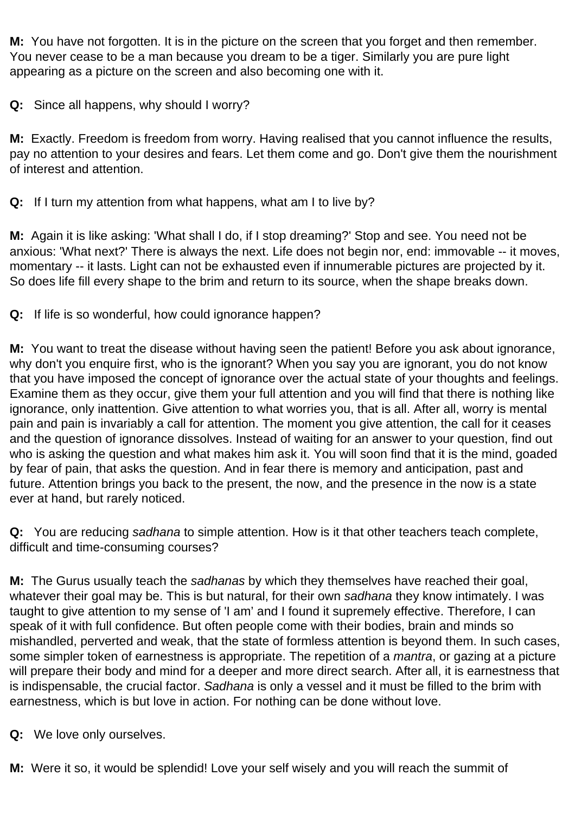**M:** You have not forgotten. It is in the picture on the screen that you forget and then remember. You never cease to be a man because you dream to be a tiger. Similarly you are pure light appearing as a picture on the screen and also becoming one with it.

**Q:** Since all happens, why should I worry?

**M:** Exactly. Freedom is freedom from worry. Having realised that you cannot influence the results, pay no attention to your desires and fears. Let them come and go. Don't give them the nourishment of interest and attention.

**Q:** If I turn my attention from what happens, what am I to live by?

**M:** Again it is like asking: 'What shall I do, if I stop dreaming?' Stop and see. You need not be anxious: 'What next?' There is always the next. Life does not begin nor, end: immovable -- it moves, momentary -- it lasts. Light can not be exhausted even if innumerable pictures are projected by it. So does life fill every shape to the brim and return to its source, when the shape breaks down.

**Q:** If life is so wonderful, how could ignorance happen?

**M:** You want to treat the disease without having seen the patient! Before you ask about ignorance, why don't you enquire first, who is the ignorant? When you say you are ignorant, you do not know that you have imposed the concept of ignorance over the actual state of your thoughts and feelings. Examine them as they occur, give them your full attention and you will find that there is nothing like ignorance, only inattention. Give attention to what worries you, that is all. After all, worry is mental pain and pain is invariably a call for attention. The moment you give attention, the call for it ceases and the question of ignorance dissolves. Instead of waiting for an answer to your question, find out who is asking the question and what makes him ask it. You will soon find that it is the mind, goaded by fear of pain, that asks the question. And in fear there is memory and anticipation, past and future. Attention brings you back to the present, the now, and the presence in the now is a state ever at hand, but rarely noticed.

**Q:** You are reducing *sadhana* to simple attention. How is it that other teachers teach complete, difficult and time-consuming courses?

**M:** The Gurus usually teach the *sadhanas* by which they themselves have reached their goal, whatever their goal may be. This is but natural, for their own *sadhana* they know intimately. I was taught to give attention to my sense of 'I am' and I found it supremely effective. Therefore, I can speak of it with full confidence. But often people come with their bodies, brain and minds so mishandled, perverted and weak, that the state of formless attention is beyond them. In such cases, some simpler token of earnestness is appropriate. The repetition of a *mantra*, or gazing at a picture will prepare their body and mind for a deeper and more direct search. After all, it is earnestness that is indispensable, the crucial factor. *Sadhana* is only a vessel and it must be filled to the brim with earnestness, which is but love in action. For nothing can be done without love.

**Q:** We love only ourselves.

**M:** Were it so, it would be splendid! Love your self wisely and you will reach the summit of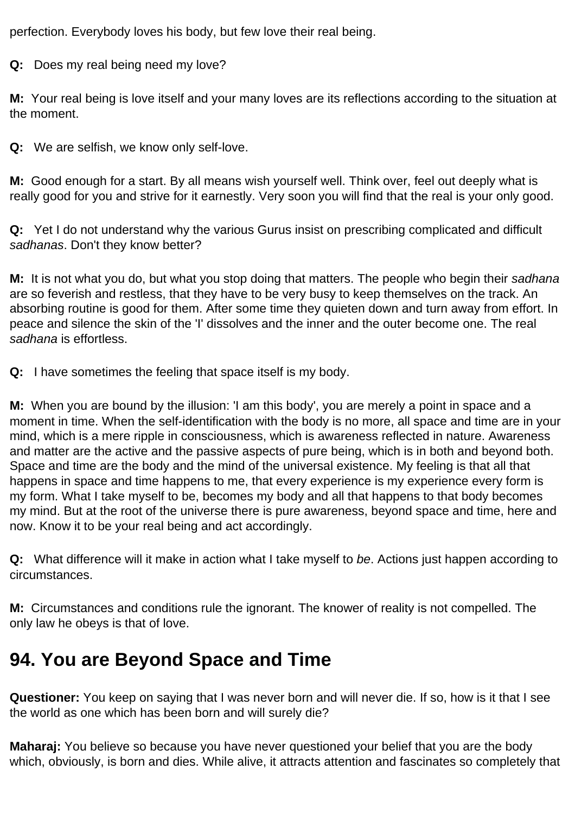perfection. Everybody loves his body, but few love their real being.

**Q:** Does my real being need my love?

**M:** Your real being is love itself and your many loves are its reflections according to the situation at the moment.

**Q:** We are selfish, we know only self-love.

**M:** Good enough for a start. By all means wish yourself well. Think over, feel out deeply what is really good for you and strive for it earnestly. Very soon you will find that the real is your only good.

**Q:** Yet I do not understand why the various Gurus insist on prescribing complicated and difficult *sadhanas*. Don't they know better?

**M:** It is not what you do, but what you stop doing that matters. The people who begin their *sadhana* are so feverish and restless, that they have to be very busy to keep themselves on the track. An absorbing routine is good for them. After some time they quieten down and turn away from effort. In peace and silence the skin of the 'I' dissolves and the inner and the outer become one. The real *sadhana* is effortless.

**Q:** I have sometimes the feeling that space itself is my body.

**M:** When you are bound by the illusion: 'I am this body', you are merely a point in space and a moment in time. When the self-identification with the body is no more, all space and time are in your mind, which is a mere ripple in consciousness, which is awareness reflected in nature. Awareness and matter are the active and the passive aspects of pure being, which is in both and beyond both. Space and time are the body and the mind of the universal existence. My feeling is that all that happens in space and time happens to me, that every experience is my experience every form is my form. What I take myself to be, becomes my body and all that happens to that body becomes my mind. But at the root of the universe there is pure awareness, beyond space and time, here and now. Know it to be your real being and act accordingly.

**Q:** What difference will it make in action what I take myself to *be*. Actions just happen according to circumstances.

**M:** Circumstances and conditions rule the ignorant. The knower of reality is not compelled. The only law he obeys is that of love.

## **94. You are Beyond Space and Time**

**Questioner:** You keep on saying that I was never born and will never die. If so, how is it that I see the world as one which has been born and will surely die?

**Maharaj:** You believe so because you have never questioned your belief that you are the body which, obviously, is born and dies. While alive, it attracts attention and fascinates so completely that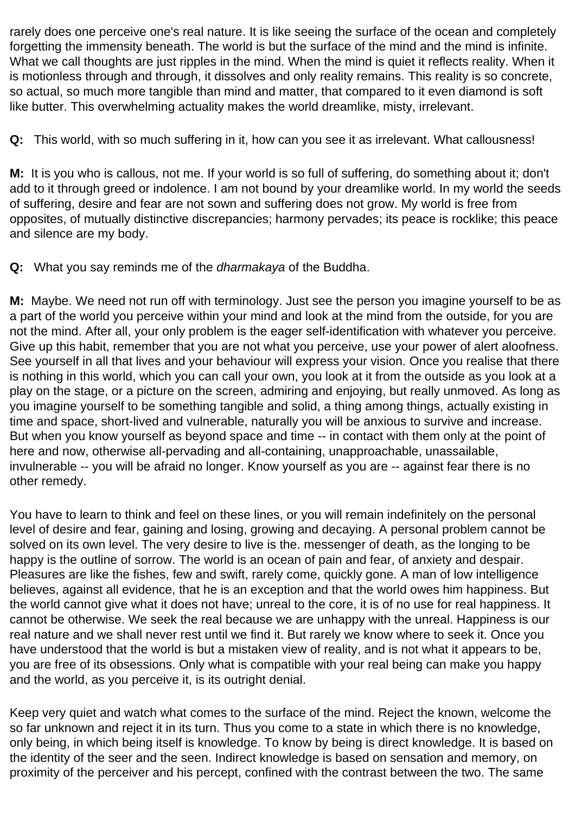rarely does one perceive one's real nature. It is like seeing the surface of the ocean and completely forgetting the immensity beneath. The world is but the surface of the mind and the mind is infinite. What we call thoughts are just ripples in the mind. When the mind is quiet it reflects reality. When it is motionless through and through, it dissolves and only reality remains. This reality is so concrete, so actual, so much more tangible than mind and matter, that compared to it even diamond is soft like butter. This overwhelming actuality makes the world dreamlike, misty, irrelevant.

**Q:** This world, with so much suffering in it, how can you see it as irrelevant. What callousness!

**M:** It is you who is callous, not me. If your world is so full of suffering, do something about it; don't add to it through greed or indolence. I am not bound by your dreamlike world. In my world the seeds of suffering, desire and fear are not sown and suffering does not grow. My world is free from opposites, of mutually distinctive discrepancies; harmony pervades; its peace is rocklike; this peace and silence are my body.

**Q:** What you say reminds me of the *dharmakaya* of the Buddha.

**M:** Maybe. We need not run off with terminology. Just see the person you imagine yourself to be as a part of the world you perceive within your mind and look at the mind from the outside, for you are not the mind. After all, your only problem is the eager self-identification with whatever you perceive. Give up this habit, remember that you are not what you perceive, use your power of alert aloofness. See yourself in all that lives and your behaviour will express your vision. Once you realise that there is nothing in this world, which you can call your own, you look at it from the outside as you look at a play on the stage, or a picture on the screen, admiring and enjoying, but really unmoved. As long as you imagine yourself to be something tangible and solid, a thing among things, actually existing in time and space, short-lived and vulnerable, naturally you will be anxious to survive and increase. But when you know yourself as beyond space and time -- in contact with them only at the point of here and now, otherwise all-pervading and all-containing, unapproachable, unassailable, invulnerable -- you will be afraid no longer. Know yourself as you are -- against fear there is no other remedy.

You have to learn to think and feel on these lines, or you will remain indefinitely on the personal level of desire and fear, gaining and losing, growing and decaying. A personal problem cannot be solved on its own level. The very desire to live is the. messenger of death, as the longing to be happy is the outline of sorrow. The world is an ocean of pain and fear, of anxiety and despair. Pleasures are like the fishes, few and swift, rarely come, quickly gone. A man of low intelligence believes, against all evidence, that he is an exception and that the world owes him happiness. But the world cannot give what it does not have; unreal to the core, it is of no use for real happiness. It cannot be otherwise. We seek the real because we are unhappy with the unreal. Happiness is our real nature and we shall never rest until we find it. But rarely we know where to seek it. Once you have understood that the world is but a mistaken view of reality, and is not what it appears to be, you are free of its obsessions. Only what is compatible with your real being can make you happy and the world, as you perceive it, is its outright denial.

Keep very quiet and watch what comes to the surface of the mind. Reject the known, welcome the so far unknown and reject it in its turn. Thus you come to a state in which there is no knowledge, only being, in which being itself is knowledge. To know by being is direct knowledge. It is based on the identity of the seer and the seen. Indirect knowledge is based on sensation and memory, on proximity of the perceiver and his percept, confined with the contrast between the two. The same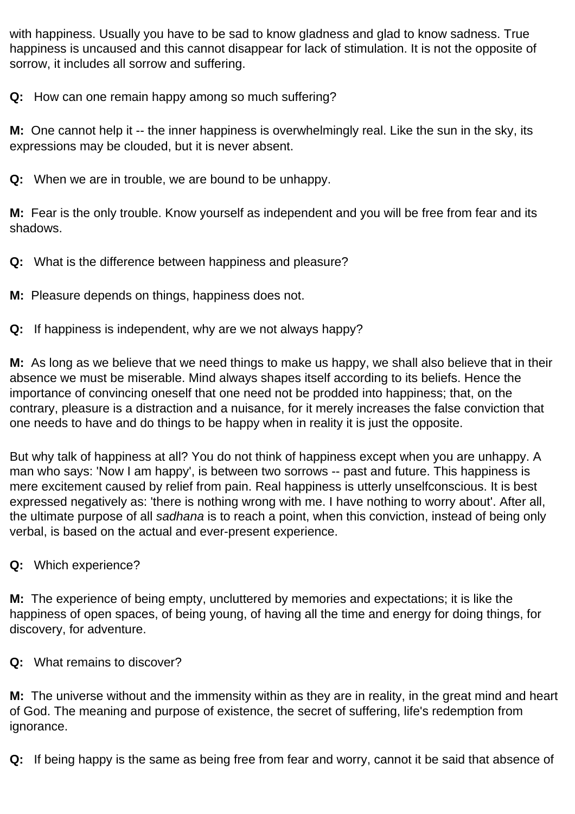with happiness. Usually you have to be sad to know gladness and glad to know sadness. True happiness is uncaused and this cannot disappear for lack of stimulation. It is not the opposite of sorrow, it includes all sorrow and suffering.

**Q:** How can one remain happy among so much suffering?

**M:** One cannot help it -- the inner happiness is overwhelmingly real. Like the sun in the sky, its expressions may be clouded, but it is never absent.

**Q:** When we are in trouble, we are bound to be unhappy.

**M:** Fear is the only trouble. Know yourself as independent and you will be free from fear and its shadows.

- **Q:** What is the difference between happiness and pleasure?
- **M:** Pleasure depends on things, happiness does not.
- **Q:** If happiness is independent, why are we not always happy?

**M:** As long as we believe that we need things to make us happy, we shall also believe that in their absence we must be miserable. Mind always shapes itself according to its beliefs. Hence the importance of convincing oneself that one need not be prodded into happiness; that, on the contrary, pleasure is a distraction and a nuisance, for it merely increases the false conviction that one needs to have and do things to be happy when in reality it is just the opposite.

But why talk of happiness at all? You do not think of happiness except when you are unhappy. A man who says: 'Now I am happy', is between two sorrows -- past and future. This happiness is mere excitement caused by relief from pain. Real happiness is utterly unselfconscious. It is best expressed negatively as: 'there is nothing wrong with me. I have nothing to worry about'. After all, the ultimate purpose of all *sadhana* is to reach a point, when this conviction, instead of being only verbal, is based on the actual and ever-present experience.

**Q:** Which experience?

**M:** The experience of being empty, uncluttered by memories and expectations; it is like the happiness of open spaces, of being young, of having all the time and energy for doing things, for discovery, for adventure.

**Q:** What remains to discover?

**M:** The universe without and the immensity within as they are in reality, in the great mind and heart of God. The meaning and purpose of existence, the secret of suffering, life's redemption from ignorance.

**Q:** If being happy is the same as being free from fear and worry, cannot it be said that absence of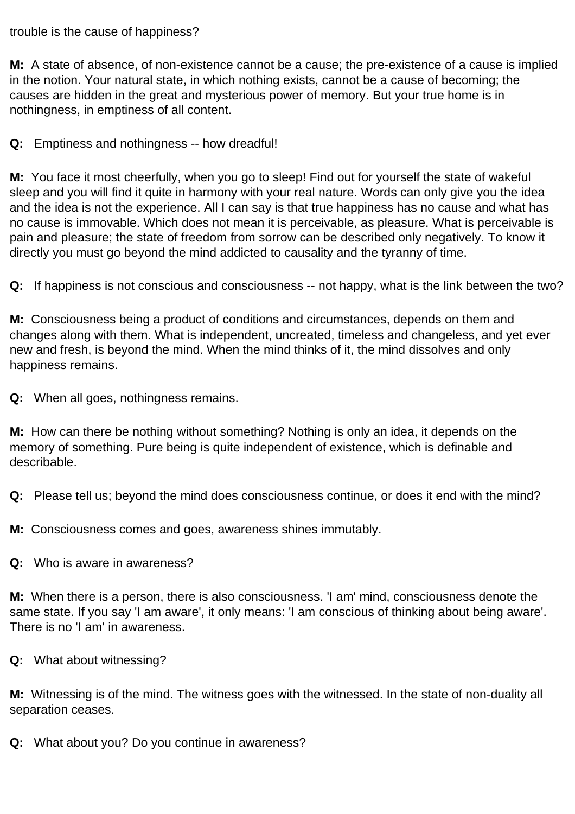trouble is the cause of happiness?

**M:** A state of absence, of non-existence cannot be a cause; the pre-existence of a cause is implied in the notion. Your natural state, in which nothing exists, cannot be a cause of becoming; the causes are hidden in the great and mysterious power of memory. But your true home is in nothingness, in emptiness of all content.

**Q:** Emptiness and nothingness -- how dreadful!

**M:** You face it most cheerfully, when you go to sleep! Find out for yourself the state of wakeful sleep and you will find it quite in harmony with your real nature. Words can only give you the idea and the idea is not the experience. All I can say is that true happiness has no cause and what has no cause is immovable. Which does not mean it is perceivable, as pleasure. What is perceivable is pain and pleasure; the state of freedom from sorrow can be described only negatively. To know it directly you must go beyond the mind addicted to causality and the tyranny of time.

**Q:** If happiness is not conscious and consciousness -- not happy, what is the link between the two?

**M:** Consciousness being a product of conditions and circumstances, depends on them and changes along with them. What is independent, uncreated, timeless and changeless, and yet ever new and fresh, is beyond the mind. When the mind thinks of it, the mind dissolves and only happiness remains.

**Q:** When all goes, nothingness remains.

**M:** How can there be nothing without something? Nothing is only an idea, it depends on the memory of something. Pure being is quite independent of existence, which is definable and describable.

**Q:** Please tell us; beyond the mind does consciousness continue, or does it end with the mind?

**M:** Consciousness comes and goes, awareness shines immutably.

**Q:** Who is aware in awareness?

**M:** When there is a person, there is also consciousness. 'I am' mind, consciousness denote the same state. If you say 'I am aware', it only means: 'I am conscious of thinking about being aware'. There is no 'I am' in awareness.

**Q:** What about witnessing?

**M:** Witnessing is of the mind. The witness goes with the witnessed. In the state of non-duality all separation ceases.

**Q:** What about you? Do you continue in awareness?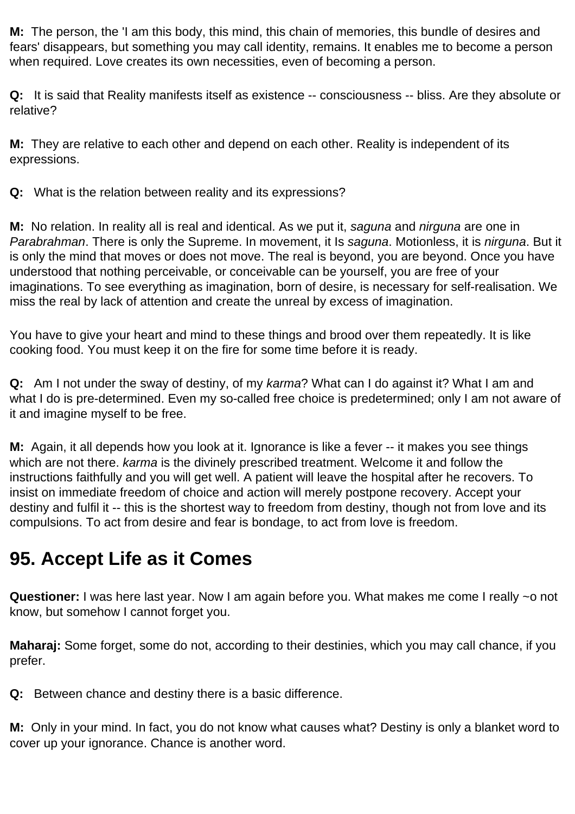**M:** The person, the 'I am this body, this mind, this chain of memories, this bundle of desires and fears' disappears, but something you may call identity, remains. It enables me to become a person when required. Love creates its own necessities, even of becoming a person.

**Q:** It is said that Reality manifests itself as existence -- consciousness -- bliss. Are they absolute or relative?

**M:** They are relative to each other and depend on each other. Reality is independent of its expressions.

**Q:** What is the relation between reality and its expressions?

**M:** No relation. In reality all is real and identical. As we put it, *saguna* and *nirguna* are one in *Parabrahman*. There is only the Supreme. In movement, it Is *saguna*. Motionless, it is *nirguna*. But it is only the mind that moves or does not move. The real is beyond, you are beyond. Once you have understood that nothing perceivable, or conceivable can be yourself, you are free of your imaginations. To see everything as imagination, born of desire, is necessary for self-realisation. We miss the real by lack of attention and create the unreal by excess of imagination.

You have to give your heart and mind to these things and brood over them repeatedly. It is like cooking food. You must keep it on the fire for some time before it is ready.

**Q:** Am I not under the sway of destiny, of my *karma*? What can I do against it? What I am and what I do is pre-determined. Even my so-called free choice is predetermined; only I am not aware of it and imagine myself to be free.

**M:** Again, it all depends how you look at it. Ignorance is like a fever -- it makes you see things which are not there. *karma* is the divinely prescribed treatment. Welcome it and follow the instructions faithfully and you will get well. A patient will leave the hospital after he recovers. To insist on immediate freedom of choice and action will merely postpone recovery. Accept your destiny and fulfil it -- this is the shortest way to freedom from destiny, though not from love and its compulsions. To act from desire and fear is bondage, to act from love is freedom.

## **95. Accept Life as it Comes**

**Questioner:** I was here last year. Now I am again before you. What makes me come I really ~o not know, but somehow I cannot forget you.

**Maharaj:** Some forget, some do not, according to their destinies, which you may call chance, if you prefer.

**Q:** Between chance and destiny there is a basic difference.

**M:** Only in your mind. In fact, you do not know what causes what? Destiny is only a blanket word to cover up your ignorance. Chance is another word.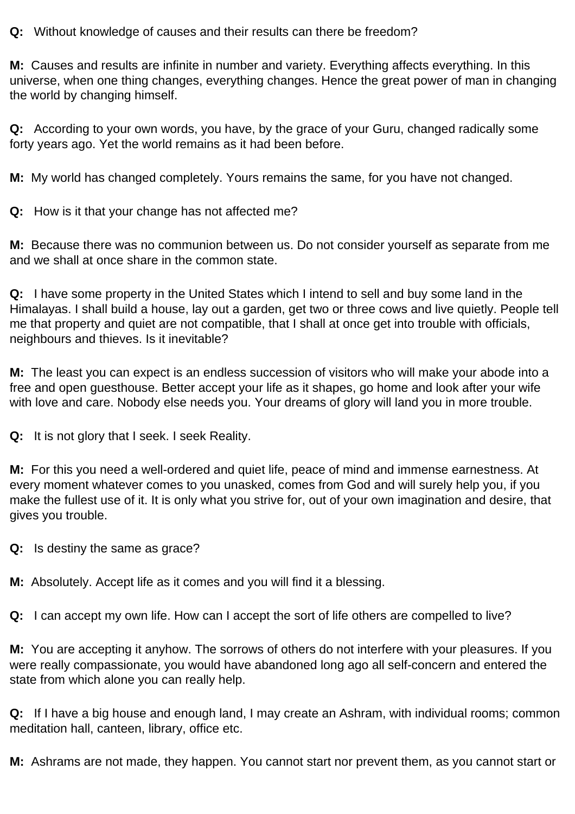**Q:** Without knowledge of causes and their results can there be freedom?

**M:** Causes and results are infinite in number and variety. Everything affects everything. In this universe, when one thing changes, everything changes. Hence the great power of man in changing the world by changing himself.

**Q:** According to your own words, you have, by the grace of your Guru, changed radically some forty years ago. Yet the world remains as it had been before.

**M:** My world has changed completely. Yours remains the same, for you have not changed.

**Q:** How is it that your change has not affected me?

**M:** Because there was no communion between us. Do not consider yourself as separate from me and we shall at once share in the common state.

**Q:** I have some property in the United States which I intend to sell and buy some land in the Himalayas. I shall build a house, lay out a garden, get two or three cows and live quietly. People tell me that property and quiet are not compatible, that I shall at once get into trouble with officials, neighbours and thieves. Is it inevitable?

**M:** The least you can expect is an endless succession of visitors who will make your abode into a free and open guesthouse. Better accept your life as it shapes, go home and look after your wife with love and care. Nobody else needs you. Your dreams of glory will land you in more trouble.

**Q:** It is not glory that I seek. I seek Reality.

**M:** For this you need a well-ordered and quiet life, peace of mind and immense earnestness. At every moment whatever comes to you unasked, comes from God and will surely help you, if you make the fullest use of it. It is only what you strive for, out of your own imagination and desire, that gives you trouble.

**Q:** Is destiny the same as grace?

**M:** Absolutely. Accept life as it comes and you will find it a blessing.

**Q:** I can accept my own life. How can I accept the sort of life others are compelled to live?

**M:** You are accepting it anyhow. The sorrows of others do not interfere with your pleasures. If you were really compassionate, you would have abandoned long ago all self-concern and entered the state from which alone you can really help.

**Q:** If I have a big house and enough land, I may create an Ashram, with individual rooms; common meditation hall, canteen, library, office etc.

**M:** Ashrams are not made, they happen. You cannot start nor prevent them, as you cannot start or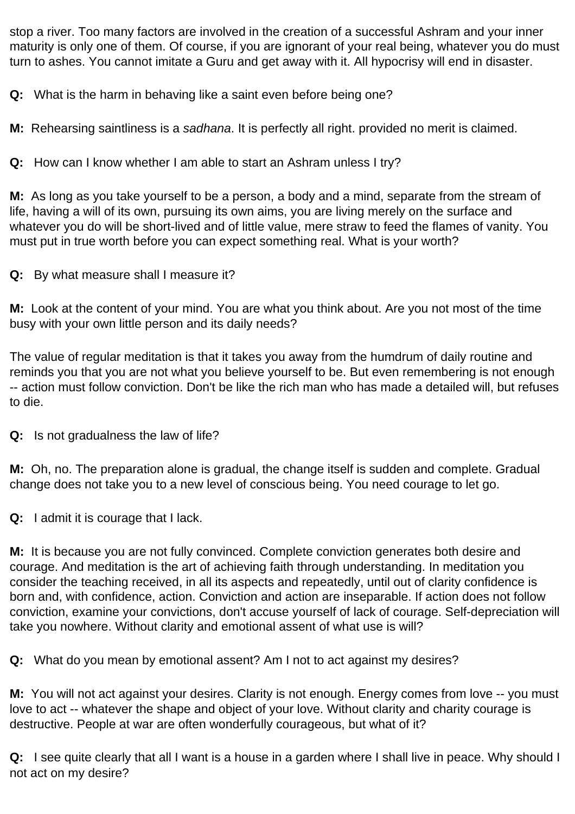stop a river. Too many factors are involved in the creation of a successful Ashram and your inner maturity is only one of them. Of course, if you are ignorant of your real being, whatever you do must turn to ashes. You cannot imitate a Guru and get away with it. All hypocrisy will end in disaster.

**Q:** What is the harm in behaving like a saint even before being one?

**M:** Rehearsing saintliness is a *sadhana*. It is perfectly all right. provided no merit is claimed.

**Q:** How can I know whether I am able to start an Ashram unless I try?

**M:** As long as you take yourself to be a person, a body and a mind, separate from the stream of life, having a will of its own, pursuing its own aims, you are living merely on the surface and whatever you do will be short-lived and of little value, mere straw to feed the flames of vanity. You must put in true worth before you can expect something real. What is your worth?

**Q:** By what measure shall I measure it?

**M:** Look at the content of your mind. You are what you think about. Are you not most of the time busy with your own little person and its daily needs?

The value of regular meditation is that it takes you away from the humdrum of daily routine and reminds you that you are not what you believe yourself to be. But even remembering is not enough -- action must follow conviction. Don't be like the rich man who has made a detailed will, but refuses to die.

**Q:** Is not gradualness the law of life?

**M:** Oh, no. The preparation alone is gradual, the change itself is sudden and complete. Gradual change does not take you to a new level of conscious being. You need courage to let go.

**Q:** I admit it is courage that I lack.

**M:** It is because you are not fully convinced. Complete conviction generates both desire and courage. And meditation is the art of achieving faith through understanding. In meditation you consider the teaching received, in all its aspects and repeatedly, until out of clarity confidence is born and, with confidence, action. Conviction and action are inseparable. If action does not follow conviction, examine your convictions, don't accuse yourself of lack of courage. Self-depreciation will take you nowhere. Without clarity and emotional assent of what use is will?

**Q:** What do you mean by emotional assent? Am I not to act against my desires?

**M:** You will not act against your desires. Clarity is not enough. Energy comes from love -- you must love to act -- whatever the shape and object of your love. Without clarity and charity courage is destructive. People at war are often wonderfully courageous, but what of it?

**Q:** I see quite clearly that all I want is a house in a garden where I shall live in peace. Why should I not act on my desire?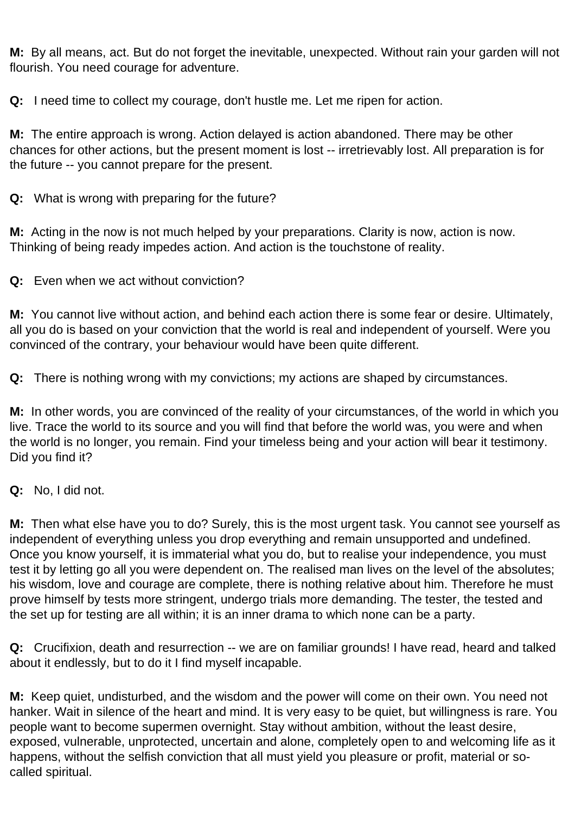**M:** By all means, act. But do not forget the inevitable, unexpected. Without rain your garden will not flourish. You need courage for adventure.

**Q:** I need time to collect my courage, don't hustle me. Let me ripen for action.

**M:** The entire approach is wrong. Action delayed is action abandoned. There may be other chances for other actions, but the present moment is lost -- irretrievably lost. All preparation is for the future -- you cannot prepare for the present.

**Q:** What is wrong with preparing for the future?

**M:** Acting in the now is not much helped by your preparations. Clarity is now, action is now. Thinking of being ready impedes action. And action is the touchstone of reality.

**Q:** Even when we act without conviction?

**M:** You cannot live without action, and behind each action there is some fear or desire. Ultimately, all you do is based on your conviction that the world is real and independent of yourself. Were you convinced of the contrary, your behaviour would have been quite different.

**Q:** There is nothing wrong with my convictions; my actions are shaped by circumstances.

**M:** In other words, you are convinced of the reality of your circumstances, of the world in which you live. Trace the world to its source and you will find that before the world was, you were and when the world is no longer, you remain. Find your timeless being and your action will bear it testimony. Did you find it?

**Q:** No, I did not.

**M:** Then what else have you to do? Surely, this is the most urgent task. You cannot see yourself as independent of everything unless you drop everything and remain unsupported and undefined. Once you know yourself, it is immaterial what you do, but to realise your independence, you must test it by letting go all you were dependent on. The realised man lives on the level of the absolutes; his wisdom, love and courage are complete, there is nothing relative about him. Therefore he must prove himself by tests more stringent, undergo trials more demanding. The tester, the tested and the set up for testing are all within; it is an inner drama to which none can be a party.

**Q:** Crucifixion, death and resurrection -- we are on familiar grounds! I have read, heard and talked about it endlessly, but to do it I find myself incapable.

**M:** Keep quiet, undisturbed, and the wisdom and the power will come on their own. You need not hanker. Wait in silence of the heart and mind. It is very easy to be quiet, but willingness is rare. You people want to become supermen overnight. Stay without ambition, without the least desire, exposed, vulnerable, unprotected, uncertain and alone, completely open to and welcoming life as it happens, without the selfish conviction that all must yield you pleasure or profit, material or socalled spiritual.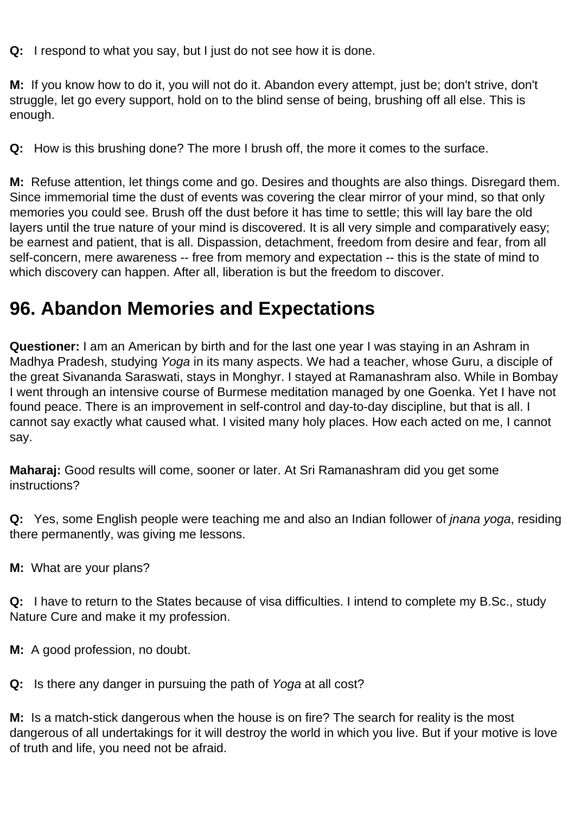**Q:** I respond to what you say, but I just do not see how it is done.

**M:** If you know how to do it, you will not do it. Abandon every attempt, just be; don't strive, don't struggle, let go every support, hold on to the blind sense of being, brushing off all else. This is enough.

**Q:** How is this brushing done? The more I brush off, the more it comes to the surface.

**M:** Refuse attention, let things come and go. Desires and thoughts are also things. Disregard them. Since immemorial time the dust of events was covering the clear mirror of your mind, so that only memories you could see. Brush off the dust before it has time to settle; this will lay bare the old layers until the true nature of your mind is discovered. It is all very simple and comparatively easy; be earnest and patient, that is all. Dispassion, detachment, freedom from desire and fear, from all self-concern, mere awareness -- free from memory and expectation -- this is the state of mind to which discovery can happen. After all, liberation is but the freedom to discover.

#### **96. Abandon Memories and Expectations**

**Questioner:** I am an American by birth and for the last one year I was staying in an Ashram in Madhya Pradesh, studying *Yoga* in its many aspects. We had a teacher, whose Guru, a disciple of the great Sivananda Saraswati, stays in Monghyr. I stayed at Ramanashram also. While in Bombay I went through an intensive course of Burmese meditation managed by one Goenka. Yet I have not found peace. There is an improvement in self-control and day-to-day discipline, but that is all. I cannot say exactly what caused what. I visited many holy places. How each acted on me, I cannot say.

**Maharaj:** Good results will come, sooner or later. At Sri Ramanashram did you get some instructions?

**Q:** Yes, some English people were teaching me and also an Indian follower of *jnana yoga*, residing there permanently, was giving me lessons.

**M:** What are your plans?

**Q:** I have to return to the States because of visa difficulties. I intend to complete my B.Sc., study Nature Cure and make it my profession.

**M:** A good profession, no doubt.

**Q:** Is there any danger in pursuing the path of *Yoga* at all cost?

**M:** Is a match-stick dangerous when the house is on fire? The search for reality is the most dangerous of all undertakings for it will destroy the world in which you live. But if your motive is love of truth and life, you need not be afraid.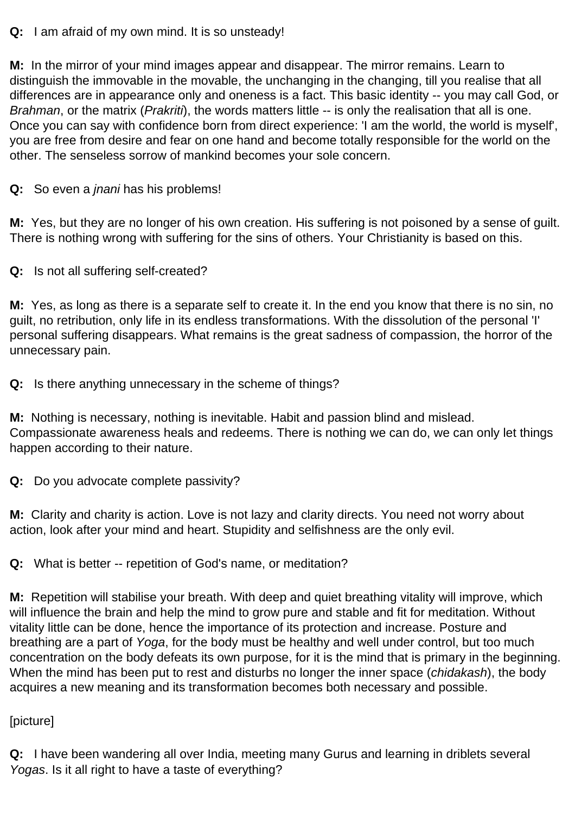#### **Q:** I am afraid of my own mind. It is so unsteady!

**M:** In the mirror of your mind images appear and disappear. The mirror remains. Learn to distinguish the immovable in the movable, the unchanging in the changing, till you realise that all differences are in appearance only and oneness is a fact. This basic identity -- you may call God, or *Brahman*, or the matrix (*Prakriti*), the words matters little -- is only the realisation that all is one. Once you can say with confidence born from direct experience: 'I am the world, the world is myself', you are free from desire and fear on one hand and become totally responsible for the world on the other. The senseless sorrow of mankind becomes your sole concern.

**Q:** So even a *jnani* has his problems!

**M:** Yes, but they are no longer of his own creation. His suffering is not poisoned by a sense of guilt. There is nothing wrong with suffering for the sins of others. Your Christianity is based on this.

**Q:** Is not all suffering self-created?

**M:** Yes, as long as there is a separate self to create it. In the end you know that there is no sin, no guilt, no retribution, only life in its endless transformations. With the dissolution of the personal 'I' personal suffering disappears. What remains is the great sadness of compassion, the horror of the unnecessary pain.

**Q:** Is there anything unnecessary in the scheme of things?

**M:** Nothing is necessary, nothing is inevitable. Habit and passion blind and mislead. Compassionate awareness heals and redeems. There is nothing we can do, we can only let things happen according to their nature.

**Q:** Do you advocate complete passivity?

**M:** Clarity and charity is action. Love is not lazy and clarity directs. You need not worry about action, look after your mind and heart. Stupidity and selfishness are the only evil.

**Q:** What is better -- repetition of God's name, or meditation?

**M:** Repetition will stabilise your breath. With deep and quiet breathing vitality will improve, which will influence the brain and help the mind to grow pure and stable and fit for meditation. Without vitality little can be done, hence the importance of its protection and increase. Posture and breathing are a part of *Yoga*, for the body must be healthy and well under control, but too much concentration on the body defeats its own purpose, for it is the mind that is primary in the beginning. When the mind has been put to rest and disturbs no longer the inner space (*chidakash*), the body acquires a new meaning and its transformation becomes both necessary and possible.

[picture]

**Q:** I have been wandering all over India, meeting many Gurus and learning in driblets several *Yogas*. Is it all right to have a taste of everything?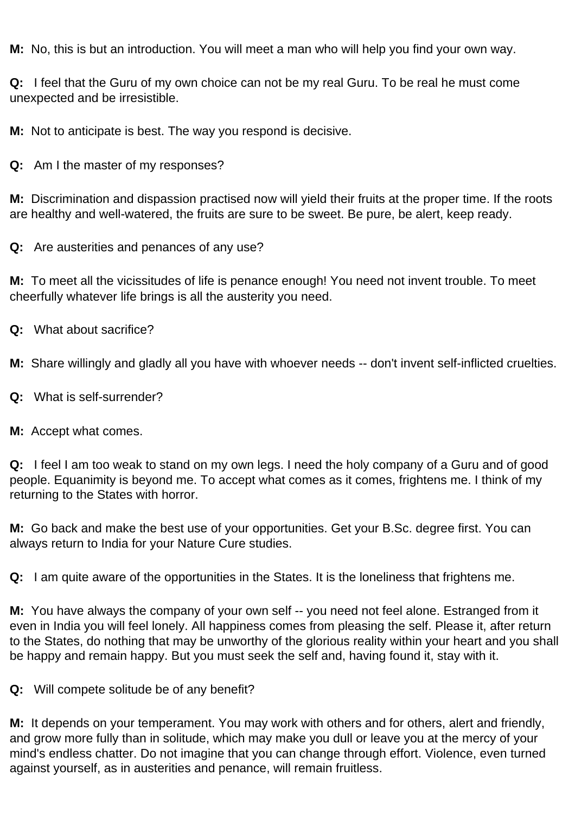**M:** No, this is but an introduction. You will meet a man who will help you find your own way.

**Q:** I feel that the Guru of my own choice can not be my real Guru. To be real he must come unexpected and be irresistible.

**M:** Not to anticipate is best. The way you respond is decisive.

**Q:** Am I the master of my responses?

**M:** Discrimination and dispassion practised now will yield their fruits at the proper time. If the roots are healthy and well-watered, the fruits are sure to be sweet. Be pure, be alert, keep ready.

**Q:** Are austerities and penances of any use?

**M:** To meet all the vicissitudes of life is penance enough! You need not invent trouble. To meet cheerfully whatever life brings is all the austerity you need.

**Q:** What about sacrifice?

**M:** Share willingly and gladly all you have with whoever needs -- don't invent self-inflicted cruelties.

- **Q:** What is self-surrender?
- **M:** Accept what comes.

**Q:** I feel I am too weak to stand on my own legs. I need the holy company of a Guru and of good people. Equanimity is beyond me. To accept what comes as it comes, frightens me. I think of my returning to the States with horror.

**M:** Go back and make the best use of your opportunities. Get your B.Sc. degree first. You can always return to India for your Nature Cure studies.

**Q:** I am quite aware of the opportunities in the States. It is the loneliness that frightens me.

**M:** You have always the company of your own self -- you need not feel alone. Estranged from it even in India you will feel lonely. All happiness comes from pleasing the self. Please it, after return to the States, do nothing that may be unworthy of the glorious reality within your heart and you shall be happy and remain happy. But you must seek the self and, having found it, stay with it.

**Q:** Will compete solitude be of any benefit?

**M:** It depends on your temperament. You may work with others and for others, alert and friendly, and grow more fully than in solitude, which may make you dull or leave you at the mercy of your mind's endless chatter. Do not imagine that you can change through effort. Violence, even turned against yourself, as in austerities and penance, will remain fruitless.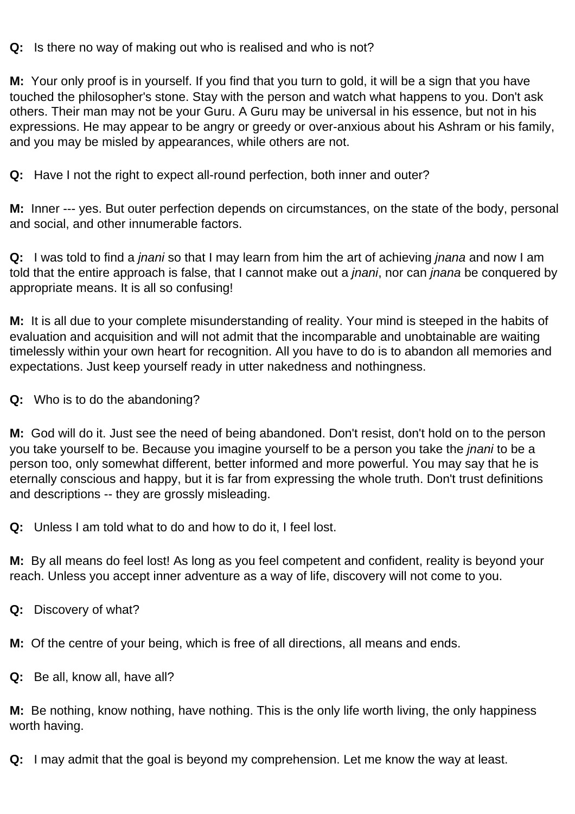**Q:** Is there no way of making out who is realised and who is not?

**M:** Your only proof is in yourself. If you find that you turn to gold, it will be a sign that you have touched the philosopher's stone. Stay with the person and watch what happens to you. Don't ask others. Their man may not be your Guru. A Guru may be universal in his essence, but not in his expressions. He may appear to be angry or greedy or over-anxious about his Ashram or his family, and you may be misled by appearances, while others are not.

**Q:** Have I not the right to expect all-round perfection, both inner and outer?

**M:** Inner --- yes. But outer perfection depends on circumstances, on the state of the body, personal and social, and other innumerable factors.

**Q:** I was told to find a *jnani* so that I may learn from him the art of achieving *jnana* and now I am told that the entire approach is false, that I cannot make out a *jnani*, nor can *jnana* be conquered by appropriate means. It is all so confusing!

**M:** It is all due to your complete misunderstanding of reality. Your mind is steeped in the habits of evaluation and acquisition and will not admit that the incomparable and unobtainable are waiting timelessly within your own heart for recognition. All you have to do is to abandon all memories and expectations. Just keep yourself ready in utter nakedness and nothingness.

**Q:** Who is to do the abandoning?

**M:** God will do it. Just see the need of being abandoned. Don't resist, don't hold on to the person you take yourself to be. Because you imagine yourself to be a person you take the *jnani* to be a person too, only somewhat different, better informed and more powerful. You may say that he is eternally conscious and happy, but it is far from expressing the whole truth. Don't trust definitions and descriptions -- they are grossly misleading.

**Q:** Unless I am told what to do and how to do it, I feel lost.

**M:** By all means do feel lost! As long as you feel competent and confident, reality is beyond your reach. Unless you accept inner adventure as a way of life, discovery will not come to you.

**Q:** Discovery of what?

**M:** Of the centre of your being, which is free of all directions, all means and ends.

**Q:** Be all, know all, have all?

**M:** Be nothing, know nothing, have nothing. This is the only life worth living, the only happiness worth having.

**Q:** I may admit that the goal is beyond my comprehension. Let me know the way at least.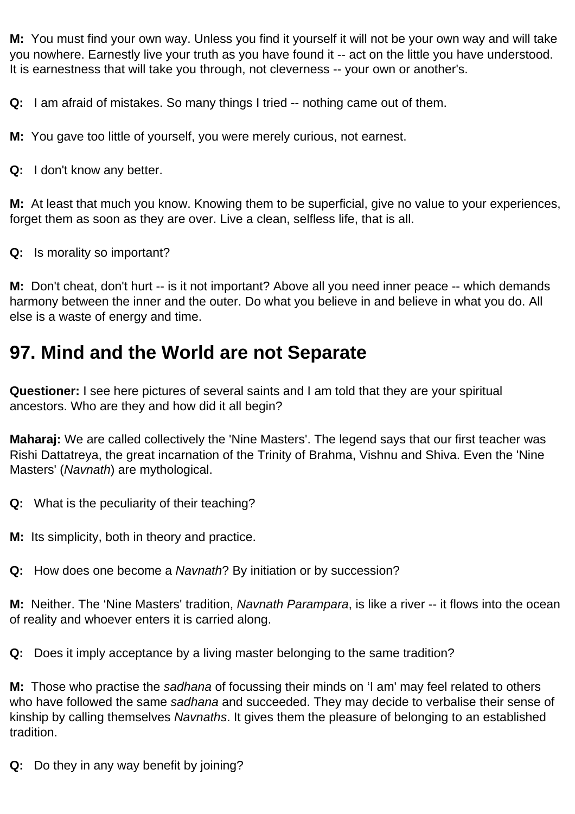**M:** You must find your own way. Unless you find it yourself it will not be your own way and will take you nowhere. Earnestly live your truth as you have found it -- act on the little you have understood. It is earnestness that will take you through, not cleverness -- your own or another's.

**Q:** I am afraid of mistakes. So many things I tried -- nothing came out of them.

**M:** You gave too little of yourself, you were merely curious, not earnest.

**Q:** I don't know any better.

**M:** At least that much you know. Knowing them to be superficial, give no value to your experiences, forget them as soon as they are over. Live a clean, selfless life, that is all.

**Q:** Is morality so important?

**M:** Don't cheat, don't hurt -- is it not important? Above all you need inner peace -- which demands harmony between the inner and the outer. Do what you believe in and believe in what you do. All else is a waste of energy and time.

### **97. Mind and the World are not Separate**

**Questioner:** I see here pictures of several saints and I am told that they are your spiritual ancestors. Who are they and how did it all begin?

**Maharaj:** We are called collectively the 'Nine Masters'. The legend says that our first teacher was Rishi Dattatreya, the great incarnation of the Trinity of Brahma, Vishnu and Shiva. Even the 'Nine Masters' (*Navnath*) are mythological.

- **Q:** What is the peculiarity of their teaching?
- **M:** Its simplicity, both in theory and practice.
- **Q:** How does one become a *Navnath*? By initiation or by succession?

**M:** Neither. The 'Nine Masters' tradition, *Navnath Parampara*, is like a river -- it flows into the ocean of reality and whoever enters it is carried along.

**Q:** Does it imply acceptance by a living master belonging to the same tradition?

**M:** Those who practise the *sadhana* of focussing their minds on 'I am' may feel related to others who have followed the same *sadhana* and succeeded. They may decide to verbalise their sense of kinship by calling themselves *Navnaths*. It gives them the pleasure of belonging to an established tradition.

**Q:** Do they in any way benefit by joining?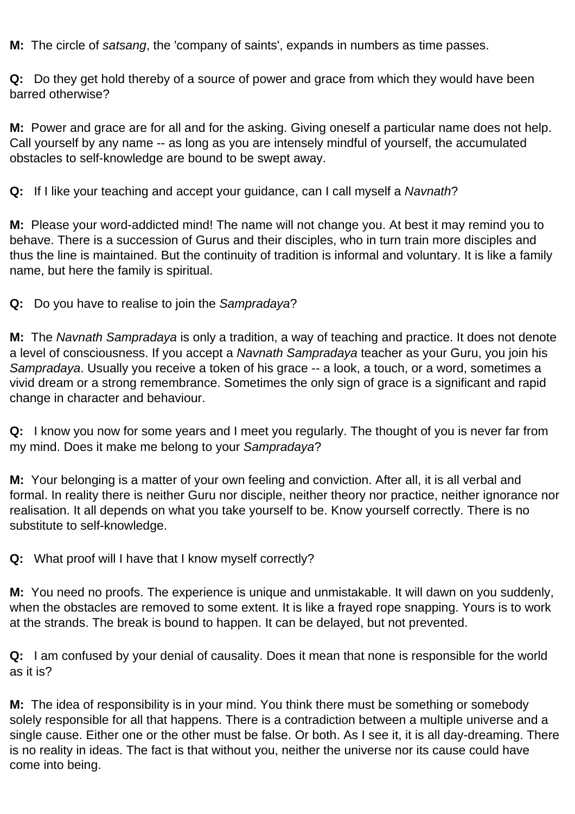**M:** The circle of *satsang*, the 'company of saints', expands in numbers as time passes.

**Q:** Do they get hold thereby of a source of power and grace from which they would have been barred otherwise?

**M:** Power and grace are for all and for the asking. Giving oneself a particular name does not help. Call yourself by any name -- as long as you are intensely mindful of yourself, the accumulated obstacles to self-knowledge are bound to be swept away.

**Q:** If I like your teaching and accept your guidance, can I call myself a *Navnath*?

**M:** Please your word-addicted mind! The name will not change you. At best it may remind you to behave. There is a succession of Gurus and their disciples, who in turn train more disciples and thus the line is maintained. But the continuity of tradition is informal and voluntary. It is like a family name, but here the family is spiritual.

**Q:** Do you have to realise to join the *Sampradaya*?

**M:** The *Navnath Sampradaya* is only a tradition, a way of teaching and practice. It does not denote a level of consciousness. If you accept a *Navnath Sampradaya* teacher as your Guru, you join his *Sampradaya*. Usually you receive a token of his grace -- a look, a touch, or a word, sometimes a vivid dream or a strong remembrance. Sometimes the only sign of grace is a significant and rapid change in character and behaviour.

**Q:** I know you now for some years and I meet you regularly. The thought of you is never far from my mind. Does it make me belong to your *Sampradaya*?

**M:** Your belonging is a matter of your own feeling and conviction. After all, it is all verbal and formal. In reality there is neither Guru nor disciple, neither theory nor practice, neither ignorance nor realisation. It all depends on what you take yourself to be. Know yourself correctly. There is no substitute to self-knowledge.

**Q:** What proof will I have that I know myself correctly?

**M:** You need no proofs. The experience is unique and unmistakable. It will dawn on you suddenly, when the obstacles are removed to some extent. It is like a fraved rope snapping. Yours is to work at the strands. The break is bound to happen. It can be delayed, but not prevented.

**Q:** I am confused by your denial of causality. Does it mean that none is responsible for the world as it is?

**M:** The idea of responsibility is in your mind. You think there must be something or somebody solely responsible for all that happens. There is a contradiction between a multiple universe and a single cause. Either one or the other must be false. Or both. As I see it, it is all day-dreaming. There is no reality in ideas. The fact is that without you, neither the universe nor its cause could have come into being.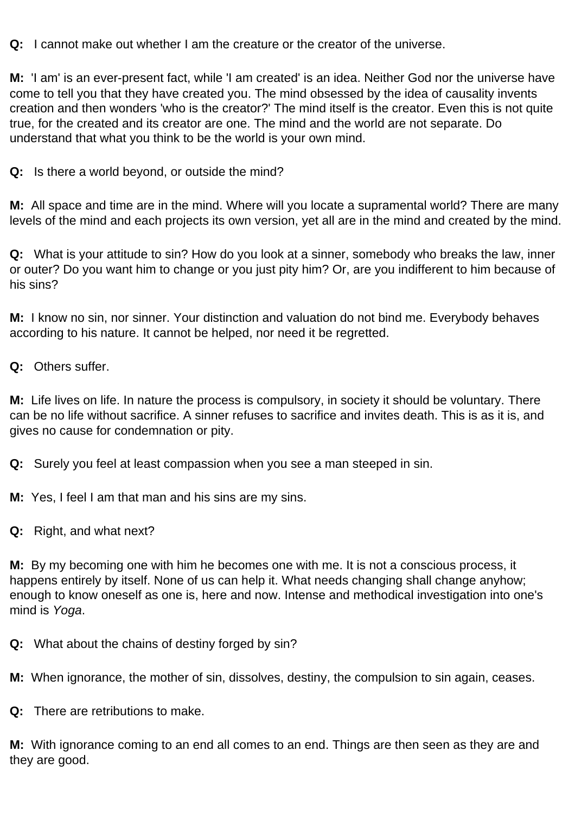**Q:** I cannot make out whether I am the creature or the creator of the universe.

**M:** 'I am' is an ever-present fact, while 'I am created' is an idea. Neither God nor the universe have come to tell you that they have created you. The mind obsessed by the idea of causality invents creation and then wonders 'who is the creator?' The mind itself is the creator. Even this is not quite true, for the created and its creator are one. The mind and the world are not separate. Do understand that what you think to be the world is your own mind.

**Q:** Is there a world beyond, or outside the mind?

**M:** All space and time are in the mind. Where will you locate a supramental world? There are many levels of the mind and each projects its own version, yet all are in the mind and created by the mind.

**Q:** What is your attitude to sin? How do you look at a sinner, somebody who breaks the law, inner or outer? Do you want him to change or you just pity him? Or, are you indifferent to him because of his sins?

**M:** I know no sin, nor sinner. Your distinction and valuation do not bind me. Everybody behaves according to his nature. It cannot be helped, nor need it be regretted.

**Q:** Others suffer.

**M:** Life lives on life. In nature the process is compulsory, in society it should be voluntary. There can be no life without sacrifice. A sinner refuses to sacrifice and invites death. This is as it is, and gives no cause for condemnation or pity.

**Q:** Surely you feel at least compassion when you see a man steeped in sin.

**M:** Yes, I feel I am that man and his sins are my sins.

**Q:** Right, and what next?

**M:** By my becoming one with him he becomes one with me. It is not a conscious process, it happens entirely by itself. None of us can help it. What needs changing shall change anyhow; enough to know oneself as one is, here and now. Intense and methodical investigation into one's mind is *Yoga*.

**Q:** What about the chains of destiny forged by sin?

**M:** When ignorance, the mother of sin, dissolves, destiny, the compulsion to sin again, ceases.

**Q:** There are retributions to make.

**M:** With ignorance coming to an end all comes to an end. Things are then seen as they are and they are good.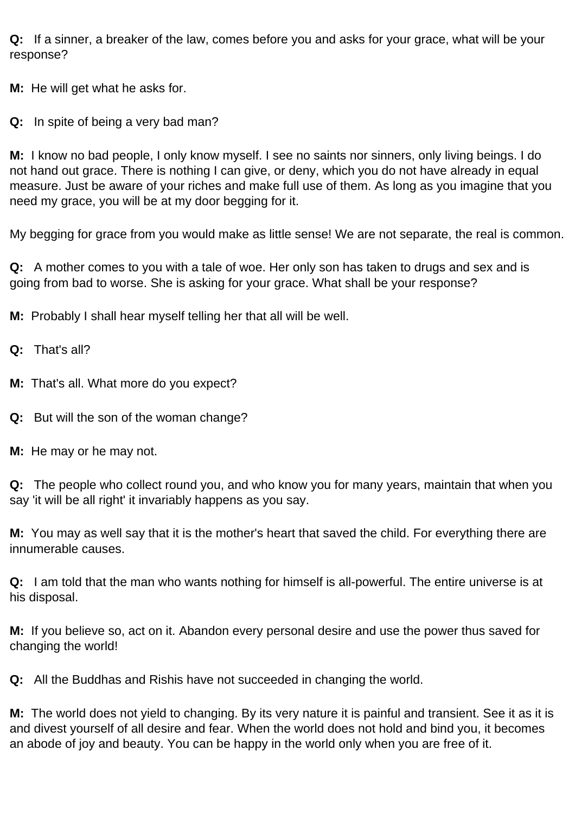**Q:** If a sinner, a breaker of the law, comes before you and asks for your grace, what will be your response?

**M:** He will get what he asks for.

**Q:** In spite of being a very bad man?

**M:** I know no bad people, I only know myself. I see no saints nor sinners, only living beings. I do not hand out grace. There is nothing I can give, or deny, which you do not have already in equal measure. Just be aware of your riches and make full use of them. As long as you imagine that you need my grace, you will be at my door begging for it.

My begging for grace from you would make as little sense! We are not separate, the real is common.

**Q:** A mother comes to you with a tale of woe. Her only son has taken to drugs and sex and is going from bad to worse. She is asking for your grace. What shall be your response?

**M:** Probably I shall hear myself telling her that all will be well.

**Q:** That's all?

**M:** That's all. What more do you expect?

**Q:** But will the son of the woman change?

**M:** He may or he may not.

**Q:** The people who collect round you, and who know you for many years, maintain that when you say 'it will be all right' it invariably happens as you say.

**M:** You may as well say that it is the mother's heart that saved the child. For everything there are innumerable causes.

**Q:** I am told that the man who wants nothing for himself is all-powerful. The entire universe is at his disposal.

**M:** If you believe so, act on it. Abandon every personal desire and use the power thus saved for changing the world!

**Q:** All the Buddhas and Rishis have not succeeded in changing the world.

**M:** The world does not yield to changing. By its very nature it is painful and transient. See it as it is and divest yourself of all desire and fear. When the world does not hold and bind you, it becomes an abode of joy and beauty. You can be happy in the world only when you are free of it.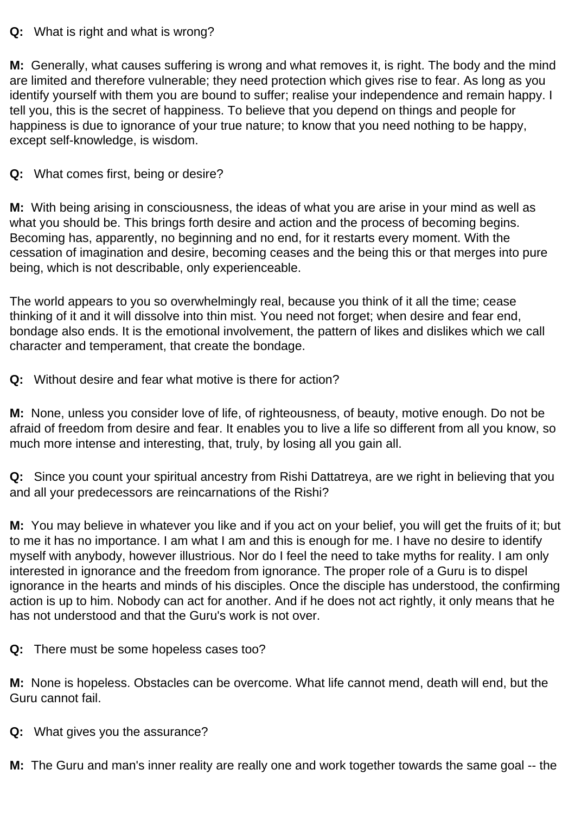#### **Q:** What is right and what is wrong?

**M:** Generally, what causes suffering is wrong and what removes it, is right. The body and the mind are limited and therefore vulnerable; they need protection which gives rise to fear. As long as you identify yourself with them you are bound to suffer; realise your independence and remain happy. I tell you, this is the secret of happiness. To believe that you depend on things and people for happiness is due to ignorance of your true nature; to know that you need nothing to be happy, except self-knowledge, is wisdom.

**Q:** What comes first, being or desire?

**M:** With being arising in consciousness, the ideas of what you are arise in your mind as well as what you should be. This brings forth desire and action and the process of becoming begins. Becoming has, apparently, no beginning and no end, for it restarts every moment. With the cessation of imagination and desire, becoming ceases and the being this or that merges into pure being, which is not describable, only experienceable.

The world appears to you so overwhelmingly real, because you think of it all the time; cease thinking of it and it will dissolve into thin mist. You need not forget; when desire and fear end, bondage also ends. It is the emotional involvement, the pattern of likes and dislikes which we call character and temperament, that create the bondage.

**Q:** Without desire and fear what motive is there for action?

**M:** None, unless you consider love of life, of righteousness, of beauty, motive enough. Do not be afraid of freedom from desire and fear. It enables you to live a life so different from all you know, so much more intense and interesting, that, truly, by losing all you gain all.

**Q:** Since you count your spiritual ancestry from Rishi Dattatreya, are we right in believing that you and all your predecessors are reincarnations of the Rishi?

**M:** You may believe in whatever you like and if you act on your belief, you will get the fruits of it; but to me it has no importance. I am what I am and this is enough for me. I have no desire to identify myself with anybody, however illustrious. Nor do I feel the need to take myths for reality. I am only interested in ignorance and the freedom from ignorance. The proper role of a Guru is to dispel ignorance in the hearts and minds of his disciples. Once the disciple has understood, the confirming action is up to him. Nobody can act for another. And if he does not act rightly, it only means that he has not understood and that the Guru's work is not over.

**Q:** There must be some hopeless cases too?

**M:** None is hopeless. Obstacles can be overcome. What life cannot mend, death will end, but the Guru cannot fail.

**Q:** What gives you the assurance?

**M:** The Guru and man's inner reality are really one and work together towards the same goal -- the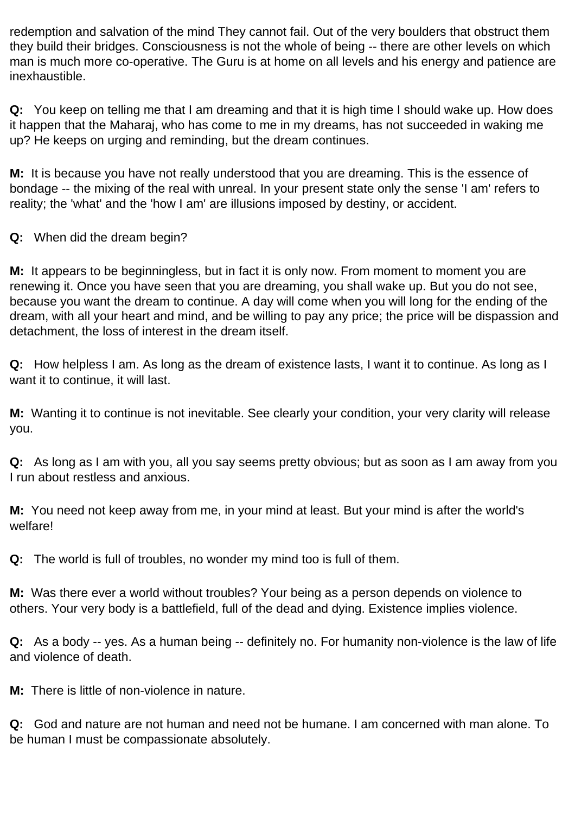redemption and salvation of the mind They cannot fail. Out of the very boulders that obstruct them they build their bridges. Consciousness is not the whole of being -- there are other levels on which man is much more co-operative. The Guru is at home on all levels and his energy and patience are inexhaustible.

**Q:** You keep on telling me that I am dreaming and that it is high time I should wake up. How does it happen that the Maharaj, who has come to me in my dreams, has not succeeded in waking me up? He keeps on urging and reminding, but the dream continues.

**M:** It is because you have not really understood that you are dreaming. This is the essence of bondage -- the mixing of the real with unreal. In your present state only the sense 'I am' refers to reality; the 'what' and the 'how I am' are illusions imposed by destiny, or accident.

**Q:** When did the dream begin?

**M:** It appears to be beginningless, but in fact it is only now. From moment to moment you are renewing it. Once you have seen that you are dreaming, you shall wake up. But you do not see, because you want the dream to continue. A day will come when you will long for the ending of the dream, with all your heart and mind, and be willing to pay any price; the price will be dispassion and detachment, the loss of interest in the dream itself.

**Q:** How helpless I am. As long as the dream of existence lasts, I want it to continue. As long as I want it to continue, it will last.

**M:** Wanting it to continue is not inevitable. See clearly your condition, your very clarity will release you.

**Q:** As long as I am with you, all you say seems pretty obvious; but as soon as I am away from you I run about restless and anxious.

**M:** You need not keep away from me, in your mind at least. But your mind is after the world's welfare!

**Q:** The world is full of troubles, no wonder my mind too is full of them.

**M:** Was there ever a world without troubles? Your being as a person depends on violence to others. Your very body is a battlefield, full of the dead and dying. Existence implies violence.

**Q:** As a body -- yes. As a human being -- definitely no. For humanity non-violence is the law of life and violence of death.

**M:** There is little of non-violence in nature.

**Q:** God and nature are not human and need not be humane. I am concerned with man alone. To be human I must be compassionate absolutely.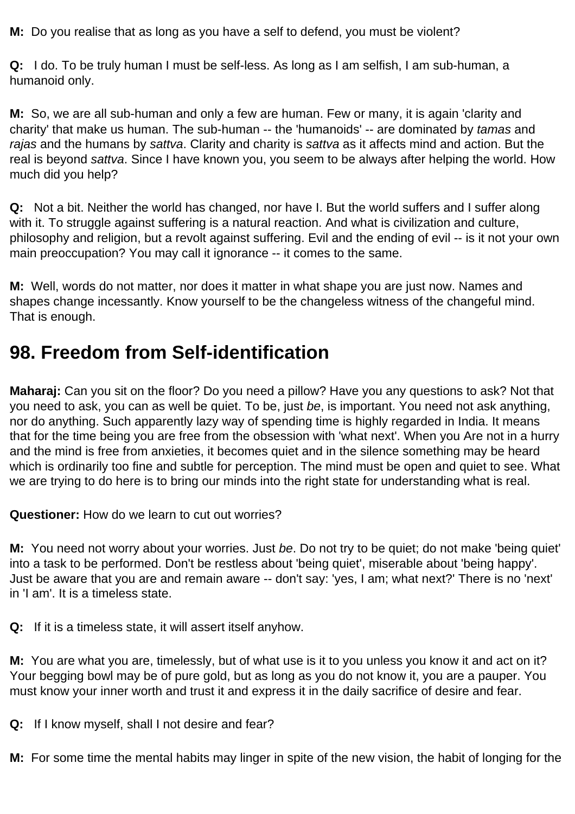**M:** Do you realise that as long as you have a self to defend, you must be violent?

**Q:** I do. To be truly human I must be self-less. As long as I am selfish, I am sub-human, a humanoid only.

**M:** So, we are all sub-human and only a few are human. Few or many, it is again 'clarity and charity' that make us human. The sub-human -- the 'humanoids' -- are dominated by *tamas* and *rajas* and the humans by *sattva*. Clarity and charity is *sattva* as it affects mind and action. But the real is beyond *sattva*. Since I have known you, you seem to be always after helping the world. How much did you help?

**Q:** Not a bit. Neither the world has changed, nor have I. But the world suffers and I suffer along with it. To struggle against suffering is a natural reaction. And what is civilization and culture, philosophy and religion, but a revolt against suffering. Evil and the ending of evil -- is it not your own main preoccupation? You may call it ignorance -- it comes to the same.

**M:** Well, words do not matter, nor does it matter in what shape you are just now. Names and shapes change incessantly. Know yourself to be the changeless witness of the changeful mind. That is enough.

### **98. Freedom from Self-identification**

**Maharaj:** Can you sit on the floor? Do you need a pillow? Have you any questions to ask? Not that you need to ask, you can as well be quiet. To be, just *be*, is important. You need not ask anything, nor do anything. Such apparently lazy way of spending time is highly regarded in India. It means that for the time being you are free from the obsession with 'what next'. When you Are not in a hurry and the mind is free from anxieties, it becomes quiet and in the silence something may be heard which is ordinarily too fine and subtle for perception. The mind must be open and quiet to see. What we are trying to do here is to bring our minds into the right state for understanding what is real.

**Questioner:** How do we learn to cut out worries?

**M:** You need not worry about your worries. Just *be*. Do not try to be quiet; do not make 'being quiet' into a task to be performed. Don't be restless about 'being quiet', miserable about 'being happy'. Just be aware that you are and remain aware -- don't say: 'yes, I am; what next?' There is no 'next' in 'I am'. It is a timeless state.

**Q:** If it is a timeless state, it will assert itself anyhow.

**M:** You are what you are, timelessly, but of what use is it to you unless you know it and act on it? Your begging bowl may be of pure gold, but as long as you do not know it, you are a pauper. You must know your inner worth and trust it and express it in the daily sacrifice of desire and fear.

**Q:** If I know myself, shall I not desire and fear?

**M:** For some time the mental habits may linger in spite of the new vision, the habit of longing for the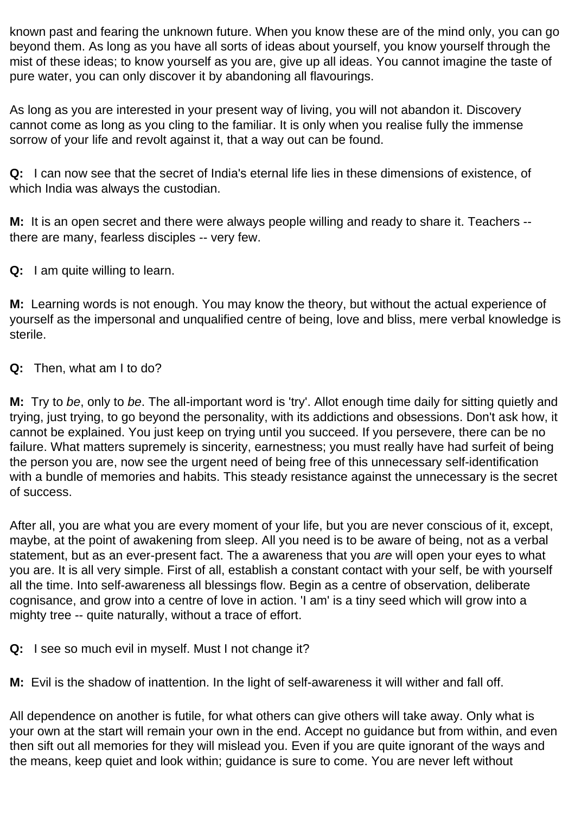known past and fearing the unknown future. When you know these are of the mind only, you can go beyond them. As long as you have all sorts of ideas about yourself, you know yourself through the mist of these ideas; to know yourself as you are, give up all ideas. You cannot imagine the taste of pure water, you can only discover it by abandoning all flavourings.

As long as you are interested in your present way of living, you will not abandon it. Discovery cannot come as long as you cling to the familiar. It is only when you realise fully the immense sorrow of your life and revolt against it, that a way out can be found.

**Q:** I can now see that the secret of India's eternal life lies in these dimensions of existence, of which India was always the custodian.

**M:** It is an open secret and there were always people willing and ready to share it. Teachers - there are many, fearless disciples -- very few.

**Q:** I am quite willing to learn.

**M:** Learning words is not enough. You may know the theory, but without the actual experience of yourself as the impersonal and unqualified centre of being, love and bliss, mere verbal knowledge is sterile.

**Q:** Then, what am I to do?

**M:** Try to *be*, only to *be*. The all-important word is 'try'. Allot enough time daily for sitting quietly and trying, just trying, to go beyond the personality, with its addictions and obsessions. Don't ask how, it cannot be explained. You just keep on trying until you succeed. If you persevere, there can be no failure. What matters supremely is sincerity, earnestness; you must really have had surfeit of being the person you are, now see the urgent need of being free of this unnecessary self-identification with a bundle of memories and habits. This steady resistance against the unnecessary is the secret of success.

After all, you are what you are every moment of your life, but you are never conscious of it, except, maybe, at the point of awakening from sleep. All you need is to be aware of being, not as a verbal statement, but as an ever-present fact. The a awareness that you *are* will open your eyes to what you are. It is all very simple. First of all, establish a constant contact with your self, be with yourself all the time. Into self-awareness all blessings flow. Begin as a centre of observation, deliberate cognisance, and grow into a centre of love in action. 'I am' is a tiny seed which will grow into a mighty tree -- quite naturally, without a trace of effort.

**Q:** I see so much evil in myself. Must I not change it?

**M:** Evil is the shadow of inattention. In the light of self-awareness it will wither and fall off.

All dependence on another is futile, for what others can give others will take away. Only what is your own at the start will remain your own in the end. Accept no guidance but from within, and even then sift out all memories for they will mislead you. Even if you are quite ignorant of the ways and the means, keep quiet and look within; guidance is sure to come. You are never left without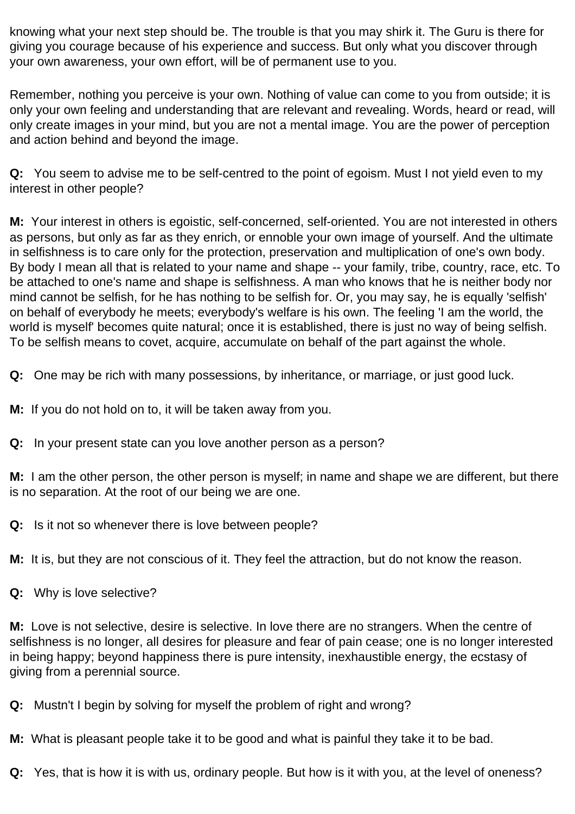knowing what your next step should be. The trouble is that you may shirk it. The Guru is there for giving you courage because of his experience and success. But only what you discover through your own awareness, your own effort, will be of permanent use to you.

Remember, nothing you perceive is your own. Nothing of value can come to you from outside; it is only your own feeling and understanding that are relevant and revealing. Words, heard or read, will only create images in your mind, but you are not a mental image. You are the power of perception and action behind and beyond the image.

**Q:** You seem to advise me to be self-centred to the point of egoism. Must I not yield even to my interest in other people?

**M:** Your interest in others is egoistic, self-concerned, self-oriented. You are not interested in others as persons, but only as far as they enrich, or ennoble your own image of yourself. And the ultimate in selfishness is to care only for the protection, preservation and multiplication of one's own body. By body I mean all that is related to your name and shape -- your family, tribe, country, race, etc. To be attached to one's name and shape is selfishness. A man who knows that he is neither body nor mind cannot be selfish, for he has nothing to be selfish for. Or, you may say, he is equally 'selfish' on behalf of everybody he meets; everybody's welfare is his own. The feeling 'I am the world, the world is myself' becomes quite natural; once it is established, there is just no way of being selfish. To be selfish means to covet, acquire, accumulate on behalf of the part against the whole.

**Q:** One may be rich with many possessions, by inheritance, or marriage, or just good luck.

**M:** If you do not hold on to, it will be taken away from you.

**Q:** In your present state can you love another person as a person?

**M:** I am the other person, the other person is myself; in name and shape we are different, but there is no separation. At the root of our being we are one.

**Q:** Is it not so whenever there is love between people?

**M:** It is, but they are not conscious of it. They feel the attraction, but do not know the reason.

**Q:** Why is love selective?

**M:** Love is not selective, desire is selective. In love there are no strangers. When the centre of selfishness is no longer, all desires for pleasure and fear of pain cease; one is no longer interested in being happy; beyond happiness there is pure intensity, inexhaustible energy, the ecstasy of giving from a perennial source.

**Q:** Mustn't I begin by solving for myself the problem of right and wrong?

**M:** What is pleasant people take it to be good and what is painful they take it to be bad.

**Q:** Yes, that is how it is with us, ordinary people. But how is it with you, at the level of oneness?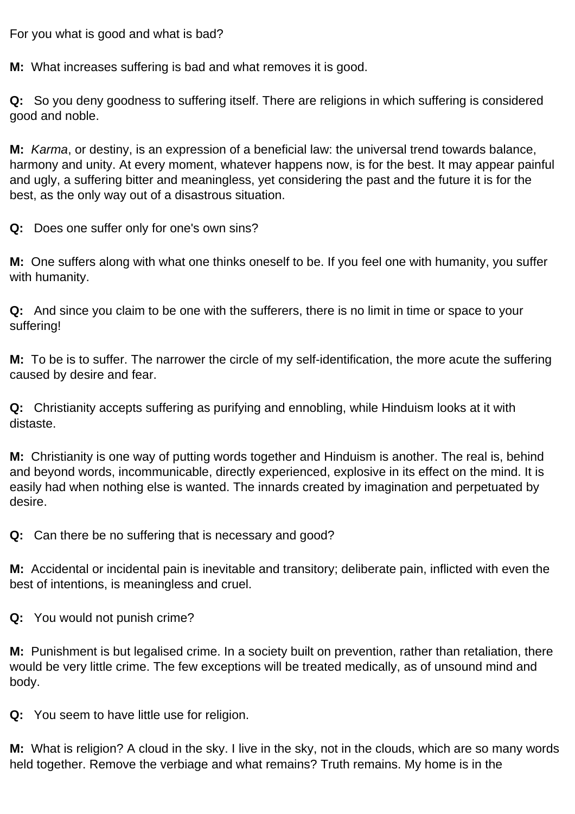For you what is good and what is bad?

**M:** What increases suffering is bad and what removes it is good.

**Q:** So you deny goodness to suffering itself. There are religions in which suffering is considered good and noble.

**M:** *Karma*, or destiny, is an expression of a beneficial law: the universal trend towards balance, harmony and unity. At every moment, whatever happens now, is for the best. It may appear painful and ugly, a suffering bitter and meaningless, yet considering the past and the future it is for the best, as the only way out of a disastrous situation.

**Q:** Does one suffer only for one's own sins?

**M:** One suffers along with what one thinks oneself to be. If you feel one with humanity, you suffer with humanity.

**Q:** And since you claim to be one with the sufferers, there is no limit in time or space to your suffering!

**M:** To be is to suffer. The narrower the circle of my self-identification, the more acute the suffering caused by desire and fear.

**Q:** Christianity accepts suffering as purifying and ennobling, while Hinduism looks at it with distaste.

**M:** Christianity is one way of putting words together and Hinduism is another. The real is, behind and beyond words, incommunicable, directly experienced, explosive in its effect on the mind. It is easily had when nothing else is wanted. The innards created by imagination and perpetuated by desire.

**Q:** Can there be no suffering that is necessary and good?

**M:** Accidental or incidental pain is inevitable and transitory; deliberate pain, inflicted with even the best of intentions, is meaningless and cruel.

**Q:** You would not punish crime?

**M:** Punishment is but legalised crime. In a society built on prevention, rather than retaliation, there would be very little crime. The few exceptions will be treated medically, as of unsound mind and body.

**Q:** You seem to have little use for religion.

**M:** What is religion? A cloud in the sky. I live in the sky, not in the clouds, which are so many words held together. Remove the verbiage and what remains? Truth remains. My home is in the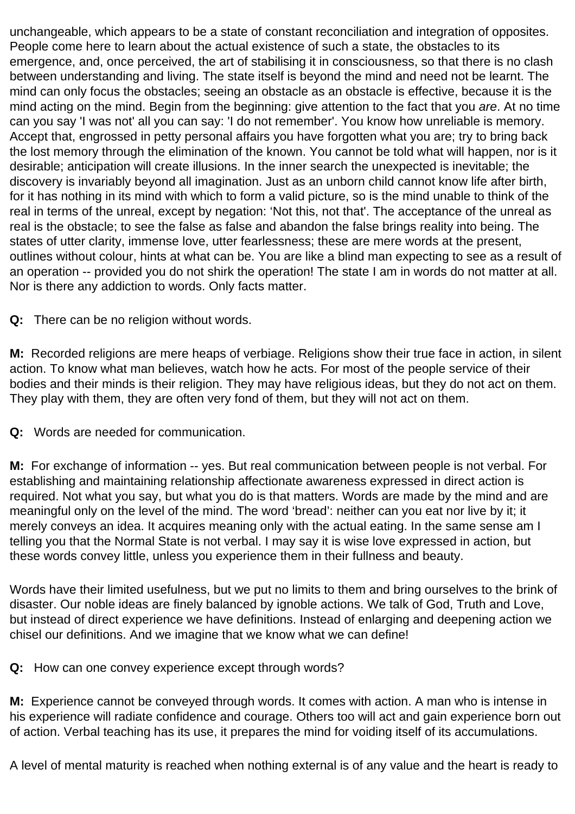unchangeable, which appears to be a state of constant reconciliation and integration of opposites. People come here to learn about the actual existence of such a state, the obstacles to its emergence, and, once perceived, the art of stabilising it in consciousness, so that there is no clash between understanding and living. The state itself is beyond the mind and need not be learnt. The mind can only focus the obstacles; seeing an obstacle as an obstacle is effective, because it is the mind acting on the mind. Begin from the beginning: give attention to the fact that you *are*. At no time can you say 'I was not' all you can say: 'I do not remember'. You know how unreliable is memory. Accept that, engrossed in petty personal affairs you have forgotten what you are; try to bring back the lost memory through the elimination of the known. You cannot be told what will happen, nor is it desirable; anticipation will create illusions. In the inner search the unexpected is inevitable; the discovery is invariably beyond all imagination. Just as an unborn child cannot know life after birth, for it has nothing in its mind with which to form a valid picture, so is the mind unable to think of the real in terms of the unreal, except by negation: 'Not this, not that'. The acceptance of the unreal as real is the obstacle; to see the false as false and abandon the false brings reality into being. The states of utter clarity, immense love, utter fearlessness; these are mere words at the present, outlines without colour, hints at what can be. You are like a blind man expecting to see as a result of an operation -- provided you do not shirk the operation! The state I am in words do not matter at all. Nor is there any addiction to words. Only facts matter.

**Q:** There can be no religion without words.

**M:** Recorded religions are mere heaps of verbiage. Religions show their true face in action, in silent action. To know what man believes, watch how he acts. For most of the people service of their bodies and their minds is their religion. They may have religious ideas, but they do not act on them. They play with them, they are often very fond of them, but they will not act on them.

**Q:** Words are needed for communication.

**M:** For exchange of information -- yes. But real communication between people is not verbal. For establishing and maintaining relationship affectionate awareness expressed in direct action is required. Not what you say, but what you do is that matters. Words are made by the mind and are meaningful only on the level of the mind. The word 'bread': neither can you eat nor live by it; it merely conveys an idea. It acquires meaning only with the actual eating. In the same sense am I telling you that the Normal State is not verbal. I may say it is wise love expressed in action, but these words convey little, unless you experience them in their fullness and beauty.

Words have their limited usefulness, but we put no limits to them and bring ourselves to the brink of disaster. Our noble ideas are finely balanced by ignoble actions. We talk of God, Truth and Love, but instead of direct experience we have definitions. Instead of enlarging and deepening action we chisel our definitions. And we imagine that we know what we can define!

**Q:** How can one convey experience except through words?

**M:** Experience cannot be conveyed through words. It comes with action. A man who is intense in his experience will radiate confidence and courage. Others too will act and gain experience born out of action. Verbal teaching has its use, it prepares the mind for voiding itself of its accumulations.

A level of mental maturity is reached when nothing external is of any value and the heart is ready to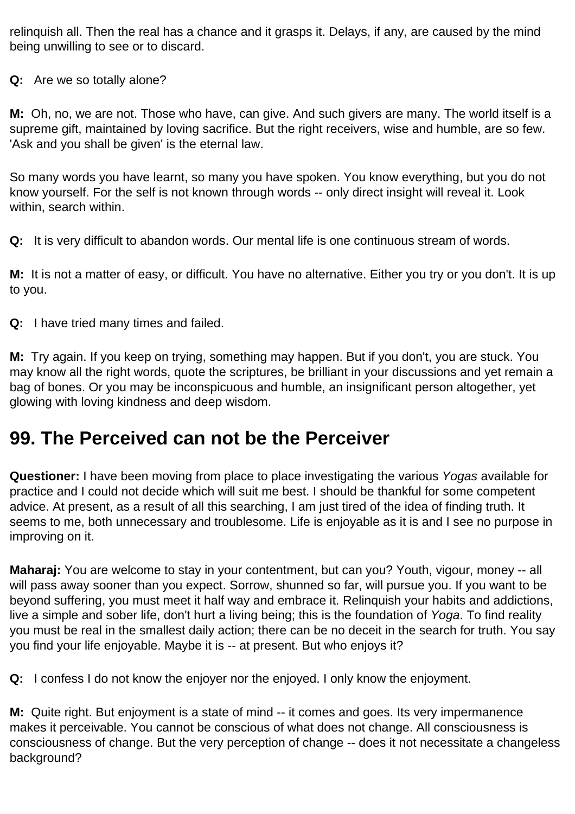relinquish all. Then the real has a chance and it grasps it. Delays, if any, are caused by the mind being unwilling to see or to discard.

**Q:** Are we so totally alone?

**M:** Oh, no, we are not. Those who have, can give. And such givers are many. The world itself is a supreme gift, maintained by loving sacrifice. But the right receivers, wise and humble, are so few. 'Ask and you shall be given' is the eternal law.

So many words you have learnt, so many you have spoken. You know everything, but you do not know yourself. For the self is not known through words -- only direct insight will reveal it. Look within, search within.

**Q:** It is very difficult to abandon words. Our mental life is one continuous stream of words.

**M:** It is not a matter of easy, or difficult. You have no alternative. Either you try or you don't. It is up to you.

**Q:** I have tried many times and failed.

**M:** Try again. If you keep on trying, something may happen. But if you don't, you are stuck. You may know all the right words, quote the scriptures, be brilliant in your discussions and yet remain a bag of bones. Or you may be inconspicuous and humble, an insignificant person altogether, yet glowing with loving kindness and deep wisdom.

#### **99. The Perceived can not be the Perceiver**

**Questioner:** I have been moving from place to place investigating the various *Yogas* available for practice and I could not decide which will suit me best. I should be thankful for some competent advice. At present, as a result of all this searching, I am just tired of the idea of finding truth. It seems to me, both unnecessary and troublesome. Life is enjoyable as it is and I see no purpose in improving on it.

**Maharaj:** You are welcome to stay in your contentment, but can you? Youth, vigour, money -- all will pass away sooner than you expect. Sorrow, shunned so far, will pursue you. If you want to be beyond suffering, you must meet it half way and embrace it. Relinquish your habits and addictions, live a simple and sober life, don't hurt a living being; this is the foundation of *Yoga*. To find reality you must be real in the smallest daily action; there can be no deceit in the search for truth. You say you find your life enjoyable. Maybe it is -- at present. But who enjoys it?

**Q:** I confess I do not know the enjoyer nor the enjoyed. I only know the enjoyment.

**M:** Quite right. But enjoyment is a state of mind -- it comes and goes. Its very impermanence makes it perceivable. You cannot be conscious of what does not change. All consciousness is consciousness of change. But the very perception of change -- does it not necessitate a changeless background?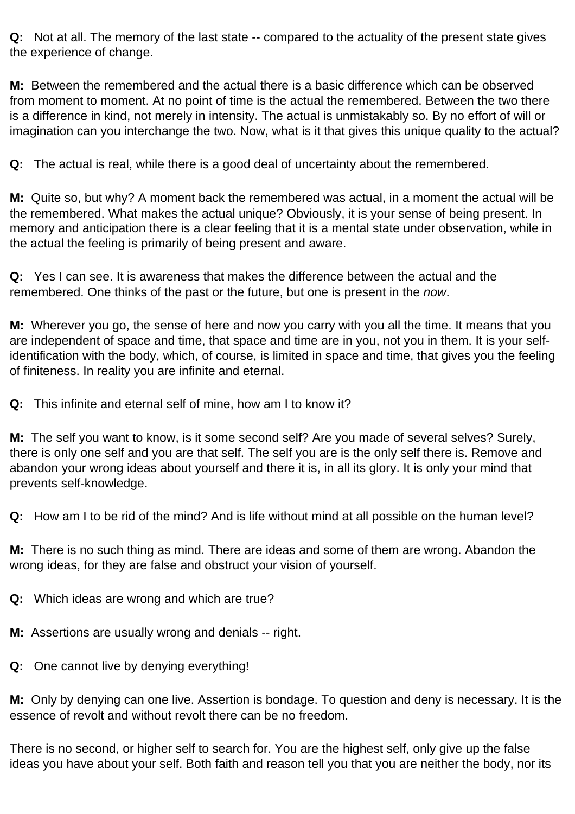**Q:** Not at all. The memory of the last state -- compared to the actuality of the present state gives the experience of change.

**M:** Between the remembered and the actual there is a basic difference which can be observed from moment to moment. At no point of time is the actual the remembered. Between the two there is a difference in kind, not merely in intensity. The actual is unmistakably so. By no effort of will or imagination can you interchange the two. Now, what is it that gives this unique quality to the actual?

**Q:** The actual is real, while there is a good deal of uncertainty about the remembered.

**M:** Quite so, but why? A moment back the remembered was actual, in a moment the actual will be the remembered. What makes the actual unique? Obviously, it is your sense of being present. In memory and anticipation there is a clear feeling that it is a mental state under observation, while in the actual the feeling is primarily of being present and aware.

**Q:** Yes I can see. It is awareness that makes the difference between the actual and the remembered. One thinks of the past or the future, but one is present in the *now*.

**M:** Wherever you go, the sense of here and now you carry with you all the time. It means that you are independent of space and time, that space and time are in you, not you in them. It is your selfidentification with the body, which, of course, is limited in space and time, that gives you the feeling of finiteness. In reality you are infinite and eternal.

**Q:** This infinite and eternal self of mine, how am I to know it?

**M:** The self you want to know, is it some second self? Are you made of several selves? Surely, there is only one self and you are that self. The self you are is the only self there is. Remove and abandon your wrong ideas about yourself and there it is, in all its glory. It is only your mind that prevents self-knowledge.

**Q:** How am I to be rid of the mind? And is life without mind at all possible on the human level?

**M:** There is no such thing as mind. There are ideas and some of them are wrong. Abandon the wrong ideas, for they are false and obstruct your vision of yourself.

- **Q:** Which ideas are wrong and which are true?
- **M:** Assertions are usually wrong and denials -- right.
- **Q:** One cannot live by denying everything!

**M:** Only by denying can one live. Assertion is bondage. To question and deny is necessary. It is the essence of revolt and without revolt there can be no freedom.

There is no second, or higher self to search for. You are the highest self, only give up the false ideas you have about your self. Both faith and reason tell you that you are neither the body, nor its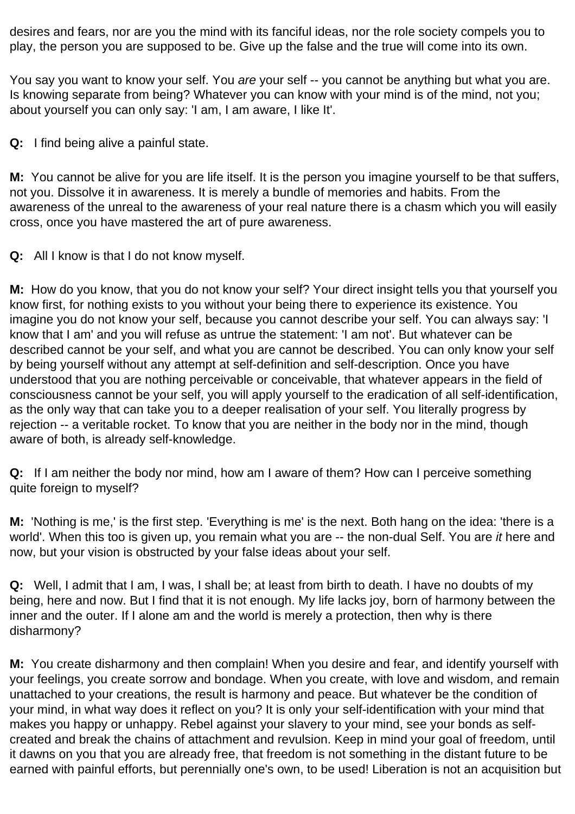desires and fears, nor are you the mind with its fanciful ideas, nor the role society compels you to play, the person you are supposed to be. Give up the false and the true will come into its own.

You say you want to know your self. You *are* your self -- you cannot be anything but what you are. Is knowing separate from being? Whatever you can know with your mind is of the mind, not you; about yourself you can only say: 'I am, I am aware, I like It'.

**Q:** I find being alive a painful state.

**M:** You cannot be alive for you are life itself. It is the person you imagine yourself to be that suffers, not you. Dissolve it in awareness. It is merely a bundle of memories and habits. From the awareness of the unreal to the awareness of your real nature there is a chasm which you will easily cross, once you have mastered the art of pure awareness.

**Q:** All I know is that I do not know myself.

**M:** How do you know, that you do not know your self? Your direct insight tells you that yourself you know first, for nothing exists to you without your being there to experience its existence. You imagine you do not know your self, because you cannot describe your self. You can always say: 'I know that I am' and you will refuse as untrue the statement: 'I am not'. But whatever can be described cannot be your self, and what you are cannot be described. You can only know your self by being yourself without any attempt at self-definition and self-description. Once you have understood that you are nothing perceivable or conceivable, that whatever appears in the field of consciousness cannot be your self, you will apply yourself to the eradication of all self-identification, as the only way that can take you to a deeper realisation of your self. You literally progress by rejection -- a veritable rocket. To know that you are neither in the body nor in the mind, though aware of both, is already self-knowledge.

**Q:** If I am neither the body nor mind, how am I aware of them? How can I perceive something quite foreign to myself?

**M:** 'Nothing is me,' is the first step. 'Everything is me' is the next. Both hang on the idea: 'there is a world'. When this too is given up, you remain what you are -- the non-dual Self. You are *it* here and now, but your vision is obstructed by your false ideas about your self.

**Q:** Well, I admit that I am, I was, I shall be; at least from birth to death. I have no doubts of my being, here and now. But I find that it is not enough. My life lacks joy, born of harmony between the inner and the outer. If I alone am and the world is merely a protection, then why is there disharmony?

**M:** You create disharmony and then complain! When you desire and fear, and identify yourself with your feelings, you create sorrow and bondage. When you create, with love and wisdom, and remain unattached to your creations, the result is harmony and peace. But whatever be the condition of your mind, in what way does it reflect on you? It is only your self-identification with your mind that makes you happy or unhappy. Rebel against your slavery to your mind, see your bonds as selfcreated and break the chains of attachment and revulsion. Keep in mind your goal of freedom, until it dawns on you that you are already free, that freedom is not something in the distant future to be earned with painful efforts, but perennially one's own, to be used! Liberation is not an acquisition but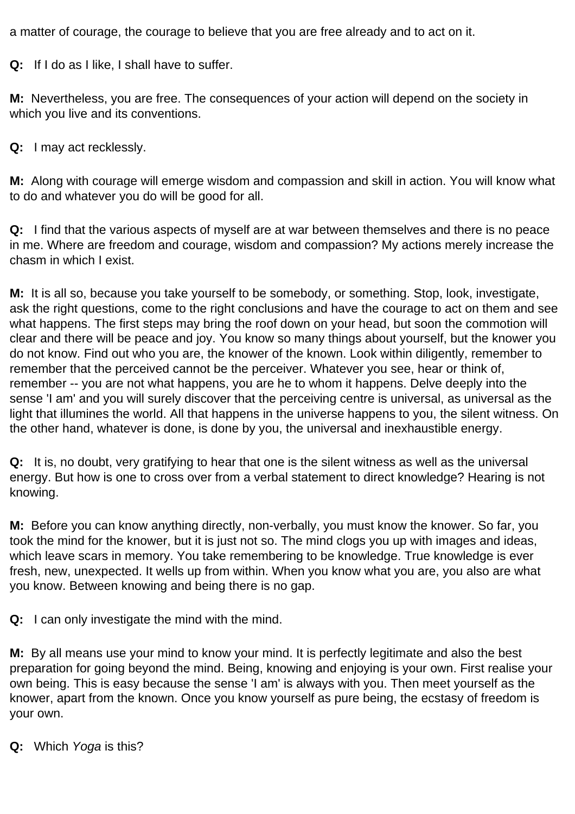a matter of courage, the courage to believe that you are free already and to act on it.

**Q:** If I do as I like, I shall have to suffer.

**M:** Nevertheless, you are free. The consequences of your action will depend on the society in which you live and its conventions.

**Q:** I may act recklessly.

**M:** Along with courage will emerge wisdom and compassion and skill in action. You will know what to do and whatever you do will be good for all.

**Q:** I find that the various aspects of myself are at war between themselves and there is no peace in me. Where are freedom and courage, wisdom and compassion? My actions merely increase the chasm in which I exist.

**M:** It is all so, because you take yourself to be somebody, or something. Stop, look, investigate, ask the right questions, come to the right conclusions and have the courage to act on them and see what happens. The first steps may bring the roof down on your head, but soon the commotion will clear and there will be peace and joy. You know so many things about yourself, but the knower you do not know. Find out who you are, the knower of the known. Look within diligently, remember to remember that the perceived cannot be the perceiver. Whatever you see, hear or think of, remember -- you are not what happens, you are he to whom it happens. Delve deeply into the sense 'I am' and you will surely discover that the perceiving centre is universal, as universal as the light that illumines the world. All that happens in the universe happens to you, the silent witness. On the other hand, whatever is done, is done by you, the universal and inexhaustible energy.

**Q:** It is, no doubt, very gratifying to hear that one is the silent witness as well as the universal energy. But how is one to cross over from a verbal statement to direct knowledge? Hearing is not knowing.

**M:** Before you can know anything directly, non-verbally, you must know the knower. So far, you took the mind for the knower, but it is just not so. The mind clogs you up with images and ideas, which leave scars in memory. You take remembering to be knowledge. True knowledge is ever fresh, new, unexpected. It wells up from within. When you know what you are, you also are what you know. Between knowing and being there is no gap.

**Q:** I can only investigate the mind with the mind.

**M:** By all means use your mind to know your mind. It is perfectly legitimate and also the best preparation for going beyond the mind. Being, knowing and enjoying is your own. First realise your own being. This is easy because the sense 'I am' is always with you. Then meet yourself as the knower, apart from the known. Once you know yourself as pure being, the ecstasy of freedom is your own.

**Q:** Which *Yoga* is this?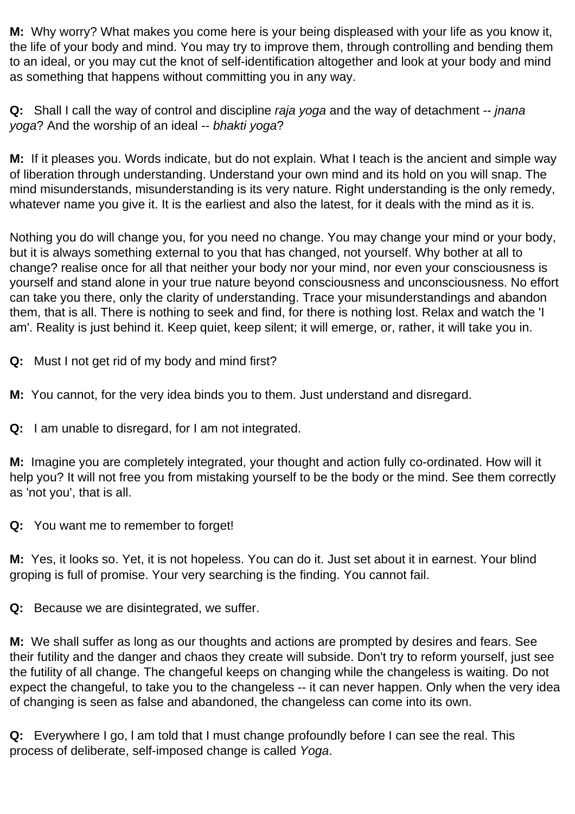**M:** Why worry? What makes you come here is your being displeased with your life as you know it, the life of your body and mind. You may try to improve them, through controlling and bending them to an ideal, or you may cut the knot of self-identification altogether and look at your body and mind as something that happens without committing you in any way.

**Q:** Shall I call the way of control and discipline *raja yoga* and the way of detachment -- *jnana yoga*? And the worship of an ideal -- *bhakti yoga*?

**M:** If it pleases you. Words indicate, but do not explain. What I teach is the ancient and simple way of liberation through understanding. Understand your own mind and its hold on you will snap. The mind misunderstands, misunderstanding is its very nature. Right understanding is the only remedy, whatever name you give it. It is the earliest and also the latest, for it deals with the mind as it is.

Nothing you do will change you, for you need no change. You may change your mind or your body, but it is always something external to you that has changed, not yourself. Why bother at all to change? realise once for all that neither your body nor your mind, nor even your consciousness is yourself and stand alone in your true nature beyond consciousness and unconsciousness. No effort can take you there, only the clarity of understanding. Trace your misunderstandings and abandon them, that is all. There is nothing to seek and find, for there is nothing lost. Relax and watch the 'I am'. Reality is just behind it. Keep quiet, keep silent; it will emerge, or, rather, it will take you in.

**Q:** Must I not get rid of my body and mind first?

**M:** You cannot, for the very idea binds you to them. Just understand and disregard.

**Q:** I am unable to disregard, for I am not integrated.

**M:** Imagine you are completely integrated, your thought and action fully co-ordinated. How will it help you? It will not free you from mistaking yourself to be the body or the mind. See them correctly as 'not you', that is all.

**Q:** You want me to remember to forget!

**M:** Yes, it looks so. Yet, it is not hopeless. You can do it. Just set about it in earnest. Your blind groping is full of promise. Your very searching is the finding. You cannot fail.

**Q:** Because we are disintegrated, we suffer.

**M:** We shall suffer as long as our thoughts and actions are prompted by desires and fears. See their futility and the danger and chaos they create will subside. Don't try to reform yourself, just see the futility of all change. The changeful keeps on changing while the changeless is waiting. Do not expect the changeful, to take you to the changeless -- it can never happen. Only when the very idea of changing is seen as false and abandoned, the changeless can come into its own.

**Q:** Everywhere I go, l am told that I must change profoundly before I can see the real. This process of deliberate, self-imposed change is called *Yoga*.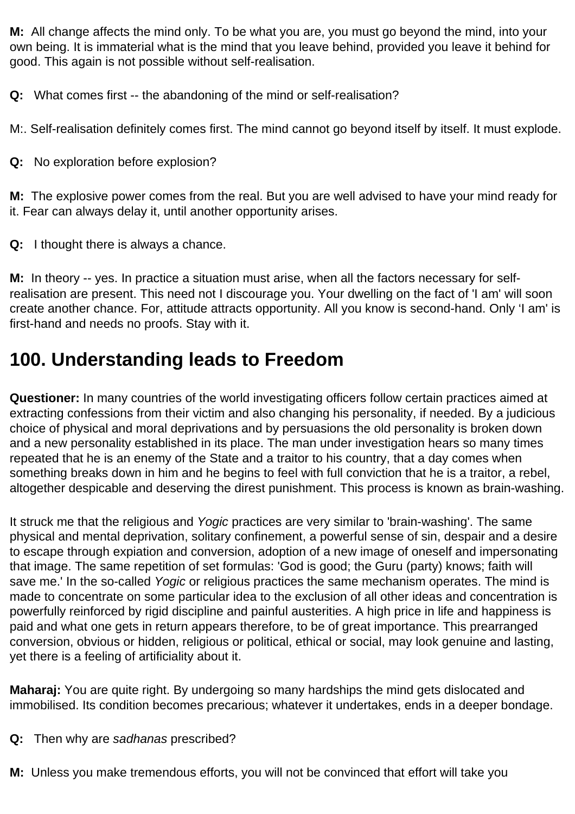**M:** All change affects the mind only. To be what you are, you must go beyond the mind, into your own being. It is immaterial what is the mind that you leave behind, provided you leave it behind for good. This again is not possible without self-realisation.

**Q:** What comes first -- the abandoning of the mind or self-realisation?

M:. Self-realisation definitely comes first. The mind cannot go beyond itself by itself. It must explode.

**Q:** No exploration before explosion?

**M:** The explosive power comes from the real. But you are well advised to have your mind ready for it. Fear can always delay it, until another opportunity arises.

**Q:** I thought there is always a chance.

**M:** In theory -- yes. In practice a situation must arise, when all the factors necessary for selfrealisation are present. This need not I discourage you. Your dwelling on the fact of 'I am' will soon create another chance. For, attitude attracts opportunity. All you know is second-hand. Only 'I am' is first-hand and needs no proofs. Stay with it.

#### **100. Understanding leads to Freedom**

**Questioner:** In many countries of the world investigating officers follow certain practices aimed at extracting confessions from their victim and also changing his personality, if needed. By a judicious choice of physical and moral deprivations and by persuasions the old personality is broken down and a new personality established in its place. The man under investigation hears so many times repeated that he is an enemy of the State and a traitor to his country, that a day comes when something breaks down in him and he begins to feel with full conviction that he is a traitor, a rebel, altogether despicable and deserving the direst punishment. This process is known as brain-washing.

It struck me that the religious and *Yogic* practices are very similar to 'brain-washing'. The same physical and mental deprivation, solitary confinement, a powerful sense of sin, despair and a desire to escape through expiation and conversion, adoption of a new image of oneself and impersonating that image. The same repetition of set formulas: 'God is good; the Guru (party) knows; faith will save me.' In the so-called *Yogic* or religious practices the same mechanism operates. The mind is made to concentrate on some particular idea to the exclusion of all other ideas and concentration is powerfully reinforced by rigid discipline and painful austerities. A high price in life and happiness is paid and what one gets in return appears therefore, to be of great importance. This prearranged conversion, obvious or hidden, religious or political, ethical or social, may look genuine and lasting, yet there is a feeling of artificiality about it.

**Maharaj:** You are quite right. By undergoing so many hardships the mind gets dislocated and immobilised. Its condition becomes precarious; whatever it undertakes, ends in a deeper bondage.

- **Q:** Then why are *sadhanas* prescribed?
- **M:** Unless you make tremendous efforts, you will not be convinced that effort will take you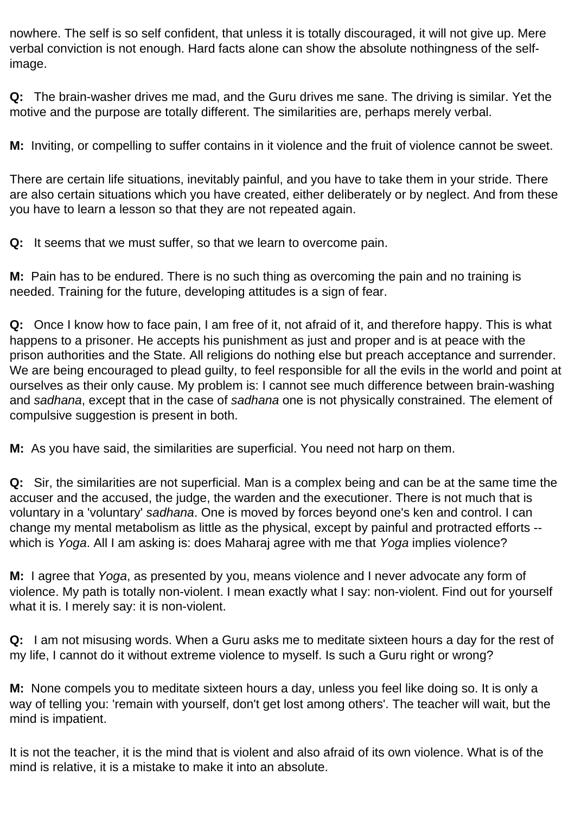nowhere. The self is so self confident, that unless it is totally discouraged, it will not give up. Mere verbal conviction is not enough. Hard facts alone can show the absolute nothingness of the selfimage.

**Q:** The brain-washer drives me mad, and the Guru drives me sane. The driving is similar. Yet the motive and the purpose are totally different. The similarities are, perhaps merely verbal.

**M:** Inviting, or compelling to suffer contains in it violence and the fruit of violence cannot be sweet.

There are certain life situations, inevitably painful, and you have to take them in your stride. There are also certain situations which you have created, either deliberately or by neglect. And from these you have to learn a lesson so that they are not repeated again.

**Q:** It seems that we must suffer, so that we learn to overcome pain.

**M:** Pain has to be endured. There is no such thing as overcoming the pain and no training is needed. Training for the future, developing attitudes is a sign of fear.

**Q:** Once I know how to face pain, I am free of it, not afraid of it, and therefore happy. This is what happens to a prisoner. He accepts his punishment as just and proper and is at peace with the prison authorities and the State. All religions do nothing else but preach acceptance and surrender. We are being encouraged to plead guilty, to feel responsible for all the evils in the world and point at ourselves as their only cause. My problem is: I cannot see much difference between brain-washing and *sadhana*, except that in the case of *sadhana* one is not physically constrained. The element of compulsive suggestion is present in both.

**M:** As you have said, the similarities are superficial. You need not harp on them.

**Q:** Sir, the similarities are not superficial. Man is a complex being and can be at the same time the accuser and the accused, the judge, the warden and the executioner. There is not much that is voluntary in a 'voluntary' *sadhana*. One is moved by forces beyond one's ken and control. I can change my mental metabolism as little as the physical, except by painful and protracted efforts - which is *Yoga*. All I am asking is: does Maharaj agree with me that *Yoga* implies violence?

**M:** I agree that *Yoga*, as presented by you, means violence and I never advocate any form of violence. My path is totally non-violent. I mean exactly what I say: non-violent. Find out for yourself what it is. I merely say: it is non-violent.

**Q:** I am not misusing words. When a Guru asks me to meditate sixteen hours a day for the rest of my life, I cannot do it without extreme violence to myself. Is such a Guru right or wrong?

**M:** None compels you to meditate sixteen hours a day, unless you feel like doing so. It is only a way of telling you: 'remain with yourself, don't get lost among others'. The teacher will wait, but the mind is impatient.

It is not the teacher, it is the mind that is violent and also afraid of its own violence. What is of the mind is relative, it is a mistake to make it into an absolute.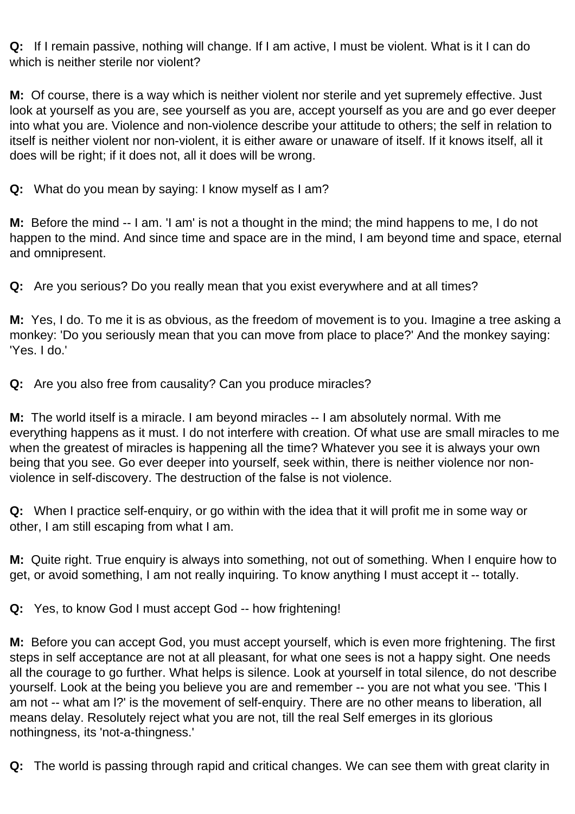**Q:** If I remain passive, nothing will change. If I am active, I must be violent. What is it I can do which is neither sterile nor violent?

**M:** Of course, there is a way which is neither violent nor sterile and yet supremely effective. Just look at yourself as you are, see yourself as you are, accept yourself as you are and go ever deeper into what you are. Violence and non-violence describe your attitude to others; the self in relation to itself is neither violent nor non-violent, it is either aware or unaware of itself. If it knows itself, all it does will be right; if it does not, all it does will be wrong.

**Q:** What do you mean by saying: I know myself as I am?

**M:** Before the mind -- I am. 'I am' is not a thought in the mind; the mind happens to me, I do not happen to the mind. And since time and space are in the mind, I am beyond time and space, eternal and omnipresent.

**Q:** Are you serious? Do you really mean that you exist everywhere and at all times?

**M:** Yes, I do. To me it is as obvious, as the freedom of movement is to you. Imagine a tree asking a monkey: 'Do you seriously mean that you can move from place to place?' And the monkey saying: 'Yes. I do.'

**Q:** Are you also free from causality? Can you produce miracles?

**M:** The world itself is a miracle. I am beyond miracles -- I am absolutely normal. With me everything happens as it must. I do not interfere with creation. Of what use are small miracles to me when the greatest of miracles is happening all the time? Whatever you see it is always your own being that you see. Go ever deeper into yourself, seek within, there is neither violence nor nonviolence in self-discovery. The destruction of the false is not violence.

**Q:** When I practice self-enquiry, or go within with the idea that it will profit me in some way or other, I am still escaping from what I am.

**M:** Quite right. True enquiry is always into something, not out of something. When I enquire how to get, or avoid something, I am not really inquiring. To know anything I must accept it -- totally.

**Q:** Yes, to know God I must accept God -- how frightening!

**M:** Before you can accept God, you must accept yourself, which is even more frightening. The first steps in self acceptance are not at all pleasant, for what one sees is not a happy sight. One needs all the courage to go further. What helps is silence. Look at yourself in total silence, do not describe yourself. Look at the being you believe you are and remember -- you are not what you see. 'This I am not -- what am l?' is the movement of self-enquiry. There are no other means to liberation, all means delay. Resolutely reject what you are not, till the real Self emerges in its glorious nothingness, its 'not-a-thingness.'

**Q:** The world is passing through rapid and critical changes. We can see them with great clarity in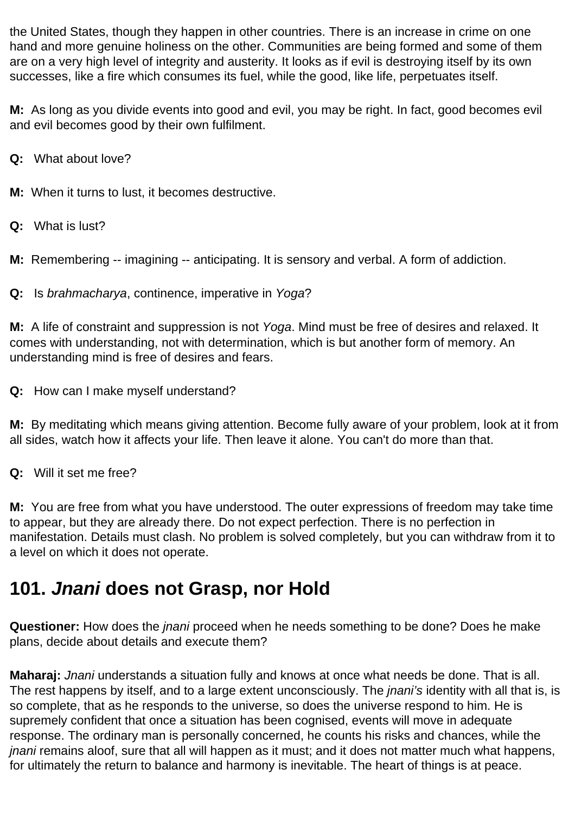the United States, though they happen in other countries. There is an increase in crime on one hand and more genuine holiness on the other. Communities are being formed and some of them are on a very high level of integrity and austerity. It looks as if evil is destroying itself by its own successes, like a fire which consumes its fuel, while the good, like life, perpetuates itself.

**M:** As long as you divide events into good and evil, you may be right. In fact, good becomes evil and evil becomes good by their own fulfilment.

**Q:** What about love?

**M:** When it turns to lust, it becomes destructive.

**Q:** What is lust?

**M:** Remembering -- imagining -- anticipating. It is sensory and verbal. A form of addiction.

**Q:** Is *brahmacharya*, continence, imperative in *Yoga*?

**M:** A life of constraint and suppression is not *Yoga*. Mind must be free of desires and relaxed. It comes with understanding, not with determination, which is but another form of memory. An understanding mind is free of desires and fears.

**Q:** How can I make myself understand?

**M:** By meditating which means giving attention. Become fully aware of your problem, look at it from all sides, watch how it affects your life. Then leave it alone. You can't do more than that.

**Q:** Will it set me free?

**M:** You are free from what you have understood. The outer expressions of freedom may take time to appear, but they are already there. Do not expect perfection. There is no perfection in manifestation. Details must clash. No problem is solved completely, but you can withdraw from it to a level on which it does not operate.

#### **101.** *Jnani* **does not Grasp, nor Hold**

**Questioner:** How does the *jnani* proceed when he needs something to be done? Does he make plans, decide about details and execute them?

**Maharaj:** *Jnani* understands a situation fully and knows at once what needs be done. That is all. The rest happens by itself, and to a large extent unconsciously. The *jnani's* identity with all that is, is so complete, that as he responds to the universe, so does the universe respond to him. He is supremely confident that once a situation has been cognised, events will move in adequate response. The ordinary man is personally concerned, he counts his risks and chances, while the *jnani* remains aloof, sure that all will happen as it must; and it does not matter much what happens, for ultimately the return to balance and harmony is inevitable. The heart of things is at peace.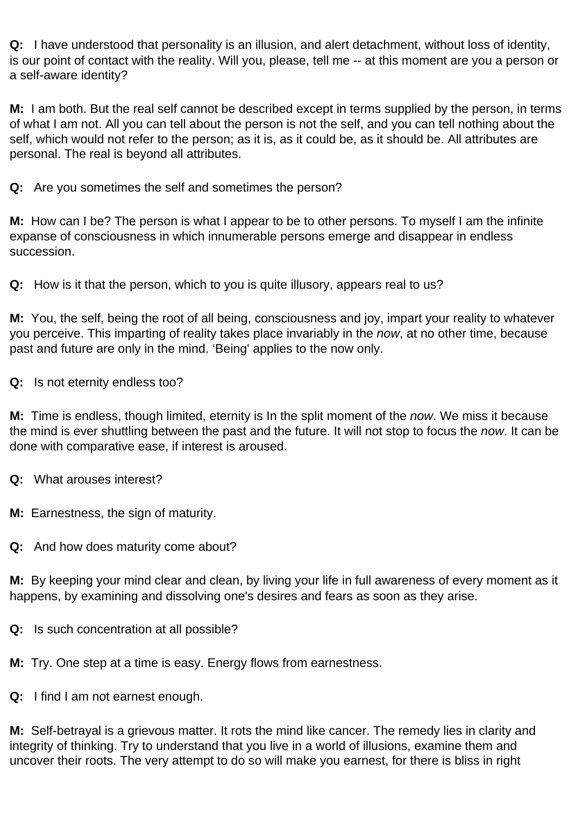**Q:** I have understood that personality is an illusion, and alert detachment, without loss of identity, is our point of contact with the reality. Will you, please, tell me -- at this moment are you a person or a self-aware identity?

**M:** I am both. But the real self cannot be described except in terms supplied by the person, in terms of what I am not. All you can tell about the person is not the self, and you can tell nothing about the self, which would not refer to the person; as it is, as it could be, as it should be. All attributes are personal. The real is beyond all attributes.

**Q:** Are you sometimes the self and sometimes the person?

**M:** How can I be? The person is what I appear to be to other persons. To myself I am the infinite expanse of consciousness in which innumerable persons emerge and disappear in endless succession.

**Q:** How is it that the person, which to you is quite illusory, appears real to us?

**M:** You, the self, being the root of all being, consciousness and joy, impart your reality to whatever you perceive. This imparting of reality takes place invariably in the *now*, at no other time, because past and future are only in the mind. 'Being' applies to the now only.

**Q:** Is not eternity endless too?

**M:** Time is endless, though limited, eternity is In the split moment of the *now*. We miss it because the mind is ever shuttling between the past and the future. It will not stop to focus the *now*. It can be done with comparative ease, if interest is aroused.

**Q:** What arouses interest?

**M:** Earnestness, the sign of maturity.

**Q:** And how does maturity come about?

**M:** By keeping your mind clear and clean, by living your life in full awareness of every moment as it happens, by examining and dissolving one's desires and fears as soon as they arise.

**Q:** Is such concentration at all possible?

**M:** Try. One step at a time is easy. Energy flows from earnestness.

**Q:** I find I am not earnest enough.

**M:** Self-betrayal is a grievous matter. It rots the mind like cancer. The remedy lies in clarity and integrity of thinking. Try to understand that you live in a world of illusions, examine them and uncover their roots. The very attempt to do so will make you earnest, for there is bliss in right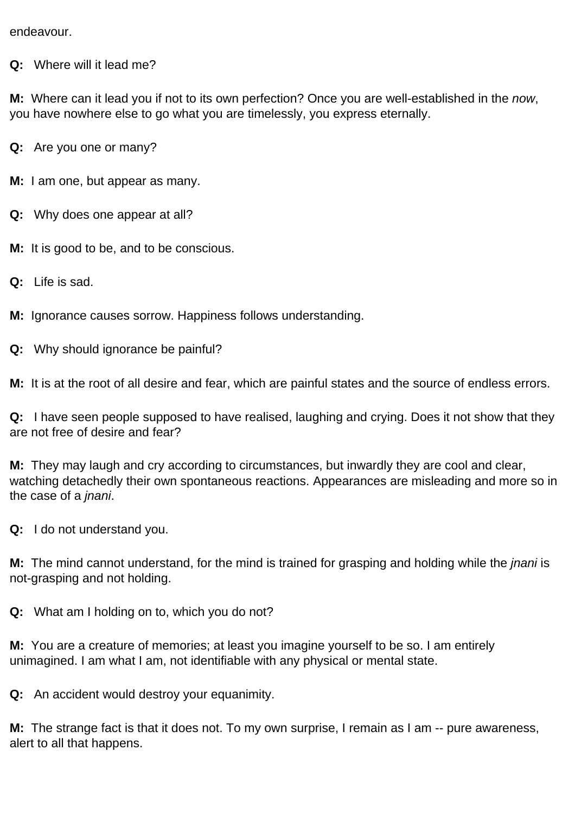endeavour.

**Q:** Where will it lead me?

**M:** Where can it lead you if not to its own perfection? Once you are well-established in the *now*, you have nowhere else to go what you are timelessly, you express eternally.

- **Q:** Are you one or many?
- **M:** I am one, but appear as many.
- **Q:** Why does one appear at all?
- **M:** It is good to be, and to be conscious.
- **Q:** Life is sad.
- **M:** Ignorance causes sorrow. Happiness follows understanding.
- **Q:** Why should ignorance be painful?

**M:** It is at the root of all desire and fear, which are painful states and the source of endless errors.

**Q:** I have seen people supposed to have realised, laughing and crying. Does it not show that they are not free of desire and fear?

**M:** They may laugh and cry according to circumstances, but inwardly they are cool and clear, watching detachedly their own spontaneous reactions. Appearances are misleading and more so in the case of a *jnani*.

**Q:** I do not understand you.

**M:** The mind cannot understand, for the mind is trained for grasping and holding while the *jnani* is not-grasping and not holding.

**Q:** What am I holding on to, which you do not?

**M:** You are a creature of memories; at least you imagine yourself to be so. I am entirely unimagined. I am what I am, not identifiable with any physical or mental state.

**Q:** An accident would destroy your equanimity.

**M:** The strange fact is that it does not. To my own surprise, I remain as I am -- pure awareness, alert to all that happens.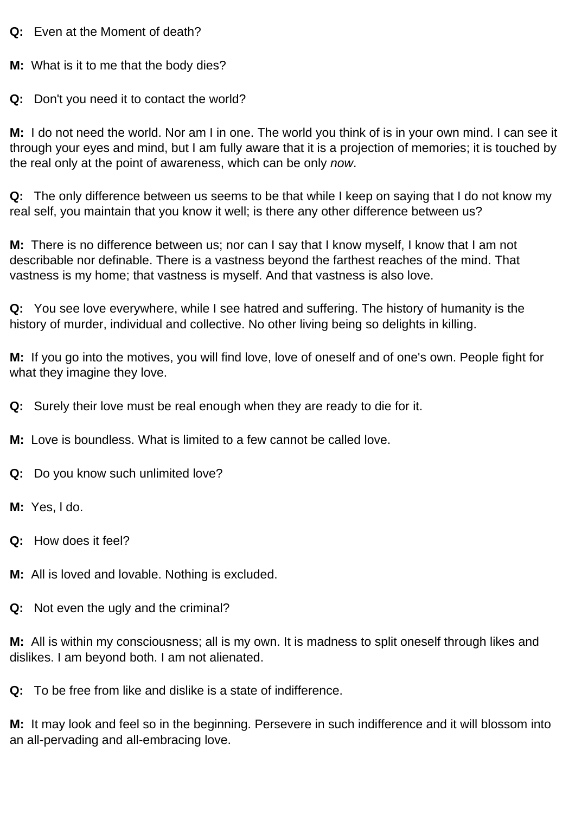**Q:** Even at the Moment of death?

**M:** What is it to me that the body dies?

**Q:** Don't you need it to contact the world?

**M:** I do not need the world. Nor am I in one. The world you think of is in your own mind. I can see it through your eyes and mind, but I am fully aware that it is a projection of memories; it is touched by the real only at the point of awareness, which can be only *now*.

**Q:** The only difference between us seems to be that while I keep on saying that I do not know my real self, you maintain that you know it well; is there any other difference between us?

**M:** There is no difference between us; nor can I say that I know myself, I know that I am not describable nor definable. There is a vastness beyond the farthest reaches of the mind. That vastness is my home; that vastness is myself. And that vastness is also love.

**Q:** You see love everywhere, while I see hatred and suffering. The history of humanity is the history of murder, individual and collective. No other living being so delights in killing.

**M:** If you go into the motives, you will find love, love of oneself and of one's own. People fight for what they imagine they love.

**Q:** Surely their love must be real enough when they are ready to die for it.

**M:** Love is boundless. What is limited to a few cannot be called love.

**Q:** Do you know such unlimited love?

**M:** Yes, l do.

**Q:** How does it feel?

**M:** All is loved and lovable. Nothing is excluded.

**Q:** Not even the ugly and the criminal?

**M:** All is within my consciousness; all is my own. It is madness to split oneself through likes and dislikes. I am beyond both. I am not alienated.

**Q:** To be free from like and dislike is a state of indifference.

**M:** It may look and feel so in the beginning. Persevere in such indifference and it will blossom into an all-pervading and all-embracing love.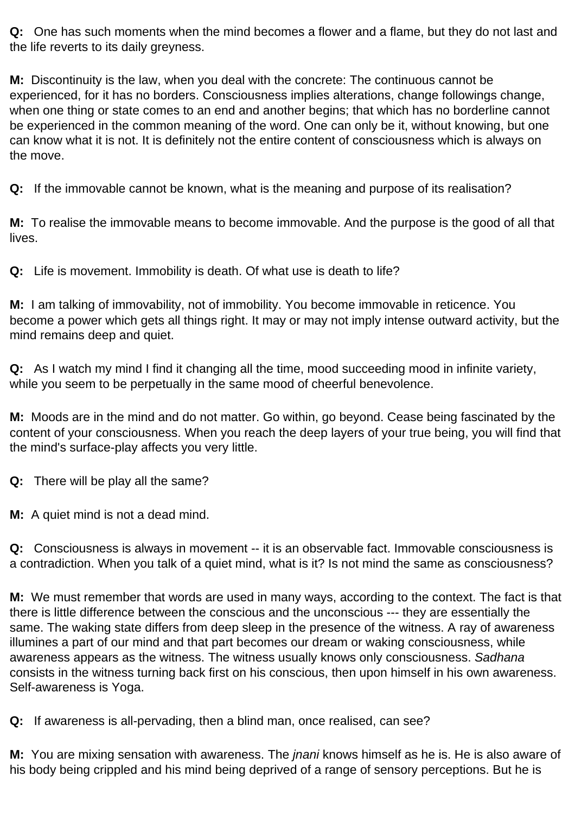**Q:** One has such moments when the mind becomes a flower and a flame, but they do not last and the life reverts to its daily greyness.

**M:** Discontinuity is the law, when you deal with the concrete: The continuous cannot be experienced, for it has no borders. Consciousness implies alterations, change followings change, when one thing or state comes to an end and another begins; that which has no borderline cannot be experienced in the common meaning of the word. One can only be it, without knowing, but one can know what it is not. It is definitely not the entire content of consciousness which is always on the move.

**Q:** If the immovable cannot be known, what is the meaning and purpose of its realisation?

**M:** To realise the immovable means to become immovable. And the purpose is the good of all that lives.

**Q:** Life is movement. Immobility is death. Of what use is death to life?

**M:** I am talking of immovability, not of immobility. You become immovable in reticence. You become a power which gets all things right. It may or may not imply intense outward activity, but the mind remains deep and quiet.

**Q:** As I watch my mind I find it changing all the time, mood succeeding mood in infinite variety, while you seem to be perpetually in the same mood of cheerful benevolence.

**M:** Moods are in the mind and do not matter. Go within, go beyond. Cease being fascinated by the content of your consciousness. When you reach the deep layers of your true being, you will find that the mind's surface-play affects you very little.

**Q:** There will be play all the same?

**M:** A quiet mind is not a dead mind.

**Q:** Consciousness is always in movement -- it is an observable fact. Immovable consciousness is a contradiction. When you talk of a quiet mind, what is it? Is not mind the same as consciousness?

**M:** We must remember that words are used in many ways, according to the context. The fact is that there is little difference between the conscious and the unconscious --- they are essentially the same. The waking state differs from deep sleep in the presence of the witness. A ray of awareness illumines a part of our mind and that part becomes our dream or waking consciousness, while awareness appears as the witness. The witness usually knows only consciousness. *Sadhana* consists in the witness turning back first on his conscious, then upon himself in his own awareness. Self-awareness is Yoga.

**Q:** If awareness is all-pervading, then a blind man, once realised, can see?

**M:** You are mixing sensation with awareness. The *jnani* knows himself as he is. He is also aware of his body being crippled and his mind being deprived of a range of sensory perceptions. But he is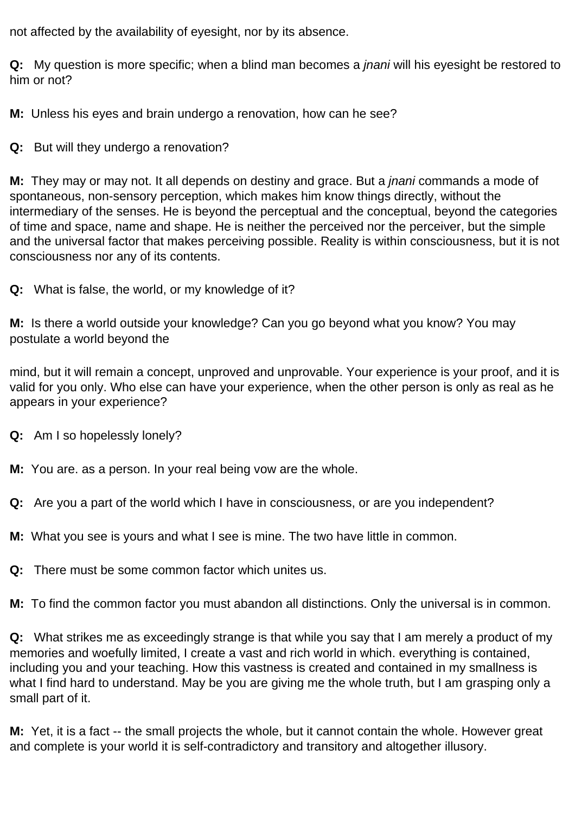not affected by the availability of eyesight, nor by its absence.

**Q:** My question is more specific; when a blind man becomes a *jnani* will his eyesight be restored to him or not?

**M:** Unless his eyes and brain undergo a renovation, how can he see?

**Q:** But will they undergo a renovation?

**M:** They may or may not. It all depends on destiny and grace. But a *jnani* commands a mode of spontaneous, non-sensory perception, which makes him know things directly, without the intermediary of the senses. He is beyond the perceptual and the conceptual, beyond the categories of time and space, name and shape. He is neither the perceived nor the perceiver, but the simple and the universal factor that makes perceiving possible. Reality is within consciousness, but it is not consciousness nor any of its contents.

**Q:** What is false, the world, or my knowledge of it?

**M:** Is there a world outside your knowledge? Can you go beyond what you know? You may postulate a world beyond the

mind, but it will remain a concept, unproved and unprovable. Your experience is your proof, and it is valid for you only. Who else can have your experience, when the other person is only as real as he appears in your experience?

- **Q:** Am I so hopelessly lonely?
- **M:** You are. as a person. In your real being vow are the whole.
- **Q:** Are you a part of the world which I have in consciousness, or are you independent?
- **M:** What you see is yours and what I see is mine. The two have little in common.
- **Q:** There must be some common factor which unites us.

**M:** To find the common factor you must abandon all distinctions. Only the universal is in common.

**Q:** What strikes me as exceedingly strange is that while you say that I am merely a product of my memories and woefully limited, I create a vast and rich world in which. everything is contained, including you and your teaching. How this vastness is created and contained in my smallness is what I find hard to understand. May be you are giving me the whole truth, but I am grasping only a small part of it.

**M:** Yet, it is a fact -- the small projects the whole, but it cannot contain the whole. However great and complete is your world it is self-contradictory and transitory and altogether illusory.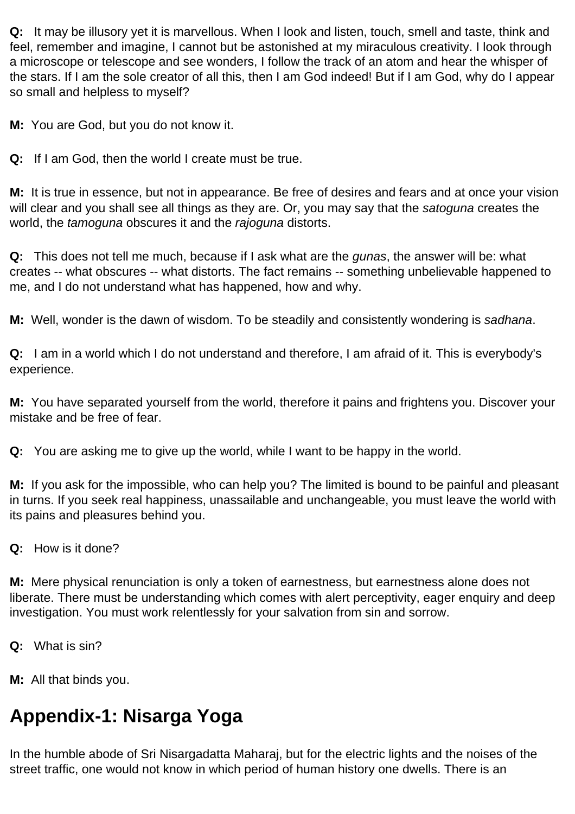**Q:** It may be illusory yet it is marvellous. When I look and listen, touch, smell and taste, think and feel, remember and imagine, I cannot but be astonished at my miraculous creativity. I look through a microscope or telescope and see wonders, I follow the track of an atom and hear the whisper of the stars. If I am the sole creator of all this, then I am God indeed! But if I am God, why do I appear so small and helpless to myself?

**M:** You are God, but you do not know it.

**Q:** If I am God, then the world I create must be true.

**M:** It is true in essence, but not in appearance. Be free of desires and fears and at once your vision will clear and you shall see all things as they are. Or, you may say that the *satoguna* creates the world, the *tamoguna* obscures it and the *rajoguna* distorts.

**Q:** This does not tell me much, because if I ask what are the *gunas*, the answer will be: what creates -- what obscures -- what distorts. The fact remains -- something unbelievable happened to me, and I do not understand what has happened, how and why.

**M:** Well, wonder is the dawn of wisdom. To be steadily and consistently wondering is *sadhana*.

**Q:** I am in a world which I do not understand and therefore, I am afraid of it. This is everybody's experience.

**M:** You have separated yourself from the world, therefore it pains and frightens you. Discover your mistake and be free of fear.

**Q:** You are asking me to give up the world, while I want to be happy in the world.

**M:** If you ask for the impossible, who can help you? The limited is bound to be painful and pleasant in turns. If you seek real happiness, unassailable and unchangeable, you must leave the world with its pains and pleasures behind you.

**Q:** How is it done?

**M:** Mere physical renunciation is only a token of earnestness, but earnestness alone does not liberate. There must be understanding which comes with alert perceptivity, eager enquiry and deep investigation. You must work relentlessly for your salvation from sin and sorrow.

- **Q:** What is sin?
- **M:** All that binds you.

## **Appendix-1: Nisarga Yoga**

In the humble abode of Sri Nisargadatta Maharaj, but for the electric lights and the noises of the street traffic, one would not know in which period of human history one dwells. There is an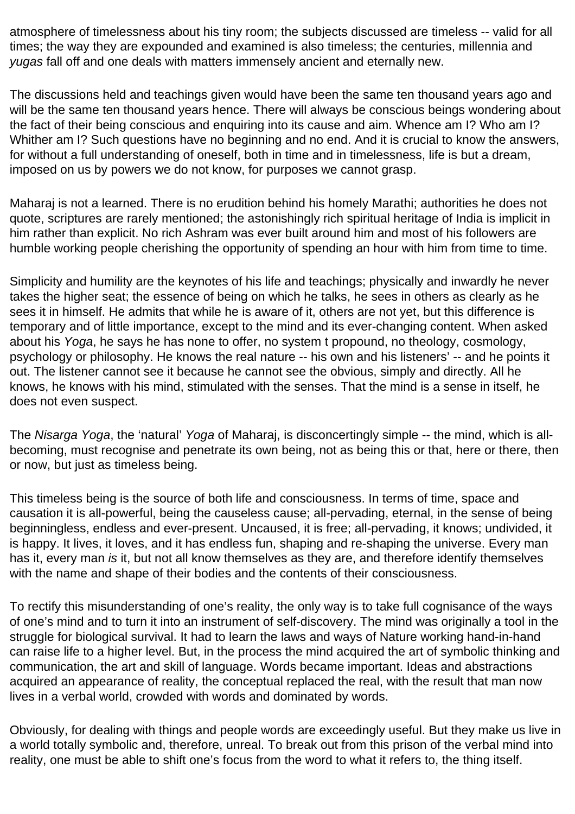atmosphere of timelessness about his tiny room; the subjects discussed are timeless -- valid for all times; the way they are expounded and examined is also timeless; the centuries, millennia and *yugas* fall off and one deals with matters immensely ancient and eternally new.

The discussions held and teachings given would have been the same ten thousand years ago and will be the same ten thousand years hence. There will always be conscious beings wondering about the fact of their being conscious and enquiring into its cause and aim. Whence am I? Who am I? Whither am I? Such questions have no beginning and no end. And it is crucial to know the answers, for without a full understanding of oneself, both in time and in timelessness, life is but a dream, imposed on us by powers we do not know, for purposes we cannot grasp.

Maharaj is not a learned. There is no erudition behind his homely Marathi; authorities he does not quote, scriptures are rarely mentioned; the astonishingly rich spiritual heritage of India is implicit in him rather than explicit. No rich Ashram was ever built around him and most of his followers are humble working people cherishing the opportunity of spending an hour with him from time to time.

Simplicity and humility are the keynotes of his life and teachings; physically and inwardly he never takes the higher seat; the essence of being on which he talks, he sees in others as clearly as he sees it in himself. He admits that while he is aware of it, others are not yet, but this difference is temporary and of little importance, except to the mind and its ever-changing content. When asked about his *Yoga*, he says he has none to offer, no system t propound, no theology, cosmology, psychology or philosophy. He knows the real nature -- his own and his listeners' -- and he points it out. The listener cannot see it because he cannot see the obvious, simply and directly. All he knows, he knows with his mind, stimulated with the senses. That the mind is a sense in itself, he does not even suspect.

The *Nisarga Yoga*, the 'natural' *Yoga* of Maharaj, is disconcertingly simple -- the mind, which is allbecoming, must recognise and penetrate its own being, not as being this or that, here or there, then or now, but just as timeless being.

This timeless being is the source of both life and consciousness. In terms of time, space and causation it is all-powerful, being the causeless cause; all-pervading, eternal, in the sense of being beginningless, endless and ever-present. Uncaused, it is free; all-pervading, it knows; undivided, it is happy. It lives, it loves, and it has endless fun, shaping and re-shaping the universe. Every man has it, every man *is* it, but not all know themselves as they are, and therefore identify themselves with the name and shape of their bodies and the contents of their consciousness.

To rectify this misunderstanding of one's reality, the only way is to take full cognisance of the ways of one's mind and to turn it into an instrument of self-discovery. The mind was originally a tool in the struggle for biological survival. It had to learn the laws and ways of Nature working hand-in-hand can raise life to a higher level. But, in the process the mind acquired the art of symbolic thinking and communication, the art and skill of language. Words became important. Ideas and abstractions acquired an appearance of reality, the conceptual replaced the real, with the result that man now lives in a verbal world, crowded with words and dominated by words.

Obviously, for dealing with things and people words are exceedingly useful. But they make us live in a world totally symbolic and, therefore, unreal. To break out from this prison of the verbal mind into reality, one must be able to shift one's focus from the word to what it refers to, the thing itself.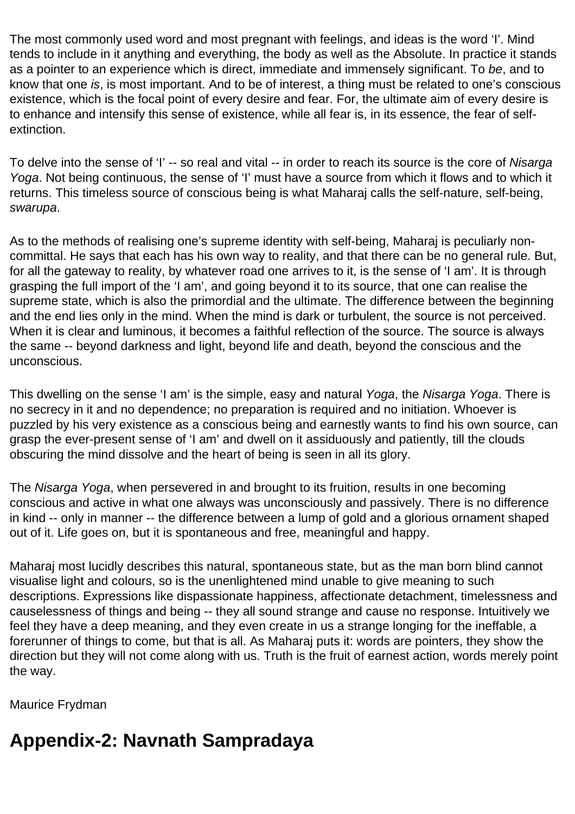The most commonly used word and most pregnant with feelings, and ideas is the word 'I'. Mind tends to include in it anything and everything, the body as well as the Absolute. In practice it stands as a pointer to an experience which is direct, immediate and immensely significant. To *be*, and to know that one *is*, is most important. And to be of interest, a thing must be related to one's conscious existence, which is the focal point of every desire and fear. For, the ultimate aim of every desire is to enhance and intensify this sense of existence, while all fear is, in its essence, the fear of selfextinction.

To delve into the sense of 'I' -- so real and vital -- in order to reach its source is the core of *Nisarga Yoga*. Not being continuous, the sense of 'I' must have a source from which it flows and to which it returns. This timeless source of conscious being is what Maharaj calls the self-nature, self-being, *swarupa*.

As to the methods of realising one's supreme identity with self-being, Maharaj is peculiarly noncommittal. He says that each has his own way to reality, and that there can be no general rule. But, for all the gateway to reality, by whatever road one arrives to it, is the sense of 'I am'. It is through grasping the full import of the 'I am', and going beyond it to its source, that one can realise the supreme state, which is also the primordial and the ultimate. The difference between the beginning and the end lies only in the mind. When the mind is dark or turbulent, the source is not perceived. When it is clear and luminous, it becomes a faithful reflection of the source. The source is always the same -- beyond darkness and light, beyond life and death, beyond the conscious and the unconscious.

This dwelling on the sense 'I am' is the simple, easy and natural *Yoga*, the *Nisarga Yoga*. There is no secrecy in it and no dependence; no preparation is required and no initiation. Whoever is puzzled by his very existence as a conscious being and earnestly wants to find his own source, can grasp the ever-present sense of 'I am' and dwell on it assiduously and patiently, till the clouds obscuring the mind dissolve and the heart of being is seen in all its glory.

The *Nisarga Yoga*, when persevered in and brought to its fruition, results in one becoming conscious and active in what one always was unconsciously and passively. There is no difference in kind -- only in manner -- the difference between a lump of gold and a glorious ornament shaped out of it. Life goes on, but it is spontaneous and free, meaningful and happy.

Maharaj most lucidly describes this natural, spontaneous state, but as the man born blind cannot visualise light and colours, so is the unenlightened mind unable to give meaning to such descriptions. Expressions like dispassionate happiness, affectionate detachment, timelessness and causelessness of things and being -- they all sound strange and cause no response. Intuitively we feel they have a deep meaning, and they even create in us a strange longing for the ineffable, a forerunner of things to come, but that is all. As Maharaj puts it: words are pointers, they show the direction but they will not come along with us. Truth is the fruit of earnest action, words merely point the way.

Maurice Frydman

# **Appendix-2: Navnath Sampradaya**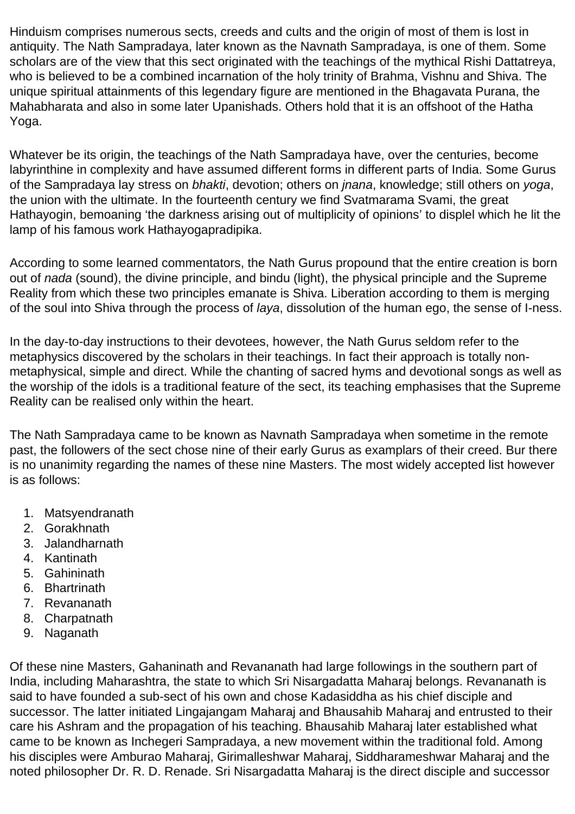Hinduism comprises numerous sects, creeds and cults and the origin of most of them is lost in antiquity. The Nath Sampradaya, later known as the Navnath Sampradaya, is one of them. Some scholars are of the view that this sect originated with the teachings of the mythical Rishi Dattatreya, who is believed to be a combined incarnation of the holy trinity of Brahma, Vishnu and Shiva. The unique spiritual attainments of this legendary figure are mentioned in the Bhagavata Purana, the Mahabharata and also in some later Upanishads. Others hold that it is an offshoot of the Hatha Yoga.

Whatever be its origin, the teachings of the Nath Sampradaya have, over the centuries, become labyrinthine in complexity and have assumed different forms in different parts of India. Some Gurus of the Sampradaya lay stress on *bhakti*, devotion; others on *jnana*, knowledge; still others on *yoga*, the union with the ultimate. In the fourteenth century we find Svatmarama Svami, the great Hathayogin, bemoaning 'the darkness arising out of multiplicity of opinions' to displel which he lit the lamp of his famous work Hathayogapradipika.

According to some learned commentators, the Nath Gurus propound that the entire creation is born out of *nada* (sound), the divine principle, and bindu (light), the physical principle and the Supreme Reality from which these two principles emanate is Shiva. Liberation according to them is merging of the soul into Shiva through the process of *laya*, dissolution of the human ego, the sense of I-ness.

In the day-to-day instructions to their devotees, however, the Nath Gurus seldom refer to the metaphysics discovered by the scholars in their teachings. In fact their approach is totally nonmetaphysical, simple and direct. While the chanting of sacred hyms and devotional songs as well as the worship of the idols is a traditional feature of the sect, its teaching emphasises that the Supreme Reality can be realised only within the heart.

The Nath Sampradaya came to be known as Navnath Sampradaya when sometime in the remote past, the followers of the sect chose nine of their early Gurus as examplars of their creed. Bur there is no unanimity regarding the names of these nine Masters. The most widely accepted list however is as follows:

- 1. Matsyendranath
- 2. Gorakhnath
- 3. Jalandharnath
- 4. Kantinath
- 5. Gahininath
- 6. Bhartrinath
- 7. Revananath
- 8. Charpatnath
- 9. Naganath

Of these nine Masters, Gahaninath and Revananath had large followings in the southern part of India, including Maharashtra, the state to which Sri Nisargadatta Maharaj belongs. Revananath is said to have founded a sub-sect of his own and chose Kadasiddha as his chief disciple and successor. The latter initiated Lingajangam Maharaj and Bhausahib Maharaj and entrusted to their care his Ashram and the propagation of his teaching. Bhausahib Maharaj later established what came to be known as Inchegeri Sampradaya, a new movement within the traditional fold. Among his disciples were Amburao Maharaj, Girimalleshwar Maharaj, Siddharameshwar Maharaj and the noted philosopher Dr. R. D. Renade. Sri Nisargadatta Maharaj is the direct disciple and successor